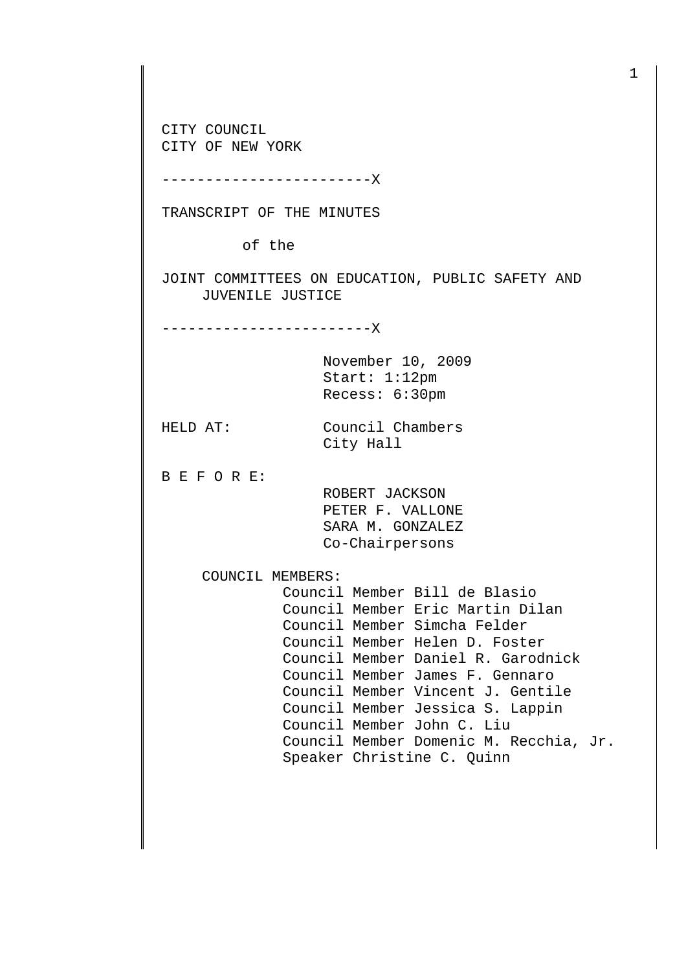CITY COUNCIL CITY OF NEW YORK

------------------------X

TRANSCRIPT OF THE MINUTES

of the

JOINT COMMITTEES ON EDUCATION, PUBLIC SAFETY AND JUVENILE JUSTICE

City Hall

------------------------X

November 10, 2009 Start: 1:12pm Recess: 6:30pm

HELD AT: Council Chambers

B E F O R E:

 ROBERT JACKSON PETER F. VALLONE SARA M. GONZALEZ Co-Chairpersons

COUNCIL MEMBERS:

 Council Member Bill de Blasio Council Member Eric Martin Dilan Council Member Simcha Felder Council Member Helen D. Foster Council Member Daniel R. Garodnick Council Member James F. Gennaro Council Member Vincent J. Gentile Council Member Jessica S. Lappin Council Member John C. Liu Council Member Domenic M. Recchia, Jr. Speaker Christine C. Quinn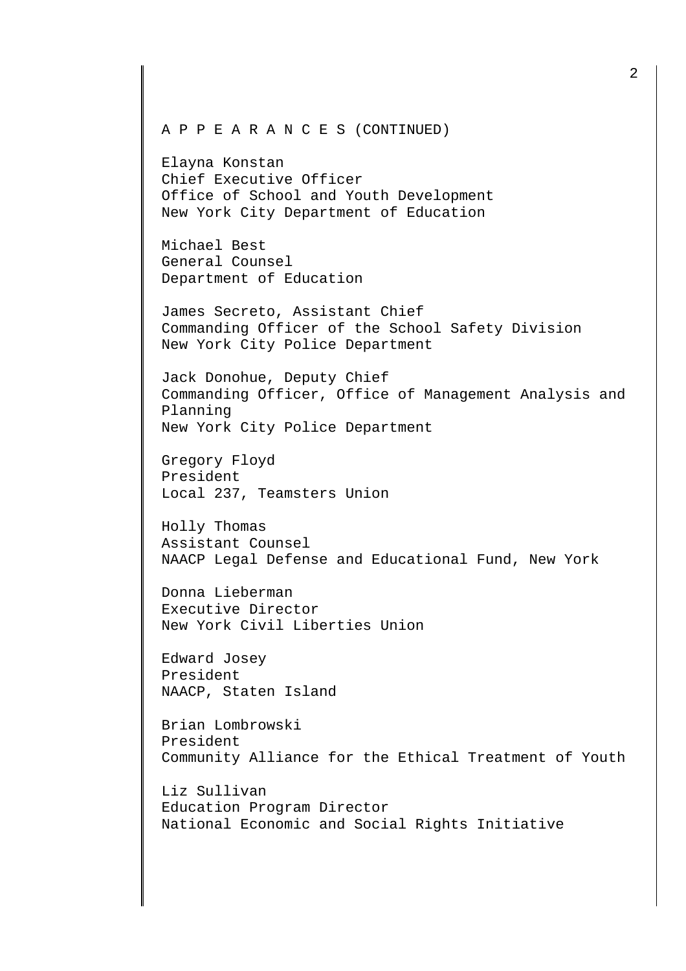A P P E A R A N C E S (CONTINUED)

Elayna Konstan Chief Executive Officer Office of School and Youth Development New York City Department of Education

Michael Best General Counsel Department of Education

James Secreto, Assistant Chief Commanding Officer of the School Safety Division New York City Police Department

Jack Donohue, Deputy Chief Commanding Officer, Office of Management Analysis and Planning New York City Police Department

Gregory Floyd President Local 237, Teamsters Union

Holly Thomas Assistant Counsel NAACP Legal Defense and Educational Fund, New York

Donna Lieberman Executive Director New York Civil Liberties Union

Edward Josey President NAACP, Staten Island

Brian Lombrowski President Community Alliance for the Ethical Treatment of Youth

Liz Sullivan Education Program Director National Economic and Social Rights Initiative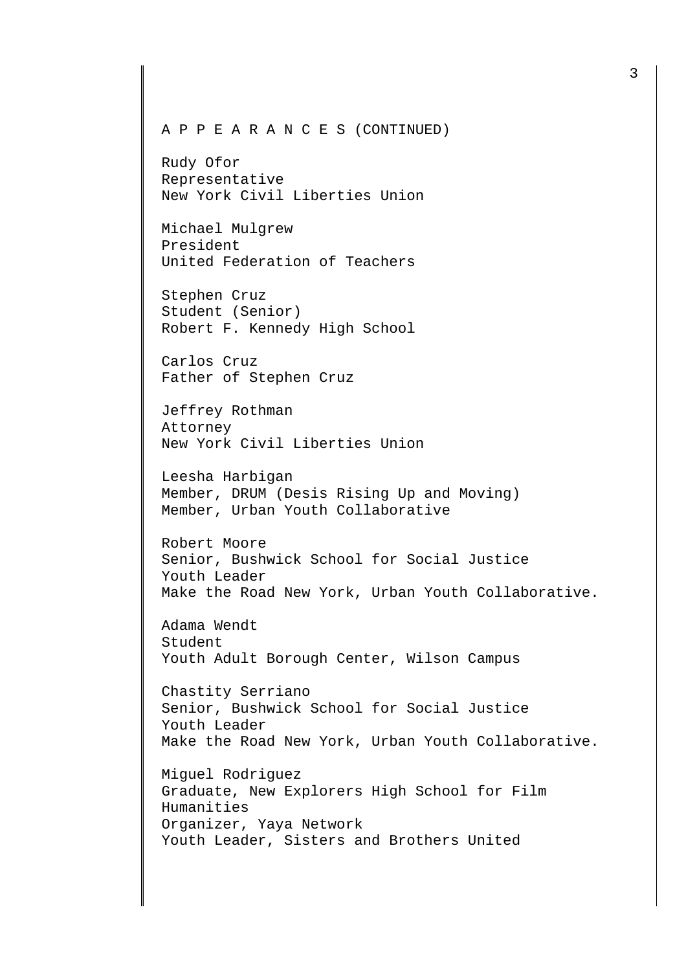## A P P E A R A N C E S (CONTINUED)

Rudy Ofor Representative New York Civil Liberties Union

Michael Mulgrew President United Federation of Teachers

Stephen Cruz Student (Senior) Robert F. Kennedy High School

Carlos Cruz Father of Stephen Cruz

Jeffrey Rothman Attorney New York Civil Liberties Union

Leesha Harbigan Member, DRUM (Desis Rising Up and Moving) Member, Urban Youth Collaborative

Robert Moore Senior, Bushwick School for Social Justice Youth Leader Make the Road New York, Urban Youth Collaborative.

Adama Wendt Student Youth Adult Borough Center, Wilson Campus

Chastity Serriano Senior, Bushwick School for Social Justice Youth Leader Make the Road New York, Urban Youth Collaborative.

Miguel Rodriguez Graduate, New Explorers High School for Film Humanities Organizer, Yaya Network Youth Leader, Sisters and Brothers United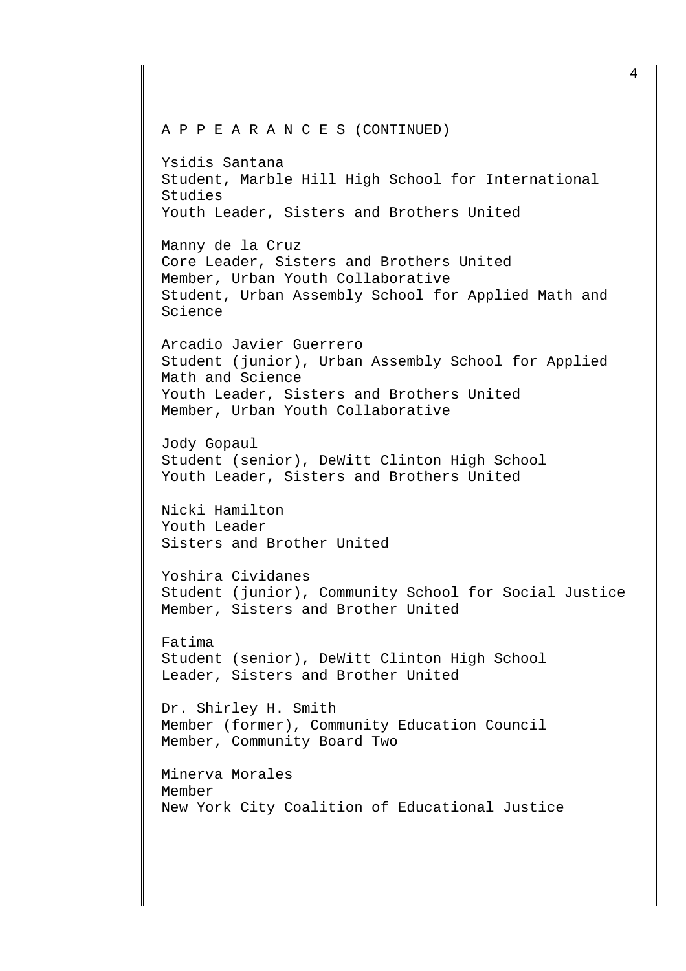```
A P P E A R A N C E S (CONTINUED)
```
Ysidis Santana Student, Marble Hill High School for International Studies Youth Leader, Sisters and Brothers United

Manny de la Cruz Core Leader, Sisters and Brothers United Member, Urban Youth Collaborative Student, Urban Assembly School for Applied Math and Science

Arcadio Javier Guerrero Student (junior), Urban Assembly School for Applied Math and Science Youth Leader, Sisters and Brothers United Member, Urban Youth Collaborative

Jody Gopaul Student (senior), DeWitt Clinton High School Youth Leader, Sisters and Brothers United

Nicki Hamilton Youth Leader Sisters and Brother United

Yoshira Cividanes Student (junior), Community School for Social Justice Member, Sisters and Brother United

Fatima Student (senior), DeWitt Clinton High School Leader, Sisters and Brother United

Dr. Shirley H. Smith Member (former), Community Education Council Member, Community Board Two

Minerva Morales Member New York City Coalition of Educational Justice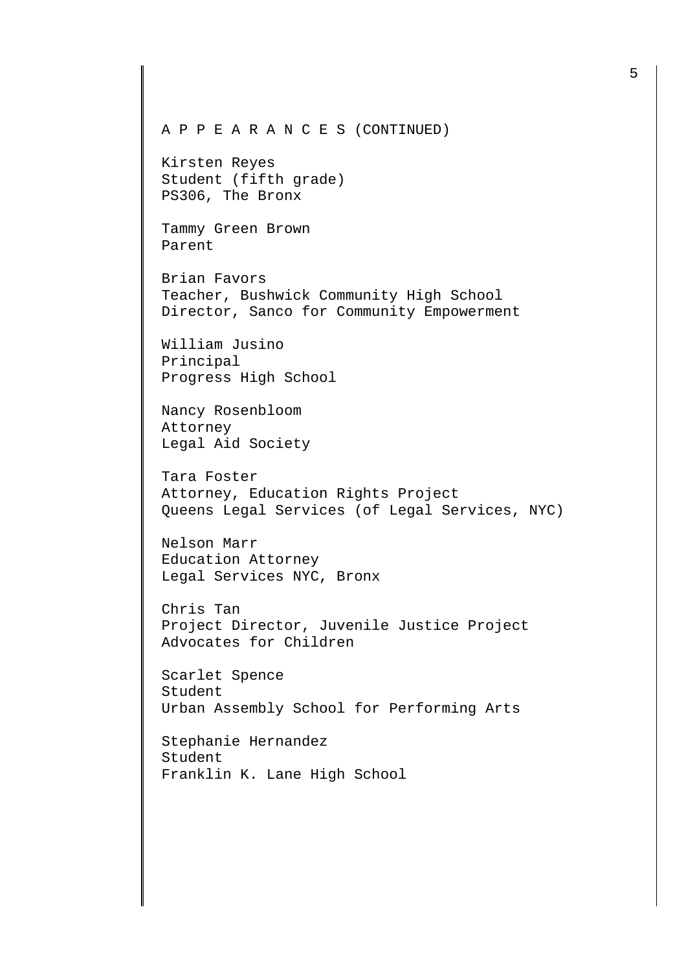A P P E A R A N C E S (CONTINUED)

Kirsten Reyes Student (fifth grade) PS306, The Bronx

Tammy Green Brown Parent

Brian Favors Teacher, Bushwick Community High School Director, Sanco for Community Empowerment

William Jusino Principal Progress High School

Nancy Rosenbloom Attorney Legal Aid Society

Tara Foster Attorney, Education Rights Project Queens Legal Services (of Legal Services, NYC)

Nelson Marr Education Attorney Legal Services NYC, Bronx

Chris Tan Project Director, Juvenile Justice Project Advocates for Children

Scarlet Spence Student Urban Assembly School for Performing Arts

Stephanie Hernandez Student Franklin K. Lane High School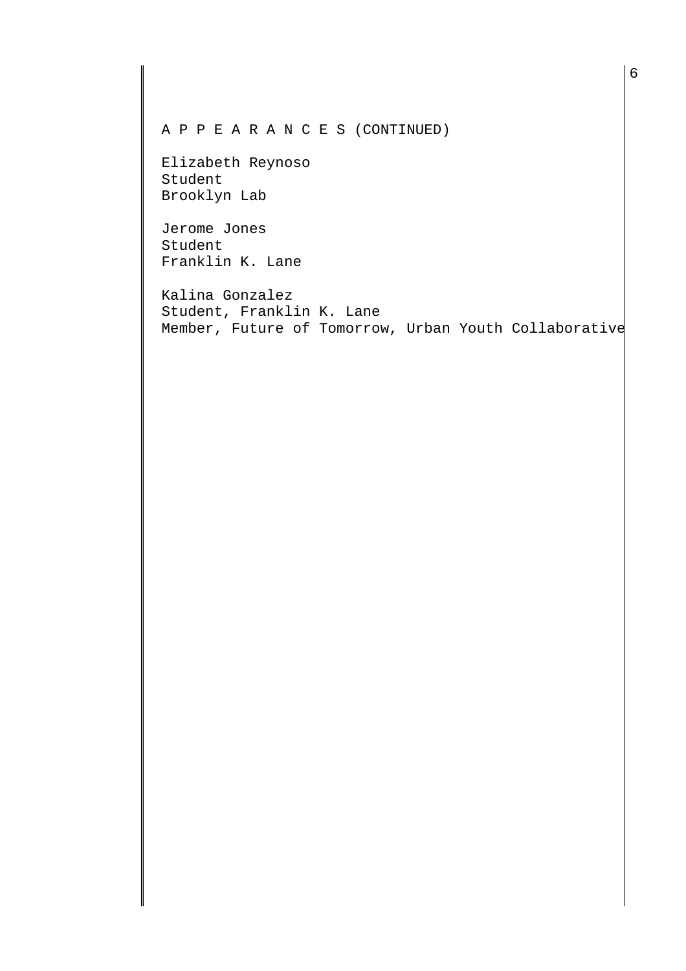A P P E A R A N C E S (CONTINUED)

Elizabeth Reynoso Student Brooklyn Lab

Jerome Jones Student Franklin K. Lane

Kalina Gonzalez Student, Franklin K. Lane Member, Future of Tomorrow, Urban Youth Collaborative

6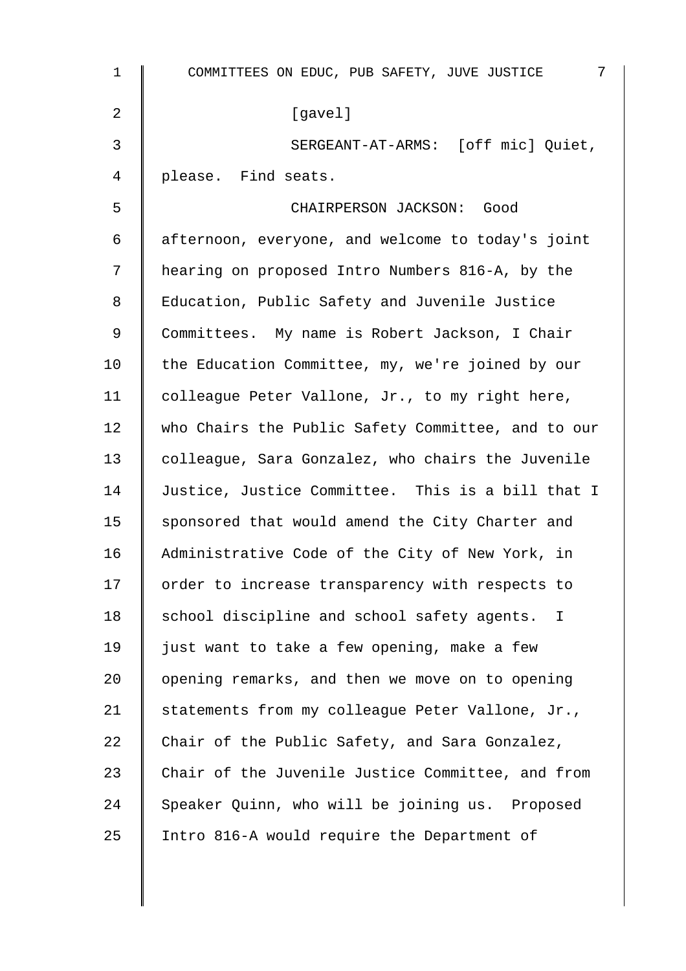| $\mathbf 1$ | 7<br>COMMITTEES ON EDUC, PUB SAFETY, JUVE JUSTICE  |
|-------------|----------------------------------------------------|
| 2           | [gavel]                                            |
| 3           | SERGEANT-AT-ARMS: [off mic] Quiet,                 |
| 4           | please. Find seats.                                |
| 5           | CHAIRPERSON JACKSON: Good                          |
| 6           | afternoon, everyone, and welcome to today's joint  |
| 7           | hearing on proposed Intro Numbers 816-A, by the    |
| 8           | Education, Public Safety and Juvenile Justice      |
| $\mathsf 9$ | Committees. My name is Robert Jackson, I Chair     |
| 10          | the Education Committee, my, we're joined by our   |
| 11          | colleague Peter Vallone, Jr., to my right here,    |
| 12          | who Chairs the Public Safety Committee, and to our |
| 13          | colleague, Sara Gonzalez, who chairs the Juvenile  |
| 14          | Justice, Justice Committee. This is a bill that I  |
| 15          | sponsored that would amend the City Charter and    |
| 16          | Administrative Code of the City of New York, in    |
| 17          | order to increase transparency with respects to    |
| 18          | school discipline and school safety agents. I      |
| 19          | just want to take a few opening, make a few        |
| 20          | opening remarks, and then we move on to opening    |
| 21          | statements from my colleague Peter Vallone, Jr.,   |
| 22          | Chair of the Public Safety, and Sara Gonzalez,     |
| 23          | Chair of the Juvenile Justice Committee, and from  |
| 24          | Speaker Quinn, who will be joining us. Proposed    |
| 25          | Intro 816-A would require the Department of        |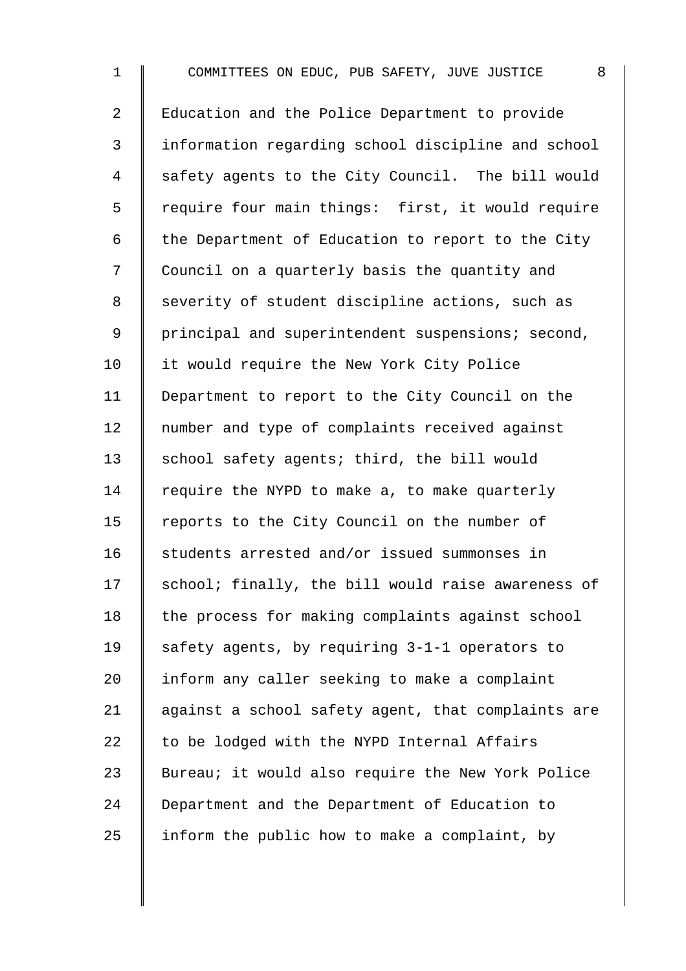1 COMMITTEES ON EDUC, PUB SAFETY, JUVE JUSTICE 8 2 | Education and the Police Department to provide 3 information regarding school discipline and school 4 Safety agents to the City Council. The bill would 5 | require four main things: first, it would require 6  $\parallel$  the Department of Education to report to the City 7 | Council on a quarterly basis the quantity and 8 Severity of student discipline actions, such as 9 | principal and superintendent suspensions; second, 10 | it would require the New York City Police 11 Department to report to the City Council on the 12 | number and type of complaints received against 13 | school safety agents; third, the bill would 14  $\parallel$  require the NYPD to make a, to make quarterly 15 Teports to the City Council on the number of 16 Students arrested and/or issued summonses in  $17$  school; finally, the bill would raise awareness of 18 the process for making complaints against school 19  $\parallel$  safety agents, by requiring 3-1-1 operators to 20  $\parallel$  inform any caller seeking to make a complaint 21  $\parallel$  against a school safety agent, that complaints are 22  $\parallel$  to be lodged with the NYPD Internal Affairs 23 Sureau; it would also require the New York Police 24 Department and the Department of Education to 25  $\parallel$  inform the public how to make a complaint, by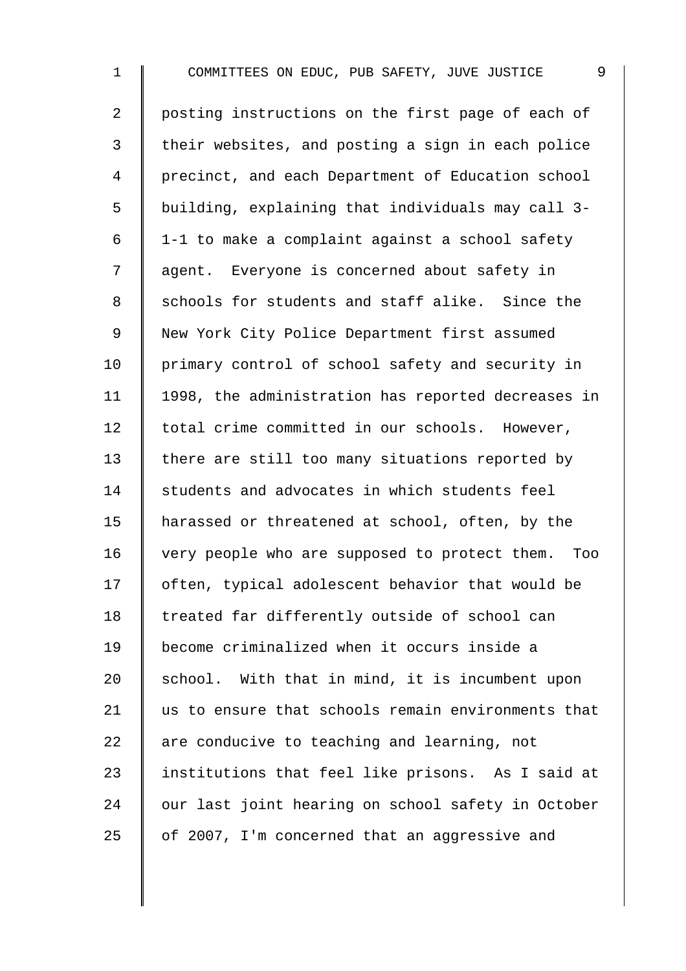1 COMMITTEES ON EDUC, PUB SAFETY, JUVE JUSTICE 9 2 posting instructions on the first page of each of 3 | their websites, and posting a sign in each police 4 | precinct, and each Department of Education school 5 building, explaining that individuals may call 3-  $6 \parallel 1$ -1 to make a complaint against a school safety 7 | agent. Everyone is concerned about safety in 8 Schools for students and staff alike. Since the 9 | New York City Police Department first assumed 10 | primary control of school safety and security in 11 | 1998, the administration has reported decreases in 12 | total crime committed in our schools. However, 13 there are still too many situations reported by 14 students and advocates in which students feel 15 | harassed or threatened at school, often, by the 16 very people who are supposed to protect them. Too 17 | often, typical adolescent behavior that would be 18 Treated far differently outside of school can 19 become criminalized when it occurs inside a 20  $\parallel$  school. With that in mind, it is incumbent upon 21 us to ensure that schools remain environments that 22  $\parallel$  are conducive to teaching and learning, not 23 | institutions that feel like prisons. As I said at 24 | our last joint hearing on school safety in October 25  $\parallel$  of 2007, I'm concerned that an aggressive and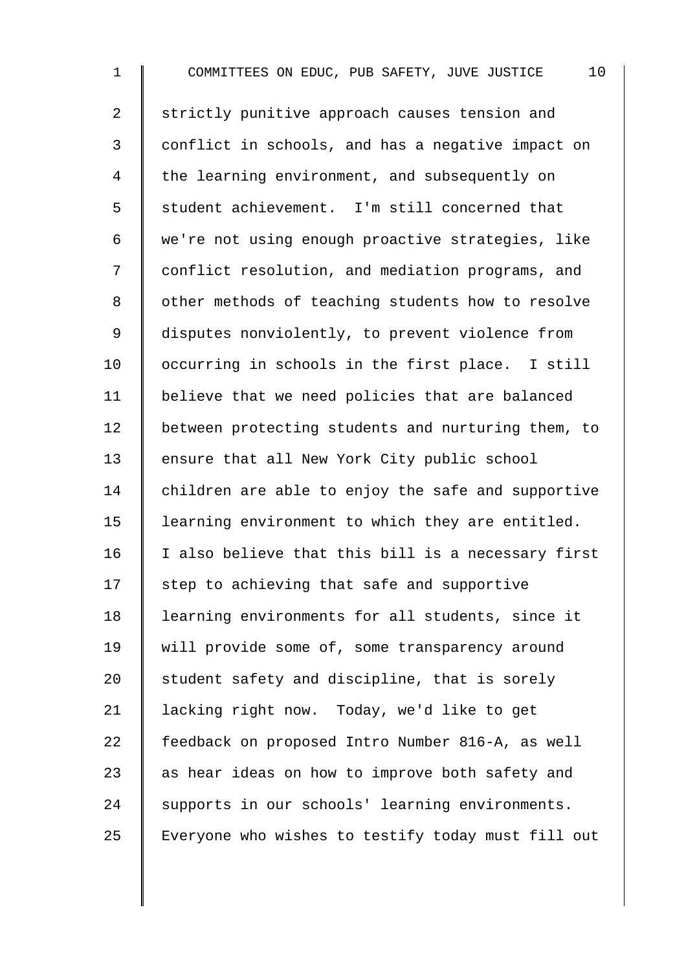1 COMMITTEES ON EDUC, PUB SAFETY, JUVE JUSTICE 10 2 strictly punitive approach causes tension and 3 conflict in schools, and has a negative impact on 4 the learning environment, and subsequently on 5 Student achievement. I'm still concerned that 6 we're not using enough proactive strategies, like 7 | conflict resolution, and mediation programs, and 8 | other methods of teaching students how to resolve 9 disputes nonviolently, to prevent violence from 10 | occurring in schools in the first place. I still 11 | believe that we need policies that are balanced 12 | between protecting students and nurturing them, to 13 ensure that all New York City public school 14 children are able to enjoy the safe and supportive 15 | learning environment to which they are entitled.  $16$  I also believe that this bill is a necessary first  $17$  step to achieving that safe and supportive 18 learning environments for all students, since it 19 Will provide some of, some transparency around 20  $\parallel$  student safety and discipline, that is sorely 21 | lacking right now. Today, we'd like to get 22 Feedback on proposed Intro Number 816-A, as well 23  $\parallel$  as hear ideas on how to improve both safety and 24 Supports in our schools' learning environments. 25 Everyone who wishes to testify today must fill out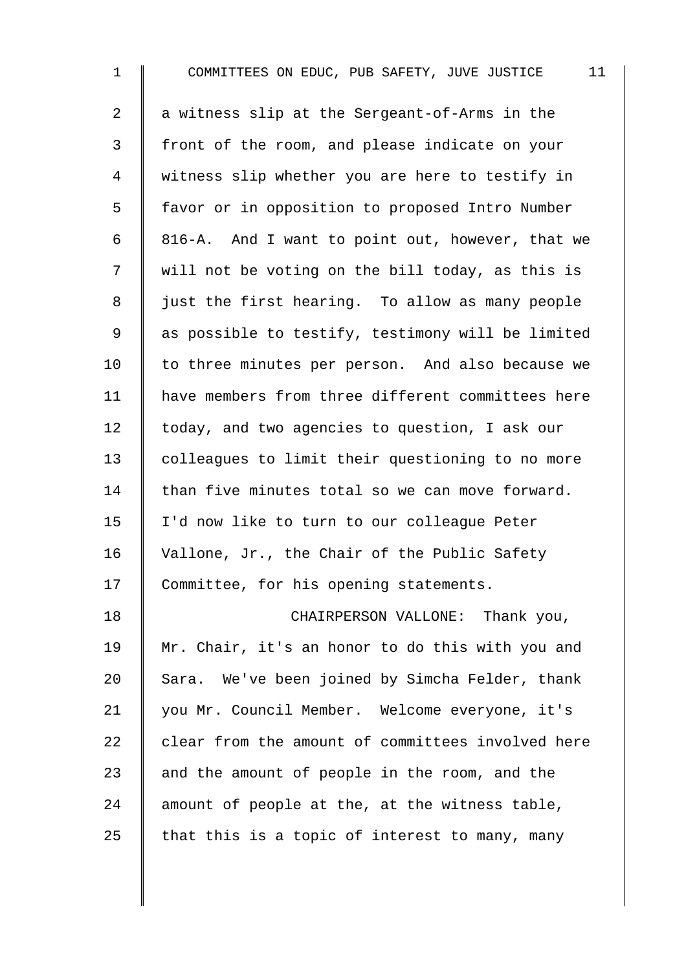| $\mathbf{1}$   | 11<br>COMMITTEES ON EDUC, PUB SAFETY, JUVE JUSTICE |
|----------------|----------------------------------------------------|
| $\overline{a}$ | a witness slip at the Sergeant-of-Arms in the      |
| 3              | front of the room, and please indicate on your     |
| 4              | witness slip whether you are here to testify in    |
| 5              | favor or in opposition to proposed Intro Number    |
| 6              | 816-A. And I want to point out, however, that we   |
| 7              | will not be voting on the bill today, as this is   |
| 8              | just the first hearing. To allow as many people    |
| 9              | as possible to testify, testimony will be limited  |
| 10             | to three minutes per person. And also because we   |
| 11             | have members from three different committees here  |
| 12             | today, and two agencies to question, I ask our     |
| 13             | colleagues to limit their questioning to no more   |
| 14             | than five minutes total so we can move forward.    |
| 15             | I'd now like to turn to our colleague Peter        |
| 16             | Vallone, Jr., the Chair of the Public Safety       |
| 17             | Committee, for his opening statements.             |
| 18             | CHAIRPERSON VALLONE: Thank you,                    |
| 19             | Mr. Chair, it's an honor to do this with you and   |
| 20             | Sara. We've been joined by Simcha Felder, thank    |
| 21             | you Mr. Council Member. Welcome everyone, it's     |
| 22             | clear from the amount of committees involved here  |
| 23             | and the amount of people in the room, and the      |
| 24             | amount of people at the, at the witness table,     |
| 25             | that this is a topic of interest to many, many     |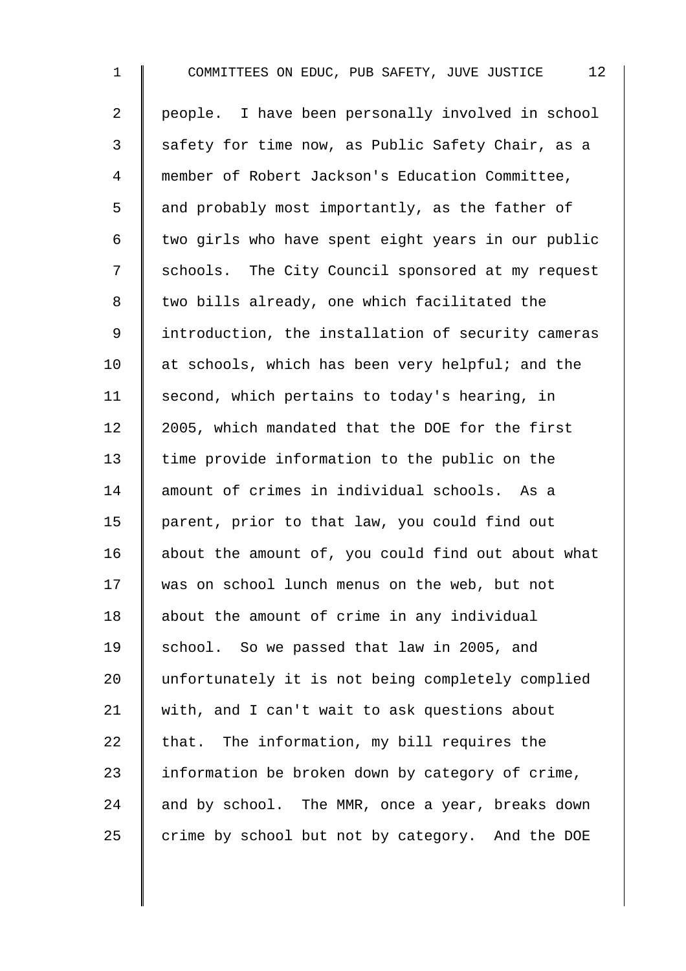1 COMMITTEES ON EDUC, PUB SAFETY, JUVE JUSTICE 12 2 | people. I have been personally involved in school 3 Safety for time now, as Public Safety Chair, as a 4 member of Robert Jackson's Education Committee, 5 and probably most importantly, as the father of  $6 \parallel$  two girls who have spent eight years in our public 7 Schools. The City Council sponsored at my request 8 | two bills already, one which facilitated the 9 introduction, the installation of security cameras 10 at schools, which has been very helpful; and the 11 | second, which pertains to today's hearing, in 12 | 2005, which mandated that the DOE for the first 13 time provide information to the public on the 14 amount of crimes in individual schools. As a 15 | parent, prior to that law, you could find out 16 about the amount of, you could find out about what 17 was on school lunch menus on the web, but not 18 about the amount of crime in any individual 19 School. So we passed that law in 2005, and 20 unfortunately it is not being completely complied 21 | with, and I can't wait to ask questions about 22  $\parallel$  that. The information, my bill requires the 23  $\parallel$  information be broken down by category of crime, 24  $\parallel$  and by school. The MMR, once a year, breaks down  $25$  crime by school but not by category. And the DOE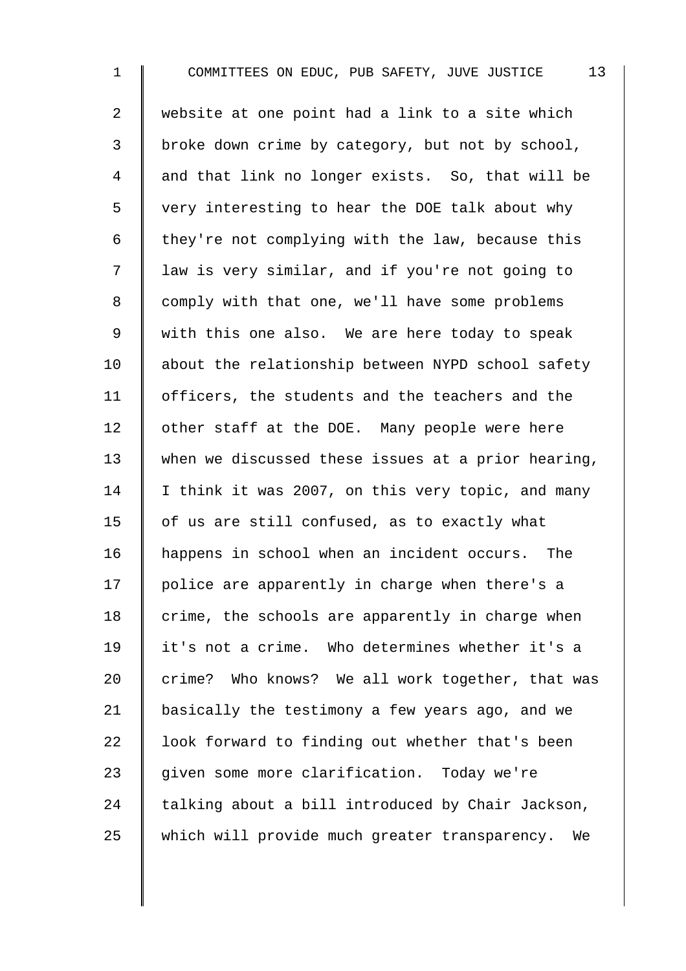1 COMMITTEES ON EDUC, PUB SAFETY, JUVE JUSTICE 13 2 website at one point had a link to a site which 3 | broke down crime by category, but not by school, 4 and that link no longer exists. So, that will be 5 very interesting to hear the DOE talk about why 6  $\parallel$  they're not complying with the law, because this 7 | law is very similar, and if you're not going to 8 comply with that one, we'll have some problems 9 | with this one also. We are here today to speak 10 about the relationship between NYPD school safety 11 | officers, the students and the teachers and the 12  $\parallel$  other staff at the DOE. Many people were here 13 when we discussed these issues at a prior hearing, 14 I think it was 2007, on this very topic, and many 15  $\parallel$  of us are still confused, as to exactly what 16 happens in school when an incident occurs. The  $17$  | police are apparently in charge when there's a  $18$  | crime, the schools are apparently in charge when 19 it's not a crime. Who determines whether it's a 20  $\parallel$  crime? Who knows? We all work together, that was 21 | basically the testimony a few years ago, and we 22  $\parallel$  look forward to finding out whether that's been 23 given some more clarification. Today we're 24  $\parallel$  talking about a bill introduced by Chair Jackson, 25 which will provide much greater transparency. We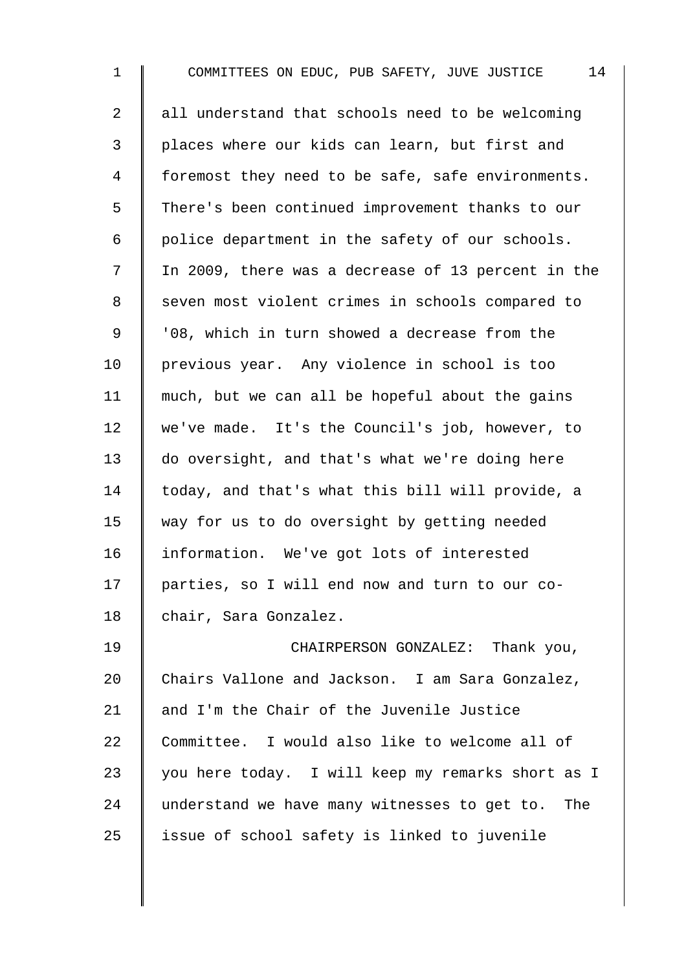1 COMMITTEES ON EDUC, PUB SAFETY, JUVE JUSTICE 14 2 all understand that schools need to be welcoming 3 | places where our kids can learn, but first and 4 | foremost they need to be safe, safe environments. 5 There's been continued improvement thanks to our  $6 \parallel$  police department in the safety of our schools. 7 | In 2009, there was a decrease of 13 percent in the 8 Seven most violent crimes in schools compared to 9 | '08, which in turn showed a decrease from the 10 previous year. Any violence in school is too 11  $\parallel$  much, but we can all be hopeful about the gains 12 we've made. It's the Council's job, however, to 13 do oversight, and that's what we're doing here 14 today, and that's what this bill will provide, a 15 way for us to do oversight by getting needed 16 Information. We've got lots of interested 17 | parties, so I will end now and turn to our co-18 chair, Sara Gonzalez. 19 CHAIRPERSON GONZALEZ: Thank you, 20 Chairs Vallone and Jackson. I am Sara Gonzalez, 21  $\parallel$  and I'm the Chair of the Juvenile Justice 22 Committee. I would also like to welcome all of 23 | you here today. I will keep my remarks short as I

24 understand we have many witnesses to get to. The

 $25$  | issue of school safety is linked to juvenile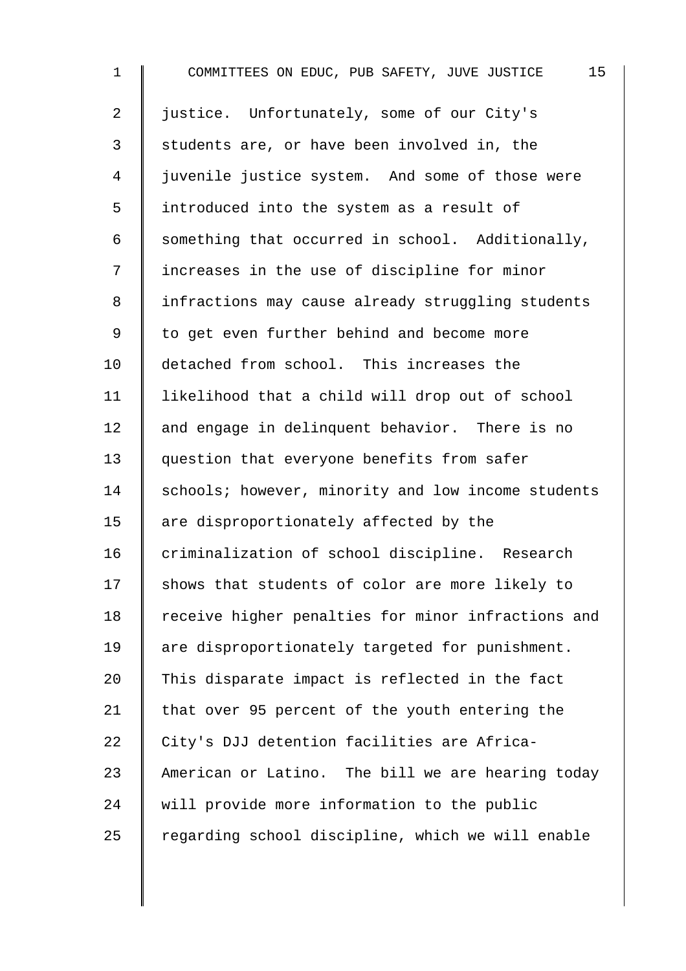1 COMMITTEES ON EDUC, PUB SAFETY, JUVE JUSTICE 15 2 | justice. Unfortunately, some of our City's 3 Students are, or have been involved in, the 4 juvenile justice system. And some of those were 5 introduced into the system as a result of 6 Something that occurred in school. Additionally, 7 I increases in the use of discipline for minor 8 | infractions may cause already struggling students 9 | to get even further behind and become more 10 detached from school. This increases the 11 likelihood that a child will drop out of school 12 and engage in delinquent behavior. There is no 13 question that everyone benefits from safer 14 Schools; however, minority and low income students 15 | are disproportionately affected by the 16 criminalization of school discipline. Research 17 Shows that students of color are more likely to 18 Teceive higher penalties for minor infractions and 19 | are disproportionately targeted for punishment. 20  $\parallel$  This disparate impact is reflected in the fact 21  $\parallel$  that over 95 percent of the youth entering the 22 City's DJJ detention facilities are Africa-23 American or Latino. The bill we are hearing today 24 will provide more information to the public  $25$  regarding school discipline, which we will enable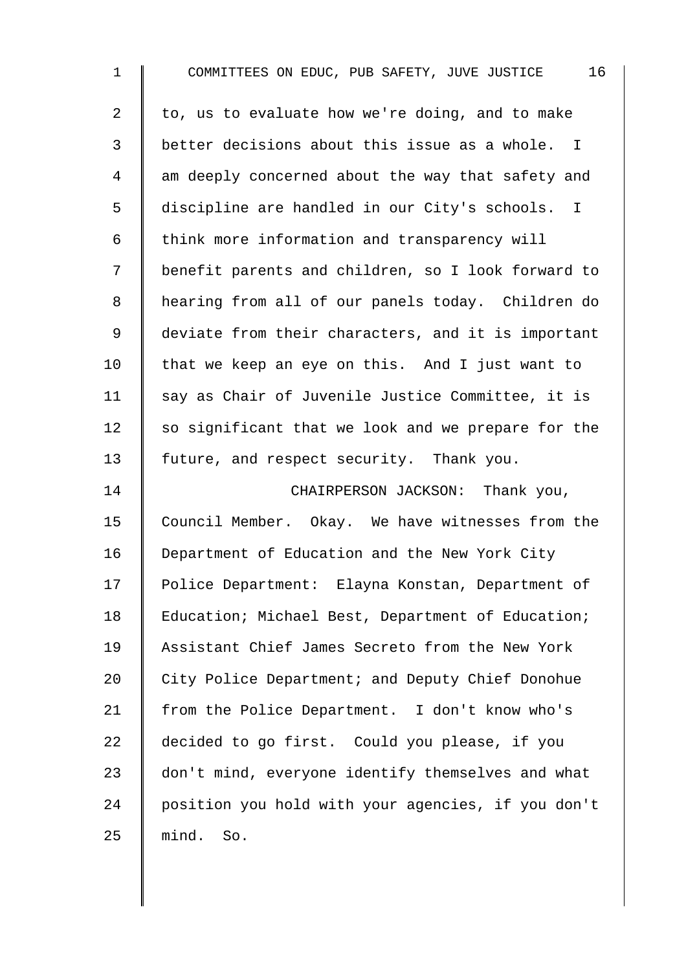| $\mathbf 1$    | 16<br>COMMITTEES ON EDUC, PUB SAFETY, JUVE JUSTICE |
|----------------|----------------------------------------------------|
| 2              | to, us to evaluate how we're doing, and to make    |
| 3              | better decisions about this issue as a whole. I    |
| $\overline{4}$ | am deeply concerned about the way that safety and  |
| 5              | discipline are handled in our City's schools. I    |
| 6              | think more information and transparency will       |
| 7              | benefit parents and children, so I look forward to |
| 8              | hearing from all of our panels today. Children do  |
| $\mathsf 9$    | deviate from their characters, and it is important |
| 10             | that we keep an eye on this. And I just want to    |
| 11             | say as Chair of Juvenile Justice Committee, it is  |
| 12             | so significant that we look and we prepare for the |
| 13             | future, and respect security. Thank you.           |
| 14             | CHAIRPERSON JACKSON: Thank you,                    |
| 15             | Council Member. Okay. We have witnesses from the   |
| 16             | Department of Education and the New York City      |
| 17             | Police Department: Elayna Konstan, Department of   |
| 18             | Education; Michael Best, Department of Education;  |
| 19             | Assistant Chief James Secreto from the New York    |
| 20             | City Police Department; and Deputy Chief Donohue   |
| 21             | from the Police Department. I don't know who's     |
| 22             | decided to go first. Could you please, if you      |
| 23             | don't mind, everyone identify themselves and what  |
| 24             | position you hold with your agencies, if you don't |
| 25             | mind.<br>So.                                       |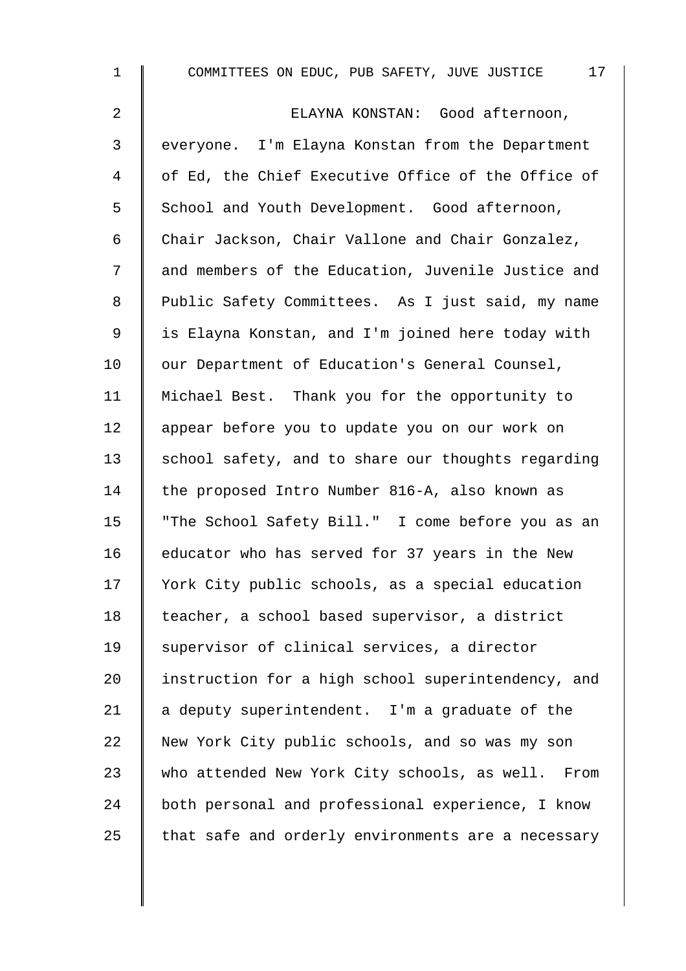| $\mathbf 1$    | 17<br>COMMITTEES ON EDUC, PUB SAFETY, JUVE JUSTICE |
|----------------|----------------------------------------------------|
| $\overline{a}$ | ELAYNA KONSTAN: Good afternoon,                    |
| 3              | everyone. I'm Elayna Konstan from the Department   |
| 4              | of Ed, the Chief Executive Office of the Office of |
| 5              | School and Youth Development. Good afternoon,      |
| 6              | Chair Jackson, Chair Vallone and Chair Gonzalez,   |
| 7              | and members of the Education, Juvenile Justice and |
| 8              | Public Safety Committees. As I just said, my name  |
| 9              | is Elayna Konstan, and I'm joined here today with  |
| 10             | our Department of Education's General Counsel,     |
| 11             | Michael Best. Thank you for the opportunity to     |
| 12             | appear before you to update you on our work on     |
| 13             | school safety, and to share our thoughts regarding |
| 14             | the proposed Intro Number 816-A, also known as     |
| 15             | "The School Safety Bill." I come before you as an  |
| 16             | educator who has served for 37 years in the New    |
| 17             | York City public schools, as a special education   |
| 18             | teacher, a school based supervisor, a district     |
| 19             | supervisor of clinical services, a director        |
| 20             | instruction for a high school superintendency, and |
| 21             | a deputy superintendent. I'm a graduate of the     |
| 22             | New York City public schools, and so was my son    |
| 23             | who attended New York City schools, as well. From  |
| 24             | both personal and professional experience, I know  |
| 25             | that safe and orderly environments are a necessary |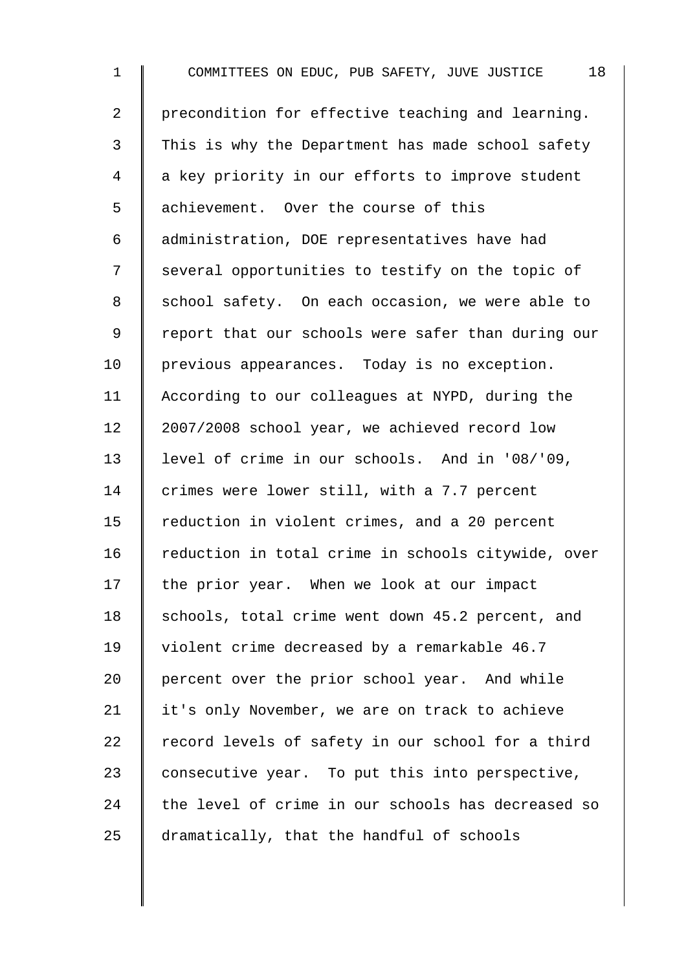| $\mathbf 1$    | COMMITTEES ON EDUC, PUB SAFETY, JUVE JUSTICE<br>18 |
|----------------|----------------------------------------------------|
| $\overline{a}$ | precondition for effective teaching and learning.  |
| 3              | This is why the Department has made school safety  |
| 4              | a key priority in our efforts to improve student   |
| 5              | achievement. Over the course of this               |
| 6              | administration, DOE representatives have had       |
| 7              | several opportunities to testify on the topic of   |
| 8              | school safety. On each occasion, we were able to   |
| 9              | report that our schools were safer than during our |
| 10             | previous appearances. Today is no exception.       |
| 11             | According to our colleagues at NYPD, during the    |
| 12             | 2007/2008 school year, we achieved record low      |
| 13             | level of crime in our schools. And in '08/'09,     |
| 14             | crimes were lower still, with a 7.7 percent        |
| 15             | reduction in violent crimes, and a 20 percent      |
| 16             | reduction in total crime in schools citywide, over |
| 17             | the prior year. When we look at our impact         |
| 18             | schools, total crime went down 45.2 percent, and   |
| 19             | violent crime decreased by a remarkable 46.7       |
| 20             | percent over the prior school year. And while      |
| 21             | it's only November, we are on track to achieve     |
| 22             | record levels of safety in our school for a third  |
| 23             | consecutive year. To put this into perspective,    |
| 24             | the level of crime in our schools has decreased so |
| 25             | dramatically, that the handful of schools          |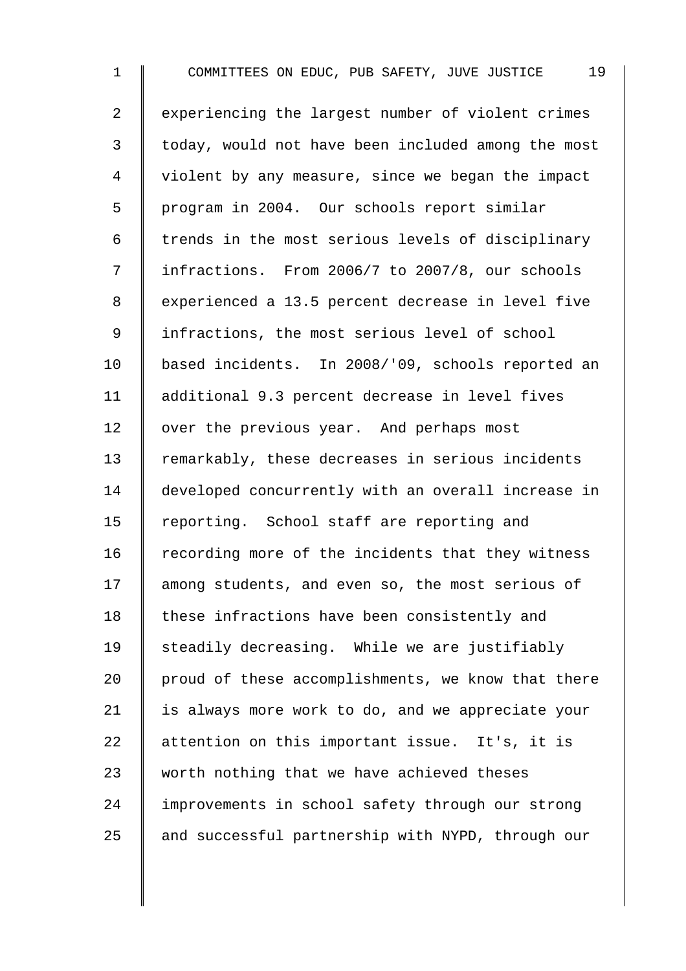1 COMMITTEES ON EDUC, PUB SAFETY, JUVE JUSTICE 19 2 | experiencing the largest number of violent crimes 3 | today, would not have been included among the most 4 | violent by any measure, since we began the impact 5 | program in 2004. Our schools report similar  $6$   $\parallel$  trends in the most serious levels of disciplinary 7 | infractions. From 2006/7 to 2007/8, our schools 8 | experienced a 13.5 percent decrease in level five 9 | infractions, the most serious level of school 10 based incidents. In 2008/'09, schools reported an 11 | additional 9.3 percent decrease in level fives 12 | over the previous year. And perhaps most 13 Temarkably, these decreases in serious incidents 14 developed concurrently with an overall increase in 15 Teporting. School staff are reporting and  $16$  recording more of the incidents that they witness 17 among students, and even so, the most serious of 18 | these infractions have been consistently and 19  $\parallel$  steadily decreasing. While we are justifiably 20  $\parallel$  proud of these accomplishments, we know that there 21  $\parallel$  is always more work to do, and we appreciate your 22 attention on this important issue. It's, it is 23  $\parallel$  worth nothing that we have achieved theses 24 I improvements in school safety through our strong  $25$  and successful partnership with NYPD, through our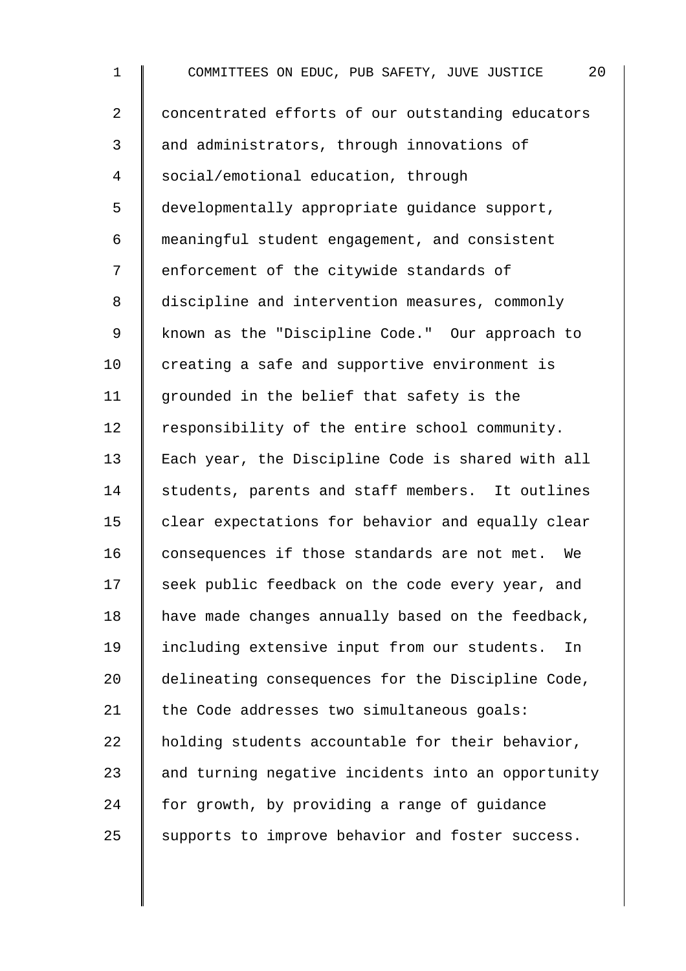| $\mathbf 1$    | COMMITTEES ON EDUC, PUB SAFETY, JUVE JUSTICE<br>20 |
|----------------|----------------------------------------------------|
| $\overline{2}$ | concentrated efforts of our outstanding educators  |
| 3              | and administrators, through innovations of         |
| $\overline{4}$ | social/emotional education, through                |
| 5              | developmentally appropriate guidance support,      |
| 6              | meaningful student engagement, and consistent      |
| 7              | enforcement of the citywide standards of           |
| $\,8\,$        | discipline and intervention measures, commonly     |
| $\mathsf 9$    | known as the "Discipline Code." Our approach to    |
| 10             | creating a safe and supportive environment is      |
| 11             | grounded in the belief that safety is the          |
| 12             | responsibility of the entire school community.     |
| 13             | Each year, the Discipline Code is shared with all  |
| 14             | students, parents and staff members. It outlines   |
| 15             | clear expectations for behavior and equally clear  |
| 16             | consequences if those standards are not met.<br>We |
| 17             | seek public feedback on the code every year, and   |
| 18             | have made changes annually based on the feedback,  |
| 19             | including extensive input from our students.<br>In |
| 20             | delineating consequences for the Discipline Code,  |
| 21             | the Code addresses two simultaneous goals:         |
| 22             | holding students accountable for their behavior,   |
| 23             | and turning negative incidents into an opportunity |
| 24             | for growth, by providing a range of guidance       |
| 25             | supports to improve behavior and foster success.   |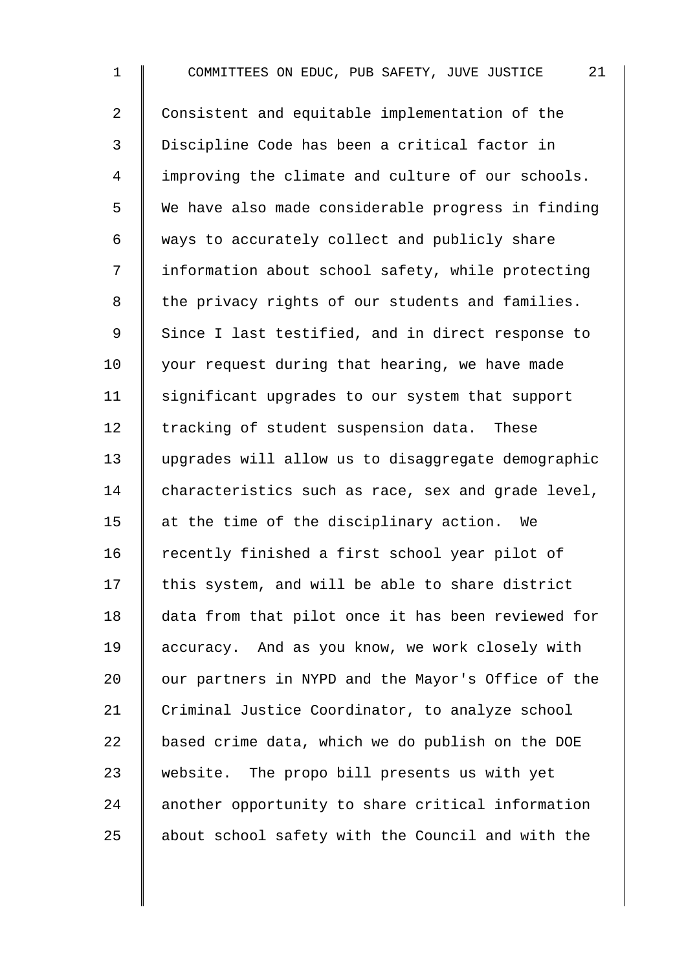1 COMMITTEES ON EDUC, PUB SAFETY, JUVE JUSTICE 21 2 Consistent and equitable implementation of the 3 Discipline Code has been a critical factor in 4 improving the climate and culture of our schools. 5 We have also made considerable progress in finding  $6 \parallel$  ways to accurately collect and publicly share 7 | information about school safety, while protecting  $8$  | the privacy rights of our students and families. 9 Since I last testified, and in direct response to  $10$  | your request during that hearing, we have made 11 | significant upgrades to our system that support 12 Tracking of student suspension data. These 13 upgrades will allow us to disaggregate demographic 14 characteristics such as race, sex and grade level, 15  $\parallel$  at the time of the disciplinary action. We 16 Tecently finished a first school year pilot of  $17$  this system, and will be able to share district 18 data from that pilot once it has been reviewed for 19 accuracy. And as you know, we work closely with 20  $\parallel$  our partners in NYPD and the Mayor's Office of the 21 Criminal Justice Coordinator, to analyze school 22  $\parallel$  based crime data, which we do publish on the DOE 23 website. The propo bill presents us with yet 24 another opportunity to share critical information  $25$  about school safety with the Council and with the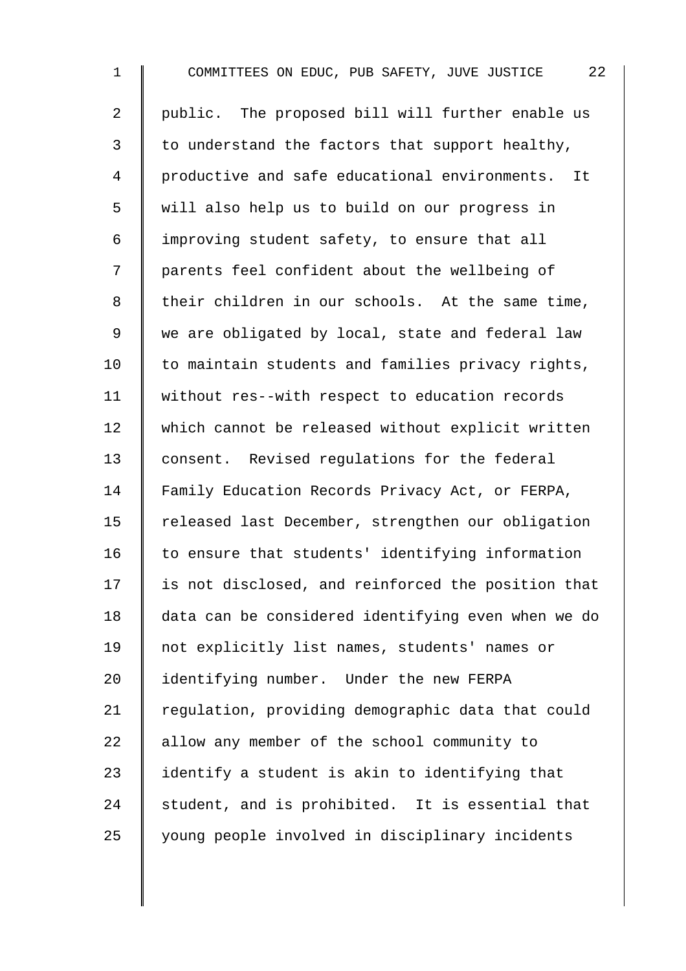| $\mathbf 1$    | 22<br>COMMITTEES ON EDUC, PUB SAFETY, JUVE JUSTICE |
|----------------|----------------------------------------------------|
| $\overline{2}$ | public. The proposed bill will further enable us   |
| 3              | to understand the factors that support healthy,    |
| $\overline{4}$ | productive and safe educational environments. It   |
| 5              | will also help us to build on our progress in      |
| 6              | improving student safety, to ensure that all       |
| 7              | parents feel confident about the wellbeing of      |
| 8              | their children in our schools. At the same time,   |
| 9              | we are obligated by local, state and federal law   |
| 10             | to maintain students and families privacy rights,  |
| 11             | without res--with respect to education records     |
| 12             | which cannot be released without explicit written  |
| 13             | consent. Revised regulations for the federal       |
| 14             | Family Education Records Privacy Act, or FERPA,    |
| 15             | released last December, strengthen our obligation  |
| 16             | to ensure that students' identifying information   |
| 17             | is not disclosed, and reinforced the position that |
| 18             | data can be considered identifying even when we do |
| 19             | not explicitly list names, students' names or      |
| 20             | identifying number. Under the new FERPA            |
| 21             | regulation, providing demographic data that could  |
| 22             | allow any member of the school community to        |
| 23             | identify a student is akin to identifying that     |
| 24             | student, and is prohibited. It is essential that   |
| 25             | young people involved in disciplinary incidents    |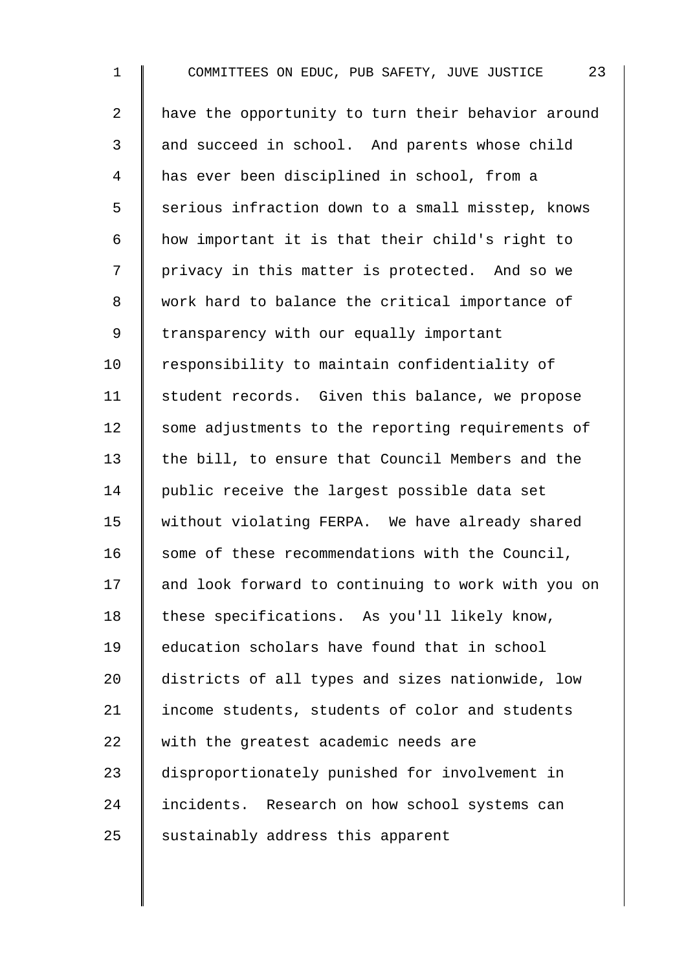1 COMMITTEES ON EDUC, PUB SAFETY, JUVE JUSTICE 23 2 | have the opportunity to turn their behavior around 3 and succeed in school. And parents whose child 4 has ever been disciplined in school, from a 5 S serious infraction down to a small misstep, knows 6  $\parallel$  how important it is that their child's right to 7 | privacy in this matter is protected. And so we 8 work hard to balance the critical importance of 9 | transparency with our equally important 10 Tesponsibility to maintain confidentiality of 11 | student records. Given this balance, we propose 12 Some adjustments to the reporting requirements of 13 the bill, to ensure that Council Members and the 14 public receive the largest possible data set 15 Without violating FERPA. We have already shared  $16$  some of these recommendations with the Council, 17 and look forward to continuing to work with you on 18 | these specifications. As you'll likely know, 19 education scholars have found that in school 20 districts of all types and sizes nationwide, low 21 income students, students of color and students  $22$   $\parallel$  with the greatest academic needs are 23 disproportionately punished for involvement in 24 incidents. Research on how school systems can  $25$  sustainably address this apparent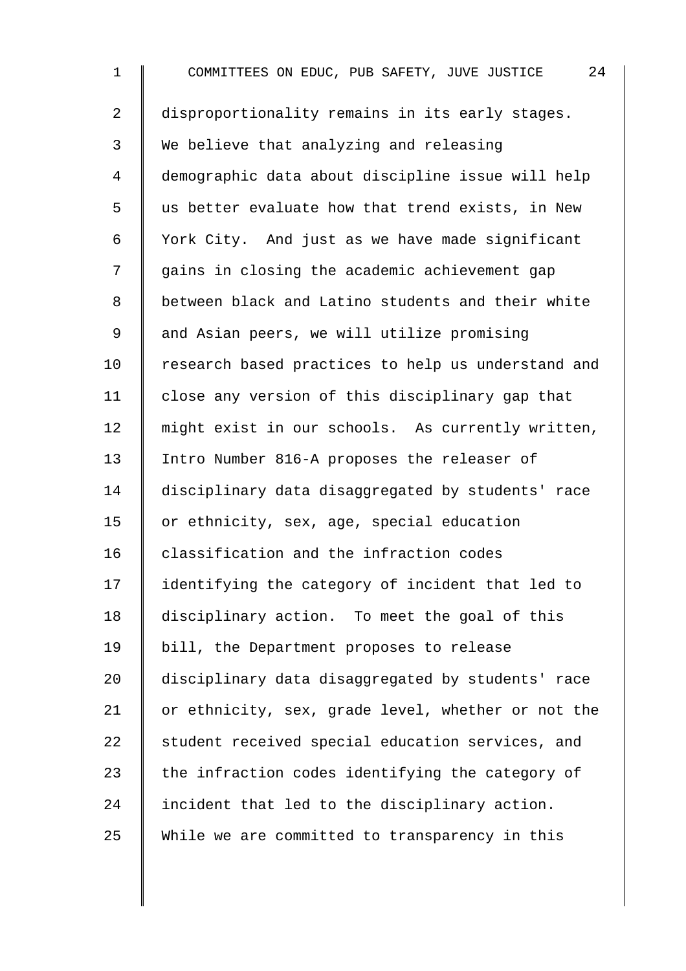1 COMMITTEES ON EDUC, PUB SAFETY, JUVE JUSTICE 24 2 disproportionality remains in its early stages. 3 We believe that analyzing and releasing 4 demographic data about discipline issue will help 5 || us better evaluate how that trend exists, in New 6 York City. And just as we have made significant 7 || gains in closing the academic achievement gap 8 | between black and Latino students and their white 9 | and Asian peers, we will utilize promising 10 Tesearch based practices to help us understand and 11 | close any version of this disciplinary gap that 12 | might exist in our schools. As currently written, 13 Intro Number 816-A proposes the releaser of 14 disciplinary data disaggregated by students' race 15 or ethnicity, sex, age, special education 16 classification and the infraction codes 17 | identifying the category of incident that led to 18 disciplinary action. To meet the goal of this 19 bill, the Department proposes to release 20 disciplinary data disaggregated by students' race 21 | or ethnicity, sex, grade level, whether or not the 22 Student received special education services, and 23  $\parallel$  the infraction codes identifying the category of 24  $\parallel$  incident that led to the disciplinary action. 25 While we are committed to transparency in this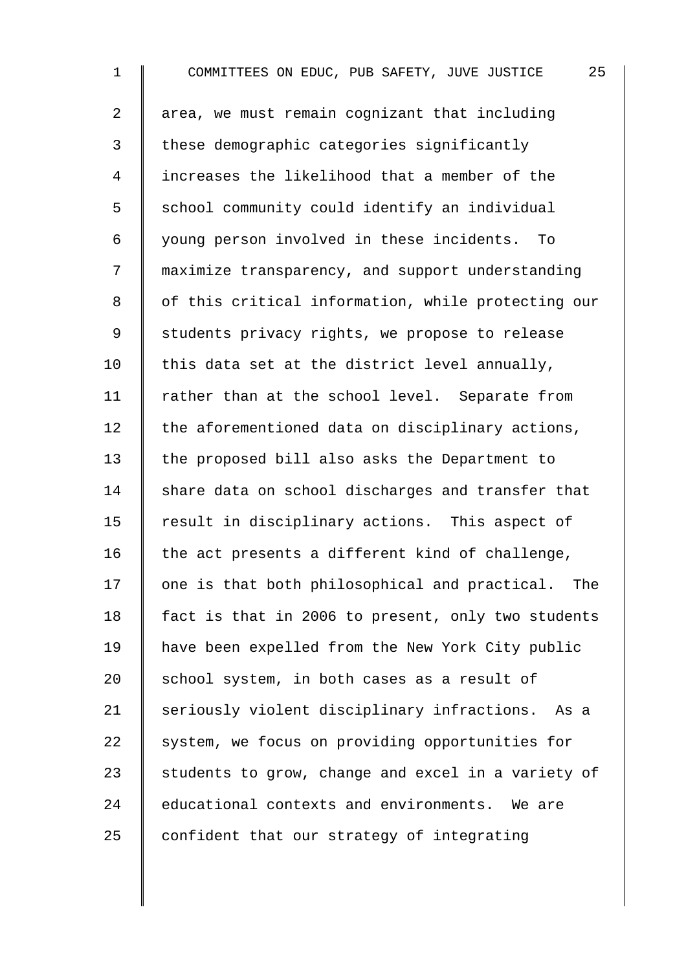1 COMMITTEES ON EDUC, PUB SAFETY, JUVE JUSTICE 25 2  $\parallel$  area, we must remain cognizant that including 3 these demographic categories significantly 4 increases the likelihood that a member of the 5 S school community could identify an individual 6 young person involved in these incidents. To 7 maximize transparency, and support understanding 8 | of this critical information, while protecting our 9 Students privacy rights, we propose to release 10  $\parallel$  this data set at the district level annually, 11 | rather than at the school level. Separate from  $12$  the aforementioned data on disciplinary actions, 13 the proposed bill also asks the Department to  $14$  share data on school discharges and transfer that 15 | result in disciplinary actions. This aspect of 16  $\parallel$  the act presents a different kind of challenge,  $17$   $\parallel$  one is that both philosophical and practical. The 18 | fact is that in 2006 to present, only two students 19 have been expelled from the New York City public 20  $\parallel$  school system, in both cases as a result of 21 Seriously violent disciplinary infractions. As a 22 System, we focus on providing opportunities for 23  $\parallel$  students to grow, change and excel in a variety of 24 educational contexts and environments. We are 25  $\parallel$  confident that our strategy of integrating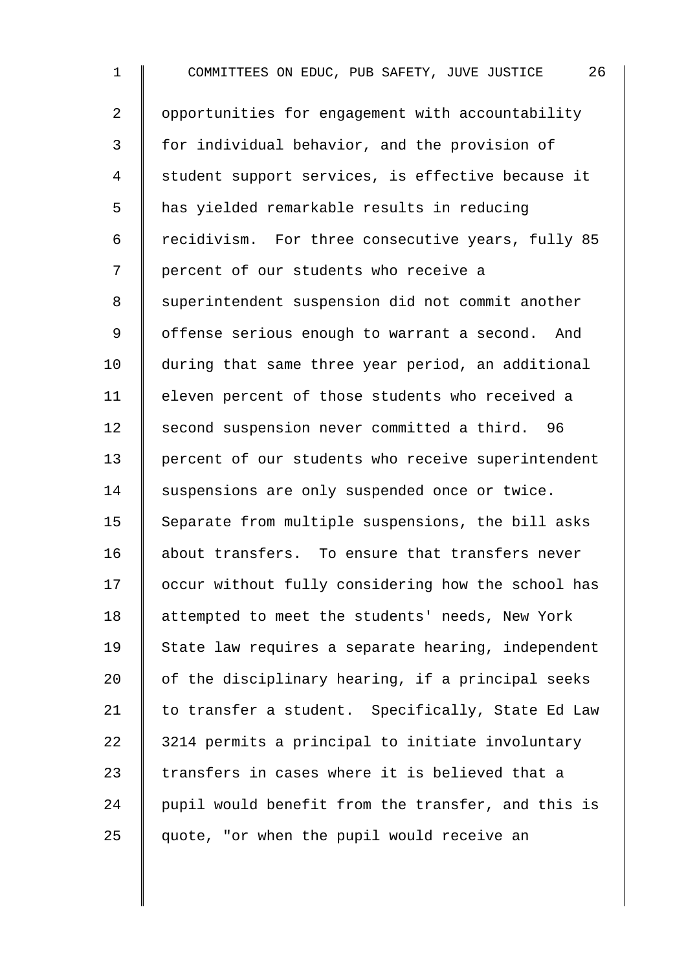1 COMMITTEES ON EDUC, PUB SAFETY, JUVE JUSTICE 26 2 | opportunities for engagement with accountability 3 | for individual behavior, and the provision of 4 | student support services, is effective because it 5 | has yielded remarkable results in reducing 6 | recidivism. For three consecutive years, fully 85 7 | percent of our students who receive a 8 | superintendent suspension did not commit another 9 | offense serious enough to warrant a second. And 10 during that same three year period, an additional 11 | eleven percent of those students who received a 12 second suspension never committed a third. 96 13 percent of our students who receive superintendent 14 Suspensions are only suspended once or twice. 15  $\parallel$  Separate from multiple suspensions, the bill asks 16 about transfers. To ensure that transfers never 17 | occur without fully considering how the school has 18 attempted to meet the students' needs, New York 19 State law requires a separate hearing, independent 20  $\parallel$  of the disciplinary hearing, if a principal seeks 21  $\parallel$  to transfer a student. Specifically, State Ed Law  $22$  | 3214 permits a principal to initiate involuntary 23  $\parallel$  transfers in cases where it is believed that a 24  $\parallel$  pupil would benefit from the transfer, and this is  $25$   $\parallel$  quote, "or when the pupil would receive an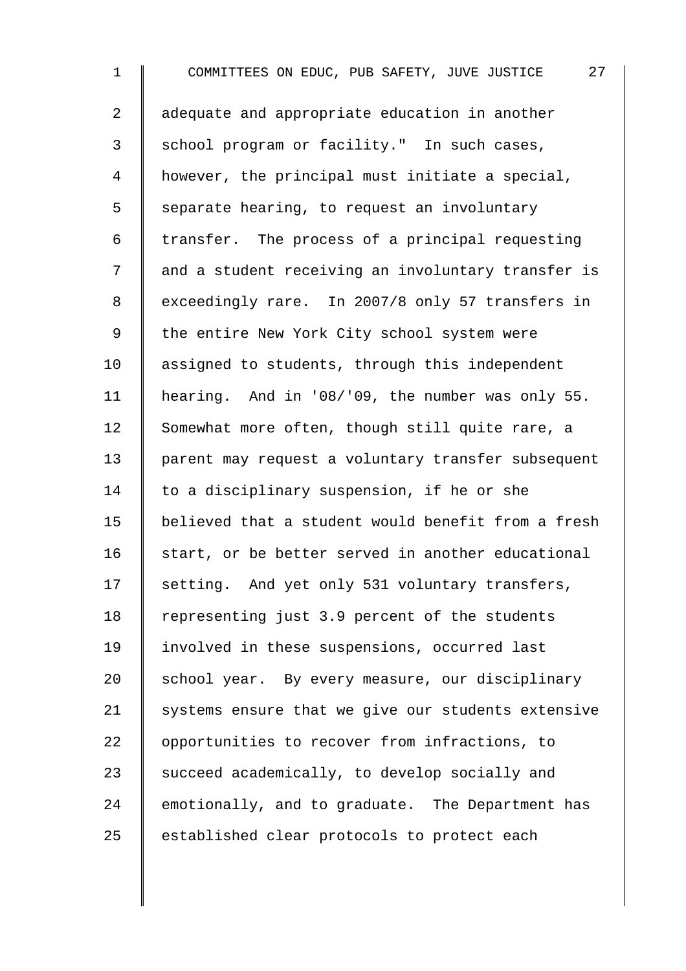1 COMMITTEES ON EDUC, PUB SAFETY, JUVE JUSTICE 27 2 adequate and appropriate education in another 3 School program or facility." In such cases, 4 however, the principal must initiate a special,  $5 \parallel$  separate hearing, to request an involuntary 6 | transfer. The process of a principal requesting 7 | and a student receiving an involuntary transfer is 8 exceedingly rare. In 2007/8 only 57 transfers in 9 | the entire New York City school system were 10 assigned to students, through this independent 11 | hearing. And in '08/'09, the number was only 55. 12 Somewhat more often, though still quite rare, a 13 parent may request a voluntary transfer subsequent 14 to a disciplinary suspension, if he or she 15 believed that a student would benefit from a fresh  $16$  start, or be better served in another educational 17 | setting. And yet only 531 voluntary transfers, 18 Tepresenting just 3.9 percent of the students 19 | involved in these suspensions, occurred last 20 School year. By every measure, our disciplinary 21 Systems ensure that we give our students extensive 22 | opportunities to recover from infractions, to 23 Succeed academically, to develop socially and  $24$  emotionally, and to graduate. The Department has 25 established clear protocols to protect each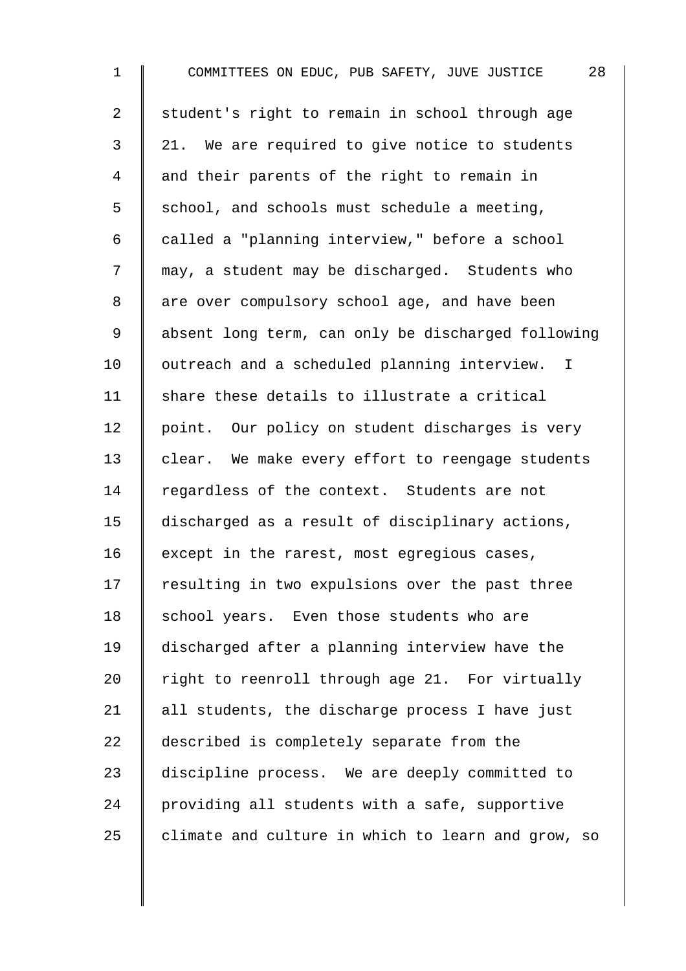1 COMMITTEES ON EDUC, PUB SAFETY, JUVE JUSTICE 28 2 student's right to remain in school through age 3 || 21. We are required to give notice to students 4 and their parents of the right to remain in  $5 \parallel$  school, and schools must schedule a meeting, 6 | called a "planning interview," before a school 7  $\parallel$  may, a student may be discharged. Students who 8 | are over compulsory school age, and have been 9 | absent long term, can only be discharged following 10 | outreach and a scheduled planning interview. I 11  $\parallel$  share these details to illustrate a critical 12 point. Our policy on student discharges is very 13 clear. We make every effort to reengage students 14 regardless of the context. Students are not 15 discharged as a result of disciplinary actions, 16  $\parallel$  except in the rarest, most egregious cases, 17 | resulting in two expulsions over the past three 18 school years. Even those students who are 19 discharged after a planning interview have the 20  $\parallel$  right to reenroll through age 21. For virtually 21  $\parallel$  all students, the discharge process I have just 22 described is completely separate from the 23 discipline process. We are deeply committed to 24 providing all students with a safe, supportive  $25$  declimate and culture in which to learn and grow, so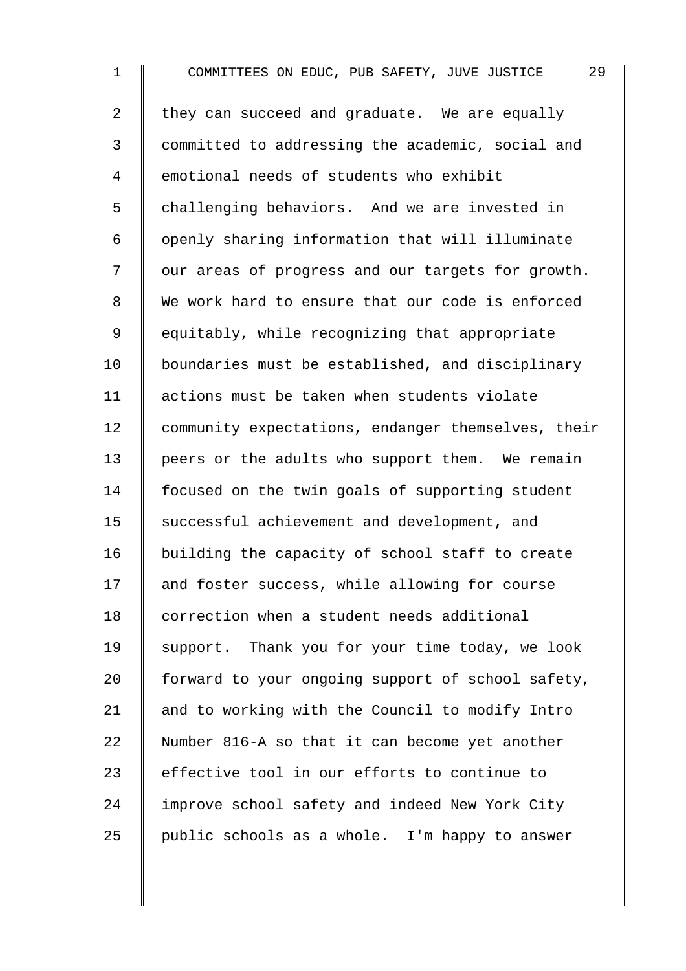1 COMMITTEES ON EDUC, PUB SAFETY, JUVE JUSTICE 29 2 they can succeed and graduate. We are equally 3 committed to addressing the academic, social and 4 **e**motional needs of students who exhibit 5 challenging behaviors. And we are invested in 6 | openly sharing information that will illuminate 7 | our areas of progress and our targets for growth. 8 We work hard to ensure that our code is enforced 9 | equitably, while recognizing that appropriate 10 | boundaries must be established, and disciplinary 11 | actions must be taken when students violate 12 Community expectations, endanger themselves, their 13 peers or the adults who support them. We remain 14 | focused on the twin goals of supporting student 15 | successful achievement and development, and 16 | building the capacity of school staff to create 17 and foster success, while allowing for course 18 correction when a student needs additional 19 Support. Thank you for your time today, we look 20 forward to your ongoing support of school safety, 21 and to working with the Council to modify Intro 22 Number 816-A so that it can become yet another 23 effective tool in our efforts to continue to 24 improve school safety and indeed New York City 25  $\parallel$  public schools as a whole. I'm happy to answer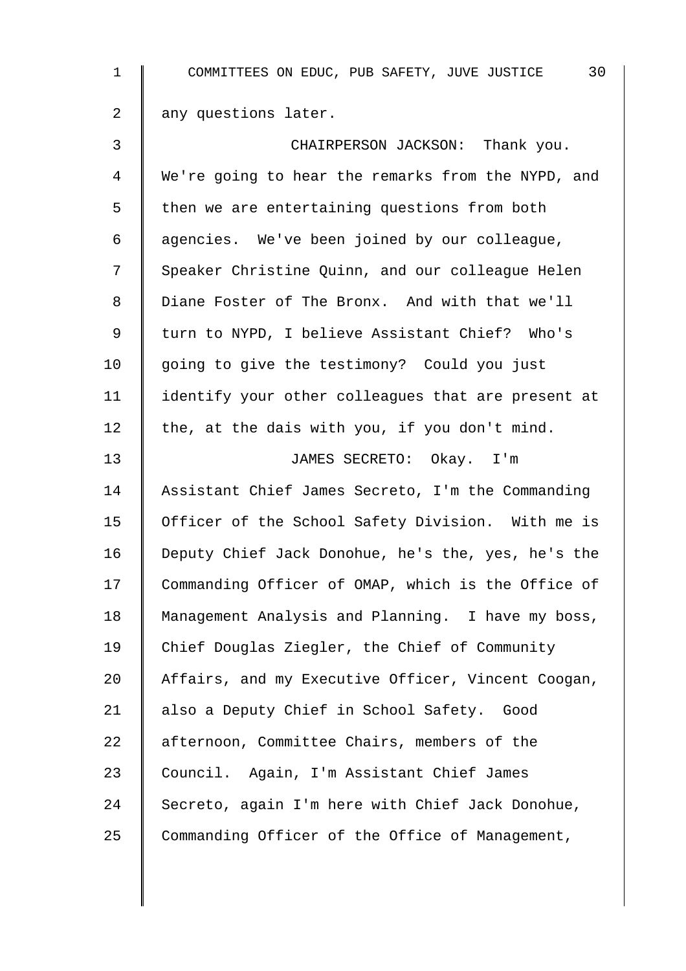| $\mathbf 1$    | 30<br>COMMITTEES ON EDUC, PUB SAFETY, JUVE JUSTICE |
|----------------|----------------------------------------------------|
| $\overline{2}$ | any questions later.                               |
| 3              | CHAIRPERSON JACKSON: Thank you.                    |
| 4              | We're going to hear the remarks from the NYPD, and |
| 5              | then we are entertaining questions from both       |
| 6              | agencies. We've been joined by our colleague,      |
| 7              | Speaker Christine Quinn, and our colleague Helen   |
| 8              | Diane Foster of The Bronx. And with that we'll     |
| 9              | turn to NYPD, I believe Assistant Chief? Who's     |
| 10             | going to give the testimony? Could you just        |
| 11             | identify your other colleagues that are present at |
| 12             | the, at the dais with you, if you don't mind.      |
| 13             | JAMES SECRETO: Okay. I'm                           |
| 14             | Assistant Chief James Secreto, I'm the Commanding  |
| 15             | Officer of the School Safety Division. With me is  |
| 16             | Deputy Chief Jack Donohue, he's the, yes, he's the |
| 17             | Commanding Officer of OMAP, which is the Office of |
| 18             | Management Analysis and Planning. I have my boss,  |
| 19             | Chief Douglas Ziegler, the Chief of Community      |
| 20             | Affairs, and my Executive Officer, Vincent Coogan, |
| 21             | also a Deputy Chief in School Safety. Good         |
| 22             | afternoon, Committee Chairs, members of the        |
| 23             | Council. Again, I'm Assistant Chief James          |
| 24             | Secreto, again I'm here with Chief Jack Donohue,   |
| 25             | Commanding Officer of the Office of Management,    |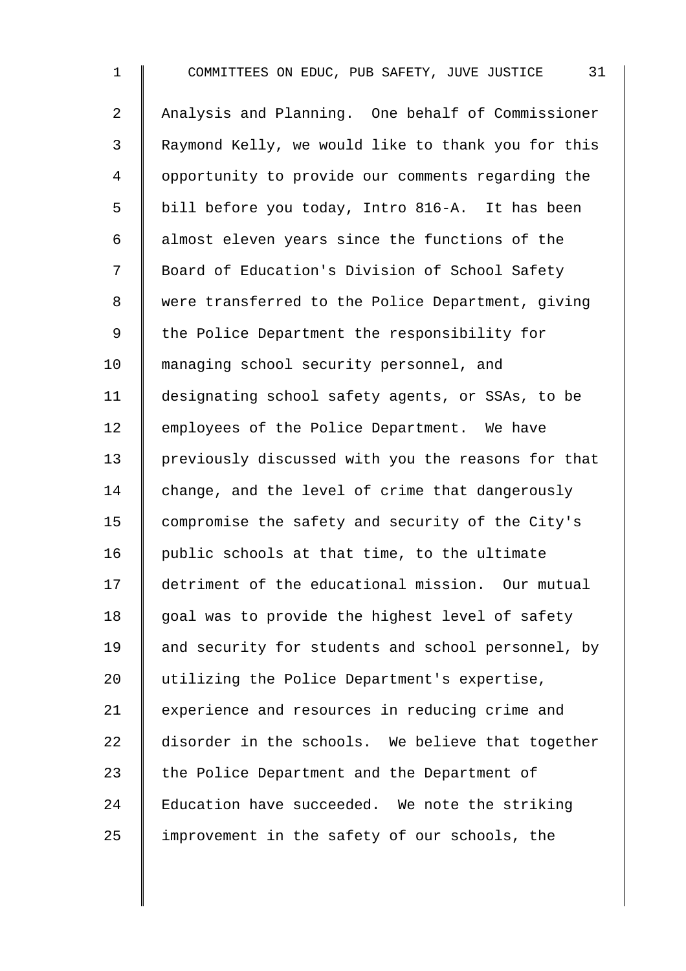1 COMMITTEES ON EDUC, PUB SAFETY, JUVE JUSTICE 31 2 Analysis and Planning. One behalf of Commissioner 3 Raymond Kelly, we would like to thank you for this 4 | opportunity to provide our comments regarding the 5 | bill before you today, Intro 816-A. It has been 6  $\parallel$  almost eleven years since the functions of the 7 | Board of Education's Division of School Safety 8 | were transferred to the Police Department, giving 9 The Police Department the responsibility for 10 managing school security personnel, and 11 designating school safety agents, or SSAs, to be 12 employees of the Police Department. We have 13 previously discussed with you the reasons for that 14 change, and the level of crime that dangerously 15 compromise the safety and security of the City's 16  $\parallel$  public schools at that time, to the ultimate 17 detriment of the educational mission. Our mutual  $18$  | goal was to provide the highest level of safety 19 and security for students and school personnel, by 20 utilizing the Police Department's expertise, 21 | experience and resources in reducing crime and 22 disorder in the schools. We believe that together 23  $\parallel$  the Police Department and the Department of  $24$  | Education have succeeded. We note the striking  $25$  | improvement in the safety of our schools, the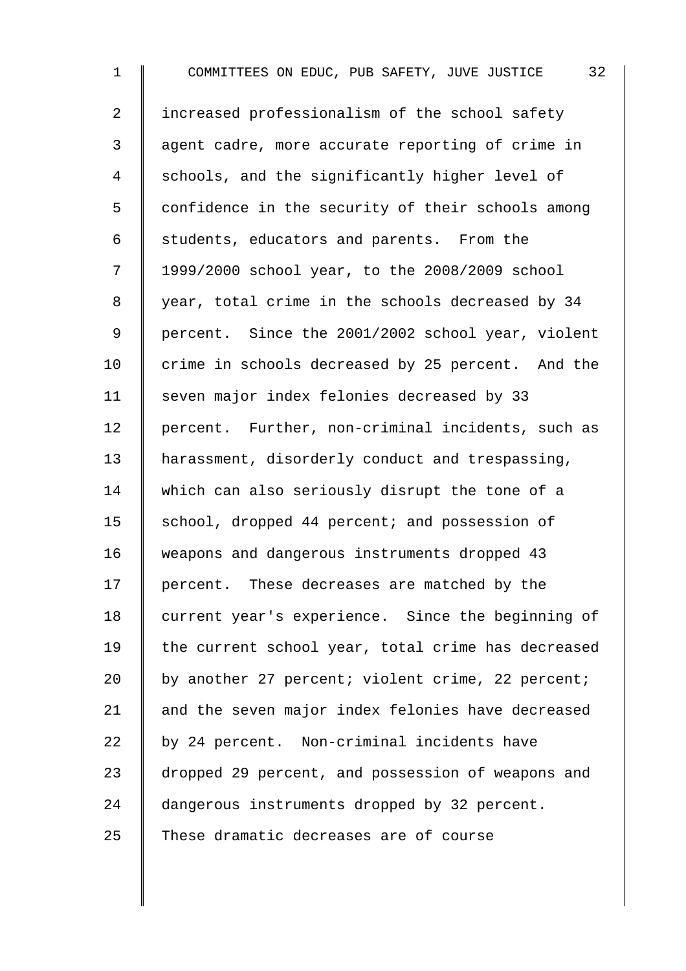1 COMMITTEES ON EDUC, PUB SAFETY, JUVE JUSTICE 32 2 I increased professionalism of the school safety 3 agent cadre, more accurate reporting of crime in 4 Schools, and the significantly higher level of 5 | confidence in the security of their schools among  $6 \parallel$  students, educators and parents. From the 7 1999/2000 school year, to the 2008/2009 school 8 year, total crime in the schools decreased by 34 9 | percent. Since the 2001/2002 school year, violent 10 crime in schools decreased by 25 percent. And the 11 Seven major index felonies decreased by 33 12 percent. Further, non-criminal incidents, such as 13 A harassment, disorderly conduct and trespassing, 14 which can also seriously disrupt the tone of a 15 | school, dropped 44 percent; and possession of 16 weapons and dangerous instruments dropped 43 17 | percent. These decreases are matched by the 18 current year's experience. Since the beginning of 19 | the current school year, total crime has decreased 20  $\parallel$  by another 27 percent; violent crime, 22 percent; 21 and the seven major index felonies have decreased  $22$  by 24 percent. Non-criminal incidents have 23 dropped 29 percent, and possession of weapons and 24 dangerous instruments dropped by 32 percent.  $25$   $\parallel$  These dramatic decreases are of course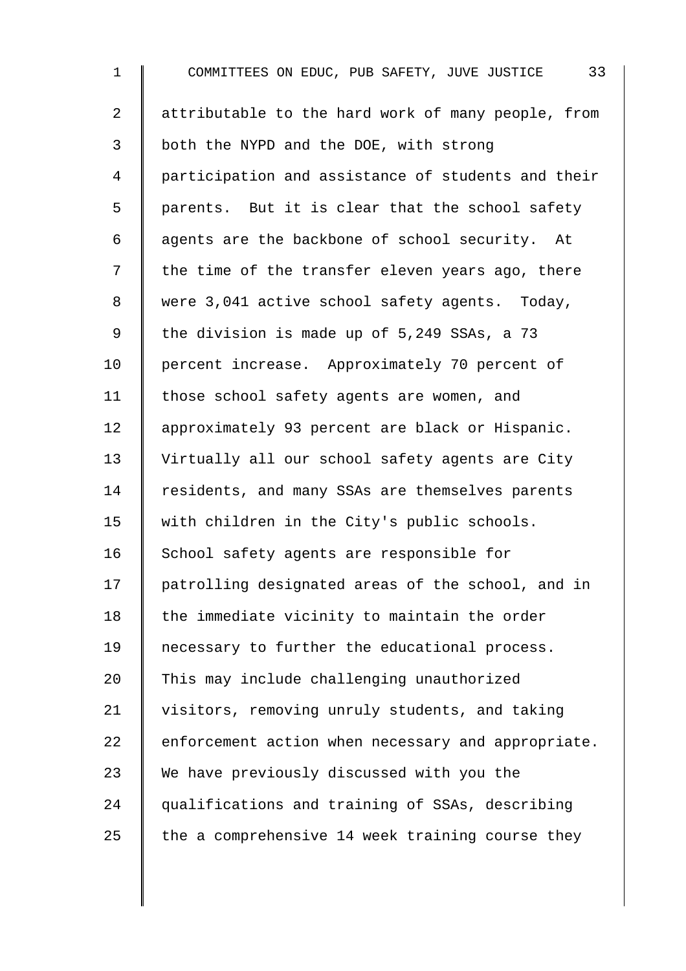| $\mathbf 1$    | 33<br>COMMITTEES ON EDUC, PUB SAFETY, JUVE JUSTICE |
|----------------|----------------------------------------------------|
| $\overline{a}$ | attributable to the hard work of many people, from |
| $\mathsf{3}$   | both the NYPD and the DOE, with strong             |
| $\overline{4}$ | participation and assistance of students and their |
| 5              | parents. But it is clear that the school safety    |
| 6              | agents are the backbone of school security. At     |
| 7              | the time of the transfer eleven years ago, there   |
| 8              | were 3,041 active school safety agents. Today,     |
| 9              | the division is made up of 5,249 SSAs, a 73        |
| 10             | percent increase. Approximately 70 percent of      |
| 11             | those school safety agents are women, and          |
| 12             | approximately 93 percent are black or Hispanic.    |
| 13             | Virtually all our school safety agents are City    |
| 14             | residents, and many SSAs are themselves parents    |
| 15             | with children in the City's public schools.        |
| 16             | School safety agents are responsible for           |
| 17             | patrolling designated areas of the school, and in  |
| 18             | the immediate vicinity to maintain the order       |
| 19             | necessary to further the educational process.      |
| 20             | This may include challenging unauthorized          |
| 21             | visitors, removing unruly students, and taking     |
| 22             | enforcement action when necessary and appropriate. |
| 23             | We have previously discussed with you the          |
| 24             | qualifications and training of SSAs, describing    |
| 25             | the a comprehensive 14 week training course they   |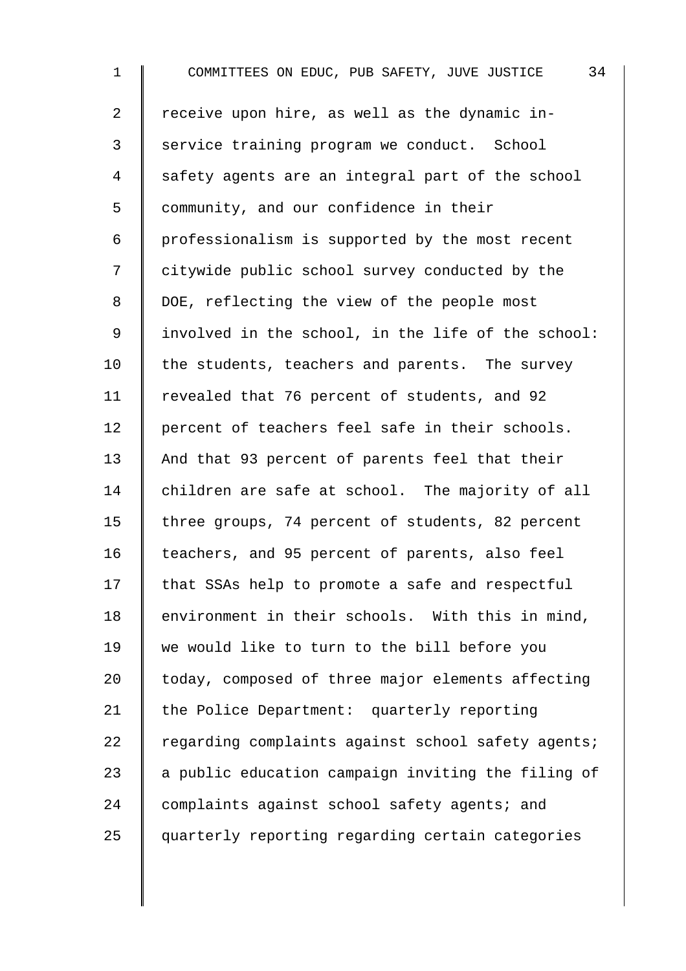1 COMMITTEES ON EDUC, PUB SAFETY, JUVE JUSTICE 34 2  $\parallel$  receive upon hire, as well as the dynamic in-3 Service training program we conduct. School 4 safety agents are an integral part of the school 5 Community, and our confidence in their  $6 \parallel$  professionalism is supported by the most recent 7 | citywide public school survey conducted by the 8 DOE, reflecting the view of the people most 9 | involved in the school, in the life of the school:  $10$  the students, teachers and parents. The survey 11 | revealed that 76 percent of students, and 92 12 | percent of teachers feel safe in their schools. 13 And that 93 percent of parents feel that their 14 children are safe at school. The majority of all 15 three groups, 74 percent of students, 82 percent 16 | teachers, and 95 percent of parents, also feel 17 | that SSAs help to promote a safe and respectful 18 environment in their schools. With this in mind, 19 we would like to turn to the bill before you 20 today, composed of three major elements affecting 21 the Police Department: quarterly reporting 22  $\parallel$  regarding complaints against school safety agents; 23  $\parallel$  a public education campaign inviting the filing of 24 complaints against school safety agents; and 25 guarterly reporting regarding certain categories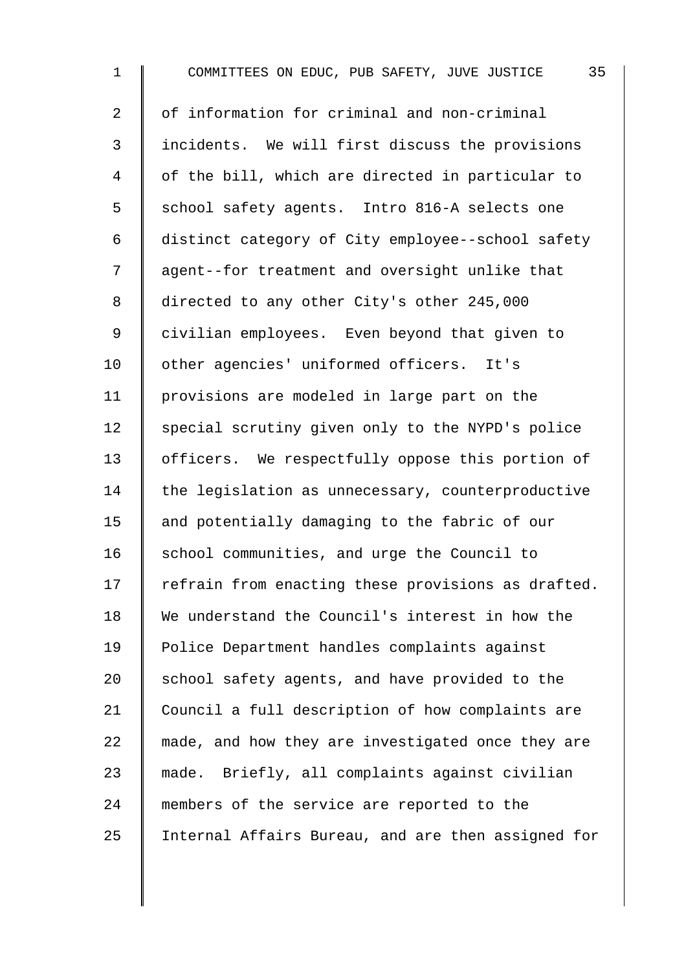| $\mathbf 1$    | 35<br>COMMITTEES ON EDUC, PUB SAFETY, JUVE JUSTICE |
|----------------|----------------------------------------------------|
| $\overline{2}$ | of information for criminal and non-criminal       |
| $\mathsf{3}$   | incidents. We will first discuss the provisions    |
| $\overline{4}$ | of the bill, which are directed in particular to   |
| 5              | school safety agents. Intro 816-A selects one      |
| $\epsilon$     | distinct category of City employee--school safety  |
| 7              | agent--for treatment and oversight unlike that     |
| 8              | directed to any other City's other 245,000         |
| $\mathsf 9$    | civilian employees. Even beyond that given to      |
| 10             | other agencies' uniformed officers. It's           |
| 11             | provisions are modeled in large part on the        |
| 12             | special scrutiny given only to the NYPD's police   |
| 13             | officers. We respectfully oppose this portion of   |
| 14             | the legislation as unnecessary, counterproductive  |
| 15             | and potentially damaging to the fabric of our      |
| 16             | school communities, and urge the Council to        |
| 17             | refrain from enacting these provisions as drafted. |
| 18             | We understand the Council's interest in how the    |
| 19             | Police Department handles complaints against       |
| 20             | school safety agents, and have provided to the     |
| 21             | Council a full description of how complaints are   |
| 22             | made, and how they are investigated once they are  |
| 23             | made. Briefly, all complaints against civilian     |
| 24             | members of the service are reported to the         |
| 25             | Internal Affairs Bureau, and are then assigned for |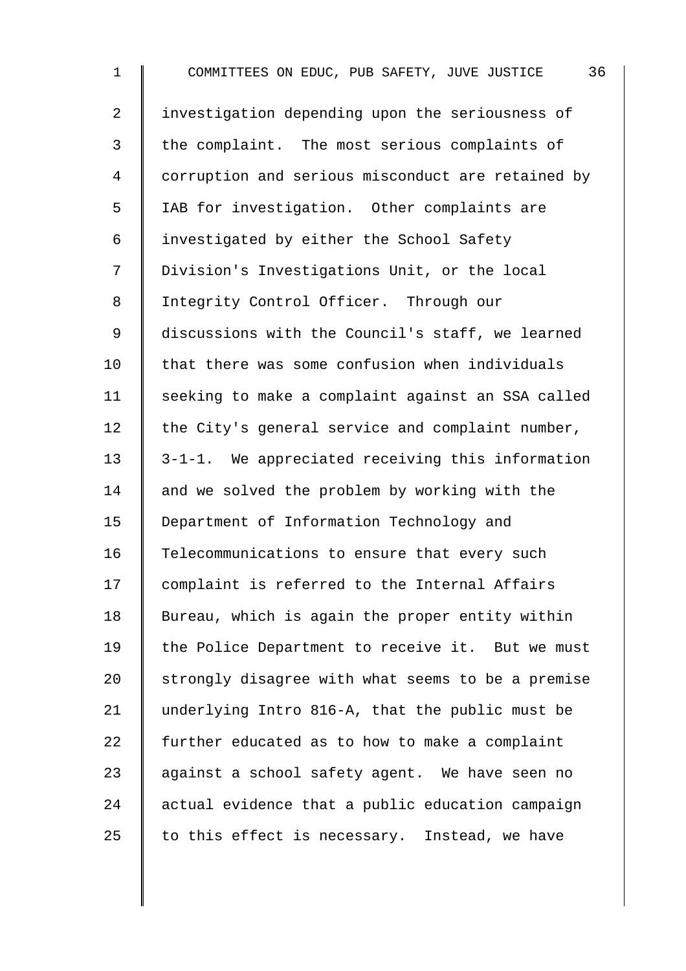| $\mathbf 1$    | 36<br>COMMITTEES ON EDUC, PUB SAFETY, JUVE JUSTICE |
|----------------|----------------------------------------------------|
| $\overline{2}$ | investigation depending upon the seriousness of    |
| $\mathsf{3}$   | the complaint. The most serious complaints of      |
| $\overline{4}$ | corruption and serious misconduct are retained by  |
| 5              | IAB for investigation. Other complaints are        |
| 6              | investigated by either the School Safety           |
| 7              | Division's Investigations Unit, or the local       |
| 8              | Integrity Control Officer. Through our             |
| $\mathsf 9$    | discussions with the Council's staff, we learned   |
| 10             | that there was some confusion when individuals     |
| 11             | seeking to make a complaint against an SSA called  |
| 12             | the City's general service and complaint number,   |
| 13             | 3-1-1. We appreciated receiving this information   |
| 14             | and we solved the problem by working with the      |
| 15             | Department of Information Technology and           |
| 16             | Telecommunications to ensure that every such       |
| 17             | complaint is referred to the Internal Affairs      |
| 18             | Bureau, which is again the proper entity within    |
| 19             | the Police Department to receive it. But we must   |
| 20             | strongly disagree with what seems to be a premise  |
| 21             | underlying Intro 816-A, that the public must be    |
| 22             | further educated as to how to make a complaint     |
| 23             | against a school safety agent. We have seen no     |
| 24             | actual evidence that a public education campaign   |
| 25             | to this effect is necessary.<br>Instead, we have   |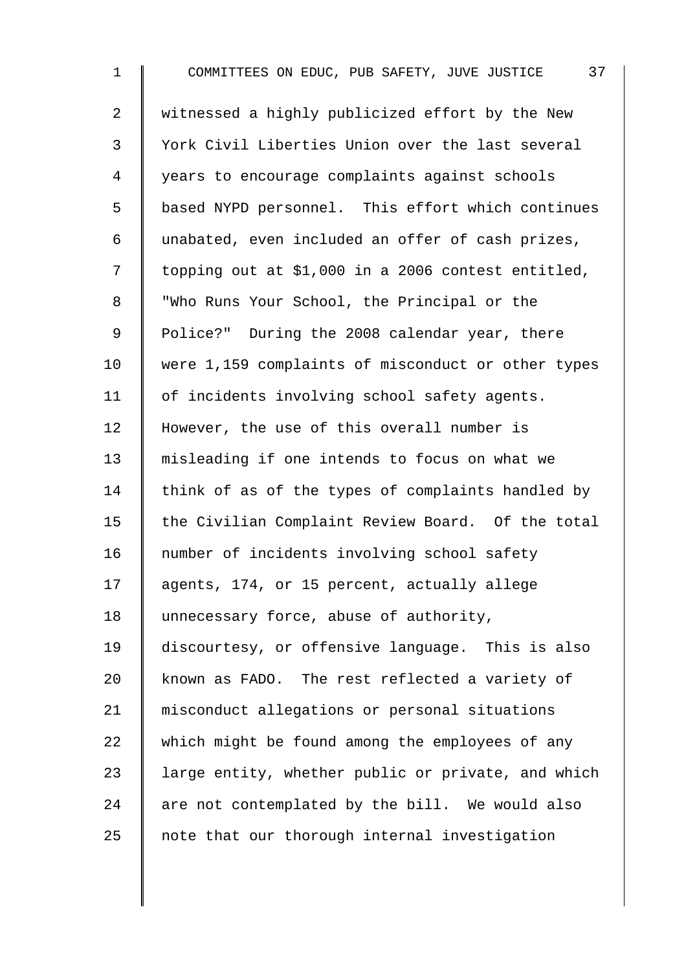1 COMMITTEES ON EDUC, PUB SAFETY, JUVE JUSTICE 37 2 | witnessed a highly publicized effort by the New 3 York Civil Liberties Union over the last several 4 years to encourage complaints against schools 5 | based NYPD personnel. This effort which continues 6 unabated, even included an offer of cash prizes,  $7 \parallel$  topping out at \$1,000 in a 2006 contest entitled, 8 Who Runs Your School, the Principal or the 9 | Police?" During the 2008 calendar year, there 10 were 1,159 complaints of misconduct or other types 11 | of incidents involving school safety agents. 12 However, the use of this overall number is 13 misleading if one intends to focus on what we 14 think of as of the types of complaints handled by 15 | the Civilian Complaint Review Board. Of the total 16 mumber of incidents involving school safety 17 | agents, 174, or 15 percent, actually allege 18 | unnecessary force, abuse of authority, 19 discourtesy, or offensive language. This is also 20 known as FADO. The rest reflected a variety of 21 misconduct allegations or personal situations 22 which might be found among the employees of any 23  $\parallel$  large entity, whether public or private, and which  $24$  are not contemplated by the bill. We would also  $25$  note that our thorough internal investigation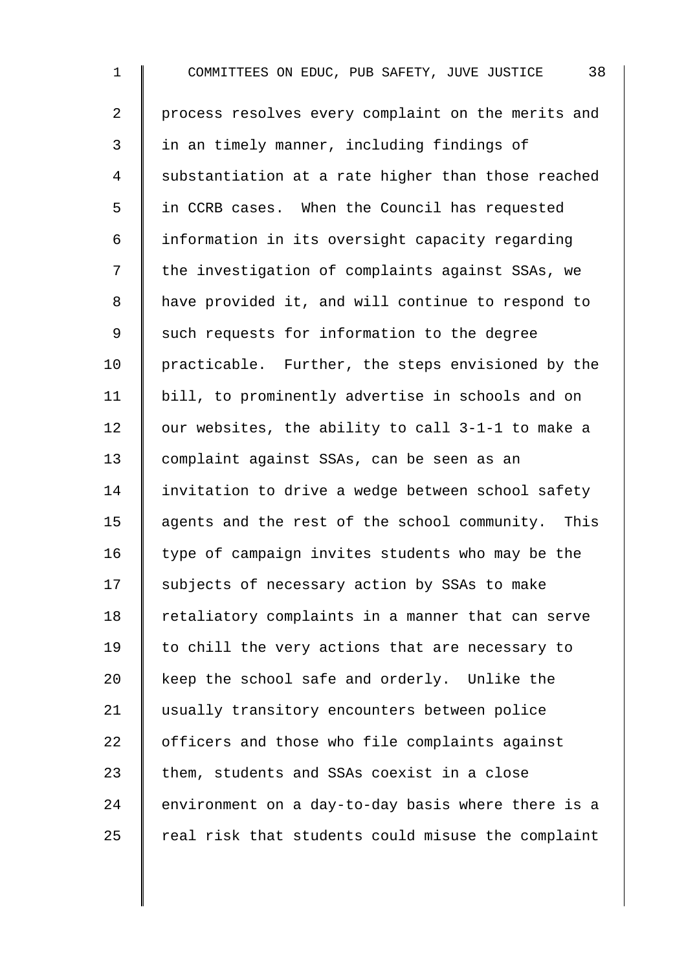1 COMMITTEES ON EDUC, PUB SAFETY, JUVE JUSTICE 38 2 | process resolves every complaint on the merits and 3 I in an timely manner, including findings of 4 Substantiation at a rate higher than those reached 5 | in CCRB cases. When the Council has requested 6 information in its oversight capacity regarding 7 | the investigation of complaints against SSAs, we 8 | have provided it, and will continue to respond to 9 Such requests for information to the degree 10 | practicable. Further, the steps envisioned by the 11 bill, to prominently advertise in schools and on 12  $\parallel$  our websites, the ability to call 3-1-1 to make a 13 complaint against SSAs, can be seen as an 14 I invitation to drive a wedge between school safety 15 | agents and the rest of the school community. This  $16$  type of campaign invites students who may be the 17 Subjects of necessary action by SSAs to make  $18$  | retaliatory complaints in a manner that can serve  $19$  to chill the very actions that are necessary to 20 keep the school safe and orderly. Unlike the 21 usually transitory encounters between police  $22$   $\parallel$  officers and those who file complaints against 23  $\parallel$  them, students and SSAs coexist in a close  $24$  | environment on a day-to-day basis where there is a 25  $\parallel$  real risk that students could misuse the complaint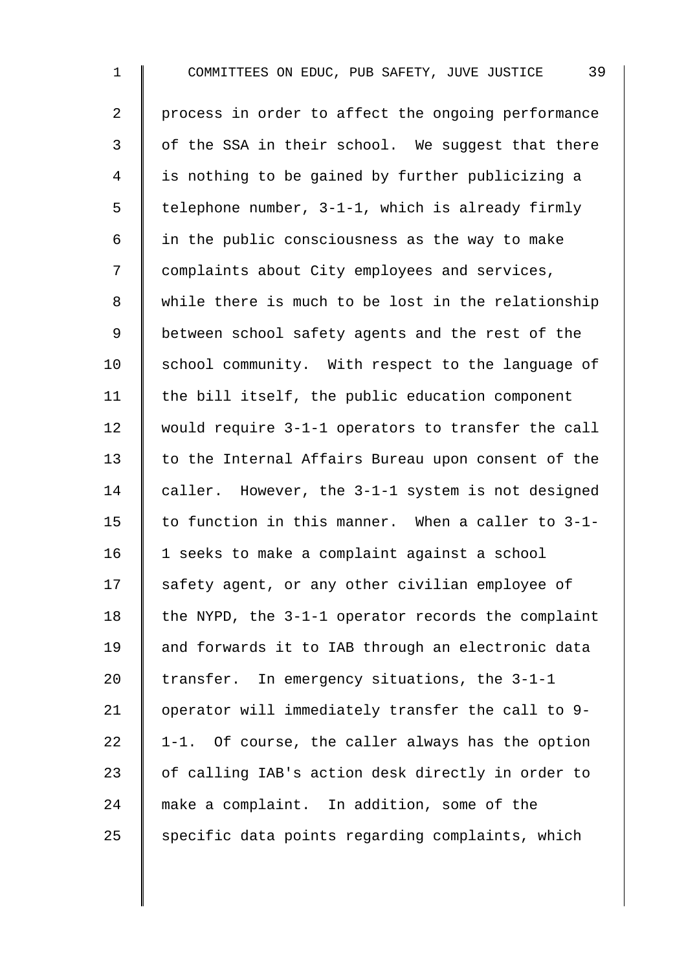1 COMMITTEES ON EDUC, PUB SAFETY, JUVE JUSTICE 39 2 | process in order to affect the ongoing performance  $3 \parallel$  of the SSA in their school. We suggest that there 4 is nothing to be gained by further publicizing a 5  $\parallel$  telephone number, 3-1-1, which is already firmly 6  $\parallel$  in the public consciousness as the way to make 7 | complaints about City employees and services, 8 While there is much to be lost in the relationship 9 | between school safety agents and the rest of the  $10$  school community. With respect to the language of 11  $\parallel$  the bill itself, the public education component 12 would require 3-1-1 operators to transfer the call 13 to the Internal Affairs Bureau upon consent of the 14 caller. However, the 3-1-1 system is not designed 15  $\parallel$  to function in this manner. When a caller to 3-1-16 | 1 seeks to make a complaint against a school 17 safety agent, or any other civilian employee of 18  $\parallel$  the NYPD, the 3-1-1 operator records the complaint 19 and forwards it to IAB through an electronic data 20 Transfer. In emergency situations, the  $3-1-1$ 21 | operator will immediately transfer the call to 9-22  $\parallel$  1-1. Of course, the caller always has the option 23 | of calling IAB's action desk directly in order to 24 make a complaint. In addition, some of the  $25$  specific data points regarding complaints, which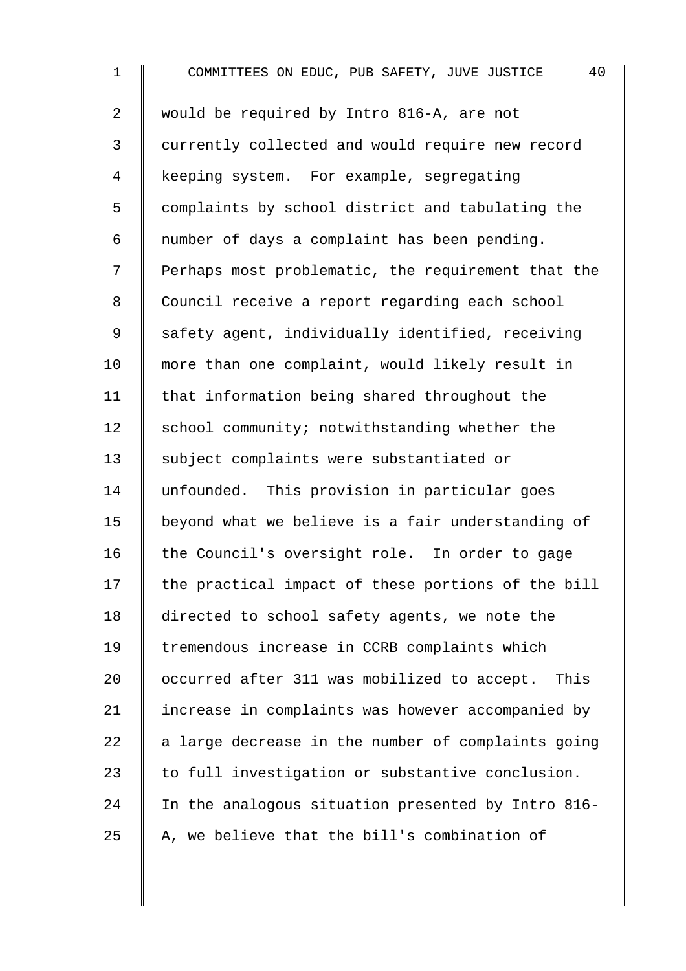1 COMMITTEES ON EDUC, PUB SAFETY, JUVE JUSTICE 40 2 would be required by Intro 816-A, are not 3 currently collected and would require new record 4 keeping system. For example, segregating 5 complaints by school district and tabulating the 6  $\parallel$  number of days a complaint has been pending. 7 | Perhaps most problematic, the requirement that the 8 | Council receive a report regarding each school 9 Safety agent, individually identified, receiving 10 | more than one complaint, would likely result in 11 | that information being shared throughout the 12  $\parallel$  school community; notwithstanding whether the 13 | subject complaints were substantiated or 14 unfounded. This provision in particular goes 15 beyond what we believe is a fair understanding of 16 the Council's oversight role. In order to gage  $17$  the practical impact of these portions of the bill 18 directed to school safety agents, we note the 19 | tremendous increase in CCRB complaints which 20 | occurred after 311 was mobilized to accept. This 21 | increase in complaints was however accompanied by 22  $\parallel$  a large decrease in the number of complaints going 23  $\parallel$  to full investigation or substantive conclusion. 24 In the analogous situation presented by Intro 816-25  $\parallel$  A, we believe that the bill's combination of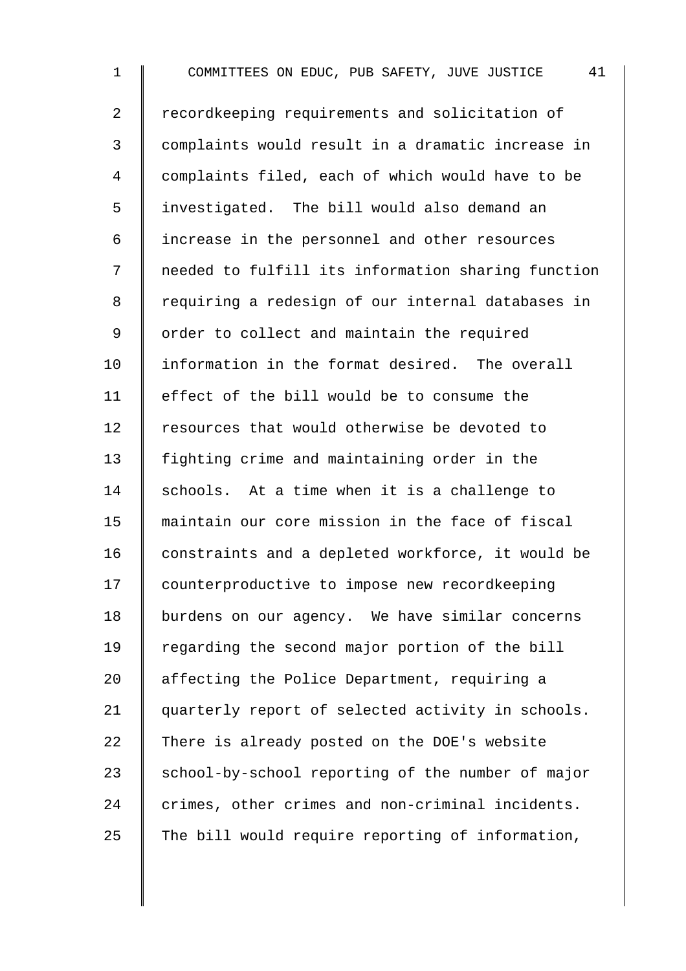1 COMMITTEES ON EDUC, PUB SAFETY, JUVE JUSTICE 41 2 Tecordkeeping requirements and solicitation of 3 complaints would result in a dramatic increase in 4 | complaints filed, each of which would have to be 5 investigated. The bill would also demand an 6 | increase in the personnel and other resources 7 needed to fulfill its information sharing function 8 | requiring a redesign of our internal databases in 9 | order to collect and maintain the required 10 I information in the format desired. The overall 11 effect of the bill would be to consume the 12 Fesources that would otherwise be devoted to 13 fighting crime and maintaining order in the 14 Schools. At a time when it is a challenge to 15 maintain our core mission in the face of fiscal  $16$  constraints and a depleted workforce, it would be 17 | counterproductive to impose new recordkeeping 18 | burdens on our agency. We have similar concerns 19 Tegarding the second major portion of the bill 20 affecting the Police Department, requiring a 21 | quarterly report of selected activity in schools. 22 There is already posted on the DOE's website  $23$  school-by-school reporting of the number of major 24 crimes, other crimes and non-criminal incidents. 25 The bill would require reporting of information,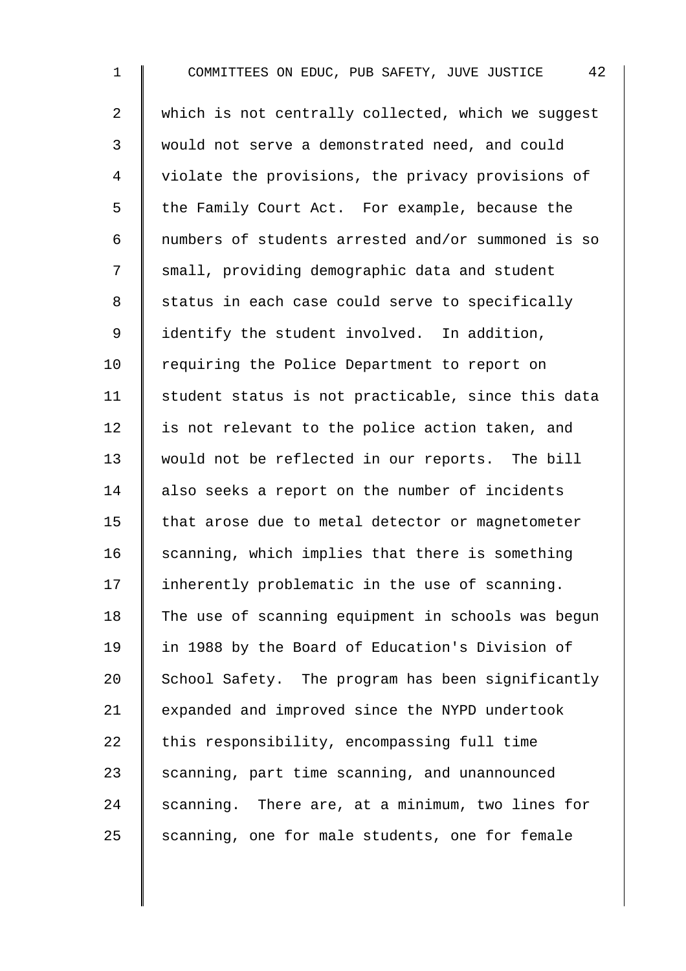1 COMMITTEES ON EDUC, PUB SAFETY, JUVE JUSTICE 42 2 | which is not centrally collected, which we suqqest 3 would not serve a demonstrated need, and could 4 | violate the provisions, the privacy provisions of 5 | the Family Court Act. For example, because the 6 numbers of students arrested and/or summoned is so 7 Small, providing demographic data and student 8 | status in each case could serve to specifically 9 | identify the student involved. In addition, 10 | requiring the Police Department to report on 11  $\parallel$  student status is not practicable, since this data 12 | is not relevant to the police action taken, and 13 would not be reflected in our reports. The bill 14 also seeks a report on the number of incidents 15 | that arose due to metal detector or magnetometer  $16$  scanning, which implies that there is something  $17$  | inherently problematic in the use of scanning. 18 The use of scanning equipment in schools was begun 19 in 1988 by the Board of Education's Division of 20 School Safety. The program has been significantly 21 | expanded and improved since the NYPD undertook 22  $\parallel$  this responsibility, encompassing full time 23  $\parallel$  scanning, part time scanning, and unannounced  $24$  scanning. There are, at a minimum, two lines for  $25$  scanning, one for male students, one for female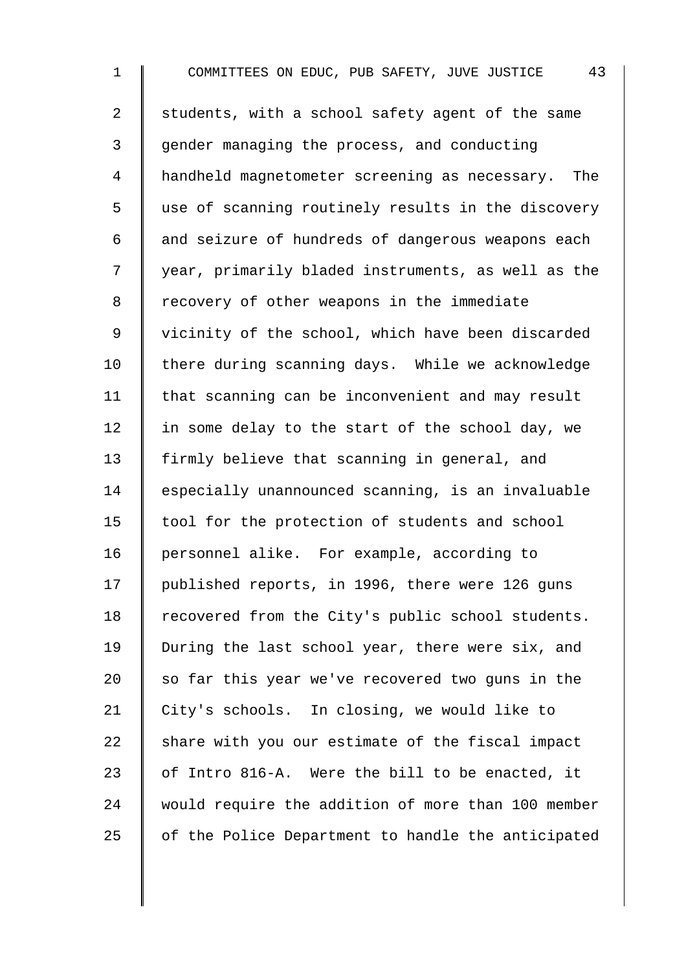1 COMMITTEES ON EDUC, PUB SAFETY, JUVE JUSTICE 43 2 students, with a school safety agent of the same 3 gender managing the process, and conducting 4 handheld magnetometer screening as necessary. The 5 I use of scanning routinely results in the discovery  $6$  and seizure of hundreds of dangerous weapons each 7 year, primarily bladed instruments, as well as the 8 | recovery of other weapons in the immediate 9 | vicinity of the school, which have been discarded  $10$  | there during scanning days. While we acknowledge 11 | that scanning can be inconvenient and may result 12  $\parallel$  in some delay to the start of the school day, we 13 firmly believe that scanning in general, and 14 Sespecially unannounced scanning, is an invaluable  $15$  tool for the protection of students and school 16 | personnel alike. For example, according to 17 | published reports, in 1996, there were 126 guns 18 Tecovered from the City's public school students. 19 | During the last school year, there were six, and 20  $\parallel$  so far this year we've recovered two quns in the 21 | City's schools. In closing, we would like to  $22$  share with you our estimate of the fiscal impact 23  $\parallel$  of Intro 816-A. Were the bill to be enacted, it 24 would require the addition of more than 100 member 25  $\parallel$  of the Police Department to handle the anticipated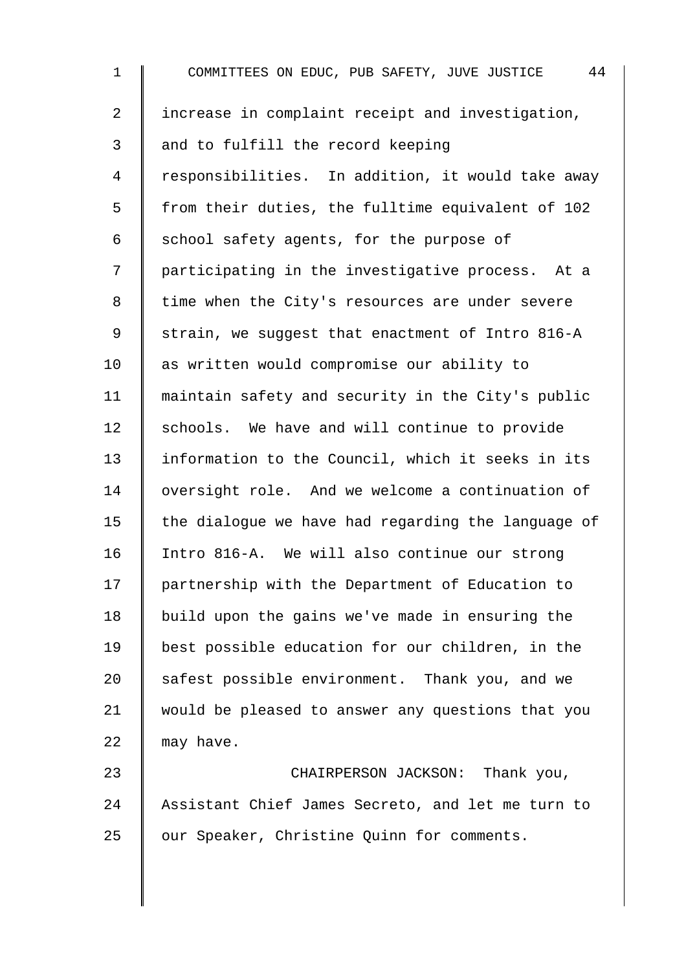1 COMMITTEES ON EDUC, PUB SAFETY, JUVE JUSTICE 44 2 | increase in complaint receipt and investigation,  $3 \parallel$  and to fulfill the record keeping 4 | responsibilities. In addition, it would take away  $5 \parallel$  from their duties, the fulltime equivalent of 102 6 School safety agents, for the purpose of 7 | participating in the investigative process. At a 8 | time when the City's resources are under severe 9 Strain, we suggest that enactment of Intro 816-A 10 as written would compromise our ability to 11 maintain safety and security in the City's public 12 schools. We have and will continue to provide 13 | information to the Council, which it seeks in its 14 | oversight role. And we welcome a continuation of 15  $\parallel$  the dialogue we have had regarding the language of 16 Intro 816-A. We will also continue our strong 17 | partnership with the Department of Education to 18 | build upon the gains we've made in ensuring the 19 best possible education for our children, in the 20  $\parallel$  safest possible environment. Thank you, and we 21 would be pleased to answer any questions that you 22  $\parallel$  may have. 23 CHAIRPERSON JACKSON: Thank you,

24 Assistant Chief James Secreto, and let me turn to 25 | our Speaker, Christine Quinn for comments.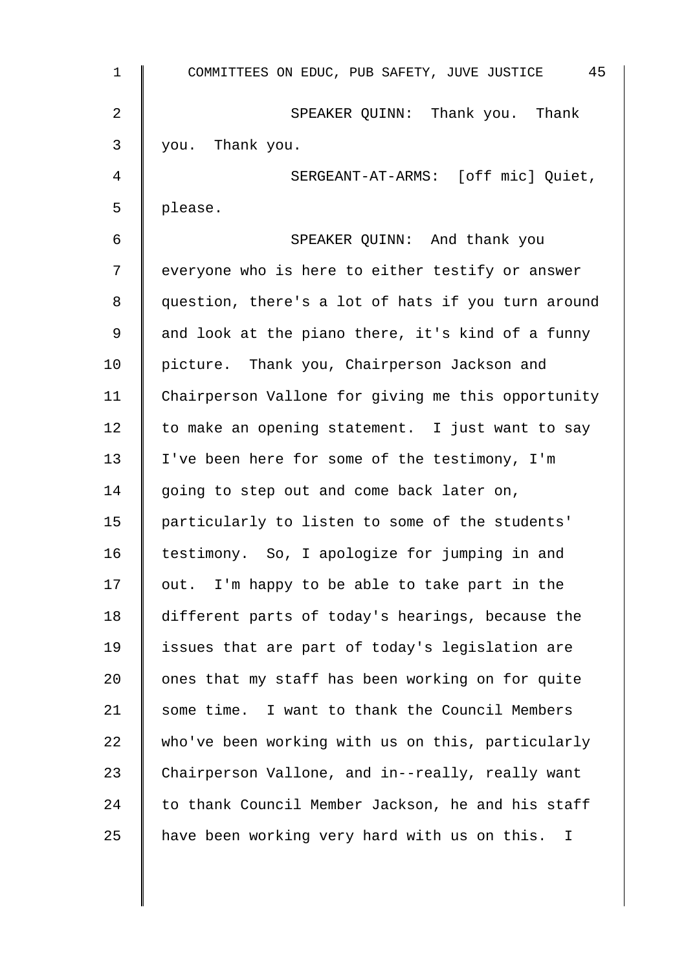| 1              | 45<br>COMMITTEES ON EDUC, PUB SAFETY, JUVE JUSTICE |
|----------------|----------------------------------------------------|
| $\overline{2}$ | SPEAKER QUINN: Thank you. Thank                    |
| 3              | you. Thank you.                                    |
| 4              | SERGEANT-AT-ARMS: [off mic] Quiet,                 |
| 5              | please.                                            |
| 6              | SPEAKER QUINN: And thank you                       |
| 7              | everyone who is here to either testify or answer   |
| 8              | question, there's a lot of hats if you turn around |
| 9              | and look at the piano there, it's kind of a funny  |
| 10             | picture. Thank you, Chairperson Jackson and        |
| 11             | Chairperson Vallone for giving me this opportunity |
| 12             | to make an opening statement. I just want to say   |
| 13             | I've been here for some of the testimony, I'm      |
| 14             | going to step out and come back later on,          |
| 15             | particularly to listen to some of the students'    |
| 16             | testimony. So, I apologize for jumping in and      |
| 17             | out. I'm happy to be able to take part in the      |
| 18             | different parts of today's hearings, because the   |
| 19             | issues that are part of today's legislation are    |
| 20             | ones that my staff has been working on for quite   |
| 21             | some time. I want to thank the Council Members     |
| 22             | who've been working with us on this, particularly  |
| 23             | Chairperson Vallone, and in--really, really want   |
| 24             | to thank Council Member Jackson, he and his staff  |
| 25             | have been working very hard with us on this. I     |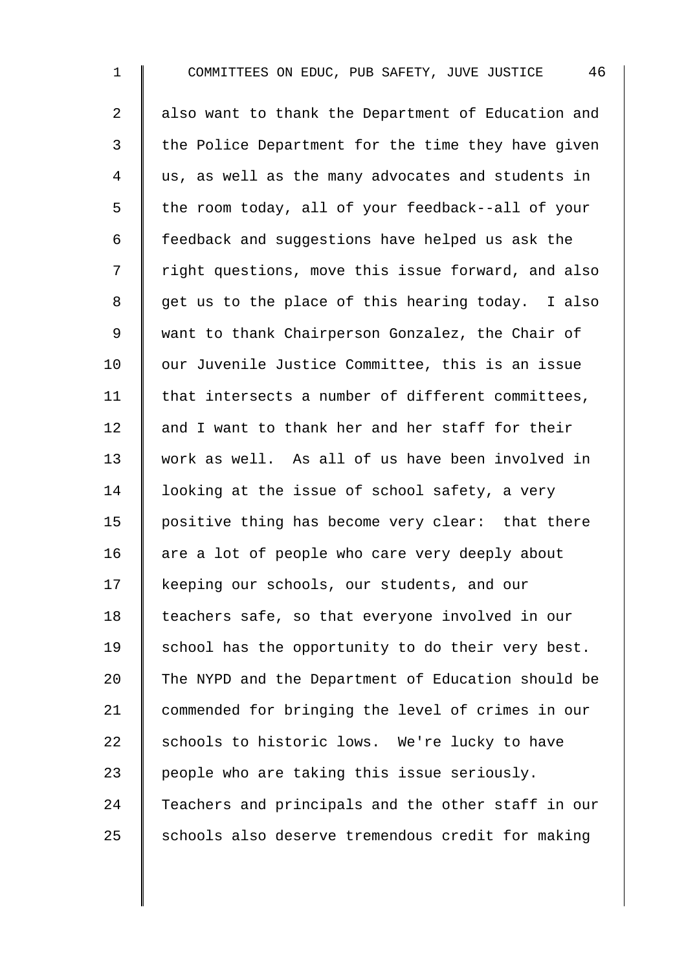1 COMMITTEES ON EDUC, PUB SAFETY, JUVE JUSTICE 46 2 | also want to thank the Department of Education and  $3 \parallel$  the Police Department for the time they have given 4 || us, as well as the many advocates and students in 5 | the room today, all of your feedback--all of your 6 | feedback and suggestions have helped us ask the 7 | right questions, move this issue forward, and also  $8 \parallel$  get us to the place of this hearing today. I also 9 || want to thank Chairperson Gonzalez, the Chair of 10 our Juvenile Justice Committee, this is an issue 11  $\parallel$  that intersects a number of different committees, 12  $\parallel$  and I want to thank her and her staff for their 13 work as well. As all of us have been involved in 14  $\parallel$  looking at the issue of school safety, a very 15 | positive thing has become very clear: that there 16  $\parallel$  are a lot of people who care very deeply about 17 | keeping our schools, our students, and our 18 | teachers safe, so that everyone involved in our  $19$  school has the opportunity to do their very best. 20  $\parallel$  The NYPD and the Department of Education should be 21 commended for bringing the level of crimes in our 22  $\parallel$  schools to historic lows. We're lucky to have 23  $\parallel$  people who are taking this issue seriously. 24 Teachers and principals and the other staff in our  $25$  schools also deserve tremendous credit for making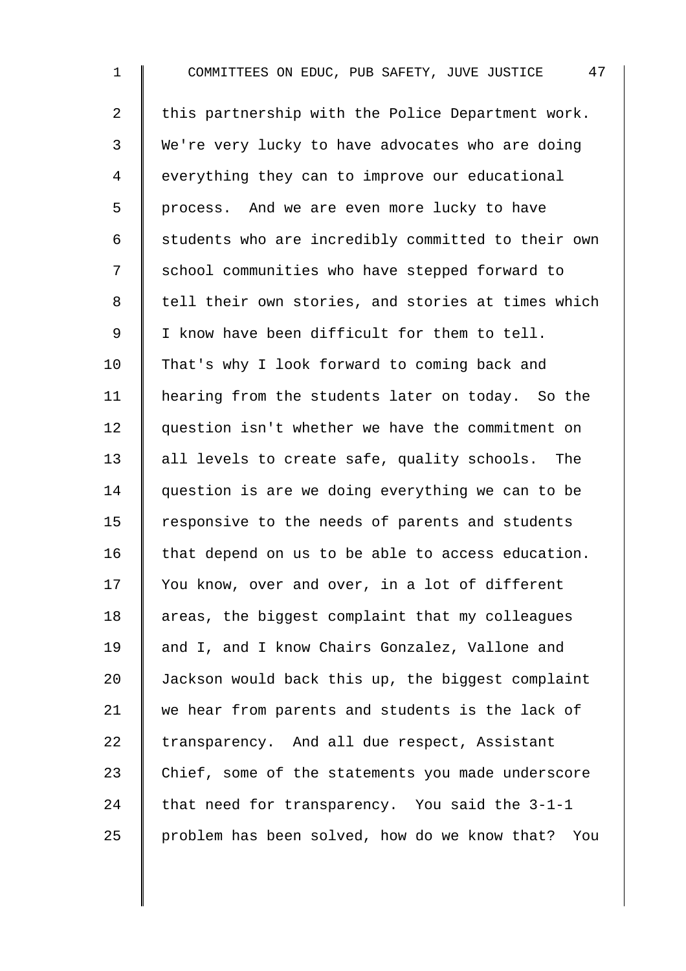1 COMMITTEES ON EDUC, PUB SAFETY, JUVE JUSTICE 47 2  $\parallel$  this partnership with the Police Department work. 3 We're very lucky to have advocates who are doing 4 everything they can to improve our educational 5 | process. And we are even more lucky to have  $6 \parallel$  students who are incredibly committed to their own 7 | school communities who have stepped forward to 8 | tell their own stories, and stories at times which 9 | I know have been difficult for them to tell. 10 That's why I look forward to coming back and 11 | hearing from the students later on today. So the 12 question isn't whether we have the commitment on 13 all levels to create safe, quality schools. The 14 question is are we doing everything we can to be 15 | responsive to the needs of parents and students  $16$  that depend on us to be able to access education. 17 Vou know, over and over, in a lot of different 18 | areas, the biggest complaint that my colleagues 19 and I, and I know Chairs Gonzalez, Vallone and 20 Jackson would back this up, the biggest complaint 21 we hear from parents and students is the lack of  $22$  transparency. And all due respect, Assistant 23 Chief, some of the statements you made underscore 24 that need for transparency. You said the  $3-1-1$ 25 problem has been solved, how do we know that? You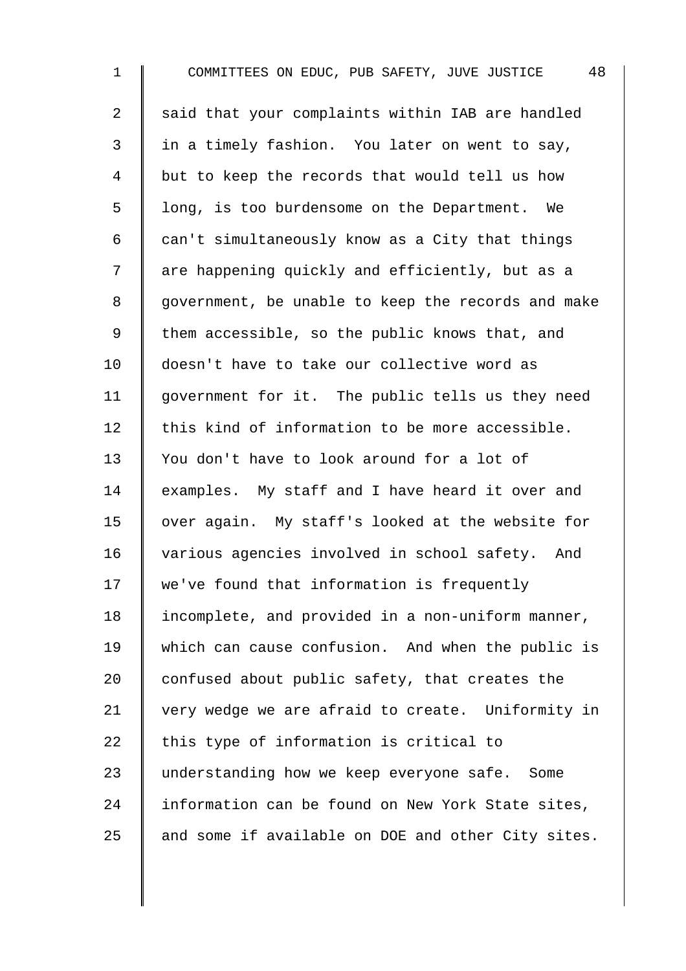1 COMMITTEES ON EDUC, PUB SAFETY, JUVE JUSTICE 48 2 said that your complaints within IAB are handled 3 in a timely fashion. You later on went to say, 4 | but to keep the records that would tell us how  $5 \parallel$  long, is too burdensome on the Department. We 6  $\parallel$  can't simultaneously know as a City that things 7 | are happening quickly and efficiently, but as a 8 | government, be unable to keep the records and make 9 | them accessible, so the public knows that, and 10 doesn't have to take our collective word as 11 government for it. The public tells us they need 12  $\parallel$  this kind of information to be more accessible. 13 You don't have to look around for a lot of 14 examples. My staff and I have heard it over and 15 | over again. My staff's looked at the website for 16 various agencies involved in school safety. And 17 We've found that information is frequently 18 | incomplete, and provided in a non-uniform manner, 19 which can cause confusion. And when the public is 20  $\parallel$  confused about public safety, that creates the 21 very wedge we are afraid to create. Uniformity in 22  $\parallel$  this type of information is critical to 23 | understanding how we keep everyone safe. Some 24 I information can be found on New York State sites, 25  $\parallel$  and some if available on DOE and other City sites.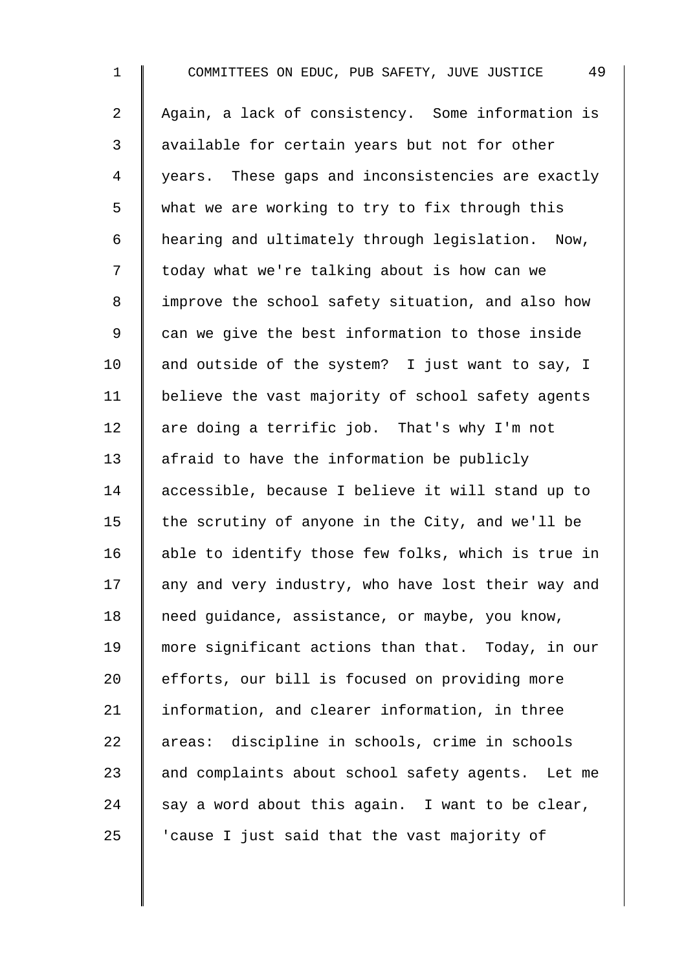1 COMMITTEES ON EDUC, PUB SAFETY, JUVE JUSTICE 49 2 | Again, a lack of consistency. Some information is 3 || available for certain years but not for other 4 | years. These gaps and inconsistencies are exactly 5 what we are working to try to fix through this 6 hearing and ultimately through legislation. Now, 7 | today what we're talking about is how can we 8 | improve the school safety situation, and also how 9 can we give the best information to those inside 10  $\parallel$  and outside of the system? I just want to say, I 11 | believe the vast majority of school safety agents 12  $\parallel$  are doing a terrific job. That's why I'm not 13 | afraid to have the information be publicly 14 accessible, because I believe it will stand up to 15 the scrutiny of anyone in the City, and we'll be 16  $\parallel$  able to identify those few folks, which is true in 17 | any and very industry, who have lost their way and 18 | need guidance, assistance, or maybe, you know, 19 more significant actions than that. Today, in our 20 efforts, our bill is focused on providing more 21 | information, and clearer information, in three 22 areas: discipline in schools, crime in schools  $23$  and complaints about school safety agents. Let me 24 say a word about this again. I want to be clear, 25  $\parallel$  'cause I just said that the vast majority of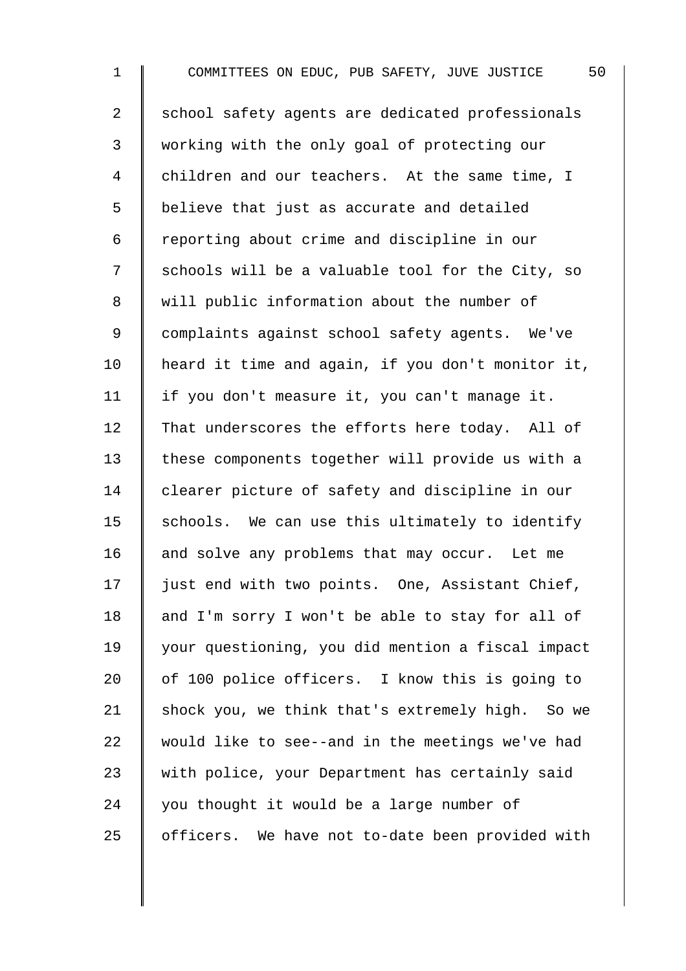1 COMMITTEES ON EDUC, PUB SAFETY, JUVE JUSTICE 50 2 School safety agents are dedicated professionals 3 working with the only goal of protecting our 4 children and our teachers. At the same time, I 5 | believe that just as accurate and detailed 6 | reporting about crime and discipline in our 7 | schools will be a valuable tool for the City, so 8 will public information about the number of 9 | complaints against school safety agents. We've 10 | heard it time and again, if you don't monitor it, 11 | if you don't measure it, you can't manage it. 12 That underscores the efforts here today. All of 13 these components together will provide us with a 14 clearer picture of safety and discipline in our 15  $\parallel$  schools. We can use this ultimately to identify 16  $\parallel$  and solve any problems that may occur. Let me 17 | just end with two points. One, Assistant Chief, 18  $\parallel$  and I'm sorry I won't be able to stay for all of 19 your questioning, you did mention a fiscal impact 20 | of 100 police officers. I know this is going to 21 shock you, we think that's extremely high. So we 22  $\parallel$  would like to see--and in the meetings we've had 23 W with police, your Department has certainly said 24  $\parallel$  you thought it would be a large number of  $25$  | officers. We have not to-date been provided with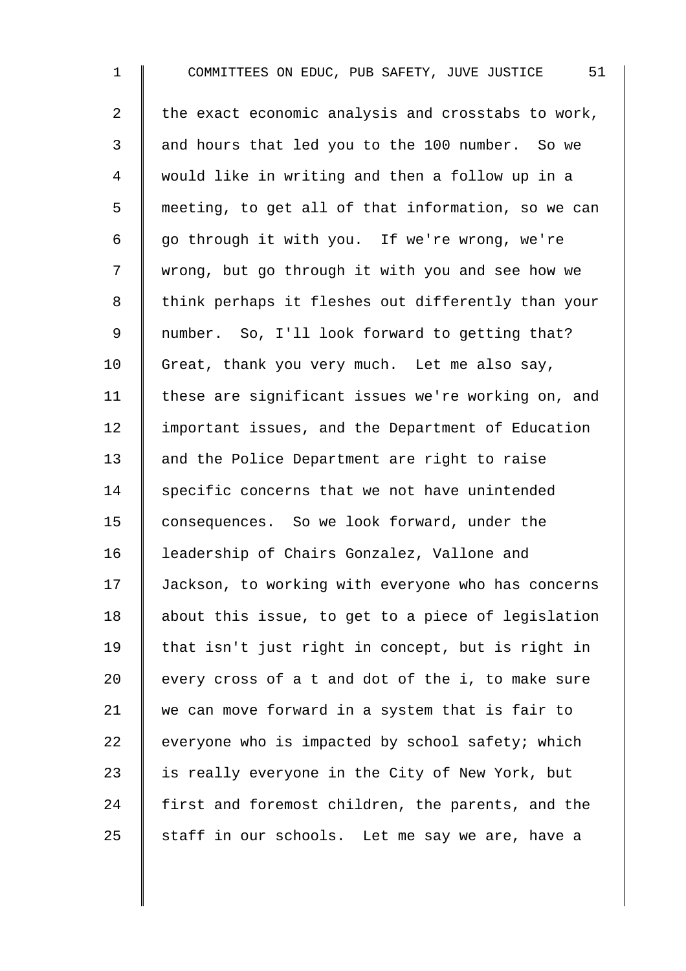1 COMMITTEES ON EDUC, PUB SAFETY, JUVE JUSTICE 51 2 the exact economic analysis and crosstabs to work, 3 and hours that led you to the 100 number. So we 4 would like in writing and then a follow up in a 5 meeting, to get all of that information, so we can 6  $\parallel$  go through it with you. If we're wrong, we're 7 | wrong, but go through it with you and see how we 8 | think perhaps it fleshes out differently than your 9 | number. So, I'll look forward to getting that?  $10$  Great, thank you very much. Let me also say, 11 | these are significant issues we're working on, and 12 | important issues, and the Department of Education 13 and the Police Department are right to raise  $14$  specific concerns that we not have unintended 15 consequences. So we look forward, under the 16 | leadership of Chairs Gonzalez, Vallone and 17 Jackson, to working with everyone who has concerns 18 | about this issue, to get to a piece of legislation 19 | that isn't just right in concept, but is right in 20  $\parallel$  every cross of a t and dot of the i, to make sure 21 we can move forward in a system that is fair to 22  $\parallel$  everyone who is impacted by school safety; which 23  $\parallel$  is really everyone in the City of New York, but 24 first and foremost children, the parents, and the 25 staff in our schools. Let me say we are, have a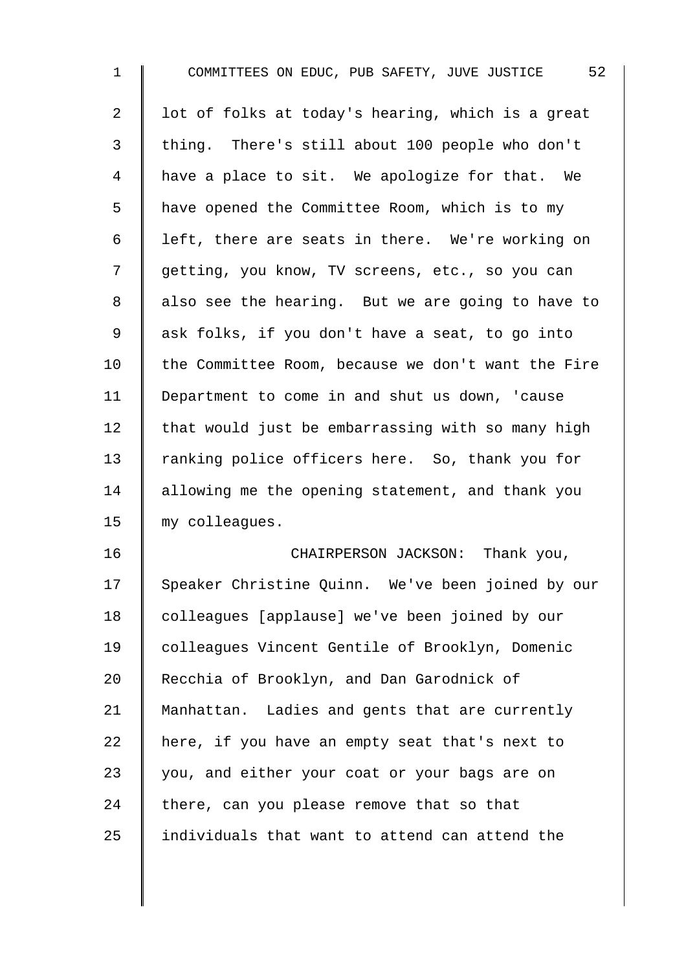| $\mathbf{1}$   | 52<br>COMMITTEES ON EDUC, PUB SAFETY, JUVE JUSTICE |
|----------------|----------------------------------------------------|
| $\overline{a}$ | lot of folks at today's hearing, which is a great  |
| 3              | thing. There's still about 100 people who don't    |
| 4              | have a place to sit. We apologize for that. We     |
| 5              | have opened the Committee Room, which is to my     |
| 6              | left, there are seats in there. We're working on   |
| 7              | getting, you know, TV screens, etc., so you can    |
| 8              | also see the hearing. But we are going to have to  |
| $\mathsf 9$    | ask folks, if you don't have a seat, to go into    |
| 10             | the Committee Room, because we don't want the Fire |
| 11             | Department to come in and shut us down, 'cause     |
| 12             | that would just be embarrassing with so many high  |
| 13             | ranking police officers here. So, thank you for    |
| 14             | allowing me the opening statement, and thank you   |
| 15             | my colleagues.                                     |
| 16             | CHAIRPERSON JACKSON:<br>Thank you,                 |
| 17             | Speaker Christine Quinn. We've been joined by our  |
| 18             | colleagues [applause] we've been joined by our     |
| 19             | colleagues Vincent Gentile of Brooklyn, Domenic    |
| 20             | Recchia of Brooklyn, and Dan Garodnick of          |
| 21             | Manhattan. Ladies and gents that are currently     |
| 22             | here, if you have an empty seat that's next to     |
| 23             | you, and either your coat or your bags are on      |
| 24             | there, can you please remove that so that          |
| 25             | individuals that want to attend can attend the     |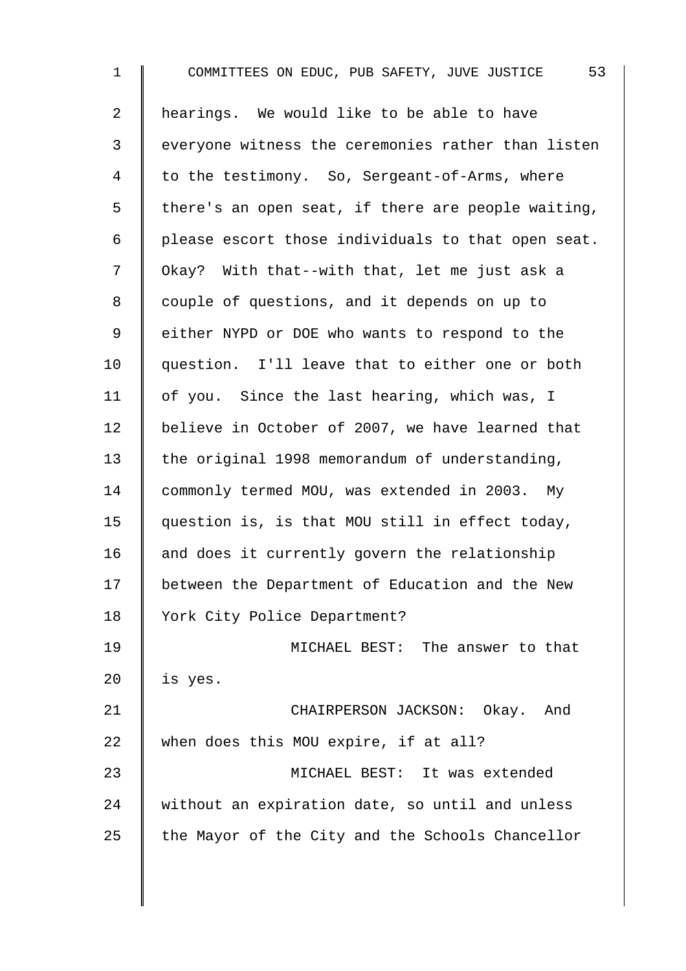1 COMMITTEES ON EDUC, PUB SAFETY, JUVE JUSTICE 53 2 | hearings. We would like to be able to have 3 everyone witness the ceremonies rather than listen 4 to the testimony. So, Sergeant-of-Arms, where  $5 \parallel$  there's an open seat, if there are people waiting,  $6 \parallel$  please escort those individuals to that open seat. 7  $\parallel$  Okay? With that--with that, let me just ask a 8 | couple of questions, and it depends on up to 9 | either NYPD or DOE who wants to respond to the 10 question. I'll leave that to either one or both 11 | of you. Since the last hearing, which was, I 12 believe in October of 2007, we have learned that 13 the original 1998 memorandum of understanding, 14 commonly termed MOU, was extended in 2003. My 15 question is, is that MOU still in effect today, 16  $\parallel$  and does it currently govern the relationship 17 between the Department of Education and the New 18 | York City Police Department? 19 MICHAEL BEST: The answer to that 20  $\parallel$  is yes. 21 | CHAIRPERSON JACKSON: Okay. And 22 when does this MOU expire, if at all? 23 MICHAEL BEST: It was extended 24 without an expiration date, so until and unless 25  $\parallel$  the Mayor of the City and the Schools Chancellor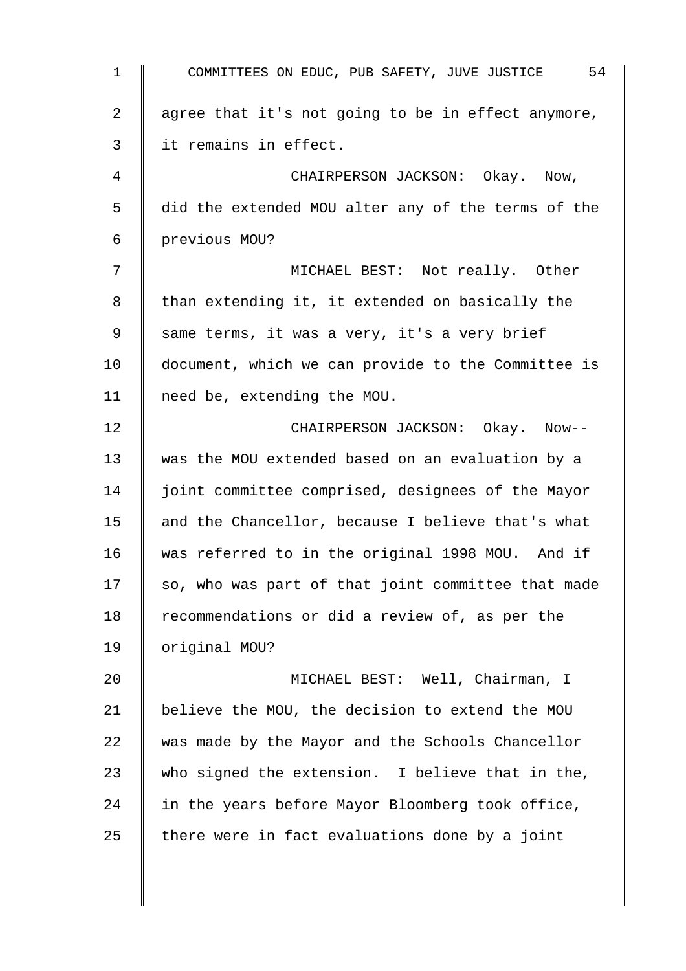1 COMMITTEES ON EDUC, PUB SAFETY, JUVE JUSTICE 54 2  $\parallel$  agree that it's not going to be in effect anymore, 3 I it remains in effect. 4 **CHAIRPERSON JACKSON:** Okay. Now, 5 did the extended MOU alter any of the terms of the 6 previous MOU? 7 || MICHAEL BEST: Not really. Other  $8 \parallel$  than extending it, it extended on basically the 9 same terms, it was a very, it's a very brief 10 | document, which we can provide to the Committee is 11 need be, extending the MOU. 12 **No. 2** CHAIRPERSON JACKSON: Okay. Now--13 was the MOU extended based on an evaluation by a 14 | joint committee comprised, designees of the Mayor 15  $\parallel$  and the Chancellor, because I believe that's what 16 was referred to in the original 1998 MOU. And if  $17$  so, who was part of that joint committee that made 18  $\parallel$  recommendations or did a review of, as per the 19 | original MOU? 20 MICHAEL BEST: Well, Chairman, I 21  $\parallel$  believe the MOU, the decision to extend the MOU 22 was made by the Mayor and the Schools Chancellor 23 who signed the extension. I believe that in the,  $24$  in the years before Mayor Bloomberg took office, 25  $\parallel$  there were in fact evaluations done by a joint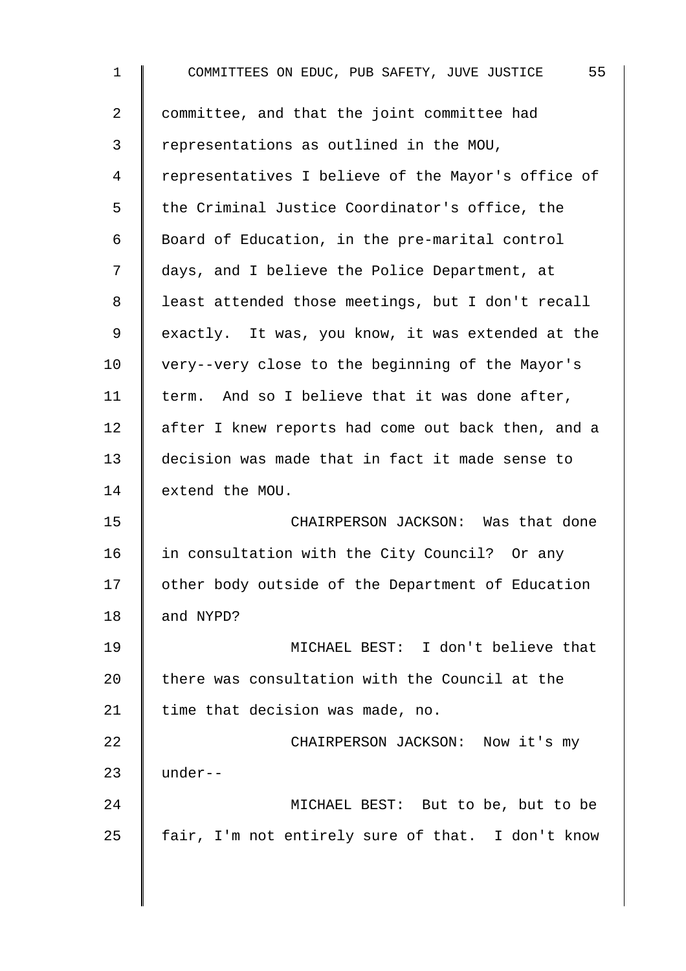1 COMMITTEES ON EDUC, PUB SAFETY, JUVE JUSTICE 55 2 | committee, and that the joint committee had 3 representations as outlined in the MOU, 4 | representatives I believe of the Mayor's office of  $5 \parallel$  the Criminal Justice Coordinator's office, the 6 | Board of Education, in the pre-marital control 7 | days, and I believe the Police Department, at 8 | least attended those meetings, but I don't recall 9 exactly. It was, you know, it was extended at the 10 very--very close to the beginning of the Mayor's 11 | term. And so I believe that it was done after, 12 after I knew reports had come out back then, and a 13 decision was made that in fact it made sense to 14 extend the MOU. 15 CHAIRPERSON JACKSON: Was that done 16 | in consultation with the City Council? Or any 17 | other body outside of the Department of Education 18 and NYPD? 19 MICHAEL BEST: I don't believe that 20 there was consultation with the Council at the 21 | time that decision was made, no. 22 **CHAIRPERSON JACKSON:** Now it's my 23  $\parallel$  under--24 MICHAEL BEST: But to be, but to be  $25$  | fair, I'm not entirely sure of that. I don't know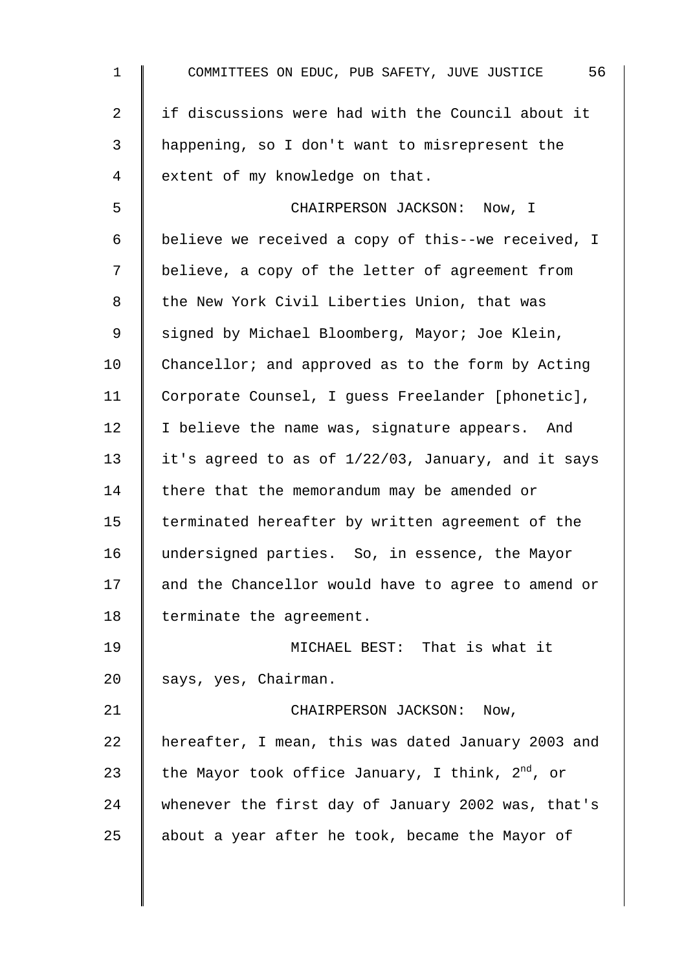1 COMMITTEES ON EDUC, PUB SAFETY, JUVE JUSTICE 56 2 I if discussions were had with the Council about it 3 happening, so I don't want to misrepresent the 4 extent of my knowledge on that. 5 CHAIRPERSON JACKSON: Now, I 6 believe we received a copy of this--we received, I 7 | believe, a copy of the letter of agreement from 8 | the New York Civil Liberties Union, that was 9 Signed by Michael Bloomberg, Mayor; Joe Klein, 10 Chancellor; and approved as to the form by Acting 11 Corporate Counsel, I guess Freelander [phonetic], 12 | I believe the name was, signature appears. And 13  $\parallel$  it's agreed to as of 1/22/03, January, and it says 14 There that the memorandum may be amended or 15 | terminated hereafter by written agreement of the 16 undersigned parties. So, in essence, the Mayor 17 and the Chancellor would have to agree to amend or 18 | terminate the agreement. 19 MICHAEL BEST: That is what it 20 says, yes, Chairman. 21 | CHAIRPERSON JACKSON: Now,  $22$  | hereafter, I mean, this was dated January 2003 and 23 | the Mayor took office January, I think,  $2^{nd}$ , or 24 whenever the first day of January 2002 was, that's 25  $\parallel$  about a year after he took, became the Mayor of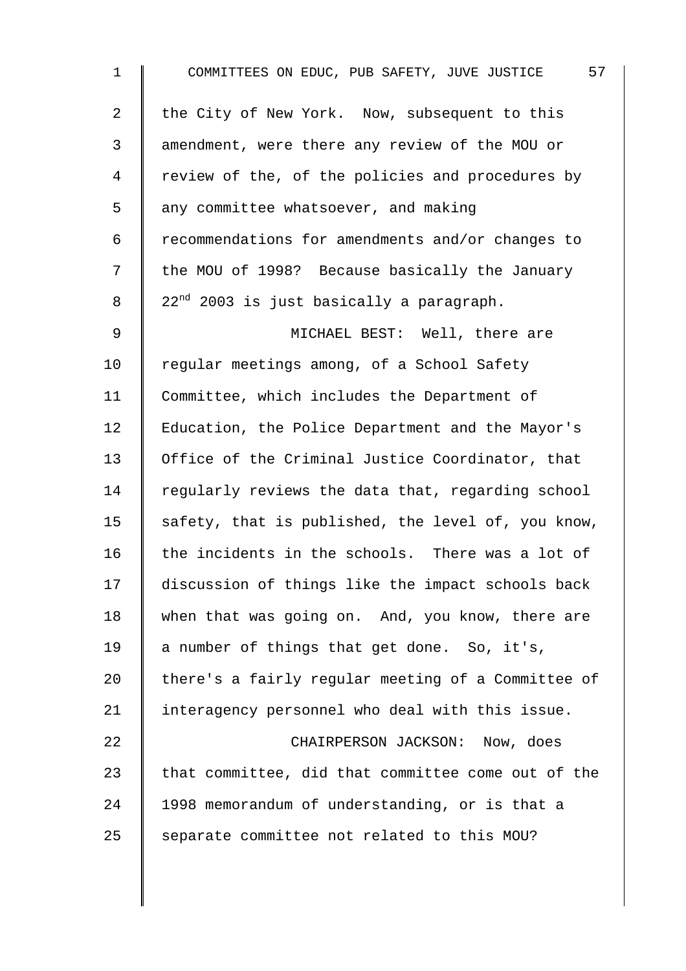| $\mathbf 1$    | 57<br>COMMITTEES ON EDUC, PUB SAFETY, JUVE JUSTICE   |
|----------------|------------------------------------------------------|
| $\overline{a}$ | the City of New York. Now, subsequent to this        |
| 3              | amendment, were there any review of the MOU or       |
| 4              | review of the, of the policies and procedures by     |
| 5              | any committee whatsoever, and making                 |
| 6              | recommendations for amendments and/or changes to     |
| 7              | the MOU of 1998? Because basically the January       |
| 8              | 22 <sup>nd</sup> 2003 is just basically a paragraph. |
| 9              | MICHAEL BEST: Well, there are                        |
| 10             | regular meetings among, of a School Safety           |
| 11             | Committee, which includes the Department of          |
| 12             | Education, the Police Department and the Mayor's     |
| 13             | Office of the Criminal Justice Coordinator, that     |
| 14             | regularly reviews the data that, regarding school    |
| 15             | safety, that is published, the level of, you know,   |
| 16             | the incidents in the schools. There was a lot of     |
| 17             | discussion of things like the impact schools back    |
| 18             | when that was going on. And, you know, there are     |
| 19             | a number of things that get done. So, it's,          |
| 20             | there's a fairly regular meeting of a Committee of   |
| 21             | interagency personnel who deal with this issue.      |
| 22             | CHAIRPERSON JACKSON: Now, does                       |
| 23             | that committee, did that committee come out of the   |
| 24             | 1998 memorandum of understanding, or is that a       |
| 25             | separate committee not related to this MOU?          |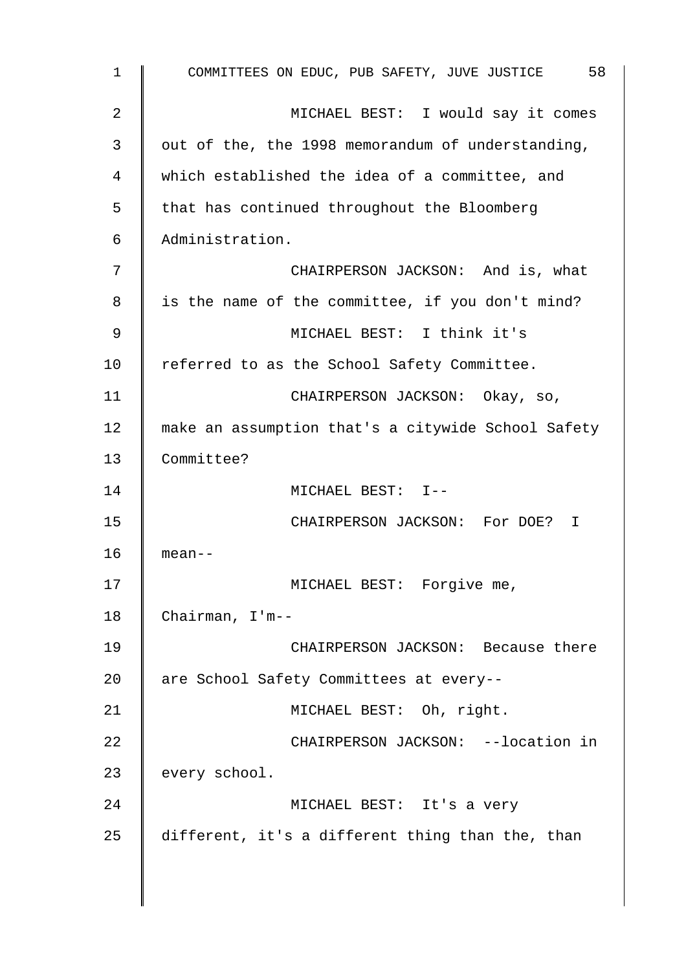1 COMMITTEES ON EDUC, PUB SAFETY, JUVE JUSTICE 58 2 MICHAEL BEST: I would say it comes  $3 \parallel$  out of the, the 1998 memorandum of understanding, 4 which established the idea of a committee, and  $5 \parallel$  that has continued throughout the Bloomberg 6 Administration. 7 || CHAIRPERSON JACKSON: And is, what  $8 \parallel$  is the name of the committee, if you don't mind? 9 MICHAEL BEST: I think it's 10 | referred to as the School Safety Committee. 11 | CHAIRPERSON JACKSON: Okay, so, 12 | make an assumption that's a citywide School Safety 13 Committee? 14 || MICHAEL BEST: I--15 CHAIRPERSON JACKSON: For DOE? I 16 mean-- 17 || MICHAEL BEST: Forgive me, 18 Chairman, I'm-- 19 CHAIRPERSON JACKSON: Because there 20 | are School Safety Committees at every--21 | MICHAEL BEST: Oh, right. 22 **CHAIRPERSON JACKSON:** --location in 23 | every school. 24 || MICHAEL BEST: It's a very 25 different, it's a different thing than the, than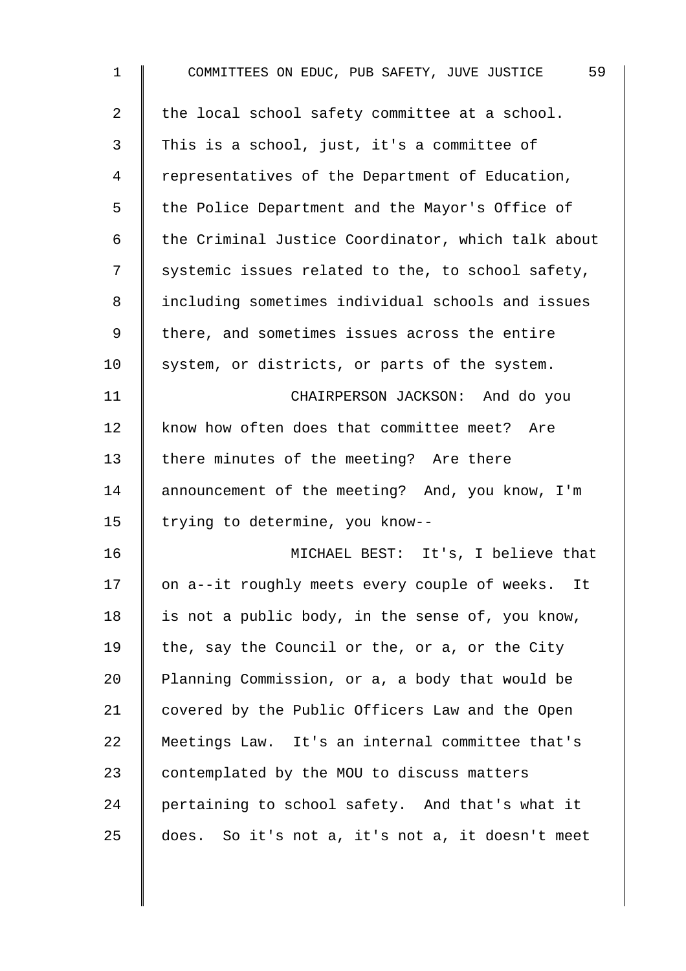| $\mathbf{1}$   | 59<br>COMMITTEES ON EDUC, PUB SAFETY, JUVE JUSTICE  |
|----------------|-----------------------------------------------------|
| $\overline{a}$ | the local school safety committee at a school.      |
| 3              | This is a school, just, it's a committee of         |
| $\overline{4}$ | representatives of the Department of Education,     |
| 5              | the Police Department and the Mayor's Office of     |
| 6              | the Criminal Justice Coordinator, which talk about  |
| 7              | systemic issues related to the, to school safety,   |
| 8              | including sometimes individual schools and issues   |
| 9              | there, and sometimes issues across the entire       |
| 10             | system, or districts, or parts of the system.       |
| 11             | CHAIRPERSON JACKSON: And do you                     |
| 12             | know how often does that committee meet? Are        |
| 13             | there minutes of the meeting? Are there             |
| 14             | announcement of the meeting? And, you know, I'm     |
| 15             | trying to determine, you know--                     |
| 16             | MICHAEL BEST: It's, I believe that                  |
| 17             | on a--it roughly meets every couple of weeks.<br>It |
| 18             | is not a public body, in the sense of, you know,    |
| 19             | the, say the Council or the, or a, or the City      |
| $20 \,$        | Planning Commission, or a, a body that would be     |
| 21             | covered by the Public Officers Law and the Open     |
| 22             | Meetings Law. It's an internal committee that's     |
| 23             | contemplated by the MOU to discuss matters          |
| 24             | pertaining to school safety. And that's what it     |
| 25             | does. So it's not a, it's not a, it doesn't meet    |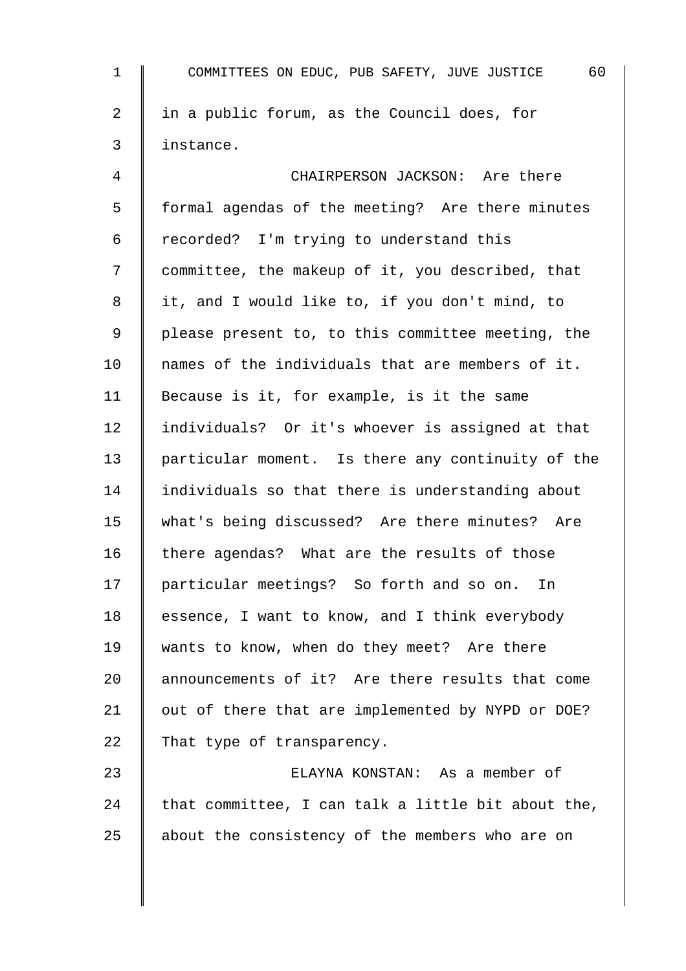| $\mathbf 1$    | 60<br>COMMITTEES ON EDUC, PUB SAFETY, JUVE JUSTICE |
|----------------|----------------------------------------------------|
| $\overline{2}$ | in a public forum, as the Council does, for        |
| 3              | instance.                                          |
| 4              | CHAIRPERSON JACKSON: Are there                     |
| 5              | formal agendas of the meeting? Are there minutes   |
| 6              | recorded? I'm trying to understand this            |
| 7              | committee, the makeup of it, you described, that   |
| 8              | it, and I would like to, if you don't mind, to     |
| 9              | please present to, to this committee meeting, the  |
| 10             | names of the individuals that are members of it.   |
| 11             | Because is it, for example, is it the same         |
| 12             | individuals? Or it's whoever is assigned at that   |
| 13             | particular moment. Is there any continuity of the  |
| 14             | individuals so that there is understanding about   |
| 15             | what's being discussed? Are there minutes? Are     |
| 16             | there agendas? What are the results of those       |
| 17             | particular meetings? So forth and so on. In        |
| 18             | essence, I want to know, and I think everybody     |
| 19             | wants to know, when do they meet? Are there        |
| 20             | announcements of it? Are there results that come   |
| 21             | out of there that are implemented by NYPD or DOE?  |
| 22             | That type of transparency.                         |
| 23             | ELAYNA KONSTAN: As a member of                     |
| 24             | that committee, I can talk a little bit about the, |
| 25             | about the consistency of the members who are on    |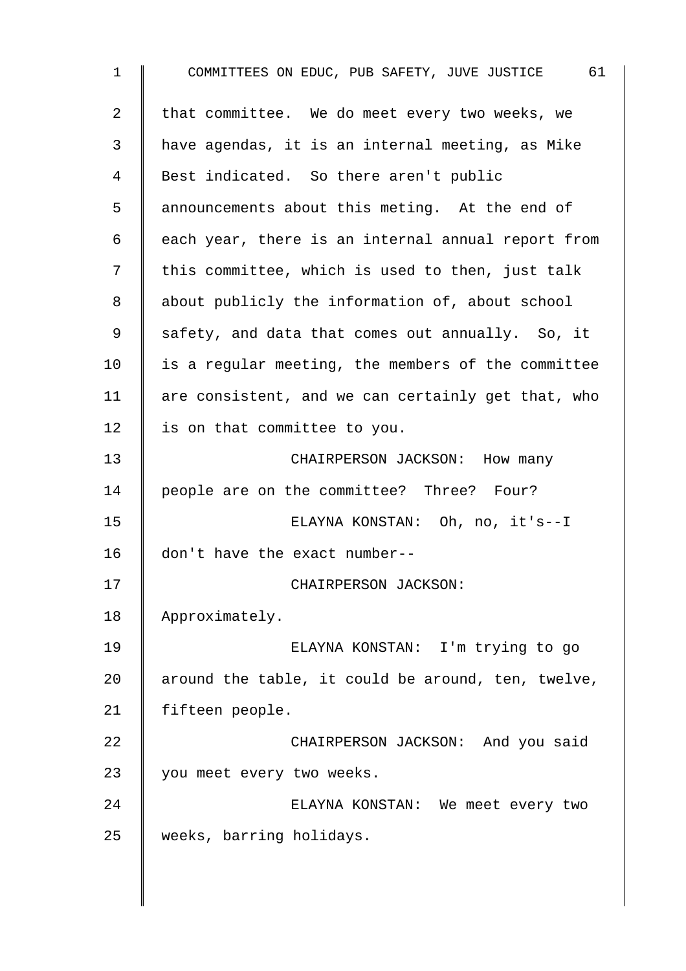| $\mathbf 1$ | COMMITTEES ON EDUC, PUB SAFETY, JUVE JUSTICE 61    |
|-------------|----------------------------------------------------|
| 2           | that committee. We do meet every two weeks, we     |
| 3           | have agendas, it is an internal meeting, as Mike   |
| 4           | Best indicated. So there aren't public             |
| 5           | announcements about this meting. At the end of     |
| 6           | each year, there is an internal annual report from |
| 7           | this committee, which is used to then, just talk   |
| 8           | about publicly the information of, about school    |
| 9           | safety, and data that comes out annually. So, it   |
| 10          | is a regular meeting, the members of the committee |
| 11          | are consistent, and we can certainly get that, who |
| 12          | is on that committee to you.                       |
| 13          | CHAIRPERSON JACKSON: How many                      |
| 14          | people are on the committee? Three? Four?          |
| 15          | ELAYNA KONSTAN: Oh, no, it's--I                    |
| 16          | don't have the exact number--                      |
| 17          | CHAIRPERSON JACKSON:                               |
| 18          | Approximately.                                     |
| 19          | ELAYNA KONSTAN: I'm trying to go                   |
| 20          | around the table, it could be around, ten, twelve, |
| 21          | fifteen people.                                    |
| 22          | CHAIRPERSON JACKSON: And you said                  |
| 23          | you meet every two weeks.                          |
| 24          | ELAYNA KONSTAN: We meet every two                  |
| 25          | weeks, barring holidays.                           |
|             |                                                    |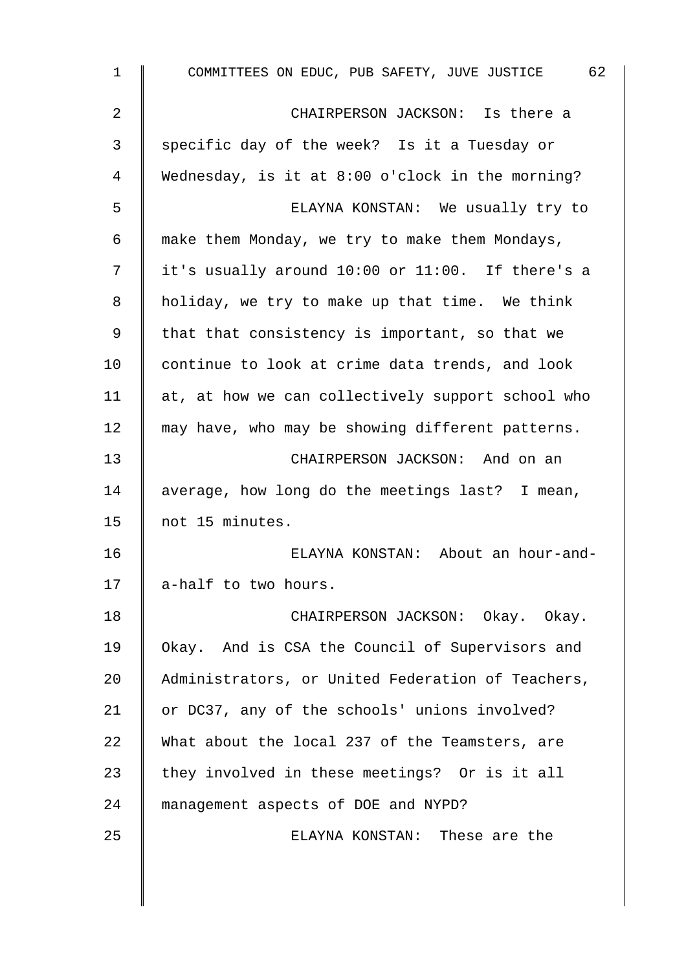| $\mathbf{1}$ | COMMITTEES ON EDUC, PUB SAFETY, JUVE JUSTICE 62   |
|--------------|---------------------------------------------------|
| 2            | CHAIRPERSON JACKSON: Is there a                   |
| 3            | specific day of the week? Is it a Tuesday or      |
| 4            | Wednesday, is it at 8:00 o'clock in the morning?  |
| 5            | ELAYNA KONSTAN: We usually try to                 |
| 6            | make them Monday, we try to make them Mondays,    |
| 7            | it's usually around 10:00 or 11:00. If there's a  |
| 8            | holiday, we try to make up that time. We think    |
| 9            | that that consistency is important, so that we    |
| 10           | continue to look at crime data trends, and look   |
| 11           | at, at how we can collectively support school who |
| 12           | may have, who may be showing different patterns.  |
| 13           | CHAIRPERSON JACKSON: And on an                    |
| 14           | average, how long do the meetings last? I mean,   |
| 15           | not 15 minutes.                                   |
| 16           | ELAYNA KONSTAN: About an hour-and-                |
| 17           | a-half to two hours.                              |
| 18           | CHAIRPERSON JACKSON: Okay. Okay.                  |
| 19           | Okay. And is CSA the Council of Supervisors and   |
| 20           | Administrators, or United Federation of Teachers, |
| 21           | or DC37, any of the schools' unions involved?     |
| 22           | What about the local 237 of the Teamsters, are    |
| 23           | they involved in these meetings? Or is it all     |
| 24           | management aspects of DOE and NYPD?               |
| 25           | ELAYNA KONSTAN: These are the                     |
|              |                                                   |
|              |                                                   |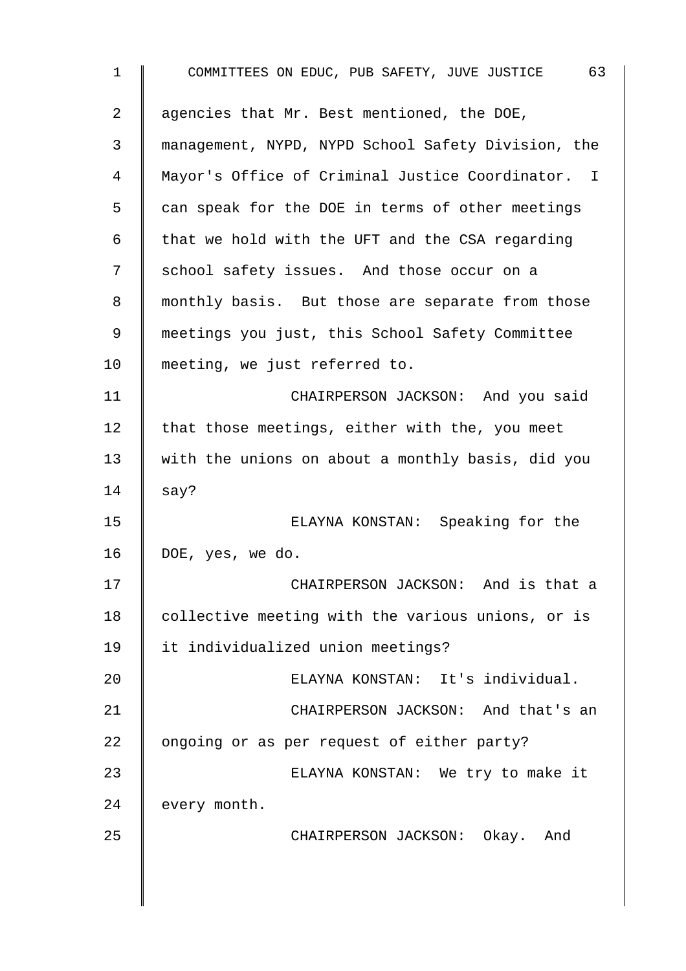| $\mathbf 1$ | 63<br>COMMITTEES ON EDUC, PUB SAFETY, JUVE JUSTICE |
|-------------|----------------------------------------------------|
| 2           | agencies that Mr. Best mentioned, the DOE,         |
| 3           | management, NYPD, NYPD School Safety Division, the |
| 4           | Mayor's Office of Criminal Justice Coordinator. I  |
| 5           | can speak for the DOE in terms of other meetings   |
| 6           | that we hold with the UFT and the CSA regarding    |
| 7           | school safety issues. And those occur on a         |
| 8           | monthly basis. But those are separate from those   |
| 9           | meetings you just, this School Safety Committee    |
| 10          | meeting, we just referred to.                      |
| 11          | CHAIRPERSON JACKSON: And you said                  |
| 12          | that those meetings, either with the, you meet     |
| 13          | with the unions on about a monthly basis, did you  |
| 14          | say?                                               |
| 15          | ELAYNA KONSTAN: Speaking for the                   |
| 16          | DOE, yes, we do.                                   |
| 17          | CHAIRPERSON JACKSON: And is that a                 |
| 18          | collective meeting with the various unions, or is  |
| 19          | it individualized union meetings?                  |
| 20          | ELAYNA KONSTAN: It's individual.                   |
| 21          | CHAIRPERSON JACKSON: And that's an                 |
| 22          | ongoing or as per request of either party?         |
| 23          | ELAYNA KONSTAN: We try to make it                  |
| 24          | every month.                                       |
| 25          | CHAIRPERSON JACKSON: Okay. And                     |
|             |                                                    |
|             |                                                    |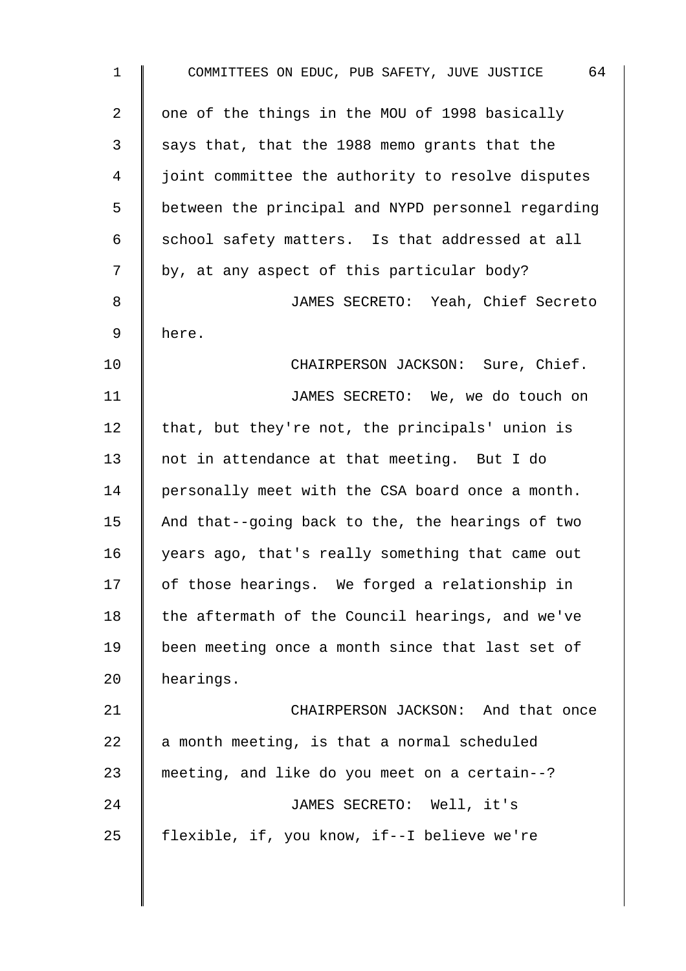| 1  | COMMITTEES ON EDUC, PUB SAFETY, JUVE JUSTICE 64    |
|----|----------------------------------------------------|
| 2  | one of the things in the MOU of 1998 basically     |
| 3  | says that, that the 1988 memo grants that the      |
| 4  | joint committee the authority to resolve disputes  |
| 5  | between the principal and NYPD personnel regarding |
| 6  | school safety matters. Is that addressed at all    |
| 7  | by, at any aspect of this particular body?         |
| 8  | JAMES SECRETO: Yeah, Chief Secreto                 |
| 9  | here.                                              |
| 10 | CHAIRPERSON JACKSON: Sure, Chief.                  |
| 11 | JAMES SECRETO: We, we do touch on                  |
| 12 | that, but they're not, the principals' union is    |
| 13 | not in attendance at that meeting. But I do        |
| 14 | personally meet with the CSA board once a month.   |
| 15 | And that--going back to the, the hearings of two   |
| 16 | years ago, that's really something that came out   |
| 17 | of those hearings. We forged a relationship in     |
| 18 | the aftermath of the Council hearings, and we've   |
| 19 | been meeting once a month since that last set of   |
| 20 | hearings.                                          |
| 21 | CHAIRPERSON JACKSON: And that once                 |
| 22 | a month meeting, is that a normal scheduled        |
| 23 | meeting, and like do you meet on a certain--?      |
| 24 | JAMES SECRETO: Well, it's                          |
| 25 | flexible, if, you know, if--I believe we're        |
|    |                                                    |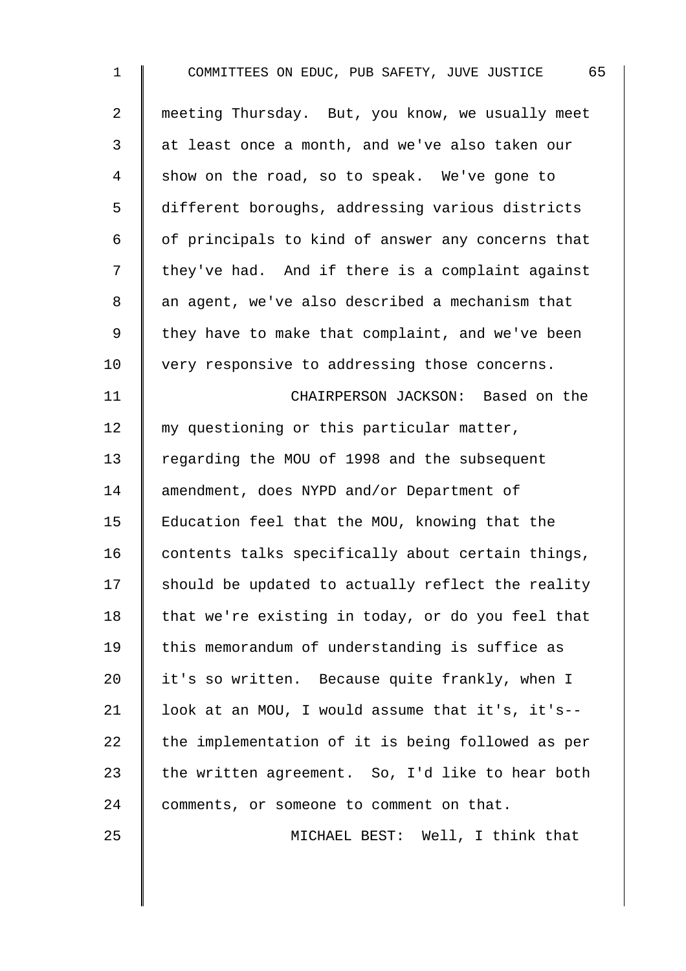| $\mathbf 1$    | 65<br>COMMITTEES ON EDUC, PUB SAFETY, JUVE JUSTICE |
|----------------|----------------------------------------------------|
| $\overline{a}$ | meeting Thursday. But, you know, we usually meet   |
| 3              | at least once a month, and we've also taken our    |
| 4              | show on the road, so to speak. We've gone to       |
| 5              | different boroughs, addressing various districts   |
| 6              | of principals to kind of answer any concerns that  |
| 7              | they've had. And if there is a complaint against   |
| 8              | an agent, we've also described a mechanism that    |
| 9              | they have to make that complaint, and we've been   |
| 10             | very responsive to addressing those concerns.      |
| 11             | CHAIRPERSON JACKSON: Based on the                  |
| 12             | my questioning or this particular matter,          |
| 13             | regarding the MOU of 1998 and the subsequent       |
| 14             | amendment, does NYPD and/or Department of          |
| 15             | Education feel that the MOU, knowing that the      |
| 16             | contents talks specifically about certain things,  |
| 17             | should be updated to actually reflect the reality  |
| 18             | that we're existing in today, or do you feel that  |
| 19             | this memorandum of understanding is suffice as     |
| 20             | it's so written. Because quite frankly, when I     |
| 21             | look at an MOU, I would assume that it's, it's--   |
| 22             | the implementation of it is being followed as per  |
| 23             | the written agreement. So, I'd like to hear both   |
| 24             | comments, or someone to comment on that.           |
| 25             | MICHAEL BEST: Well, I think that                   |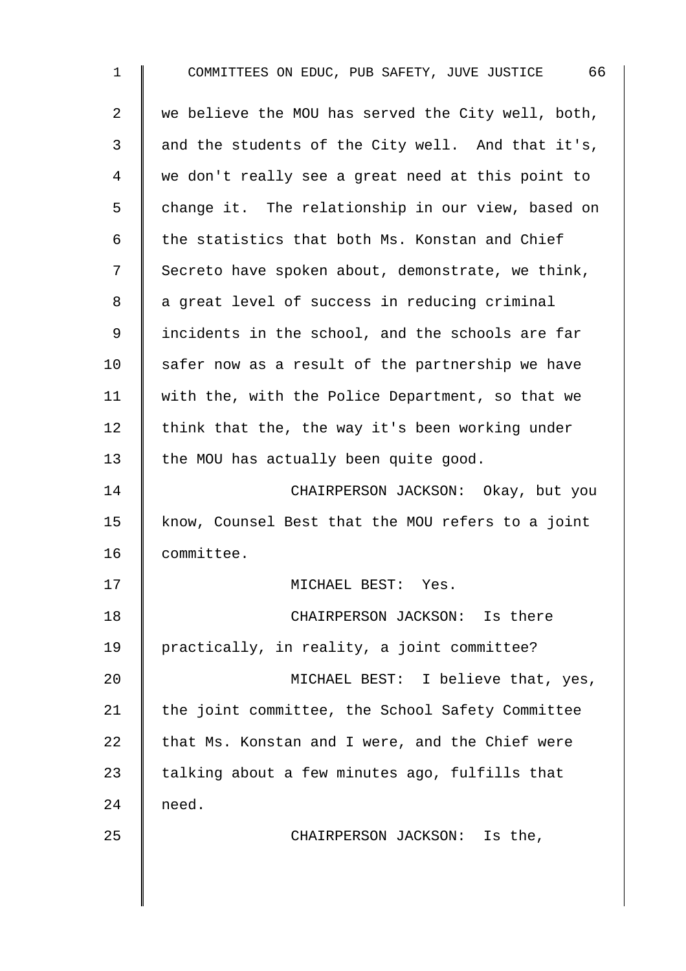| $\mathbf 1$    | 66<br>COMMITTEES ON EDUC, PUB SAFETY, JUVE JUSTICE |
|----------------|----------------------------------------------------|
| $\overline{a}$ | we believe the MOU has served the City well, both, |
| 3              | and the students of the City well. And that it's,  |
| 4              | we don't really see a great need at this point to  |
| 5              | change it. The relationship in our view, based on  |
| 6              | the statistics that both Ms. Konstan and Chief     |
| 7              | Secreto have spoken about, demonstrate, we think,  |
| 8              | a great level of success in reducing criminal      |
| 9              | incidents in the school, and the schools are far   |
| 10             | safer now as a result of the partnership we have   |
| 11             | with the, with the Police Department, so that we   |
| 12             | think that the, the way it's been working under    |
| 13             | the MOU has actually been quite good.              |
| 14             | CHAIRPERSON JACKSON: Okay, but you                 |
| 15             | know, Counsel Best that the MOU refers to a joint  |
| 16             | committee.                                         |
| 17             | MICHAEL BEST: Yes.                                 |
| 18             | CHAIRPERSON JACKSON: Is there                      |
| 19             | practically, in reality, a joint committee?        |
| 20             | MICHAEL BEST: I believe that, yes,                 |
| 21             | the joint committee, the School Safety Committee   |
| 22             | that Ms. Konstan and I were, and the Chief were    |
| 23             | talking about a few minutes ago, fulfills that     |
| 24             | need.                                              |
| 25             | CHAIRPERSON JACKSON: Is the,                       |
|                |                                                    |
|                |                                                    |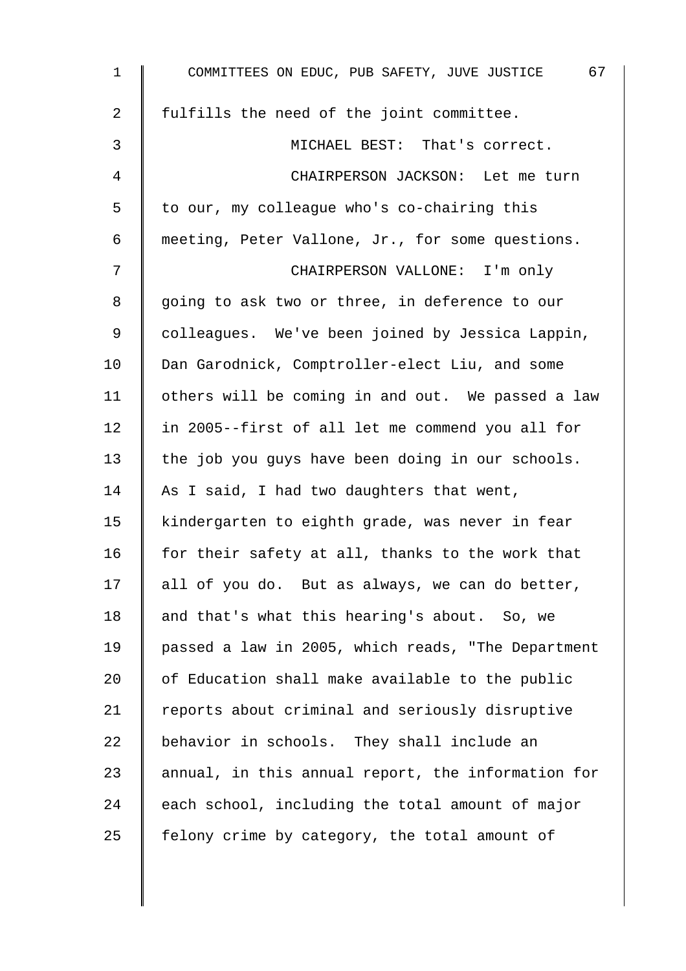| $\mathbf 1$    | 67<br>COMMITTEES ON EDUC, PUB SAFETY, JUVE JUSTICE |
|----------------|----------------------------------------------------|
| $\overline{a}$ | fulfills the need of the joint committee.          |
| 3              | MICHAEL BEST: That's correct.                      |
| 4              | CHAIRPERSON JACKSON: Let me turn                   |
| 5              | to our, my colleague who's co-chairing this        |
| 6              | meeting, Peter Vallone, Jr., for some questions.   |
| 7              | CHAIRPERSON VALLONE: I'm only                      |
| 8              | going to ask two or three, in deference to our     |
| 9              | colleagues. We've been joined by Jessica Lappin,   |
| 10             | Dan Garodnick, Comptroller-elect Liu, and some     |
| 11             | others will be coming in and out. We passed a law  |
| 12             | in 2005--first of all let me commend you all for   |
| 13             | the job you guys have been doing in our schools.   |
| 14             | As I said, I had two daughters that went,          |
| 15             | kindergarten to eighth grade, was never in fear    |
| 16             | for their safety at all, thanks to the work that   |
| 17             | all of you do. But as always, we can do better,    |
| 18             | and that's what this hearing's about. So, we       |
| 19             | passed a law in 2005, which reads, "The Department |
| 20             | of Education shall make available to the public    |
| 21             | reports about criminal and seriously disruptive    |
| 22             | behavior in schools. They shall include an         |
| 23             | annual, in this annual report, the information for |
| 24             | each school, including the total amount of major   |
| 25             | felony crime by category, the total amount of      |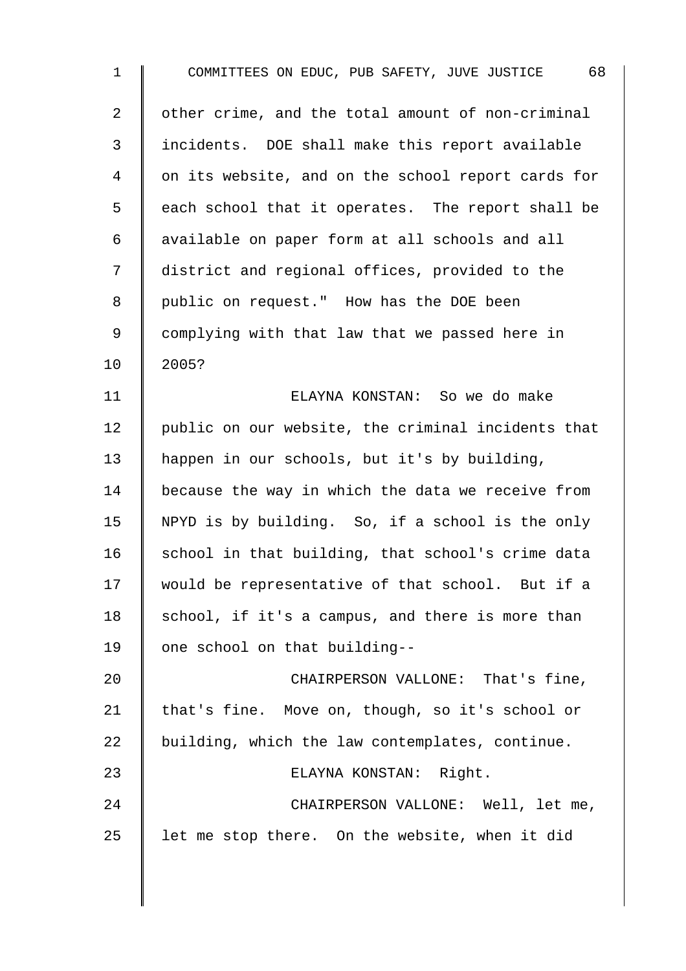| $\mathbf 1$    | COMMITTEES ON EDUC, PUB SAFETY, JUVE JUSTICE 68    |
|----------------|----------------------------------------------------|
| $\overline{a}$ | other crime, and the total amount of non-criminal  |
| $\mathfrak{Z}$ | incidents. DOE shall make this report available    |
| $\overline{4}$ | on its website, and on the school report cards for |
| 5              | each school that it operates. The report shall be  |
| 6              | available on paper form at all schools and all     |
| 7              | district and regional offices, provided to the     |
| 8              | public on request." How has the DOE been           |
| $\mathsf 9$    | complying with that law that we passed here in     |
| 10             | 2005?                                              |
| 11             | ELAYNA KONSTAN: So we do make                      |
| 12             | public on our website, the criminal incidents that |
| 13             | happen in our schools, but it's by building,       |
| 14             | because the way in which the data we receive from  |
| 15             | NPYD is by building. So, if a school is the only   |
| 16             | school in that building, that school's crime data  |
| 17             | would be representative of that school. But if a   |
| 18             | school, if it's a campus, and there is more than   |
| 19             | one school on that building--                      |
| 20             | CHAIRPERSON VALLONE: That's fine,                  |
| 21             | that's fine. Move on, though, so it's school or    |
| 22             | building, which the law contemplates, continue.    |
| 23             | ELAYNA KONSTAN: Right.                             |
| 24             | CHAIRPERSON VALLONE: Well, let me,                 |
| 25             | let me stop there. On the website, when it did     |
|                |                                                    |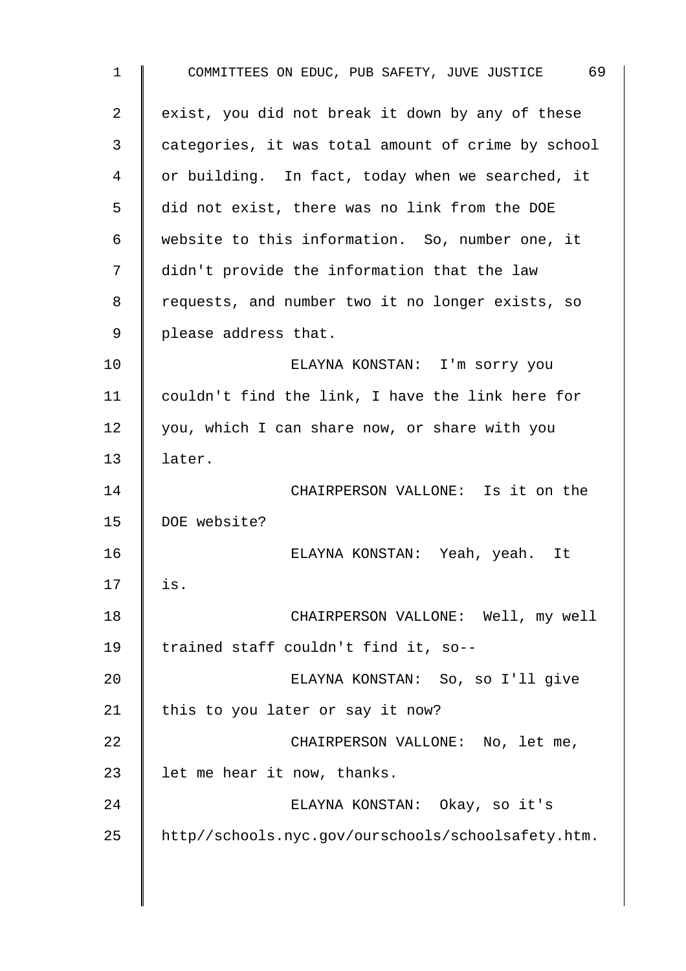| 1  | 69<br>COMMITTEES ON EDUC, PUB SAFETY, JUVE JUSTICE |
|----|----------------------------------------------------|
| 2  | exist, you did not break it down by any of these   |
| 3  | categories, it was total amount of crime by school |
| 4  | or building. In fact, today when we searched, it   |
| 5  | did not exist, there was no link from the DOE      |
| 6  | website to this information. So, number one, it    |
| 7  | didn't provide the information that the law        |
| 8  | requests, and number two it no longer exists, so   |
| 9  | please address that.                               |
| 10 | ELAYNA KONSTAN: I'm sorry you                      |
| 11 | couldn't find the link, I have the link here for   |
| 12 | you, which I can share now, or share with you      |
| 13 | later.                                             |
| 14 | CHAIRPERSON VALLONE: Is it on the                  |
| 15 | DOE website?                                       |
| 16 | ELAYNA KONSTAN: Yeah, yeah. It                     |
| 17 | is.                                                |
| 18 | CHAIRPERSON VALLONE: Well, my well                 |
| 19 | trained staff couldn't find it, so--               |
| 20 | ELAYNA KONSTAN: So, so I'll give                   |
| 21 | this to you later or say it now?                   |
| 22 | CHAIRPERSON VALLONE: No, let me,                   |
| 23 | let me hear it now, thanks.                        |
| 24 | ELAYNA KONSTAN: Okay, so it's                      |
| 25 | http//schools.nyc.gov/ourschools/schoolsafety.htm. |
|    |                                                    |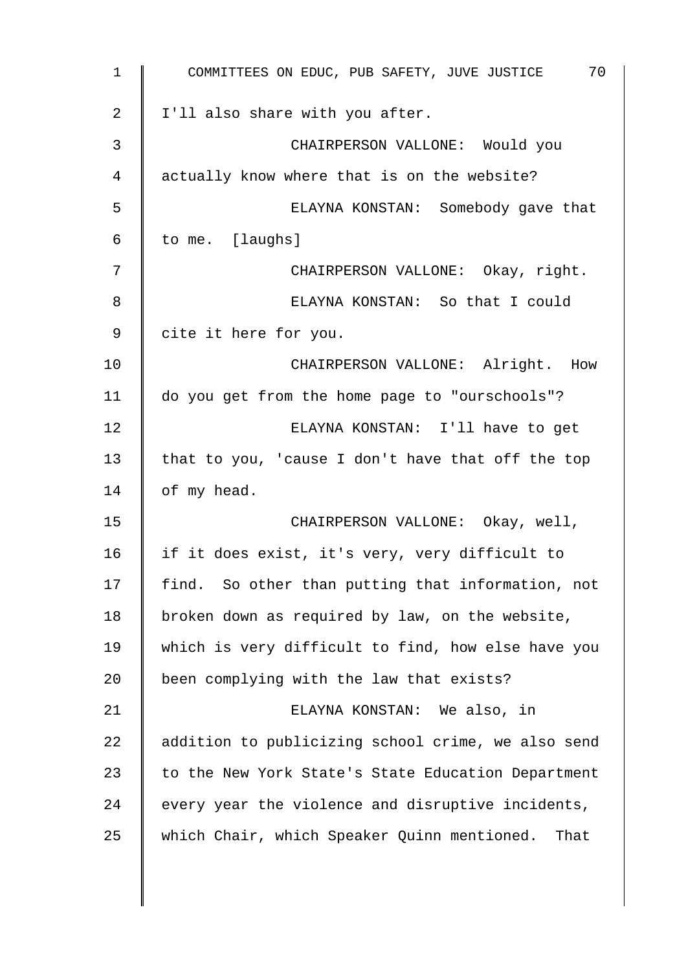| 1  | 70<br>COMMITTEES ON EDUC, PUB SAFETY, JUVE JUSTICE  |
|----|-----------------------------------------------------|
| 2  | I'll also share with you after.                     |
| 3  | CHAIRPERSON VALLONE: Would you                      |
| 4  | actually know where that is on the website?         |
| 5  | ELAYNA KONSTAN: Somebody gave that                  |
| 6  | to me. [laughs]                                     |
| 7  | CHAIRPERSON VALLONE: Okay, right.                   |
| 8  | ELAYNA KONSTAN: So that I could                     |
| 9  | cite it here for you.                               |
| 10 | CHAIRPERSON VALLONE: Alright. How                   |
| 11 | do you get from the home page to "ourschools"?      |
| 12 | ELAYNA KONSTAN: I'll have to get                    |
| 13 | that to you, 'cause I don't have that off the top   |
| 14 | of my head.                                         |
| 15 | CHAIRPERSON VALLONE: Okay, well,                    |
| 16 | if it does exist, it's very, very difficult to      |
| 17 | find. So other than putting that information, not   |
| 18 | broken down as required by law, on the website,     |
| 19 | which is very difficult to find, how else have you  |
| 20 | been complying with the law that exists?            |
| 21 | ELAYNA KONSTAN: We also, in                         |
| 22 | addition to publicizing school crime, we also send  |
| 23 | to the New York State's State Education Department  |
| 24 | every year the violence and disruptive incidents,   |
| 25 | which Chair, which Speaker Quinn mentioned.<br>That |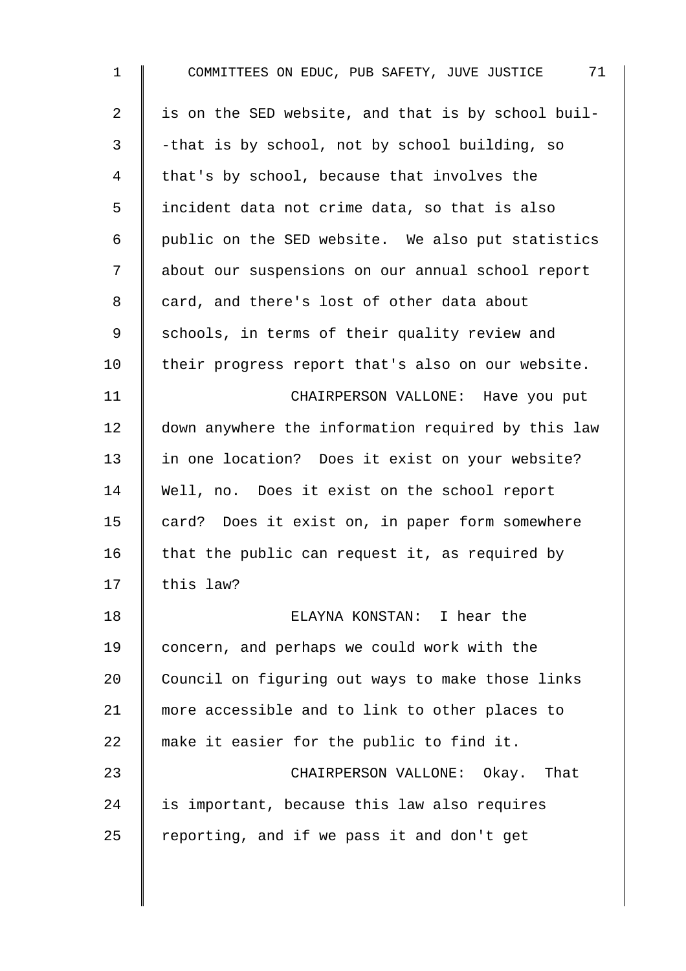| 71<br>COMMITTEES ON EDUC, PUB SAFETY, JUVE JUSTICE |
|----------------------------------------------------|
| is on the SED website, and that is by school buil- |
| -that is by school, not by school building, so     |
| that's by school, because that involves the        |
| incident data not crime data, so that is also      |
| public on the SED website. We also put statistics  |
| about our suspensions on our annual school report  |
| card, and there's lost of other data about         |
| schools, in terms of their quality review and      |
| their progress report that's also on our website.  |
| CHAIRPERSON VALLONE: Have you put                  |
| down anywhere the information required by this law |
| in one location? Does it exist on your website?    |
| Well, no. Does it exist on the school report       |
| card? Does it exist on, in paper form somewhere    |
| that the public can request it, as required by     |
| this law?                                          |
| ELAYNA KONSTAN: I hear the                         |
| concern, and perhaps we could work with the        |
| Council on figuring out ways to make those links   |
| more accessible and to link to other places to     |
| make it easier for the public to find it.          |
| CHAIRPERSON VALLONE: Okay. That                    |
| is important, because this law also requires       |
| reporting, and if we pass it and don't get         |
|                                                    |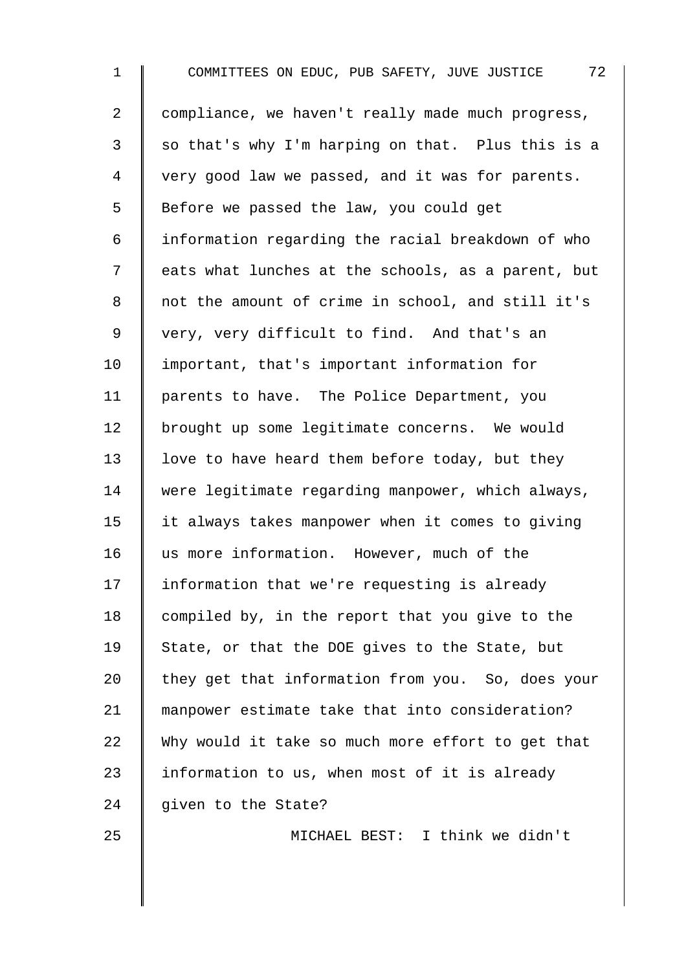1 COMMITTEES ON EDUC, PUB SAFETY, JUVE JUSTICE 72 2 compliance, we haven't really made much progress,  $3 \parallel$  so that's why I'm harping on that. Plus this is a 4 | very good law we passed, and it was for parents. 5 Before we passed the law, you could get 6 information regarding the racial breakdown of who 7 | eats what lunches at the schools, as a parent, but 8 || not the amount of crime in school, and still it's 9 | very, very difficult to find. And that's an 10 important, that's important information for 11 | parents to have. The Police Department, you 12 | brought up some legitimate concerns. We would 13  $\parallel$  love to have heard them before today, but they 14 were legitimate regarding manpower, which always, 15 it always takes manpower when it comes to giving 16 I us more information. However, much of the 17 Information that we're requesting is already 18 | compiled by, in the report that you give to the 19 State, or that the DOE gives to the State, but 20  $\parallel$  they get that information from you. So, does your 21 manpower estimate take that into consideration?  $22$  Why would it take so much more effort to get that 23 | information to us, when most of it is already 24  $\parallel$  given to the State?

25 MICHAEL BEST: I think we didn't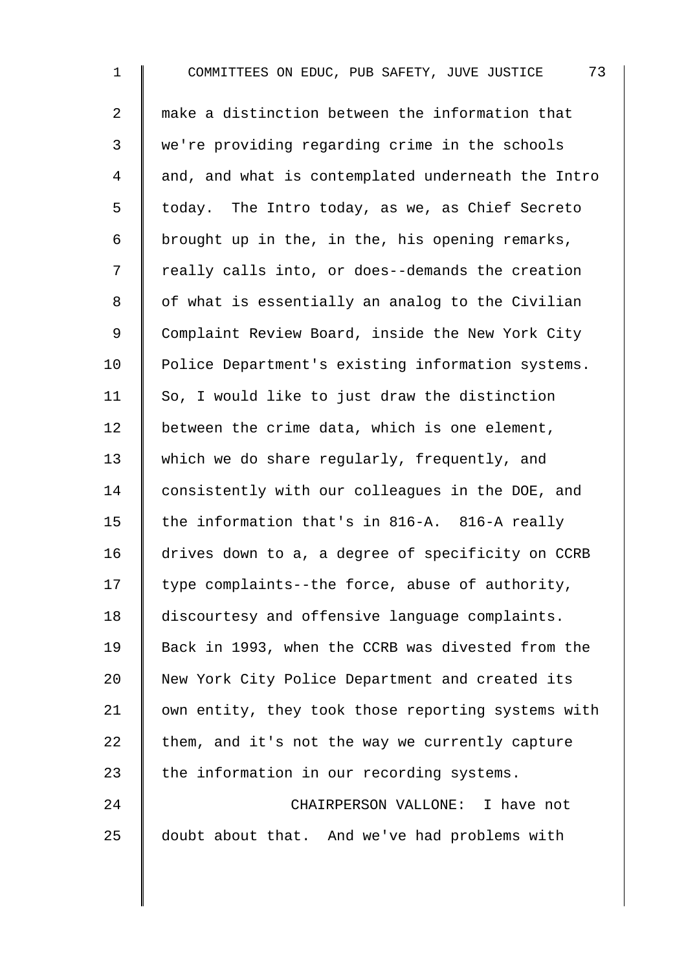1 COMMITTEES ON EDUC, PUB SAFETY, JUVE JUSTICE 73 2 make a distinction between the information that 3 we're providing regarding crime in the schools 4 and, and what is contemplated underneath the Intro 5 | today. The Intro today, as we, as Chief Secreto 6 brought up in the, in the, his opening remarks, 7 | really calls into, or does--demands the creation 8 | of what is essentially an analog to the Civilian 9 Complaint Review Board, inside the New York City 10 | Police Department's existing information systems. 11  $\parallel$  So, I would like to just draw the distinction 12  $\parallel$  between the crime data, which is one element, 13 which we do share reqularly, frequently, and 14 consistently with our colleagues in the DOE, and 15  $\parallel$  the information that's in 816-A. 816-A really 16 drives down to a, a degree of specificity on CCRB 17  $\parallel$  type complaints--the force, abuse of authority, 18 discourtesy and offensive language complaints. 19 Back in 1993, when the CCRB was divested from the 20 New York City Police Department and created its 21 | own entity, they took those reporting systems with 22  $\parallel$  them, and it's not the way we currently capture 23  $\parallel$  the information in our recording systems. 24 CHAIRPERSON VALLONE: I have not 25 doubt about that. And we've had problems with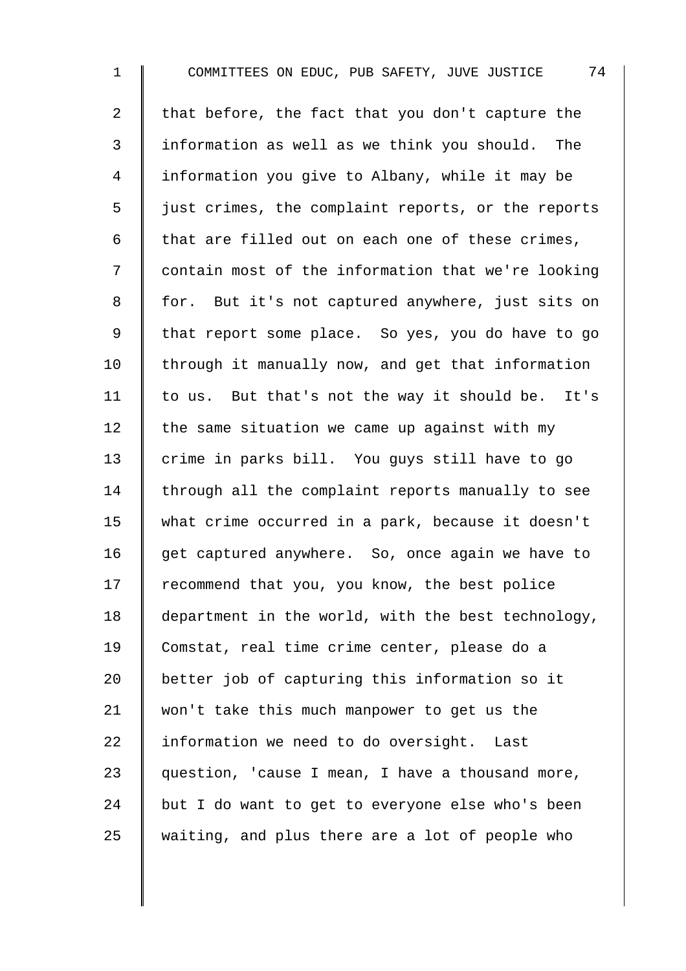1 COMMITTEES ON EDUC, PUB SAFETY, JUVE JUSTICE 74 2  $\parallel$  that before, the fact that you don't capture the 3 I information as well as we think you should. The 4 information you give to Albany, while it may be  $5 \parallel$  just crimes, the complaint reports, or the reports 6  $\parallel$  that are filled out on each one of these crimes, 7 | contain most of the information that we're looking 8 for. But it's not captured anywhere, just sits on 9 | that report some place. So yes, you do have to go  $10$  through it manually now, and get that information 11 | to us. But that's not the way it should be. It's 12  $\parallel$  the same situation we came up against with my 13 crime in parks bill. You guys still have to go  $14$  through all the complaint reports manually to see 15 what crime occurred in a park, because it doesn't 16  $\parallel$  get captured anywhere. So, once again we have to  $17$  | recommend that you, you know, the best police 18 department in the world, with the best technology, 19 Comstat, real time crime center, please do a 20 better job of capturing this information so it 21 won't take this much manpower to get us the  $22$  | information we need to do oversight. Last 23  $\parallel$  question, 'cause I mean, I have a thousand more, 24 but I do want to get to everyone else who's been  $25$  waiting, and plus there are a lot of people who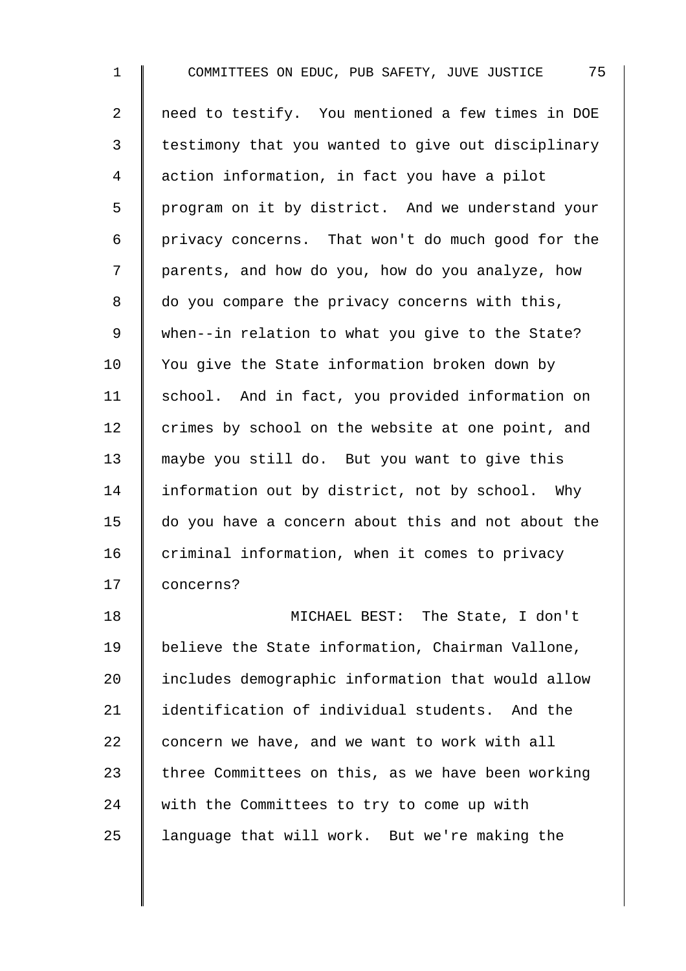1 COMMITTEES ON EDUC, PUB SAFETY, JUVE JUSTICE 75 2 | need to testify. You mentioned a few times in DOE 3 | testimony that you wanted to give out disciplinary 4 action information, in fact you have a pilot 5 | program on it by district. And we understand your  $6 \parallel$  privacy concerns. That won't do much good for the 7 | parents, and how do you, how do you analyze, how  $8 \parallel$  do you compare the privacy concerns with this, 9 When--in relation to what you give to the State? 10 | You give the State information broken down by 11 | school. And in fact, you provided information on 12  $\parallel$  crimes by school on the website at one point, and 13 maybe you still do. But you want to give this 14 Information out by district, not by school. Why 15 do you have a concern about this and not about the  $16$  criminal information, when it comes to privacy 17 concerns?

18 MICHAEL BEST: The State, I don't 19 | believe the State information, Chairman Vallone, 20 Includes demographic information that would allow 21 I identification of individual students. And the 22  $\parallel$  concern we have, and we want to work with all 23 There Committees on this, as we have been working 24 with the Committees to try to come up with 25  $\parallel$  language that will work. But we're making the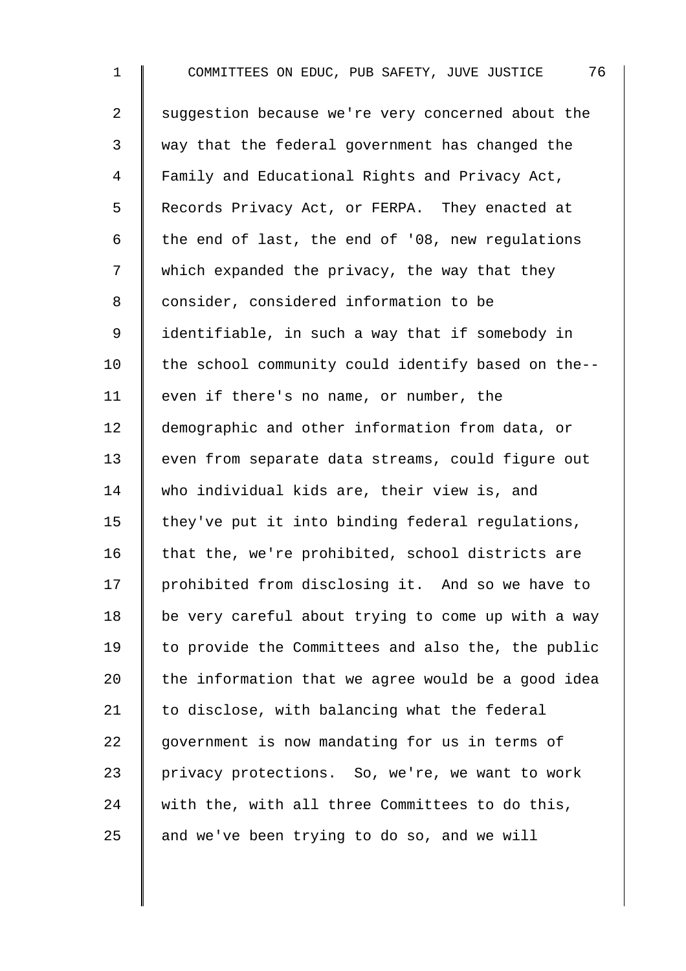1 COMMITTEES ON EDUC, PUB SAFETY, JUVE JUSTICE 76 2 Suggestion because we're very concerned about the 3 way that the federal government has changed the 4 Family and Educational Rights and Privacy Act, 5 Records Privacy Act, or FERPA. They enacted at 6 the end of last, the end of '08, new regulations 7 which expanded the privacy, the way that they 8 | consider, considered information to be 9 | identifiable, in such a way that if somebody in  $10$  | the school community could identify based on the--11 | even if there's no name, or number, the 12 demographic and other information from data, or 13 | even from separate data streams, could figure out 14 who individual kids are, their view is, and 15  $\parallel$  they've put it into binding federal regulations, 16  $\parallel$  that the, we're prohibited, school districts are 17 prohibited from disclosing it. And so we have to 18  $\parallel$  be very careful about trying to come up with a way  $19$  to provide the Committees and also the, the public 20  $\parallel$  the information that we agree would be a good idea 21  $\parallel$  to disclose, with balancing what the federal  $22$  | government is now mandating for us in terms of 23 privacy protections. So, we're, we want to work 24 with the, with all three Committees to do this, 25  $\parallel$  and we've been trying to do so, and we will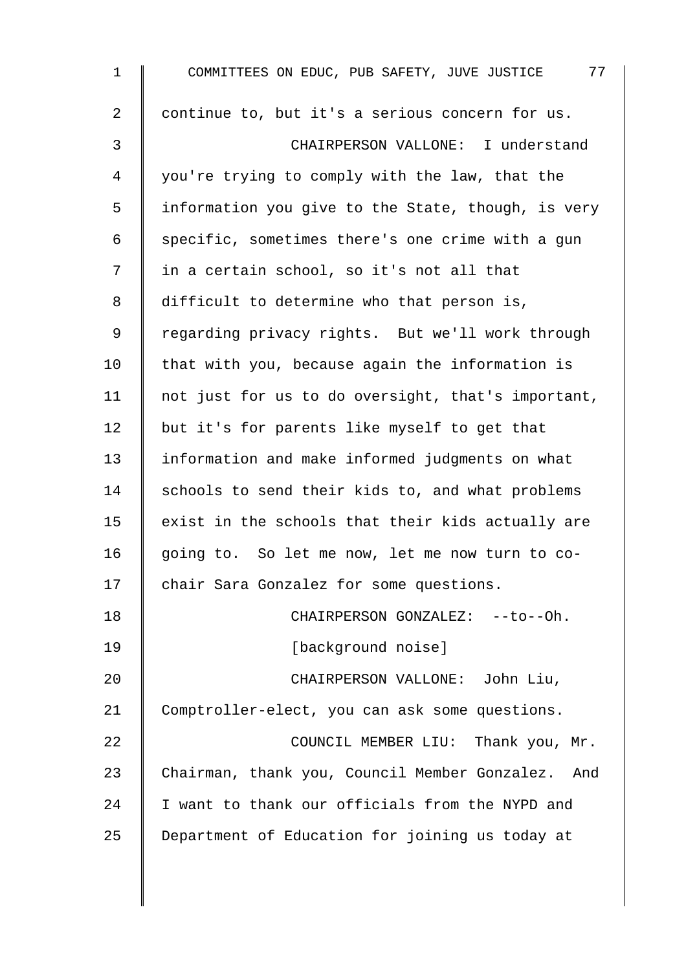| $\mathbf 1$    | 77<br>COMMITTEES ON EDUC, PUB SAFETY, JUVE JUSTICE   |
|----------------|------------------------------------------------------|
| $\overline{a}$ | continue to, but it's a serious concern for us.      |
| $\mathfrak{Z}$ | CHAIRPERSON VALLONE: I understand                    |
| 4              | you're trying to comply with the law, that the       |
| 5              | information you give to the State, though, is very   |
| 6              | specific, sometimes there's one crime with a gun     |
| 7              | in a certain school, so it's not all that            |
| 8              | difficult to determine who that person is,           |
| 9              | regarding privacy rights. But we'll work through     |
| 10             | that with you, because again the information is      |
| 11             | not just for us to do oversight, that's important,   |
| 12             | but it's for parents like myself to get that         |
| 13             | information and make informed judgments on what      |
| 14             | schools to send their kids to, and what problems     |
| 15             | exist in the schools that their kids actually are    |
| 16             | going to. So let me now, let me now turn to co-      |
| 17             | chair Sara Gonzalez for some questions.              |
| 18             | CHAIRPERSON GONZALEZ: --to--Oh.                      |
| 19             | [background noise]                                   |
| 20             | CHAIRPERSON VALLONE: John Liu,                       |
| 21             | Comptroller-elect, you can ask some questions.       |
| 22             | COUNCIL MEMBER LIU: Thank you, Mr.                   |
| 23             | Chairman, thank you, Council Member Gonzalez.<br>And |
| 24             | I want to thank our officials from the NYPD and      |
| 25             | Department of Education for joining us today at      |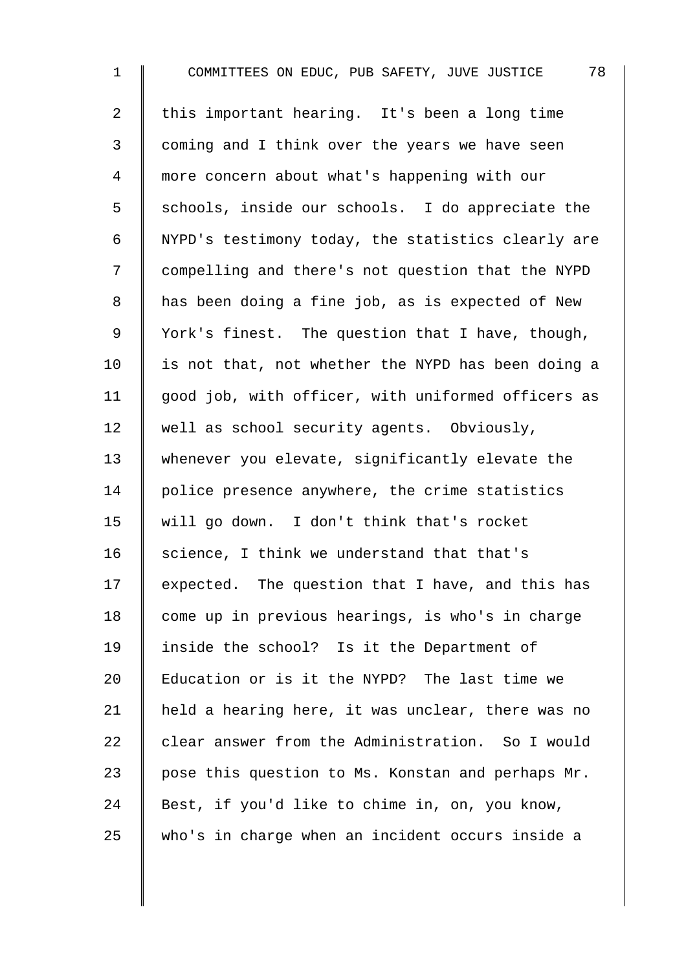1 COMMITTEES ON EDUC, PUB SAFETY, JUVE JUSTICE 78 2  $\parallel$  this important hearing. It's been a long time 3 | coming and I think over the years we have seen 4 more concern about what's happening with our  $5 \parallel$  schools, inside our schools. I do appreciate the 6 NYPD's testimony today, the statistics clearly are 7 | compelling and there's not question that the NYPD 8 a has been doing a fine job, as is expected of New 9 | York's finest. The question that I have, though,  $10$  | is not that, not whether the NYPD has been doing a 11 | good job, with officer, with uniformed officers as 12 well as school security agents. Obviously, 13 whenever you elevate, significantly elevate the 14 | police presence anywhere, the crime statistics 15 will go down. I don't think that's rocket 16  $\parallel$  science, I think we understand that that's 17  $\parallel$  expected. The question that I have, and this has 18 | come up in previous hearings, is who's in charge 19 inside the school? Is it the Department of 20 **Education or is it the NYPD?** The last time we 21 | held a hearing here, it was unclear, there was no  $22$  clear answer from the Administration. So I would 23  $\parallel$  pose this question to Ms. Konstan and perhaps Mr. 24 Best, if you'd like to chime in, on, you know, 25 who's in charge when an incident occurs inside a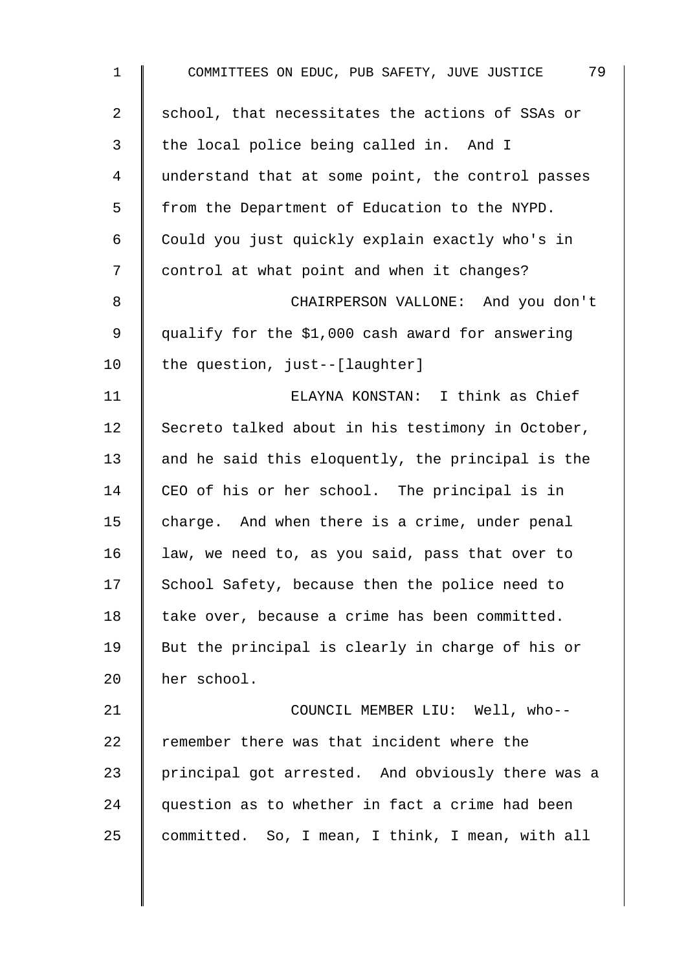| $\mathbf 1$    | 79<br>COMMITTEES ON EDUC, PUB SAFETY, JUVE JUSTICE |
|----------------|----------------------------------------------------|
| 2              | school, that necessitates the actions of SSAs or   |
| $\mathfrak{Z}$ | the local police being called in. And I            |
| 4              | understand that at some point, the control passes  |
| 5              | from the Department of Education to the NYPD.      |
| 6              | Could you just quickly explain exactly who's in    |
| 7              | control at what point and when it changes?         |
| 8              | CHAIRPERSON VALLONE: And you don't                 |
| 9              | qualify for the \$1,000 cash award for answering   |
| 10             | the question, just--[laughter]                     |
| 11             | ELAYNA KONSTAN: I think as Chief                   |
| 12             | Secreto talked about in his testimony in October,  |
| 13             | and he said this eloquently, the principal is the  |
| 14             | CEO of his or her school. The principal is in      |
| 15             | charge. And when there is a crime, under penal     |
| 16             | law, we need to, as you said, pass that over to    |
| 17             | School Safety, because then the police need to     |
| 18             | take over, because a crime has been committed.     |
| 19             | But the principal is clearly in charge of his or   |
| 20             | her school.                                        |
| 21             | COUNCIL MEMBER LIU: Well, who--                    |
| 22             | remember there was that incident where the         |
| 23             | principal got arrested. And obviously there was a  |
| 24             | question as to whether in fact a crime had been    |
| 25             | committed. So, I mean, I think, I mean, with all   |
|                |                                                    |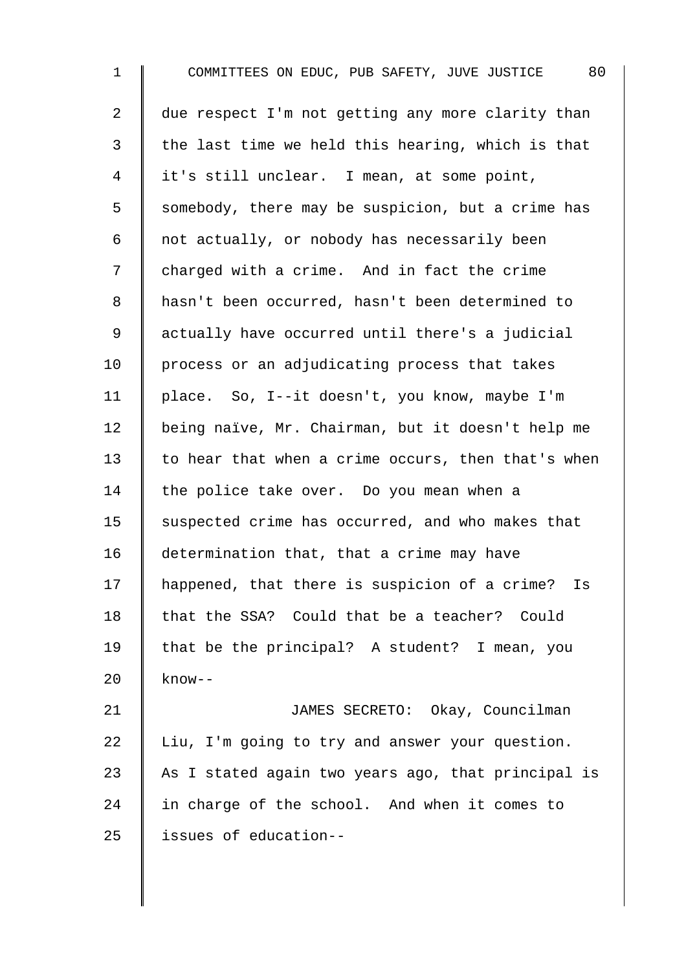1 COMMITTEES ON EDUC, PUB SAFETY, JUVE JUSTICE 80 2  $\parallel$  due respect I'm not getting any more clarity than  $3 \parallel$  the last time we held this hearing, which is that 4 it's still unclear. I mean, at some point, 5  $\parallel$  somebody, there may be suspicion, but a crime has  $6 \parallel$  not actually, or nobody has necessarily been 7 charged with a crime. And in fact the crime 8 hasn't been occurred, hasn't been determined to 9 | actually have occurred until there's a judicial 10 | process or an adjudicating process that takes 11 place. So, I--it doesn't, you know, maybe I'm 12 | being naïve, Mr. Chairman, but it doesn't help me 13  $\parallel$  to hear that when a crime occurs, then that's when 14 the police take over. Do you mean when a 15 Suspected crime has occurred, and who makes that 16 determination that, that a crime may have 17 | happened, that there is suspicion of a crime? Is 18  $\parallel$  that the SSA? Could that be a teacher? Could 19 | that be the principal? A student? I mean, you 20  $\parallel$  know--21 | JAMES SECRETO: Okay, Councilman  $22$  Liu, I'm going to try and answer your question. 23 As I stated again two years ago, that principal is 24  $\parallel$  in charge of the school. And when it comes to 25 | issues of education--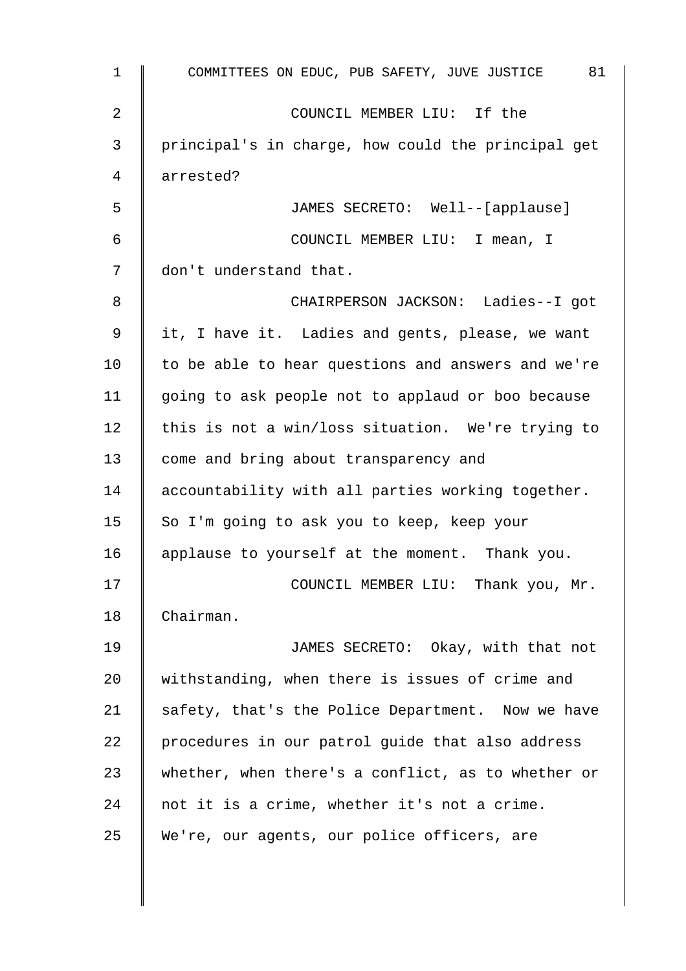| 1              | 81<br>COMMITTEES ON EDUC, PUB SAFETY, JUVE JUSTICE |
|----------------|----------------------------------------------------|
| $\overline{2}$ | COUNCIL MEMBER LIU: If the                         |
| 3              | principal's in charge, how could the principal get |
| 4              | arrested?                                          |
| 5              | JAMES SECRETO: Well--[applause]                    |
| 6              | COUNCIL MEMBER LIU: I mean, I                      |
| 7              | don't understand that.                             |
| 8              | CHAIRPERSON JACKSON: Ladies--I got                 |
| 9              | it, I have it. Ladies and gents, please, we want   |
| 10             | to be able to hear questions and answers and we're |
| 11             | going to ask people not to applaud or boo because  |
| 12             | this is not a win/loss situation. We're trying to  |
| 13             | come and bring about transparency and              |
| 14             | accountability with all parties working together.  |
| 15             | So I'm going to ask you to keep, keep your         |
| 16             | applause to yourself at the moment. Thank you.     |
| 17             | COUNCIL MEMBER LIU: Thank you, Mr.                 |
| 18             | Chairman.                                          |
| 19             | JAMES SECRETO: Okay, with that not                 |
| 20             | withstanding, when there is issues of crime and    |
| 21             | safety, that's the Police Department. Now we have  |
| 22             | procedures in our patrol guide that also address   |
| 23             | whether, when there's a conflict, as to whether or |
| 24             | not it is a crime, whether it's not a crime.       |
| 25             | We're, our agents, our police officers, are        |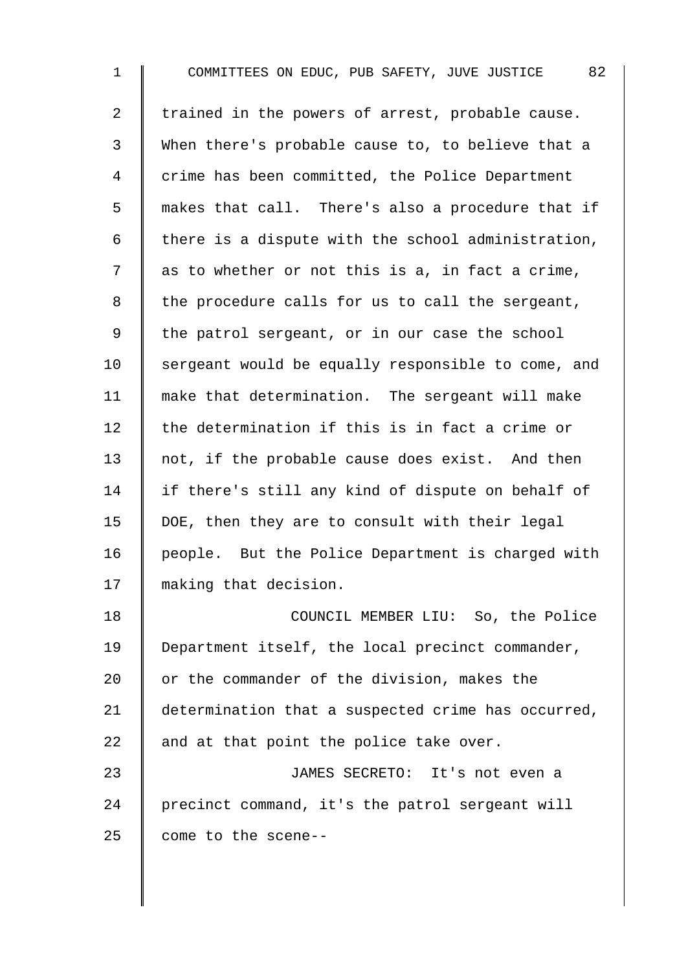1 COMMITTEES ON EDUC, PUB SAFETY, JUVE JUSTICE 82 2  $\parallel$  trained in the powers of arrest, probable cause. 3 When there's probable cause to, to believe that a 4 crime has been committed, the Police Department 5 makes that call. There's also a procedure that if 6 | there is a dispute with the school administration,  $7 \parallel$  as to whether or not this is a, in fact a crime,  $8$  | the procedure calls for us to call the sergeant, 9 | the patrol sergeant, or in our case the school  $10$  sergeant would be equally responsible to come, and 11 make that determination. The sergeant will make 12  $\parallel$  the determination if this is in fact a crime or 13 not, if the probable cause does exist. And then 14 | if there's still any kind of dispute on behalf of 15  $\parallel$  DOE, then they are to consult with their legal 16 | people. But the Police Department is charged with 17 || making that decision. 18 **I** COUNCIL MEMBER LIU: So, the Police 19 Department itself, the local precinct commander, 20  $\parallel$  or the commander of the division, makes the 21 determination that a suspected crime has occurred, 22  $\parallel$  and at that point the police take over. 23 JAMES SECRETO: It's not even a 24 precinct command, it's the patrol sergeant will 25  $\parallel$  come to the scene--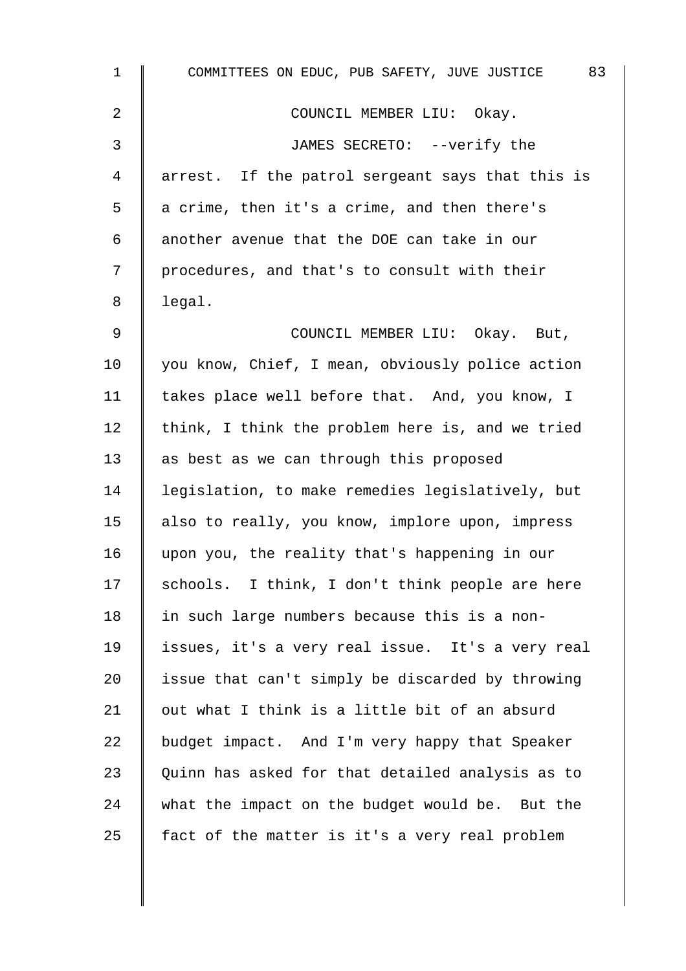| $\mathbf 1$ | 83<br>COMMITTEES ON EDUC, PUB SAFETY, JUVE JUSTICE |
|-------------|----------------------------------------------------|
| 2           | COUNCIL MEMBER LIU: Okay.                          |
| 3           | JAMES SECRETO: --verify the                        |
| 4           | arrest. If the patrol sergeant says that this is   |
| 5           | a crime, then it's a crime, and then there's       |
| 6           | another avenue that the DOE can take in our        |
| 7           | procedures, and that's to consult with their       |
| 8           | legal.                                             |
| $\mathsf 9$ | COUNCIL MEMBER LIU: Okay. But,                     |
| 10          | you know, Chief, I mean, obviously police action   |
| 11          | takes place well before that. And, you know, I     |
| 12          | think, I think the problem here is, and we tried   |
| 13          | as best as we can through this proposed            |
| 14          | legislation, to make remedies legislatively, but   |
| 15          | also to really, you know, implore upon, impress    |
| 16          | upon you, the reality that's happening in our      |
| 17          | schools. I think, I don't think people are here    |
| 18          | in such large numbers because this is a non-       |
| 19          | issues, it's a very real issue. It's a very real   |
| 20          | issue that can't simply be discarded by throwing   |
| 21          | out what I think is a little bit of an absurd      |
| 22          | budget impact. And I'm very happy that Speaker     |
| 23          | Quinn has asked for that detailed analysis as to   |
| 24          | what the impact on the budget would be. But the    |
| 25          | fact of the matter is it's a very real problem     |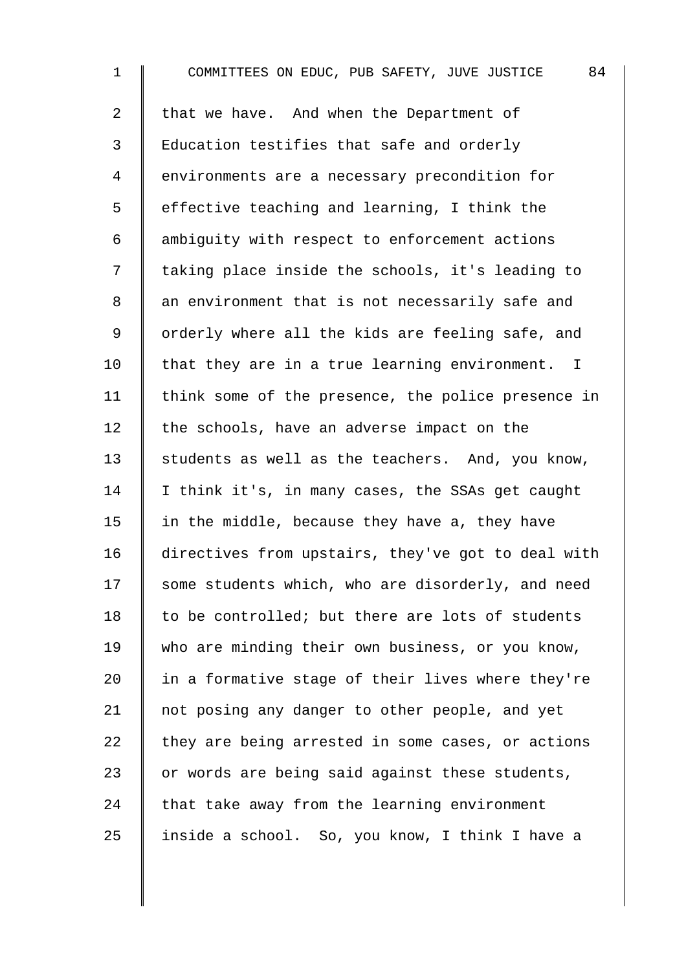1 COMMITTEES ON EDUC, PUB SAFETY, JUVE JUSTICE 84 2 Ithat we have. And when the Department of 3 Education testifies that safe and orderly 4 environments are a necessary precondition for  $5 \parallel$  effective teaching and learning, I think the  $6$   $\parallel$  ambiguity with respect to enforcement actions 7 | taking place inside the schools, it's leading to 8 an environment that is not necessarily safe and 9 | orderly where all the kids are feeling safe, and  $10$  | that they are in a true learning environment. I 11 | think some of the presence, the police presence in  $12$   $\parallel$  the schools, have an adverse impact on the 13  $\parallel$  students as well as the teachers. And, you know, 14 I think it's, in many cases, the SSAs get caught 15  $\parallel$  in the middle, because they have a, they have 16 directives from upstairs, they've got to deal with 17 Some students which, who are disorderly, and need 18  $\parallel$  to be controlled; but there are lots of students 19 who are minding their own business, or you know, 20  $\parallel$  in a formative stage of their lives where they're 21  $\parallel$  not posing any danger to other people, and yet  $22$  they are being arrested in some cases, or actions 23  $\parallel$  or words are being said against these students,  $24$  that take away from the learning environment 25  $\parallel$  inside a school. So, you know, I think I have a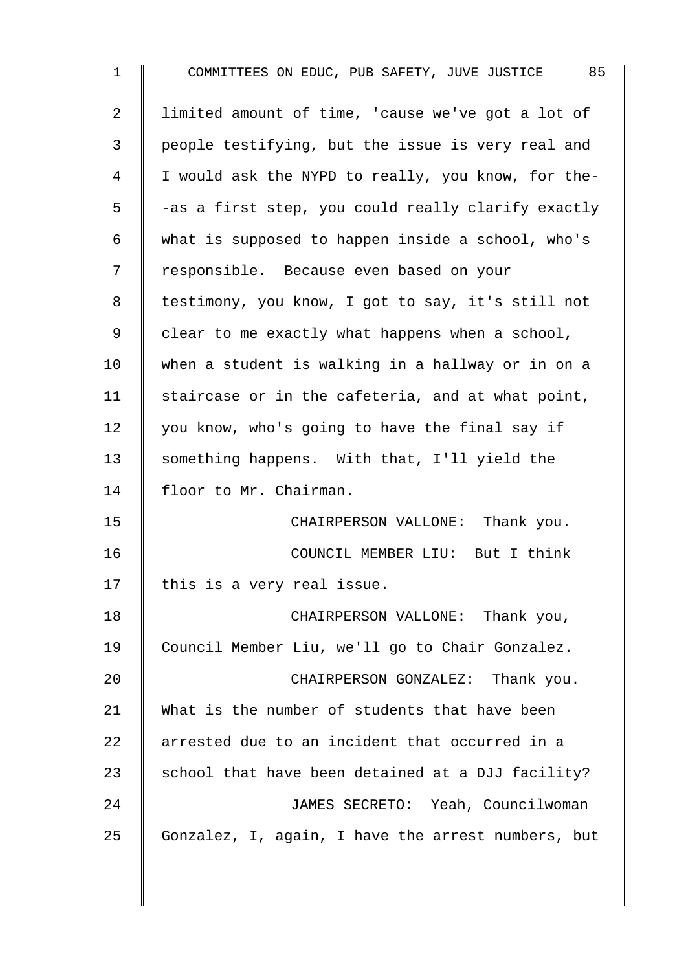| $\mathbf 1$    | COMMITTEES ON EDUC, PUB SAFETY, JUVE JUSTICE 85    |
|----------------|----------------------------------------------------|
| $\overline{2}$ | limited amount of time, 'cause we've got a lot of  |
| 3              | people testifying, but the issue is very real and  |
| $\overline{4}$ | I would ask the NYPD to really, you know, for the- |
| 5              | -as a first step, you could really clarify exactly |
| 6              | what is supposed to happen inside a school, who's  |
| 7              | responsible. Because even based on your            |
| 8              | testimony, you know, I got to say, it's still not  |
| 9              | clear to me exactly what happens when a school,    |
| 10             | when a student is walking in a hallway or in on a  |
| 11             | staircase or in the cafeteria, and at what point,  |
| 12             | you know, who's going to have the final say if     |
| 13             | something happens. With that, I'll yield the       |
| 14             | floor to Mr. Chairman.                             |
| 15             | CHAIRPERSON VALLONE: Thank you.                    |
| 16             | COUNCIL MEMBER LIU: But I think                    |
| 17             | this is a very real issue.                         |
| 18             | CHAIRPERSON VALLONE: Thank you,                    |
| 19             | Council Member Liu, we'll go to Chair Gonzalez.    |
| 20             | CHAIRPERSON GONZALEZ: Thank you.                   |
| 21             | What is the number of students that have been      |
| 22             | arrested due to an incident that occurred in a     |
| 23             | school that have been detained at a DJJ facility?  |
| 24             | JAMES SECRETO: Yeah, Councilwoman                  |
| 25             | Gonzalez, I, again, I have the arrest numbers, but |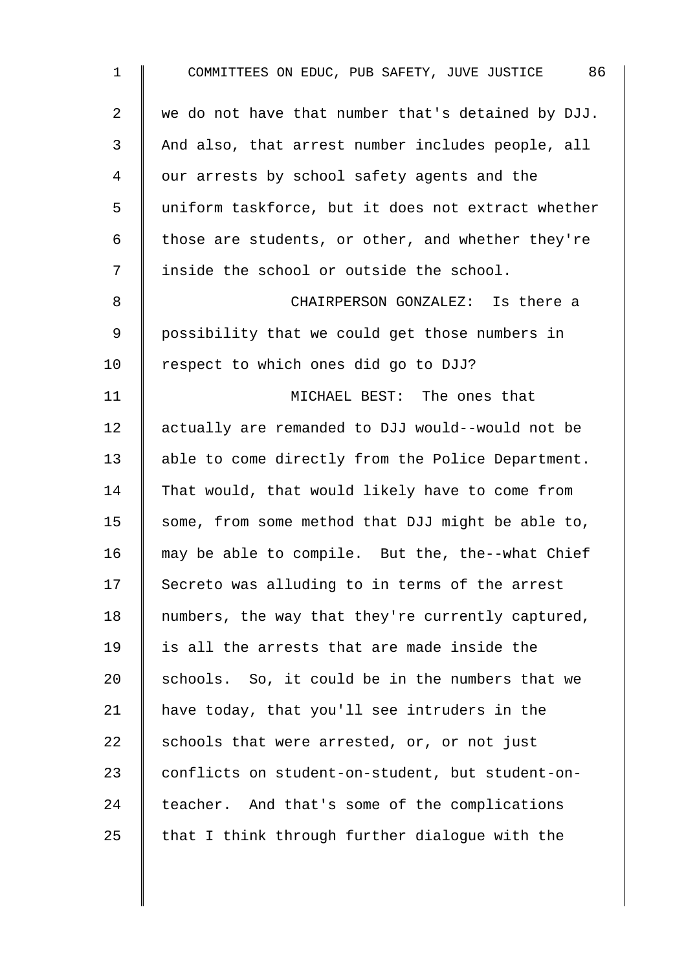| $\mathbf 1$    | 86<br>COMMITTEES ON EDUC, PUB SAFETY, JUVE JUSTICE |
|----------------|----------------------------------------------------|
| $\overline{a}$ | we do not have that number that's detained by DJJ. |
| 3              | And also, that arrest number includes people, all  |
| 4              | our arrests by school safety agents and the        |
| 5              | uniform taskforce, but it does not extract whether |
| 6              | those are students, or other, and whether they're  |
| 7              | inside the school or outside the school.           |
| 8              | CHAIRPERSON GONZALEZ: Is there a                   |
| 9              | possibility that we could get those numbers in     |
| 10             | respect to which ones did go to DJJ?               |
| 11             | MICHAEL BEST: The ones that                        |
| 12             | actually are remanded to DJJ would--would not be   |
| 13             | able to come directly from the Police Department.  |
| 14             | That would, that would likely have to come from    |
| 15             | some, from some method that DJJ might be able to,  |
| 16             | may be able to compile. But the, the--what Chief   |
| 17             | Secreto was alluding to in terms of the arrest     |
| 18             | numbers, the way that they're currently captured,  |
| 19             | is all the arrests that are made inside the        |
| 20             | schools. So, it could be in the numbers that we    |
| 21             | have today, that you'll see intruders in the       |
| 22             | schools that were arrested, or, or not just        |
| 23             | conflicts on student-on-student, but student-on-   |
| 24             | teacher. And that's some of the complications      |
| 25             | that I think through further dialogue with the     |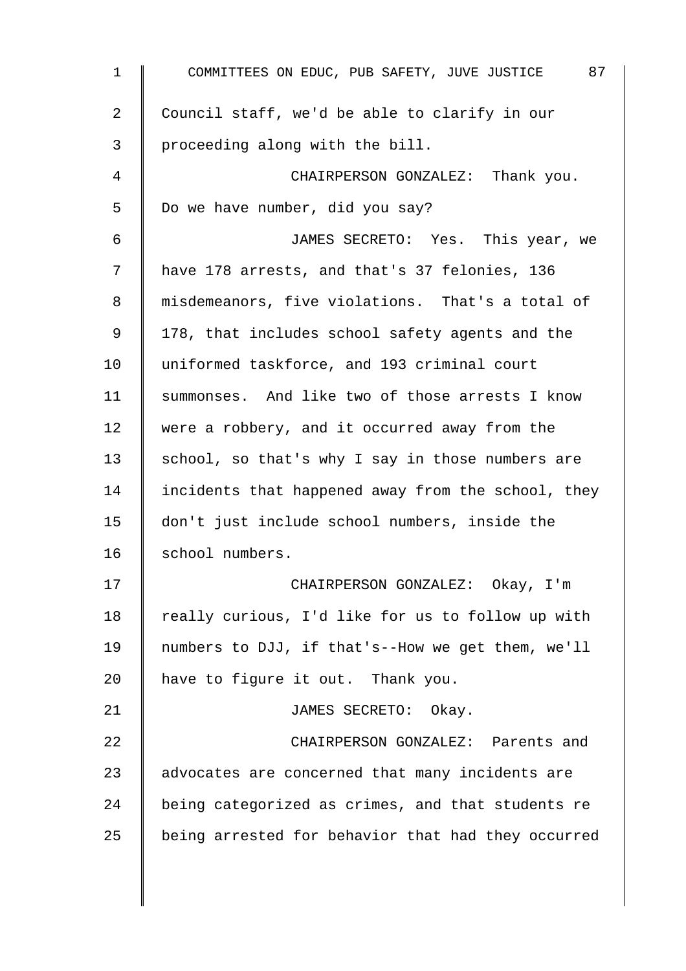| $\mathbf{1}$ | 87<br>COMMITTEES ON EDUC, PUB SAFETY, JUVE JUSTICE |
|--------------|----------------------------------------------------|
| 2            | Council staff, we'd be able to clarify in our      |
| 3            | proceeding along with the bill.                    |
| 4            | CHAIRPERSON GONZALEZ: Thank you.                   |
| 5            | Do we have number, did you say?                    |
| 6            | JAMES SECRETO: Yes. This year, we                  |
| 7            | have 178 arrests, and that's 37 felonies, 136      |
| 8            | misdemeanors, five violations. That's a total of   |
| 9            | 178, that includes school safety agents and the    |
| 10           | uniformed taskforce, and 193 criminal court        |
| 11           | summonses. And like two of those arrests I know    |
| 12           | were a robbery, and it occurred away from the      |
| 13           | school, so that's why I say in those numbers are   |
| 14           | incidents that happened away from the school, they |
| 15           | don't just include school numbers, inside the      |
| 16           | school numbers.                                    |
| 17           | CHAIRPERSON GONZALEZ: Okay, I'm                    |
| 18           | really curious, I'd like for us to follow up with  |
| 19           | numbers to DJJ, if that's--How we get them, we'll  |
| 20           | have to figure it out. Thank you.                  |
| 21           | JAMES SECRETO: Okay.                               |
| 22           | CHAIRPERSON GONZALEZ: Parents and                  |
| 23           | advocates are concerned that many incidents are    |
| 24           | being categorized as crimes, and that students re  |
| 25           | being arrested for behavior that had they occurred |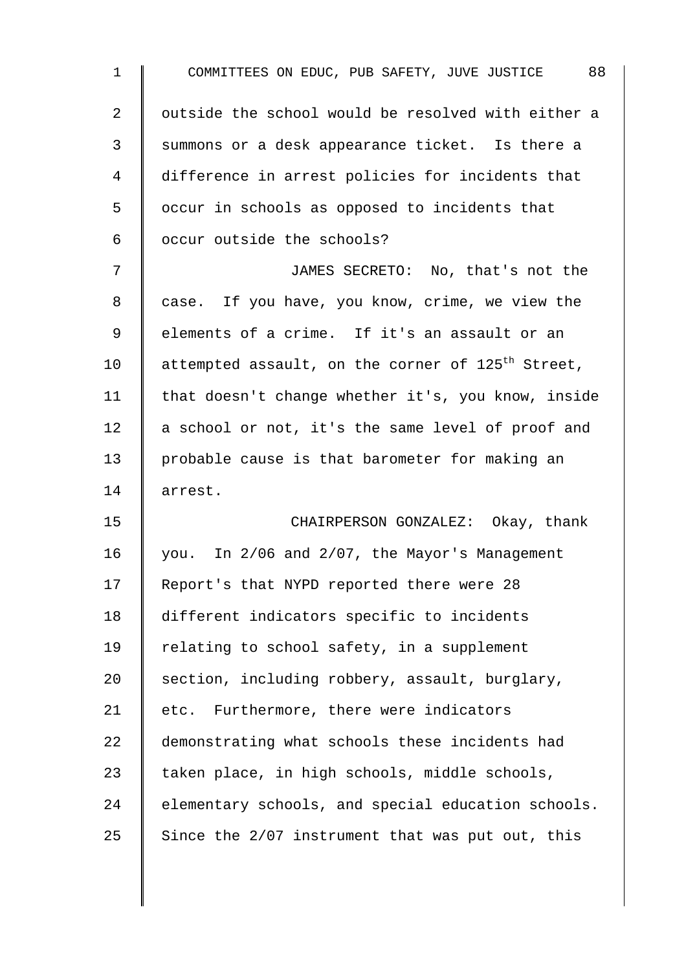| $\mathbf 1$ | COMMITTEES ON EDUC, PUB SAFETY, JUVE JUSTICE 88               |
|-------------|---------------------------------------------------------------|
| 2           | outside the school would be resolved with either a            |
| 3           | summons or a desk appearance ticket. Is there a               |
| 4           | difference in arrest policies for incidents that              |
| 5           | occur in schools as opposed to incidents that                 |
| 6           | occur outside the schools?                                    |
| 7           | JAMES SECRETO: No, that's not the                             |
| 8           | case. If you have, you know, crime, we view the               |
| 9           | elements of a crime. If it's an assault or an                 |
| 10          | attempted assault, on the corner of 125 <sup>th</sup> Street, |
| 11          | that doesn't change whether it's, you know, inside            |
| 12          | a school or not, it's the same level of proof and             |
| 13          | probable cause is that barometer for making an                |
| 14          | arrest.                                                       |
| 15          | CHAIRPERSON GONZALEZ: Okay, thank                             |
| 16          | you. In 2/06 and 2/07, the Mayor's Management                 |
| 17          | Report's that NYPD reported there were 28                     |
| 18          | different indicators specific to incidents                    |
| 19          | relating to school safety, in a supplement                    |
| 20          | section, including robbery, assault, burglary,                |
| 21          | etc. Furthermore, there were indicators                       |
| 22          | demonstrating what schools these incidents had                |
| 23          | taken place, in high schools, middle schools,                 |
| 24          | elementary schools, and special education schools.            |
| 25          | Since the 2/07 instrument that was put out, this              |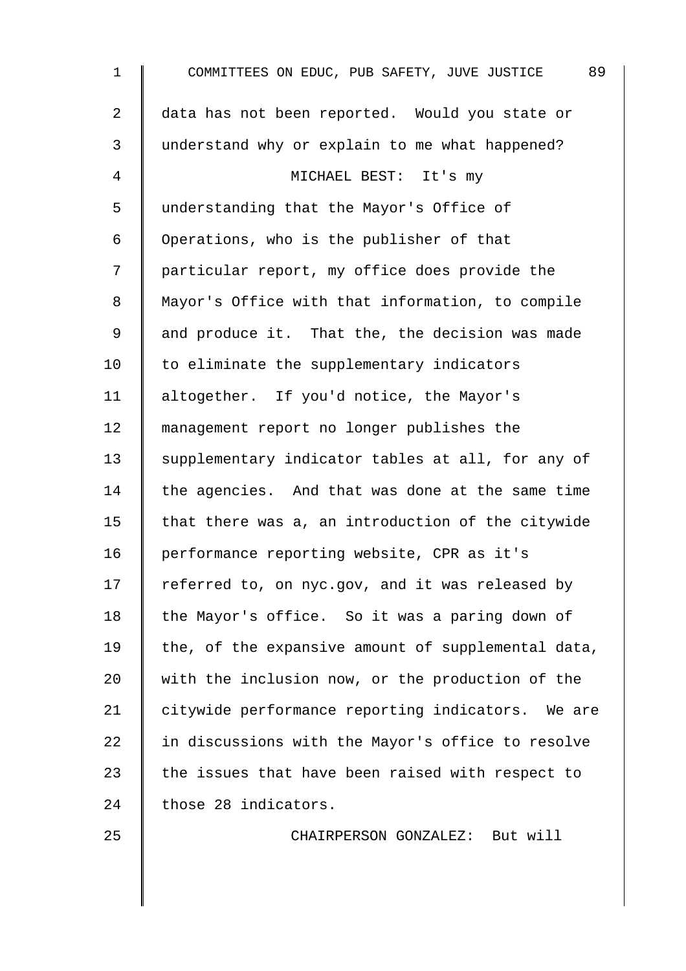1 COMMITTEES ON EDUC, PUB SAFETY, JUVE JUSTICE 89 2 data has not been reported. Would you state or 3 understand why or explain to me what happened? 4 || MICHAEL BEST: It's my 5 understanding that the Mayor's Office of 6 Operations, who is the publisher of that 7 | particular report, my office does provide the 8 | Mayor's Office with that information, to compile 9 and produce it. That the, the decision was made  $10$   $\parallel$  to eliminate the supplementary indicators 11 | altogether. If you'd notice, the Mayor's 12 management report no longer publishes the 13 Supplementary indicator tables at all, for any of  $14$  the agencies. And that was done at the same time 15  $\parallel$  that there was a, an introduction of the citywide 16 | performance reporting website, CPR as it's 17  $\parallel$  referred to, on nyc.gov, and it was released by 18 | the Mayor's office. So it was a paring down of 19 the, of the expansive amount of supplemental data, 20 with the inclusion now, or the production of the 21 | citywide performance reporting indicators. We are  $22$  | in discussions with the Mayor's office to resolve 23  $\parallel$  the issues that have been raised with respect to 24 | those 28 indicators.

25 CHAIRPERSON GONZALEZ: But will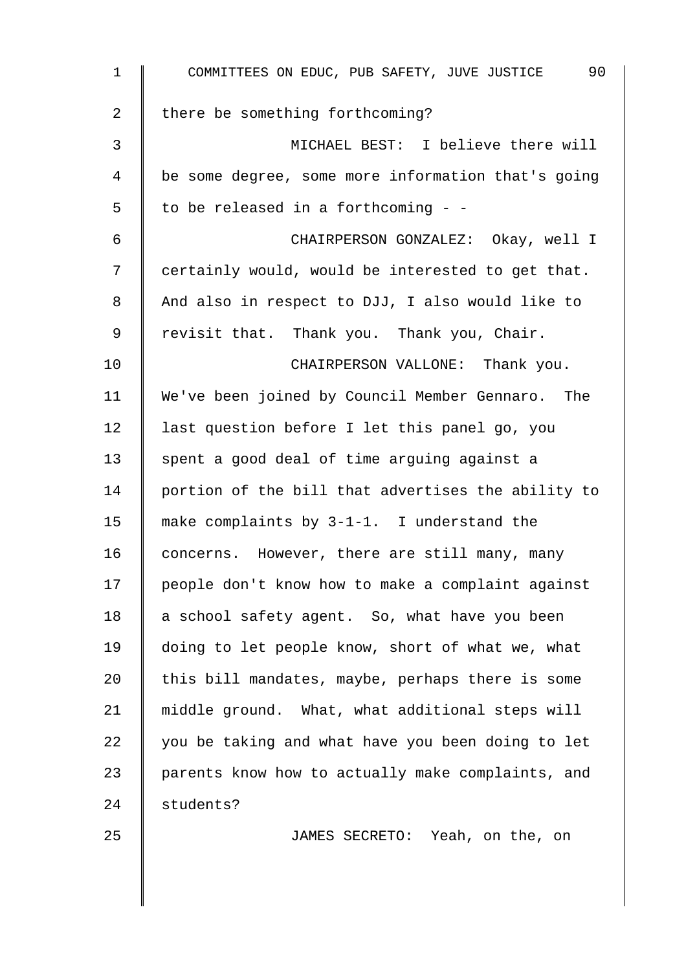| $\mathbf{1}$ | 90<br>COMMITTEES ON EDUC, PUB SAFETY, JUVE JUSTICE |
|--------------|----------------------------------------------------|
| 2            | there be something forthcoming?                    |
| 3            | MICHAEL BEST: I believe there will                 |
| 4            | be some degree, some more information that's going |
| 5            | to be released in a forthcoming - -                |
| 6            | CHAIRPERSON GONZALEZ: Okay, well I                 |
| 7            | certainly would, would be interested to get that.  |
| 8            | And also in respect to DJJ, I also would like to   |
| 9            | revisit that. Thank you. Thank you, Chair.         |
| 10           | CHAIRPERSON VALLONE: Thank you.                    |
| 11           | We've been joined by Council Member Gennaro. The   |
| 12           | last question before I let this panel go, you      |
| 13           | spent a good deal of time arguing against a        |
| 14           | portion of the bill that advertises the ability to |
| 15           | make complaints by 3-1-1. I understand the         |
| 16           | concerns. However, there are still many, many      |
| 17           | people don't know how to make a complaint against  |
| 18           | a school safety agent. So, what have you been      |
| 19           | doing to let people know, short of what we, what   |
| 20           | this bill mandates, maybe, perhaps there is some   |
| 21           | middle ground. What, what additional steps will    |
| 22           | you be taking and what have you been doing to let  |
| 23           | parents know how to actually make complaints, and  |
| 24           | students?                                          |
| 25           | JAMES SECRETO: Yeah, on the, on                    |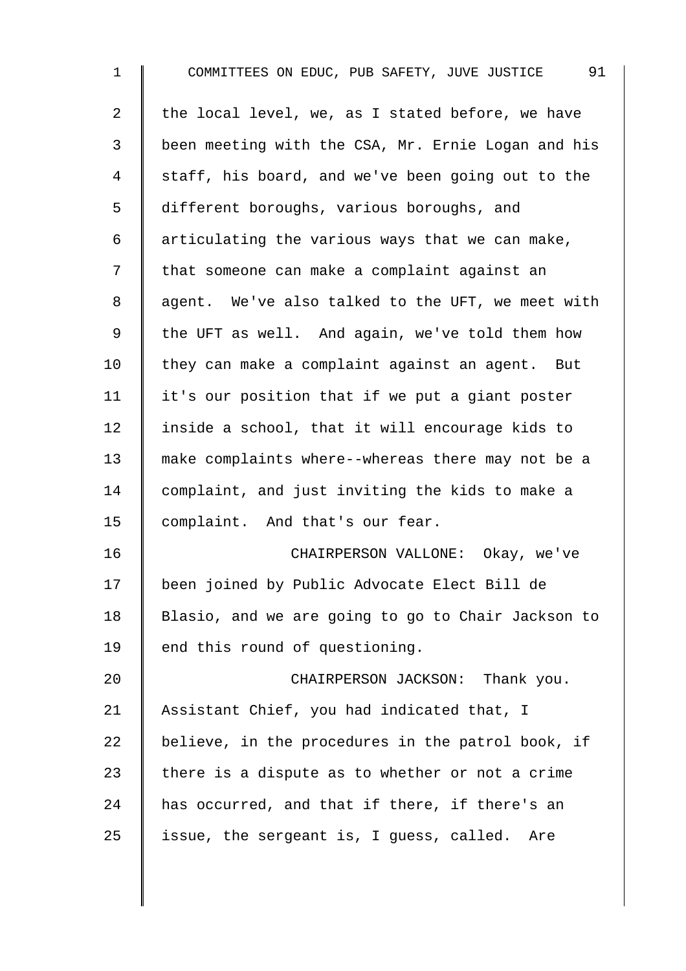| $\mathbf 1$    | 91<br>COMMITTEES ON EDUC, PUB SAFETY, JUVE JUSTICE |
|----------------|----------------------------------------------------|
| $\overline{2}$ | the local level, we, as I stated before, we have   |
| $\mathfrak{Z}$ | been meeting with the CSA, Mr. Ernie Logan and his |
| 4              | staff, his board, and we've been going out to the  |
| 5              | different boroughs, various boroughs, and          |
| 6              | articulating the various ways that we can make,    |
| 7              | that someone can make a complaint against an       |
| 8              | agent. We've also talked to the UFT, we meet with  |
| 9              | the UFT as well. And again, we've told them how    |
| 10             | they can make a complaint against an agent. But    |
| 11             | it's our position that if we put a giant poster    |
| 12             | inside a school, that it will encourage kids to    |
| 13             | make complaints where--whereas there may not be a  |
| 14             | complaint, and just inviting the kids to make a    |
| 15             | complaint. And that's our fear.                    |
| 16             | CHAIRPERSON VALLONE: Okay, we've                   |
| 17             | been joined by Public Advocate Elect Bill de       |
| 18             | Blasio, and we are going to go to Chair Jackson to |
| 19             | end this round of questioning.                     |
| 20             | CHAIRPERSON JACKSON: Thank you.                    |
| 21             | Assistant Chief, you had indicated that, I         |
| 22             | believe, in the procedures in the patrol book, if  |
| 23             | there is a dispute as to whether or not a crime    |
| 24             | has occurred, and that if there, if there's an     |
| 25             | issue, the sergeant is, I guess, called. Are       |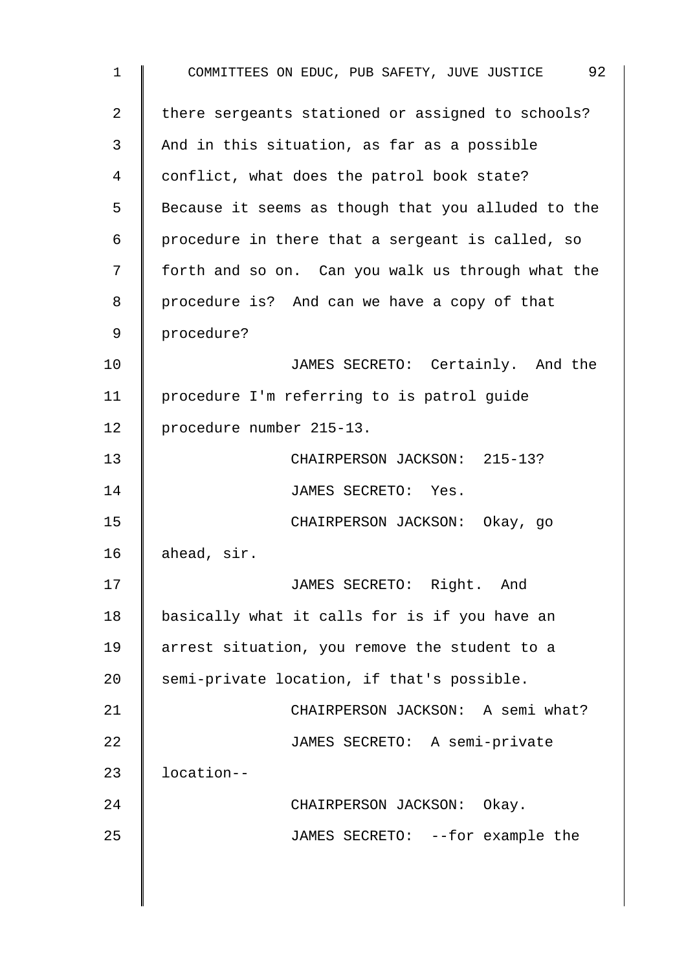1 COMMITTEES ON EDUC, PUB SAFETY, JUVE JUSTICE 92 2 | there sergeants stationed or assigned to schools? 3 And in this situation, as far as a possible 4 conflict, what does the patrol book state? 5 | Because it seems as though that you alluded to the 6 | procedure in there that a sergeant is called, so 7 | forth and so on. Can you walk us through what the 8 | procedure is? And can we have a copy of that 9 procedure? 10 | JAMES SECRETO: Certainly. And the 11 procedure I'm referring to is patrol guide 12 | procedure number 215-13. 13 CHAIRPERSON JACKSON: 215-13? 14 | JAMES SECRETO: Yes. 15 CHAIRPERSON JACKSON: Okay, go 16  $|$  ahead, sir. 17 | JAMES SECRETO: Right. And 18 | basically what it calls for is if you have an 19 arrest situation, you remove the student to a 20  $\parallel$  semi-private location, if that's possible. 21 **CHAIRPERSON JACKSON:** A semi what? 22 | JAMES SECRETO: A semi-private 23 | location--24 | CHAIRPERSON JACKSON: Okay. 25 | JAMES SECRETO: --for example the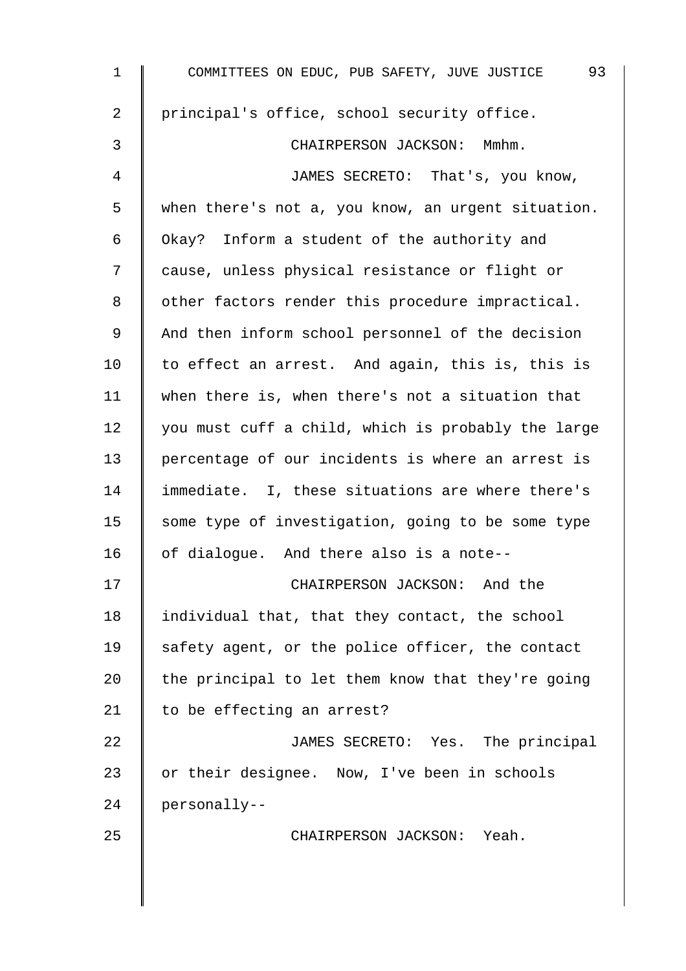| $\mathbf{1}$ | 93<br>COMMITTEES ON EDUC, PUB SAFETY, JUVE JUSTICE |
|--------------|----------------------------------------------------|
| 2            | principal's office, school security office.        |
| 3            | CHAIRPERSON JACKSON: Mmhm.                         |
| 4            | JAMES SECRETO: That's, you know,                   |
| 5            | when there's not a, you know, an urgent situation. |
| 6            | Okay? Inform a student of the authority and        |
| 7            | cause, unless physical resistance or flight or     |
| 8            | other factors render this procedure impractical.   |
| $\mathsf 9$  | And then inform school personnel of the decision   |
| 10           | to effect an arrest. And again, this is, this is   |
| 11           | when there is, when there's not a situation that   |
| 12           | you must cuff a child, which is probably the large |
| 13           | percentage of our incidents is where an arrest is  |
| 14           | immediate. I, these situations are where there's   |
| 15           | some type of investigation, going to be some type  |
| 16           | of dialogue. And there also is a note--            |
| 17           | CHAIRPERSON JACKSON: And the                       |
| 18           | individual that, that they contact, the school     |
| 19           | safety agent, or the police officer, the contact   |
| 20           | the principal to let them know that they're going  |
| 21           | to be effecting an arrest?                         |
| 22           | JAMES SECRETO: Yes. The principal                  |
| 23           | or their designee. Now, I've been in schools       |
| 24           | personally--                                       |
| 25           | CHAIRPERSON JACKSON: Yeah.                         |
|              |                                                    |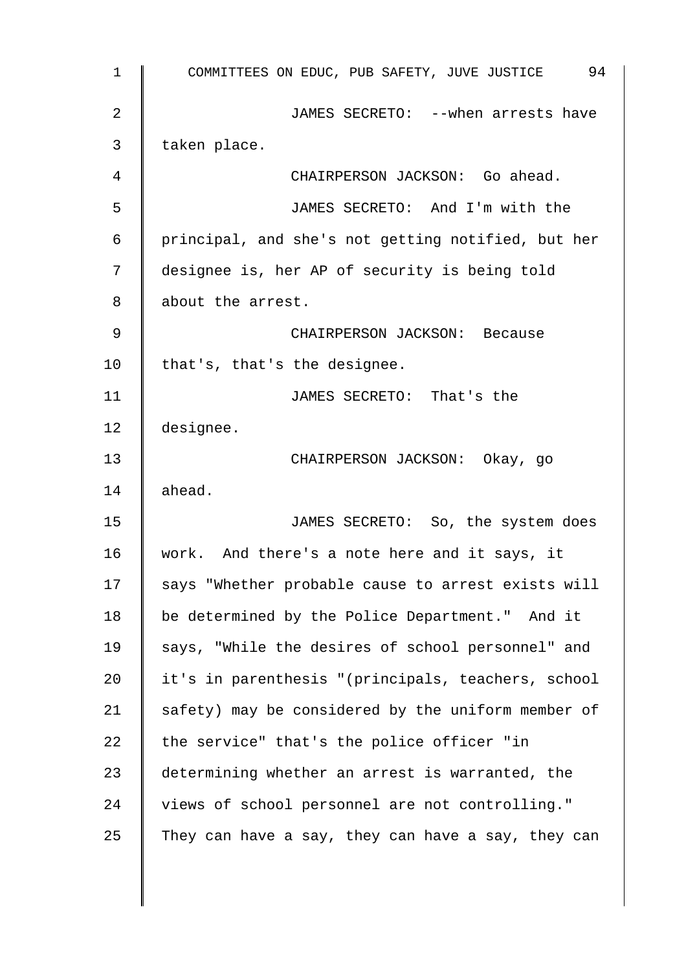1 COMMITTEES ON EDUC, PUB SAFETY, JUVE JUSTICE 94 2 JAMES SECRETO: --when arrests have  $3 \parallel$  taken place. 4 || CHAIRPERSON JACKSON: Go ahead. 5 JAMES SECRETO: And I'm with the 6 principal, and she's not getting notified, but her 7 designee is, her AP of security is being told 8 about the arrest. 9 CHAIRPERSON JACKSON: Because 10 | that's, that's the designee. 11 | JAMES SECRETO: That's the 12 designee. 13 CHAIRPERSON JACKSON: Okay, go  $14 \parallel$  ahead. 15 | JAMES SECRETO: So, the system does 16 work. And there's a note here and it says, it 17 | says "Whether probable cause to arrest exists will 18 | be determined by the Police Department." And it 19 Says, "While the desires of school personnel" and 20 | it's in parenthesis "(principals, teachers, school 21  $\parallel$  safety) may be considered by the uniform member of 22  $\parallel$  the service" that's the police officer "in 23 determining whether an arrest is warranted, the 24 views of school personnel are not controlling." 25 They can have a say, they can have a say, they can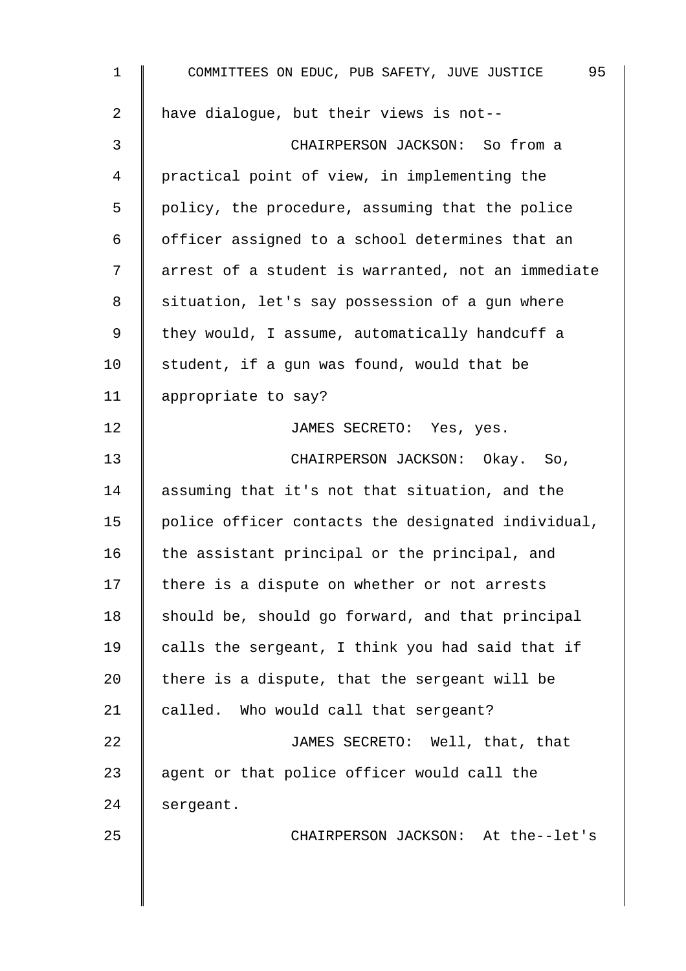| $\mathbf 1$    | 95<br>COMMITTEES ON EDUC, PUB SAFETY, JUVE JUSTICE |
|----------------|----------------------------------------------------|
| $\overline{a}$ | have dialogue, but their views is not--            |
| 3              | CHAIRPERSON JACKSON: So from a                     |
| $\overline{4}$ | practical point of view, in implementing the       |
| 5              | policy, the procedure, assuming that the police    |
| 6              | officer assigned to a school determines that an    |
| 7              | arrest of a student is warranted, not an immediate |
| 8              | situation, let's say possession of a gun where     |
| 9              | they would, I assume, automatically handcuff a     |
| 10             | student, if a gun was found, would that be         |
| 11             | appropriate to say?                                |
| 12             | JAMES SECRETO: Yes, yes.                           |
| 13             | CHAIRPERSON JACKSON: Okay. So,                     |
| 14             | assuming that it's not that situation, and the     |
| 15             | police officer contacts the designated individual, |
| 16             | the assistant principal or the principal, and      |
| 17             | there is a dispute on whether or not arrests       |
| 18             | should be, should go forward, and that principal   |
| 19             | calls the sergeant, I think you had said that if   |
| 20             | there is a dispute, that the sergeant will be      |
| 21             | called. Who would call that sergeant?              |
| 22             | JAMES SECRETO: Well, that, that                    |
| 23             | agent or that police officer would call the        |
| 24             | sergeant.                                          |
| 25             | CHAIRPERSON JACKSON: At the--let's                 |
|                |                                                    |
|                |                                                    |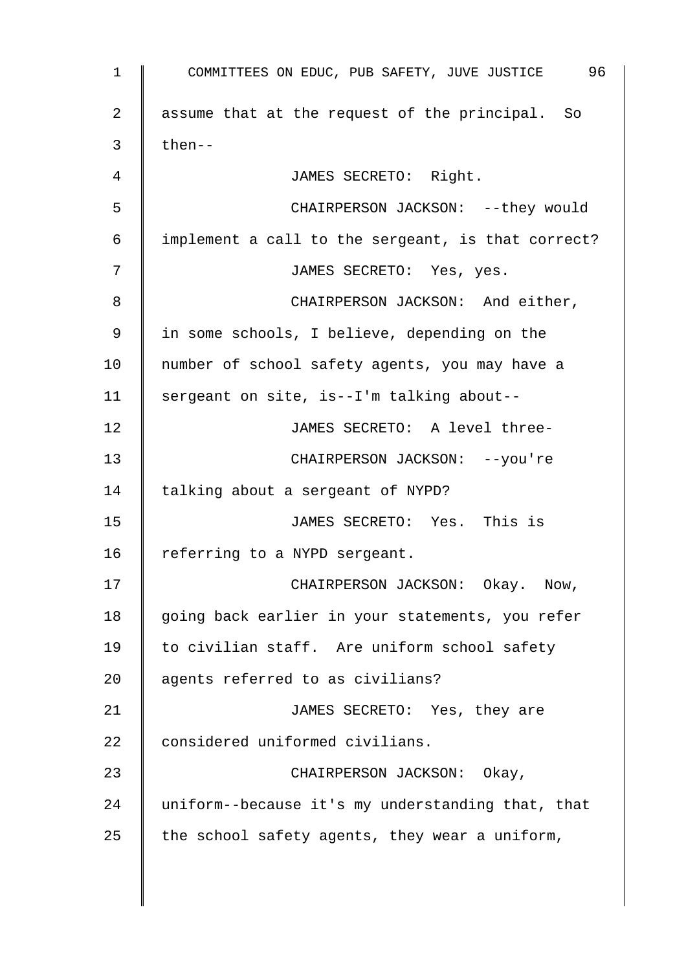| $\mathbf 1$ | 96<br>COMMITTEES ON EDUC, PUB SAFETY, JUVE JUSTICE |
|-------------|----------------------------------------------------|
| 2           | assume that at the request of the principal. So    |
| 3           | then--                                             |
| 4           | JAMES SECRETO: Right.                              |
| 5           | CHAIRPERSON JACKSON: -- they would                 |
| 6           | implement a call to the sergeant, is that correct? |
| 7           | JAMES SECRETO: Yes, yes.                           |
| 8           | CHAIRPERSON JACKSON: And either,                   |
| 9           | in some schools, I believe, depending on the       |
| 10          | number of school safety agents, you may have a     |
| 11          | sergeant on site, is--I'm talking about--          |
| 12          | JAMES SECRETO: A level three-                      |
| 13          | CHAIRPERSON JACKSON: -- you're                     |
| 14          | talking about a sergeant of NYPD?                  |
| 15          | JAMES SECRETO: Yes. This is                        |
| 16          | referring to a NYPD sergeant.                      |
| 17          | CHAIRPERSON JACKSON:<br>Okay. Now,                 |
| 18          | going back earlier in your statements, you refer   |
| 19          | to civilian staff. Are uniform school safety       |
| 20          | agents referred to as civilians?                   |
| 21          | JAMES SECRETO: Yes, they are                       |
| 22          | considered uniformed civilians.                    |
| 23          | CHAIRPERSON JACKSON: Okay,                         |
| 24          | uniform--because it's my understanding that, that  |
| 25          | the school safety agents, they wear a uniform,     |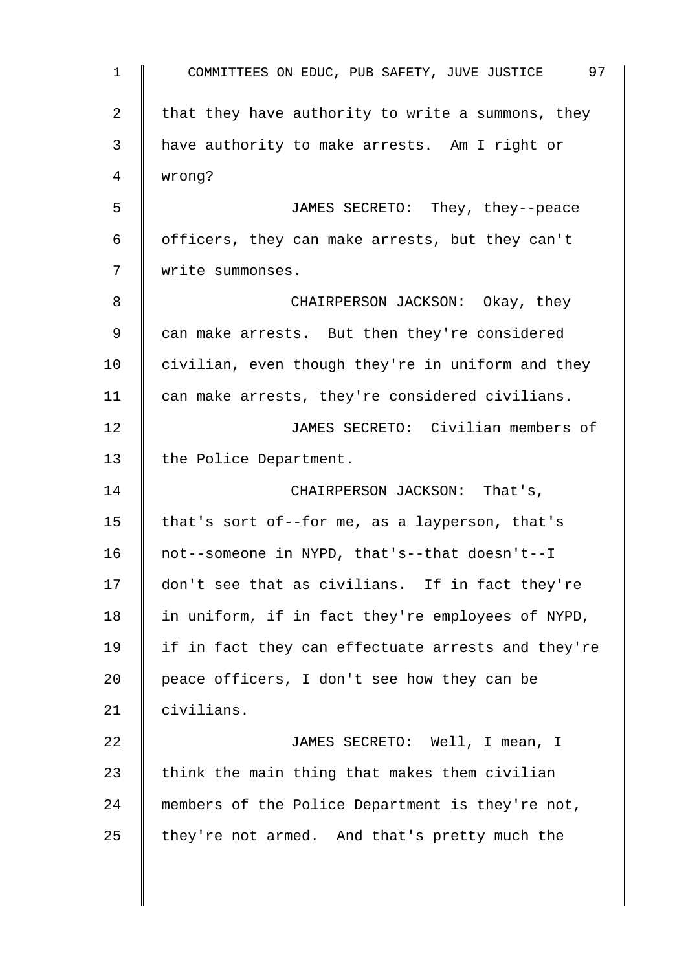| $\mathbf 1$ | 97<br>COMMITTEES ON EDUC, PUB SAFETY, JUVE JUSTICE |
|-------------|----------------------------------------------------|
| 2           | that they have authority to write a summons, they  |
| 3           | have authority to make arrests. Am I right or      |
| 4           | wrong?                                             |
| 5           | JAMES SECRETO: They, they--peace                   |
| 6           | officers, they can make arrests, but they can't    |
| 7           | write summonses.                                   |
| 8           | CHAIRPERSON JACKSON: Okay, they                    |
| 9           | can make arrests. But then they're considered      |
| 10          | civilian, even though they're in uniform and they  |
| 11          | can make arrests, they're considered civilians.    |
| 12          | JAMES SECRETO: Civilian members of                 |
| 13          | the Police Department.                             |
| 14          | CHAIRPERSON JACKSON: That's,                       |
| 15          | that's sort of--for me, as a layperson, that's     |
| 16          | not--someone in NYPD, that's--that doesn't--I      |
| 17          | don't see that as civilians. If in fact they're    |
| 18          | in uniform, if in fact they're employees of NYPD,  |
| 19          | if in fact they can effectuate arrests and they're |
| 20          | peace officers, I don't see how they can be        |
| 21          | civilians.                                         |
| 22          | JAMES SECRETO: Well, I mean, I                     |
| 23          | think the main thing that makes them civilian      |
| 24          | members of the Police Department is they're not,   |
| 25          | they're not armed. And that's pretty much the      |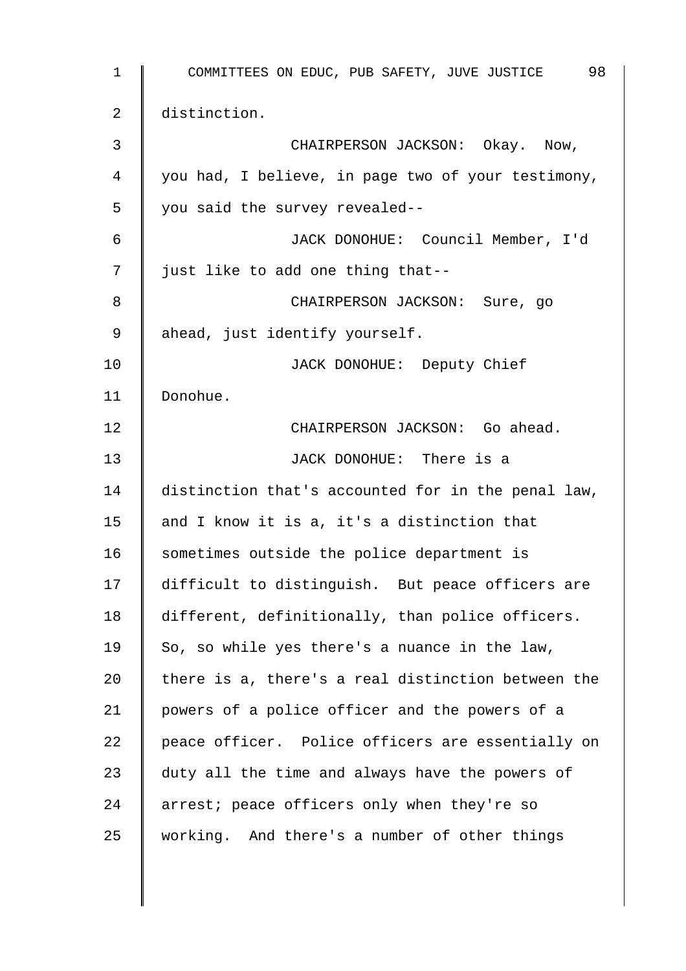| 1  | 98<br>COMMITTEES ON EDUC, PUB SAFETY, JUVE JUSTICE |
|----|----------------------------------------------------|
| 2  | distinction.                                       |
| 3  | CHAIRPERSON JACKSON: Okay. Now,                    |
| 4  | you had, I believe, in page two of your testimony, |
| 5  | you said the survey revealed--                     |
| 6  | JACK DONOHUE: Council Member, I'd                  |
| 7  | just like to add one thing that--                  |
| 8  | CHAIRPERSON JACKSON: Sure, go                      |
| 9  | ahead, just identify yourself.                     |
| 10 | JACK DONOHUE: Deputy Chief                         |
| 11 | Donohue.                                           |
| 12 | CHAIRPERSON JACKSON: Go ahead.                     |
| 13 | JACK DONOHUE: There is a                           |
| 14 | distinction that's accounted for in the penal law, |
| 15 | and I know it is a, it's a distinction that        |
| 16 | sometimes outside the police department is         |
| 17 | difficult to distinguish. But peace officers are   |
| 18 | different, definitionally, than police officers.   |
| 19 | So, so while yes there's a nuance in the law,      |
| 20 | there is a, there's a real distinction between the |
| 21 | powers of a police officer and the powers of a     |
| 22 | peace officer. Police officers are essentially on  |
| 23 | duty all the time and always have the powers of    |
| 24 | arrest; peace officers only when they're so        |
| 25 | working. And there's a number of other things      |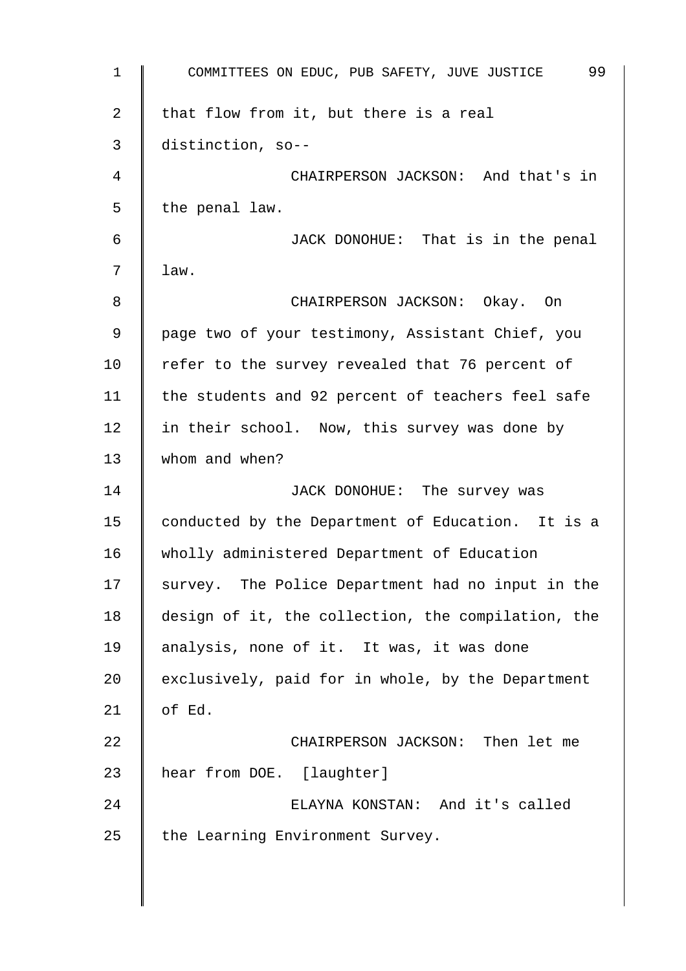| $\mathbf 1$    | 99<br>COMMITTEES ON EDUC, PUB SAFETY, JUVE JUSTICE |
|----------------|----------------------------------------------------|
| $\overline{2}$ | that flow from it, but there is a real             |
| 3              | distinction, so--                                  |
| 4              | CHAIRPERSON JACKSON: And that's in                 |
| 5              | the penal law.                                     |
| 6              | JACK DONOHUE: That is in the penal                 |
| 7              | law.                                               |
| 8              | CHAIRPERSON JACKSON: Okay. On                      |
| 9              | page two of your testimony, Assistant Chief, you   |
| 10             | refer to the survey revealed that 76 percent of    |
| 11             | the students and 92 percent of teachers feel safe  |
| 12             | in their school. Now, this survey was done by      |
| 13             | whom and when?                                     |
| 14             | JACK DONOHUE: The survey was                       |
| 15             | conducted by the Department of Education. It is a  |
| 16             | wholly administered Department of Education        |
| 17             | survey. The Police Department had no input in the  |
| 18             | design of it, the collection, the compilation, the |
| 19             | analysis, none of it. It was, it was done          |
| 20             | exclusively, paid for in whole, by the Department  |
| 21             | of Ed.                                             |
| 22             | CHAIRPERSON JACKSON: Then let me                   |
| 23             | hear from DOE. [laughter]                          |
| 24             | ELAYNA KONSTAN: And it's called                    |
| 25             | the Learning Environment Survey.                   |
|                |                                                    |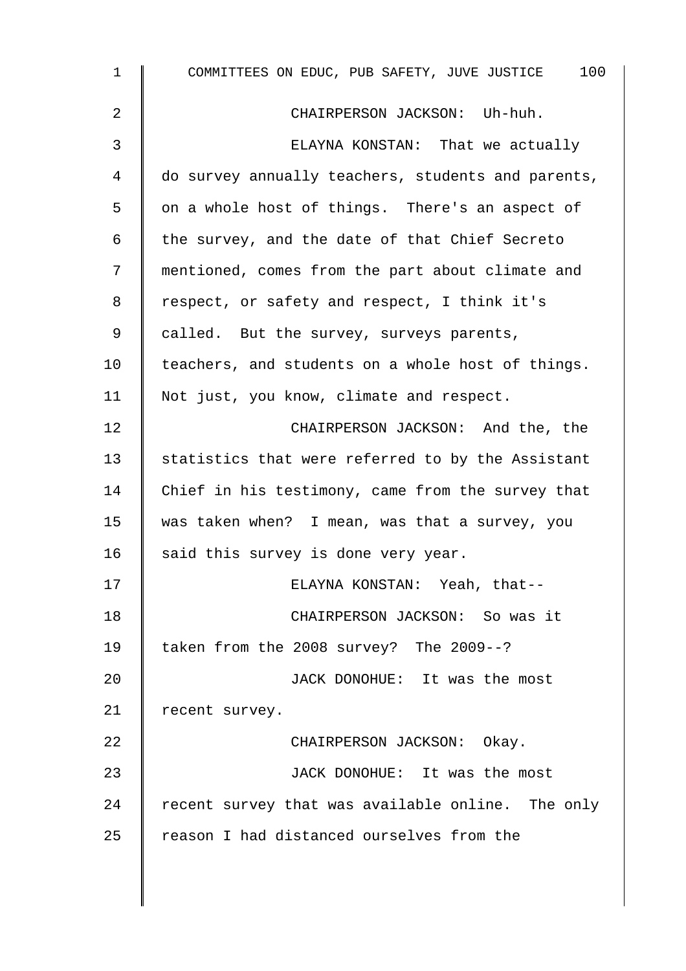| $\mathbf 1$    | COMMITTEES ON EDUC, PUB SAFETY, JUVE JUSTICE 100   |
|----------------|----------------------------------------------------|
| 2              | CHAIRPERSON JACKSON: Uh-huh.                       |
| $\mathfrak{Z}$ | ELAYNA KONSTAN: That we actually                   |
| 4              | do survey annually teachers, students and parents, |
| 5              | on a whole host of things. There's an aspect of    |
| 6              | the survey, and the date of that Chief Secreto     |
| 7              | mentioned, comes from the part about climate and   |
| 8              | respect, or safety and respect, I think it's       |
| 9              | called. But the survey, surveys parents,           |
| 10             | teachers, and students on a whole host of things.  |
| 11             | Not just, you know, climate and respect.           |
| 12             | CHAIRPERSON JACKSON: And the, the                  |
| 13             | statistics that were referred to by the Assistant  |
| 14             | Chief in his testimony, came from the survey that  |
| 15             | was taken when? I mean, was that a survey, you     |
| 16             | said this survey is done very year.                |
| 17             | ELAYNA KONSTAN: Yeah, that--                       |
| 18             | CHAIRPERSON JACKSON: So was it                     |
| 19             | taken from the 2008 survey? The 2009--?            |
| 20             | JACK DONOHUE: It was the most                      |
| 21             | recent survey.                                     |
| 22             | CHAIRPERSON JACKSON: Okay.                         |
| 23             | JACK DONOHUE: It was the most                      |
| 24             | recent survey that was available online. The only  |
| 25             | reason I had distanced ourselves from the          |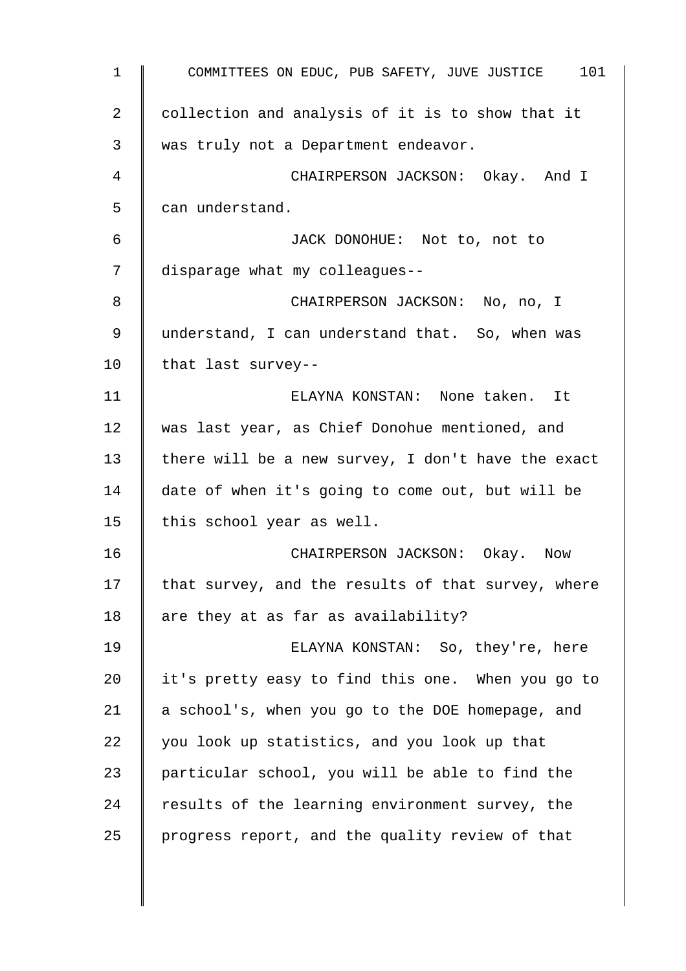1 COMMITTEES ON EDUC, PUB SAFETY, JUVE JUSTICE 101  $2 \parallel$  collection and analysis of it is to show that it 3 was truly not a Department endeavor. 4 CHAIRPERSON JACKSON: Okay. And I 5 can understand. 6 JACK DONOHUE: Not to, not to 7 disparage what my colleagues--8 CHAIRPERSON JACKSON: No, no, I 9 | understand, I can understand that. So, when was 10 | that last survey--11 ELAYNA KONSTAN: None taken. It 12 was last year, as Chief Donohue mentioned, and 13  $\parallel$  there will be a new survey, I don't have the exact 14 date of when it's going to come out, but will be 15 | this school year as well. 16 CHAIRPERSON JACKSON: Okay. Now 17  $\parallel$  that survey, and the results of that survey, where 18  $\parallel$  are they at as far as availability? 19 ELAYNA KONSTAN: So, they're, here 20 it's pretty easy to find this one. When you go to 21  $\parallel$  a school's, when you go to the DOE homepage, and 22 you look up statistics, and you look up that 23 | particular school, you will be able to find the 24 Tesults of the learning environment survey, the 25 | progress report, and the quality review of that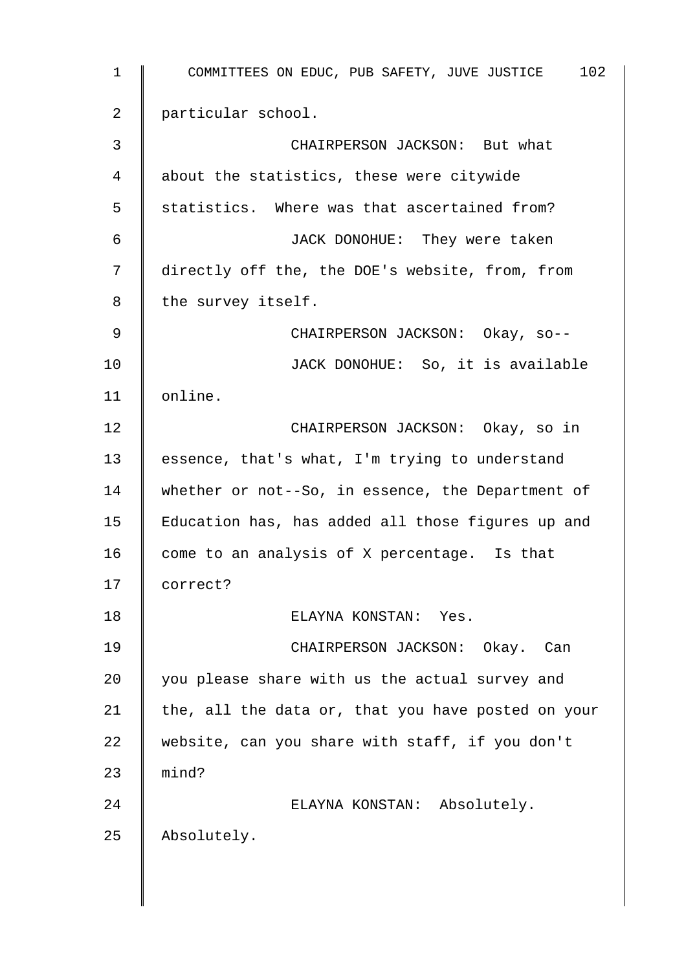1 COMMITTEES ON EDUC, PUB SAFETY, JUVE JUSTICE 102 2 particular school. 3 **CHAIRPERSON JACKSON:** But what 4 about the statistics, these were citywide 5 | statistics. Where was that ascertained from? 6 JACK DONOHUE: They were taken 7 | directly off the, the DOE's website, from, from 8 | the survey itself. 9 CHAIRPERSON JACKSON: Okay, so--10 **JACK DONOHUE:** So, it is available 11 | online. 12 **CHAIRPERSON JACKSON:** Okay, so in 13 | essence, that's what, I'm trying to understand 14 whether or not--So, in essence, the Department of 15 Education has, has added all those figures up and 16  $\parallel$  come to an analysis of X percentage. Is that 17 correct? 18 ELAYNA KONSTAN: Yes. 19 CHAIRPERSON JACKSON: Okay. Can 20  $\parallel$  you please share with us the actual survey and 21 the, all the data or, that you have posted on your 22 website, can you share with staff, if you don't  $23$  | mind? 24 | ELAYNA KONSTAN: Absolutely. 25 Absolutely.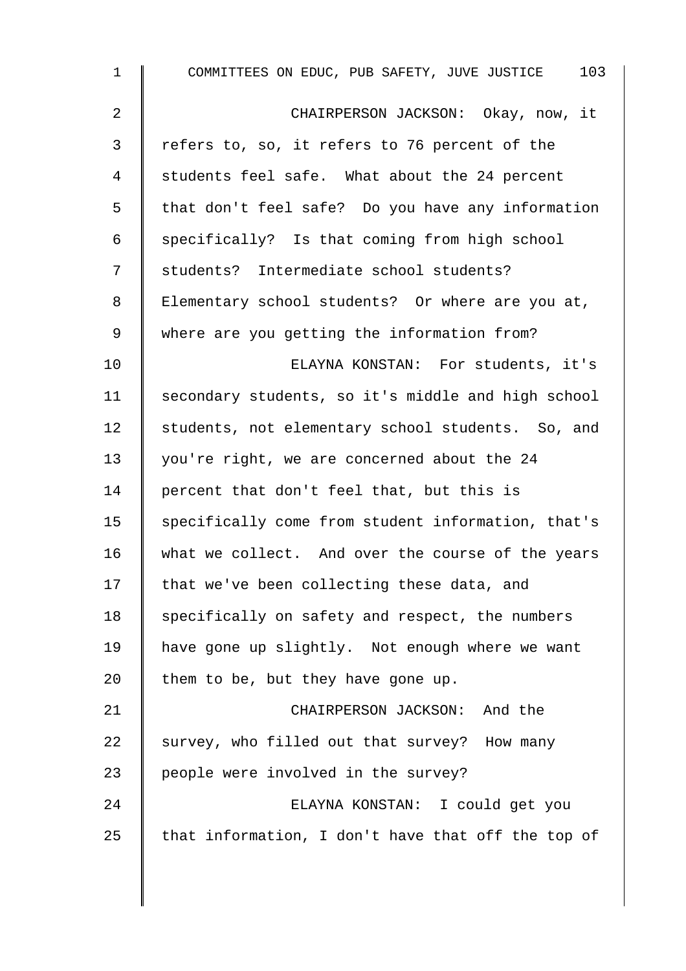| $\mathbf{1}$   | COMMITTEES ON EDUC, PUB SAFETY, JUVE JUSTICE 103   |
|----------------|----------------------------------------------------|
| 2              | CHAIRPERSON JACKSON: Okay, now, it                 |
| $\mathfrak{Z}$ | refers to, so, it refers to 76 percent of the      |
| 4              | students feel safe. What about the 24 percent      |
| 5              | that don't feel safe? Do you have any information  |
| 6              | specifically? Is that coming from high school      |
| 7              | students? Intermediate school students?            |
| 8              | Elementary school students? Or where are you at,   |
| 9              | where are you getting the information from?        |
| 10             | ELAYNA KONSTAN: For students, it's                 |
| 11             | secondary students, so it's middle and high school |
| 12             | students, not elementary school students. So, and  |
| 13             | you're right, we are concerned about the 24        |
| 14             | percent that don't feel that, but this is          |
| 15             | specifically come from student information, that's |
| 16             | what we collect. And over the course of the years  |
| 17             | that we've been collecting these data, and         |
| 18             | specifically on safety and respect, the numbers    |
| 19             | have gone up slightly. Not enough where we want    |
| 20             | them to be, but they have gone up.                 |
| 21             | CHAIRPERSON JACKSON: And the                       |
| 22             | survey, who filled out that survey? How many       |
| 23             | people were involved in the survey?                |
| 24             | ELAYNA KONSTAN: I could get you                    |
| 25             | that information, I don't have that off the top of |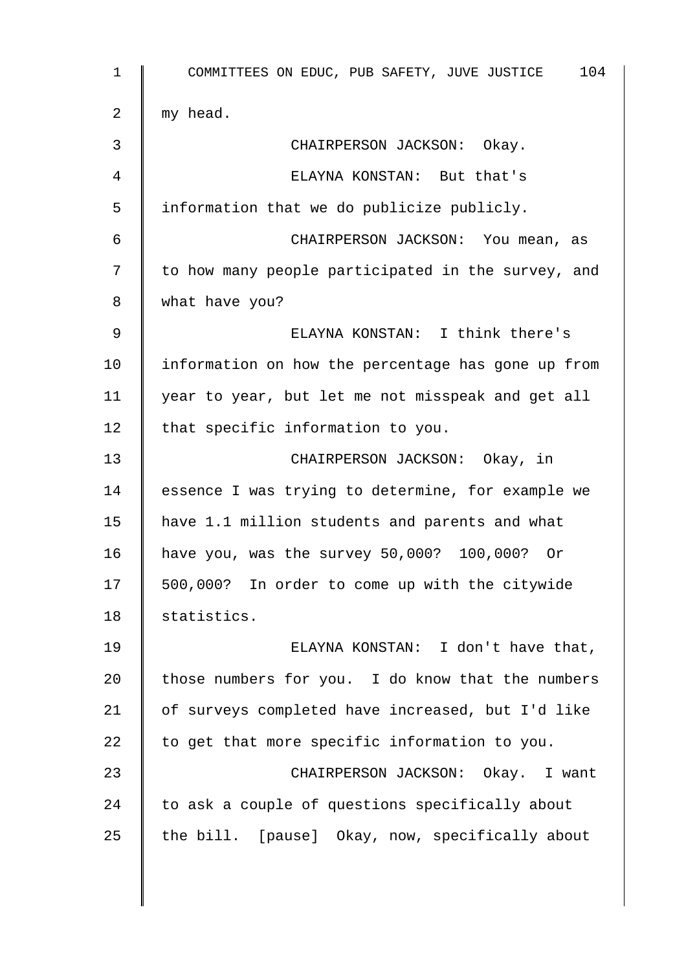1 COMMITTEES ON EDUC, PUB SAFETY, JUVE JUSTICE 104 2  $\parallel$  my head. 3 CHAIRPERSON JACKSON: Okay. 4 ELAYNA KONSTAN: But that's 5 information that we do publicize publicly. 6 CHAIRPERSON JACKSON: You mean, as 7 | to how many people participated in the survey, and 8 | what have you? 9 ELAYNA KONSTAN: I think there's 10 information on how the percentage has gone up from 11 year to year, but let me not misspeak and get all  $12$  that specific information to you. 13 CHAIRPERSON JACKSON: Okay, in 14 Sessence I was trying to determine, for example we 15 have 1.1 million students and parents and what 16 have you, was the survey 50,000? 100,000? Or 17 | 500,000? In order to come up with the citywide 18 | statistics. 19 ELAYNA KONSTAN: I don't have that, 20  $\parallel$  those numbers for you. I do know that the numbers 21 of surveys completed have increased, but I'd like 22  $\parallel$  to get that more specific information to you. 23 | CHAIRPERSON JACKSON: Okay. I want 24  $\parallel$  to ask a couple of questions specifically about 25 the bill. [pause] Okay, now, specifically about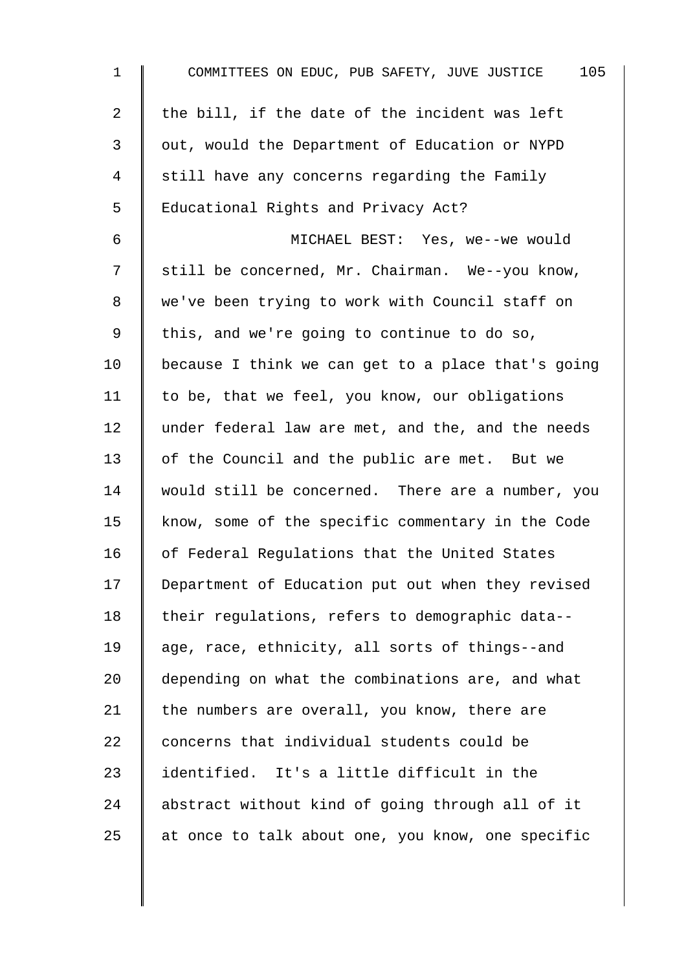| 1  | 105<br>COMMITTEES ON EDUC, PUB SAFETY, JUVE JUSTICE |
|----|-----------------------------------------------------|
| 2  | the bill, if the date of the incident was left      |
| 3  | out, would the Department of Education or NYPD      |
| 4  | still have any concerns regarding the Family        |
| 5  | Educational Rights and Privacy Act?                 |
| 6  | MICHAEL BEST: Yes, we--we would                     |
| 7  | still be concerned, Mr. Chairman. We--you know,     |
| 8  | we've been trying to work with Council staff on     |
| 9  | this, and we're going to continue to do so,         |
| 10 | because I think we can get to a place that's going  |
| 11 | to be, that we feel, you know, our obligations      |
| 12 | under federal law are met, and the, and the needs   |
| 13 | of the Council and the public are met. But we       |
| 14 | would still be concerned. There are a number, you   |
| 15 | know, some of the specific commentary in the Code   |
| 16 | of Federal Regulations that the United States       |
| 17 | Department of Education put out when they revised   |
| 18 | their regulations, refers to demographic data--     |
| 19 | age, race, ethnicity, all sorts of things--and      |
| 20 | depending on what the combinations are, and what    |
| 21 | the numbers are overall, you know, there are        |
| 22 | concerns that individual students could be          |
| 23 | identified. It's a little difficult in the          |
| 24 | abstract without kind of going through all of it    |
| 25 | at once to talk about one, you know, one specific   |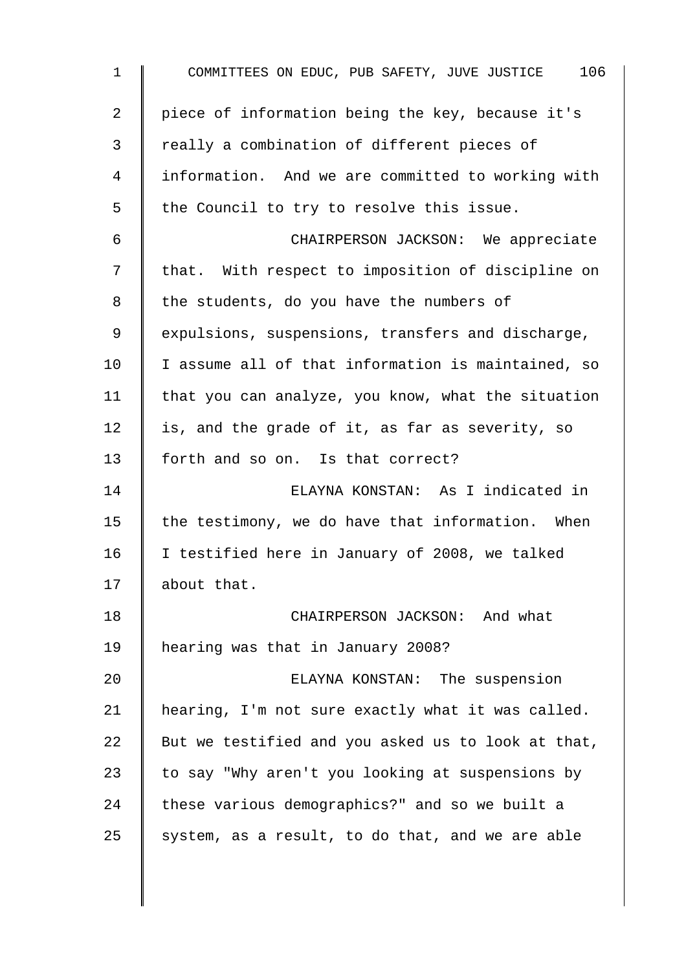| $\mathbf{1}$ | COMMITTEES ON EDUC, PUB SAFETY, JUVE JUSTICE 106   |
|--------------|----------------------------------------------------|
| 2            | piece of information being the key, because it's   |
| $\mathsf{3}$ | really a combination of different pieces of        |
| 4            | information. And we are committed to working with  |
| 5            | the Council to try to resolve this issue.          |
| 6            | CHAIRPERSON JACKSON: We appreciate                 |
| 7            | that. With respect to imposition of discipline on  |
| 8            | the students, do you have the numbers of           |
| 9            | expulsions, suspensions, transfers and discharge,  |
| 10           | I assume all of that information is maintained, so |
| 11           | that you can analyze, you know, what the situation |
| 12           | is, and the grade of it, as far as severity, so    |
| 13           | forth and so on. Is that correct?                  |
| 14           | ELAYNA KONSTAN: As I indicated in                  |
| 15           | the testimony, we do have that information. When   |
| 16           | I testified here in January of 2008, we talked     |
| 17           | about that.                                        |
| 18           | CHAIRPERSON JACKSON: And what                      |
| 19           | hearing was that in January 2008?                  |
| 20           | ELAYNA KONSTAN: The suspension                     |
| 21           | hearing, I'm not sure exactly what it was called.  |
| 22           | But we testified and you asked us to look at that, |
| 23           | to say "Why aren't you looking at suspensions by   |
| 24           | these various demographics?" and so we built a     |
| 25           | system, as a result, to do that, and we are able   |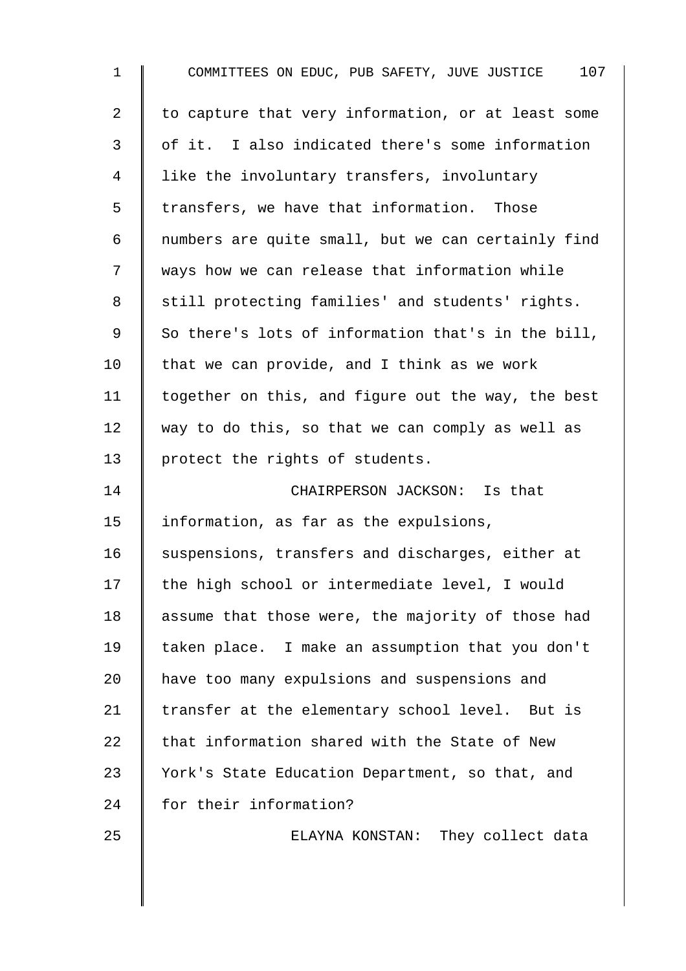| 1  | 107<br>COMMITTEES ON EDUC, PUB SAFETY, JUVE JUSTICE |
|----|-----------------------------------------------------|
| 2  | to capture that very information, or at least some  |
| 3  | of it. I also indicated there's some information    |
| 4  | like the involuntary transfers, involuntary         |
| 5  | transfers, we have that information. Those          |
| 6  | numbers are quite small, but we can certainly find  |
| 7  | ways how we can release that information while      |
| 8  | still protecting families' and students' rights.    |
| 9  | So there's lots of information that's in the bill,  |
| 10 | that we can provide, and I think as we work         |
| 11 | together on this, and figure out the way, the best  |
| 12 | way to do this, so that we can comply as well as    |
| 13 | protect the rights of students.                     |
| 14 | CHAIRPERSON JACKSON: Is that                        |
| 15 | information, as far as the expulsions,              |
| 16 | suspensions, transfers and discharges, either at    |
| 17 | the high school or intermediate level, I would      |
| 18 | assume that those were, the majority of those had   |
| 19 | taken place. I make an assumption that you don't    |
| 20 | have too many expulsions and suspensions and        |
| 21 | transfer at the elementary school level. But is     |
| 22 | that information shared with the State of New       |
| 23 | York's State Education Department, so that, and     |
| 24 | for their information?                              |
| 25 | ELAYNA KONSTAN: They collect data                   |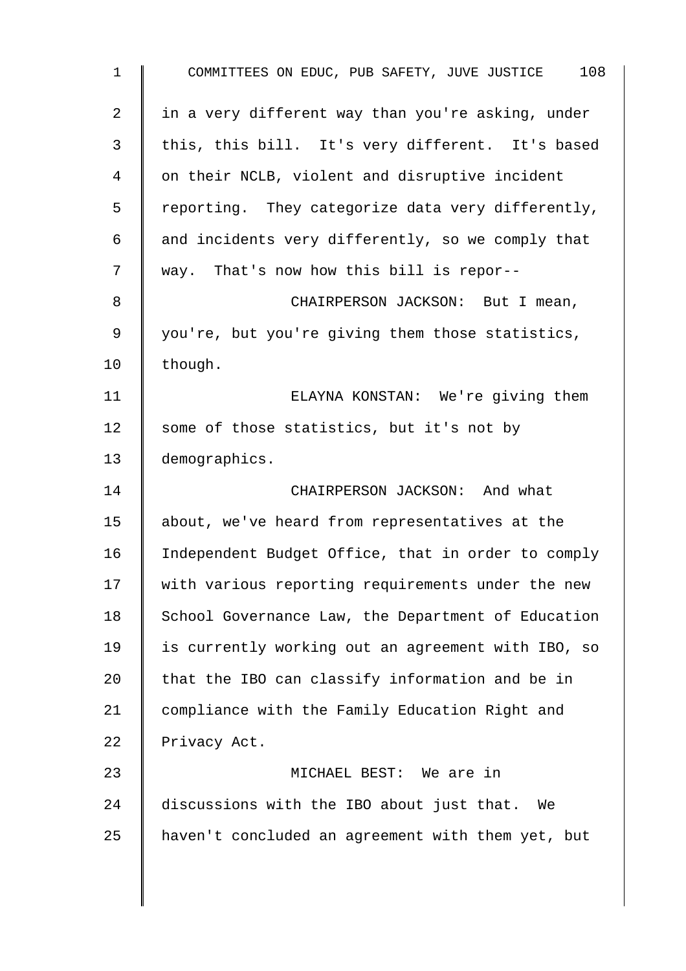| 108<br>COMMITTEES ON EDUC, PUB SAFETY, JUVE JUSTICE |
|-----------------------------------------------------|
| in a very different way than you're asking, under   |
| this, this bill. It's very different. It's based    |
| on their NCLB, violent and disruptive incident      |
| reporting. They categorize data very differently,   |
| and incidents very differently, so we comply that   |
| way. That's now how this bill is repor--            |
| CHAIRPERSON JACKSON: But I mean,                    |
| you're, but you're giving them those statistics,    |
| though.                                             |
| ELAYNA KONSTAN: We're giving them                   |
| some of those statistics, but it's not by           |
| demographics.                                       |
| CHAIRPERSON JACKSON: And what                       |
| about, we've heard from representatives at the      |
| Independent Budget Office, that in order to comply  |
| with various reporting requirements under the new   |
| School Governance Law, the Department of Education  |
| is currently working out an agreement with IBO, so  |
| that the IBO can classify information and be in     |
| compliance with the Family Education Right and      |
| Privacy Act.                                        |
| MICHAEL BEST: We are in                             |
| discussions with the IBO about just that.<br>We     |
| haven't concluded an agreement with them yet, but   |
|                                                     |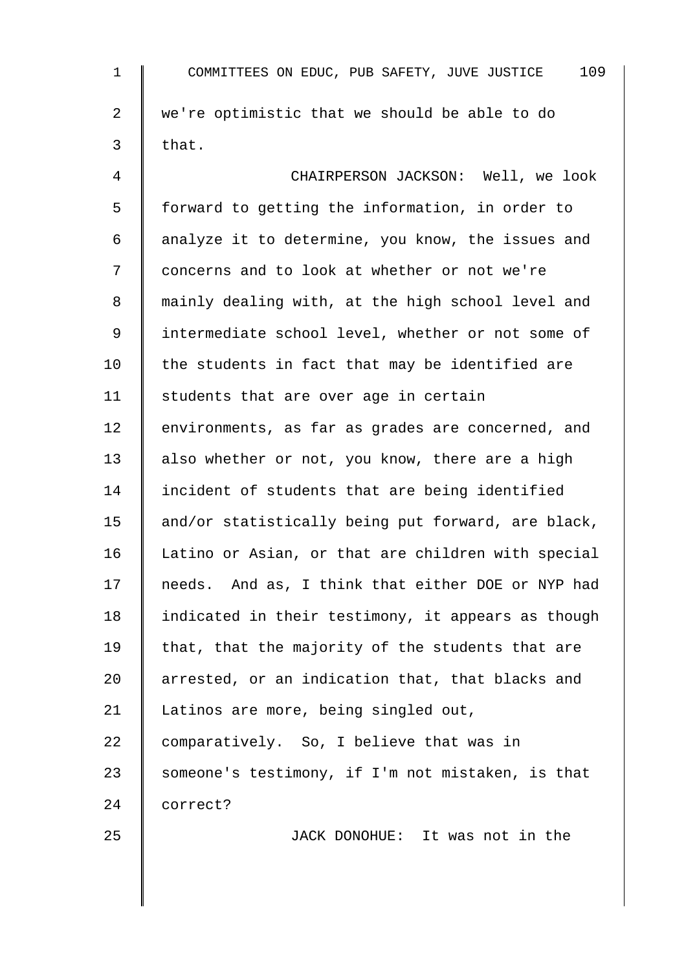| 1  | 109<br>COMMITTEES ON EDUC, PUB SAFETY, JUVE JUSTICE |
|----|-----------------------------------------------------|
| 2  | we're optimistic that we should be able to do       |
| 3  | that.                                               |
| 4  | CHAIRPERSON JACKSON: Well, we look                  |
| 5  | forward to getting the information, in order to     |
| 6  | analyze it to determine, you know, the issues and   |
| 7  | concerns and to look at whether or not we're        |
| 8  | mainly dealing with, at the high school level and   |
| 9  | intermediate school level, whether or not some of   |
| 10 | the students in fact that may be identified are     |
| 11 | students that are over age in certain               |
| 12 | environments, as far as grades are concerned, and   |
| 13 | also whether or not, you know, there are a high     |
| 14 | incident of students that are being identified      |
| 15 | and/or statistically being put forward, are black,  |
| 16 | Latino or Asian, or that are children with special  |
| 17 | needs. And as, I think that either DOE or NYP had   |
| 18 | indicated in their testimony, it appears as though  |
| 19 | that, that the majority of the students that are    |
| 20 | arrested, or an indication that, that blacks and    |
| 21 | Latinos are more, being singled out,                |
| 22 | comparatively. So, I believe that was in            |
| 23 | someone's testimony, if I'm not mistaken, is that   |
| 24 | correct?                                            |
| 25 | JACK DONOHUE: It was not in the                     |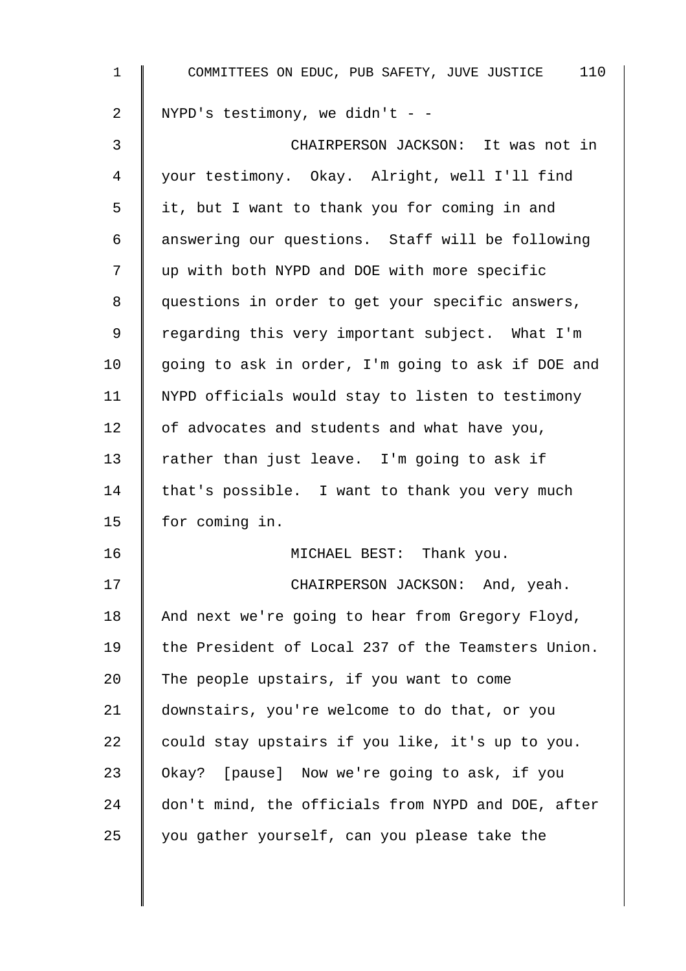| $\mathbf 1$ | COMMITTEES ON EDUC, PUB SAFETY, JUVE JUSTICE 110   |
|-------------|----------------------------------------------------|
| 2           | NYPD's testimony, we didn't - -                    |
| 3           | CHAIRPERSON JACKSON: It was not in                 |
| 4           | your testimony. Okay. Alright, well I'll find      |
| 5           | it, but I want to thank you for coming in and      |
| 6           | answering our questions. Staff will be following   |
| 7           | up with both NYPD and DOE with more specific       |
| 8           | questions in order to get your specific answers,   |
| 9           | regarding this very important subject. What I'm    |
| 10          | going to ask in order, I'm going to ask if DOE and |
| 11          | NYPD officials would stay to listen to testimony   |
| 12          | of advocates and students and what have you,       |
| 13          | rather than just leave. I'm going to ask if        |
| 14          | that's possible. I want to thank you very much     |
| 15          | for coming in.                                     |
| 16          | MICHAEL BEST: Thank you.                           |
| 17          | CHAIRPERSON JACKSON: And, yeah.                    |
| 18          | And next we're going to hear from Gregory Floyd,   |
| 19          | the President of Local 237 of the Teamsters Union. |
| 20          | The people upstairs, if you want to come           |
| 21          | downstairs, you're welcome to do that, or you      |
| 22          | could stay upstairs if you like, it's up to you.   |
| 23          | Okay? [pause] Now we're going to ask, if you       |
| 24          | don't mind, the officials from NYPD and DOE, after |
| 25          | you gather yourself, can you please take the       |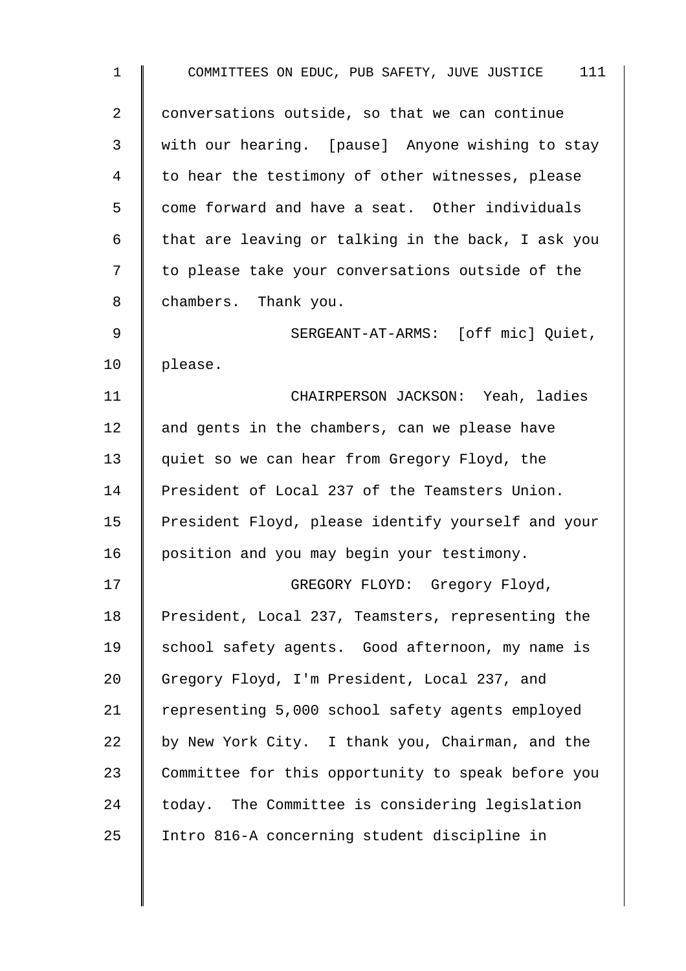| $\mathbf 1$ | COMMITTEES ON EDUC, PUB SAFETY, JUVE JUSTICE 111   |
|-------------|----------------------------------------------------|
| 2           | conversations outside, so that we can continue     |
| 3           | with our hearing. [pause] Anyone wishing to stay   |
| 4           | to hear the testimony of other witnesses, please   |
| 5           | come forward and have a seat. Other individuals    |
| 6           | that are leaving or talking in the back, I ask you |
| 7           | to please take your conversations outside of the   |
| 8           | chambers. Thank you.                               |
| 9           | SERGEANT-AT-ARMS: [off mic] Quiet,                 |
| 10          | please.                                            |
| 11          | CHAIRPERSON JACKSON: Yeah, ladies                  |
| 12          | and gents in the chambers, can we please have      |
| 13          | quiet so we can hear from Gregory Floyd, the       |
| 14          | President of Local 237 of the Teamsters Union.     |
| 15          | President Floyd, please identify yourself and your |
| 16          | position and you may begin your testimony.         |
| 17          | GREGORY FLOYD: Gregory Floyd,                      |
| 18          | President, Local 237, Teamsters, representing the  |
| 19          | school safety agents. Good afternoon, my name is   |
| 20          | Gregory Floyd, I'm President, Local 237, and       |
| 21          | representing 5,000 school safety agents employed   |
| 22          | by New York City. I thank you, Chairman, and the   |
| 23          | Committee for this opportunity to speak before you |
| 24          | today. The Committee is considering legislation    |
| 25          | Intro 816-A concerning student discipline in       |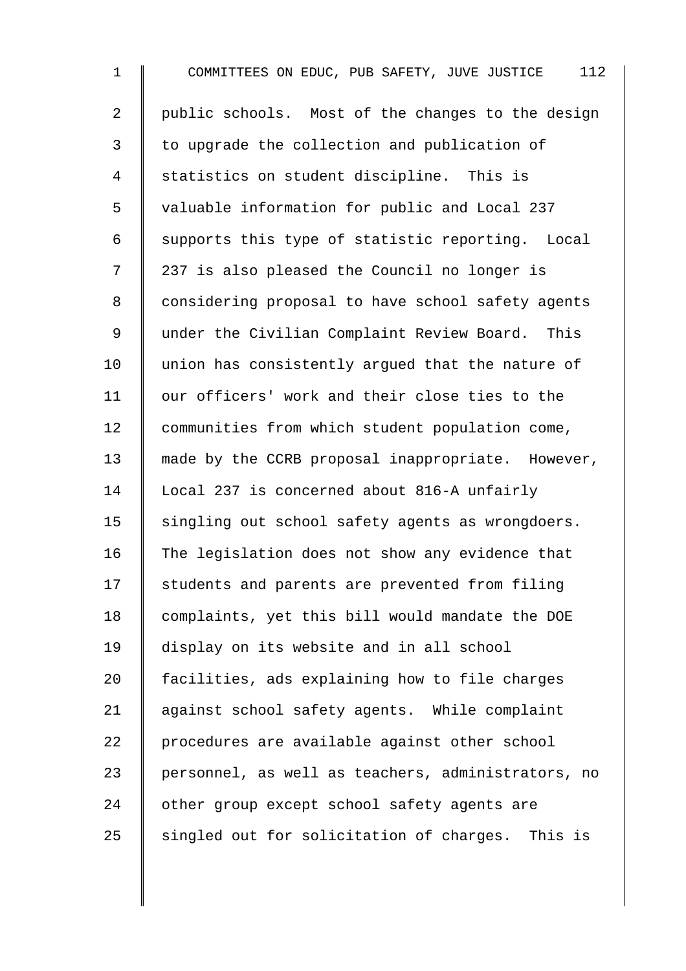1 COMMITTEES ON EDUC, PUB SAFETY, JUVE JUSTICE 112 2 | public schools. Most of the changes to the design 3 to upgrade the collection and publication of 4 Statistics on student discipline. This is 5 valuable information for public and Local 237 6 | supports this type of statistic reporting. Local 7 | 237 is also pleased the Council no longer is 8 | considering proposal to have school safety agents 9 | under the Civilian Complaint Review Board. This 10 union has consistently arqued that the nature of 11 | our officers' work and their close ties to the 12 communities from which student population come, 13 made by the CCRB proposal inappropriate. However, 14 Local 237 is concerned about 816-A unfairly 15 | singling out school safety agents as wrongdoers. 16 The legislation does not show any evidence that 17 Students and parents are prevented from filing 18 | complaints, yet this bill would mandate the DOE 19 display on its website and in all school 20 facilities, ads explaining how to file charges 21 | against school safety agents. While complaint 22 procedures are available against other school 23 personnel, as well as teachers, administrators, no 24 other group except school safety agents are  $25$  singled out for solicitation of charges. This is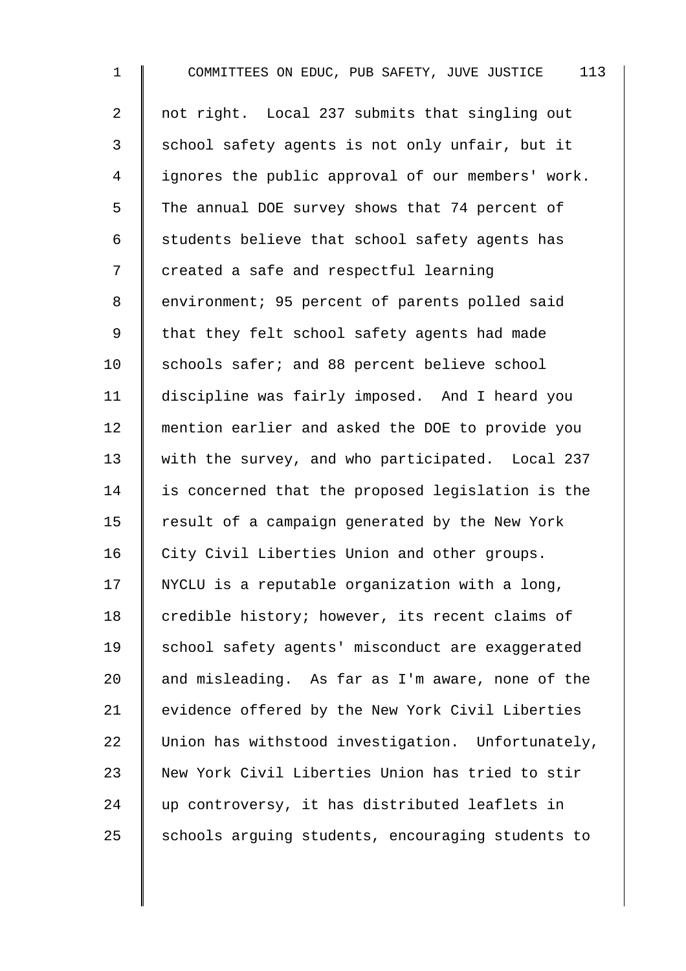1 COMMITTEES ON EDUC, PUB SAFETY, JUVE JUSTICE 113 2 not right. Local 237 submits that singling out  $3 \parallel$  school safety agents is not only unfair, but it 4 | ignores the public approval of our members' work.  $5 \parallel$  The annual DOE survey shows that 74 percent of 6  $\parallel$  students believe that school safety agents has 7 created a safe and respectful learning 8 | environment; 95 percent of parents polled said 9 | that they felt school safety agents had made 10 Schools safer; and 88 percent believe school 11 discipline was fairly imposed. And I heard you 12 mention earlier and asked the DOE to provide you 13 With the survey, and who participated. Local 237  $14$  is concerned that the proposed legislation is the 15  $\parallel$  result of a campaign generated by the New York 16 City Civil Liberties Union and other groups. 17  $\parallel$  NYCLU is a reputable organization with a long, 18  $\parallel$  credible history; however, its recent claims of 19 School safety agents' misconduct are exaggerated 20  $\parallel$  and misleading. As far as I'm aware, none of the 21 | evidence offered by the New York Civil Liberties 22 Union has withstood investigation. Unfortunately, 23 New York Civil Liberties Union has tried to stir 24 vp controversy, it has distributed leaflets in  $25$  schools arguing students, encouraging students to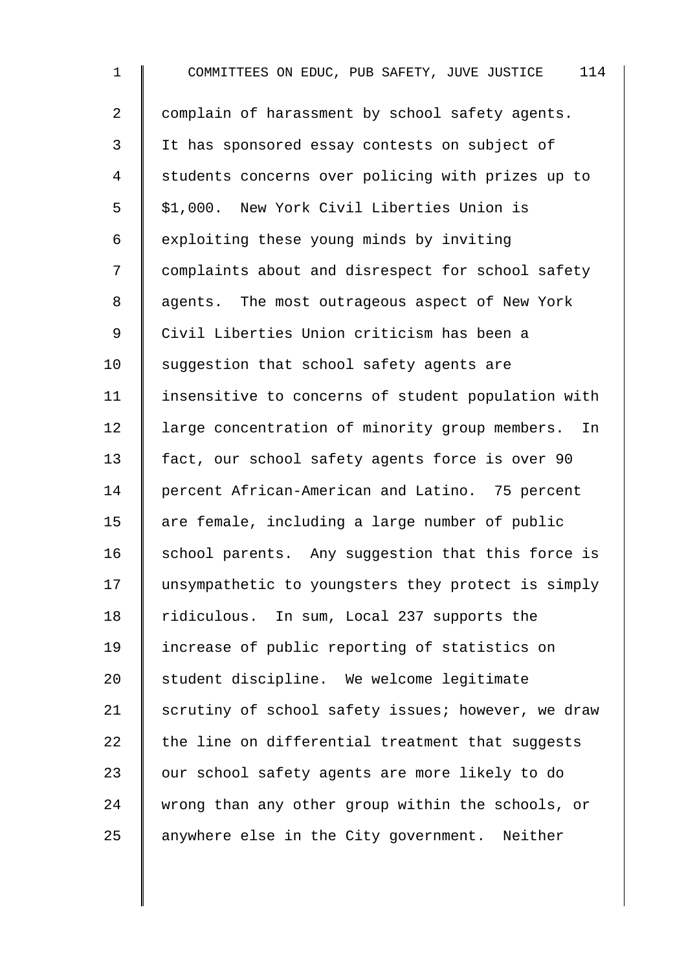1 COMMITTEES ON EDUC, PUB SAFETY, JUVE JUSTICE 114 2 | complain of harassment by school safety agents. 3 I It has sponsored essay contests on subject of 4 Students concerns over policing with prizes up to 5 | \$1,000. New York Civil Liberties Union is  $6 \parallel$  exploiting these young minds by inviting 7 | complaints about and disrespect for school safety 8 agents. The most outrageous aspect of New York 9 | Civil Liberties Union criticism has been a 10 Suggestion that school safety agents are 11 | insensitive to concerns of student population with 12 | large concentration of minority group members. In 13 fact, our school safety agents force is over 90 14 percent African-American and Latino. 75 percent 15  $\parallel$  are female, including a large number of public 16 | school parents. Any suggestion that this force is 17 I unsympathetic to youngsters they protect is simply 18 Tidiculous. In sum, Local 237 supports the 19 increase of public reporting of statistics on 20 Student discipline. We welcome legitimate 21 Scrutiny of school safety issues; however, we draw  $22$  the line on differential treatment that suggests 23 | our school safety agents are more likely to do 24 wrong than any other group within the schools, or 25  $\parallel$  anywhere else in the City government. Neither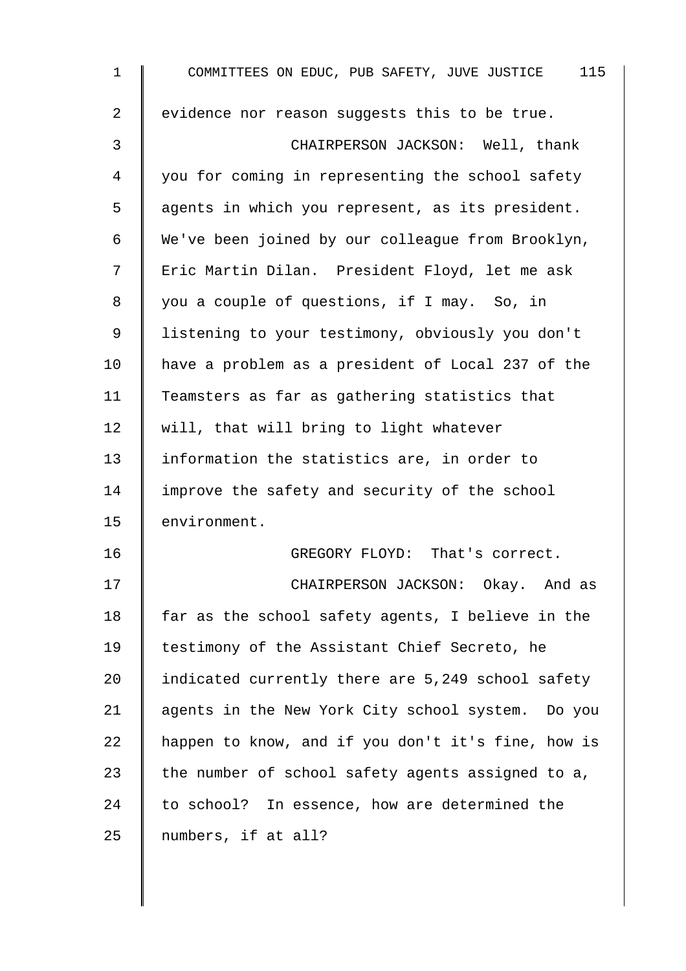| $\mathbf 1$    | COMMITTEES ON EDUC, PUB SAFETY, JUVE JUSTICE 115   |
|----------------|----------------------------------------------------|
| $\overline{2}$ | evidence nor reason suggests this to be true.      |
| 3              | CHAIRPERSON JACKSON: Well, thank                   |
| 4              | you for coming in representing the school safety   |
| 5              | agents in which you represent, as its president.   |
| 6              | We've been joined by our colleague from Brooklyn,  |
| 7              | Eric Martin Dilan. President Floyd, let me ask     |
| 8              | you a couple of questions, if I may. So, in        |
| $\mathsf 9$    | listening to your testimony, obviously you don't   |
| 10             | have a problem as a president of Local 237 of the  |
| 11             | Teamsters as far as gathering statistics that      |
| 12             | will, that will bring to light whatever            |
| 13             | information the statistics are, in order to        |
| 14             | improve the safety and security of the school      |
| 15             | environment.                                       |
| 16             | GREGORY FLOYD: That's correct.                     |
| 17             | CHAIRPERSON JACKSON: Okay. And as                  |
| 18             | far as the school safety agents, I believe in the  |
| 19             | testimony of the Assistant Chief Secreto, he       |
| 20             | indicated currently there are 5,249 school safety  |
| 21             | agents in the New York City school system. Do you  |
| 22             | happen to know, and if you don't it's fine, how is |
| 23             | the number of school safety agents assigned to a,  |
| 24             | to school? In essence, how are determined the      |
| 25             | numbers, if at all?                                |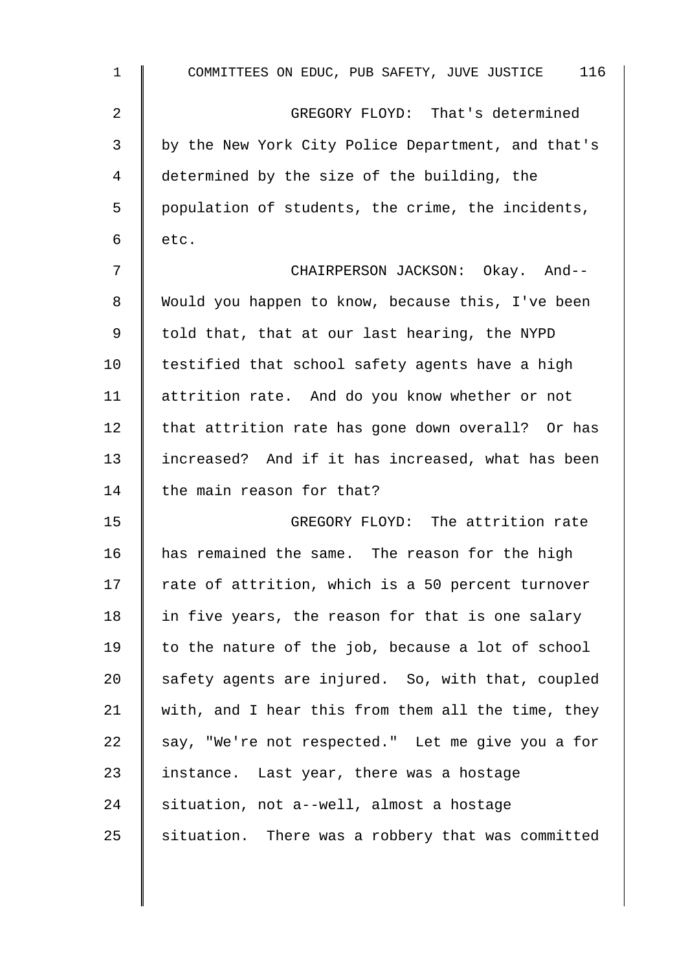| $\mathbf{1}$ | COMMITTEES ON EDUC, PUB SAFETY, JUVE JUSTICE 116   |
|--------------|----------------------------------------------------|
| 2            | GREGORY FLOYD: That's determined                   |
| 3            | by the New York City Police Department, and that's |
| 4            | determined by the size of the building, the        |
| 5            | population of students, the crime, the incidents,  |
| 6            | etc.                                               |
| 7            | CHAIRPERSON JACKSON: Okay. And--                   |
| 8            | Would you happen to know, because this, I've been  |
| $\mathsf 9$  | told that, that at our last hearing, the NYPD      |
| 10           | testified that school safety agents have a high    |
| 11           | attrition rate. And do you know whether or not     |
| 12           | that attrition rate has gone down overall? Or has  |
| 13           | increased? And if it has increased, what has been  |
| 14           | the main reason for that?                          |
| 15           | GREGORY FLOYD: The attrition rate                  |
| 16           | has remained the same. The reason for the high     |
| 17           | rate of attrition, which is a 50 percent turnover  |
| 18           | in five years, the reason for that is one salary   |
| 19           | to the nature of the job, because a lot of school  |
| 20           | safety agents are injured. So, with that, coupled  |
| 21           | with, and I hear this from them all the time, they |
| 22           | say, "We're not respected." Let me give you a for  |
| 23           | instance. Last year, there was a hostage           |
| 24           | situation, not a--well, almost a hostage           |
| 25           | situation. There was a robbery that was committed  |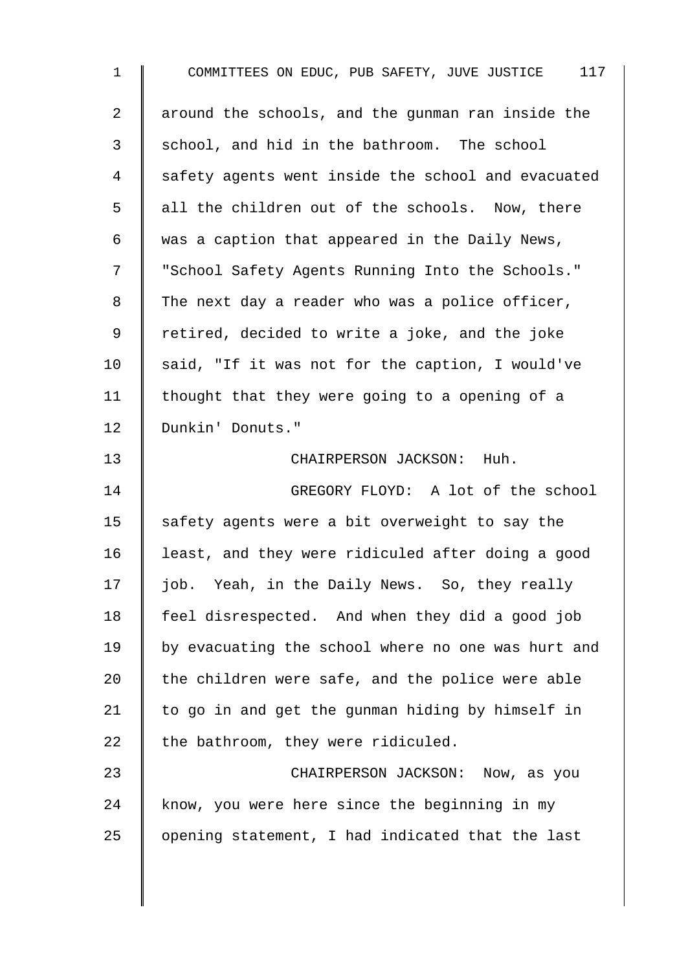| $\mathbf{1}$   | COMMITTEES ON EDUC, PUB SAFETY, JUVE JUSTICE 117   |
|----------------|----------------------------------------------------|
| $\overline{2}$ | around the schools, and the gunman ran inside the  |
| 3              | school, and hid in the bathroom. The school        |
| $\overline{4}$ | safety agents went inside the school and evacuated |
| 5              | all the children out of the schools. Now, there    |
| 6              | was a caption that appeared in the Daily News,     |
| 7              | "School Safety Agents Running Into the Schools."   |
| 8              | The next day a reader who was a police officer,    |
| 9              | retired, decided to write a joke, and the joke     |
| 10             | said, "If it was not for the caption, I would've   |
| 11             | thought that they were going to a opening of a     |
| 12             | Dunkin' Donuts."                                   |
| 13             | CHAIRPERSON JACKSON: Huh.                          |
| 14             | GREGORY FLOYD: A lot of the school                 |
| 15             | safety agents were a bit overweight to say the     |
| 16             | least, and they were ridiculed after doing a good  |
| 17             | job. Yeah, in the Daily News. So, they really      |
| 18             | feel disrespected. And when they did a good job    |
| 19             | by evacuating the school where no one was hurt and |
| 20             | the children were safe, and the police were able   |
| 21             | to go in and get the gunman hiding by himself in   |
| 22             | the bathroom, they were ridiculed.                 |
| 23             | CHAIRPERSON JACKSON: Now, as you                   |
| 24             | know, you were here since the beginning in my      |
| 25             | opening statement, I had indicated that the last   |
|                |                                                    |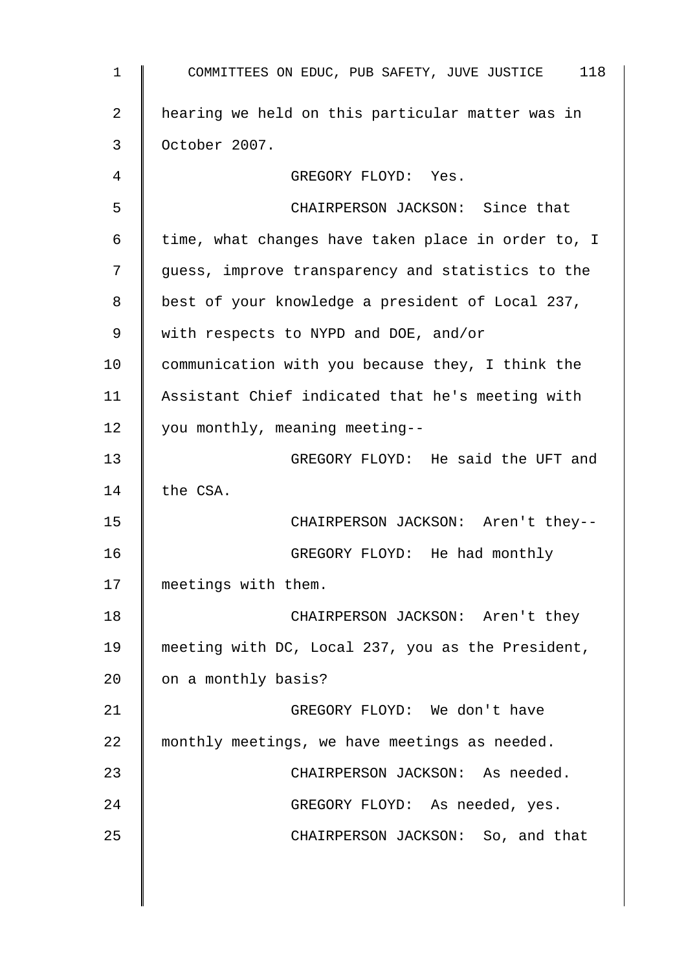| $\mathbf 1$    | COMMITTEES ON EDUC, PUB SAFETY, JUVE JUSTICE 118   |
|----------------|----------------------------------------------------|
| $\overline{2}$ | hearing we held on this particular matter was in   |
| 3              | October 2007.                                      |
| 4              | GREGORY FLOYD: Yes.                                |
| 5              | CHAIRPERSON JACKSON: Since that                    |
| 6              | time, what changes have taken place in order to, I |
| 7              | guess, improve transparency and statistics to the  |
| 8              | best of your knowledge a president of Local 237,   |
| 9              | with respects to NYPD and DOE, and/or              |
| 10             | communication with you because they, I think the   |
| 11             | Assistant Chief indicated that he's meeting with   |
| 12             | you monthly, meaning meeting--                     |
| 13             | GREGORY FLOYD: He said the UFT and                 |
| 14             | the CSA.                                           |
| 15             | CHAIRPERSON JACKSON: Aren't they--                 |
| 16             | GREGORY FLOYD: He had monthly                      |
| 17             | meetings with them.                                |
| 18             | CHAIRPERSON JACKSON: Aren't they                   |
| 19             | meeting with DC, Local 237, you as the President,  |
| 20             | on a monthly basis?                                |
| 21             | GREGORY FLOYD: We don't have                       |
| 22             | monthly meetings, we have meetings as needed.      |
| 23             | CHAIRPERSON JACKSON: As needed.                    |
| 24             | GREGORY FLOYD: As needed, yes.                     |
| 25             | CHAIRPERSON JACKSON: So, and that                  |
|                |                                                    |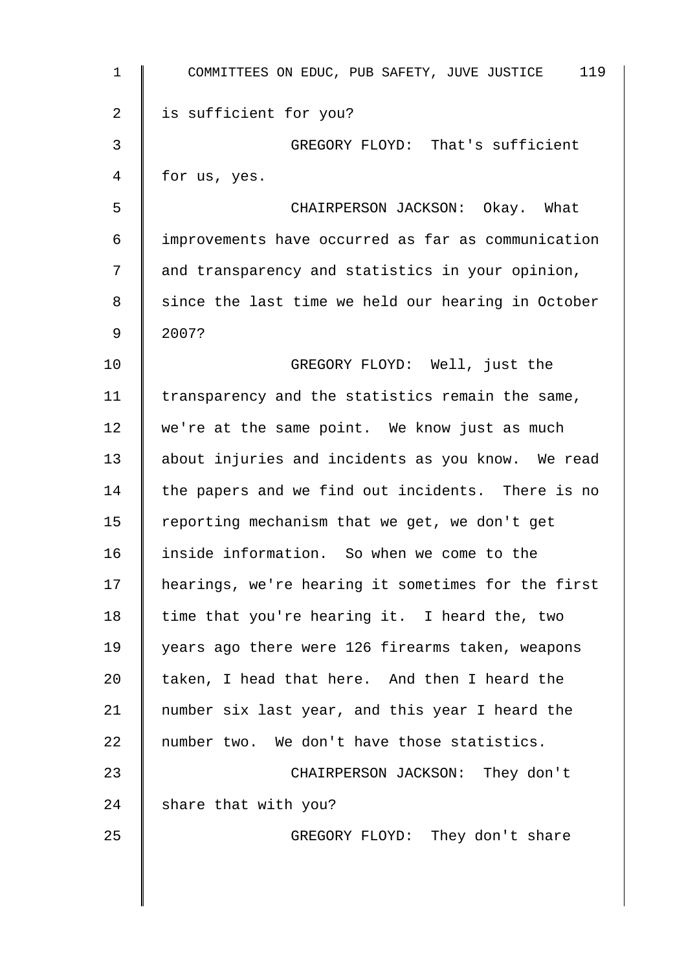| $\mathbf{1}$ | COMMITTEES ON EDUC, PUB SAFETY, JUVE JUSTICE 119   |
|--------------|----------------------------------------------------|
| 2            | is sufficient for you?                             |
| 3            | GREGORY FLOYD: That's sufficient                   |
| 4            | for us, yes.                                       |
| 5            | CHAIRPERSON JACKSON: Okay. What                    |
| 6            | improvements have occurred as far as communication |
| 7            | and transparency and statistics in your opinion,   |
| 8            | since the last time we held our hearing in October |
| 9            | 2007?                                              |
| 10           | GREGORY FLOYD: Well, just the                      |
| 11           | transparency and the statistics remain the same,   |
| 12           | we're at the same point. We know just as much      |
| 13           | about injuries and incidents as you know. We read  |
| 14           | the papers and we find out incidents. There is no  |
| 15           | reporting mechanism that we get, we don't get      |
| 16           | inside information. So when we come to the         |
| 17           | hearings, we're hearing it sometimes for the first |
| 18           | time that you're hearing it. I heard the, two      |
| 19           | years ago there were 126 firearms taken, weapons   |
| 20           | taken, I head that here. And then I heard the      |
| 21           | number six last year, and this year I heard the    |
| 22           | number two. We don't have those statistics.        |
| 23           | CHAIRPERSON JACKSON: They don't                    |
| 24           | share that with you?                               |
| 25           | GREGORY FLOYD: They don't share                    |
|              |                                                    |
|              |                                                    |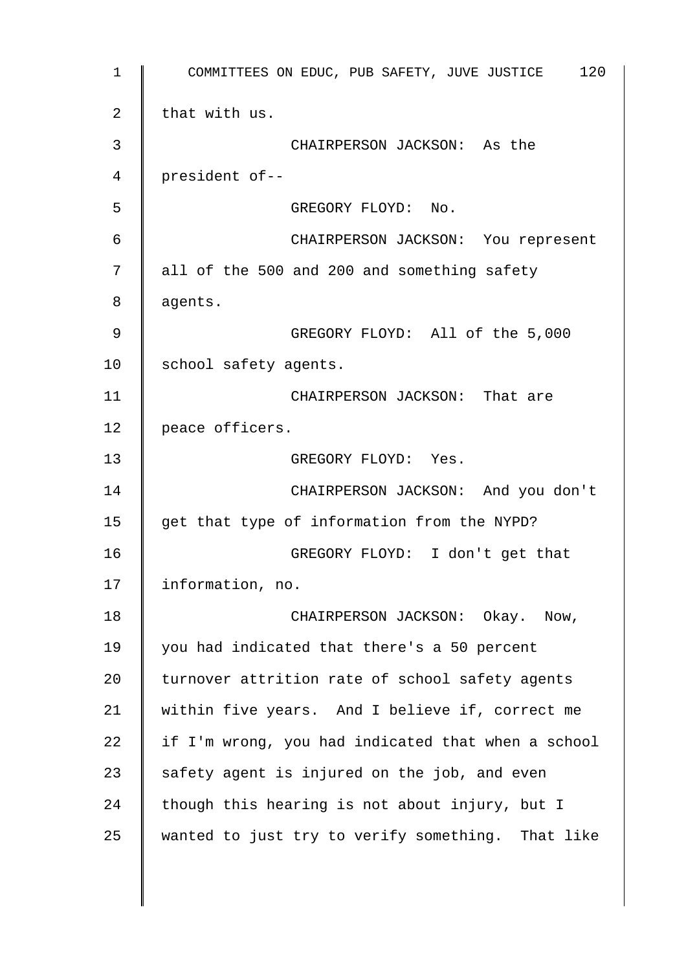1 COMMITTEES ON EDUC, PUB SAFETY, JUVE JUSTICE 120 2  $\parallel$  that with us. 3 CHAIRPERSON JACKSON: As the 4 president of-- 5 GREGORY FLOYD: No. 6 CHAIRPERSON JACKSON: You represent 7 all of the 500 and 200 and something safety 8 | agents. 9 GREGORY FLOYD: All of the 5,000 10 | school safety agents. 11 | CHAIRPERSON JACKSON: That are 12 | peace officers. 13 GREGORY FLOYD: Yes. 14 | CHAIRPERSON JACKSON: And you don't 15  $\parallel$  get that type of information from the NYPD? 16 GREGORY FLOYD: I don't get that 17 | information, no. 18 CHAIRPERSON JACKSON: Okay. Now, 19 you had indicated that there's a 50 percent 20 | turnover attrition rate of school safety agents 21 within five years. And I believe if, correct me 22  $\parallel$  if I'm wrong, you had indicated that when a school 23  $\parallel$  safety agent is injured on the job, and even 24 though this hearing is not about injury, but I  $25$  wanted to just try to verify something. That like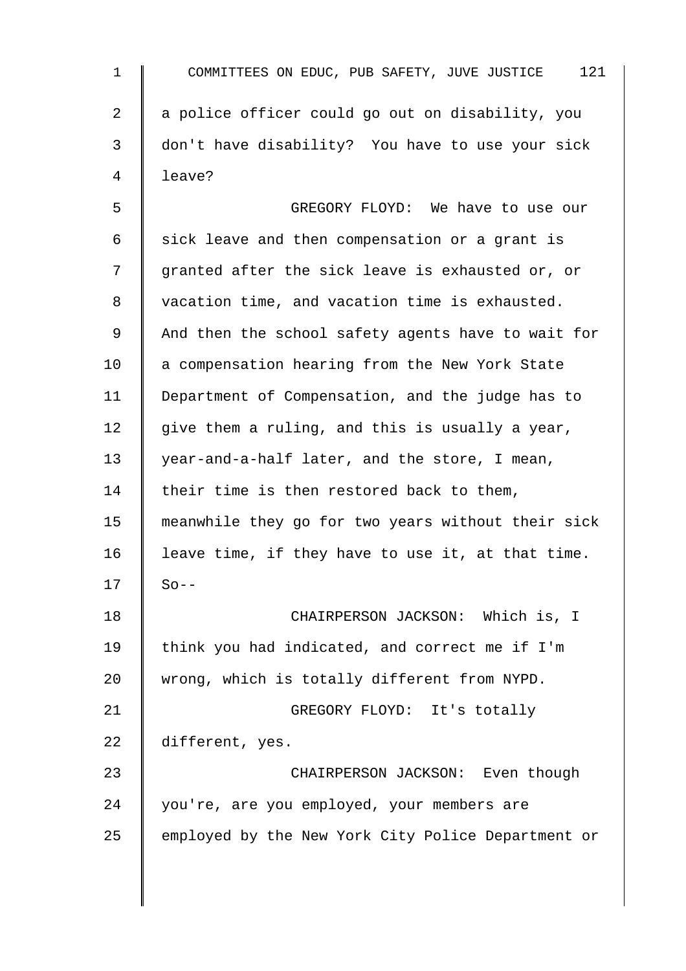| $\mathbf{1}$    | 121<br>COMMITTEES ON EDUC, PUB SAFETY, JUVE JUSTICE |
|-----------------|-----------------------------------------------------|
| 2               | a police officer could go out on disability, you    |
| 3               | don't have disability? You have to use your sick    |
| 4               | leave?                                              |
| 5               | GREGORY FLOYD: We have to use our                   |
| 6               | sick leave and then compensation or a grant is      |
| 7               | granted after the sick leave is exhausted or, or    |
| 8               | vacation time, and vacation time is exhausted.      |
| 9               | And then the school safety agents have to wait for  |
| 10 <sub>1</sub> | a compensation hearing from the New York State      |
| 11              | Department of Compensation, and the judge has to    |
| 12              | give them a ruling, and this is usually a year,     |
| 13              | year-and-a-half later, and the store, I mean,       |
| 14              | their time is then restored back to them,           |
| 15              | meanwhile they go for two years without their sick  |
| 16              | leave time, if they have to use it, at that time.   |
| 17              | $So --$                                             |
| 18              | CHAIRPERSON JACKSON: Which is, I                    |
| 19              | think you had indicated, and correct me if I'm      |
| 20              | wrong, which is totally different from NYPD.        |
| 21              | GREGORY FLOYD: It's totally                         |
| 22              | different, yes.                                     |
| 23              | CHAIRPERSON JACKSON: Even though                    |
| 24              | you're, are you employed, your members are          |
| 25              | employed by the New York City Police Department or  |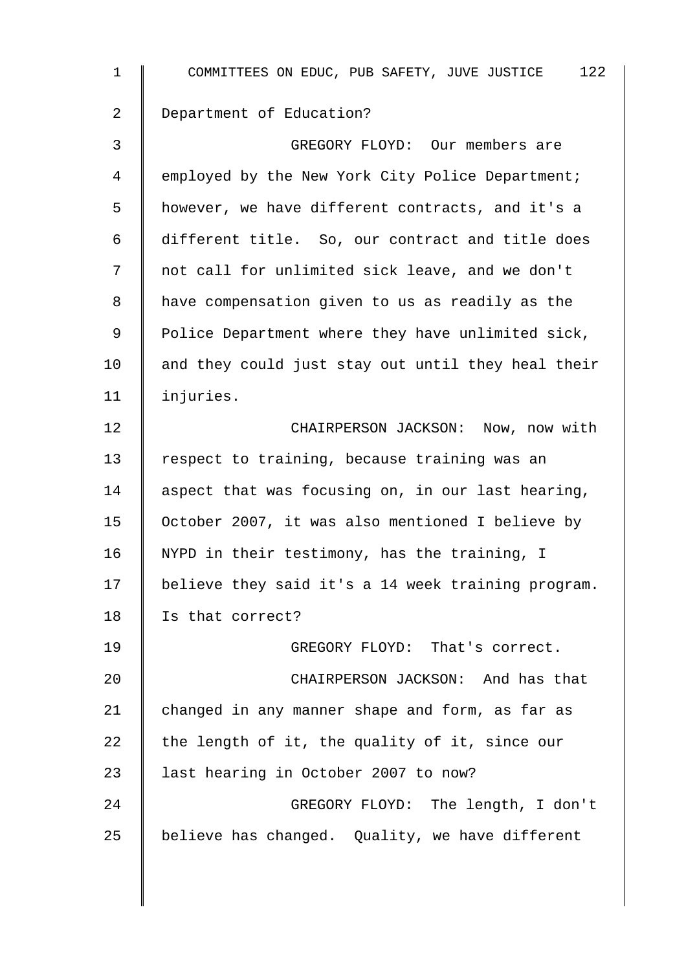| $\mathbf 1$ | 122<br>COMMITTEES ON EDUC, PUB SAFETY, JUVE JUSTICE |
|-------------|-----------------------------------------------------|
| 2           | Department of Education?                            |
| 3           | GREGORY FLOYD: Our members are                      |
| 4           | employed by the New York City Police Department;    |
| 5           | however, we have different contracts, and it's a    |
| 6           | different title. So, our contract and title does    |
| 7           | not call for unlimited sick leave, and we don't     |
| 8           | have compensation given to us as readily as the     |
| 9           | Police Department where they have unlimited sick,   |
| 10          | and they could just stay out until they heal their  |
| 11          | injuries.                                           |
| 12          | CHAIRPERSON JACKSON: Now, now with                  |
| 13          | respect to training, because training was an        |
| 14          | aspect that was focusing on, in our last hearing,   |
| 15          | October 2007, it was also mentioned I believe by    |
| 16          | NYPD in their testimony, has the training, I        |
| 17          | believe they said it's a 14 week training program.  |
| 18          | Is that correct?                                    |
| 19          | GREGORY FLOYD: That's correct.                      |
| 20          | CHAIRPERSON JACKSON: And has that                   |
| 21          | changed in any manner shape and form, as far as     |
| 22          | the length of it, the quality of it, since our      |
| 23          | last hearing in October 2007 to now?                |
| 24          | GREGORY FLOYD: The length, I don't                  |
| 25          | believe has changed. Quality, we have different     |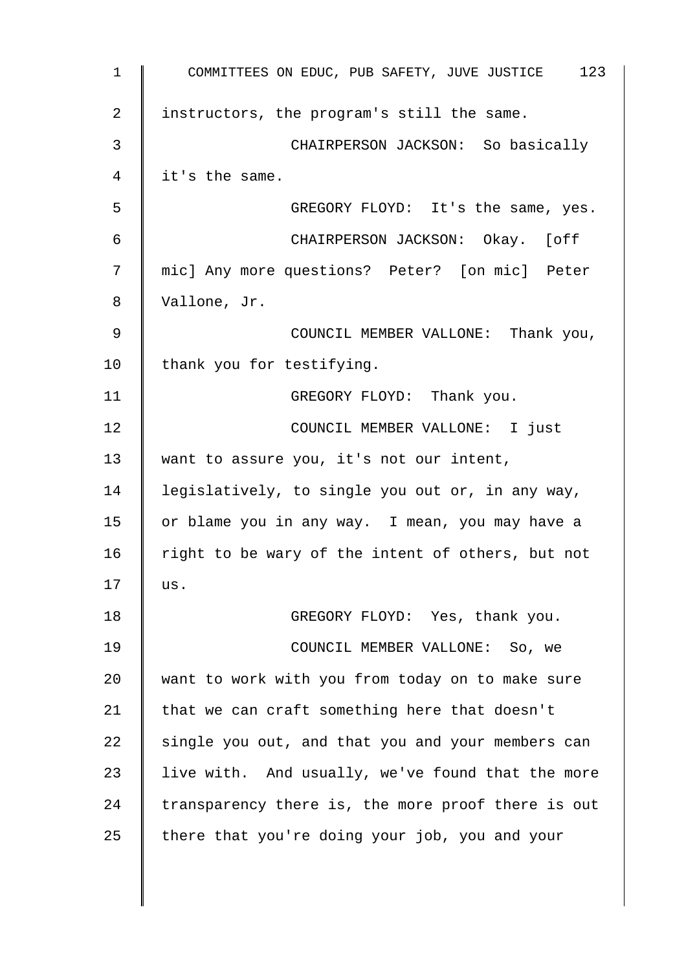| $\mathbf{1}$ | COMMITTEES ON EDUC, PUB SAFETY, JUVE JUSTICE 123   |
|--------------|----------------------------------------------------|
| 2            | instructors, the program's still the same.         |
| 3            | CHAIRPERSON JACKSON: So basically                  |
| 4            | it's the same.                                     |
| 5            | GREGORY FLOYD: It's the same, yes.                 |
| 6            | CHAIRPERSON JACKSON: Okay. [off                    |
| 7            | mic] Any more questions? Peter? [on mic] Peter     |
| 8            | Vallone, Jr.                                       |
| 9            | COUNCIL MEMBER VALLONE: Thank you,                 |
| 10           | thank you for testifying.                          |
| 11           | GREGORY FLOYD: Thank you.                          |
| 12           | COUNCIL MEMBER VALLONE: I just                     |
| 13           | want to assure you, it's not our intent,           |
| 14           | legislatively, to single you out or, in any way,   |
| 15           | or blame you in any way. I mean, you may have a    |
| 16           | right to be wary of the intent of others, but not  |
| 17           | us.                                                |
| 18           | GREGORY FLOYD: Yes, thank you.                     |
| 19           | COUNCIL MEMBER VALLONE: So, we                     |
| 20           | want to work with you from today on to make sure   |
| 21           | that we can craft something here that doesn't      |
| 22           | single you out, and that you and your members can  |
| 23           | live with. And usually, we've found that the more  |
| 24           | transparency there is, the more proof there is out |
| 25           | there that you're doing your job, you and your     |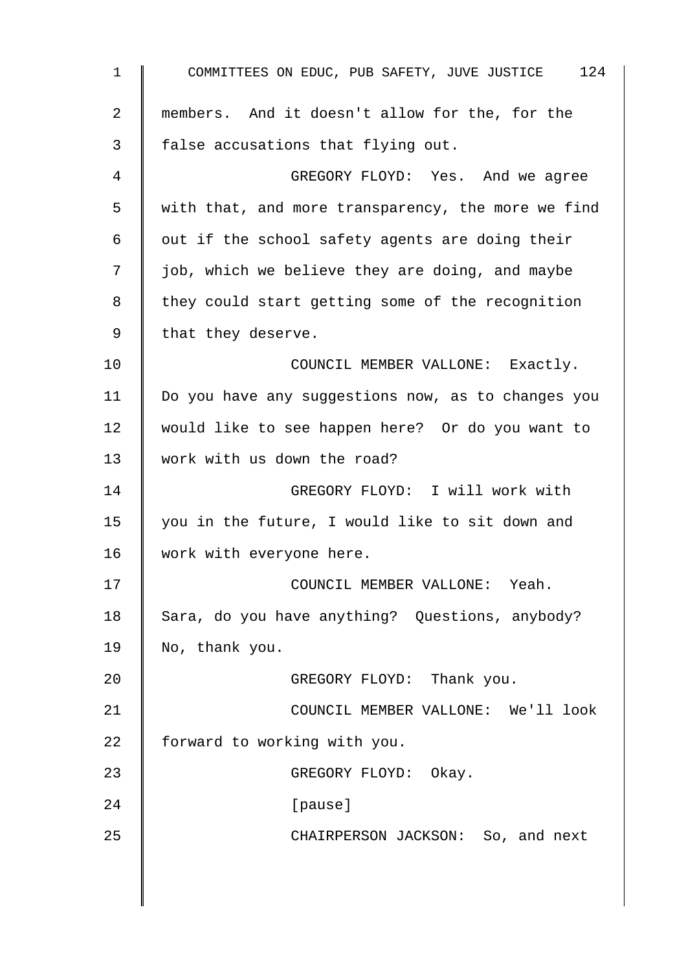1 COMMITTEES ON EDUC, PUB SAFETY, JUVE JUSTICE 124 2 members. And it doesn't allow for the, for the 3 false accusations that flying out. 4 GREGORY FLOYD: Yes. And we agree 5 with that, and more transparency, the more we find 6  $\parallel$  out if the school safety agents are doing their 7 | job, which we believe they are doing, and maybe 8 they could start getting some of the recognition 9 | that they deserve. 10 **COUNCIL MEMBER VALLONE:** Exactly. 11 | Do you have any suggestions now, as to changes you 12 would like to see happen here? Or do you want to 13 Work with us down the road? 14 GREGORY FLOYD: I will work with 15 | you in the future, I would like to sit down and 16 Work with everyone here. 17 | COUNCIL MEMBER VALLONE: Yeah. 18 Sara, do you have anything? Questions, anybody? 19  $\parallel$  No, thank you. 20 **CREGORY FLOYD:** Thank you. 21 **COUNCIL MEMBER VALLONE:** We'll look 22  $\parallel$  forward to working with you. 23 GREGORY FLOYD: Okay. 24 | [pause] 25 CHAIRPERSON JACKSON: So, and next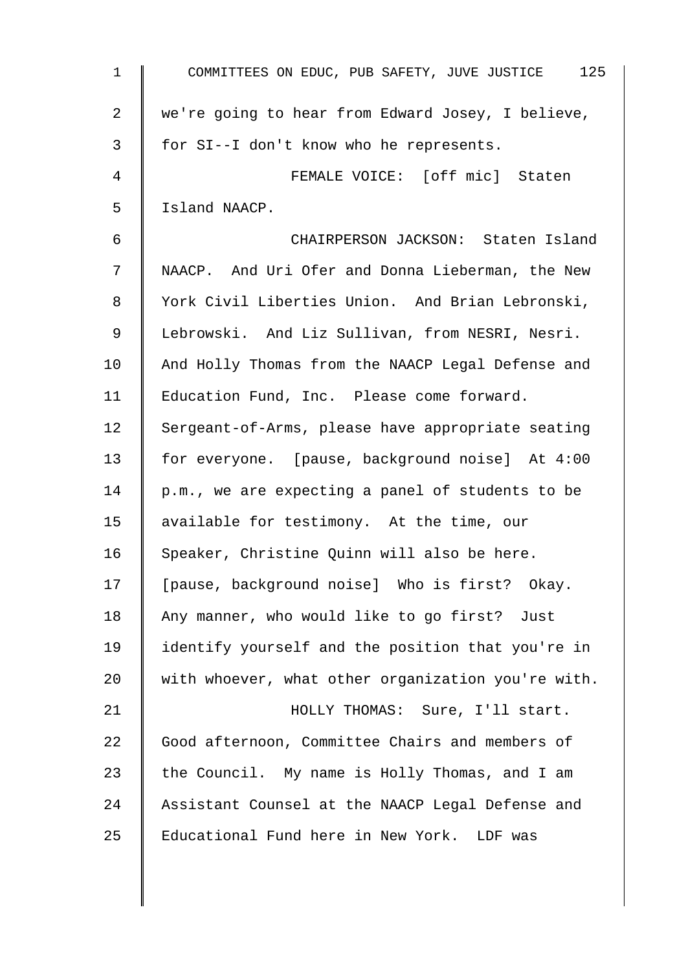| 1  | COMMITTEES ON EDUC, PUB SAFETY, JUVE JUSTICE 125   |
|----|----------------------------------------------------|
| 2  | we're going to hear from Edward Josey, I believe,  |
| 3  | for SI--I don't know who he represents.            |
| 4  | FEMALE VOICE: [off mic] Staten                     |
| 5  | Island NAACP.                                      |
| 6  | CHAIRPERSON JACKSON: Staten Island                 |
| 7  | NAACP. And Uri Ofer and Donna Lieberman, the New   |
| 8  | York Civil Liberties Union. And Brian Lebronski,   |
| 9  | Lebrowski. And Liz Sullivan, from NESRI, Nesri.    |
| 10 | And Holly Thomas from the NAACP Legal Defense and  |
| 11 | Education Fund, Inc. Please come forward.          |
| 12 | Sergeant-of-Arms, please have appropriate seating  |
| 13 | for everyone. [pause, background noise] At 4:00    |
| 14 | p.m., we are expecting a panel of students to be   |
| 15 | available for testimony. At the time, our          |
| 16 | Speaker, Christine Quinn will also be here.        |
| 17 | [pause, background noise] Who is first? Okay.      |
| 18 | Any manner, who would like to go first?<br>Just    |
| 19 | identify yourself and the position that you're in  |
| 20 | with whoever, what other organization you're with. |
| 21 | HOLLY THOMAS: Sure, I'll start.                    |
| 22 | Good afternoon, Committee Chairs and members of    |
| 23 | the Council. My name is Holly Thomas, and I am     |
| 24 | Assistant Counsel at the NAACP Legal Defense and   |
| 25 | Educational Fund here in New York. LDF was         |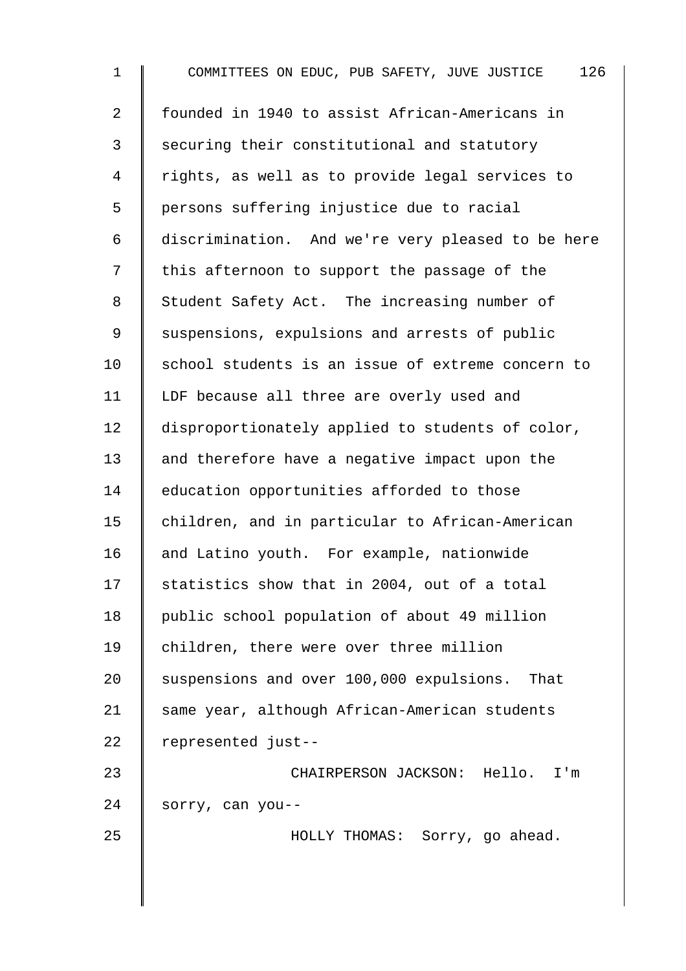| $\mathbf 1$    | 126<br>COMMITTEES ON EDUC, PUB SAFETY, JUVE JUSTICE |
|----------------|-----------------------------------------------------|
| $\overline{a}$ | founded in 1940 to assist African-Americans in      |
| 3              | securing their constitutional and statutory         |
| 4              | rights, as well as to provide legal services to     |
| 5              | persons suffering injustice due to racial           |
| 6              | discrimination. And we're very pleased to be here   |
| 7              | this afternoon to support the passage of the        |
| 8              | Student Safety Act. The increasing number of        |
| 9              | suspensions, expulsions and arrests of public       |
| 10             | school students is an issue of extreme concern to   |
| 11             | LDF because all three are overly used and           |
| 12             | disproportionately applied to students of color,    |
| 13             | and therefore have a negative impact upon the       |
| 14             | education opportunities afforded to those           |
| 15             | children, and in particular to African-American     |
| 16             | and Latino youth. For example, nationwide           |
| 17             | statistics show that in 2004, out of a total        |
| 18             | public school population of about 49 million        |
| 19             | children, there were over three million             |
| 20             | suspensions and over 100,000 expulsions. That       |
| 21             | same year, although African-American students       |
| 22             | represented just--                                  |
| 23             | CHAIRPERSON JACKSON: Hello. I'm                     |
| 24             | sorry, can you--                                    |
| 25             | HOLLY THOMAS: Sorry, go ahead.                      |
|                |                                                     |
|                |                                                     |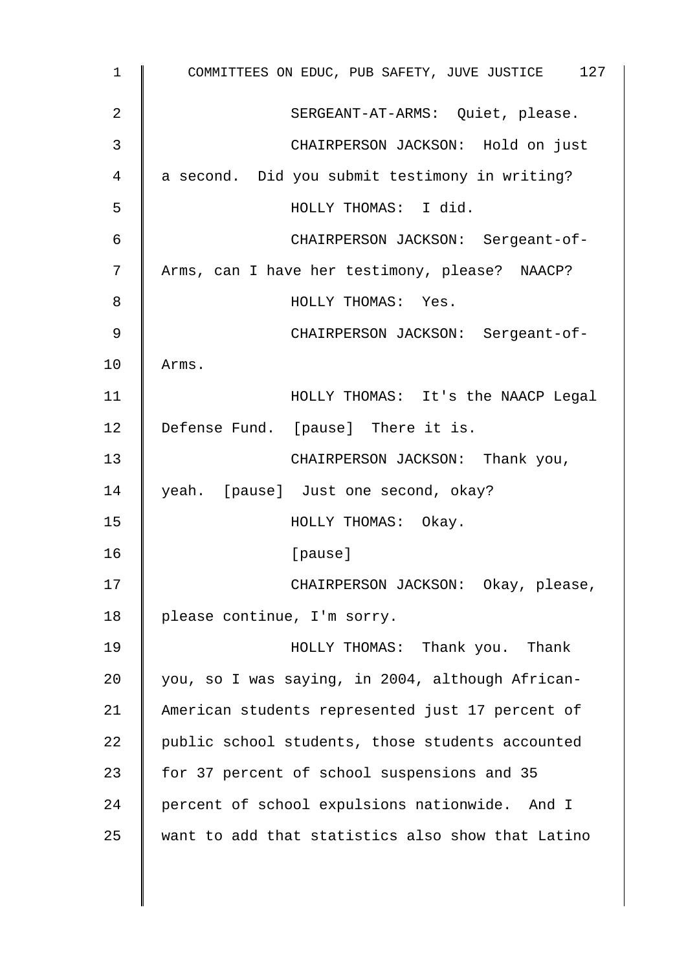| 1  | COMMITTEES ON EDUC, PUB SAFETY, JUVE JUSTICE 127  |
|----|---------------------------------------------------|
| 2  | SERGEANT-AT-ARMS: Quiet, please.                  |
| 3  | CHAIRPERSON JACKSON: Hold on just                 |
| 4  | a second. Did you submit testimony in writing?    |
| 5  | HOLLY THOMAS: I did.                              |
| 6  | CHAIRPERSON JACKSON: Sergeant-of-                 |
| 7  | Arms, can I have her testimony, please? NAACP?    |
| 8  | HOLLY THOMAS: Yes.                                |
| 9  | CHAIRPERSON JACKSON: Sergeant-of-                 |
| 10 | Arms.                                             |
| 11 | HOLLY THOMAS: It's the NAACP Legal                |
| 12 | Defense Fund. [pause] There it is.                |
| 13 | CHAIRPERSON JACKSON: Thank you,                   |
| 14 | yeah. [pause] Just one second, okay?              |
| 15 | HOLLY THOMAS: Okay.                               |
| 16 | [pause]                                           |
| 17 | CHAIRPERSON JACKSON: Okay, please,                |
| 18 | please continue, I'm sorry.                       |
| 19 | HOLLY THOMAS: Thank you. Thank                    |
| 20 | you, so I was saying, in 2004, although African-  |
| 21 | American students represented just 17 percent of  |
| 22 | public school students, those students accounted  |
| 23 | for 37 percent of school suspensions and 35       |
| 24 | percent of school expulsions nationwide. And I    |
| 25 | want to add that statistics also show that Latino |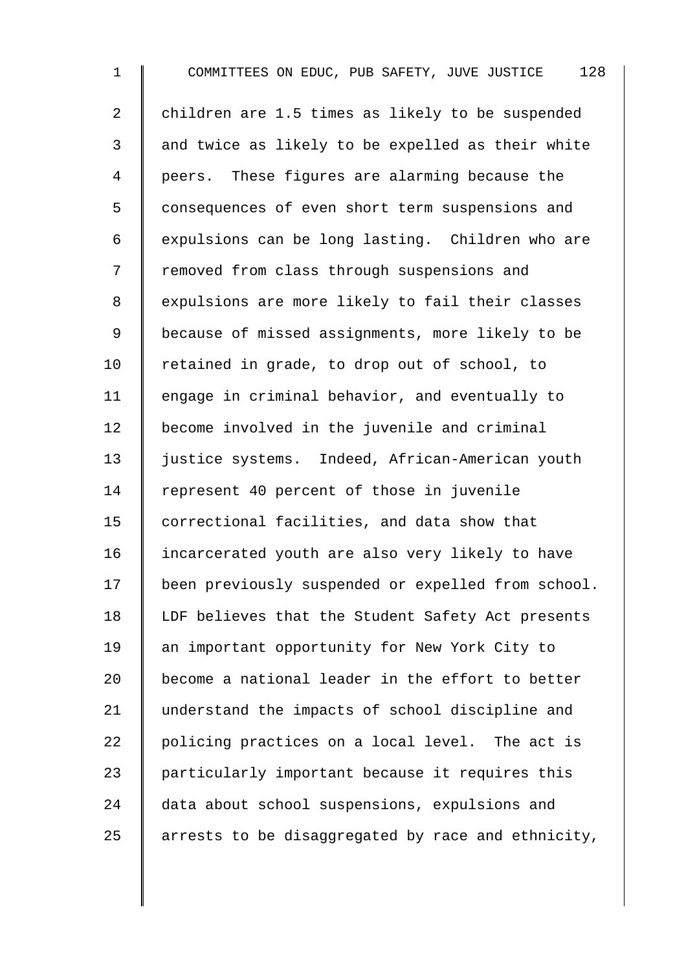1 COMMITTEES ON EDUC, PUB SAFETY, JUVE JUSTICE 128 2 children are 1.5 times as likely to be suspended 3 || and twice as likely to be expelled as their white 4 | peers. These figures are alarming because the 5 Consequences of even short term suspensions and 6 | expulsions can be long lasting. Children who are 7 | removed from class through suspensions and 8 expulsions are more likely to fail their classes 9 | because of missed assignments, more likely to be 10 Tetained in grade, to drop out of school, to 11 | engage in criminal behavior, and eventually to 12 | become involved in the juvenile and criminal 13 | justice systems. Indeed, African-American youth 14 Tepresent 40 percent of those in juvenile 15 | correctional facilities, and data show that 16 | incarcerated youth are also very likely to have 17 | been previously suspended or expelled from school. 18 | LDF believes that the Student Safety Act presents 19 an important opportunity for New York City to 20  $\parallel$  become a national leader in the effort to better 21 understand the impacts of school discipline and 22 | policing practices on a local level. The act is 23 | particularly important because it requires this 24 data about school suspensions, expulsions and 25  $\parallel$  arrests to be disaggregated by race and ethnicity,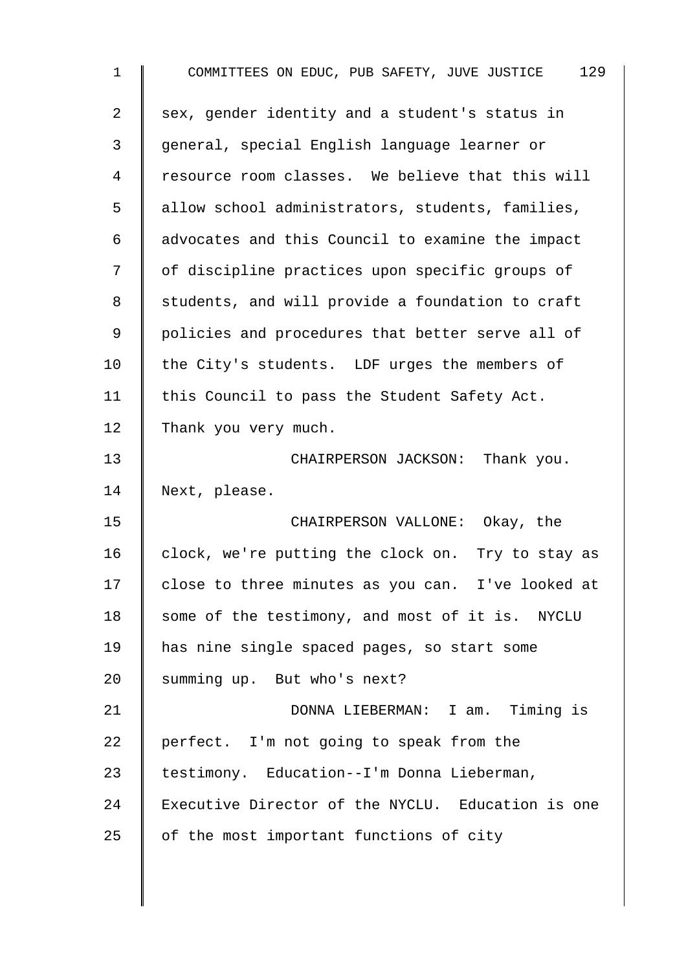| $\mathbf{1}$   | 129<br>COMMITTEES ON EDUC, PUB SAFETY, JUVE JUSTICE |
|----------------|-----------------------------------------------------|
| $\overline{a}$ | sex, gender identity and a student's status in      |
| 3              | general, special English language learner or        |
| 4              | resource room classes. We believe that this will    |
| 5              | allow school administrators, students, families,    |
| 6              | advocates and this Council to examine the impact    |
| 7              | of discipline practices upon specific groups of     |
| 8              | students, and will provide a foundation to craft    |
| $\mathsf 9$    | policies and procedures that better serve all of    |
| 10             | the City's students. LDF urges the members of       |
| 11             | this Council to pass the Student Safety Act.        |
| 12             | Thank you very much.                                |
| 13             | CHAIRPERSON JACKSON: Thank you.                     |
| 14             | Next, please.                                       |
| 15             | CHAIRPERSON VALLONE: Okay, the                      |
| 16             | clock, we're putting the clock on. Try to stay as   |
| 17             | close to three minutes as you can. I've looked at   |
| 18             | some of the testimony, and most of it is. NYCLU     |
| 19             | has nine single spaced pages, so start some         |
| 20             | summing up. But who's next?                         |
| 21             | DONNA LIEBERMAN: I am. Timing is                    |
| 22             | perfect. I'm not going to speak from the            |
| 23             | testimony. Education--I'm Donna Lieberman,          |
| 24             | Executive Director of the NYCLU. Education is one   |
| 25             | of the most important functions of city             |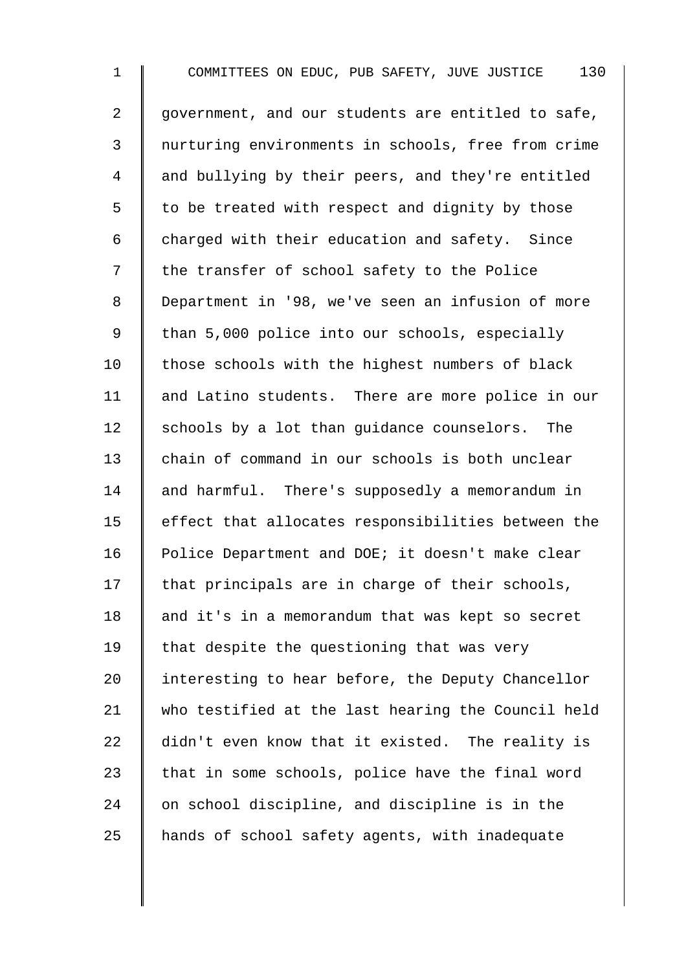1 COMMITTEES ON EDUC, PUB SAFETY, JUVE JUSTICE 130 2 | government, and our students are entitled to safe, 3 nurturing environments in schools, free from crime 4 and bullying by their peers, and they're entitled  $5 \parallel$  to be treated with respect and dignity by those 6  $\parallel$  charged with their education and safety. Since 7 | the transfer of school safety to the Police 8 Department in '98, we've seen an infusion of more 9 | than 5,000 police into our schools, especially  $10$  | those schools with the highest numbers of black 11 | and Latino students. There are more police in our 12 Schools by a lot than quidance counselors. The 13 chain of command in our schools is both unclear 14 and harmful. There's supposedly a memorandum in  $15$   $\parallel$  effect that allocates responsibilities between the 16 | Police Department and DOE; it doesn't make clear  $17$  | that principals are in charge of their schools, 18 and it's in a memorandum that was kept so secret 19  $\parallel$  that despite the questioning that was very 20 I interesting to hear before, the Deputy Chancellor 21 who testified at the last hearing the Council held 22 didn't even know that it existed. The reality is  $23$  that in some schools, police have the final word  $24$   $\parallel$  on school discipline, and discipline is in the  $25$  | hands of school safety agents, with inadequate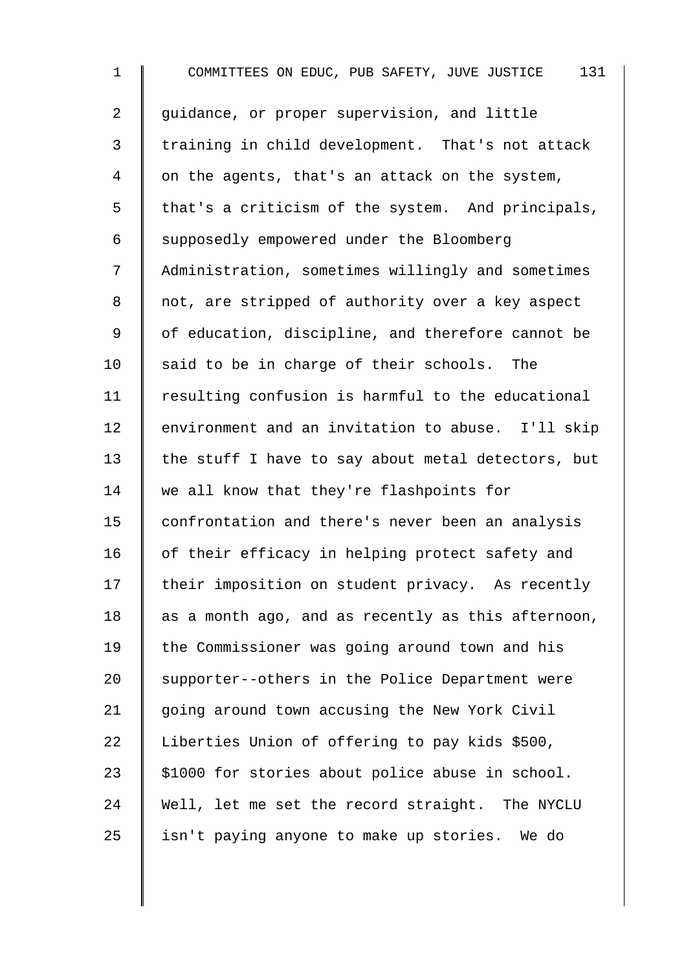1 COMMITTEES ON EDUC, PUB SAFETY, JUVE JUSTICE 131 2 | quidance, or proper supervision, and little 3 I training in child development. That's not attack 4 | on the agents, that's an attack on the system,  $5 \parallel$  that's a criticism of the system. And principals, 6 Supposedly empowered under the Bloomberg 7 Administration, sometimes willingly and sometimes 8 || not, are stripped of authority over a key aspect 9 | of education, discipline, and therefore cannot be 10  $\parallel$  said to be in charge of their schools. The 11 Tesulting confusion is harmful to the educational 12 | environment and an invitation to abuse. I'll skip 13  $\parallel$  the stuff I have to say about metal detectors, but 14 | we all know that they're flashpoints for 15 | confrontation and there's never been an analysis 16 | of their efficacy in helping protect safety and 17 their imposition on student privacy. As recently 18  $\parallel$  as a month ago, and as recently as this afternoon, 19 | the Commissioner was going around town and his 20 Supporter--others in the Police Department were 21 | going around town accusing the New York Civil 22 | Liberties Union of offering to pay kids \$500, 23  $\parallel$  \$1000 for stories about police abuse in school. 24 Well, let me set the record straight. The NYCLU  $25$  | isn't paying anyone to make up stories. We do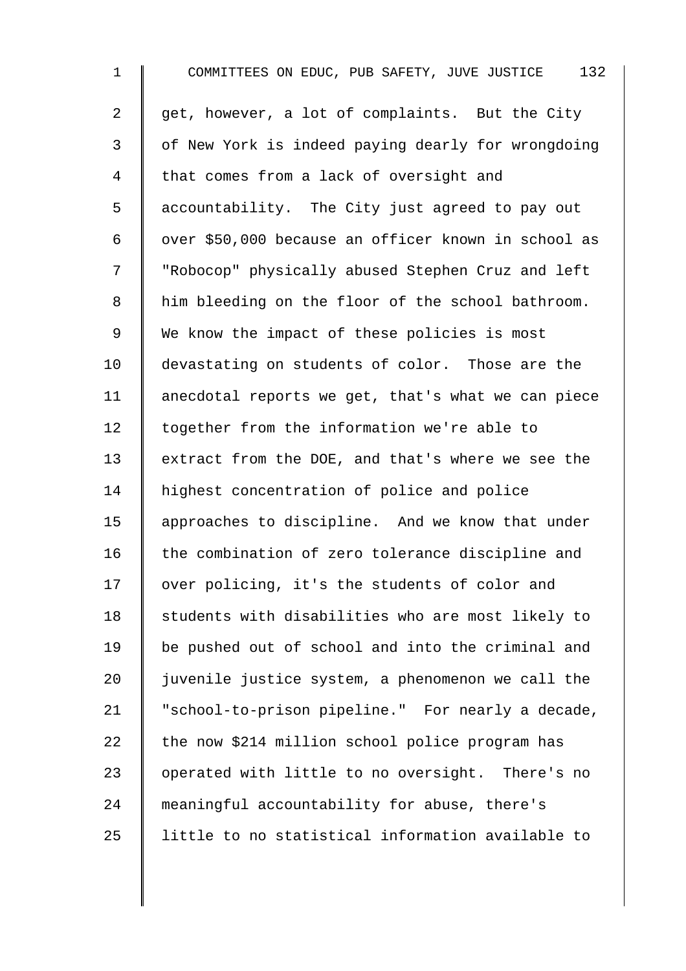1 COMMITTEES ON EDUC, PUB SAFETY, JUVE JUSTICE 132 2 get, however, a lot of complaints. But the City 3 | of New York is indeed paying dearly for wrongdoing 4 | that comes from a lack of oversight and 5 accountability. The City just agreed to pay out 6 | over \$50,000 because an officer known in school as 7 | "Robocop" physically abused Stephen Cruz and left 8 | him bleeding on the floor of the school bathroom. 9 We know the impact of these policies is most 10 devastating on students of color. Those are the 11  $\parallel$  anecdotal reports we get, that's what we can piece 12 together from the information we're able to 13 extract from the DOE, and that's where we see the 14 | highest concentration of police and police 15 | approaches to discipline. And we know that under 16 the combination of zero tolerance discipline and 17 over policing, it's the students of color and 18 Students with disabilities who are most likely to 19 | be pushed out of school and into the criminal and 20  $\parallel$  juvenile justice system, a phenomenon we call the 21 | "school-to-prison pipeline." For nearly a decade, 22  $\parallel$  the now \$214 million school police program has 23 | operated with little to no oversight. There's no 24 meaningful accountability for abuse, there's 25 | little to no statistical information available to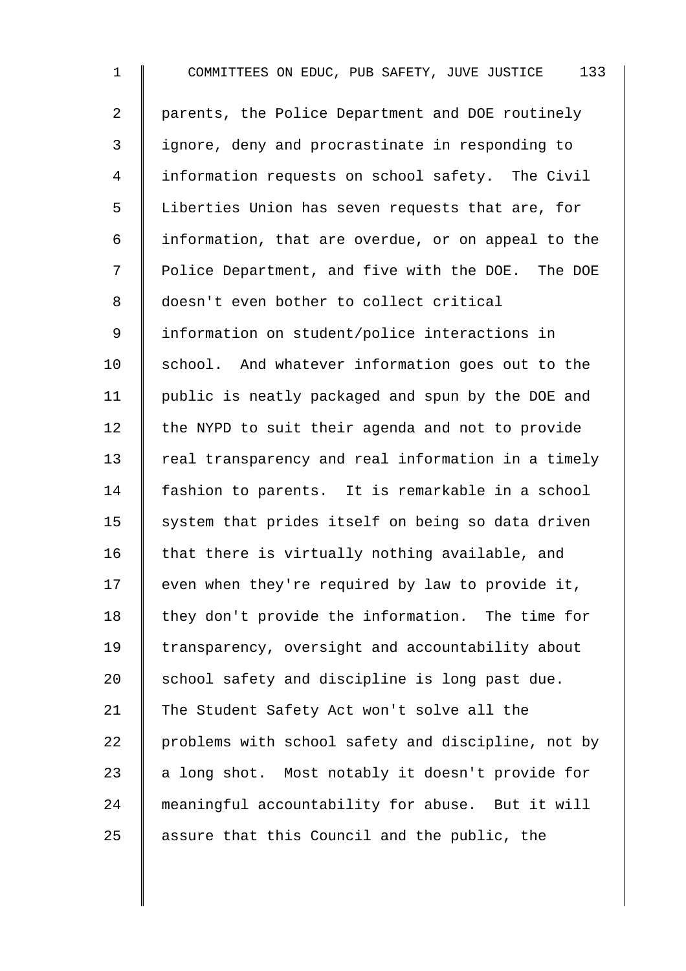1 COMMITTEES ON EDUC, PUB SAFETY, JUVE JUSTICE 133 2 | parents, the Police Department and DOE routinely 3 | ignore, deny and procrastinate in responding to 4 Information requests on school safety. The Civil 5 Liberties Union has seven requests that are, for  $6 \parallel$  information, that are overdue, or on appeal to the 7 | Police Department, and five with the DOE. The DOE 8 doesn't even bother to collect critical 9 | information on student/police interactions in  $10$  school. And whatever information goes out to the 11 | public is neatly packaged and spun by the DOE and 12 the NYPD to suit their agenda and not to provide 13 Teal transparency and real information in a timely 14 | fashion to parents. It is remarkable in a school  $15$  system that prides itself on being so data driven 16  $\parallel$  that there is virtually nothing available, and  $17$  even when they're required by law to provide it,  $18$  they don't provide the information. The time for 19 transparency, oversight and accountability about 20  $\parallel$  school safety and discipline is long past due. 21 The Student Safety Act won't solve all the 22 | problems with school safety and discipline, not by 23  $\parallel$  a long shot. Most notably it doesn't provide for 24 meaningful accountability for abuse. But it will 25  $\parallel$  assure that this Council and the public, the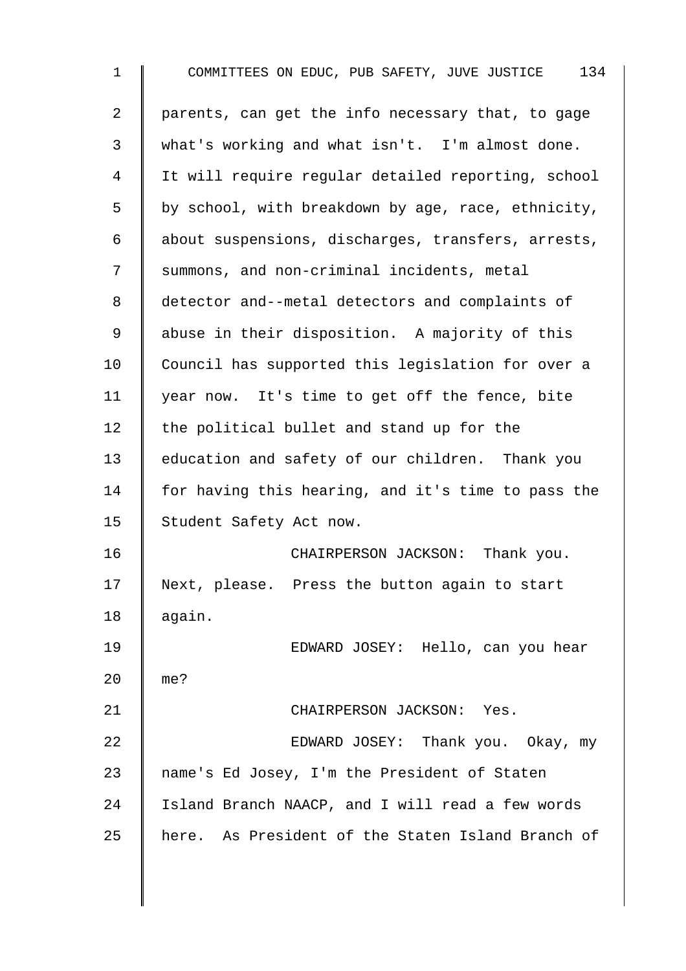1 COMMITTEES ON EDUC, PUB SAFETY, JUVE JUSTICE 134 2 | parents, can get the info necessary that, to gage 3 what's working and what isn't. I'm almost done. 4 It will require regular detailed reporting, school  $5 \parallel$  by school, with breakdown by age, race, ethnicity, 6 | about suspensions, discharges, transfers, arrests, 7 Summons, and non-criminal incidents, metal 8 detector and--metal detectors and complaints of 9 abuse in their disposition. A majority of this 10 Council has supported this legislation for over a 11 | year now. It's time to get off the fence, bite 12  $\parallel$  the political bullet and stand up for the 13 education and safety of our children. Thank you 14 | for having this hearing, and it's time to pass the 15 Student Safety Act now. 16 **CHAIRPERSON JACKSON:** Thank you. 17 Next, please. Press the button again to start 18 again. 19 EDWARD JOSEY: Hello, can you hear 20 me? 21 | CHAIRPERSON JACKSON: Yes. 22 **EDWARD JOSEY:** Thank you. Okay, my 23 | name's Ed Josey, I'm the President of Staten 24 Island Branch NAACP, and I will read a few words 25 | here. As President of the Staten Island Branch of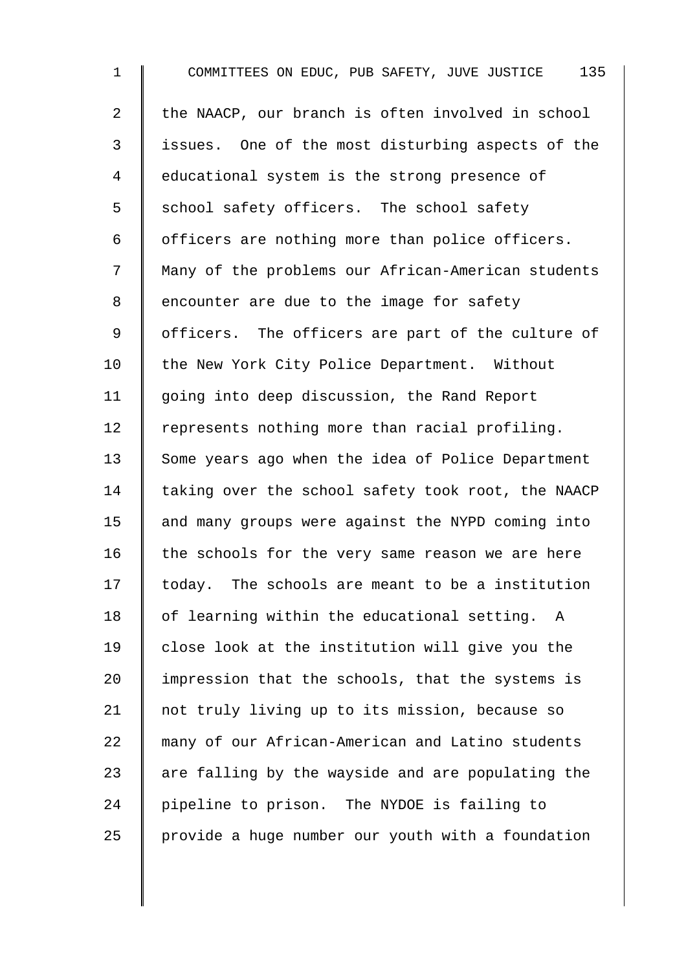1 COMMITTEES ON EDUC, PUB SAFETY, JUVE JUSTICE 135 2 | the NAACP, our branch is often involved in school 3 issues. One of the most disturbing aspects of the 4 educational system is the strong presence of  $5 \parallel$  school safety officers. The school safety  $6 \parallel$  officers are nothing more than police officers. 7 | Many of the problems our African-American students 8 encounter are due to the image for safety 9 | officers. The officers are part of the culture of 10 | the New York City Police Department. Without 11 | going into deep discussion, the Rand Report 12 | represents nothing more than racial profiling. 13 Some years ago when the idea of Police Department 14  $\parallel$  taking over the school safety took root, the NAACP  $15$  and many groups were against the NYPD coming into 16  $\parallel$  the schools for the very same reason we are here  $17$  today. The schools are meant to be a institution  $18$  | of learning within the educational setting. A  $19$   $\parallel$  close look at the institution will give you the 20  $\parallel$  impression that the schools, that the systems is 21 | not truly living up to its mission, because so 22 many of our African-American and Latino students 23  $\parallel$  are falling by the wayside and are populating the 24 pipeline to prison. The NYDOE is failing to 25  $\parallel$  provide a huge number our youth with a foundation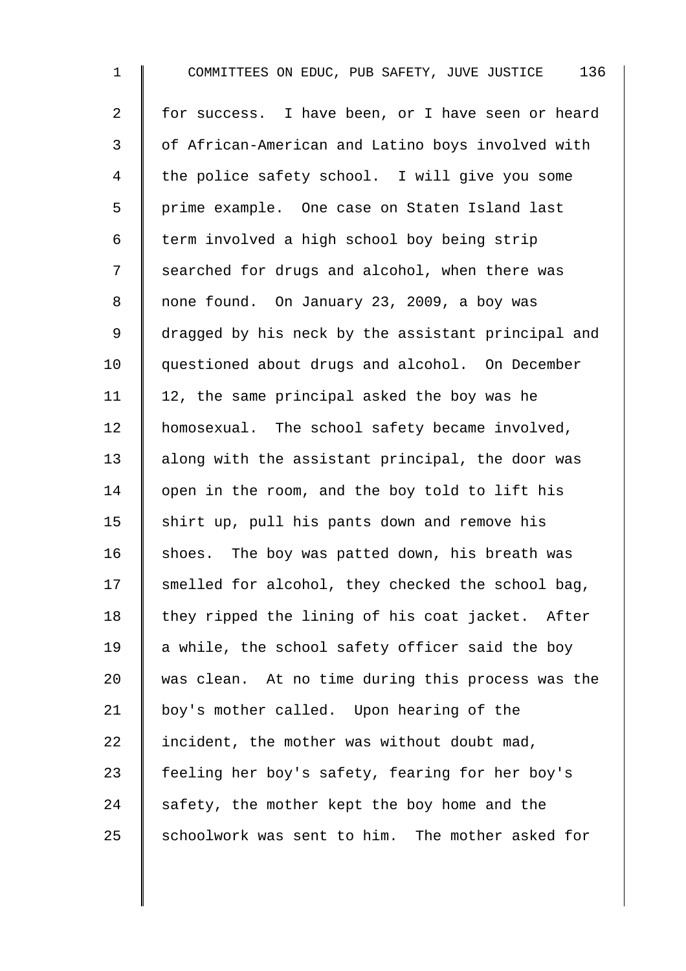1 COMMITTEES ON EDUC, PUB SAFETY, JUVE JUSTICE 136 2 for success. I have been, or I have seen or heard 3 | of African-American and Latino boys involved with 4 the police safety school. I will give you some 5 | prime example. One case on Staten Island last 6  $\parallel$  term involved a high school boy being strip 7 Searched for drugs and alcohol, when there was 8 none found. On January 23, 2009, a boy was 9 | dragged by his neck by the assistant principal and 10 | questioned about drugs and alcohol. On December 11 | 12, the same principal asked the boy was he 12 | homosexual. The school safety became involved, 13  $\parallel$  along with the assistant principal, the door was 14 | open in the room, and the boy told to lift his 15  $\parallel$  shirt up, pull his pants down and remove his 16  $\parallel$  shoes. The boy was patted down, his breath was  $17$  smelled for alcohol, they checked the school bag, 18  $\parallel$  they ripped the lining of his coat jacket. After 19  $\parallel$  a while, the school safety officer said the boy 20 was clean. At no time during this process was the 21 | boy's mother called. Upon hearing of the 22 incident, the mother was without doubt mad, 23 feeling her boy's safety, fearing for her boy's 24  $\parallel$  safety, the mother kept the boy home and the  $25$  schoolwork was sent to him. The mother asked for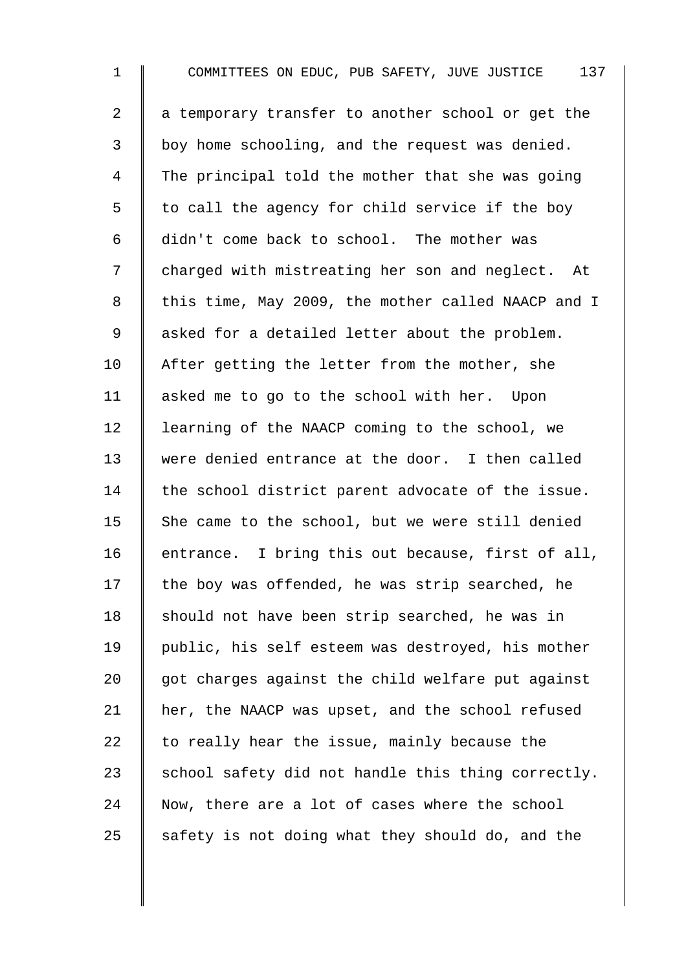1 COMMITTEES ON EDUC, PUB SAFETY, JUVE JUSTICE 137  $2 \parallel a$  temporary transfer to another school or get the 3 boy home schooling, and the request was denied. 4 The principal told the mother that she was going  $5 \parallel$  to call the agency for child service if the boy 6 didn't come back to school. The mother was 7 | charged with mistreating her son and neglect. At 8 | this time, May 2009, the mother called NAACP and I 9 | asked for a detailed letter about the problem. 10  $\parallel$  After getting the letter from the mother, she 11 asked me to go to the school with her. Upon 12 | learning of the NAACP coming to the school, we 13 were denied entrance at the door. I then called  $14$  the school district parent advocate of the issue. 15  $\parallel$  She came to the school, but we were still denied 16 | entrance. I bring this out because, first of all,  $17$  the boy was offended, he was strip searched, he 18  $\parallel$  should not have been strip searched, he was in 19 public, his self esteem was destroyed, his mother  $20$  got charges against the child welfare put against 21 | her, the NAACP was upset, and the school refused 22  $\parallel$  to really hear the issue, mainly because the 23  $\parallel$  school safety did not handle this thing correctly.  $24$  Now, there are a lot of cases where the school 25 safety is not doing what they should do, and the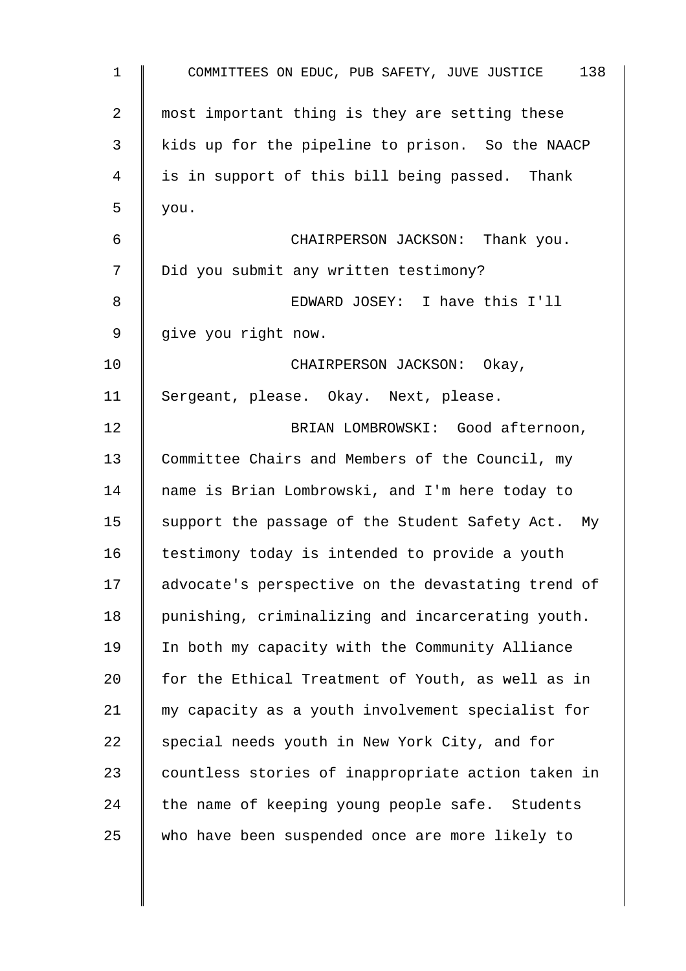| $\mathbf 1$    | 138<br>COMMITTEES ON EDUC, PUB SAFETY, JUVE JUSTICE |
|----------------|-----------------------------------------------------|
| $\overline{a}$ | most important thing is they are setting these      |
| 3              | kids up for the pipeline to prison. So the NAACP    |
| 4              | is in support of this bill being passed. Thank      |
| 5              | you.                                                |
| 6              | CHAIRPERSON JACKSON: Thank you.                     |
| 7              | Did you submit any written testimony?               |
| 8              | EDWARD JOSEY: I have this I'll                      |
| 9              | give you right now.                                 |
| 10             | CHAIRPERSON JACKSON: Okay,                          |
| 11             | Sergeant, please. Okay. Next, please.               |
| 12             | BRIAN LOMBROWSKI: Good afternoon,                   |
| 13             | Committee Chairs and Members of the Council, my     |
| 14             | name is Brian Lombrowski, and I'm here today to     |
| 15             | support the passage of the Student Safety Act. My   |
| 16             | testimony today is intended to provide a youth      |
| 17             | advocate's perspective on the devastating trend of  |
| 18             | punishing, criminalizing and incarcerating youth.   |
| 19             | In both my capacity with the Community Alliance     |
| 20             | for the Ethical Treatment of Youth, as well as in   |
| 21             | my capacity as a youth involvement specialist for   |
| 22             | special needs youth in New York City, and for       |
| 23             | countless stories of inappropriate action taken in  |
| 24             | the name of keeping young people safe. Students     |
| 25             | who have been suspended once are more likely to     |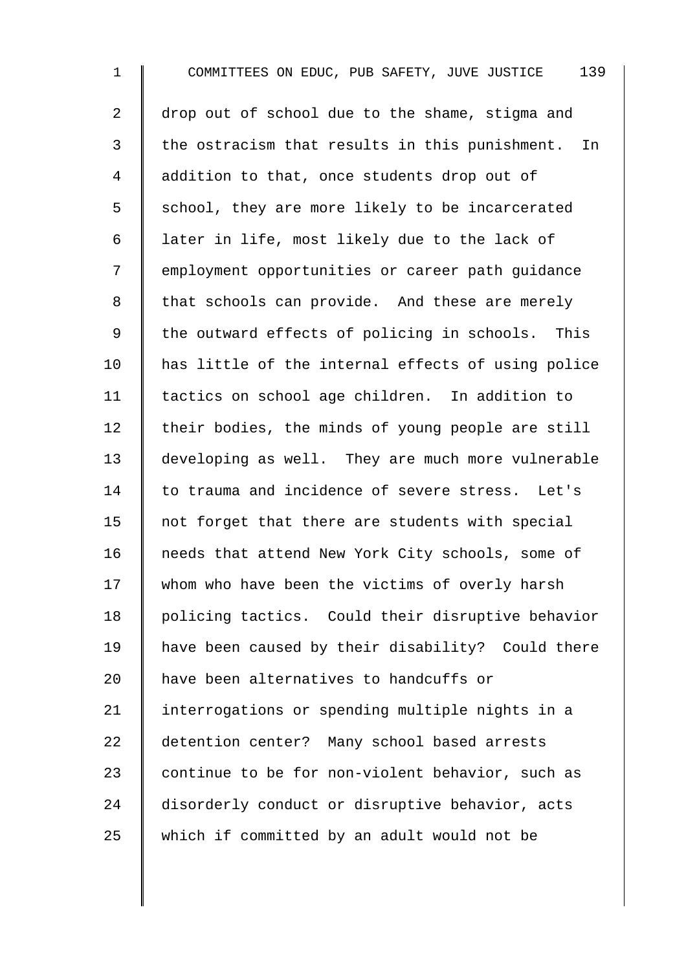1 COMMITTEES ON EDUC, PUB SAFETY, JUVE JUSTICE 139 2 drop out of school due to the shame, stigma and  $3$  | the ostracism that results in this punishment. In 4 addition to that, once students drop out of 5 S chool, they are more likely to be incarcerated 6 | later in life, most likely due to the lack of 7 | employment opportunities or career path quidance 8 that schools can provide. And these are merely 9 Ithe outward effects of policing in schools. This 10 | has little of the internal effects of using police 11 | tactics on school age children. In addition to  $12$  their bodies, the minds of young people are still 13 developing as well. They are much more vulnerable 14 to trauma and incidence of severe stress. Let's 15  $\parallel$  not forget that there are students with special 16 | needs that attend New York City schools, some of 17 whom who have been the victims of overly harsh 18 | policing tactics. Could their disruptive behavior 19 have been caused by their disability? Could there 20 | have been alternatives to handcuffs or 21 | interrogations or spending multiple nights in a 22 detention center? Many school based arrests 23 continue to be for non-violent behavior, such as 24 disorderly conduct or disruptive behavior, acts 25 which if committed by an adult would not be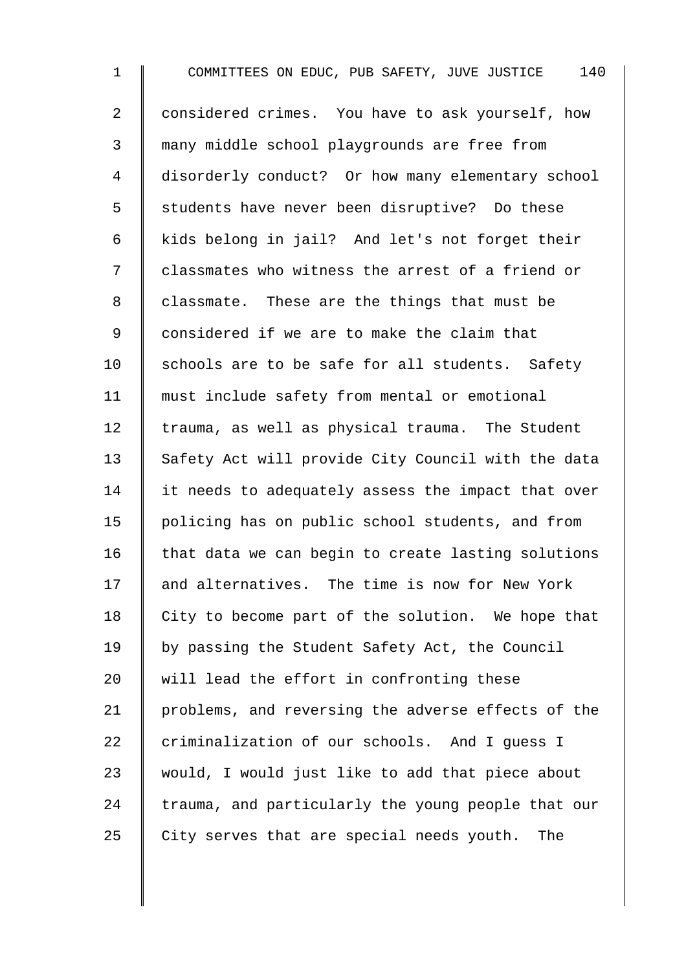1 COMMITTEES ON EDUC, PUB SAFETY, JUVE JUSTICE 140 2 | considered crimes. You have to ask yourself, how 3 many middle school playgrounds are free from 4 disorderly conduct? Or how many elementary school 5 Students have never been disruptive? Do these 6 kids belong in jail? And let's not forget their 7 | classmates who witness the arrest of a friend or 8 classmate. These are the things that must be 9 considered if we are to make the claim that 10  $\parallel$  schools are to be safe for all students. Safety 11 must include safety from mental or emotional  $12$  trauma, as well as physical trauma. The Student 13 Safety Act will provide City Council with the data 14 I it needs to adequately assess the impact that over 15 policing has on public school students, and from  $16$  that data we can begin to create lasting solutions 17 and alternatives. The time is now for New York 18  $\parallel$  City to become part of the solution. We hope that 19 | by passing the Student Safety Act, the Council 20 Will lead the effort in confronting these 21 problems, and reversing the adverse effects of the  $22$  criminalization of our schools. And I quess I 23 would, I would just like to add that piece about  $24$  trauma, and particularly the young people that our 25  $\parallel$  City serves that are special needs youth. The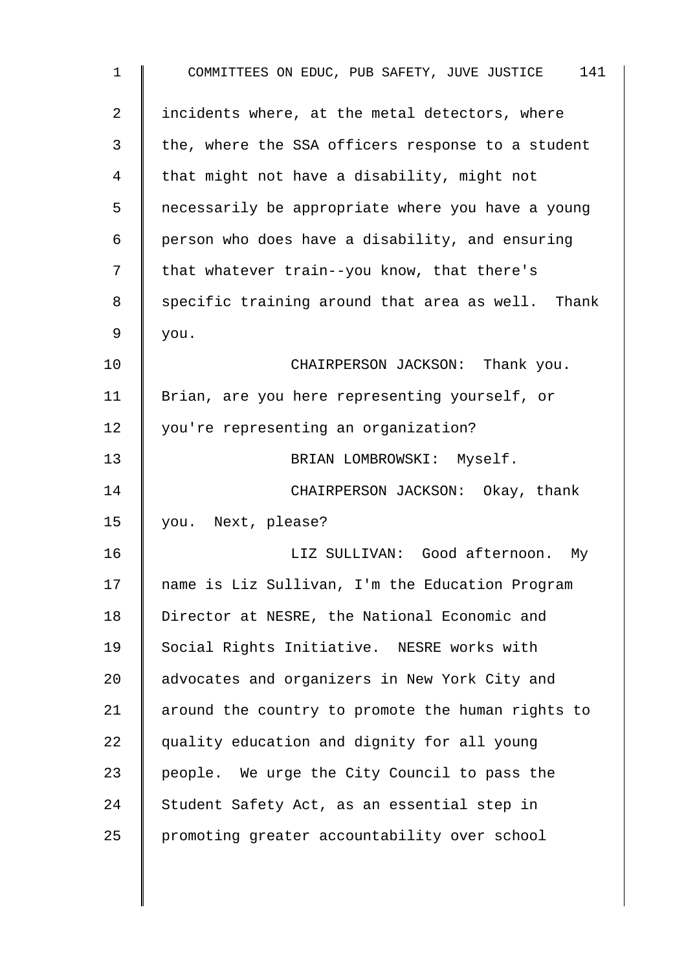| $\mathbf 1$    | COMMITTEES ON EDUC, PUB SAFETY, JUVE JUSTICE 141  |
|----------------|---------------------------------------------------|
| $\overline{a}$ | incidents where, at the metal detectors, where    |
| 3              | the, where the SSA officers response to a student |
| 4              | that might not have a disability, might not       |
| 5              | necessarily be appropriate where you have a young |
| 6              | person who does have a disability, and ensuring   |
| 7              | that whatever train--you know, that there's       |
| 8              | specific training around that area as well. Thank |
| 9              | you.                                              |
| 10             | CHAIRPERSON JACKSON: Thank you.                   |
| 11             | Brian, are you here representing yourself, or     |
| 12             | you're representing an organization?              |
| 13             | BRIAN LOMBROWSKI: Myself.                         |
| 14             | CHAIRPERSON JACKSON: Okay, thank                  |
| 15             | you. Next, please?                                |
| 16             | LIZ SULLIVAN: Good afternoon.<br>Мy               |
| 17             | name is Liz Sullivan, I'm the Education Program   |
| 18             | Director at NESRE, the National Economic and      |
| 19             | Social Rights Initiative. NESRE works with        |
| 20             | advocates and organizers in New York City and     |
| 21             | around the country to promote the human rights to |
| 22             | quality education and dignity for all young       |
| 23             | people. We urge the City Council to pass the      |
| 24             | Student Safety Act, as an essential step in       |
| 25             | promoting greater accountability over school      |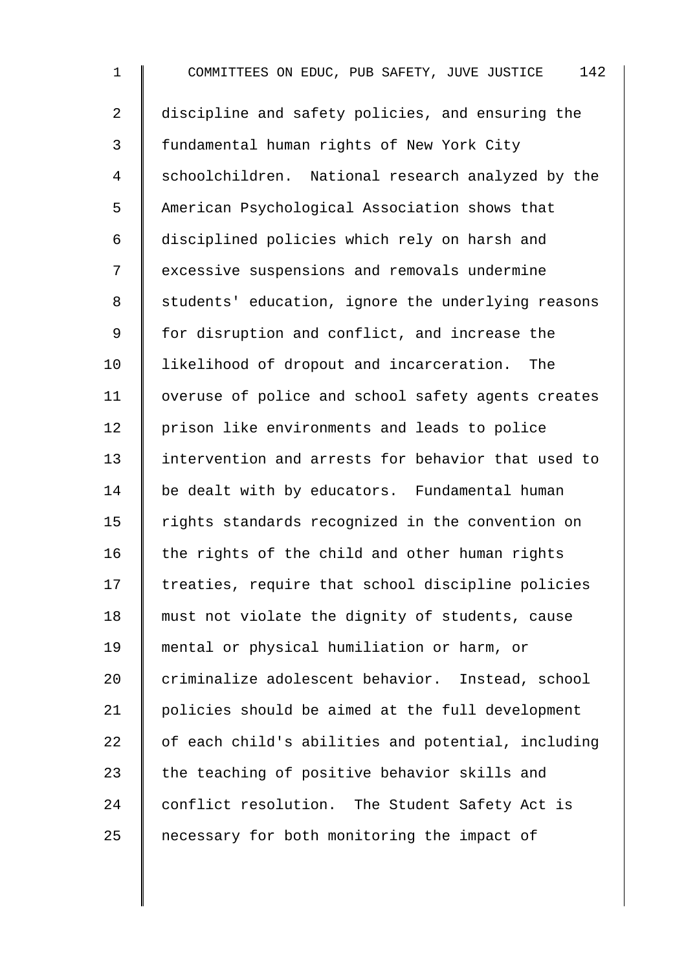1 COMMITTEES ON EDUC, PUB SAFETY, JUVE JUSTICE 142 2 discipline and safety policies, and ensuring the 3 | fundamental human rights of New York City 4 Schoolchildren. National research analyzed by the 5 American Psychological Association shows that 6 disciplined policies which rely on harsh and 7 | excessive suspensions and removals undermine 8 | students' education, ignore the underlying reasons 9 | for disruption and conflict, and increase the 10 I likelihood of dropout and incarceration. The 11 | overuse of police and school safety agents creates 12 | prison like environments and leads to police 13 intervention and arrests for behavior that used to 14 be dealt with by educators. Fundamental human 15 | rights standards recognized in the convention on 16  $\parallel$  the rights of the child and other human rights  $17$  | treaties, require that school discipline policies 18 || must not violate the dignity of students, cause 19 mental or physical humiliation or harm, or 20 criminalize adolescent behavior. Instead, school 21 policies should be aimed at the full development  $22$   $\parallel$  of each child's abilities and potential, including 23  $\parallel$  the teaching of positive behavior skills and 24 conflict resolution. The Student Safety Act is 25  $\parallel$  necessary for both monitoring the impact of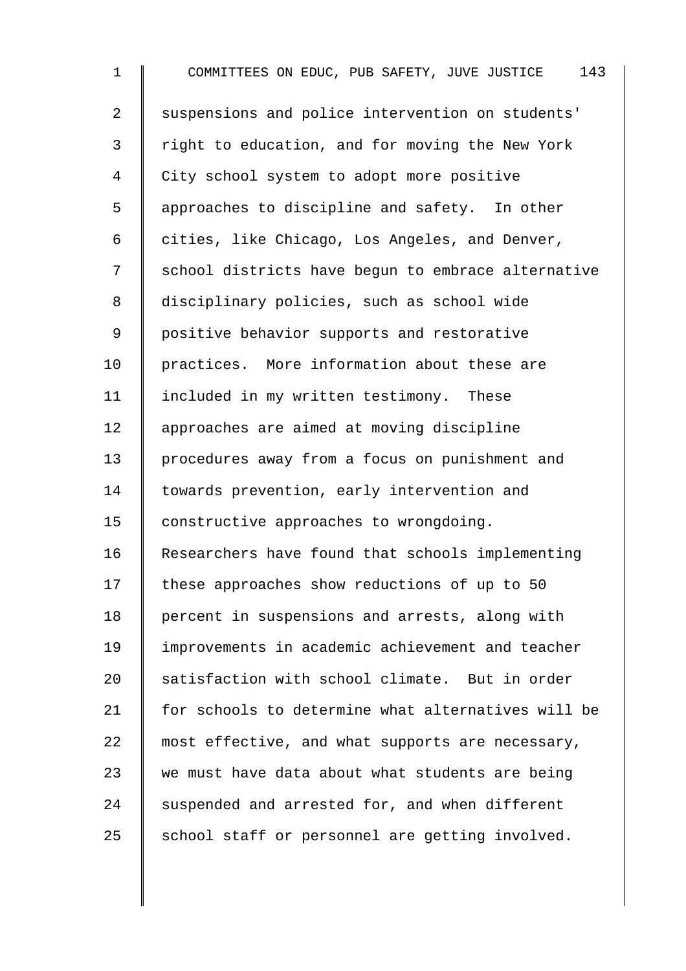1 COMMITTEES ON EDUC, PUB SAFETY, JUVE JUSTICE 143 2 Suspensions and police intervention on students' 3 | right to education, and for moving the New York 4 City school system to adopt more positive 5 | approaches to discipline and safety. In other 6  $\parallel$  cities, like Chicago, Los Angeles, and Denver, 7 | school districts have begun to embrace alternative 8 | disciplinary policies, such as school wide 9 | positive behavior supports and restorative 10 practices. More information about these are 11 | included in my written testimony. These 12 approaches are aimed at moving discipline 13 procedures away from a focus on punishment and 14 | towards prevention, early intervention and 15 | constructive approaches to wrongdoing. 16 Researchers have found that schools implementing 17 these approaches show reductions of up to 50 18 | percent in suspensions and arrests, along with 19 improvements in academic achievement and teacher 20 satisfaction with school climate. But in order 21 for schools to determine what alternatives will be 22 most effective, and what supports are necessary, 23 we must have data about what students are being  $24$  suspended and arrested for, and when different  $25$  school staff or personnel are getting involved.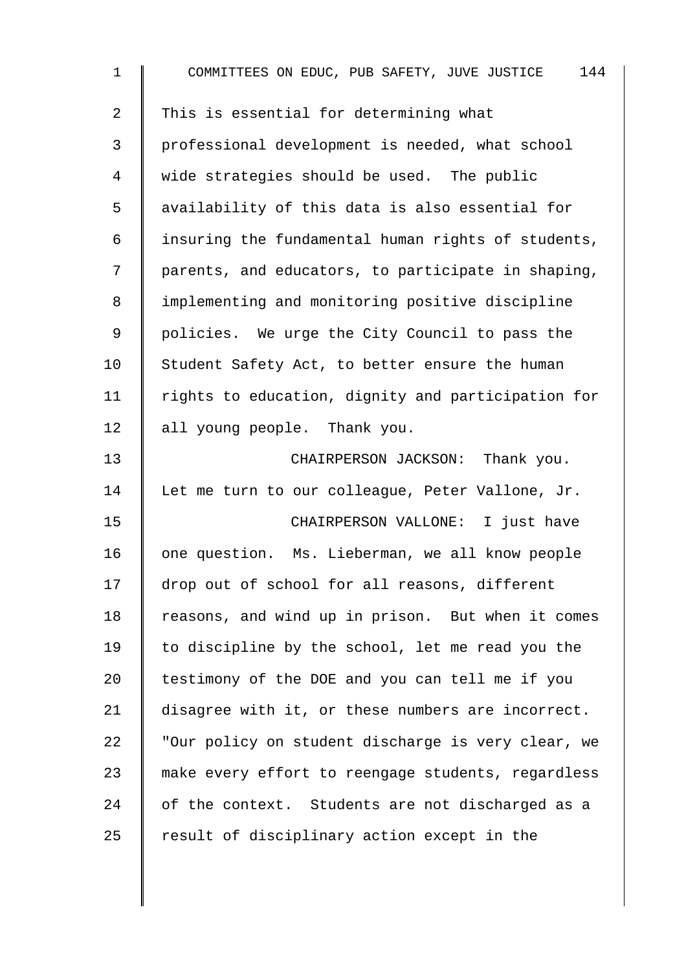| $\mathbf 1$ | COMMITTEES ON EDUC, PUB SAFETY, JUVE JUSTICE<br>144 |
|-------------|-----------------------------------------------------|
| 2           | This is essential for determining what              |
| 3           | professional development is needed, what school     |
| 4           | wide strategies should be used. The public          |
| 5           | availability of this data is also essential for     |
| 6           | insuring the fundamental human rights of students,  |
| 7           | parents, and educators, to participate in shaping,  |
| 8           | implementing and monitoring positive discipline     |
| 9           | policies. We urge the City Council to pass the      |
| 10          | Student Safety Act, to better ensure the human      |
| 11          | rights to education, dignity and participation for  |
| 12          | all young people. Thank you.                        |
| 13          | CHAIRPERSON JACKSON: Thank you.                     |
| 14          | Let me turn to our colleague, Peter Vallone, Jr.    |
| 15          | CHAIRPERSON VALLONE: I just have                    |
| 16          | one question. Ms. Lieberman, we all know people     |
| 17          | drop out of school for all reasons, different       |
| 18          | reasons, and wind up in prison. But when it comes   |
| 19          | to discipline by the school, let me read you the    |
| 20          | testimony of the DOE and you can tell me if you     |
| 21          | disagree with it, or these numbers are incorrect.   |
| 22          | "Our policy on student discharge is very clear, we  |
| 23          | make every effort to reengage students, regardless  |
| 24          | of the context. Students are not discharged as a    |
| 25          | result of disciplinary action except in the         |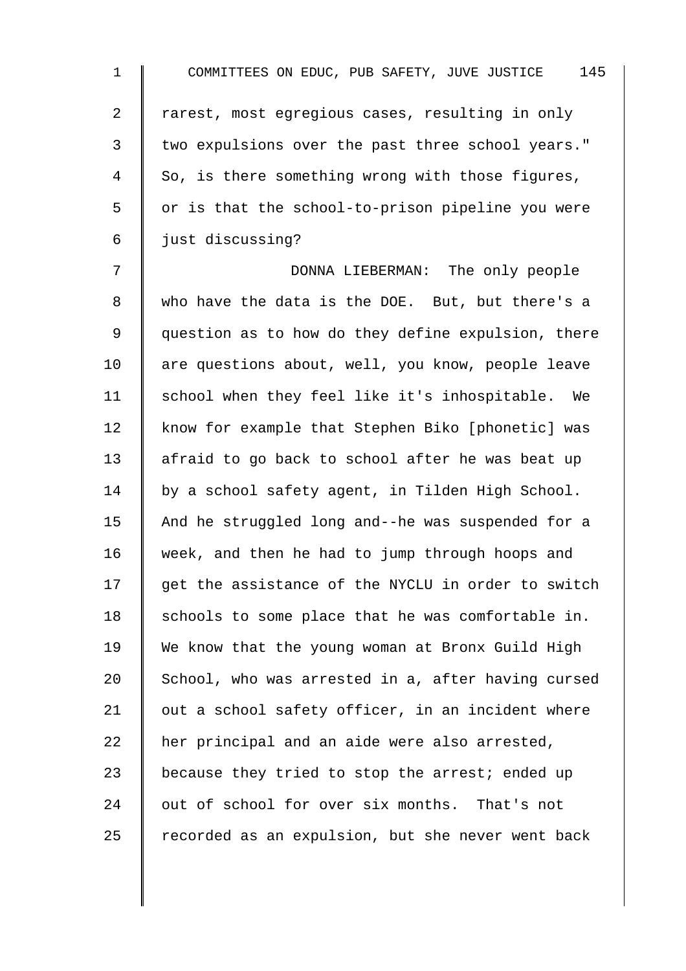| $\mathbf 1$    | 145<br>COMMITTEES ON EDUC, PUB SAFETY, JUVE JUSTICE |
|----------------|-----------------------------------------------------|
| $\overline{2}$ | rarest, most egregious cases, resulting in only     |
| 3              | two expulsions over the past three school years."   |
| $\overline{4}$ | So, is there something wrong with those figures,    |
| 5              | or is that the school-to-prison pipeline you were   |
| 6              | just discussing?                                    |
| 7              | DONNA LIEBERMAN: The only people                    |
| 8              | who have the data is the DOE. But, but there's a    |
| 9              | question as to how do they define expulsion, there  |
| 10             | are questions about, well, you know, people leave   |
| 11             | school when they feel like it's inhospitable. We    |
| 12             | know for example that Stephen Biko [phonetic] was   |
| 13             | afraid to go back to school after he was beat up    |
| 14             | by a school safety agent, in Tilden High School.    |
| 15             | And he struggled long and--he was suspended for a   |
| 16             | week, and then he had to jump through hoops and     |
| 17             | get the assistance of the NYCLU in order to switch  |
| 18             | schools to some place that he was comfortable in.   |
| 19             | We know that the young woman at Bronx Guild High    |
| 20             | School, who was arrested in a, after having cursed  |
| 21             | out a school safety officer, in an incident where   |
| 22             | her principal and an aide were also arrested,       |
| 23             | because they tried to stop the arrest; ended up     |
| 24             | out of school for over six months. That's not       |
| 25             | recorded as an expulsion, but she never went back   |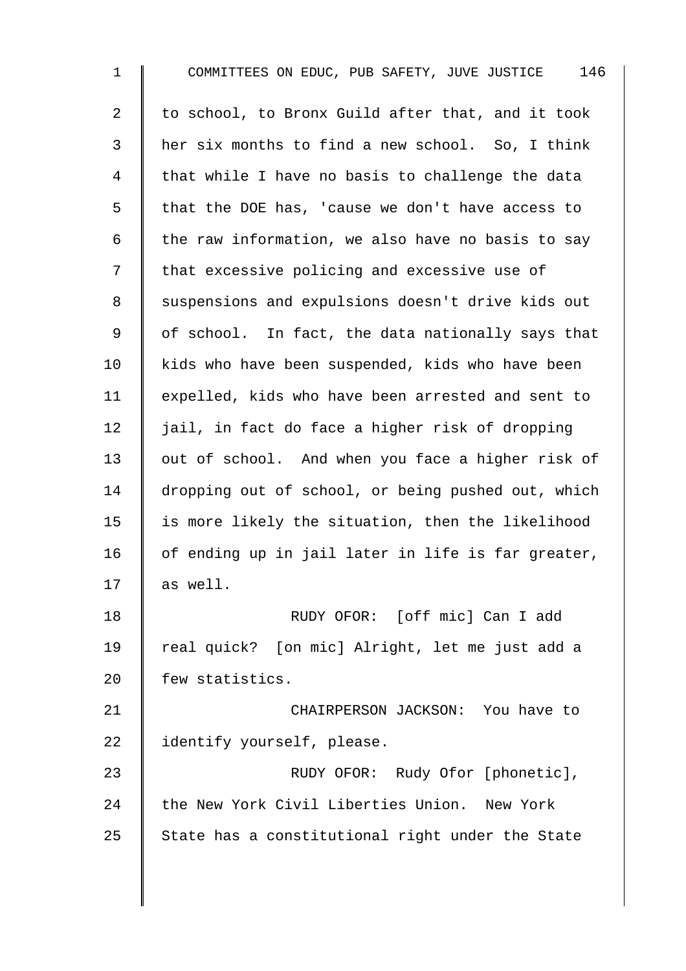1 COMMITTEES ON EDUC, PUB SAFETY, JUVE JUSTICE 146 2  $\parallel$  to school, to Bronx Guild after that, and it took 3 her six months to find a new school. So, I think 4 | that while I have no basis to challenge the data 5 | that the DOE has, 'cause we don't have access to 6  $\parallel$  the raw information, we also have no basis to say 7 | that excessive policing and excessive use of 8 | suspensions and expulsions doesn't drive kids out  $9 \parallel$  of school. In fact, the data nationally says that 10 | kids who have been suspended, kids who have been 11 expelled, kids who have been arrested and sent to 12  $\parallel$  jail, in fact do face a higher risk of dropping 13 | out of school. And when you face a higher risk of 14 dropping out of school, or being pushed out, which 15  $\parallel$  is more likely the situation, then the likelihood 16  $\parallel$  of ending up in jail later in life is far greater, 17  $\parallel$  as well. 18 | RUDY OFOR: [off mic] Can I add 19 real quick? [on mic] Alright, let me just add a 20 Few statistics. 21 **CHAIRPERSON JACKSON:** You have to 22 didentify yourself, please. 23 | RUDY OFOR: Rudy Ofor [phonetic], 24 the New York Civil Liberties Union. New York  $25$  State has a constitutional right under the State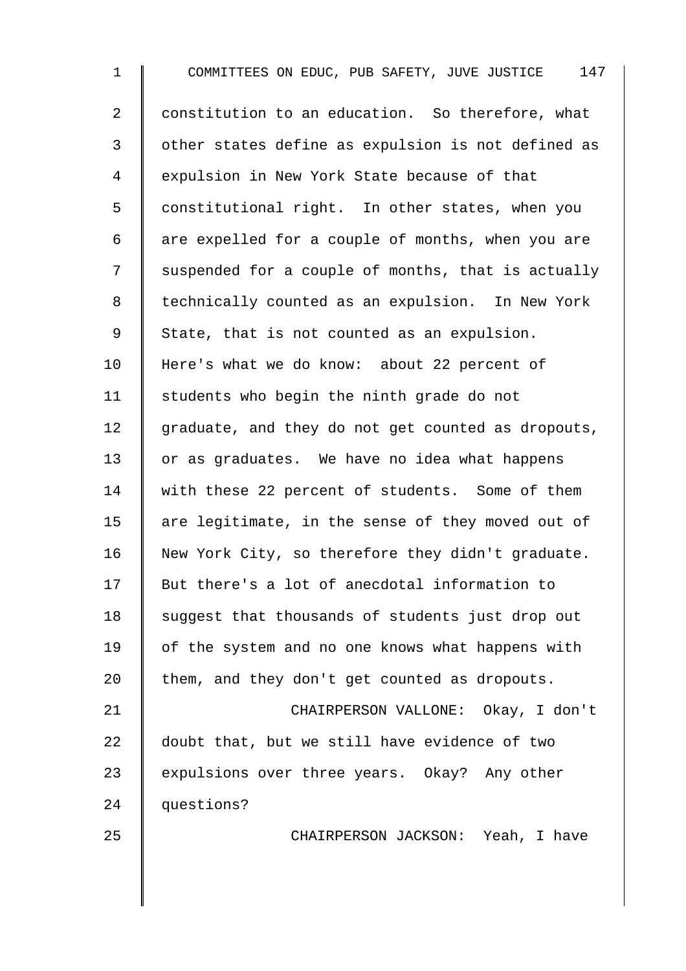1 COMMITTEES ON EDUC, PUB SAFETY, JUVE JUSTICE 147 2 | constitution to an education. So therefore, what 3 | other states define as expulsion is not defined as 4 Expulsion in New York State because of that 5 constitutional right. In other states, when you  $6 \parallel$  are expelled for a couple of months, when you are 7 Suspended for a couple of months, that is actually 8 | technically counted as an expulsion. In New York 9 State, that is not counted as an expulsion. 10 Here's what we do know: about 22 percent of 11 | students who begin the ninth grade do not  $12$  graduate, and they do not get counted as dropouts, 13 or as graduates. We have no idea what happens 14 with these 22 percent of students. Some of them 15  $\parallel$  are legitimate, in the sense of they moved out of 16 New York City, so therefore they didn't graduate. 17 But there's a lot of anecdotal information to 18 suggest that thousands of students just drop out 19 | of the system and no one knows what happens with 20  $\parallel$  them, and they don't get counted as dropouts. 21 | CHAIRPERSON VALLONE: Okay, I don't 22 doubt that, but we still have evidence of two 23  $\parallel$  expulsions over three years. Okay? Any other 24 | questions? 25 || CHAIRPERSON JACKSON: Yeah, I have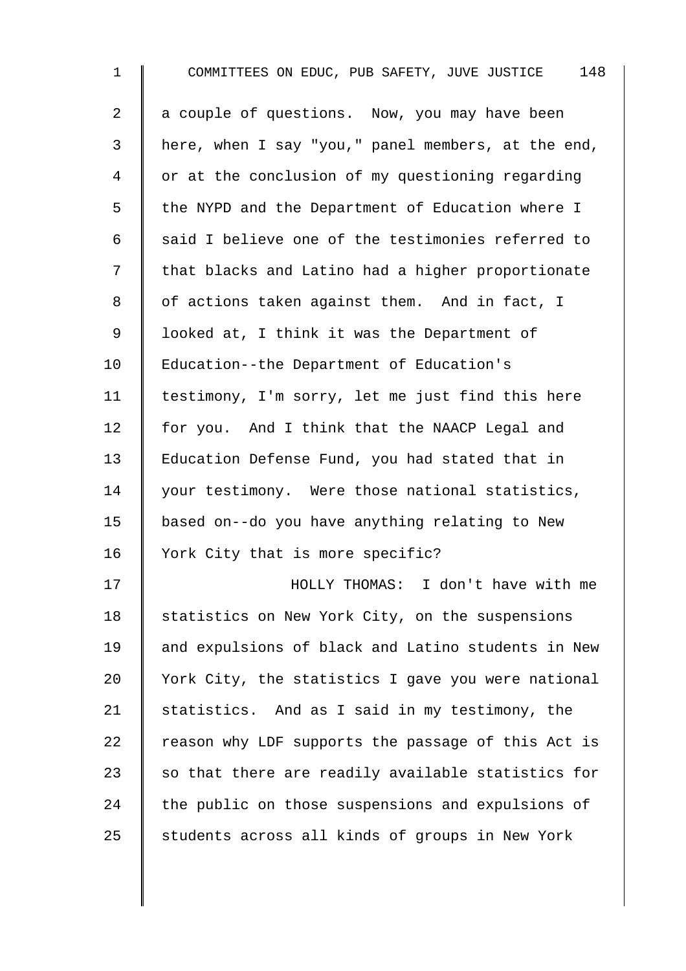| $\mathbf 1$    | 148<br>COMMITTEES ON EDUC, PUB SAFETY, JUVE JUSTICE |
|----------------|-----------------------------------------------------|
| $\overline{2}$ | a couple of questions. Now, you may have been       |
| 3              | here, when I say "you," panel members, at the end,  |
| 4              | or at the conclusion of my questioning regarding    |
| 5              | the NYPD and the Department of Education where I    |
| 6              | said I believe one of the testimonies referred to   |
| 7              | that blacks and Latino had a higher proportionate   |
| 8              | of actions taken against them. And in fact, I       |
| 9              | looked at, I think it was the Department of         |
| 10             | Education--the Department of Education's            |
| 11             | testimony, I'm sorry, let me just find this here    |
| 12             | for you. And I think that the NAACP Legal and       |
| 13             | Education Defense Fund, you had stated that in      |
| 14             | your testimony. Were those national statistics,     |
| 15             | based on--do you have anything relating to New      |
| 16             | York City that is more specific?                    |
| 17             | HOLLY THOMAS: I don't have with me                  |
| 18             | statistics on New York City, on the suspensions     |
| 19             | and expulsions of black and Latino students in New  |
| 20             | York City, the statistics I gave you were national  |
| 21             | statistics. And as I said in my testimony, the      |
| 22             | reason why LDF supports the passage of this Act is  |
| 23             | so that there are readily available statistics for  |
| 24             | the public on those suspensions and expulsions of   |
| 25             | students across all kinds of groups in New York     |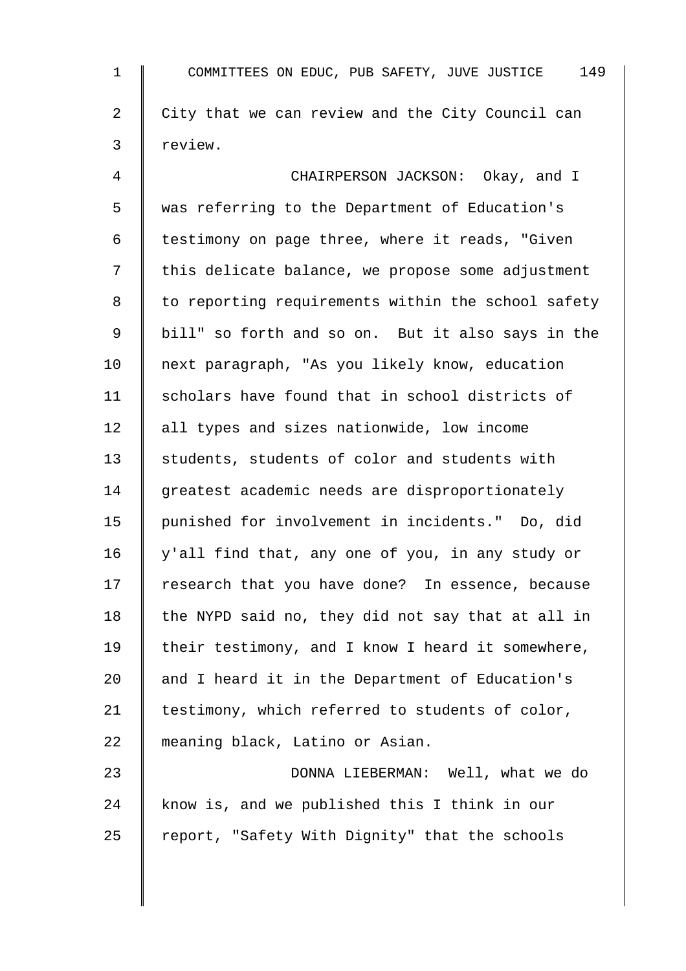1 COMMITTEES ON EDUC, PUB SAFETY, JUVE JUSTICE 149 2 City that we can review and the City Council can 3 review. 4 **Fig. 2** CHAIRPERSON JACKSON: Okay, and I 5 was referring to the Department of Education's 6  $\parallel$  testimony on page three, where it reads, "Given 7 | this delicate balance, we propose some adjustment 8 | to reporting requirements within the school safety 9 bill" so forth and so on. But it also says in the 10 | next paragraph, "As you likely know, education 11 | scholars have found that in school districts of 12 | all types and sizes nationwide, low income 13 Students, students of color and students with 14 greatest academic needs are disproportionately 15 punished for involvement in incidents." Do, did 16 y'all find that, any one of you, in any study or 17 Tesearch that you have done? In essence, because 18 the NYPD said no, they did not say that at all in 19  $\parallel$  their testimony, and I know I heard it somewhere, 20 and I heard it in the Department of Education's 21 | testimony, which referred to students of color, 22 meaning black, Latino or Asian. 23 DONNA LIEBERMAN: Well, what we do

24 know is, and we published this I think in our 25  $\parallel$  report, "Safety With Dignity" that the schools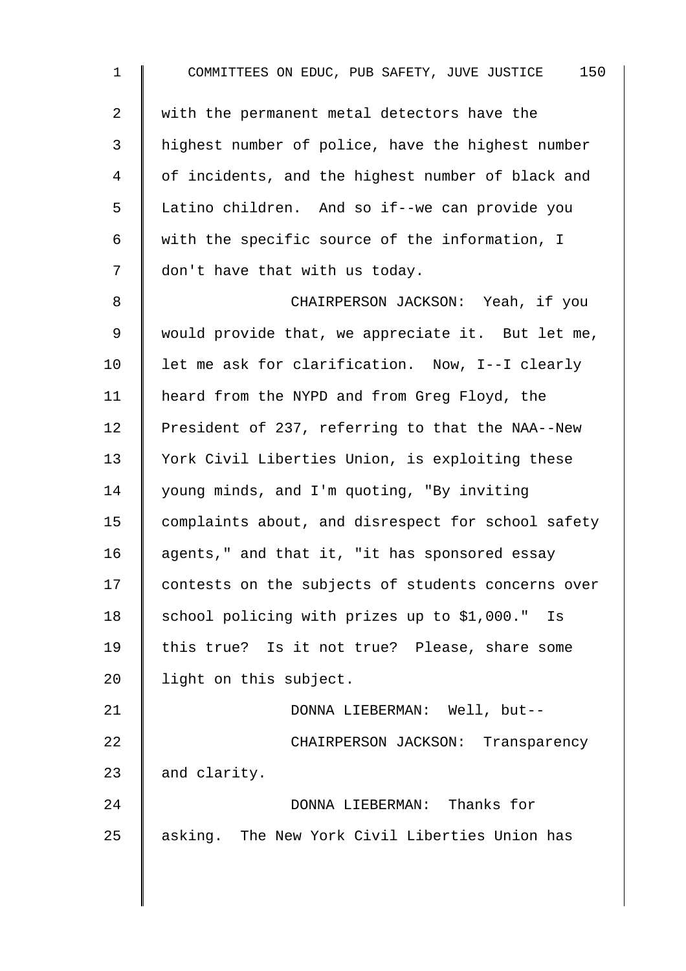1 COMMITTEES ON EDUC, PUB SAFETY, JUVE JUSTICE 150 2 W with the permanent metal detectors have the 3 | highest number of police, have the highest number 4 | of incidents, and the highest number of black and 5 Latino children. And so if--we can provide you 6 with the specific source of the information, I 7 don't have that with us today. 8 CHAIRPERSON JACKSON: Yeah, if you 9 | would provide that, we appreciate it. But let me, 10 | let me ask for clarification. Now, I--I clearly 11 | heard from the NYPD and from Greg Floyd, the 12 President of 237, referring to that the NAA--New 13 | York Civil Liberties Union, is exploiting these 14 | young minds, and I'm quoting, "By inviting 15 | complaints about, and disrespect for school safety 16  $\parallel$  agents," and that it, "it has sponsored essay 17 contests on the subjects of students concerns over 18 | school policing with prizes up to  $$1,000."$  Is 19 | this true? Is it not true? Please, share some 20 | light on this subject. 21 | DONNA LIEBERMAN: Well, but--22 | CHAIRPERSON JACKSON: Transparency 23 and clarity. 24 DONNA LIEBERMAN: Thanks for 25 asking. The New York Civil Liberties Union has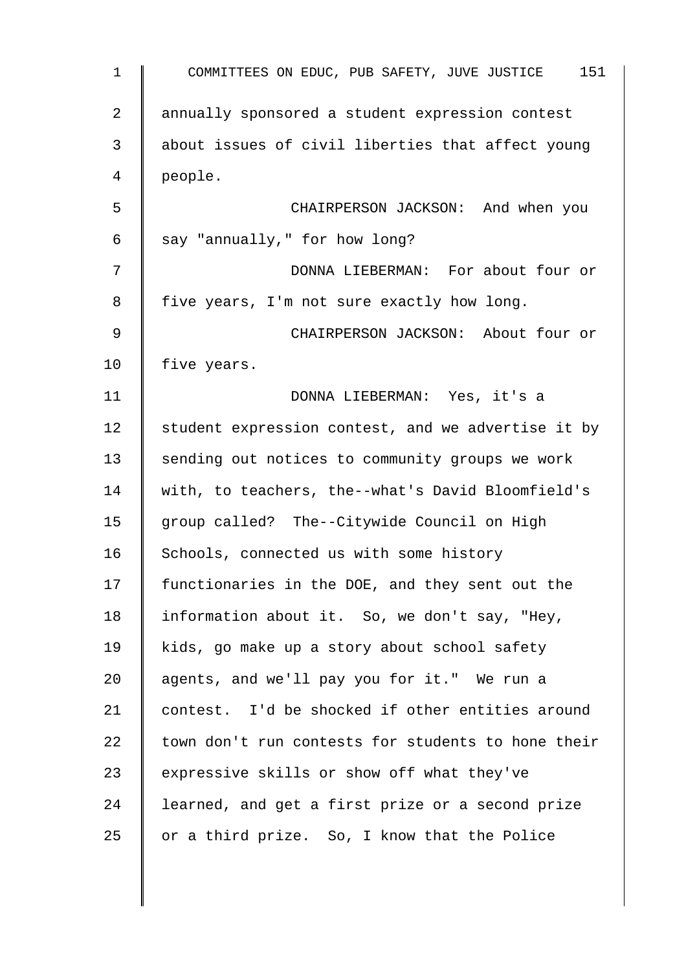| $\mathbf{1}$   | COMMITTEES ON EDUC, PUB SAFETY, JUVE JUSTICE<br>151 |
|----------------|-----------------------------------------------------|
| $\overline{a}$ | annually sponsored a student expression contest     |
| 3              | about issues of civil liberties that affect young   |
| 4              | people.                                             |
| 5              | CHAIRPERSON JACKSON: And when you                   |
| 6              | say "annually," for how long?                       |
| 7              | DONNA LIEBERMAN: For about four or                  |
| 8              | five years, I'm not sure exactly how long.          |
| 9              | CHAIRPERSON JACKSON: About four or                  |
| 10             | five years.                                         |
| 11             | DONNA LIEBERMAN: Yes, it's a                        |
| 12             | student expression contest, and we advertise it by  |
| 13             | sending out notices to community groups we work     |
| 14             | with, to teachers, the--what's David Bloomfield's   |
| 15             | group called? The--Citywide Council on High         |
| 16             | Schools, connected us with some history             |
| 17             | functionaries in the DOE, and they sent out the     |
| 18             | information about it. So, we don't say, "Hey,       |
| 19             | kids, go make up a story about school safety        |
| 20             | agents, and we'll pay you for it." We run a         |
| 21             | contest. I'd be shocked if other entities around    |
| 22             | town don't run contests for students to hone their  |
| 23             | expressive skills or show off what they've          |
| 24             | learned, and get a first prize or a second prize    |
| 25             | or a third prize. So, I know that the Police        |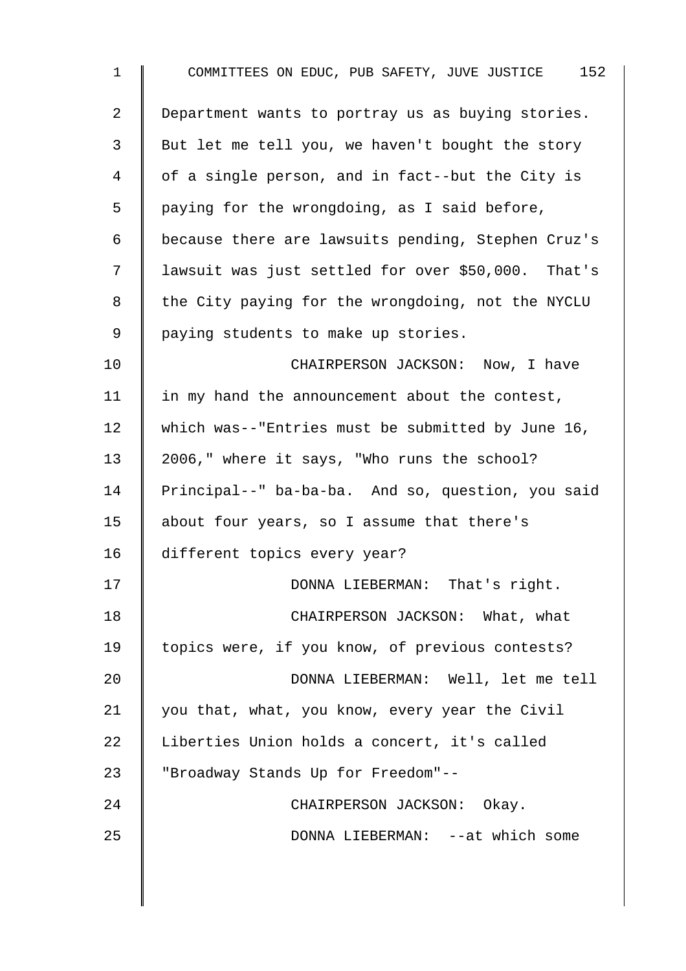| 1  | 152<br>COMMITTEES ON EDUC, PUB SAFETY, JUVE JUSTICE |
|----|-----------------------------------------------------|
| 2  | Department wants to portray us as buying stories.   |
| 3  | But let me tell you, we haven't bought the story    |
| 4  | of a single person, and in fact--but the City is    |
| 5  | paying for the wrongdoing, as I said before,        |
| 6  | because there are lawsuits pending, Stephen Cruz's  |
| 7  | lawsuit was just settled for over \$50,000. That's  |
| 8  | the City paying for the wrongdoing, not the NYCLU   |
| 9  | paying students to make up stories.                 |
| 10 | CHAIRPERSON JACKSON: Now, I have                    |
| 11 | in my hand the announcement about the contest,      |
| 12 | which was--"Entries must be submitted by June 16,   |
| 13 | 2006," where it says, "Who runs the school?         |
| 14 | Principal--" ba-ba-ba. And so, question, you said   |
| 15 | about four years, so I assume that there's          |
| 16 | different topics every year?                        |
| 17 | DONNA LIEBERMAN: That's right.                      |
| 18 | CHAIRPERSON JACKSON: What, what                     |
| 19 | topics were, if you know, of previous contests?     |
| 20 | DONNA LIEBERMAN: Well, let me tell                  |
| 21 | you that, what, you know, every year the Civil      |
| 22 | Liberties Union holds a concert, it's called        |
| 23 | "Broadway Stands Up for Freedom"--                  |
| 24 | CHAIRPERSON JACKSON: Okay.                          |
| 25 | DONNA LIEBERMAN: --at which some                    |
|    |                                                     |

 $\overline{\phantom{a}}$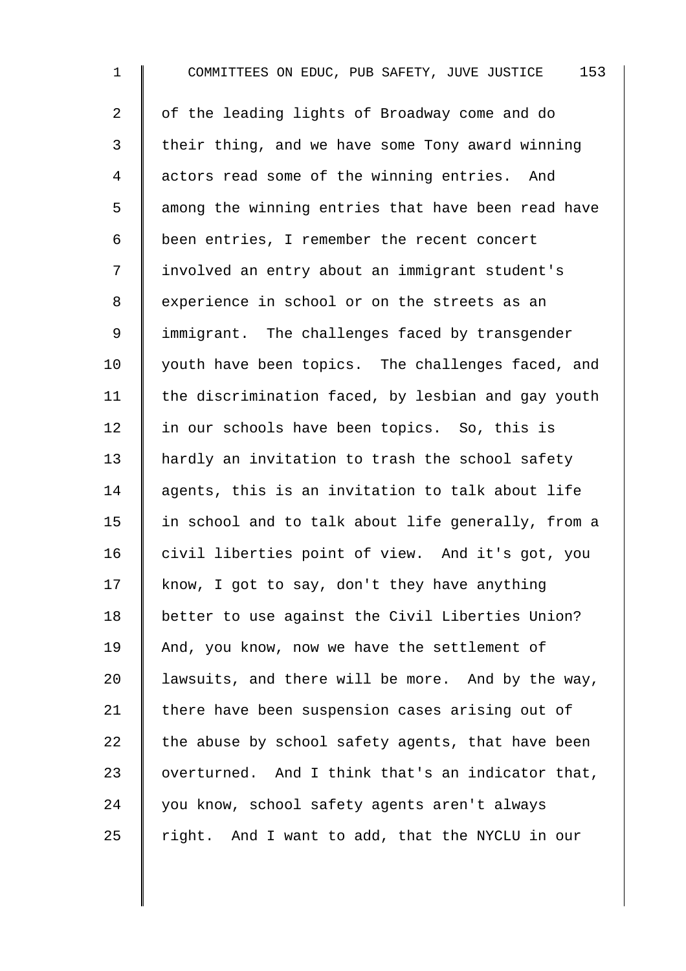1 COMMITTEES ON EDUC, PUB SAFETY, JUVE JUSTICE 153 2 | of the leading lights of Broadway come and do 3 their thing, and we have some Tony award winning 4 actors read some of the winning entries. And 5 || among the winning entries that have been read have 6 been entries, I remember the recent concert 7 | involved an entry about an immigrant student's 8 experience in school or on the streets as an 9 I immigrant. The challenges faced by transgender 10 | youth have been topics. The challenges faced, and 11  $\parallel$  the discrimination faced, by lesbian and gay youth 12 | in our schools have been topics. So, this is 13 | hardly an invitation to trash the school safety 14 agents, this is an invitation to talk about life 15 | in school and to talk about life generally, from a 16 civil liberties point of view. And it's got, you 17 | know, I got to say, don't they have anything 18 better to use against the Civil Liberties Union? 19 And, you know, now we have the settlement of 20 | lawsuits, and there will be more. And by the way, 21 | there have been suspension cases arising out of 22 the abuse by school safety agents, that have been 23 | overturned. And I think that's an indicator that, 24 you know, school safety agents aren't always 25  $\parallel$  right. And I want to add, that the NYCLU in our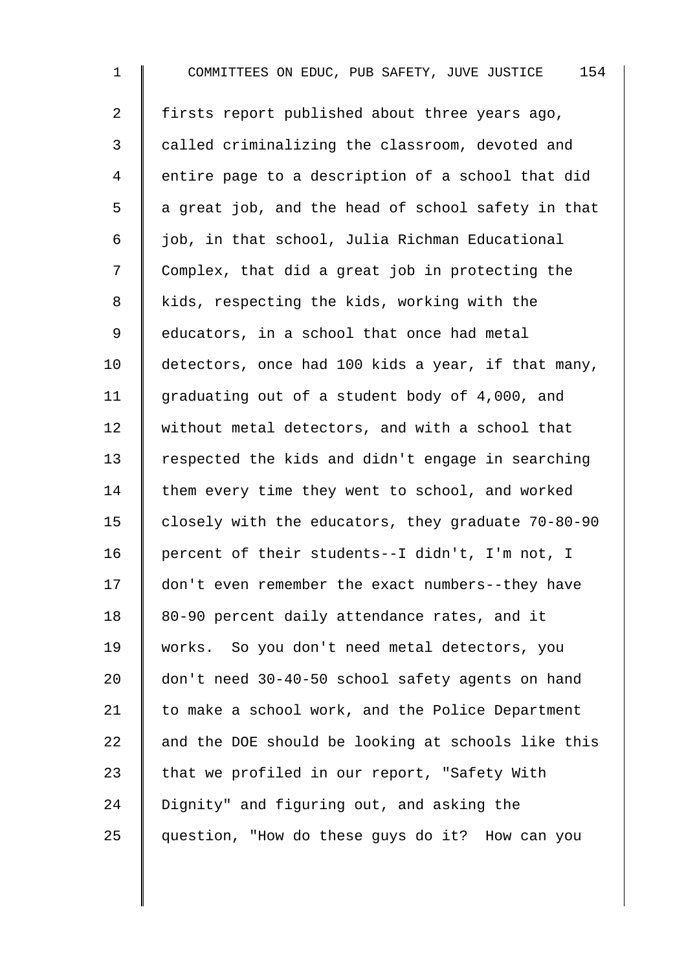1 COMMITTEES ON EDUC, PUB SAFETY, JUVE JUSTICE 154 2 firsts report published about three years ago, 3 called criminalizing the classroom, devoted and 4 | entire page to a description of a school that did  $5 \parallel$  a great job, and the head of school safety in that  $6 \parallel$  job, in that school, Julia Richman Educational 7 Complex, that did a great job in protecting the 8 kids, respecting the kids, working with the 9 | educators, in a school that once had metal 10 detectors, once had 100 kids a year, if that many, 11 graduating out of a student body of 4,000, and 12 Without metal detectors, and with a school that 13 Tespected the kids and didn't engage in searching 14 them every time they went to school, and worked 15 closely with the educators, they graduate 70-80-90 16 | percent of their students--I didn't, I'm not, I 17 don't even remember the exact numbers--they have 18 | 80-90 percent daily attendance rates, and it 19 works. So you don't need metal detectors, you 20 don't need 30-40-50 school safety agents on hand 21 | to make a school work, and the Police Department 22  $\parallel$  and the DOE should be looking at schools like this 23  $\parallel$  that we profiled in our report, "Safety With 24 Dignity" and figuring out, and asking the 25 guestion, "How do these guys do it? How can you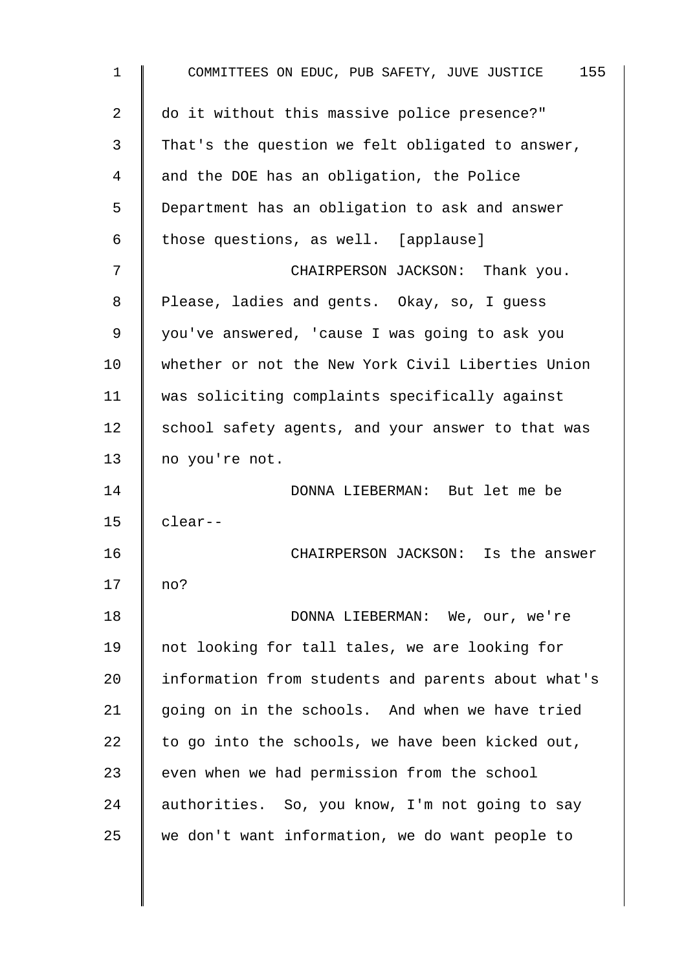| $\mathbf{1}$ | COMMITTEES ON EDUC, PUB SAFETY, JUVE JUSTICE 155   |
|--------------|----------------------------------------------------|
| 2            | do it without this massive police presence?"       |
| 3            | That's the question we felt obligated to answer,   |
| 4            | and the DOE has an obligation, the Police          |
| 5            | Department has an obligation to ask and answer     |
| 6            | those questions, as well. [applause]               |
| 7            | CHAIRPERSON JACKSON: Thank you.                    |
| 8            | Please, ladies and gents. Okay, so, I guess        |
| $\mathsf 9$  | you've answered, 'cause I was going to ask you     |
| 10           | whether or not the New York Civil Liberties Union  |
| 11           | was soliciting complaints specifically against     |
| 12           | school safety agents, and your answer to that was  |
| 13           | no you're not.                                     |
| 14           | DONNA LIEBERMAN: But let me be                     |
| 15           | $clear--$                                          |
| 16           | CHAIRPERSON JACKSON: Is the answer                 |
| 17           | no?                                                |
| 18           | DONNA LIEBERMAN: We, our, we're                    |
| 19           | not looking for tall tales, we are looking for     |
| 20           | information from students and parents about what's |
| 21           | going on in the schools. And when we have tried    |
| 22           | to go into the schools, we have been kicked out,   |
| 23           | even when we had permission from the school        |
| 24           | authorities. So, you know, I'm not going to say    |
| 25           | we don't want information, we do want people to    |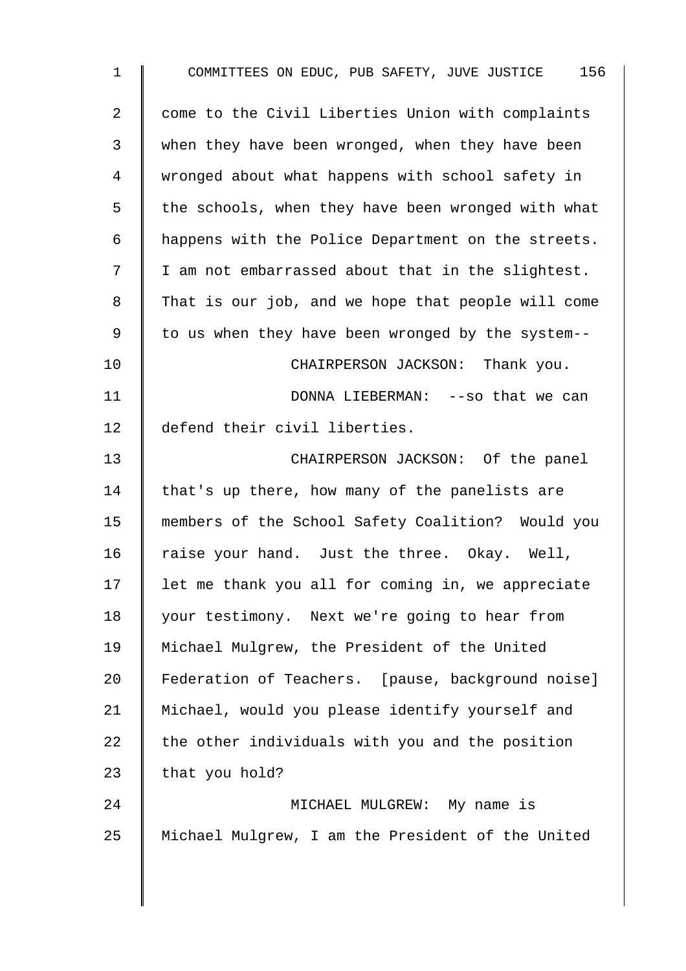| $\mathbf 1$    | 156<br>COMMITTEES ON EDUC, PUB SAFETY, JUVE JUSTICE |
|----------------|-----------------------------------------------------|
| $\overline{a}$ | come to the Civil Liberties Union with complaints   |
| 3              | when they have been wronged, when they have been    |
| 4              | wronged about what happens with school safety in    |
| 5              | the schools, when they have been wronged with what  |
| 6              | happens with the Police Department on the streets.  |
| 7              | I am not embarrassed about that in the slightest.   |
| 8              | That is our job, and we hope that people will come  |
| 9              | to us when they have been wronged by the system--   |
| 10             | CHAIRPERSON JACKSON: Thank you.                     |
| 11             | DONNA LIEBERMAN: --so that we can                   |
| 12             | defend their civil liberties.                       |
| 13             | CHAIRPERSON JACKSON: Of the panel                   |
| 14             | that's up there, how many of the panelists are      |
| 15             | members of the School Safety Coalition? Would you   |
| 16             | raise your hand. Just the three. Okay. Well,        |
| 17             | let me thank you all for coming in, we appreciate   |
| 18             | your testimony. Next we're going to hear from       |
| 19             | Michael Mulgrew, the President of the United        |
| 20             | Federation of Teachers. [pause, background noise]   |
| 21             | Michael, would you please identify yourself and     |
| 22             | the other individuals with you and the position     |
| 23             | that you hold?                                      |
| 24             | MICHAEL MULGREW: My name is                         |
| 25             | Michael Mulgrew, I am the President of the United   |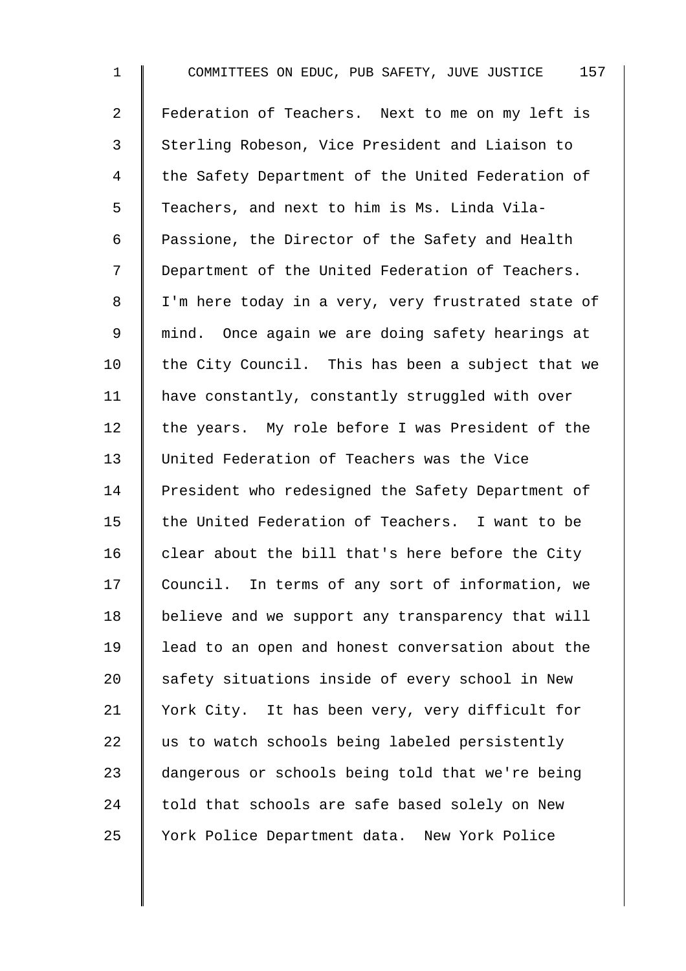1 COMMITTEES ON EDUC, PUB SAFETY, JUVE JUSTICE 157 2 Federation of Teachers. Next to me on my left is 3 Sterling Robeson, Vice President and Liaison to 4 | the Safety Department of the United Federation of 5 Teachers, and next to him is Ms. Linda Vila-6 Passione, the Director of the Safety and Health 7 | Department of the United Federation of Teachers. 8 | I'm here today in a very, very frustrated state of 9 | mind. Once again we are doing safety hearings at 10  $\parallel$  the City Council. This has been a subject that we 11 | have constantly, constantly struggled with over 12  $\parallel$  the years. My role before I was President of the 13 United Federation of Teachers was the Vice 14 President who redesigned the Safety Department of 15 the United Federation of Teachers. I want to be  $16$  clear about the bill that's here before the City 17 Council. In terms of any sort of information, we 18 | believe and we support any transparency that will 19 lead to an open and honest conversation about the 20 safety situations inside of every school in New 21 | York City. It has been very, very difficult for  $22$  us to watch schools being labeled persistently 23 dangerous or schools being told that we're being 24  $\parallel$  told that schools are safe based solely on New 25 Vork Police Department data. New York Police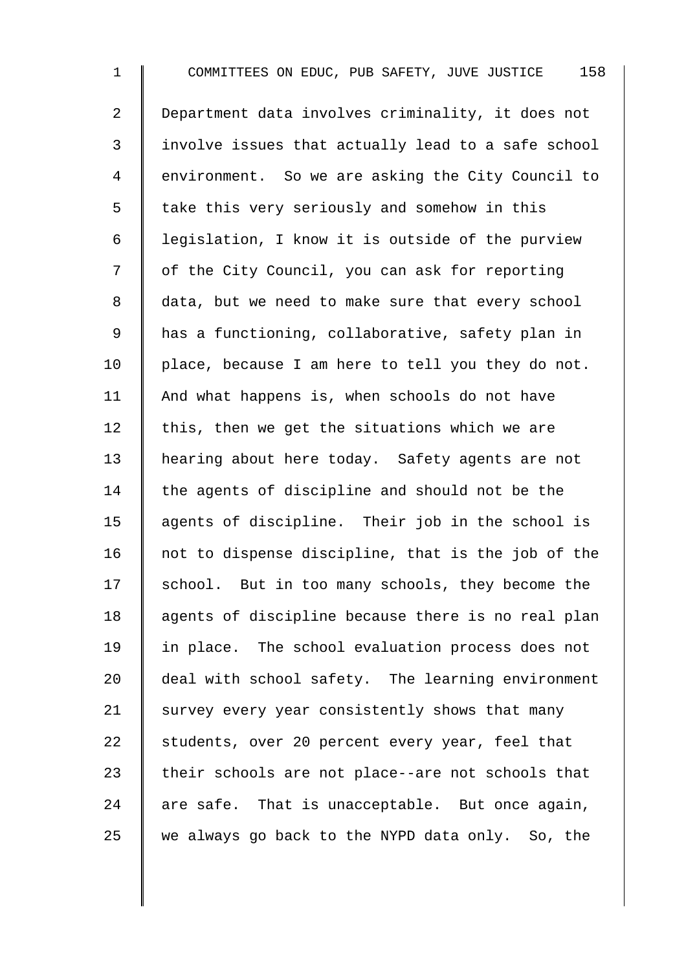1 COMMITTEES ON EDUC, PUB SAFETY, JUVE JUSTICE 158 2 | Department data involves criminality, it does not 3 | involve issues that actually lead to a safe school 4 environment. So we are asking the City Council to 5 | take this very seriously and somehow in this 6 legislation, I know it is outside of the purview 7 | of the City Council, you can ask for reporting 8 data, but we need to make sure that every school 9 has a functioning, collaborative, safety plan in  $10$  | place, because I am here to tell you they do not. 11  $\parallel$  And what happens is, when schools do not have 12  $\parallel$  this, then we get the situations which we are 13 | hearing about here today. Safety agents are not 14  $\parallel$  the agents of discipline and should not be the 15 | agents of discipline. Their job in the school is 16  $\parallel$  not to dispense discipline, that is the job of the  $17$  school. But in too many schools, they become the 18 | agents of discipline because there is no real plan 19 | in place. The school evaluation process does not 20 deal with school safety. The learning environment 21  $\parallel$  survey every year consistently shows that many 22 students, over 20 percent every year, feel that 23  $\parallel$  their schools are not place--are not schools that  $24$  are safe. That is unacceptable. But once again, 25 we always go back to the NYPD data only. So, the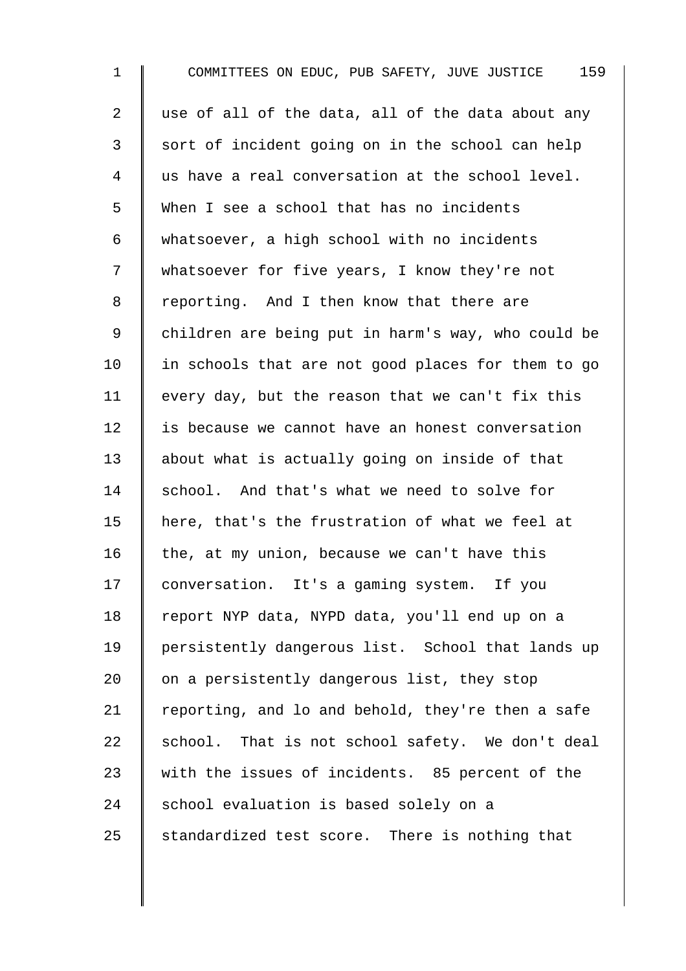1 COMMITTEES ON EDUC, PUB SAFETY, JUVE JUSTICE 159 2  $\parallel$  use of all of the data, all of the data about any 3 sort of incident going on in the school can help 4 us have a real conversation at the school level. 5 When I see a school that has no incidents 6 whatsoever, a high school with no incidents 7 Whatsoever for five years, I know they're not 8 Feporting. And I then know that there are 9 | children are being put in harm's way, who could be  $10$  | in schools that are not good places for them to go 11 every day, but the reason that we can't fix this 12 is because we cannot have an honest conversation 13 about what is actually going on inside of that 14 school. And that's what we need to solve for 15 here, that's the frustration of what we feel at 16 the, at my union, because we can't have this 17 | conversation. It's a gaming system. If you 18 | report NYP data, NYPD data, you'll end up on a 19 | persistently dangerous list. School that lands up 20  $\parallel$  on a persistently dangerous list, they stop 21 | reporting, and lo and behold, they're then a safe 22  $\parallel$  school. That is not school safety. We don't deal 23 with the issues of incidents. 85 percent of the  $24$  school evaluation is based solely on a 25 standardized test score. There is nothing that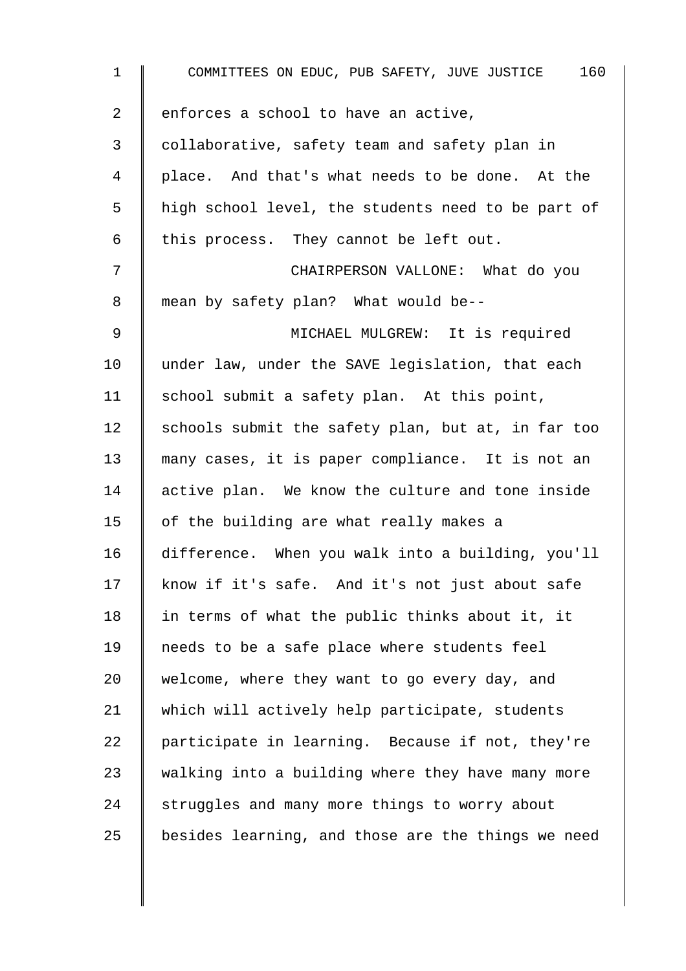| $\mathbf 1$    | 160<br>COMMITTEES ON EDUC, PUB SAFETY, JUVE JUSTICE |
|----------------|-----------------------------------------------------|
| $\overline{a}$ | enforces a school to have an active,                |
| $\mathfrak{Z}$ | collaborative, safety team and safety plan in       |
| 4              | place. And that's what needs to be done. At the     |
| 5              | high school level, the students need to be part of  |
| 6              | this process. They cannot be left out.              |
| 7              | CHAIRPERSON VALLONE: What do you                    |
| 8              | mean by safety plan? What would be--                |
| 9              | MICHAEL MULGREW: It is required                     |
| 10             | under law, under the SAVE legislation, that each    |
| 11             | school submit a safety plan. At this point,         |
| 12             | schools submit the safety plan, but at, in far too  |
| 13             | many cases, it is paper compliance. It is not an    |
| 14             | active plan. We know the culture and tone inside    |
| 15             | of the building are what really makes a             |
| 16             | difference. When you walk into a building, you'll   |
| 17             | know if it's safe. And it's not just about safe     |
| 18             | in terms of what the public thinks about it, it     |
| 19             | needs to be a safe place where students feel        |
| 20             | welcome, where they want to go every day, and       |
| 21             | which will actively help participate, students      |
| 22             | participate in learning. Because if not, they're    |
| 23             | walking into a building where they have many more   |
| 24             | struggles and many more things to worry about       |
| 25             | besides learning, and those are the things we need  |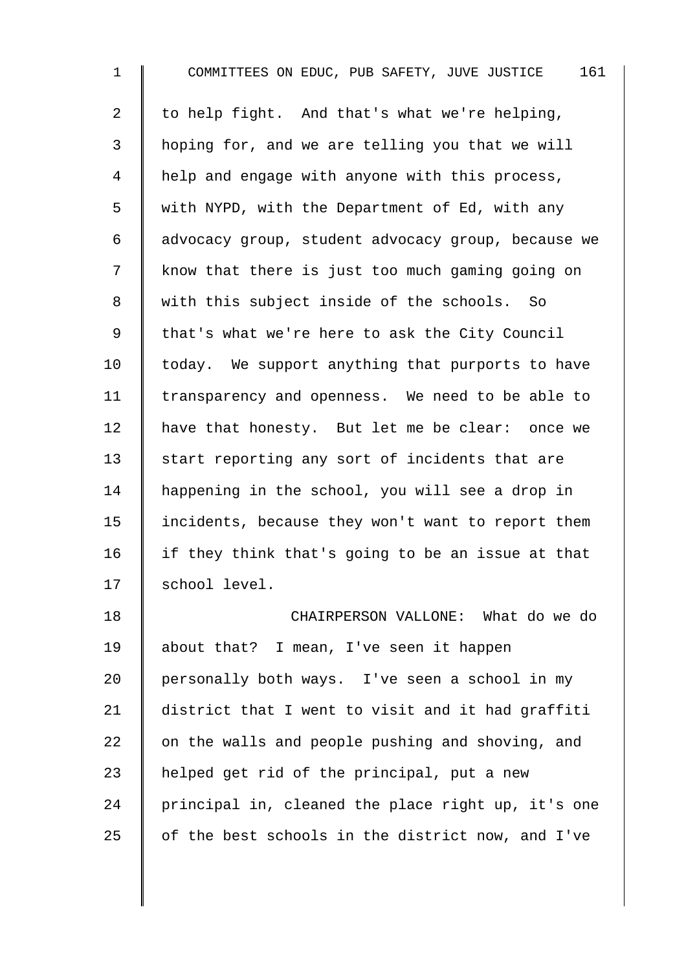1 COMMITTEES ON EDUC, PUB SAFETY, JUVE JUSTICE 161 2 | to help fight. And that's what we're helping, 3 hoping for, and we are telling you that we will 4 | help and engage with anyone with this process, 5 We with NYPD, with the Department of Ed, with any 6 advocacy group, student advocacy group, because we 7 | know that there is just too much gaming going on 8 With this subject inside of the schools. So 9 | that's what we're here to ask the City Council  $10$  | today. We support anything that purports to have 11 | transparency and openness. We need to be able to 12 | have that honesty. But let me be clear: once we  $13$  start reporting any sort of incidents that are 14 | happening in the school, you will see a drop in 15 | incidents, because they won't want to report them 16  $\parallel$  if they think that's going to be an issue at that 17 | school level. 18 **I** CHAIRPERSON VALLONE: What do we do 19 | about that? I mean, I've seen it happen 20 | personally both ways. I've seen a school in my 21 district that I went to visit and it had graffiti 22  $\parallel$  on the walls and people pushing and shoving, and 23  $\parallel$  helped get rid of the principal, put a new  $24$  | principal in, cleaned the place right up, it's one 25  $\parallel$  of the best schools in the district now, and I've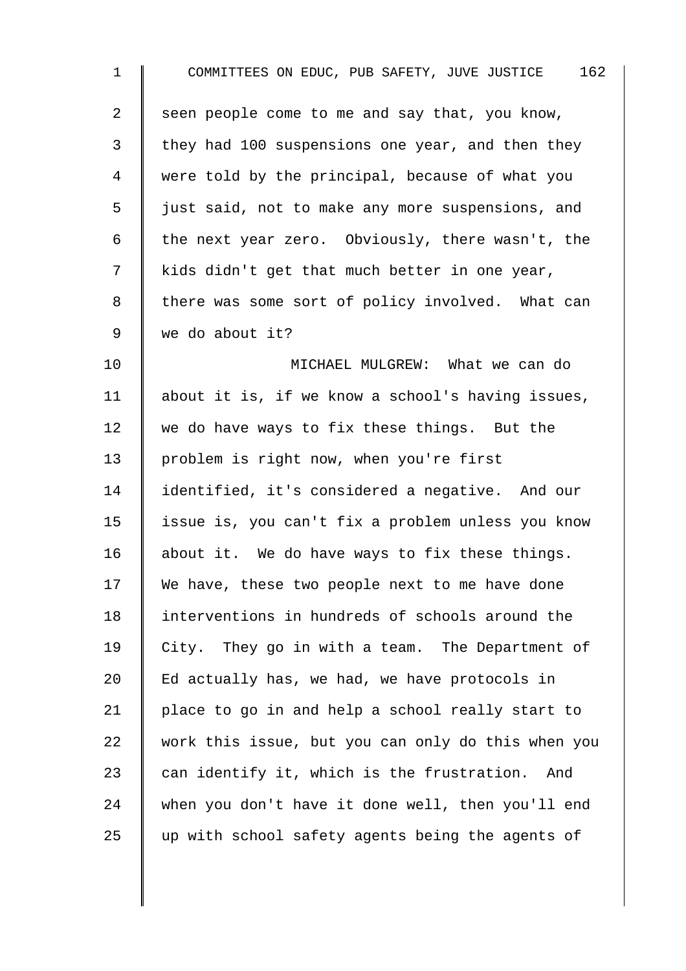| $\mathbf{1}$   | 162<br>COMMITTEES ON EDUC, PUB SAFETY, JUVE JUSTICE |
|----------------|-----------------------------------------------------|
| $\overline{2}$ | seen people come to me and say that, you know,      |
| 3              | they had 100 suspensions one year, and then they    |
| 4              | were told by the principal, because of what you     |
| 5              | just said, not to make any more suspensions, and    |
| 6              | the next year zero. Obviously, there wasn't, the    |
| 7              | kids didn't get that much better in one year,       |
| 8              | there was some sort of policy involved. What can    |
| $\mathsf 9$    | we do about it?                                     |
| 10             | MICHAEL MULGREW: What we can do                     |
| 11             | about it is, if we know a school's having issues,   |
| 12             | we do have ways to fix these things. But the        |
| 13             | problem is right now, when you're first             |
| 14             | identified, it's considered a negative. And our     |
| 15             | issue is, you can't fix a problem unless you know   |
| 16             | about it. We do have ways to fix these things.      |
| 17             | We have, these two people next to me have done      |
| 18             | interventions in hundreds of schools around the     |
| 19             | City. They go in with a team. The Department of     |
| 20             | Ed actually has, we had, we have protocols in       |
| 21             | place to go in and help a school really start to    |
| 22             | work this issue, but you can only do this when you  |
| 23             | can identify it, which is the frustration.<br>And   |
| 24             | when you don't have it done well, then you'll end   |
| 25             | up with school safety agents being the agents of    |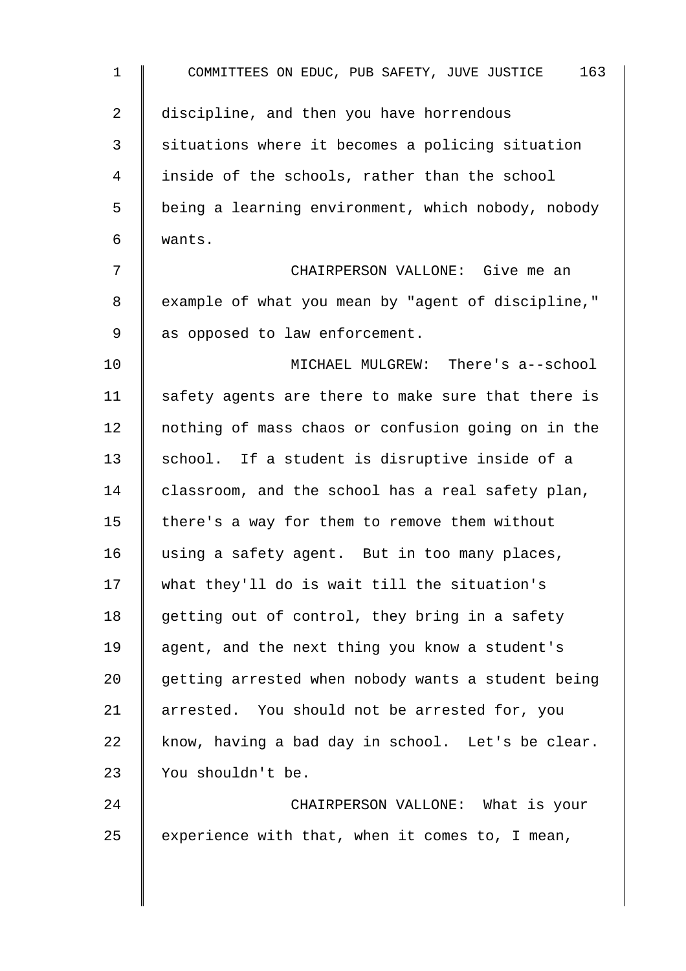| $\mathbf{1}$ | 163<br>COMMITTEES ON EDUC, PUB SAFETY, JUVE JUSTICE |
|--------------|-----------------------------------------------------|
| 2            | discipline, and then you have horrendous            |
| 3            | situations where it becomes a policing situation    |
| 4            | inside of the schools, rather than the school       |
| 5            | being a learning environment, which nobody, nobody  |
| 6            | wants.                                              |
| 7            | CHAIRPERSON VALLONE: Give me an                     |
| 8            | example of what you mean by "agent of discipline,"  |
| 9            | as opposed to law enforcement.                      |
| 10           | MICHAEL MULGREW: There's a--school                  |
| 11           | safety agents are there to make sure that there is  |
| 12           | nothing of mass chaos or confusion going on in the  |
| 13           | school. If a student is disruptive inside of a      |
| 14           | classroom, and the school has a real safety plan,   |
| 15           | there's a way for them to remove them without       |
| 16           | using a safety agent. But in too many places,       |
| 17           | what they'll do is wait till the situation's        |
| 18           | getting out of control, they bring in a safety      |
| 19           | agent, and the next thing you know a student's      |
| 20           | getting arrested when nobody wants a student being  |
| 21           | arrested. You should not be arrested for, you       |
| 22           | know, having a bad day in school. Let's be clear.   |
| 23           | You shouldn't be.                                   |
| 24           | CHAIRPERSON VALLONE: What is your                   |
| 25           | experience with that, when it comes to, I mean,     |
|              |                                                     |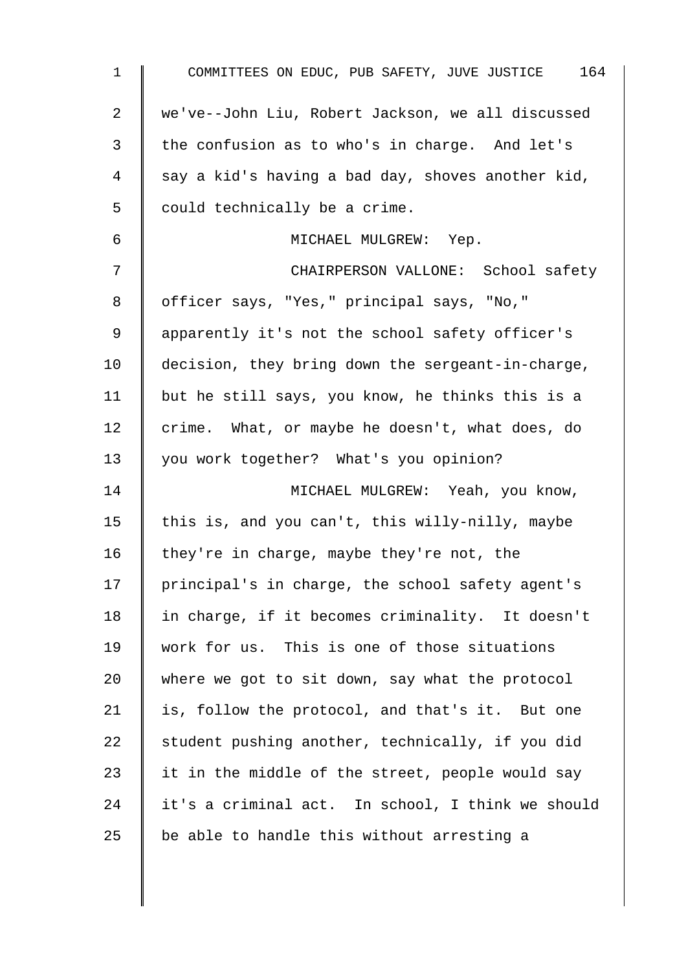| $\mathbf 1$ | COMMITTEES ON EDUC, PUB SAFETY, JUVE JUSTICE 164  |
|-------------|---------------------------------------------------|
| 2           | we've--John Liu, Robert Jackson, we all discussed |
| 3           | the confusion as to who's in charge. And let's    |
| 4           | say a kid's having a bad day, shoves another kid, |
| 5           | could technically be a crime.                     |
| 6           | MICHAEL MULGREW: Yep.                             |
| 7           | CHAIRPERSON VALLONE: School safety                |
| 8           | officer says, "Yes," principal says, "No,"        |
| 9           | apparently it's not the school safety officer's   |
| 10          | decision, they bring down the sergeant-in-charge, |
| 11          | but he still says, you know, he thinks this is a  |
| 12          | crime. What, or maybe he doesn't, what does, do   |
| 13          | you work together? What's you opinion?            |
| 14          | MICHAEL MULGREW: Yeah, you know,                  |
| 15          | this is, and you can't, this willy-nilly, maybe   |
| 16          | they're in charge, maybe they're not, the         |
| 17          | principal's in charge, the school safety agent's  |
| 18          | in charge, if it becomes criminality. It doesn't  |
| 19          | work for us. This is one of those situations      |
| 20          | where we got to sit down, say what the protocol   |
| 21          | is, follow the protocol, and that's it. But one   |
| 22          | student pushing another, technically, if you did  |
| 23          | it in the middle of the street, people would say  |
| 24          | it's a criminal act. In school, I think we should |
| 25          | be able to handle this without arresting a        |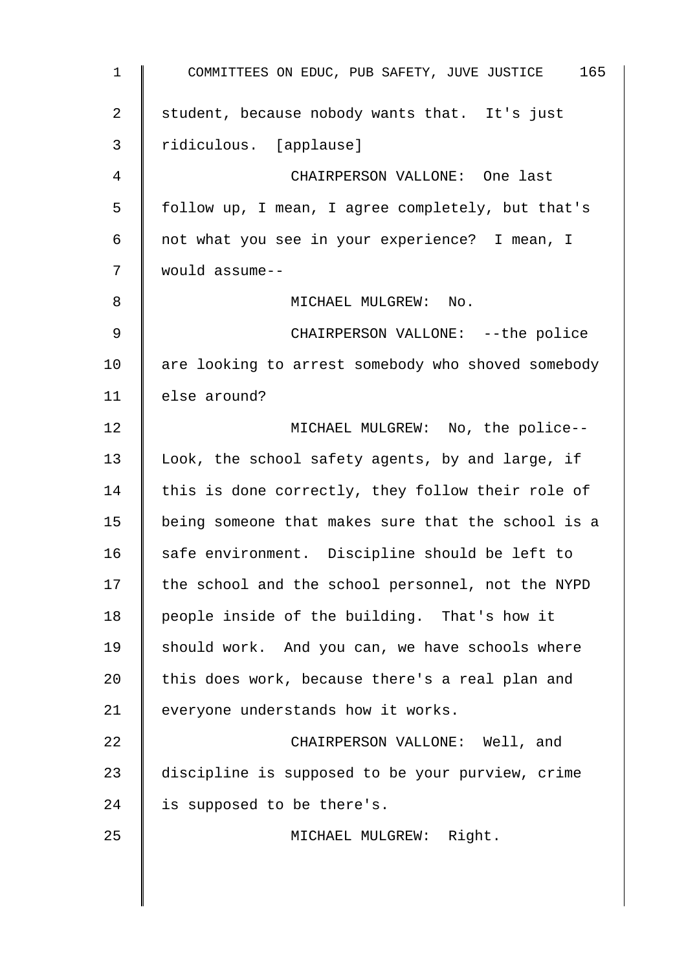| $\mathbf{1}$ | 165<br>COMMITTEES ON EDUC, PUB SAFETY, JUVE JUSTICE |
|--------------|-----------------------------------------------------|
| 2            | student, because nobody wants that. It's just       |
| 3            | ridiculous. [applause]                              |
| 4            | CHAIRPERSON VALLONE: One last                       |
| 5            | follow up, I mean, I agree completely, but that's   |
| 6            | not what you see in your experience? I mean, I      |
| 7            | would assume--                                      |
| 8            | MICHAEL MULGREW: No.                                |
| 9            | CHAIRPERSON VALLONE: -- the police                  |
| 10           | are looking to arrest somebody who shoved somebody  |
| 11           | else around?                                        |
| 12           | MICHAEL MULGREW: No, the police--                   |
| 13           | Look, the school safety agents, by and large, if    |
| 14           | this is done correctly, they follow their role of   |
| 15           | being someone that makes sure that the school is a  |
| 16           | safe environment. Discipline should be left to      |
| 17           | the school and the school personnel, not the NYPD   |
| 18           | people inside of the building. That's how it        |
| 19           | should work. And you can, we have schools where     |
| 20           | this does work, because there's a real plan and     |
| 21           | everyone understands how it works.                  |
| 22           | CHAIRPERSON VALLONE: Well, and                      |
| 23           | discipline is supposed to be your purview, crime    |
| 24           | is supposed to be there's.                          |
| 25           | MICHAEL MULGREW: Right.                             |
|              |                                                     |
|              |                                                     |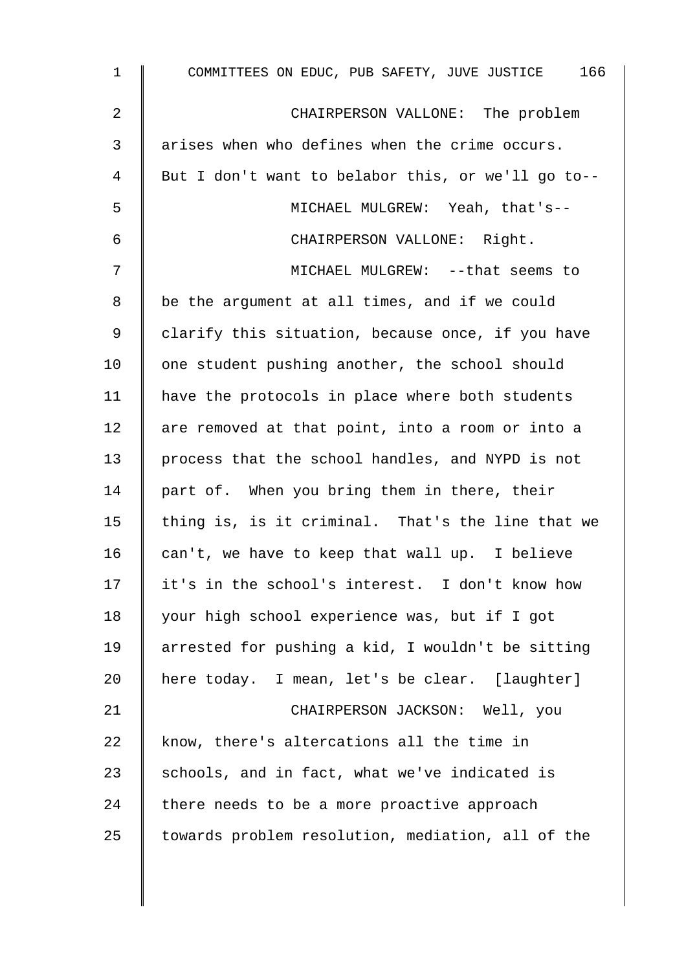| $\mathbf 1$    | COMMITTEES ON EDUC, PUB SAFETY, JUVE JUSTICE 166   |
|----------------|----------------------------------------------------|
| $\overline{2}$ | CHAIRPERSON VALLONE: The problem                   |
| 3              | arises when who defines when the crime occurs.     |
| 4              | But I don't want to belabor this, or we'll go to-- |
| 5              | MICHAEL MULGREW: Yeah, that's--                    |
| 6              | CHAIRPERSON VALLONE: Right.                        |
| 7              | MICHAEL MULGREW: -- that seems to                  |
| 8              | be the argument at all times, and if we could      |
| 9              | clarify this situation, because once, if you have  |
| 10             | one student pushing another, the school should     |
| 11             | have the protocols in place where both students    |
| 12             | are removed at that point, into a room or into a   |
| 13             | process that the school handles, and NYPD is not   |
| 14             | part of. When you bring them in there, their       |
| 15             | thing is, is it criminal. That's the line that we  |
| 16             | can't, we have to keep that wall up. I believe     |
| 17             | it's in the school's interest. I don't know how    |
| 18             | your high school experience was, but if I got      |
| 19             | arrested for pushing a kid, I wouldn't be sitting  |
| 20             | here today. I mean, let's be clear. [laughter]     |
| 21             | CHAIRPERSON JACKSON: Well, you                     |
| 22             | know, there's altercations all the time in         |
| 23             | schools, and in fact, what we've indicated is      |
| 24             | there needs to be a more proactive approach        |
| 25             | towards problem resolution, mediation, all of the  |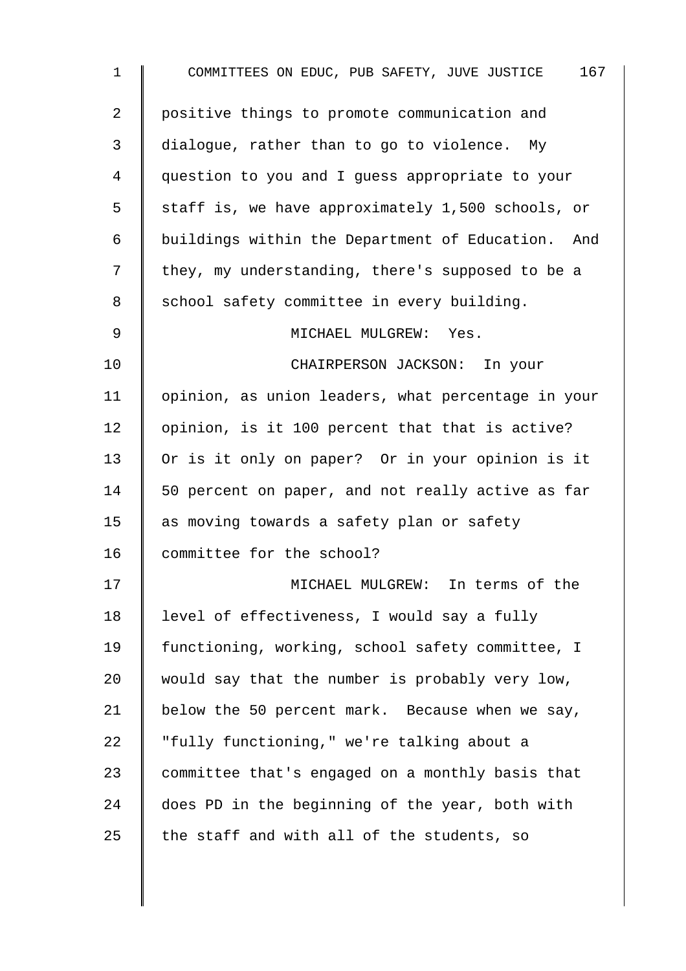| $\mathbf 1$ | 167<br>COMMITTEES ON EDUC, PUB SAFETY, JUVE JUSTICE |
|-------------|-----------------------------------------------------|
| 2           | positive things to promote communication and        |
| 3           | dialogue, rather than to go to violence. My         |
| 4           | question to you and I quess appropriate to your     |
| 5           | staff is, we have approximately 1,500 schools, or   |
| 6           | buildings within the Department of Education. And   |
| 7           | they, my understanding, there's supposed to be a    |
| 8           | school safety committee in every building.          |
| $\mathsf 9$ | MICHAEL MULGREW: Yes.                               |
| 10          | CHAIRPERSON JACKSON: In your                        |
| 11          | opinion, as union leaders, what percentage in your  |
| 12          | opinion, is it 100 percent that that is active?     |
| 13          | Or is it only on paper? Or in your opinion is it    |
| 14          | 50 percent on paper, and not really active as far   |
| 15          | as moving towards a safety plan or safety           |
| 16          | committee for the school?                           |
| 17          | MICHAEL MULGREW: In terms of the                    |
| 18          | level of effectiveness, I would say a fully         |
| 19          | functioning, working, school safety committee, I    |
| 20          | would say that the number is probably very low,     |
| 21          | below the 50 percent mark. Because when we say,     |
| 22          | "fully functioning," we're talking about a          |
| 23          | committee that's engaged on a monthly basis that    |
| 24          | does PD in the beginning of the year, both with     |
| 25          | the staff and with all of the students, so          |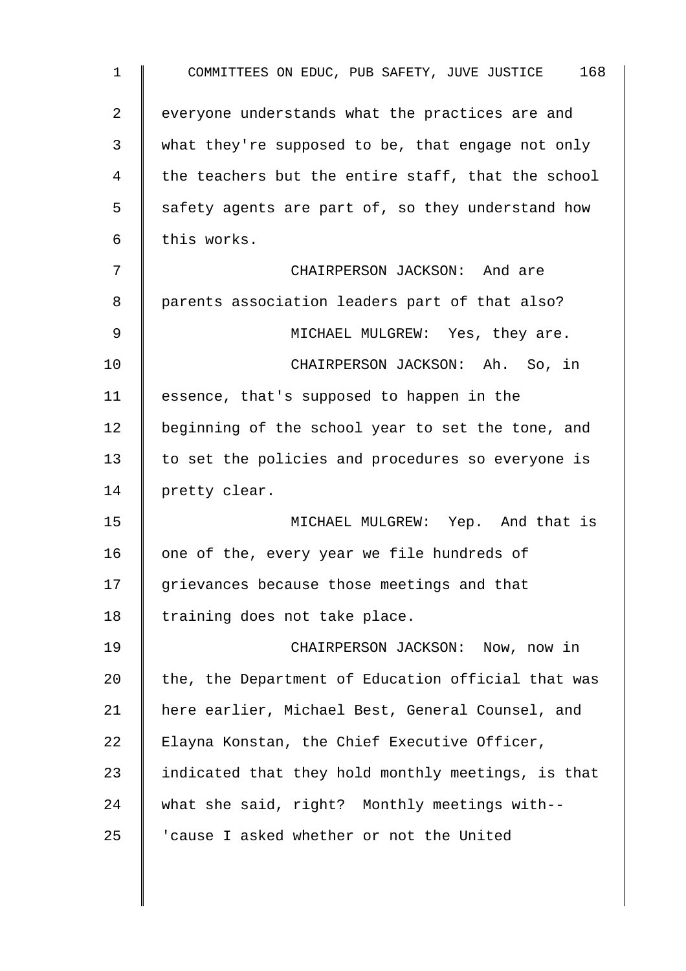| $\mathbf 1$    | COMMITTEES ON EDUC, PUB SAFETY, JUVE JUSTICE 168   |
|----------------|----------------------------------------------------|
| $\overline{2}$ | everyone understands what the practices are and    |
| 3              | what they're supposed to be, that engage not only  |
| 4              | the teachers but the entire staff, that the school |
| 5              | safety agents are part of, so they understand how  |
| 6              | this works.                                        |
| 7              | CHAIRPERSON JACKSON: And are                       |
| 8              | parents association leaders part of that also?     |
| 9              | MICHAEL MULGREW: Yes, they are.                    |
| 10             | CHAIRPERSON JACKSON: Ah. So, in                    |
| 11             | essence, that's supposed to happen in the          |
| 12             | beginning of the school year to set the tone, and  |
| 13             | to set the policies and procedures so everyone is  |
| 14             | pretty clear.                                      |
| 15             | MICHAEL MULGREW: Yep. And that is                  |
| 16             | one of the, every year we file hundreds of         |
| 17             | grievances because those meetings and that         |
| 18             | training does not take place.                      |
| 19             | CHAIRPERSON JACKSON: Now, now in                   |
| 20             | the, the Department of Education official that was |
| 21             | here earlier, Michael Best, General Counsel, and   |
| 22             | Elayna Konstan, the Chief Executive Officer,       |
| 23             | indicated that they hold monthly meetings, is that |
| 24             | what she said, right? Monthly meetings with--      |
| 25             | 'cause I asked whether or not the United           |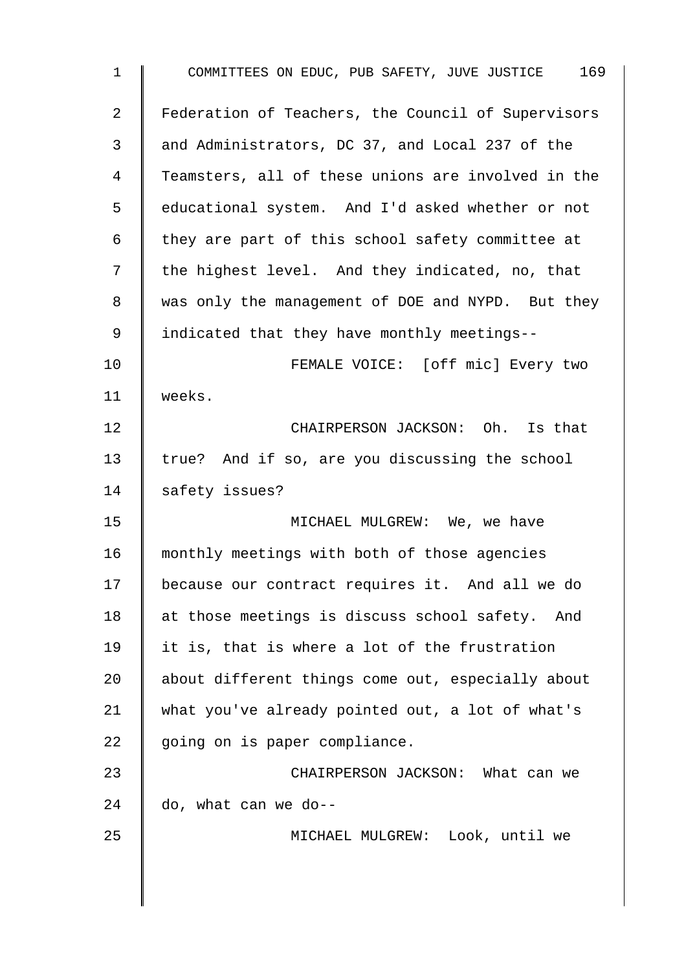| $\mathbf 1$ | COMMITTEES ON EDUC, PUB SAFETY, JUVE JUSTICE 169   |
|-------------|----------------------------------------------------|
| 2           | Federation of Teachers, the Council of Supervisors |
| 3           | and Administrators, DC 37, and Local 237 of the    |
| 4           | Teamsters, all of these unions are involved in the |
| 5           | educational system. And I'd asked whether or not   |
| 6           | they are part of this school safety committee at   |
| 7           | the highest level. And they indicated, no, that    |
| 8           | was only the management of DOE and NYPD. But they  |
| 9           | indicated that they have monthly meetings--        |
| 10          | FEMALE VOICE: [off mic] Every two                  |
| 11          | weeks.                                             |
| 12          | CHAIRPERSON JACKSON: Oh. Is that                   |
| 13          | true? And if so, are you discussing the school     |
| 14          | safety issues?                                     |
| 15          | MICHAEL MULGREW: We, we have                       |
| 16          | monthly meetings with both of those agencies       |
| 17          | because our contract requires it. And all we do    |
| 18          | at those meetings is discuss school safety. And    |
| 19          | it is, that is where a lot of the frustration      |
| 20          | about different things come out, especially about  |
| 21          | what you've already pointed out, a lot of what's   |
| 22          | going on is paper compliance.                      |
| 23          | CHAIRPERSON JACKSON: What can we                   |
| 24          | do, what can we do--                               |
| 25          | MICHAEL MULGREW: Look, until we                    |
|             |                                                    |
|             |                                                    |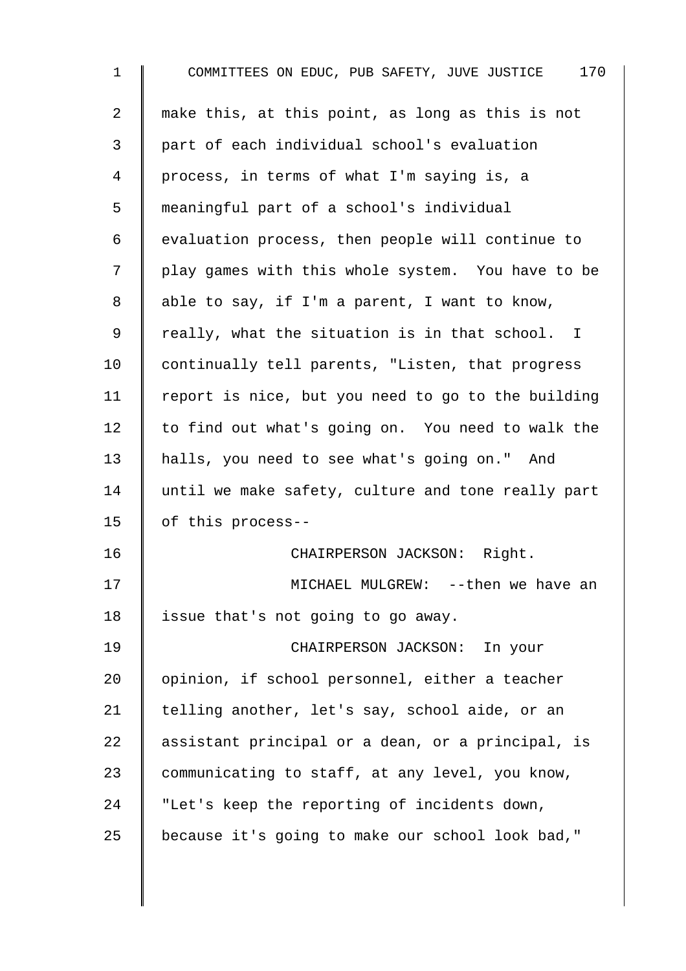1 COMMITTEES ON EDUC, PUB SAFETY, JUVE JUSTICE 170 2  $\parallel$  make this, at this point, as long as this is not 3 part of each individual school's evaluation 4 process, in terms of what I'm saying is, a 5 meaningful part of a school's individual  $6 \parallel$  evaluation process, then people will continue to 7 | play games with this whole system. You have to be 8 | able to say, if I'm a parent, I want to know, 9 | really, what the situation is in that school. I 10 continually tell parents, "Listen, that progress 11 | report is nice, but you need to go to the building  $12$  to find out what's going on. You need to walk the 13 halls, you need to see what's going on." And 14 until we make safety, culture and tone really part 15 of this process-- 16 CHAIRPERSON JACKSON: Right. 17 || MICHAEL MULGREW: --then we have an 18 | issue that's not going to go away. 19 CHAIRPERSON JACKSON: In your 20 | opinion, if school personnel, either a teacher 21  $\parallel$  telling another, let's say, school aide, or an 22  $\parallel$  assistant principal or a dean, or a principal, is 23 Communicating to staff, at any level, you know, 24 I "Let's keep the reporting of incidents down, 25 | because it's going to make our school look bad,"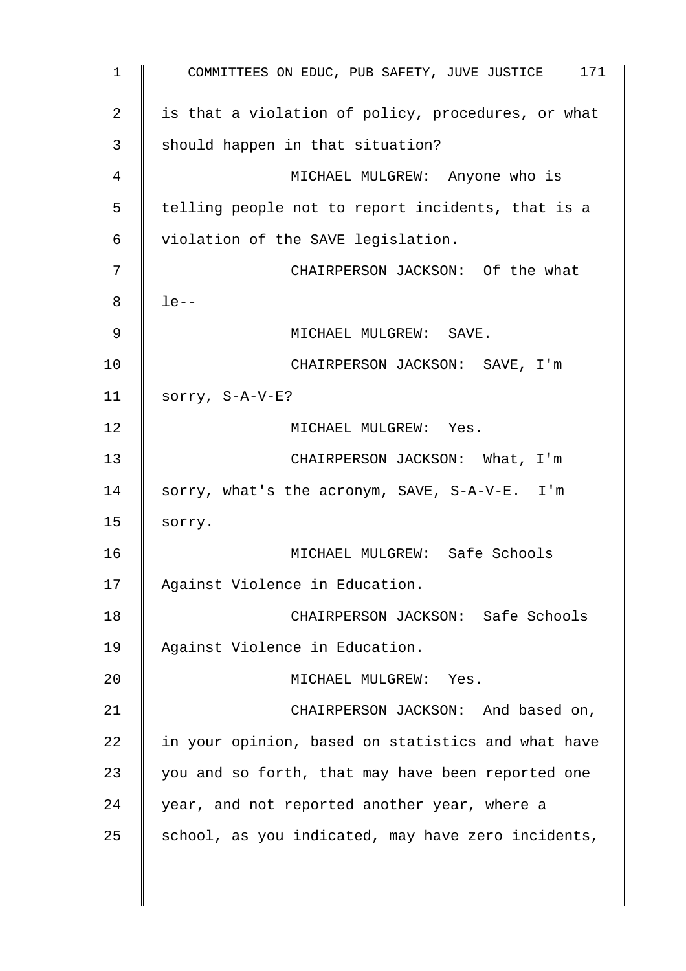1 COMMITTEES ON EDUC, PUB SAFETY, JUVE JUSTICE 171 2 | is that a violation of policy, procedures, or what  $3 \parallel$  should happen in that situation? 4 MICHAEL MULGREW: Anyone who is 5 | telling people not to report incidents, that is a 6 violation of the SAVE legislation. 7 || CHAIRPERSON JACKSON: Of the what  $8 \parallel$  le--9 || MICHAEL MULGREW: SAVE. 10 | CHAIRPERSON JACKSON: SAVE, I'm 11  $\parallel$  sorry, S-A-V-E? 12 | MICHAEL MULGREW: Yes. 13 | CHAIRPERSON JACKSON: What, I'm 14 Sorry, what's the acronym, SAVE, S-A-V-E. I'm  $15$  sorry. 16 MICHAEL MULGREW: Safe Schools 17 | Against Violence in Education. 18 | CHAIRPERSON JACKSON: Safe Schools 19 Against Violence in Education. 20 || MICHAEL MULGREW: Yes. 21 CHAIRPERSON JACKSON: And based on,  $22$  in your opinion, based on statistics and what have 23  $\parallel$  you and so forth, that may have been reported one 24 vear, and not reported another year, where a 25  $\parallel$  school, as you indicated, may have zero incidents,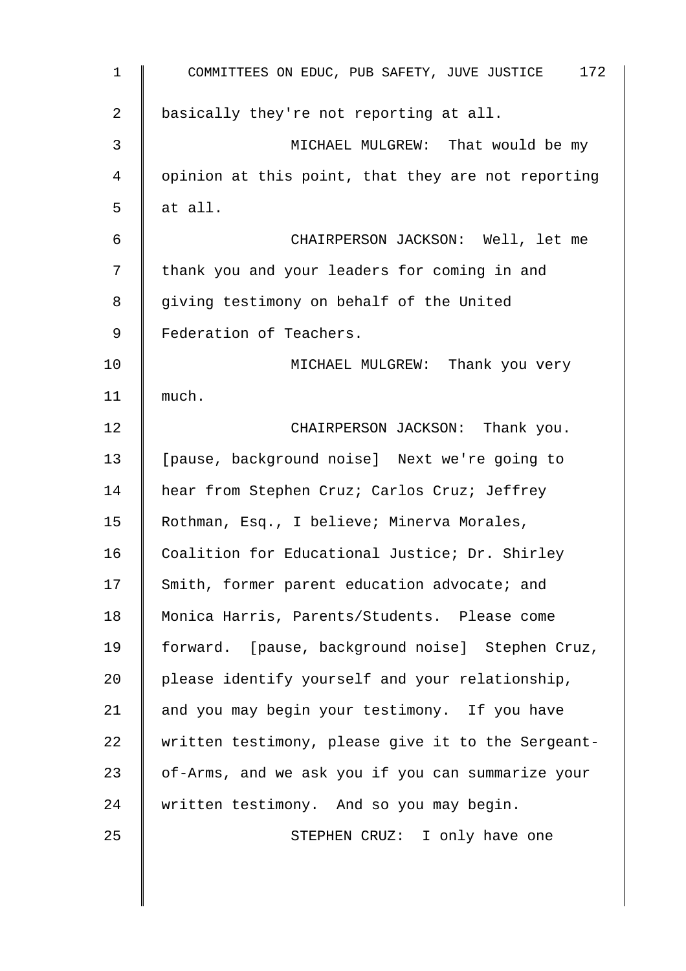| $\mathbf{1}$   | 172<br>COMMITTEES ON EDUC, PUB SAFETY, JUVE JUSTICE |
|----------------|-----------------------------------------------------|
| $\overline{2}$ | basically they're not reporting at all.             |
| 3              | MICHAEL MULGREW: That would be my                   |
| 4              | opinion at this point, that they are not reporting  |
| 5              | at all.                                             |
| 6              | CHAIRPERSON JACKSON: Well, let me                   |
| 7              | thank you and your leaders for coming in and        |
| 8              | giving testimony on behalf of the United            |
| 9              | Federation of Teachers.                             |
| 10             | MICHAEL MULGREW: Thank you very                     |
| 11             | much.                                               |
| 12             | CHAIRPERSON JACKSON: Thank you.                     |
| 13             | [pause, background noise] Next we're going to       |
| 14             | hear from Stephen Cruz; Carlos Cruz; Jeffrey        |
| 15             | Rothman, Esq., I believe; Minerva Morales,          |
| 16             | Coalition for Educational Justice; Dr. Shirley      |
| 17             | Smith, former parent education advocate; and        |
| 18             | Monica Harris, Parents/Students. Please come        |
| 19             | forward. [pause, background noise] Stephen Cruz,    |
| 20             | please identify yourself and your relationship,     |
| 21             | and you may begin your testimony. If you have       |
| 22             | written testimony, please give it to the Sergeant-  |
| 23             | of-Arms, and we ask you if you can summarize your   |
| 24             | written testimony. And so you may begin.            |
| 25             | STEPHEN CRUZ: I only have one                       |
|                |                                                     |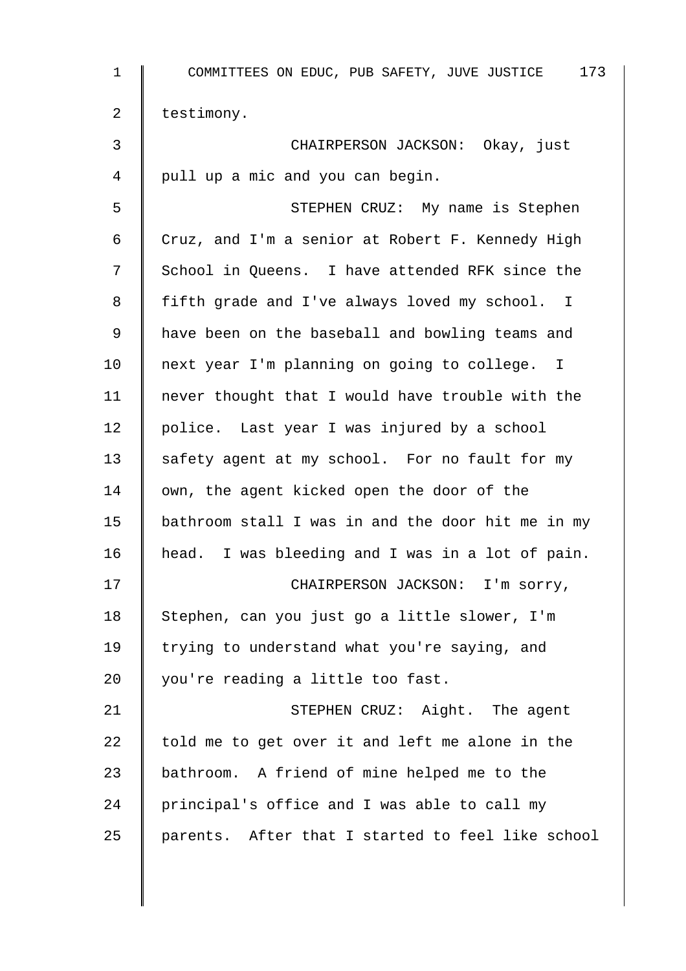| $\mathbf 1$    | 173<br>COMMITTEES ON EDUC, PUB SAFETY, JUVE JUSTICE |
|----------------|-----------------------------------------------------|
| $\overline{2}$ | testimony.                                          |
| $\mathfrak{Z}$ | CHAIRPERSON JACKSON: Okay, just                     |
| 4              | pull up a mic and you can begin.                    |
| 5              | STEPHEN CRUZ: My name is Stephen                    |
| 6              | Cruz, and I'm a senior at Robert F. Kennedy High    |
| 7              | School in Queens. I have attended RFK since the     |
| 8              | fifth grade and I've always loved my school. I      |
| 9              | have been on the baseball and bowling teams and     |
| 10             | next year I'm planning on going to college. I       |
| 11             | never thought that I would have trouble with the    |
| 12             | police. Last year I was injured by a school         |
| 13             | safety agent at my school. For no fault for my      |
| 14             | own, the agent kicked open the door of the          |
| 15             | bathroom stall I was in and the door hit me in my   |
| 16             | head. I was bleeding and I was in a lot of pain.    |
| 17             | CHAIRPERSON JACKSON: I'm sorry,                     |
| 18             | Stephen, can you just go a little slower, I'm       |
| 19             | trying to understand what you're saying, and        |
| 20             | you're reading a little too fast.                   |
| 21             | STEPHEN CRUZ: Aight. The agent                      |
| 22             | told me to get over it and left me alone in the     |
| 23             | bathroom. A friend of mine helped me to the         |
| 24             | principal's office and I was able to call my        |
| 25             | parents. After that I started to feel like school   |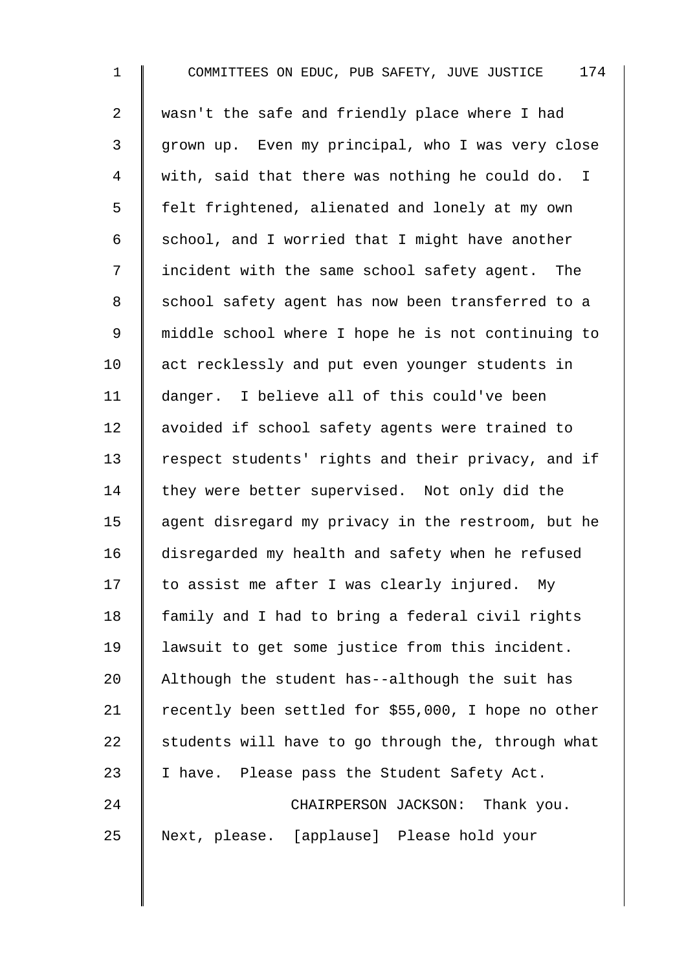| $\mathbf 1$    | 174<br>COMMITTEES ON EDUC, PUB SAFETY, JUVE JUSTICE |
|----------------|-----------------------------------------------------|
| $\overline{2}$ | wasn't the safe and friendly place where I had      |
| $\mathsf{3}$   | grown up. Even my principal, who I was very close   |
| 4              | with, said that there was nothing he could do. I    |
| 5              | felt frightened, alienated and lonely at my own     |
| 6              | school, and I worried that I might have another     |
| 7              | incident with the same school safety agent. The     |
| $\,8\,$        | school safety agent has now been transferred to a   |
| 9              | middle school where I hope he is not continuing to  |
| 10             | act recklessly and put even younger students in     |
| 11             | danger. I believe all of this could've been         |
| 12             | avoided if school safety agents were trained to     |
| 13             | respect students' rights and their privacy, and if  |
| 14             | they were better supervised. Not only did the       |
| 15             | agent disregard my privacy in the restroom, but he  |
| 16             | disregarded my health and safety when he refused    |
| 17             | to assist me after I was clearly injured. My        |
| 18             | family and I had to bring a federal civil rights    |
| 19             | lawsuit to get some justice from this incident.     |
| 20             | Although the student has--although the suit has     |
| 21             | recently been settled for \$55,000, I hope no other |
| 22             | students will have to go through the, through what  |
| 23             | I have. Please pass the Student Safety Act.         |
| 24             | CHAIRPERSON JACKSON: Thank you.                     |
| 25             | Next, please. [applause] Please hold your           |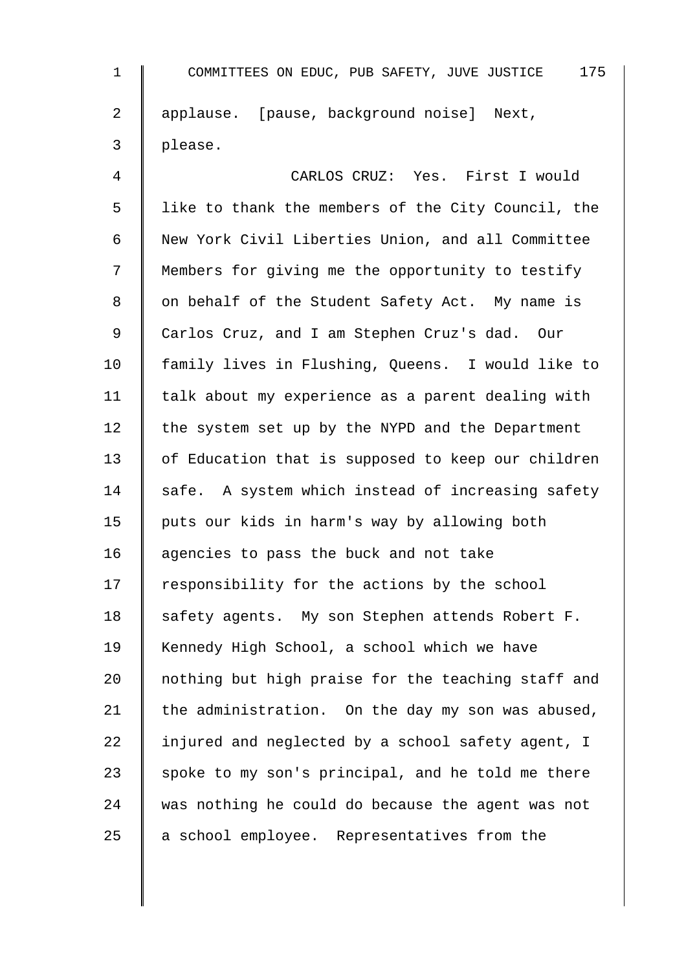| $\mathbf{1}$   | 175<br>COMMITTEES ON EDUC, PUB SAFETY, JUVE JUSTICE |
|----------------|-----------------------------------------------------|
| $\overline{a}$ | applause. [pause, background noise] Next,           |
| 3              | please.                                             |
| 4              | CARLOS CRUZ: Yes. First I would                     |
| 5              | like to thank the members of the City Council, the  |
| 6              | New York Civil Liberties Union, and all Committee   |
| 7              | Members for giving me the opportunity to testify    |
| 8              | on behalf of the Student Safety Act. My name is     |
| $\mathsf 9$    | Carlos Cruz, and I am Stephen Cruz's dad. Our       |
| 10             | family lives in Flushing, Queens. I would like to   |
| 11             | talk about my experience as a parent dealing with   |
| 12             | the system set up by the NYPD and the Department    |
| 13             | of Education that is supposed to keep our children  |
| 14             | safe. A system which instead of increasing safety   |
| 15             | puts our kids in harm's way by allowing both        |
| 16             | agencies to pass the buck and not take              |
| 17             | responsibility for the actions by the school        |
| 18             | safety agents. My son Stephen attends Robert F.     |
| 19             | Kennedy High School, a school which we have         |
| 20             | nothing but high praise for the teaching staff and  |
| 21             | the administration. On the day my son was abused,   |
| 22             | injured and neglected by a school safety agent, I   |
| 23             | spoke to my son's principal, and he told me there   |
| 24             | was nothing he could do because the agent was not   |
| 25             | a school employee. Representatives from the         |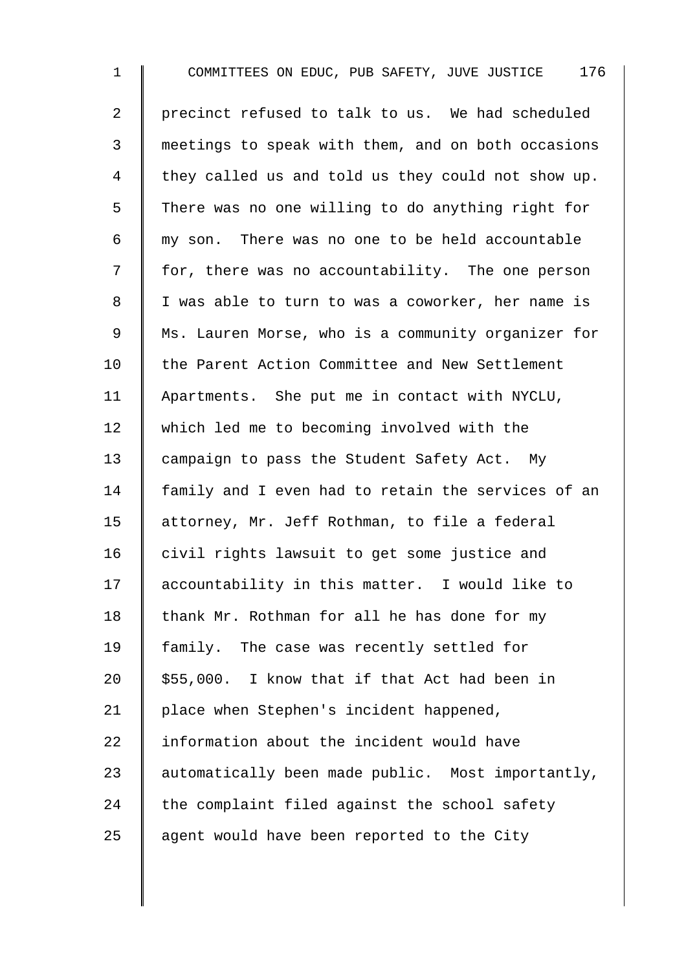1 COMMITTEES ON EDUC, PUB SAFETY, JUVE JUSTICE 176 2 | precinct refused to talk to us. We had scheduled 3 meetings to speak with them, and on both occasions 4 they called us and told us they could not show up. 5 There was no one willing to do anything right for 6 my son. There was no one to be held accountable 7 | for, there was no accountability. The one person 8 | I was able to turn to was a coworker, her name is 9 || Ms. Lauren Morse, who is a community organizer for 10 the Parent Action Committee and New Settlement 11 Apartments. She put me in contact with NYCLU, 12 which led me to becoming involved with the 13 campaign to pass the Student Safety Act. My 14 | family and I even had to retain the services of an 15 | attorney, Mr. Jeff Rothman, to file a federal 16 civil rights lawsuit to get some justice and 17 accountability in this matter. I would like to 18 thank Mr. Rothman for all he has done for my 19 | family. The case was recently settled for 20  $\parallel$  \$55,000. I know that if that Act had been in 21 | place when Stephen's incident happened, 22  $\parallel$  information about the incident would have 23 automatically been made public. Most importantly, 24  $\parallel$  the complaint filed against the school safety 25  $\parallel$  agent would have been reported to the City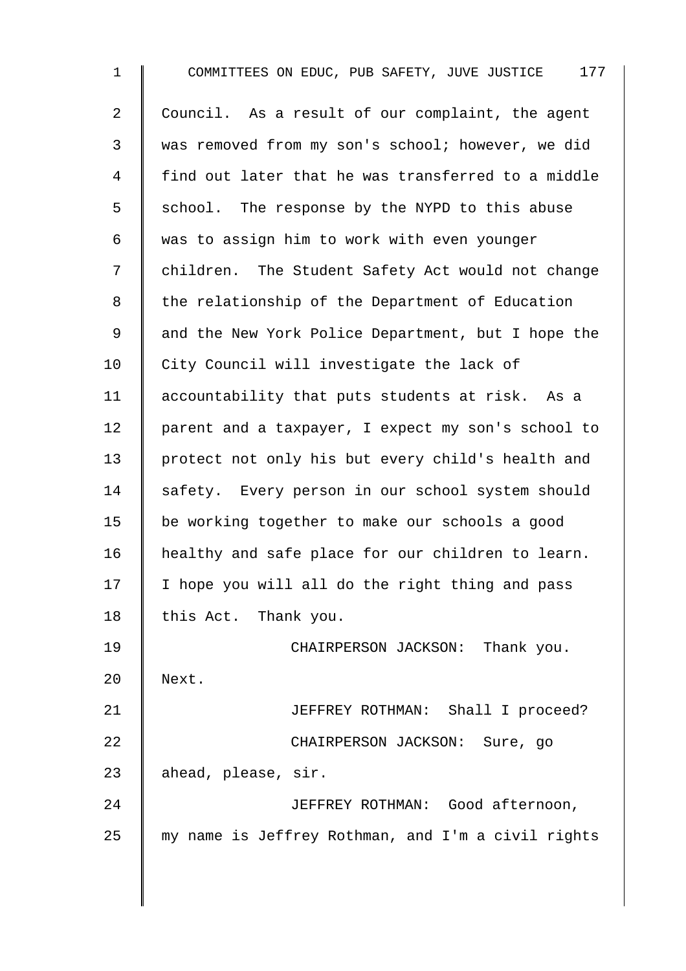| $\mathbf{1}$ | 177<br>COMMITTEES ON EDUC, PUB SAFETY, JUVE JUSTICE |
|--------------|-----------------------------------------------------|
| 2            | Council. As a result of our complaint, the agent    |
| 3            | was removed from my son's school; however, we did   |
| 4            | find out later that he was transferred to a middle  |
| 5            | school. The response by the NYPD to this abuse      |
| 6            | was to assign him to work with even younger         |
| 7            | children. The Student Safety Act would not change   |
| 8            | the relationship of the Department of Education     |
| 9            | and the New York Police Department, but I hope the  |
| 10           | City Council will investigate the lack of           |
| 11           | accountability that puts students at risk. As a     |
| 12           | parent and a taxpayer, I expect my son's school to  |
| 13           | protect not only his but every child's health and   |
| 14           | safety. Every person in our school system should    |
| 15           | be working together to make our schools a good      |
| 16           | healthy and safe place for our children to learn.   |
| 17           | I hope you will all do the right thing and pass     |
| 18           | this Act. Thank you.                                |
| 19           | CHAIRPERSON JACKSON: Thank you.                     |
| 20           | Next.                                               |
| 21           | JEFFREY ROTHMAN: Shall I proceed?                   |
| 22           | CHAIRPERSON JACKSON: Sure, go                       |
| 23           | ahead, please, sir.                                 |
| 24           | JEFFREY ROTHMAN: Good afternoon,                    |
| 25           | my name is Jeffrey Rothman, and I'm a civil rights  |
|              |                                                     |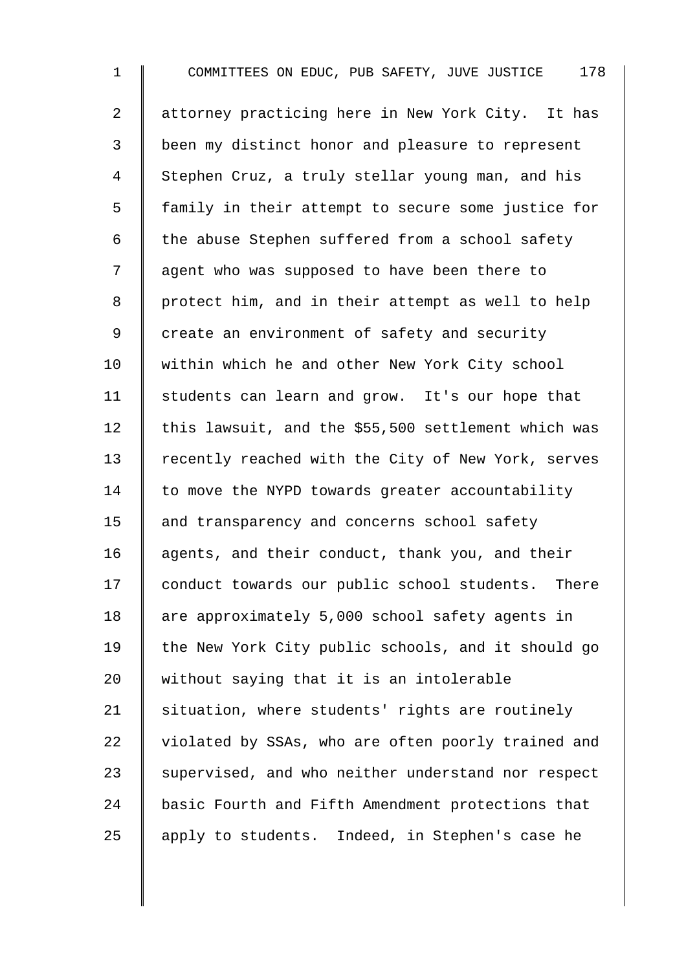1 COMMITTEES ON EDUC, PUB SAFETY, JUVE JUSTICE 178 2 | attorney practicing here in New York City. It has 3 been my distinct honor and pleasure to represent 4 Stephen Cruz, a truly stellar young man, and his 5 | family in their attempt to secure some justice for  $6$  | the abuse Stephen suffered from a school safety 7 | agent who was supposed to have been there to 8 | protect him, and in their attempt as well to help 9 create an environment of safety and security 10 within which he and other New York City school 11 | students can learn and grow. It's our hope that 12  $\parallel$  this lawsuit, and the \$55,500 settlement which was 13 Tecently reached with the City of New York, serves  $14$  to move the NYPD towards greater accountability 15 and transparency and concerns school safety 16 agents, and their conduct, thank you, and their 17 conduct towards our public school students. There 18 are approximately 5,000 school safety agents in 19 The New York City public schools, and it should go 20  $\parallel$  without saying that it is an intolerable  $21$  situation, where students' rights are routinely 22 violated by SSAs, who are often poorly trained and 23 Supervised, and who neither understand nor respect 24 basic Fourth and Fifth Amendment protections that 25 apply to students. Indeed, in Stephen's case he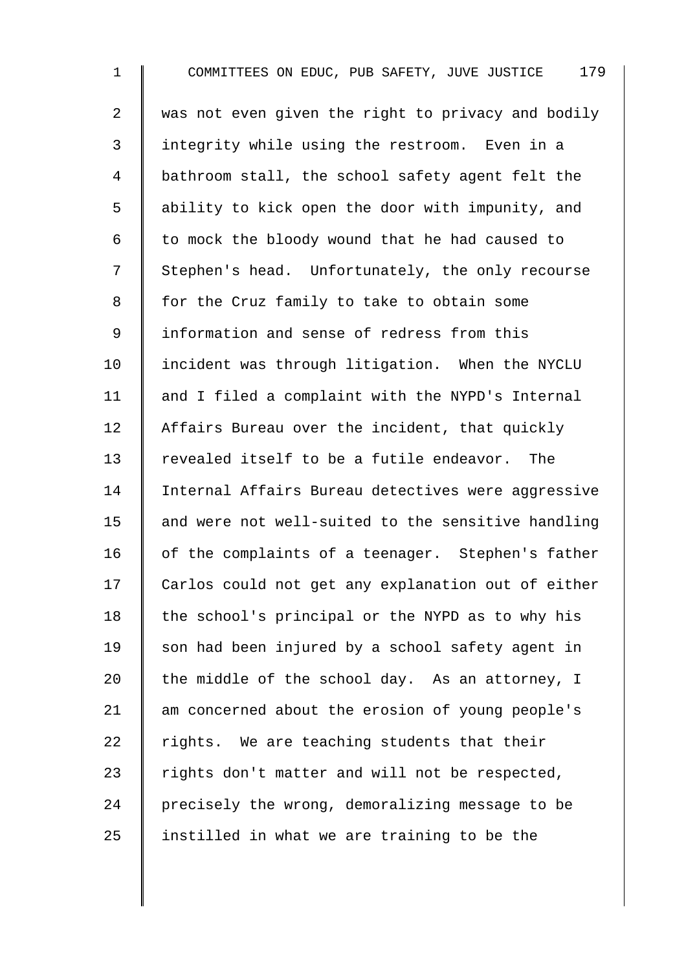1 COMMITTEES ON EDUC, PUB SAFETY, JUVE JUSTICE 179 2  $\parallel$  was not even given the right to privacy and bodily 3 integrity while using the restroom. Even in a 4 | bathroom stall, the school safety agent felt the 5 | ability to kick open the door with impunity, and  $6 \parallel$  to mock the bloody wound that he had caused to 7 Stephen's head. Unfortunately, the only recourse 8 | for the Cruz family to take to obtain some 9 I information and sense of redress from this 10 Incident was through litigation. When the NYCLU 11  $\parallel$  and I filed a complaint with the NYPD's Internal 12 Affairs Bureau over the incident, that quickly 13 Tevealed itself to be a futile endeavor. The 14 | Internal Affairs Bureau detectives were aggressive 15  $\parallel$  and were not well-suited to the sensitive handling  $16$  of the complaints of a teenager. Stephen's father 17 | Carlos could not get any explanation out of either 18  $\parallel$  the school's principal or the NYPD as to why his 19 Son had been injured by a school safety agent in 20 the middle of the school day. As an attorney, I 21 am concerned about the erosion of young people's 22 Tights. We are teaching students that their 23  $\parallel$  rights don't matter and will not be respected, 24 | precisely the wrong, demoralizing message to be 25  $\parallel$  instilled in what we are training to be the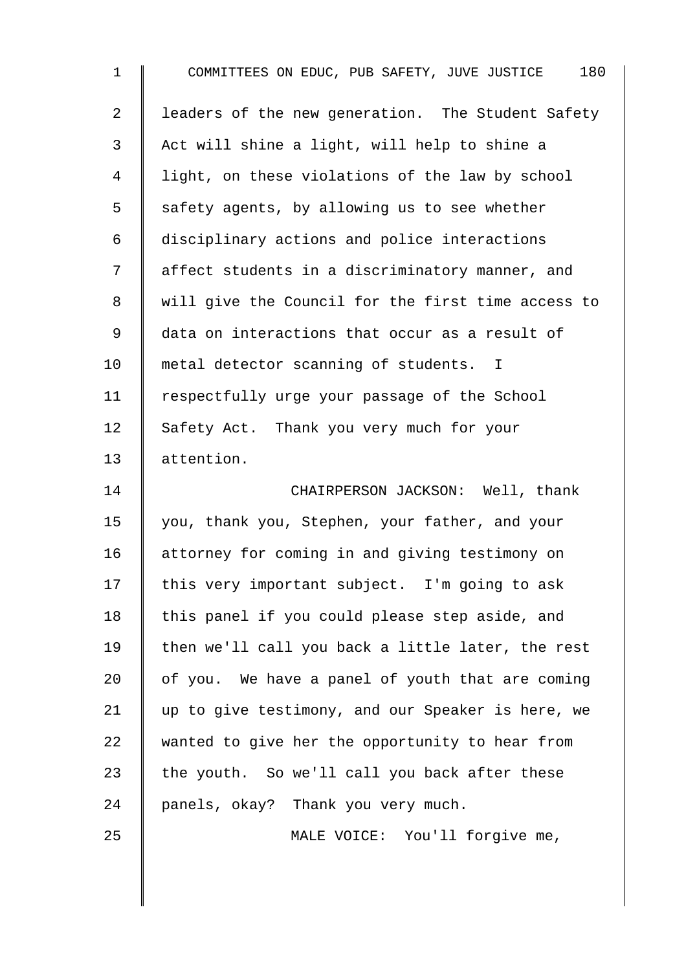| $\mathbf 1$    | 180<br>COMMITTEES ON EDUC, PUB SAFETY, JUVE JUSTICE |
|----------------|-----------------------------------------------------|
| $\overline{2}$ | leaders of the new generation. The Student Safety   |
| 3              | Act will shine a light, will help to shine a        |
| 4              | light, on these violations of the law by school     |
| 5              | safety agents, by allowing us to see whether        |
| 6              | disciplinary actions and police interactions        |
| 7              | affect students in a discriminatory manner, and     |
| 8              | will give the Council for the first time access to  |
| 9              | data on interactions that occur as a result of      |
| 10             | metal detector scanning of students. I              |
| 11             | respectfully urge your passage of the School        |
| 12             | Safety Act. Thank you very much for your            |
| 13             | attention.                                          |
| 14             | CHAIRPERSON JACKSON: Well, thank                    |
| 15             | you, thank you, Stephen, your father, and your      |
| 16             | attorney for coming in and giving testimony on      |
| 17             | this very important subject. I'm going to ask       |
| 18             | this panel if you could please step aside, and      |
| 19             | then we'll call you back a little later, the rest   |
| 20             | of you. We have a panel of youth that are coming    |
| 21             | up to give testimony, and our Speaker is here, we   |
| 22             | wanted to give her the opportunity to hear from     |
| 23             | the youth. So we'll call you back after these       |
| 24             | panels, okay? Thank you very much.                  |
| 25             | MALE VOICE: You'll forgive me,                      |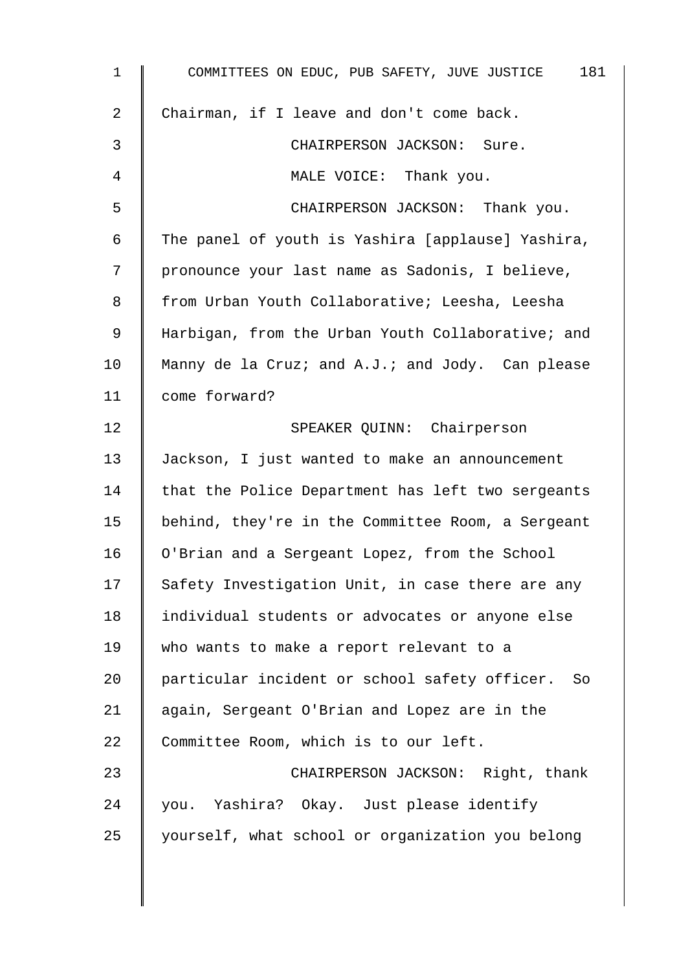| $\mathbf 1$ | COMMITTEES ON EDUC, PUB SAFETY, JUVE JUSTICE 181  |
|-------------|---------------------------------------------------|
| 2           | Chairman, if I leave and don't come back.         |
| 3           | CHAIRPERSON JACKSON: Sure.                        |
| 4           | MALE VOICE: Thank you.                            |
| 5           | CHAIRPERSON JACKSON: Thank you.                   |
| 6           | The panel of youth is Yashira [applause] Yashira, |
| 7           | pronounce your last name as Sadonis, I believe,   |
| 8           | from Urban Youth Collaborative; Leesha, Leesha    |
| 9           | Harbigan, from the Urban Youth Collaborative; and |
| 10          | Manny de la Cruz; and A.J.; and Jody. Can please  |
| 11          | come forward?                                     |
| 12          | SPEAKER QUINN: Chairperson                        |
| 13          | Jackson, I just wanted to make an announcement    |
| 14          | that the Police Department has left two sergeants |
| 15          | behind, they're in the Committee Room, a Sergeant |
| 16          | O'Brian and a Sergeant Lopez, from the School     |
| 17          | Safety Investigation Unit, in case there are any  |
| 18          | individual students or advocates or anyone else   |
| 19          | who wants to make a report relevant to a          |
| 20          | particular incident or school safety officer. So  |
| 21          | again, Sergeant O'Brian and Lopez are in the      |
| 22          | Committee Room, which is to our left.             |
| 23          | CHAIRPERSON JACKSON: Right, thank                 |
| 24          | you. Yashira? Okay. Just please identify          |
| 25          | yourself, what school or organization you belong  |
|             |                                                   |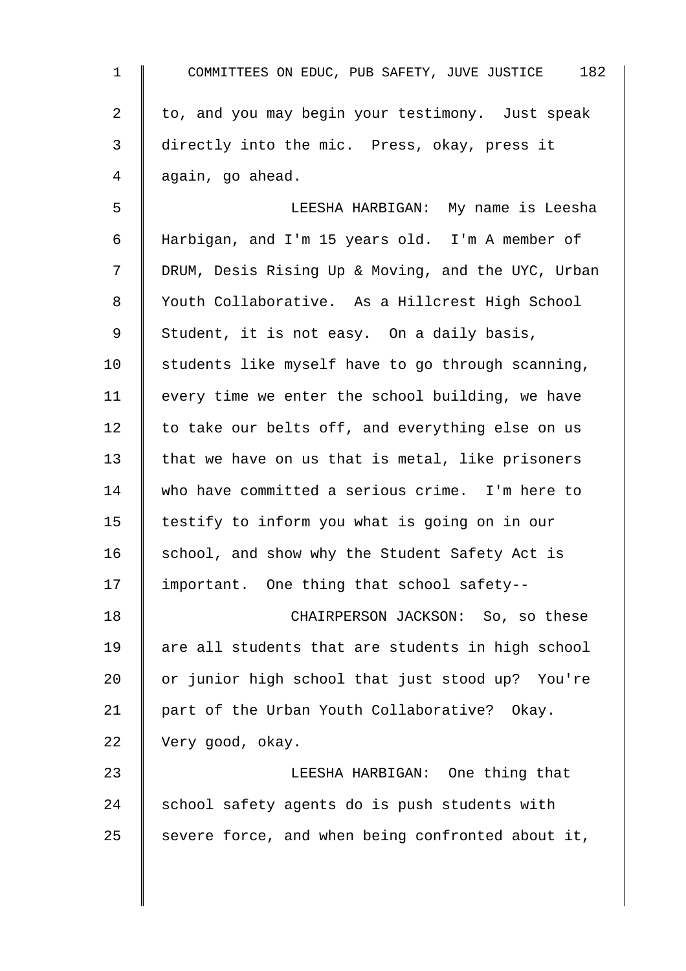| $\mathbf{1}$   | 182<br>COMMITTEES ON EDUC, PUB SAFETY, JUVE JUSTICE |
|----------------|-----------------------------------------------------|
| $\overline{a}$ | to, and you may begin your testimony. Just speak    |
| 3              | directly into the mic. Press, okay, press it        |
| 4              | again, go ahead.                                    |
| 5              | LEESHA HARBIGAN: My name is Leesha                  |
| 6              | Harbigan, and I'm 15 years old. I'm A member of     |
| 7              | DRUM, Desis Rising Up & Moving, and the UYC, Urban  |
| 8              | Youth Collaborative. As a Hillcrest High School     |
| 9              | Student, it is not easy. On a daily basis,          |
| 10             | students like myself have to go through scanning,   |
| 11             | every time we enter the school building, we have    |
| 12             | to take our belts off, and everything else on us    |
| 13             | that we have on us that is metal, like prisoners    |
| 14             | who have committed a serious crime. I'm here to     |
| 15             | testify to inform you what is going on in our       |
| 16             | school, and show why the Student Safety Act is      |
| 17             | important. One thing that school safety--           |
| 18             | CHAIRPERSON JACKSON: So, so these                   |
| 19             | are all students that are students in high school   |
| 20             | or junior high school that just stood up? You're    |
| 21             | part of the Urban Youth Collaborative? Okay.        |
| 22             | Very good, okay.                                    |
| 23             | LEESHA HARBIGAN: One thing that                     |
| 24             | school safety agents do is push students with       |
| 25             | severe force, and when being confronted about it,   |
|                |                                                     |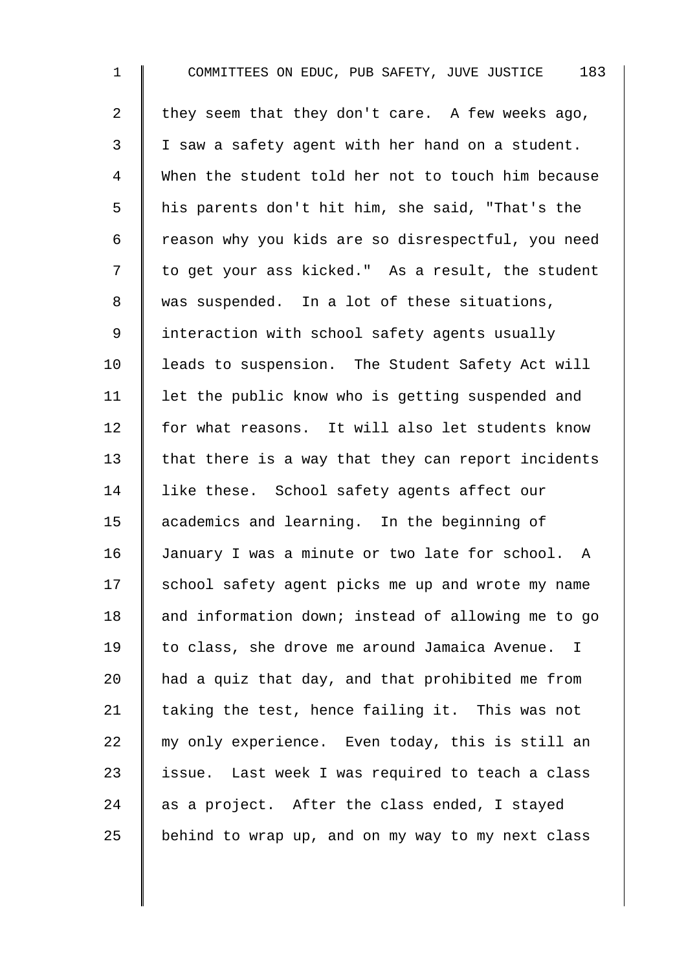1 COMMITTEES ON EDUC, PUB SAFETY, JUVE JUSTICE 183 2 they seem that they don't care. A few weeks ago, 3 | I saw a safety agent with her hand on a student. 4 When the student told her not to touch him because 5 | his parents don't hit him, she said, "That's the 6 | reason why you kids are so disrespectful, you need 7 | to get your ass kicked." As a result, the student 8 was suspended. In a lot of these situations, 9 | interaction with school safety agents usually 10 | leads to suspension. The Student Safety Act will 11 | let the public know who is getting suspended and 12 for what reasons. It will also let students know  $13$  that there is a way that they can report incidents 14 I like these. School safety agents affect our 15 academics and learning. In the beginning of 16 January I was a minute or two late for school. A 17 School safety agent picks me up and wrote my name 18 | and information down; instead of allowing me to go 19 to class, she drove me around Jamaica Avenue. I 20  $\parallel$  had a quiz that day, and that prohibited me from 21  $\parallel$  taking the test, hence failing it. This was not  $22$   $\parallel$  my only experience. Even today, this is still an 23  $\parallel$  issue. Last week I was required to teach a class 24  $\parallel$  as a project. After the class ended, I stayed 25 behind to wrap up, and on my way to my next class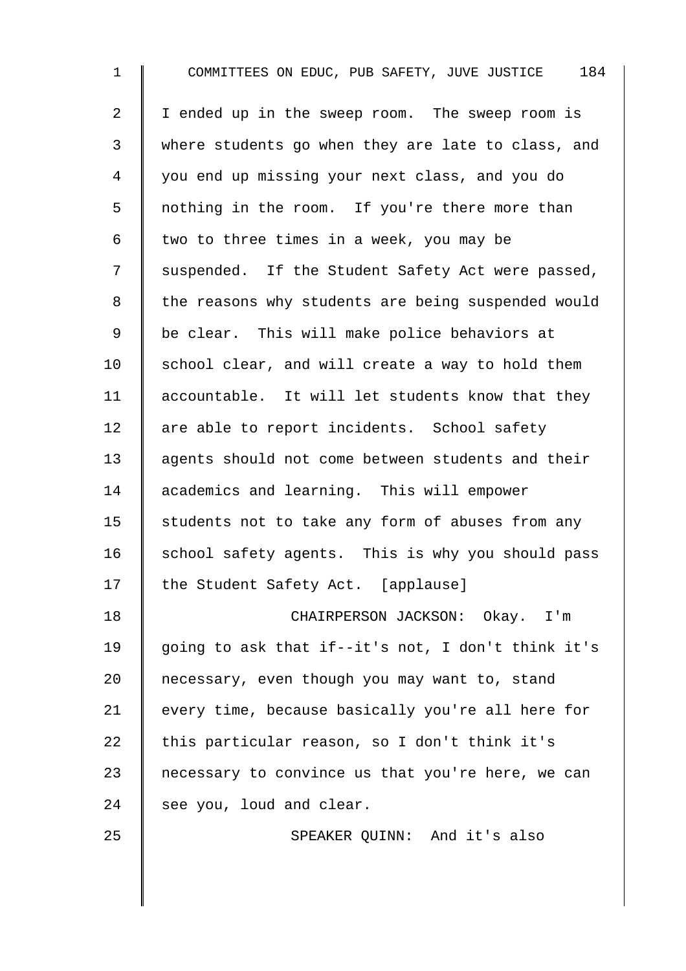| $\mathbf{1}$   | COMMITTEES ON EDUC, PUB SAFETY, JUVE JUSTICE 184   |
|----------------|----------------------------------------------------|
| $\overline{a}$ | I ended up in the sweep room. The sweep room is    |
| 3              | where students go when they are late to class, and |
| 4              | you end up missing your next class, and you do     |
| 5              | nothing in the room. If you're there more than     |
| 6              | two to three times in a week, you may be           |
| 7              | suspended. If the Student Safety Act were passed,  |
| 8              | the reasons why students are being suspended would |
| $\mathsf 9$    | be clear. This will make police behaviors at       |
| 10             | school clear, and will create a way to hold them   |
| 11             | accountable. It will let students know that they   |
| 12             | are able to report incidents. School safety        |
| 13             | agents should not come between students and their  |
| 14             | academics and learning. This will empower          |
| 15             | students not to take any form of abuses from any   |
| 16             | school safety agents. This is why you should pass  |
| 17             | the Student Safety Act. [applause]                 |
| 18             | CHAIRPERSON JACKSON: Okay. I'm                     |
| 19             | going to ask that if--it's not, I don't think it's |
| 20             | necessary, even though you may want to, stand      |
| 21             | every time, because basically you're all here for  |
| 22             | this particular reason, so I don't think it's      |
| 23             | necessary to convince us that you're here, we can  |
| 24             | see you, loud and clear.                           |
| 25             | SPEAKER QUINN: And it's also                       |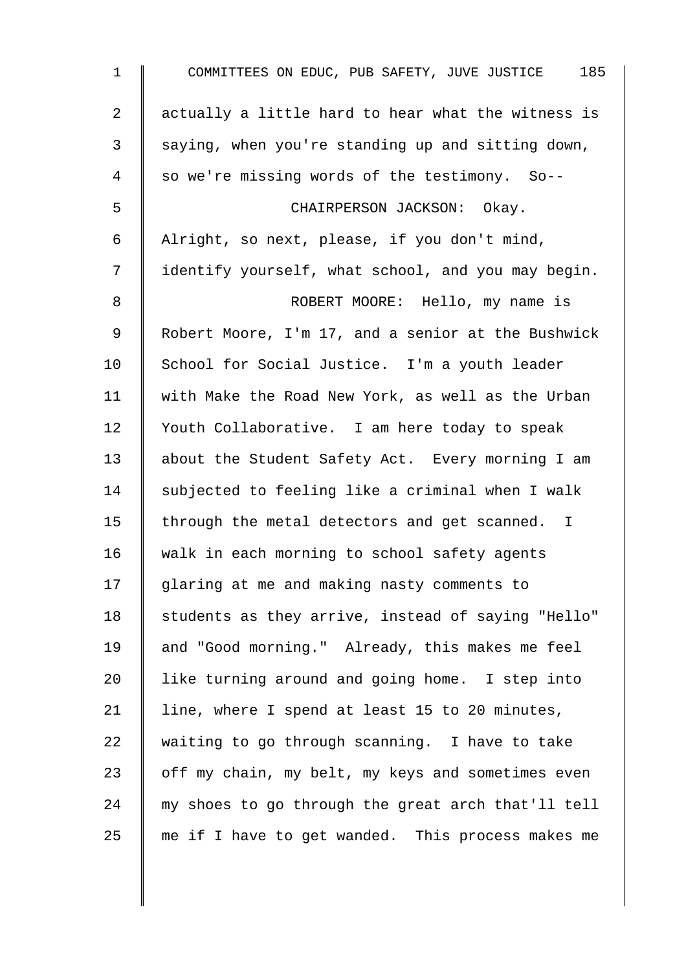| $\mathbf 1$    | 185<br>COMMITTEES ON EDUC, PUB SAFETY, JUVE JUSTICE |
|----------------|-----------------------------------------------------|
| $\overline{a}$ | actually a little hard to hear what the witness is  |
| $\mathbf{3}$   | saying, when you're standing up and sitting down,   |
| 4              | so we're missing words of the testimony. So--       |
| 5              | CHAIRPERSON JACKSON: Okay.                          |
| 6              | Alright, so next, please, if you don't mind,        |
| 7              | identify yourself, what school, and you may begin.  |
| 8              | ROBERT MOORE: Hello, my name is                     |
| 9              | Robert Moore, I'm 17, and a senior at the Bushwick  |
| 10             | School for Social Justice. I'm a youth leader       |
| 11             | with Make the Road New York, as well as the Urban   |
| 12             | Youth Collaborative. I am here today to speak       |
| 13             | about the Student Safety Act. Every morning I am    |
| 14             | subjected to feeling like a criminal when I walk    |
| 15             | through the metal detectors and get scanned. I      |
| 16             | walk in each morning to school safety agents        |
| 17             | glaring at me and making nasty comments to          |
| 18             | students as they arrive, instead of saying "Hello"  |
| 19             | and "Good morning." Already, this makes me feel     |
| 20             | like turning around and going home. I step into     |
| 21             | line, where I spend at least 15 to 20 minutes,      |
| 22             | waiting to go through scanning. I have to take      |
| 23             | off my chain, my belt, my keys and sometimes even   |
| 24             | my shoes to go through the great arch that'll tell  |
| 25             | me if I have to get wanded. This process makes me   |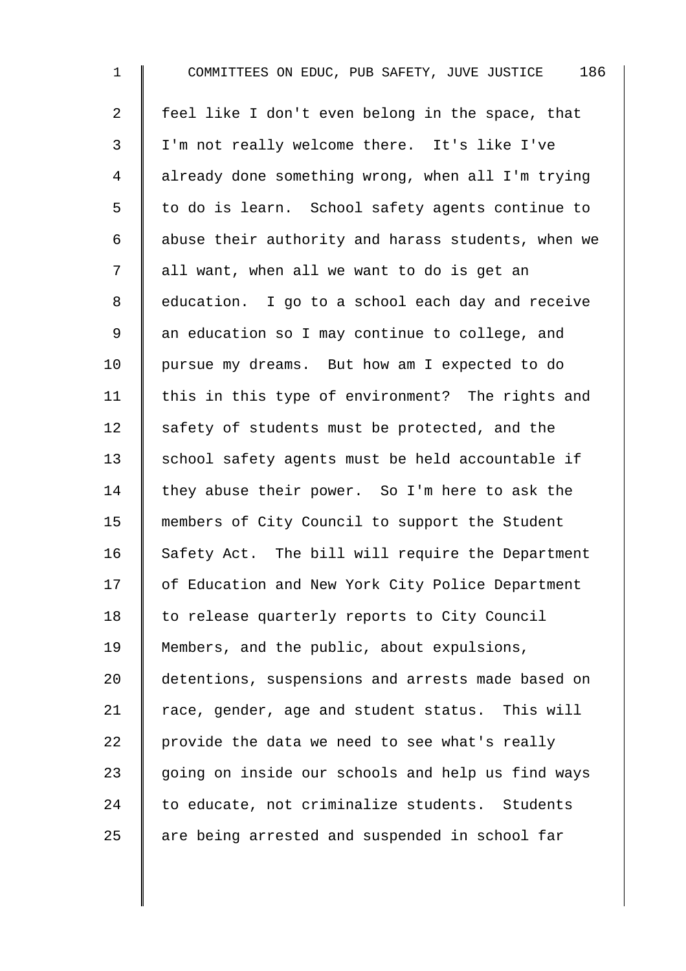| $\mathbf{1}$   | COMMITTEES ON EDUC, PUB SAFETY, JUVE JUSTICE 186   |
|----------------|----------------------------------------------------|
| $\overline{2}$ | feel like I don't even belong in the space, that   |
| 3              | I'm not really welcome there. It's like I've       |
| 4              | already done something wrong, when all I'm trying  |
| 5              | to do is learn. School safety agents continue to   |
| 6              | abuse their authority and harass students, when we |
| 7              | all want, when all we want to do is get an         |
| 8              | education. I go to a school each day and receive   |
| $\mathsf 9$    | an education so I may continue to college, and     |
| 10             | pursue my dreams. But how am I expected to do      |
| 11             | this in this type of environment? The rights and   |
| 12             | safety of students must be protected, and the      |
| 13             | school safety agents must be held accountable if   |
| 14             | they abuse their power. So I'm here to ask the     |
| 15             | members of City Council to support the Student     |
| 16             | Safety Act. The bill will require the Department   |
| 17             | of Education and New York City Police Department   |
| 18             | to release quarterly reports to City Council       |
| 19             | Members, and the public, about expulsions,         |
| 20             | detentions, suspensions and arrests made based on  |
| 21             | race, gender, age and student status. This will    |
| 22             | provide the data we need to see what's really      |
| 23             | going on inside our schools and help us find ways  |
| 24             | to educate, not criminalize students. Students     |
| 25             | are being arrested and suspended in school far     |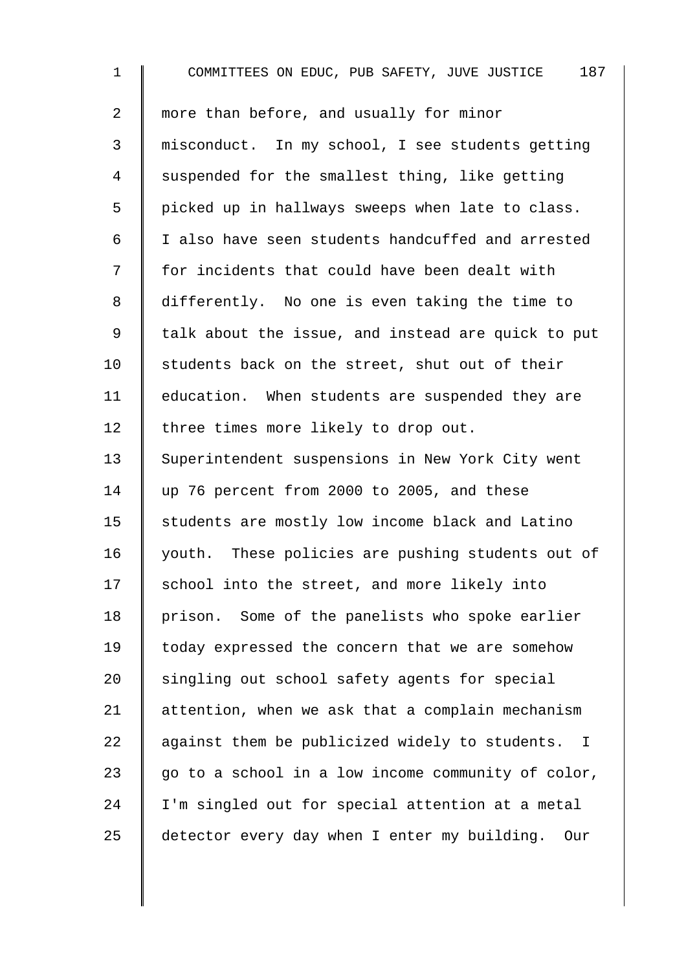1 COMMITTEES ON EDUC, PUB SAFETY, JUVE JUSTICE 187 2 more than before, and usually for minor 3 misconduct. In my school, I see students getting 4 Suspended for the smallest thing, like getting  $5 \parallel$  picked up in hallways sweeps when late to class. 6 I also have seen students handcuffed and arrested 7 | for incidents that could have been dealt with 8 differently. No one is even taking the time to 9 || talk about the issue, and instead are quick to put 10  $\parallel$  students back on the street, shut out of their 11 | education. When students are suspended they are 12 | three times more likely to drop out. 13 Superintendent suspensions in New York City went 14 up 76 percent from 2000 to 2005, and these 15 | students are mostly low income black and Latino 16 vouth. These policies are pushing students out of  $17$  school into the street, and more likely into 18 | prison. Some of the panelists who spoke earlier 19 | today expressed the concern that we are somehow 20 singling out school safety agents for special 21 | attention, when we ask that a complain mechanism 22  $\parallel$  against them be publicized widely to students. I 23  $\parallel$  go to a school in a low income community of color, 24 I'm singled out for special attention at a metal 25 detector every day when I enter my building. Our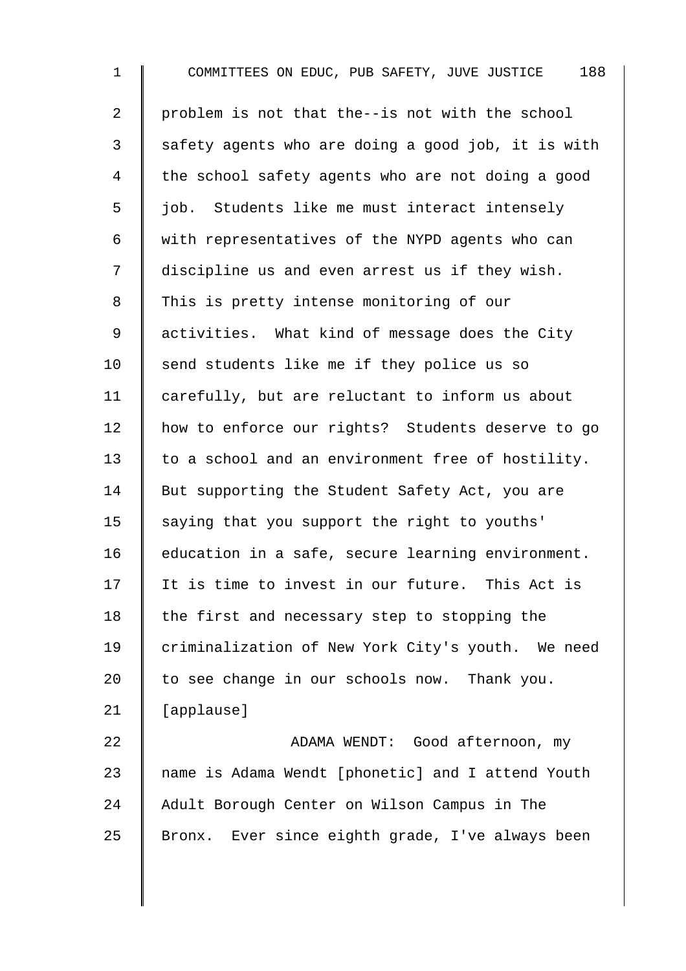1 COMMITTEES ON EDUC, PUB SAFETY, JUVE JUSTICE 188 2 problem is not that the--is not with the school  $3 \parallel$  safety agents who are doing a good job, it is with 4 the school safety agents who are not doing a good  $\overline{5}$  | job. Students like me must interact intensely 6 with representatives of the NYPD agents who can 7 | discipline us and even arrest us if they wish. 8 This is pretty intense monitoring of our 9 activities. What kind of message does the City  $10$  send students like me if they police us so 11 carefully, but are reluctant to inform us about 12 | how to enforce our rights? Students deserve to go 13 to a school and an environment free of hostility. 14 | But supporting the Student Safety Act, you are 15  $\parallel$  saying that you support the right to youths' 16 education in a safe, secure learning environment. 17 It is time to invest in our future. This Act is 18  $\parallel$  the first and necessary step to stopping the 19 criminalization of New York City's youth. We need 20  $\parallel$  to see change in our schools now. Thank you. 21  $\parallel$  [applause] 22 ADAMA WENDT: Good afternoon, my  $23$   $\parallel$  name is Adama Wendt [phonetic] and I attend Youth 24 Adult Borough Center on Wilson Campus in The

 $25$  Bronx. Ever since eighth grade, I've always been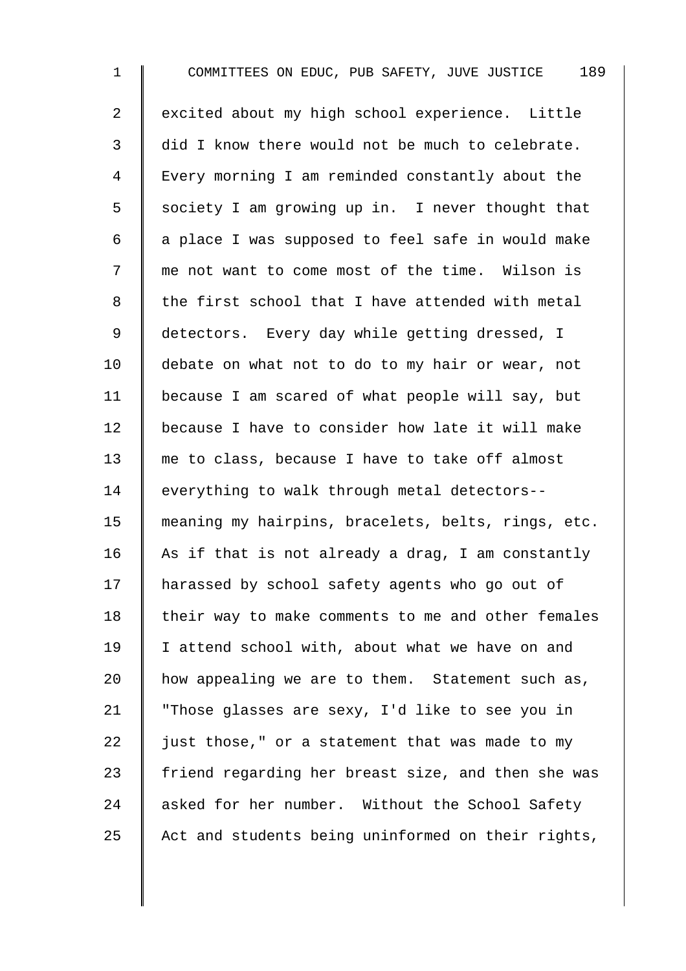1 COMMITTEES ON EDUC, PUB SAFETY, JUVE JUSTICE 189 2 excited about my high school experience. Little 3 did I know there would not be much to celebrate. 4 Every morning I am reminded constantly about the  $5 \parallel$  society I am growing up in. I never thought that  $6 \parallel a$  place I was supposed to feel safe in would make 7 | me not want to come most of the time. Wilson is  $8 \parallel$  the first school that I have attended with metal 9 detectors. Every day while getting dressed, I 10 debate on what not to do to my hair or wear, not 11 because I am scared of what people will say, but 12 because I have to consider how late it will make 13 me to class, because I have to take off almost 14 everything to walk through metal detectors--15 meaning my hairpins, bracelets, belts, rings, etc. 16 As if that is not already a drag, I am constantly 17 harassed by school safety agents who go out of  $18$  | their way to make comments to me and other females 19 | I attend school with, about what we have on and 20  $\parallel$  how appealing we are to them. Statement such as, 21 | "Those glasses are sexy, I'd like to see you in 22  $\parallel$  just those," or a statement that was made to my 23  $\parallel$  friend regarding her breast size, and then she was 24 asked for her number. Without the School Safety 25  $\parallel$  Act and students being uninformed on their rights,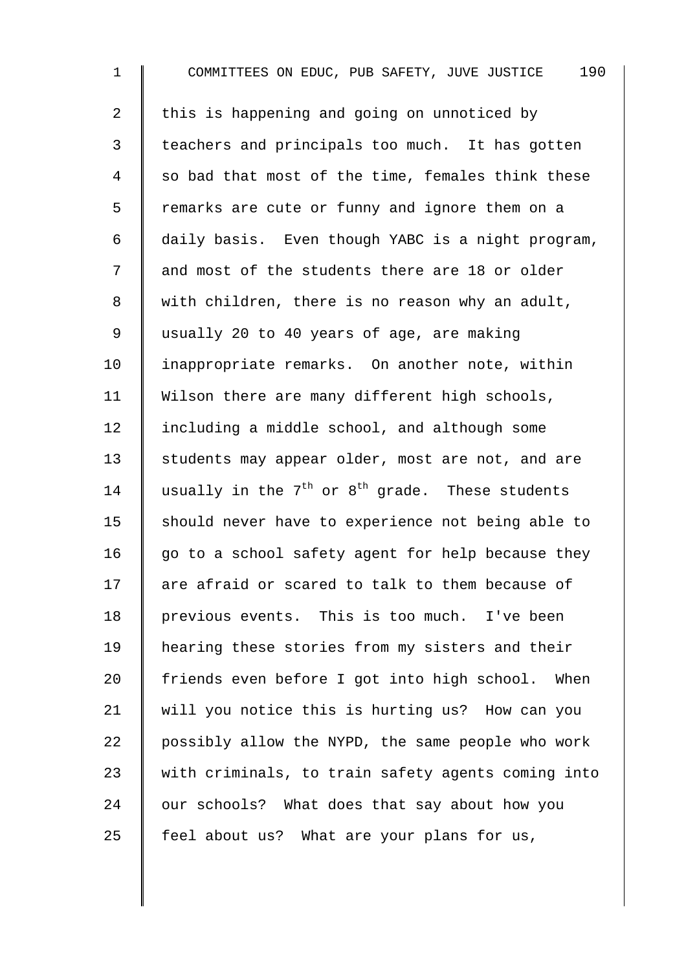1 COMMITTEES ON EDUC, PUB SAFETY, JUVE JUSTICE 190 2  $\parallel$  this is happening and going on unnoticed by 3 | teachers and principals too much. It has gotten 4 so bad that most of the time, females think these 5 | remarks are cute or funny and ignore them on a 6 daily basis. Even though YABC is a night program, 7 || and most of the students there are 18 or older 8 | with children, there is no reason why an adult, 9 usually 20 to 40 years of age, are making 10 | inappropriate remarks. On another note, within 11  $\parallel$  Wilson there are many different high schools, 12 | including a middle school, and although some 13 Students may appear older, most are not, and are 14 usually in the  $7^{th}$  or  $8^{th}$  grade. These students 15  $\parallel$  should never have to experience not being able to 16  $\parallel$  go to a school safety agent for help because they  $17$  are afraid or scared to talk to them because of 18 previous events. This is too much. I've been 19 hearing these stories from my sisters and their 20 friends even before I got into high school. When 21 | will you notice this is hurting us? How can you 22  $\parallel$  possibly allow the NYPD, the same people who work 23 with criminals, to train safety agents coming into  $24$  | our schools? What does that say about how you 25  $\parallel$  feel about us? What are your plans for us,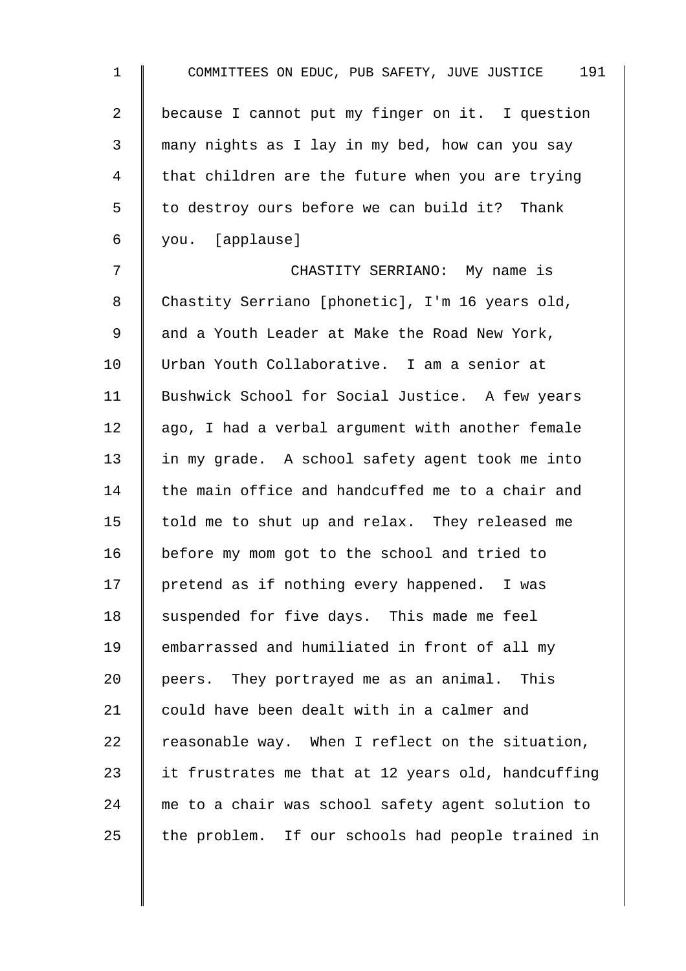| $\mathbf 1$    | COMMITTEES ON EDUC, PUB SAFETY, JUVE JUSTICE 191   |
|----------------|----------------------------------------------------|
| $\overline{2}$ | because I cannot put my finger on it. I question   |
| 3              | many nights as I lay in my bed, how can you say    |
| $\overline{4}$ | that children are the future when you are trying   |
| 5              | to destroy ours before we can build it? Thank      |
| 6              | you. [applause]                                    |
| 7              | CHASTITY SERRIANO: My name is                      |
| $\,8\,$        | Chastity Serriano [phonetic], I'm 16 years old,    |
| $\mathsf 9$    | and a Youth Leader at Make the Road New York,      |
| 10             | Urban Youth Collaborative. I am a senior at        |
| 11             | Bushwick School for Social Justice. A few years    |
| 12             | ago, I had a verbal argument with another female   |
| 13             | in my grade. A school safety agent took me into    |
| 14             | the main office and handcuffed me to a chair and   |
| 15             | told me to shut up and relax. They released me     |
| 16             | before my mom got to the school and tried to       |
| 17             | pretend as if nothing every happened. I was        |
| 18             | suspended for five days. This made me feel         |
| 19             | embarrassed and humiliated in front of all my      |
| 20             | peers. They portrayed me as an animal. This        |
| 21             | could have been dealt with in a calmer and         |
| 22             | reasonable way. When I reflect on the situation,   |
| 23             | it frustrates me that at 12 years old, handcuffing |
| 24             | me to a chair was school safety agent solution to  |
| 25             | the problem. If our schools had people trained in  |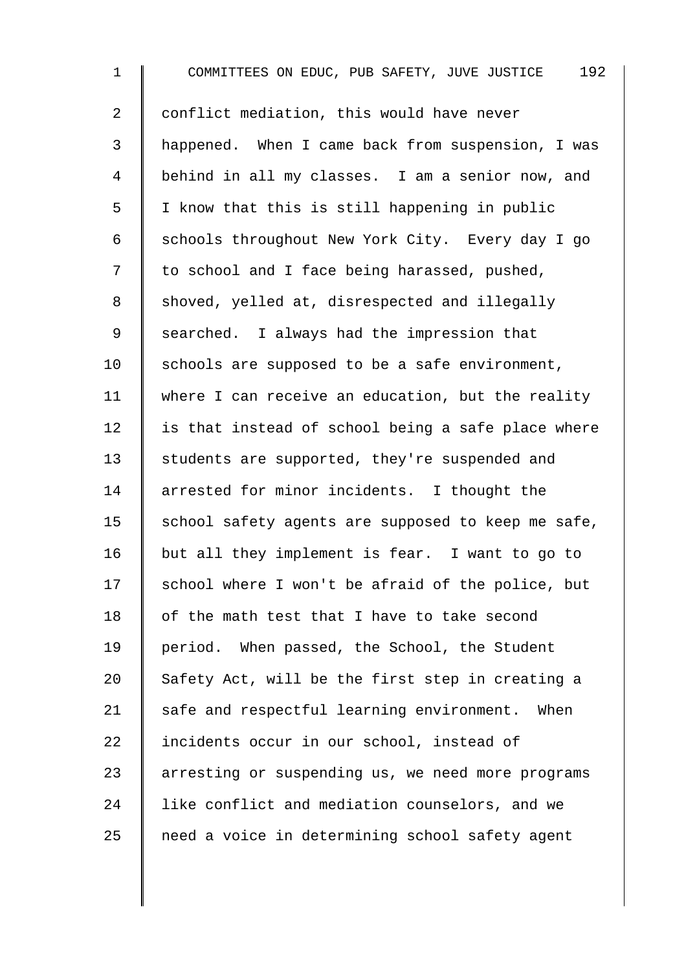| $\mathbf 1$    | 192<br>COMMITTEES ON EDUC, PUB SAFETY, JUVE JUSTICE |
|----------------|-----------------------------------------------------|
| $\overline{a}$ | conflict mediation, this would have never           |
| 3              | happened. When I came back from suspension, I was   |
| 4              | behind in all my classes. I am a senior now, and    |
| 5              | I know that this is still happening in public       |
| 6              | schools throughout New York City. Every day I go    |
| 7              | to school and I face being harassed, pushed,        |
| 8              | shoved, yelled at, disrespected and illegally       |
| 9              | searched. I always had the impression that          |
| 10             | schools are supposed to be a safe environment,      |
| 11             | where I can receive an education, but the reality   |
| 12             | is that instead of school being a safe place where  |
| 13             | students are supported, they're suspended and       |
| 14             | arrested for minor incidents. I thought the         |
| 15             | school safety agents are supposed to keep me safe,  |
| 16             | but all they implement is fear. I want to go to     |
| 17             | school where I won't be afraid of the police, but   |
| 18             | of the math test that I have to take second         |
| 19             | period. When passed, the School, the Student        |
| 20             | Safety Act, will be the first step in creating a    |
| 21             | safe and respectful learning environment. When      |
| 22             | incidents occur in our school, instead of           |
| 23             | arresting or suspending us, we need more programs   |
| 24             | like conflict and mediation counselors, and we      |
| 25             | need a voice in determining school safety agent     |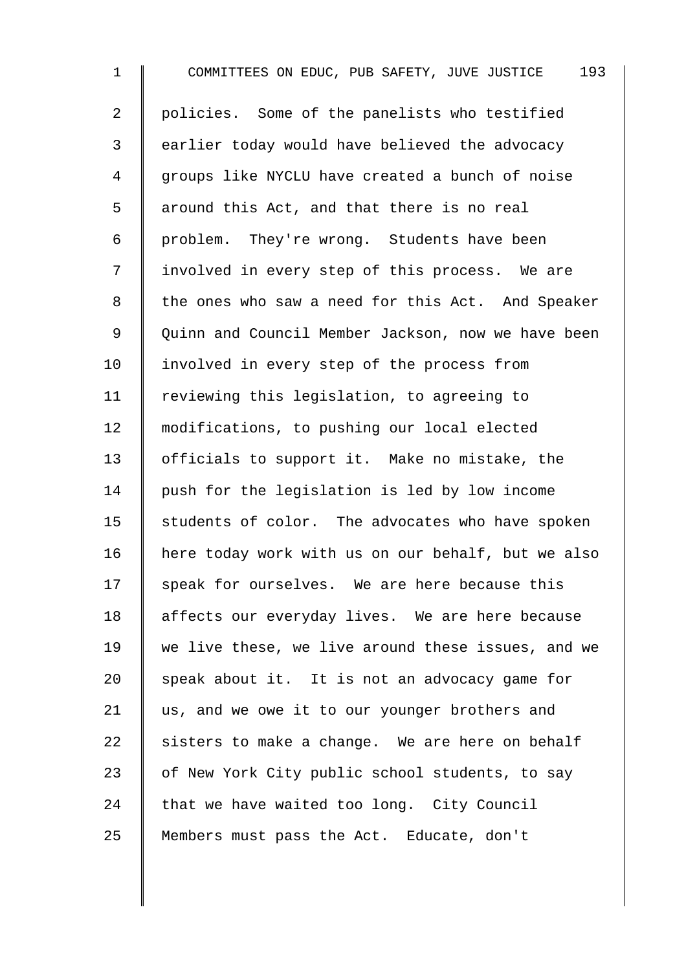1 COMMITTEES ON EDUC, PUB SAFETY, JUVE JUSTICE 193 2 | policies. Some of the panelists who testified 3 earlier today would have believed the advocacy 4 | groups like NYCLU have created a bunch of noise 5 | around this Act, and that there is no real 6 problem. They're wrong. Students have been 7 | involved in every step of this process. We are 8 the ones who saw a need for this Act. And Speaker 9 | Quinn and Council Member Jackson, now we have been 10 | involved in every step of the process from 11 Teviewing this legislation, to agreeing to 12 | modifications, to pushing our local elected 13 | officials to support it. Make no mistake, the 14 push for the legislation is led by low income  $15$  students of color. The advocates who have spoken 16 here today work with us on our behalf, but we also  $17$  speak for ourselves. We are here because this 18 affects our everyday lives. We are here because 19 We live these, we live around these issues, and we 20  $\parallel$  speak about it. It is not an advocacy game for 21  $\parallel$  us, and we owe it to our younger brothers and 22 sisters to make a change. We are here on behalf 23 | of New York City public school students, to say  $24$  that we have waited too long. City Council 25 Members must pass the Act. Educate, don't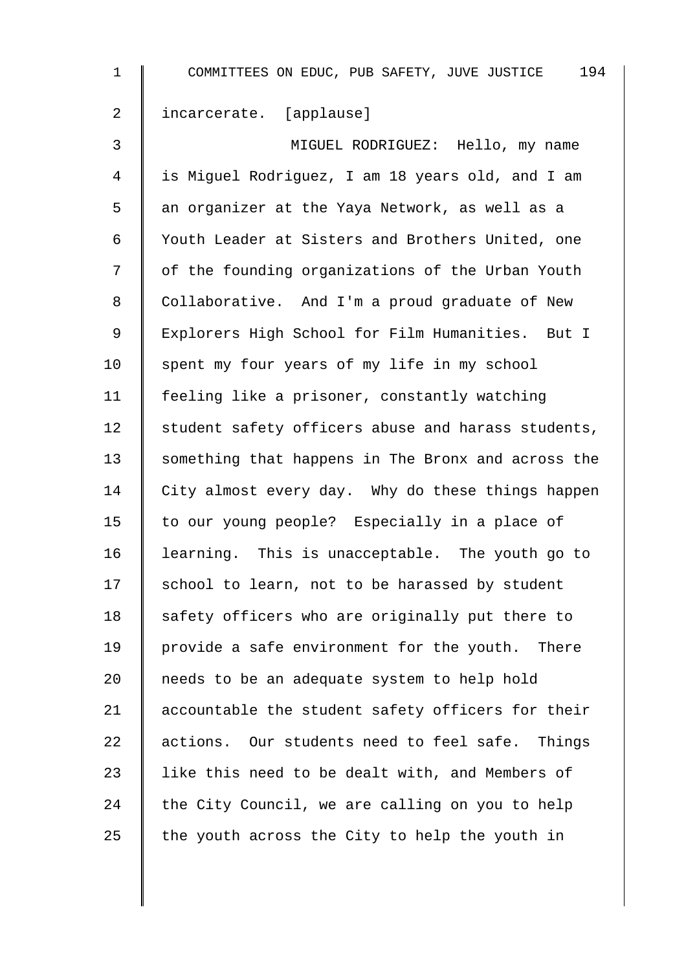| $\mathbf 1$    | 194<br>COMMITTEES ON EDUC, PUB SAFETY, JUVE JUSTICE |
|----------------|-----------------------------------------------------|
| $\overline{a}$ | incarcerate. [applause]                             |
| 3              | MIGUEL RODRIGUEZ: Hello, my name                    |
| 4              | is Miguel Rodriguez, I am 18 years old, and I am    |
| 5              | an organizer at the Yaya Network, as well as a      |
| 6              | Youth Leader at Sisters and Brothers United, one    |
| 7              | of the founding organizations of the Urban Youth    |
| 8              | Collaborative. And I'm a proud graduate of New      |
| $\mathsf 9$    | Explorers High School for Film Humanities. But I    |
| 10             | spent my four years of my life in my school         |
| 11             | feeling like a prisoner, constantly watching        |
| 12             | student safety officers abuse and harass students,  |
| 13             | something that happens in The Bronx and across the  |
| 14             | City almost every day. Why do these things happen   |
| 15             | to our young people? Especially in a place of       |
| 16             | learning. This is unacceptable. The youth go to     |
| 17             | school to learn, not to be harassed by student      |
| 18             | safety officers who are originally put there to     |
| 19             | provide a safe environment for the youth. There     |
| 20             | needs to be an adequate system to help hold         |
| 21             | accountable the student safety officers for their   |
| 22             | actions. Our students need to feel safe. Things     |
| 23             | like this need to be dealt with, and Members of     |
| 24             | the City Council, we are calling on you to help     |
| 25             | the youth across the City to help the youth in      |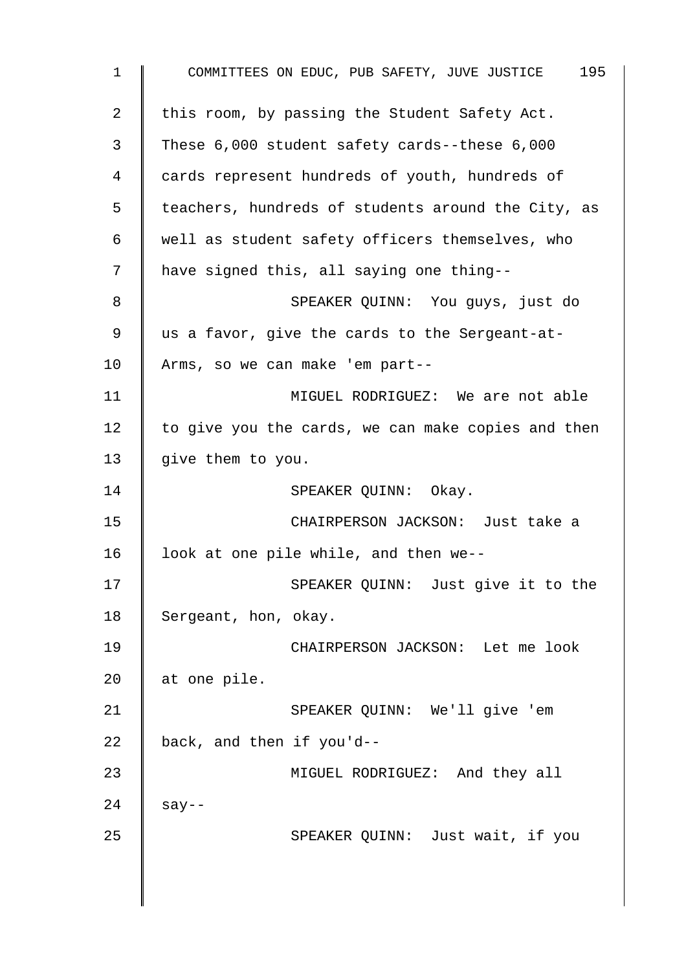1 COMMITTEES ON EDUC, PUB SAFETY, JUVE JUSTICE 195 2 | this room, by passing the Student Safety Act. 3 These 6,000 student safety cards--these 6,000 4 cards represent hundreds of youth, hundreds of 5 | teachers, hundreds of students around the City, as 6 well as student safety officers themselves, who 7 | have signed this, all saying one thing--8 SPEAKER QUINN: You guys, just do 9 us a favor, give the cards to the Sergeant-at-10 Arms, so we can make 'em part-- 11 | MIGUEL RODRIGUEZ: We are not able  $12$  to give you the cards, we can make copies and then 13  $\parallel$  give them to you. 14 | SPEAKER QUINN: Okay. 15 CHAIRPERSON JACKSON: Just take a 16  $\parallel$  look at one pile while, and then we--17 | SPEAKER QUINN: Just give it to the 18 Sergeant, hon, okay. 19 CHAIRPERSON JACKSON: Let me look 20  $\parallel$  at one pile. 21 | SPEAKER QUINN: We'll give 'em 22  $\parallel$  back, and then if you'd--23 **MIGUEL RODRIGUEZ:** And they all  $24 \parallel$  say--25 | SPEAKER QUINN: Just wait, if you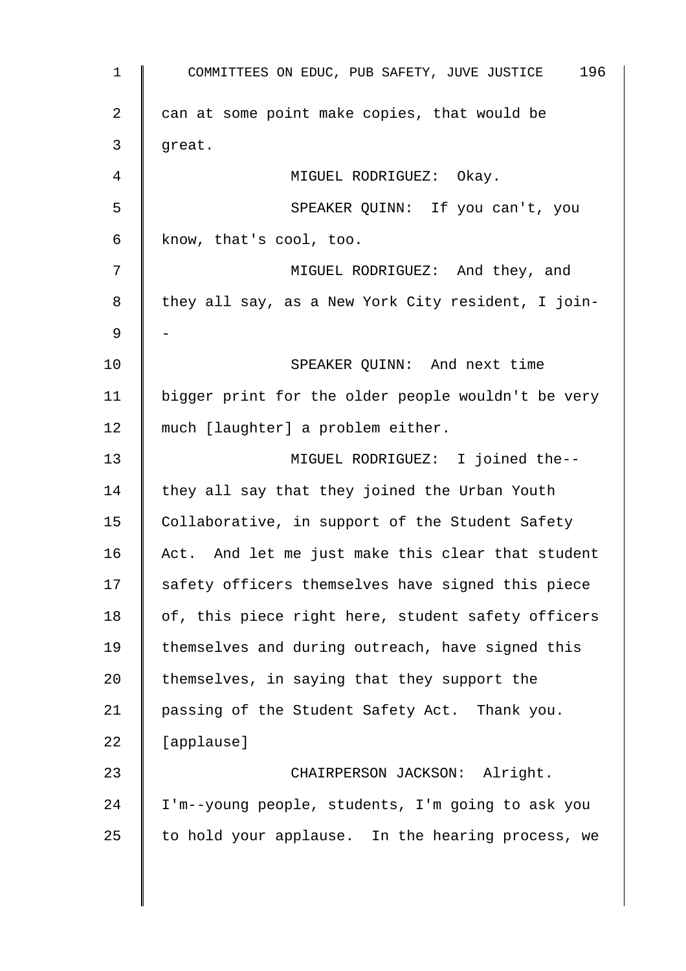| $\mathbf{1}$   | 196<br>COMMITTEES ON EDUC, PUB SAFETY, JUVE JUSTICE |
|----------------|-----------------------------------------------------|
| $\overline{2}$ | can at some point make copies, that would be        |
| 3              | great.                                              |
| 4              | MIGUEL RODRIGUEZ: Okay.                             |
| 5              | SPEAKER QUINN: If you can't, you                    |
| 6              | know, that's cool, too.                             |
| 7              | MIGUEL RODRIGUEZ: And they, and                     |
| 8              | they all say, as a New York City resident, I join-  |
| 9              |                                                     |
| 10             | SPEAKER QUINN: And next time                        |
| 11             | bigger print for the older people wouldn't be very  |
| 12             | much [laughter] a problem either.                   |
| 13             | MIGUEL RODRIGUEZ: I joined the--                    |
| 14             | they all say that they joined the Urban Youth       |
| 15             | Collaborative, in support of the Student Safety     |
| 16             | Act. And let me just make this clear that student   |
| 17             | safety officers themselves have signed this piece   |
| 18             | of, this piece right here, student safety officers  |
| 19             | themselves and during outreach, have signed this    |
| 20             | themselves, in saying that they support the         |
| 21             | passing of the Student Safety Act. Thank you.       |
| 22             | [applause]                                          |
| 23             | CHAIRPERSON JACKSON: Alright.                       |
| 24             | I'm--young people, students, I'm going to ask you   |
| 25             | to hold your applause. In the hearing process, we   |
|                |                                                     |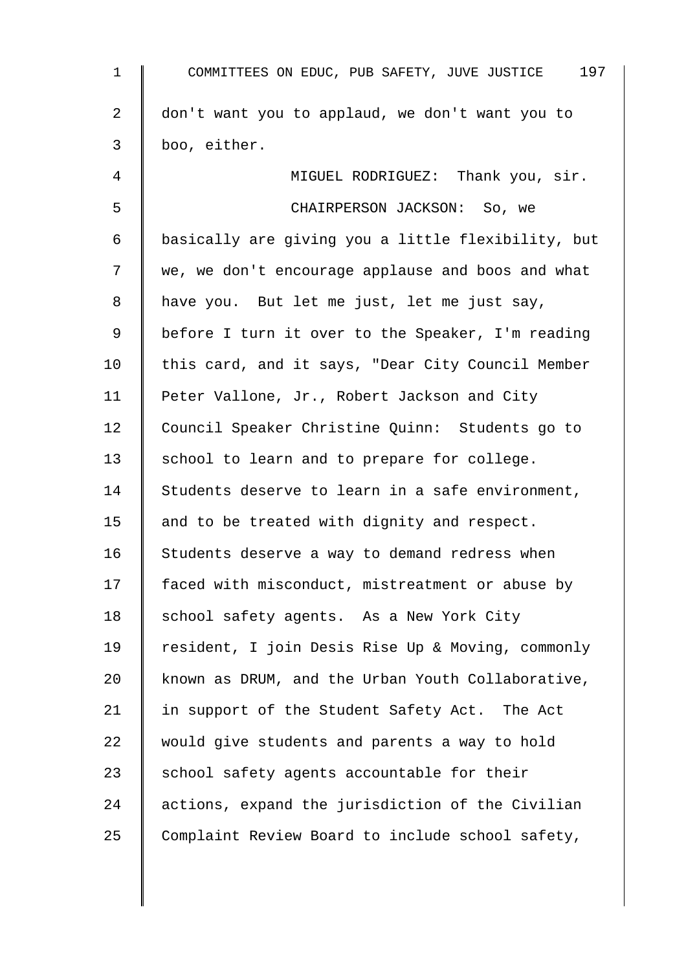| $\mathbf 1$    | 197<br>COMMITTEES ON EDUC, PUB SAFETY, JUVE JUSTICE |
|----------------|-----------------------------------------------------|
| $\overline{2}$ | don't want you to applaud, we don't want you to     |
| 3              | boo, either.                                        |
| 4              | MIGUEL RODRIGUEZ: Thank you, sir.                   |
| 5              | CHAIRPERSON JACKSON: So, we                         |
| 6              | basically are giving you a little flexibility, but  |
| 7              | we, we don't encourage applause and boos and what   |
| 8              | have you. But let me just, let me just say,         |
| 9              | before I turn it over to the Speaker, I'm reading   |
| 10             | this card, and it says, "Dear City Council Member   |
| 11             | Peter Vallone, Jr., Robert Jackson and City         |
| 12             | Council Speaker Christine Quinn: Students go to     |
| 13             | school to learn and to prepare for college.         |
| 14             | Students deserve to learn in a safe environment,    |
| 15             | and to be treated with dignity and respect.         |
| 16             | Students deserve a way to demand redress when       |
| 17             | faced with misconduct, mistreatment or abuse by     |
| 18             | school safety agents. As a New York City            |
| 19             | resident, I join Desis Rise Up & Moving, commonly   |
| 20             | known as DRUM, and the Urban Youth Collaborative,   |
| 21             | in support of the Student Safety Act. The Act       |
| 22             | would give students and parents a way to hold       |
| 23             | school safety agents accountable for their          |
| 24             | actions, expand the jurisdiction of the Civilian    |
| 25             | Complaint Review Board to include school safety,    |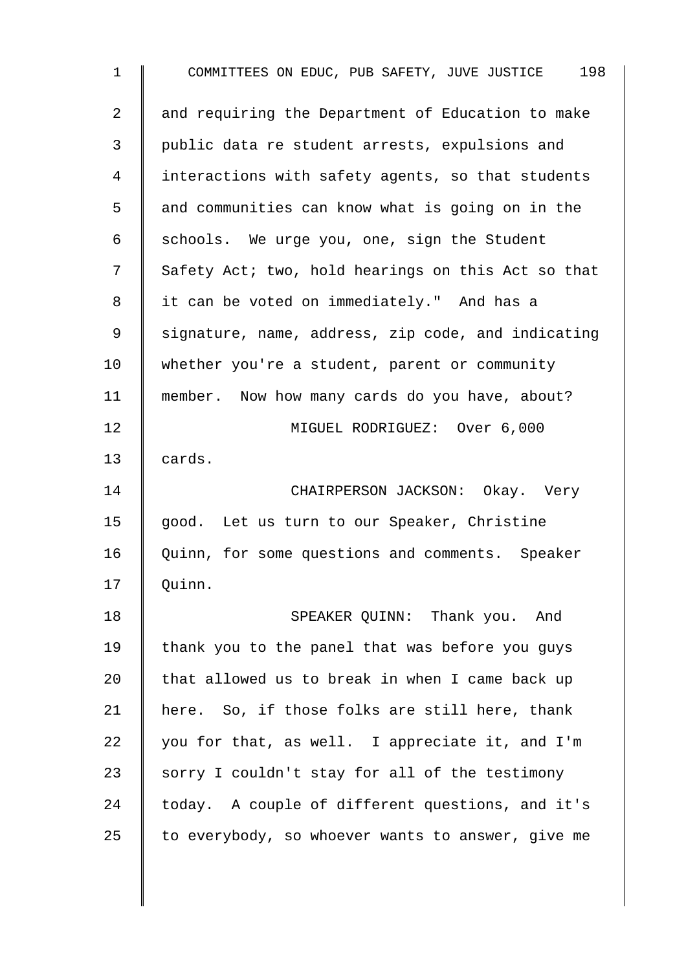| $\mathbf 1$    | 198<br>COMMITTEES ON EDUC, PUB SAFETY, JUVE JUSTICE |
|----------------|-----------------------------------------------------|
| $\overline{2}$ | and requiring the Department of Education to make   |
| 3              | public data re student arrests, expulsions and      |
| 4              | interactions with safety agents, so that students   |
| 5              | and communities can know what is going on in the    |
| 6              | schools. We urge you, one, sign the Student         |
| 7              | Safety Act; two, hold hearings on this Act so that  |
| 8              | it can be voted on immediately." And has a          |
| 9              | signature, name, address, zip code, and indicating  |
| 10             | whether you're a student, parent or community       |
| 11             | member. Now how many cards do you have, about?      |
| 12             | MIGUEL RODRIGUEZ: Over 6,000                        |
| 13             | cards.                                              |
| 14             | CHAIRPERSON JACKSON: Okay. Very                     |
| 15             | good. Let us turn to our Speaker, Christine         |
| 16             | Quinn, for some questions and comments. Speaker     |
| 17             | Quinn.                                              |
| 18             | SPEAKER QUINN: Thank you. And                       |
| 19             | thank you to the panel that was before you guys     |
| 20             | that allowed us to break in when I came back up     |
| 21             | here. So, if those folks are still here, thank      |
| 22             | you for that, as well. I appreciate it, and I'm     |
| 23             | sorry I couldn't stay for all of the testimony      |
| 24             | today. A couple of different questions, and it's    |
| 25             | to everybody, so whoever wants to answer, give me   |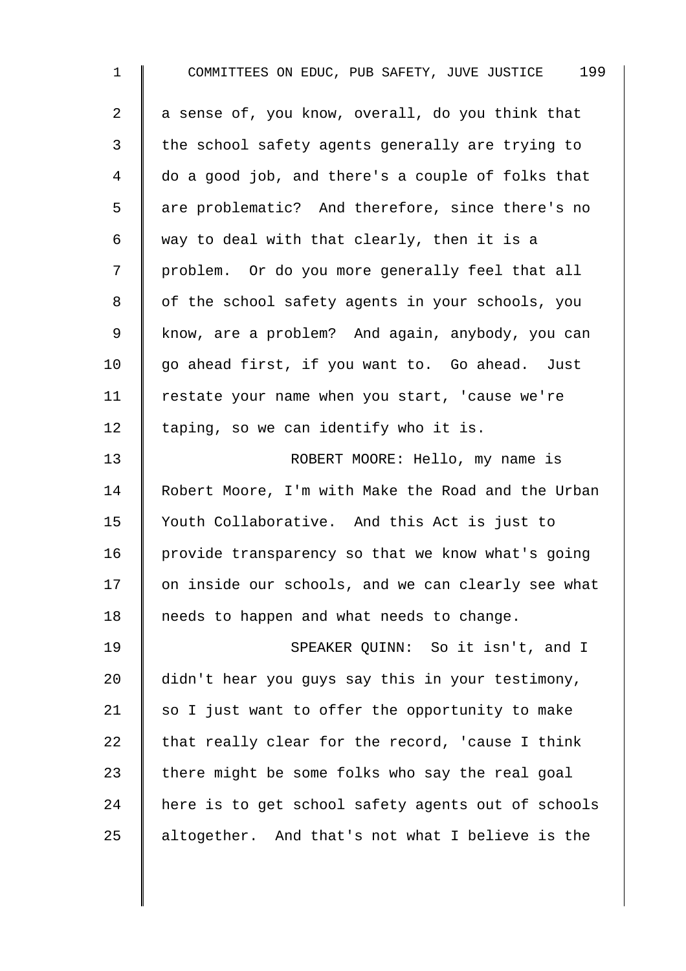| 1  | 199<br>COMMITTEES ON EDUC, PUB SAFETY, JUVE JUSTICE |
|----|-----------------------------------------------------|
| 2  | a sense of, you know, overall, do you think that    |
| 3  | the school safety agents generally are trying to    |
| 4  | do a good job, and there's a couple of folks that   |
| 5  | are problematic? And therefore, since there's no    |
| 6  | way to deal with that clearly, then it is a         |
| 7  | problem. Or do you more generally feel that all     |
| 8  | of the school safety agents in your schools, you    |
| 9  | know, are a problem? And again, anybody, you can    |
| 10 | go ahead first, if you want to. Go ahead. Just      |
| 11 | restate your name when you start, 'cause we're      |
| 12 | taping, so we can identify who it is.               |
| 13 | ROBERT MOORE: Hello, my name is                     |
| 14 | Robert Moore, I'm with Make the Road and the Urban  |
| 15 | Youth Collaborative. And this Act is just to        |
| 16 | provide transparency so that we know what's going   |
| 17 | on inside our schools, and we can clearly see what  |
| 18 | needs to happen and what needs to change.           |
| 19 | SPEAKER QUINN: So it isn't, and I                   |
| 20 | didn't hear you guys say this in your testimony,    |
| 21 | so I just want to offer the opportunity to make     |
| 22 | that really clear for the record, 'cause I think    |
| 23 | there might be some folks who say the real goal     |
| 24 | here is to get school safety agents out of schools  |
| 25 | altogether. And that's not what I believe is the    |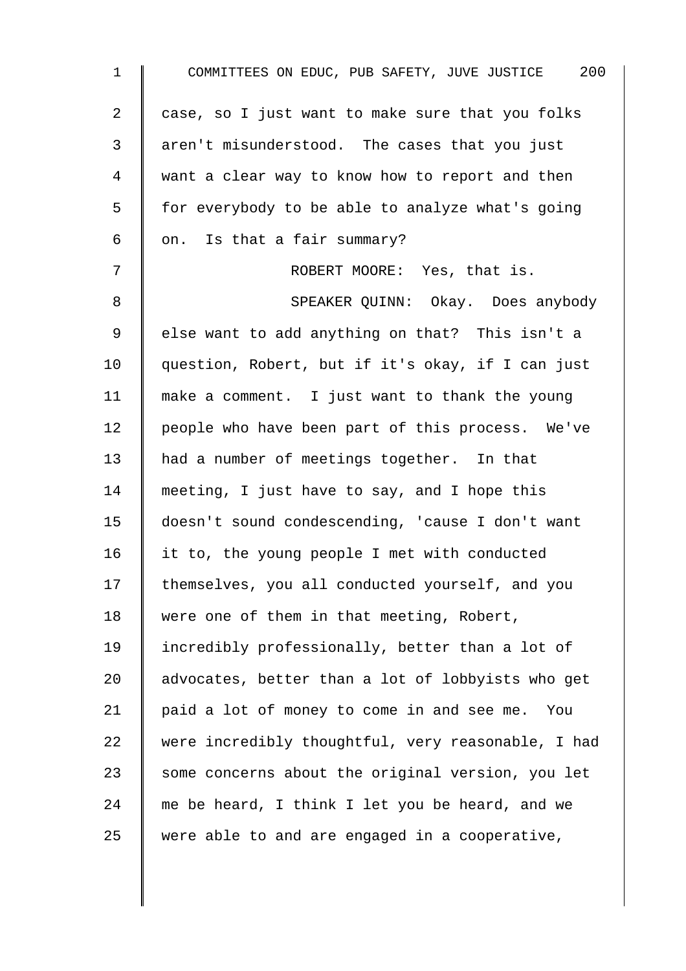| $\mathbf 1$ | COMMITTEES ON EDUC, PUB SAFETY, JUVE JUSTICE 200   |
|-------------|----------------------------------------------------|
| 2           | case, so I just want to make sure that you folks   |
| 3           | aren't misunderstood. The cases that you just      |
| 4           | want a clear way to know how to report and then    |
| 5           | for everybody to be able to analyze what's going   |
| 6           | on. Is that a fair summary?                        |
| 7           | ROBERT MOORE: Yes, that is.                        |
| 8           | SPEAKER QUINN: Okay. Does anybody                  |
| $\mathsf 9$ | else want to add anything on that? This isn't a    |
| 10          | question, Robert, but if it's okay, if I can just  |
| 11          | make a comment. I just want to thank the young     |
| 12          | people who have been part of this process. We've   |
| 13          | had a number of meetings together. In that         |
| 14          | meeting, I just have to say, and I hope this       |
| 15          | doesn't sound condescending, 'cause I don't want   |
| 16          | it to, the young people I met with conducted       |
| 17          | themselves, you all conducted yourself, and you    |
| 18          | were one of them in that meeting, Robert,          |
| 19          | incredibly professionally, better than a lot of    |
| 20          | advocates, better than a lot of lobbyists who get  |
| 21          | paid a lot of money to come in and see me.<br>You  |
| 22          | were incredibly thoughtful, very reasonable, I had |
| 23          | some concerns about the original version, you let  |
| 24          | me be heard, I think I let you be heard, and we    |
| 25          | were able to and are engaged in a cooperative,     |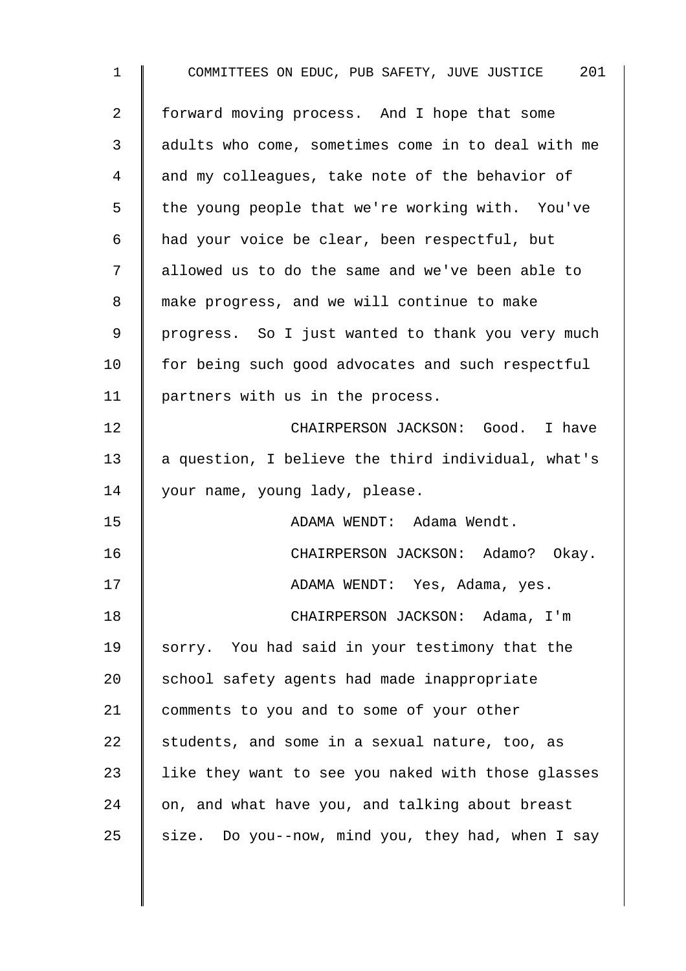| $\mathbf{1}$ | COMMITTEES ON EDUC, PUB SAFETY, JUVE JUSTICE 201   |
|--------------|----------------------------------------------------|
| 2            | forward moving process. And I hope that some       |
| 3            | adults who come, sometimes come in to deal with me |
| 4            | and my colleagues, take note of the behavior of    |
| 5            | the young people that we're working with. You've   |
| $\epsilon$   | had your voice be clear, been respectful, but      |
| 7            | allowed us to do the same and we've been able to   |
| 8            | make progress, and we will continue to make        |
| 9            | progress. So I just wanted to thank you very much  |
| 10           | for being such good advocates and such respectful  |
| 11           | partners with us in the process.                   |
| 12           | CHAIRPERSON JACKSON: Good. I have                  |
| 13           | a question, I believe the third individual, what's |
| 14           | your name, young lady, please.                     |
| 15           | ADAMA WENDT: Adama Wendt.                          |
| 16           | CHAIRPERSON JACKSON: Adamo?<br>Okay.               |
| 17           | ADAMA WENDT: Yes, Adama, yes.                      |
| 18           | CHAIRPERSON JACKSON: Adama, I'm                    |
| 19           | sorry. You had said in your testimony that the     |
| 20           | school safety agents had made inappropriate        |
| 21           | comments to you and to some of your other          |
| 22           | students, and some in a sexual nature, too, as     |
| 23           | like they want to see you naked with those glasses |
| 24           | on, and what have you, and talking about breast    |
| 25           | size. Do you--now, mind you, they had, when I say  |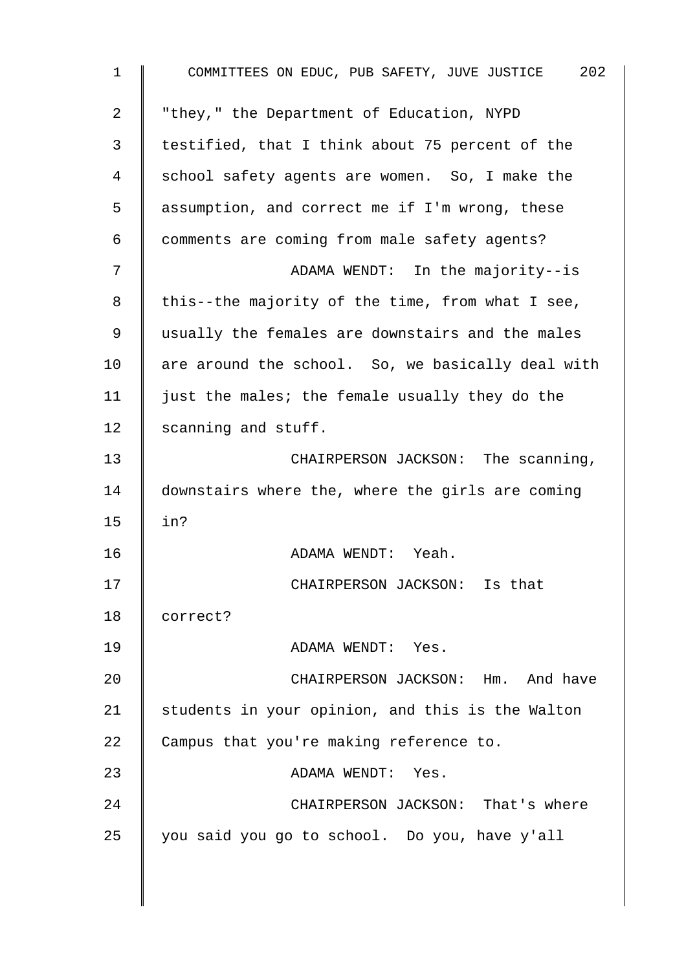| COMMITTEES ON EDUC, PUB SAFETY, JUVE JUSTICE 202  |
|---------------------------------------------------|
| "they," the Department of Education, NYPD         |
| testified, that I think about 75 percent of the   |
| school safety agents are women. So, I make the    |
| assumption, and correct me if I'm wrong, these    |
| comments are coming from male safety agents?      |
| ADAMA WENDT: In the majority--is                  |
| this--the majority of the time, from what I see,  |
| usually the females are downstairs and the males  |
| are around the school. So, we basically deal with |
| just the males; the female usually they do the    |
| scanning and stuff.                               |
| CHAIRPERSON JACKSON: The scanning,                |
| downstairs where the, where the girls are coming  |
| in?                                               |
| ADAMA WENDT: Yeah.                                |
| CHAIRPERSON JACKSON: Is that                      |
| correct?                                          |
| ADAMA WENDT: Yes.                                 |
| CHAIRPERSON JACKSON: Hm. And have                 |
| students in your opinion, and this is the Walton  |
| Campus that you're making reference to.           |
| ADAMA WENDT: Yes.                                 |
| CHAIRPERSON JACKSON: That's where                 |
| you said you go to school. Do you, have y'all     |
|                                                   |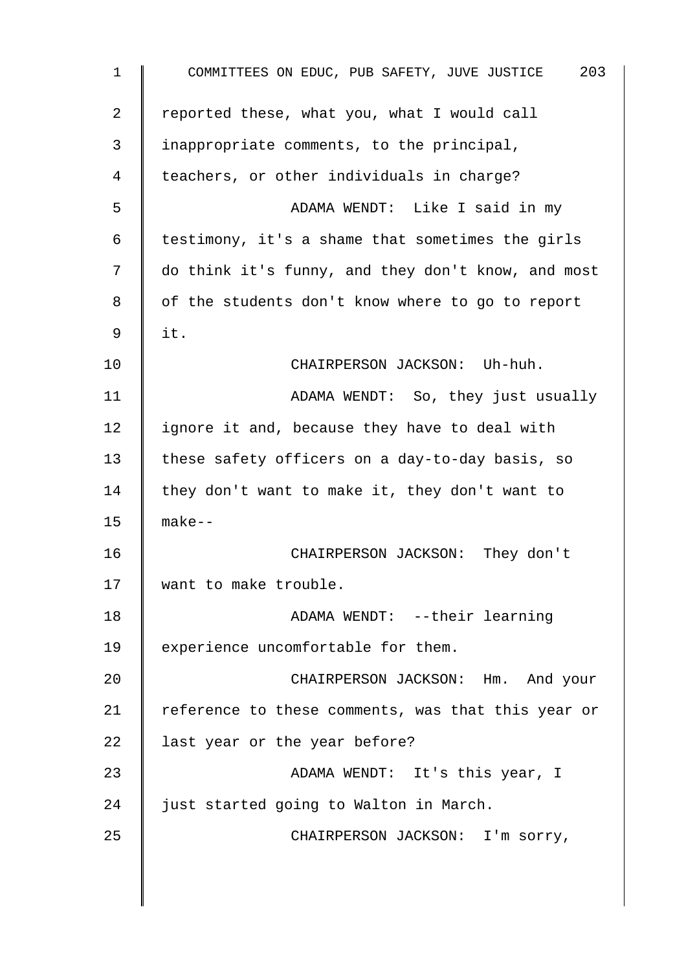| $\mathbf{1}$ | COMMITTEES ON EDUC, PUB SAFETY, JUVE JUSTICE<br>203 |
|--------------|-----------------------------------------------------|
| 2            | reported these, what you, what I would call         |
| 3            | inappropriate comments, to the principal,           |
| 4            | teachers, or other individuals in charge?           |
| 5            | ADAMA WENDT: Like I said in my                      |
| 6            | testimony, it's a shame that sometimes the girls    |
| 7            | do think it's funny, and they don't know, and most  |
| 8            | of the students don't know where to go to report    |
| 9            | it.                                                 |
| $10 \,$      | CHAIRPERSON JACKSON: Uh-huh.                        |
| 11           | ADAMA WENDT: So, they just usually                  |
| 12           | ignore it and, because they have to deal with       |
| 13           | these safety officers on a day-to-day basis, so     |
| 14           | they don't want to make it, they don't want to      |
| 15           | $make--$                                            |
| 16           | CHAIRPERSON JACKSON: They don't                     |
| 17           | want to make trouble.                               |
| 18           | ADAMA WENDT: --their learning                       |
| 19           | experience uncomfortable for them.                  |
| 20           | CHAIRPERSON JACKSON: Hm. And your                   |
| 21           | reference to these comments, was that this year or  |
| 22           | last year or the year before?                       |
| 23           | ADAMA WENDT: It's this year, I                      |
| 24           | just started going to Walton in March.              |
| 25           | CHAIRPERSON JACKSON: I'm sorry,                     |
|              |                                                     |
|              |                                                     |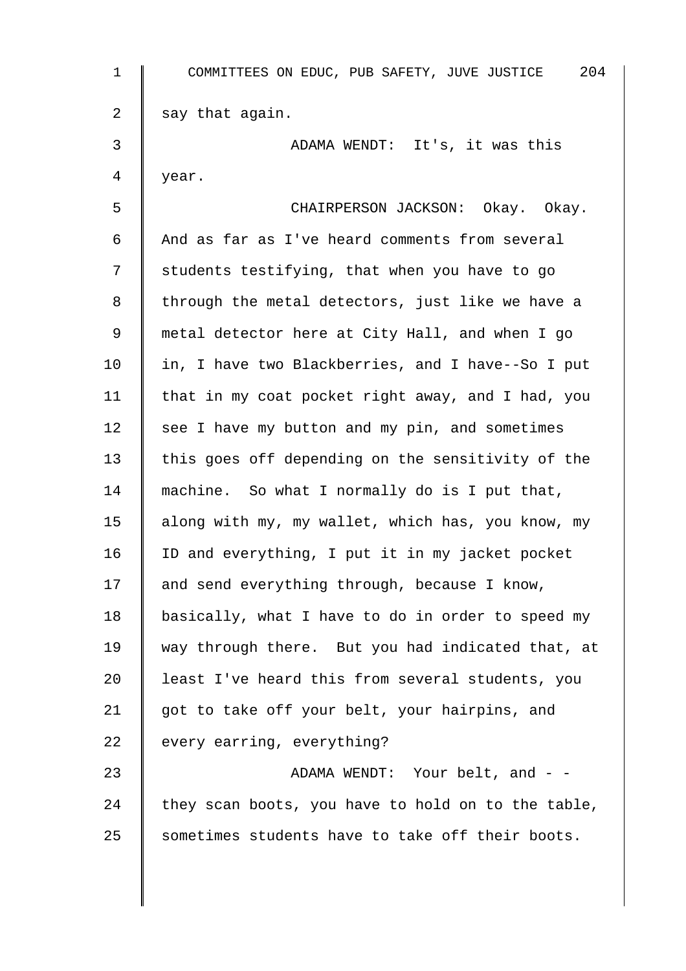| $\mathbf{1}$ | 204<br>COMMITTEES ON EDUC, PUB SAFETY, JUVE JUSTICE |
|--------------|-----------------------------------------------------|
| 2            | say that again.                                     |
| 3            | ADAMA WENDT: It's, it was this                      |
| 4            | year.                                               |
| 5            | CHAIRPERSON JACKSON: Okay. Okay.                    |
| 6            | And as far as I've heard comments from several      |
| 7            | students testifying, that when you have to go       |
| 8            | through the metal detectors, just like we have a    |
| 9            | metal detector here at City Hall, and when I go     |
| 10           | in, I have two Blackberries, and I have--So I put   |
| 11           | that in my coat pocket right away, and I had, you   |
| 12           | see I have my button and my pin, and sometimes      |
| 13           | this goes off depending on the sensitivity of the   |
| 14           | machine. So what I normally do is I put that,       |
| 15           | along with my, my wallet, which has, you know, my   |
| 16           | ID and everything, I put it in my jacket pocket     |
| 17           | and send everything through, because I know,        |
| 18           | basically, what I have to do in order to speed my   |
| 19           | way through there. But you had indicated that, at   |
| 20           | least I've heard this from several students, you    |
| 21           | got to take off your belt, your hairpins, and       |
| 22           | every earring, everything?                          |
| 23           | ADAMA WENDT: Your belt, and - -                     |
| 24           | they scan boots, you have to hold on to the table,  |
| 25           | sometimes students have to take off their boots.    |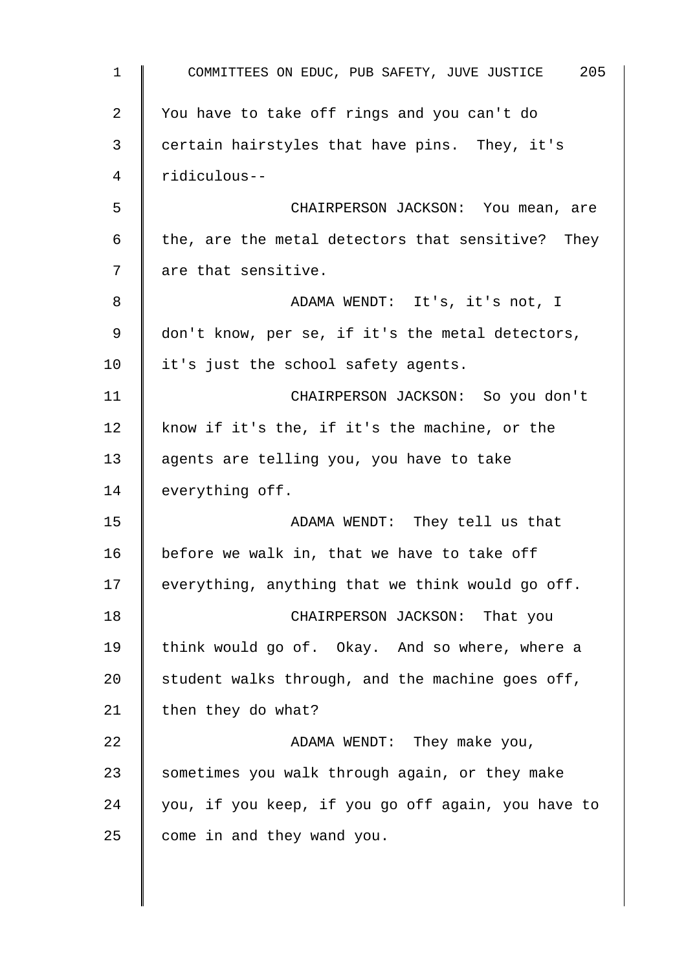| $\mathbf{1}$   | 205<br>COMMITTEES ON EDUC, PUB SAFETY, JUVE JUSTICE |
|----------------|-----------------------------------------------------|
| $\overline{2}$ | You have to take off rings and you can't do         |
| 3              | certain hairstyles that have pins. They, it's       |
| 4              | ridiculous--                                        |
| 5              | CHAIRPERSON JACKSON: You mean, are                  |
| 6              | the, are the metal detectors that sensitive? They   |
| 7              | are that sensitive.                                 |
| 8              | ADAMA WENDT: It's, it's not, I                      |
| 9              | don't know, per se, if it's the metal detectors,    |
| 10             | it's just the school safety agents.                 |
| 11             | CHAIRPERSON JACKSON: So you don't                   |
| 12             | know if it's the, if it's the machine, or the       |
| 13             | agents are telling you, you have to take            |
| 14             | everything off.                                     |
| 15             | ADAMA WENDT: They tell us that                      |
| 16             | before we walk in, that we have to take off         |
| 17             | everything, anything that we think would go off.    |
| 18             | CHAIRPERSON JACKSON: That you                       |
| 19             | think would go of. Okay. And so where, where a      |
| 20             | student walks through, and the machine goes off,    |
| 21             | then they do what?                                  |
| 22             | ADAMA WENDT: They make you,                         |
| 23             | sometimes you walk through again, or they make      |
| 24             | you, if you keep, if you go off again, you have to  |
| 25             | come in and they wand you.                          |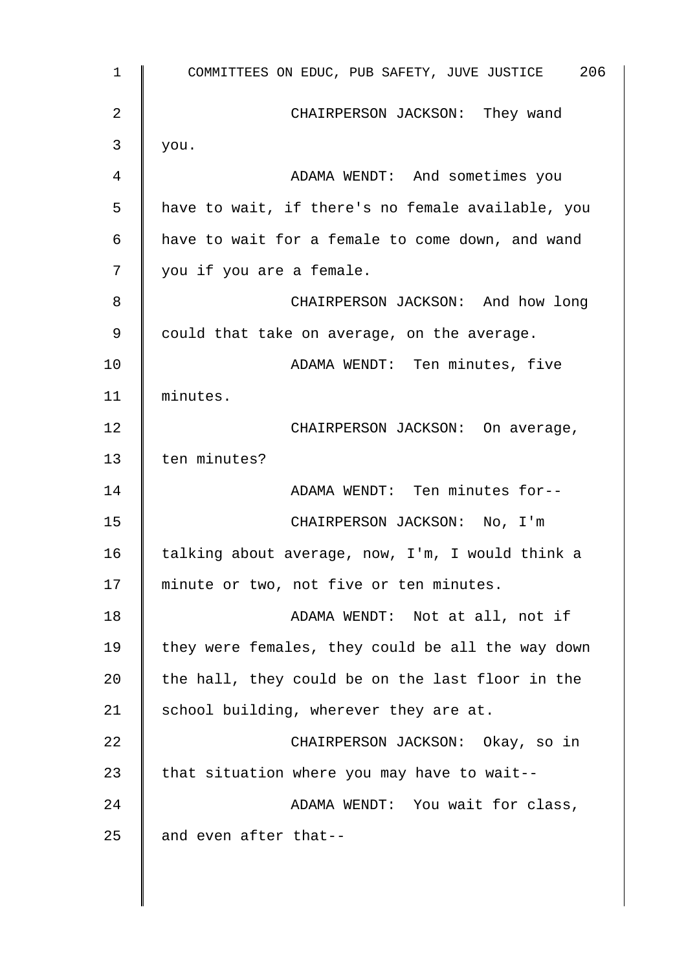1 COMMITTEES ON EDUC, PUB SAFETY, JUVE JUSTICE 206 2 CHAIRPERSON JACKSON: They wand  $3 \parallel$  you. 4 ADAMA WENDT: And sometimes you 5 | have to wait, if there's no female available, you 6 have to wait for a female to come down, and wand 7 | you if you are a female. 8 **B** CHAIRPERSON JACKSON: And how long 9 could that take on average, on the average. 10 | ADAMA WENDT: Ten minutes, five 11 minutes. 12 | CHAIRPERSON JACKSON: On average, 13 | ten minutes? 14 || ADAMA WENDT: Ten minutes for--15 CHAIRPERSON JACKSON: No, I'm 16  $\parallel$  talking about average, now, I'm, I would think a 17 || minute or two, not five or ten minutes. 18 **ADAMA WENDT:** Not at all, not if 19  $\parallel$  they were females, they could be all the way down 20  $\parallel$  the hall, they could be on the last floor in the 21 | school building, wherever they are at. 22 | CHAIRPERSON JACKSON: Okay, so in 23  $\parallel$  that situation where you may have to wait--24 M ADAMA WENDT: You wait for class, 25  $\parallel$  and even after that--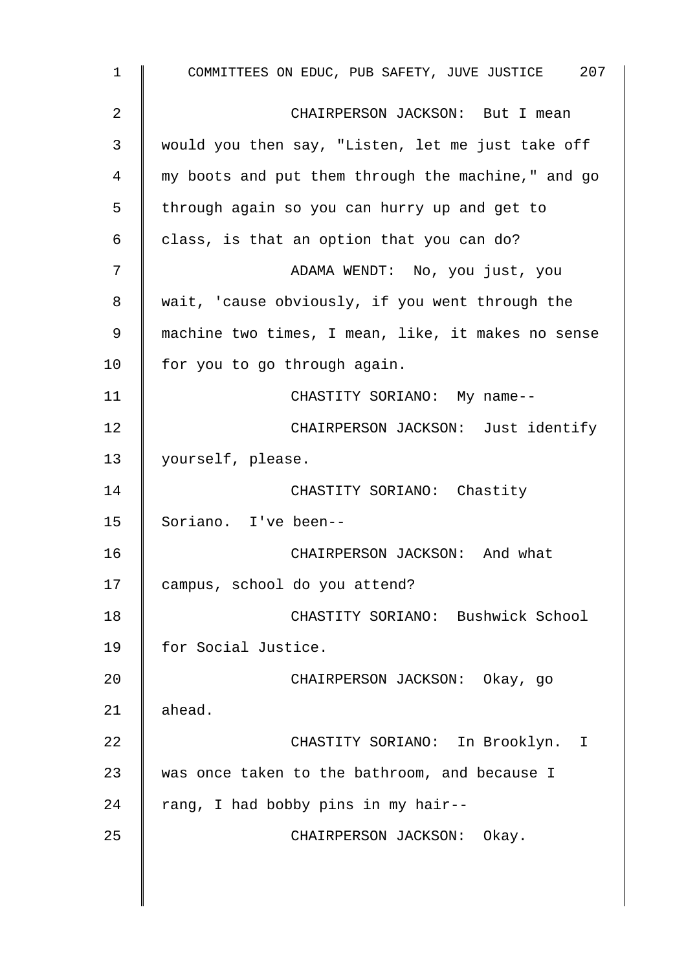1 COMMITTEES ON EDUC, PUB SAFETY, JUVE JUSTICE 207 2 **CHAIRPERSON JACKSON:** But I mean 3 would you then say, "Listen, let me just take off 4 my boots and put them through the machine," and go 5 | through again so you can hurry up and get to 6 class, is that an option that you can do? 7 || ADAMA WENDT: No, you just, you 8 wait, 'cause obviously, if you went through the 9 machine two times, I mean, like, it makes no sense 10 | for you to go through again. 11 | CHASTITY SORIANO: My name--12 **CHAIRPERSON JACKSON:** Just identify 13 | yourself, please. 14 | CHASTITY SORIANO: Chastity 15 Soriano. I've been-- 16 CHAIRPERSON JACKSON: And what 17 campus, school do you attend? 18 | CHASTITY SORIANO: Bushwick School 19 | for Social Justice. 20 CHAIRPERSON JACKSON: Okay, go  $21$  ahead. 22 | CHASTITY SORIANO: In Brooklyn. I 23 was once taken to the bathroom, and because I 24  $\parallel$  rang, I had bobby pins in my hair--25 | CHAIRPERSON JACKSON: Okay.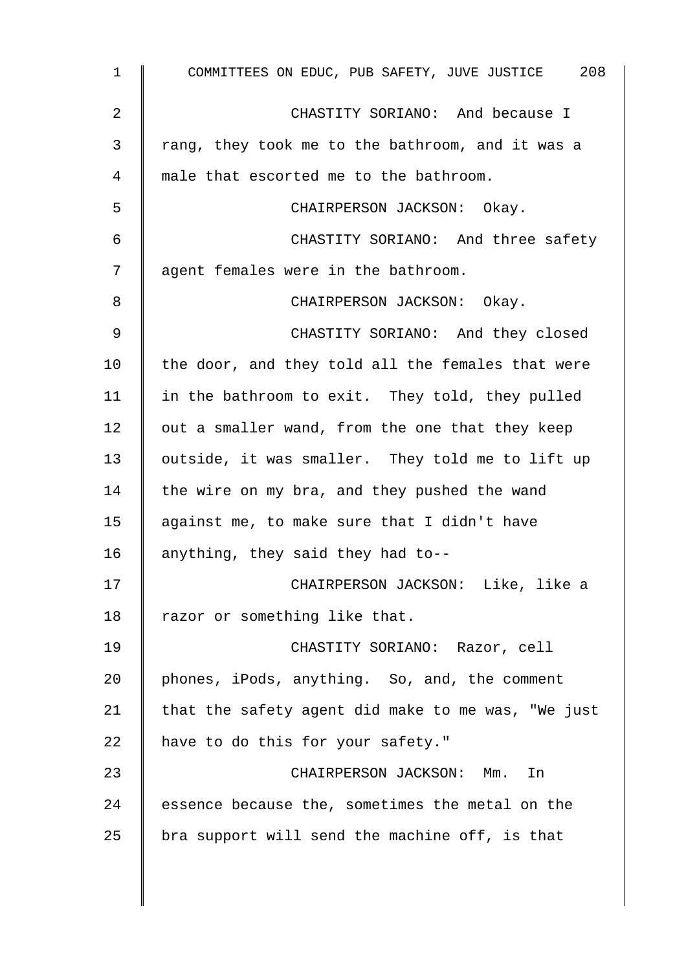| $\mathbf{1}$ | COMMITTEES ON EDUC, PUB SAFETY, JUVE JUSTICE 208   |
|--------------|----------------------------------------------------|
| 2            | CHASTITY SORIANO: And because I                    |
| 3            | rang, they took me to the bathroom, and it was a   |
| 4            | male that escorted me to the bathroom.             |
| 5            | CHAIRPERSON JACKSON: Okay.                         |
| 6            | CHASTITY SORIANO: And three safety                 |
| 7            | agent females were in the bathroom.                |
| 8            | CHAIRPERSON JACKSON: Okay.                         |
| 9            | CHASTITY SORIANO: And they closed                  |
| 10           | the door, and they told all the females that were  |
| 11           | in the bathroom to exit. They told, they pulled    |
| 12           | out a smaller wand, from the one that they keep    |
| 13           | outside, it was smaller. They told me to lift up   |
| 14           | the wire on my bra, and they pushed the wand       |
| 15           | against me, to make sure that I didn't have        |
| 16           | anything, they said they had to--                  |
| 17           | CHAIRPERSON JACKSON: Like, like a                  |
| 18           | razor or something like that.                      |
| 19           | CHASTITY SORIANO: Razor, cell                      |
| 20           | phones, iPods, anything. So, and, the comment      |
| 21           | that the safety agent did make to me was, "We just |
| 22           | have to do this for your safety."                  |
| 23           | CHAIRPERSON JACKSON: Mm.<br>In                     |
| 24           | essence because the, sometimes the metal on the    |
| 25           | bra support will send the machine off, is that     |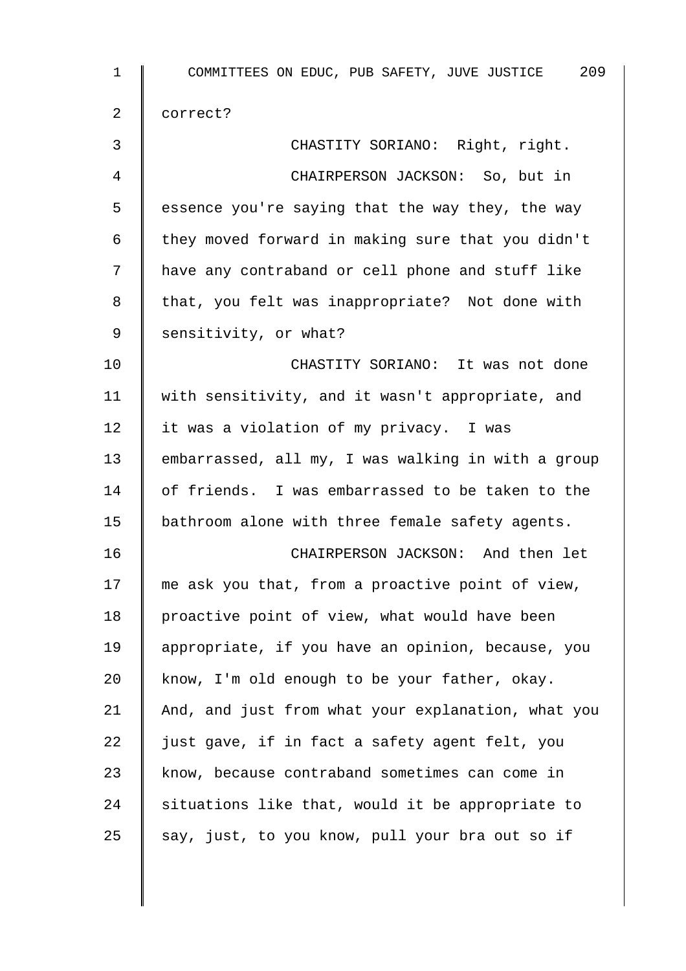| $\mathbf 1$ | COMMITTEES ON EDUC, PUB SAFETY, JUVE JUSTICE 209   |
|-------------|----------------------------------------------------|
| 2           | correct?                                           |
| 3           | CHASTITY SORIANO: Right, right.                    |
| 4           | CHAIRPERSON JACKSON: So, but in                    |
| 5           | essence you're saying that the way they, the way   |
| 6           | they moved forward in making sure that you didn't  |
| 7           | have any contraband or cell phone and stuff like   |
| 8           | that, you felt was inappropriate? Not done with    |
| 9           | sensitivity, or what?                              |
| 10          | CHASTITY SORIANO: It was not done                  |
| 11          | with sensitivity, and it wasn't appropriate, and   |
| 12          | it was a violation of my privacy. I was            |
| 13          | embarrassed, all my, I was walking in with a group |
| 14          | of friends. I was embarrassed to be taken to the   |
| 15          | bathroom alone with three female safety agents.    |
| 16          | CHAIRPERSON JACKSON: And then let                  |
| 17          | me ask you that, from a proactive point of view,   |
| 18          | proactive point of view, what would have been      |
| 19          | appropriate, if you have an opinion, because, you  |
| 20          | know, I'm old enough to be your father, okay.      |
| 21          | And, and just from what your explanation, what you |
| 22          | just gave, if in fact a safety agent felt, you     |
| 23          | know, because contraband sometimes can come in     |
| 24          | situations like that, would it be appropriate to   |
| 25          | say, just, to you know, pull your bra out so if    |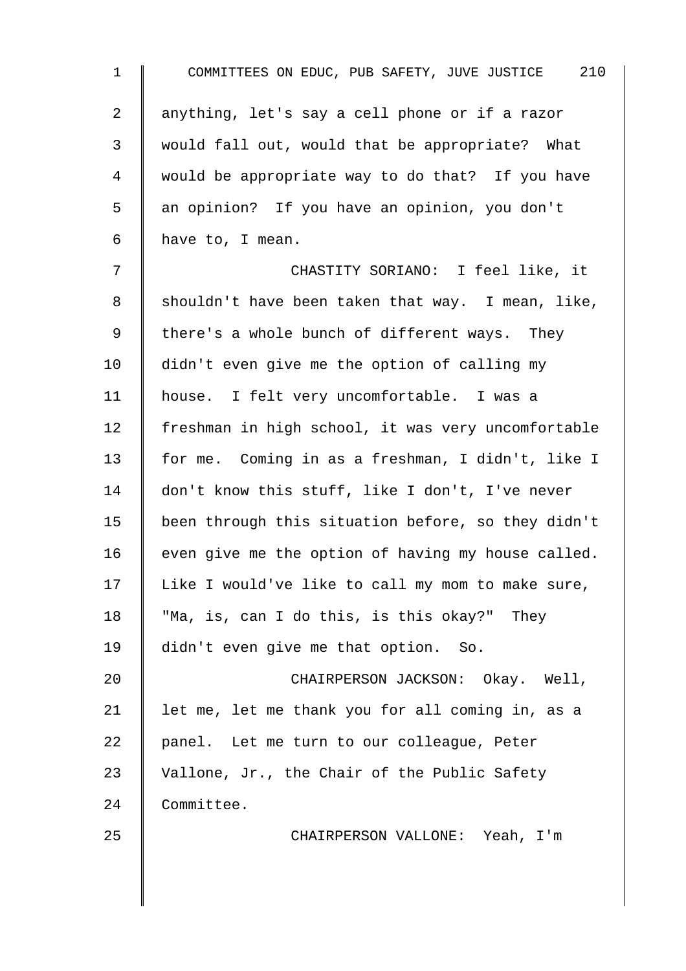| $\mathbf{1}$ | COMMITTEES ON EDUC, PUB SAFETY, JUVE JUSTICE 210   |
|--------------|----------------------------------------------------|
| 2            | anything, let's say a cell phone or if a razor     |
| 3            | would fall out, would that be appropriate? What    |
| 4            | would be appropriate way to do that? If you have   |
| 5            | an opinion? If you have an opinion, you don't      |
| 6            | have to, I mean.                                   |
| 7            | CHASTITY SORIANO: I feel like, it                  |
| 8            | shouldn't have been taken that way. I mean, like,  |
| 9            | there's a whole bunch of different ways. They      |
| 10           | didn't even give me the option of calling my       |
| 11           | house. I felt very uncomfortable. I was a          |
| 12           | freshman in high school, it was very uncomfortable |
| 13           | for me. Coming in as a freshman, I didn't, like I  |
| 14           | don't know this stuff, like I don't, I've never    |
| 15           | been through this situation before, so they didn't |
| 16           | even give me the option of having my house called. |
| 17           | Like I would've like to call my mom to make sure,  |
| 18           | "Ma, is, can I do this, is this okay?" They        |
| 19           | didn't even give me that option. So.               |
| 20           | CHAIRPERSON JACKSON: Okay. Well,                   |
| 21           | let me, let me thank you for all coming in, as a   |
| 22           | panel. Let me turn to our colleague, Peter         |
| 23           | Vallone, Jr., the Chair of the Public Safety       |
| 24           | Committee.                                         |
| 25           | CHAIRPERSON VALLONE: Yeah, I'm                     |
|              |                                                    |
|              |                                                    |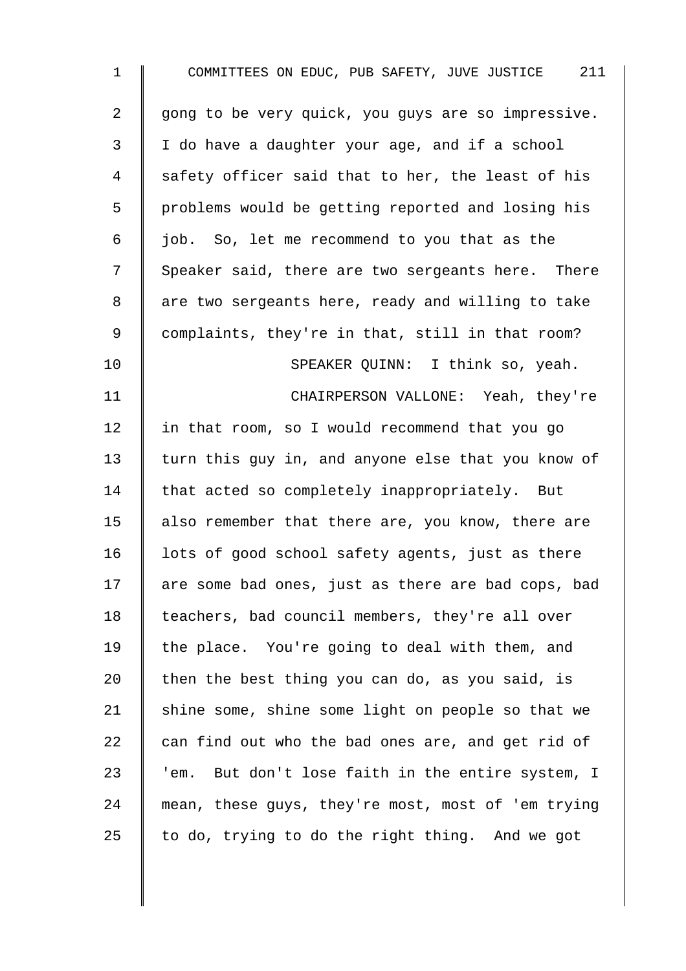| $\mathbf 1$    | COMMITTEES ON EDUC, PUB SAFETY, JUVE JUSTICE 211     |
|----------------|------------------------------------------------------|
| $\overline{2}$ | gong to be very quick, you guys are so impressive.   |
| 3              | I do have a daughter your age, and if a school       |
| 4              | safety officer said that to her, the least of his    |
| 5              | problems would be getting reported and losing his    |
| 6              | job. So, let me recommend to you that as the         |
| 7              | Speaker said, there are two sergeants here. There    |
| 8              | are two sergeants here, ready and willing to take    |
| 9              | complaints, they're in that, still in that room?     |
| 10             | SPEAKER QUINN: I think so, yeah.                     |
| 11             | CHAIRPERSON VALLONE: Yeah, they're                   |
| 12             | in that room, so I would recommend that you go       |
| 13             | turn this guy in, and anyone else that you know of   |
| 14             | that acted so completely inappropriately. But        |
| 15             | also remember that there are, you know, there are    |
| 16             | lots of good school safety agents, just as there     |
| 17             | are some bad ones, just as there are bad cops, bad   |
| 18             | teachers, bad council members, they're all over      |
| 19             | the place. You're going to deal with them, and       |
| 20             | then the best thing you can do, as you said, is      |
| 21             | shine some, shine some light on people so that we    |
| 22             | can find out who the bad ones are, and get rid of    |
| 23             | But don't lose faith in the entire system, I<br>'em. |
| 24             | mean, these guys, they're most, most of 'em trying   |
| 25             | to do, trying to do the right thing. And we got      |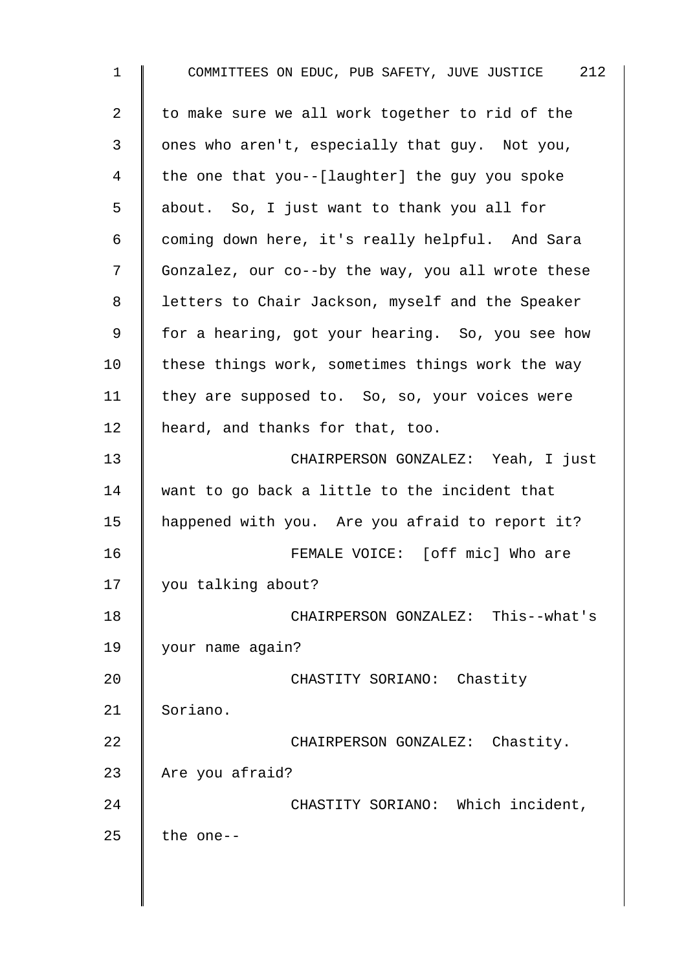| $\mathbf 1$ | COMMITTEES ON EDUC, PUB SAFETY, JUVE JUSTICE 212  |
|-------------|---------------------------------------------------|
| 2           | to make sure we all work together to rid of the   |
| 3           | ones who aren't, especially that guy. Not you,    |
| 4           | the one that you--[laughter] the guy you spoke    |
| 5           | about. So, I just want to thank you all for       |
| 6           | coming down here, it's really helpful. And Sara   |
| 7           | Gonzalez, our co--by the way, you all wrote these |
| 8           | letters to Chair Jackson, myself and the Speaker  |
| 9           | for a hearing, got your hearing. So, you see how  |
| 10          | these things work, sometimes things work the way  |
| 11          | they are supposed to. So, so, your voices were    |
| 12          | heard, and thanks for that, too.                  |
| 13          | CHAIRPERSON GONZALEZ: Yeah, I just                |
| 14          | want to go back a little to the incident that     |
| 15          | happened with you. Are you afraid to report it?   |
| 16          | FEMALE VOICE: [off mic] Who are                   |
| 17          | you talking about?                                |
| 18          | CHAIRPERSON GONZALEZ: This--what's                |
| 19          | your name again?                                  |
| 20          | CHASTITY SORIANO: Chastity                        |
| 21          | Soriano.                                          |
| 22          | CHAIRPERSON GONZALEZ: Chastity.                   |
| 23          | Are you afraid?                                   |
| 24          | CHASTITY SORIANO: Which incident,                 |
| 25          | the one--                                         |
|             |                                                   |
|             |                                                   |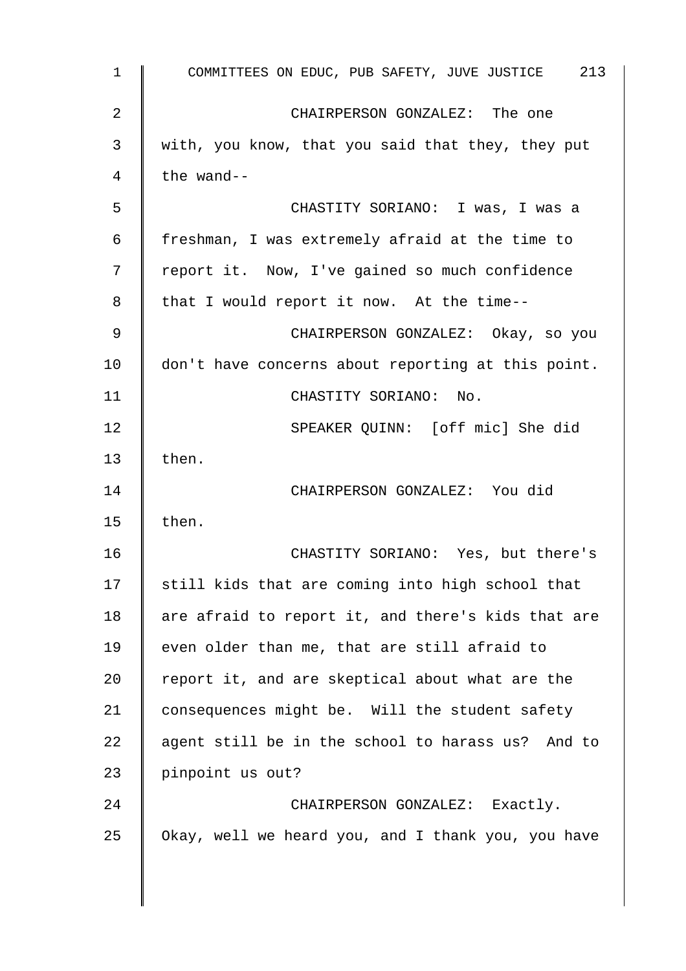| COMMITTEES ON EDUC, PUB SAFETY, JUVE JUSTICE 213   |
|----------------------------------------------------|
| CHAIRPERSON GONZALEZ: The one                      |
| with, you know, that you said that they, they put  |
| the wand--                                         |
| CHASTITY SORIANO: I was, I was a                   |
| freshman, I was extremely afraid at the time to    |
| report it. Now, I've gained so much confidence     |
| that I would report it now. At the time--          |
| CHAIRPERSON GONZALEZ: Okay, so you                 |
| don't have concerns about reporting at this point. |
| CHASTITY SORIANO: No.                              |
| SPEAKER QUINN: [off mic] She did                   |
| then.                                              |
| CHAIRPERSON GONZALEZ: You did                      |
| then.                                              |
| CHASTITY SORIANO: Yes, but there's                 |
| still kids that are coming into high school that   |
| are afraid to report it, and there's kids that are |
| even older than me, that are still afraid to       |
| report it, and are skeptical about what are the    |
| consequences might be. Will the student safety     |
| agent still be in the school to harass us? And to  |
| pinpoint us out?                                   |
| CHAIRPERSON GONZALEZ: Exactly.                     |
| Okay, well we heard you, and I thank you, you have |
|                                                    |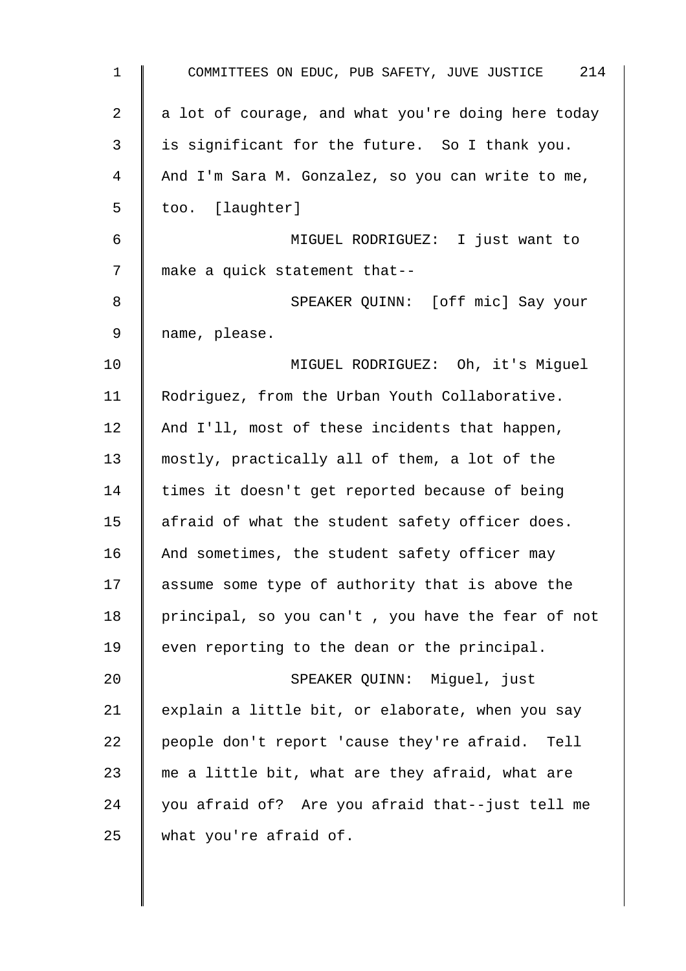| 1  | COMMITTEES ON EDUC, PUB SAFETY, JUVE JUSTICE 214   |
|----|----------------------------------------------------|
| 2  | a lot of courage, and what you're doing here today |
| 3  | is significant for the future. So I thank you.     |
| 4  | And I'm Sara M. Gonzalez, so you can write to me,  |
| 5  | too. [laughter]                                    |
| 6  | MIGUEL RODRIGUEZ: I just want to                   |
| 7  | make a quick statement that--                      |
| 8  | SPEAKER QUINN: [off mic] Say your                  |
| 9  | name, please.                                      |
| 10 | MIGUEL RODRIGUEZ: Oh, it's Miguel                  |
| 11 | Rodriguez, from the Urban Youth Collaborative.     |
| 12 | And I'll, most of these incidents that happen,     |
| 13 | mostly, practically all of them, a lot of the      |
| 14 | times it doesn't get reported because of being     |
| 15 | afraid of what the student safety officer does.    |
| 16 | And sometimes, the student safety officer may      |
| 17 | assume some type of authority that is above the    |
| 18 | principal, so you can't, you have the fear of not  |
| 19 | even reporting to the dean or the principal.       |
| 20 | SPEAKER QUINN: Miguel, just                        |
| 21 | explain a little bit, or elaborate, when you say   |
| 22 | people don't report 'cause they're afraid. Tell    |
| 23 | me a little bit, what are they afraid, what are    |
| 24 | you afraid of? Are you afraid that--just tell me   |
| 25 | what you're afraid of.                             |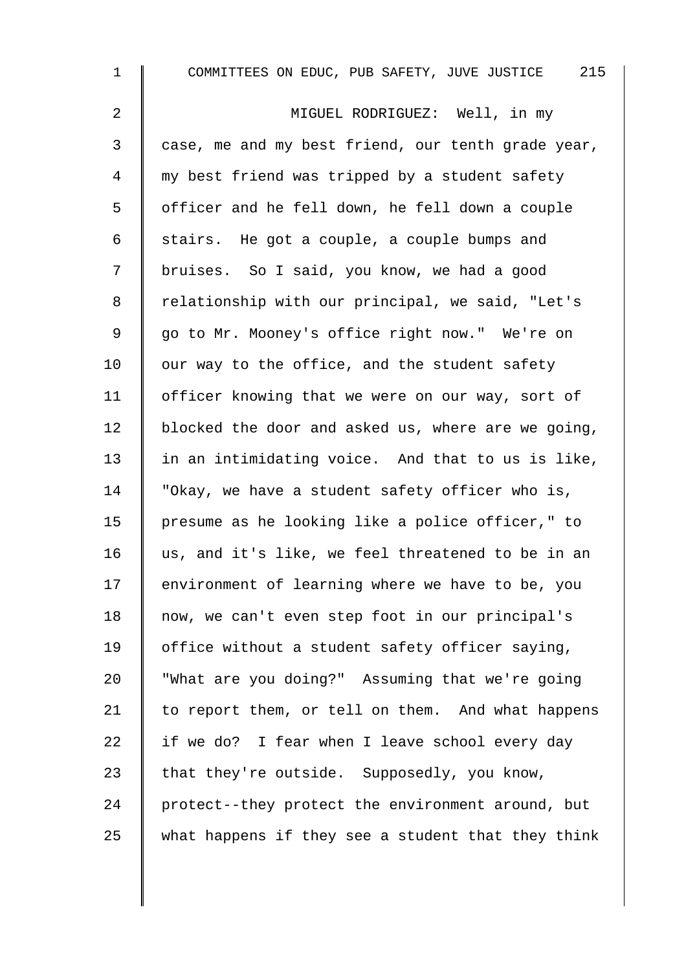1 COMMITTEES ON EDUC, PUB SAFETY, JUVE JUSTICE 215 2 MIGUEL RODRIGUEZ: Well, in my 3 case, me and my best friend, our tenth grade year, 4 || my best friend was tripped by a student safety 5 | officer and he fell down, he fell down a couple 6 | stairs. He got a couple, a couple bumps and 7 | bruises. So I said, you know, we had a good 8 | relationship with our principal, we said, "Let's 9 || go to Mr. Mooney's office right now." We're on 10  $\parallel$  our way to the office, and the student safety 11 | officer knowing that we were on our way, sort of 12 | blocked the door and asked us, where are we going, 13  $\parallel$  in an intimidating voice. And that to us is like, 14 | "Okay, we have a student safety officer who is, 15 presume as he looking like a police officer," to 16 us, and it's like, we feel threatened to be in an 17 | environment of learning where we have to be, you 18 | now, we can't even step foot in our principal's 19 | office without a student safety officer saying, 20 "What are you doing?" Assuming that we're going 21  $\parallel$  to report them, or tell on them. And what happens 22  $\parallel$  if we do? I fear when I leave school every day 23 that they're outside. Supposedly, you know, 24 protect--they protect the environment around, but 25 what happens if they see a student that they think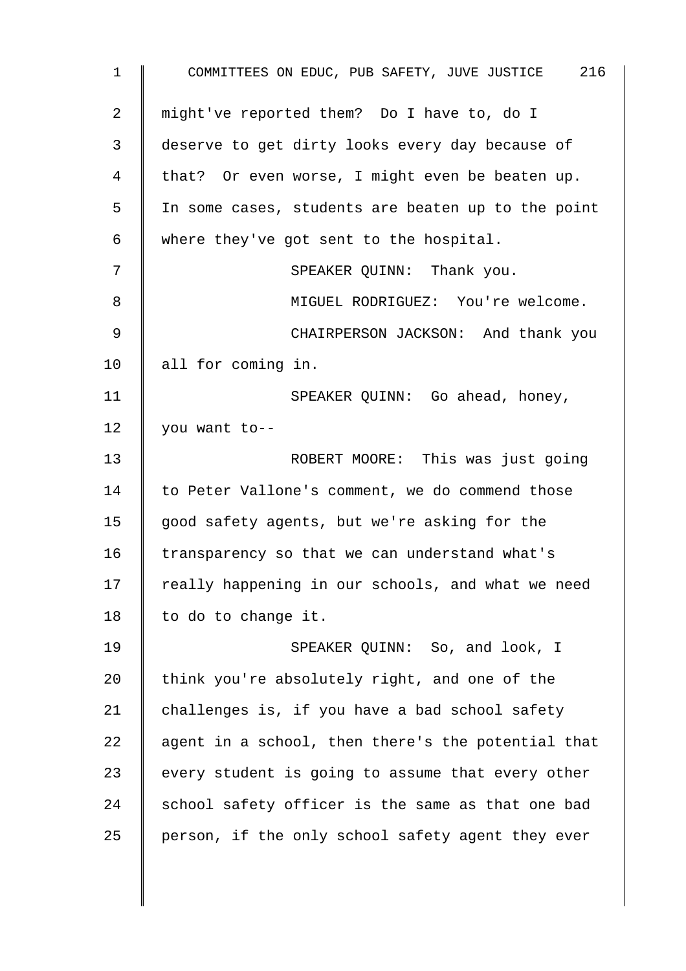| $\mathbf 1$    | COMMITTEES ON EDUC, PUB SAFETY, JUVE JUSTICE 216   |
|----------------|----------------------------------------------------|
| $\overline{2}$ | might've reported them? Do I have to, do I         |
| 3              | deserve to get dirty looks every day because of    |
| 4              | that? Or even worse, I might even be beaten up.    |
| 5              | In some cases, students are beaten up to the point |
| 6              | where they've got sent to the hospital.            |
| 7              | SPEAKER QUINN: Thank you.                          |
| 8              | MIGUEL RODRIGUEZ: You're welcome.                  |
| 9              | CHAIRPERSON JACKSON: And thank you                 |
| 10             | all for coming in.                                 |
| 11             | SPEAKER QUINN: Go ahead, honey,                    |
| 12             | you want to--                                      |
| 13             | ROBERT MOORE: This was just going                  |
| 14             | to Peter Vallone's comment, we do commend those    |
| 15             | good safety agents, but we're asking for the       |
| 16             | transparency so that we can understand what's      |
| 17             | really happening in our schools, and what we need  |
| 18             | to do to change it.                                |
| 19             | SPEAKER QUINN: So, and look, I                     |
| 20             | think you're absolutely right, and one of the      |
| 21             | challenges is, if you have a bad school safety     |
| 22             | agent in a school, then there's the potential that |
| 23             | every student is going to assume that every other  |
| 24             | school safety officer is the same as that one bad  |
| 25             | person, if the only school safety agent they ever  |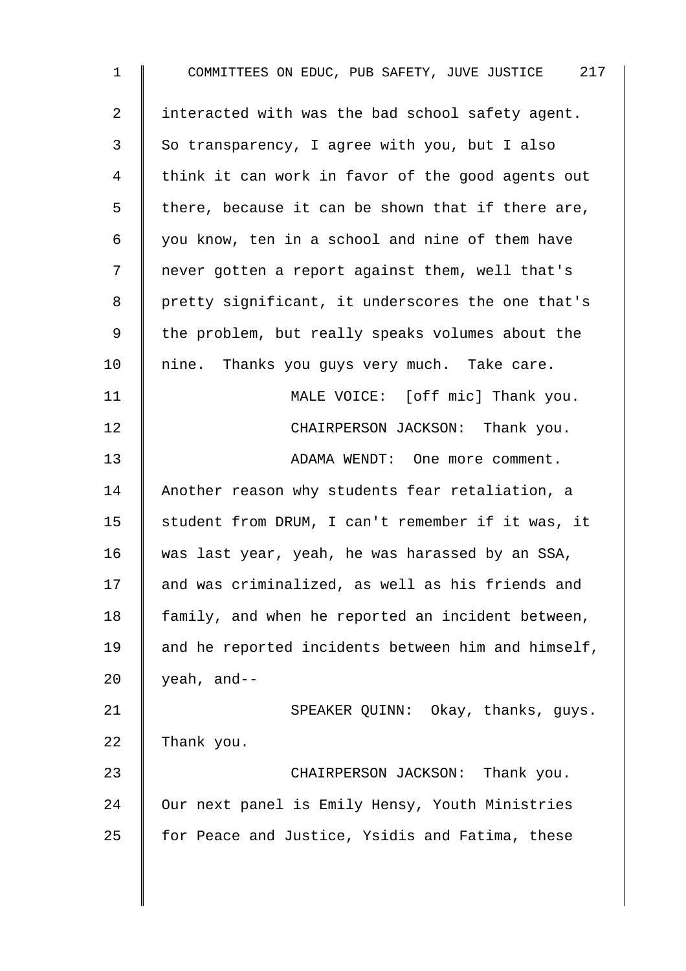| $\mathbf{1}$   | COMMITTEES ON EDUC, PUB SAFETY, JUVE JUSTICE 217   |
|----------------|----------------------------------------------------|
| $\overline{a}$ | interacted with was the bad school safety agent.   |
| 3              | So transparency, I agree with you, but I also      |
| 4              | think it can work in favor of the good agents out  |
| 5              | there, because it can be shown that if there are,  |
| 6              | you know, ten in a school and nine of them have    |
| 7              | never gotten a report against them, well that's    |
| 8              | pretty significant, it underscores the one that's  |
| 9              | the problem, but really speaks volumes about the   |
| 10             | nine. Thanks you guys very much. Take care.        |
| 11             | MALE VOICE: [off mic] Thank you.                   |
| 12             | CHAIRPERSON JACKSON: Thank you.                    |
| 13             | ADAMA WENDT: One more comment.                     |
| 14             | Another reason why students fear retaliation, a    |
| 15             | student from DRUM, I can't remember if it was, it  |
| 16             | was last year, yeah, he was harassed by an SSA,    |
| 17             | and was criminalized, as well as his friends and   |
| 18             | family, and when he reported an incident between,  |
| 19             | and he reported incidents between him and himself, |
| 20             | yeah, and--                                        |
| 21             | SPEAKER QUINN: Okay, thanks, guys.                 |
| 22             | Thank you.                                         |
| 23             | CHAIRPERSON JACKSON:<br>Thank you.                 |
| 24             | Our next panel is Emily Hensy, Youth Ministries    |
| 25             | for Peace and Justice, Ysidis and Fatima, these    |
|                |                                                    |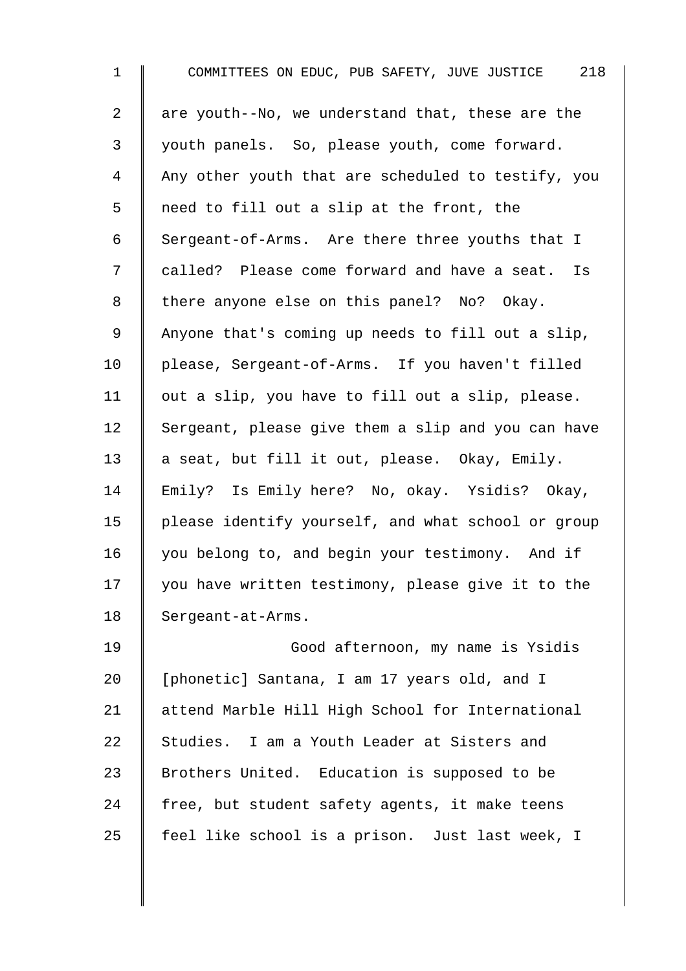1 COMMITTEES ON EDUC, PUB SAFETY, JUVE JUSTICE 218 2  $\parallel$  are youth--No, we understand that, these are the 3 youth panels. So, please youth, come forward. 4 Any other youth that are scheduled to testify, you 5 || need to fill out a slip at the front, the 6 Sergeant-of-Arms. Are there three youths that I 7 | called? Please come forward and have a seat. Is 8 | there anyone else on this panel? No? Okay. 9 Anyone that's coming up needs to fill out a slip, 10 | please, Sergeant-of-Arms. If you haven't filled 11  $\parallel$  out a slip, you have to fill out a slip, please.  $12$  Sergeant, please give them a slip and you can have 13  $\parallel$  a seat, but fill it out, please. Okay, Emily. 14 Emily? Is Emily here? No, okay. Ysidis? Okay, 15 | please identify yourself, and what school or group 16 you belong to, and begin your testimony. And if 17 | you have written testimony, please give it to the 18 | Sergeant-at-Arms. 19 | Good afternoon, my name is Ysidis 20 | [phonetic] Santana, I am 17 years old, and I 21 | attend Marble Hill High School for International 22 Studies. I am a Youth Leader at Sisters and 23 Srothers United. Education is supposed to be

25  $\parallel$  feel like school is a prison. Just last week, I

 $24$  free, but student safety agents, it make teens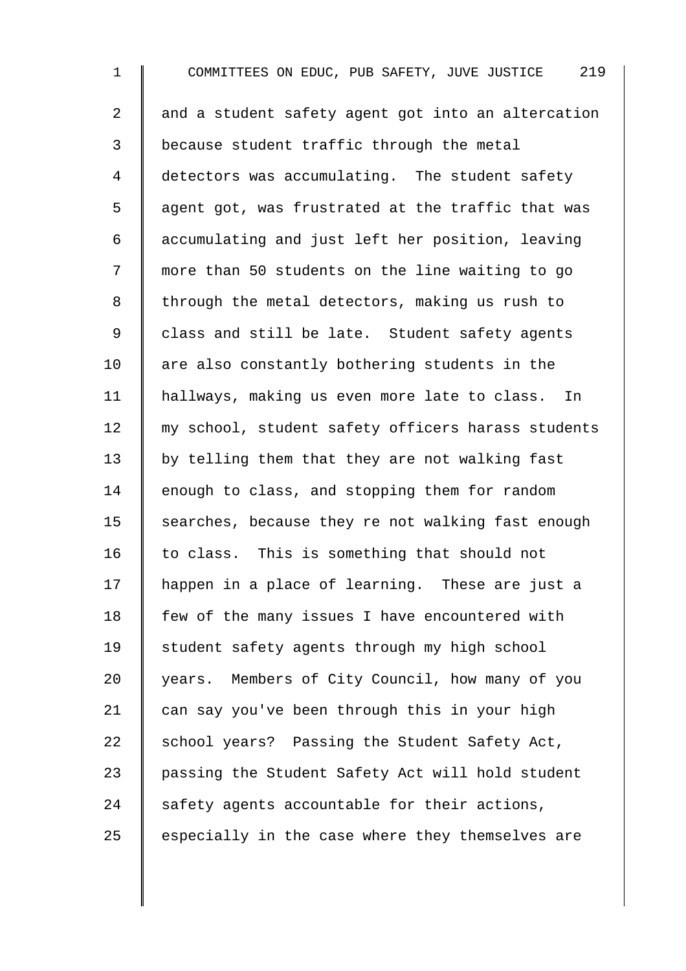1 COMMITTEES ON EDUC, PUB SAFETY, JUVE JUSTICE 219  $2 \parallel$  and a student safety agent got into an altercation 3 because student traffic through the metal 4 detectors was accumulating. The student safety  $5 \parallel$  agent got, was frustrated at the traffic that was 6 accumulating and just left her position, leaving 7 more than 50 students on the line waiting to go  $8 \parallel$  through the metal detectors, making us rush to 9 | class and still be late. Student safety agents  $10$  are also constantly bothering students in the 11 hallways, making us even more late to class. In 12 || my school, student safety officers harass students  $13$  by telling them that they are not walking fast 14 enough to class, and stopping them for random 15  $\parallel$  searches, because they re not walking fast enough  $16$  to class. This is something that should not 17 happen in a place of learning. These are just a  $18$  | few of the many issues I have encountered with 19 | student safety agents through my high school 20 years. Members of City Council, how many of you 21  $\parallel$  can say you've been through this in your high 22  $\parallel$  school years? Passing the Student Safety Act, 23 | passing the Student Safety Act will hold student 24 safety agents accountable for their actions,  $25$  especially in the case where they themselves are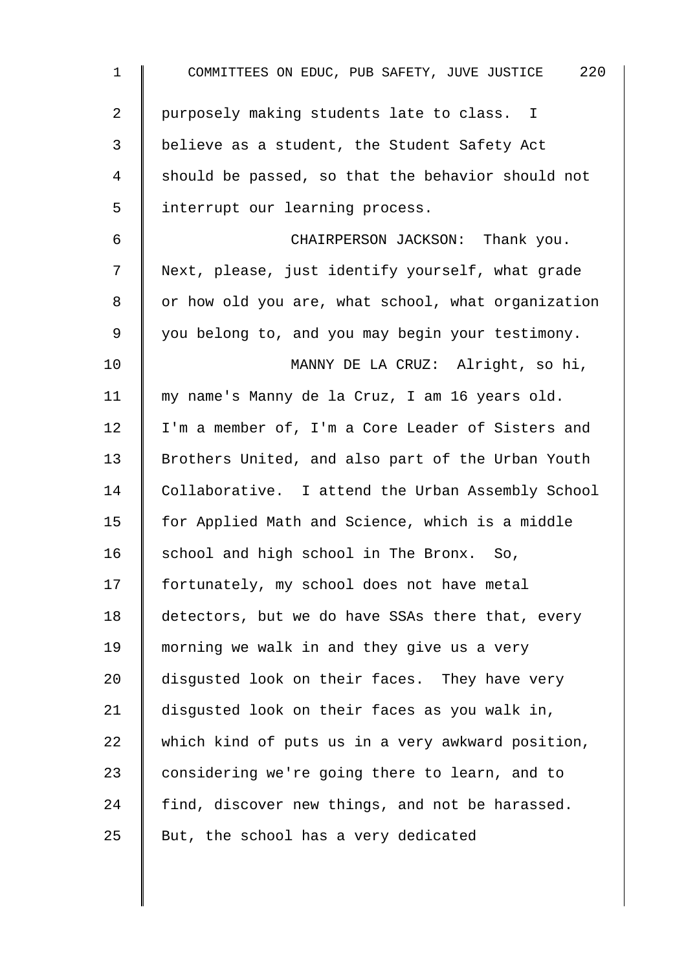| 1  | 220<br>COMMITTEES ON EDUC, PUB SAFETY, JUVE JUSTICE |
|----|-----------------------------------------------------|
| 2  | purposely making students late to class. I          |
| 3  | believe as a student, the Student Safety Act        |
| 4  | should be passed, so that the behavior should not   |
| 5  | interrupt our learning process.                     |
| 6  | CHAIRPERSON JACKSON: Thank you.                     |
| 7  | Next, please, just identify yourself, what grade    |
| 8  | or how old you are, what school, what organization  |
| 9  | you belong to, and you may begin your testimony.    |
| 10 | MANNY DE LA CRUZ: Alright, so hi,                   |
| 11 | my name's Manny de la Cruz, I am 16 years old.      |
| 12 | I'm a member of, I'm a Core Leader of Sisters and   |
| 13 | Brothers United, and also part of the Urban Youth   |
| 14 | Collaborative. I attend the Urban Assembly School   |
| 15 | for Applied Math and Science, which is a middle     |
| 16 | school and high school in The Bronx. So,            |
| 17 | fortunately, my school does not have metal          |
| 18 | detectors, but we do have SSAs there that, every    |
| 19 | morning we walk in and they give us a very          |
| 20 | disgusted look on their faces. They have very       |
| 21 | disgusted look on their faces as you walk in,       |
| 22 | which kind of puts us in a very awkward position,   |
| 23 | considering we're going there to learn, and to      |
| 24 | find, discover new things, and not be harassed.     |
| 25 | But, the school has a very dedicated                |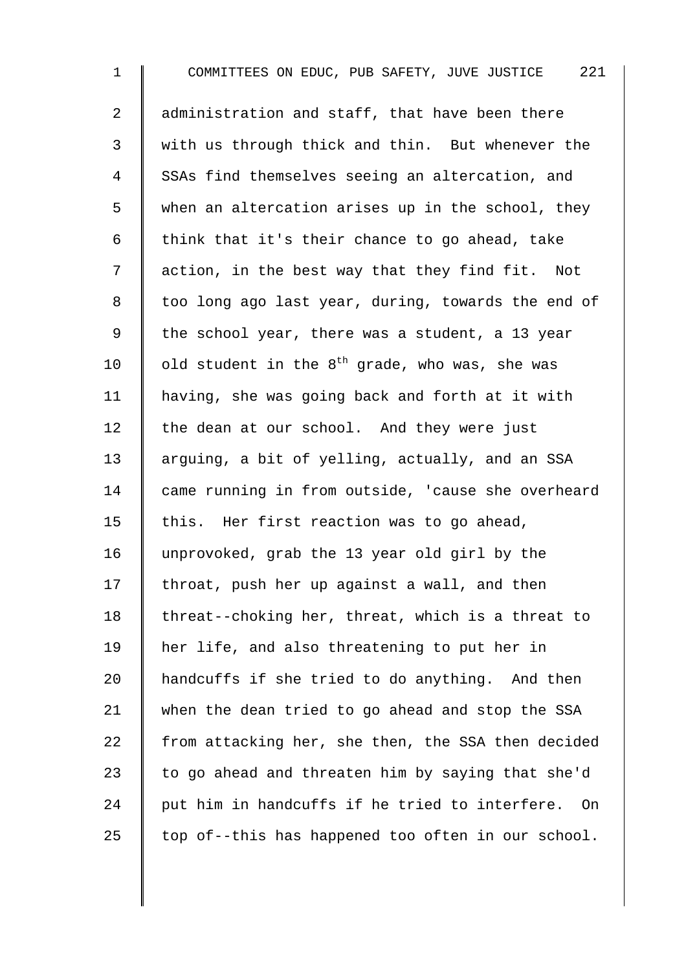1 COMMITTEES ON EDUC, PUB SAFETY, JUVE JUSTICE 221 2 | administration and staff, that have been there 3 Weith us through thick and thin. But whenever the 4 SSAs find themselves seeing an altercation, and 5 when an altercation arises up in the school, they 6 | think that it's their chance to go ahead, take 7 | action, in the best way that they find fit. Not 8 | too long ago last year, during, towards the end of 9 | the school year, there was a student, a 13 year 10  $\parallel$  old student in the 8<sup>th</sup> grade, who was, she was 11 having, she was going back and forth at it with  $12$  the dean at our school. And they were just 13 arguing, a bit of yelling, actually, and an SSA 14 came running in from outside, 'cause she overheard 15 | this. Her first reaction was to go ahead, 16 unprovoked, grab the 13 year old girl by the 17  $\parallel$  throat, push her up against a wall, and then 18  $\parallel$  threat--choking her, threat, which is a threat to 19 her life, and also threatening to put her in 20 A handcuffs if she tried to do anything. And then 21 when the dean tried to go ahead and stop the SSA 22  $\parallel$  from attacking her, she then, the SSA then decided 23  $\parallel$  to go ahead and threaten him by saying that she'd  $24$   $\parallel$  put him in handcuffs if he tried to interfere. On 25  $\parallel$  top of--this has happened too often in our school.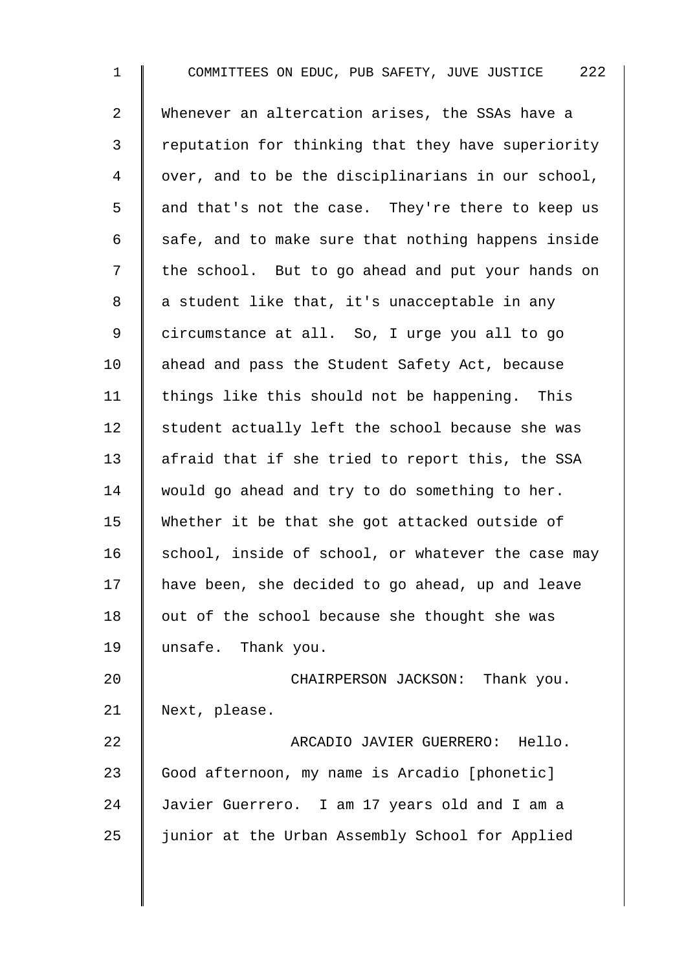1 COMMITTEES ON EDUC, PUB SAFETY, JUVE JUSTICE 222 2 Whenever an altercation arises, the SSAs have a 3 Teputation for thinking that they have superiority 4 | over, and to be the disciplinarians in our school, 5 and that's not the case. They're there to keep us 6  $\parallel$  safe, and to make sure that nothing happens inside 7 | the school. But to go ahead and put your hands on  $8 \parallel a$  student like that, it's unacceptable in any 9 | circumstance at all. So, I urge you all to go 10 ahead and pass the Student Safety Act, because 11 | things like this should not be happening. This 12 student actually left the school because she was 13 | afraid that if she tried to report this, the SSA 14 would go ahead and try to do something to her. 15 Whether it be that she got attacked outside of 16 | school, inside of school, or whatever the case may 17 have been, she decided to go ahead, up and leave 18  $\parallel$  out of the school because she thought she was 19 unsafe. Thank you. 20 **CHAIRPERSON JACKSON:** Thank you. 21 Next, please. 22 | **ARCADIO JAVIER GUERRERO:** Hello. 23 | Good afternoon, my name is Arcadio [phonetic] 24 Javier Guerrero. I am 17 years old and I am a  $25$   $\parallel$  junior at the Urban Assembly School for Applied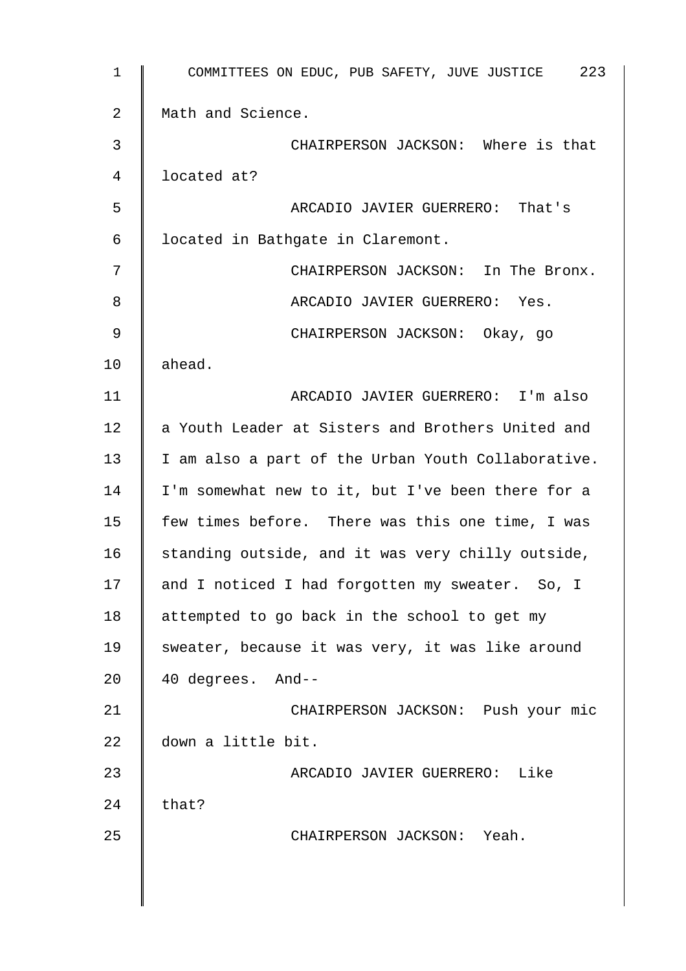| 1  | COMMITTEES ON EDUC, PUB SAFETY, JUVE JUSTICE 223   |
|----|----------------------------------------------------|
| 2  | Math and Science.                                  |
| 3  | CHAIRPERSON JACKSON: Where is that                 |
| 4  | located at?                                        |
| 5  | ARCADIO JAVIER GUERRERO: That's                    |
| 6  | located in Bathgate in Claremont.                  |
| 7  | CHAIRPERSON JACKSON: In The Bronx.                 |
| 8  | ARCADIO JAVIER GUERRERO: Yes.                      |
| 9  | CHAIRPERSON JACKSON: Okay, go                      |
| 10 | ahead.                                             |
| 11 | ARCADIO JAVIER GUERRERO: I'm also                  |
| 12 | a Youth Leader at Sisters and Brothers United and  |
| 13 | I am also a part of the Urban Youth Collaborative. |
| 14 | I'm somewhat new to it, but I've been there for a  |
| 15 | few times before. There was this one time, I was   |
| 16 | standing outside, and it was very chilly outside,  |
| 17 | and I noticed I had forgotten my sweater. So, I    |
| 18 | attempted to go back in the school to get my       |
| 19 | sweater, because it was very, it was like around   |
| 20 | 40 degrees. And--                                  |
| 21 | CHAIRPERSON JACKSON: Push your mic                 |
| 22 | down a little bit.                                 |
| 23 | ARCADIO JAVIER GUERRERO: Like                      |
| 24 | that?                                              |
| 25 | CHAIRPERSON JACKSON: Yeah.                         |
|    |                                                    |
|    |                                                    |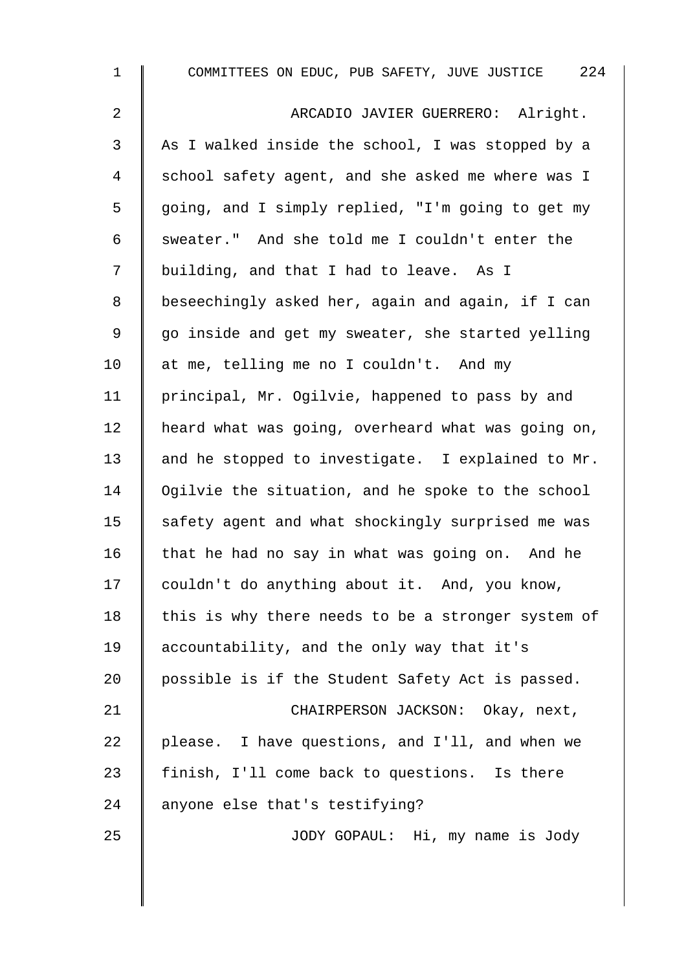| $\mathbf{1}$ | COMMITTEES ON EDUC, PUB SAFETY, JUVE JUSTICE 224   |
|--------------|----------------------------------------------------|
| 2            | ARCADIO JAVIER GUERRERO: Alright.                  |
| 3            | As I walked inside the school, I was stopped by a  |
| 4            | school safety agent, and she asked me where was I  |
| 5            | going, and I simply replied, "I'm going to get my  |
| 6            | sweater." And she told me I couldn't enter the     |
| 7            | building, and that I had to leave. As I            |
| 8            | beseechingly asked her, again and again, if I can  |
| $\mathsf 9$  | go inside and get my sweater, she started yelling  |
| 10           | at me, telling me no I couldn't. And my            |
| 11           | principal, Mr. Ogilvie, happened to pass by and    |
| 12           | heard what was going, overheard what was going on, |
| 13           | and he stopped to investigate. I explained to Mr.  |
| 14           | Ogilvie the situation, and he spoke to the school  |
| 15           | safety agent and what shockingly surprised me was  |
| 16           | that he had no say in what was going on. And he    |
| 17           | couldn't do anything about it. And, you know,      |
| 18           | this is why there needs to be a stronger system of |
| 19           | accountability, and the only way that it's         |
| 20           | possible is if the Student Safety Act is passed.   |
| 21           | CHAIRPERSON JACKSON: Okay, next,                   |
| 22           | please. I have questions, and I'll, and when we    |
| 23           | finish, I'll come back to questions. Is there      |
| 24           | anyone else that's testifying?                     |
| 25           | JODY GOPAUL: Hi, my name is Jody                   |
|              |                                                    |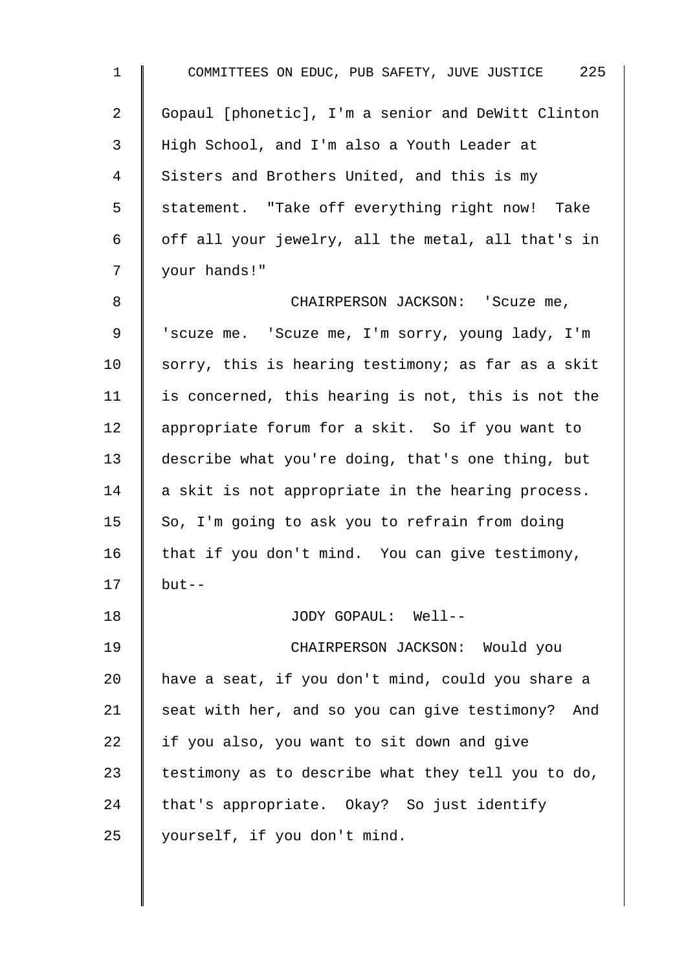1 COMMITTEES ON EDUC, PUB SAFETY, JUVE JUSTICE 225 2 Gopaul [phonetic], I'm a senior and DeWitt Clinton 3 High School, and I'm also a Youth Leader at 4 Sisters and Brothers United, and this is my 5 | statement. "Take off everything right now! Take 6 | off all your jewelry, all the metal, all that's in 7 your hands!" 8 || CHAIRPERSON JACKSON: 'Scuze me, 9 | 'scuze me. 'Scuze me, I'm sorry, young lady, I'm 10  $\parallel$  sorry, this is hearing testimony; as far as a skit  $11$  is concerned, this hearing is not, this is not the 12 | appropriate forum for a skit. So if you want to 13 describe what you're doing, that's one thing, but 14  $\parallel$  a skit is not appropriate in the hearing process. 15  $\parallel$  So, I'm going to ask you to refrain from doing 16  $\parallel$  that if you don't mind. You can give testimony,  $17$  | but--18 JODY GOPAUL: Well-- 19 CHAIRPERSON JACKSON: Would you 20 have a seat, if you don't mind, could you share a 21  $\parallel$  seat with her, and so you can give testimony? And 22  $\parallel$  if you also, you want to sit down and give 23 testimony as to describe what they tell you to do, 24  $\parallel$  that's appropriate. Okay? So just identify 25 | yourself, if you don't mind.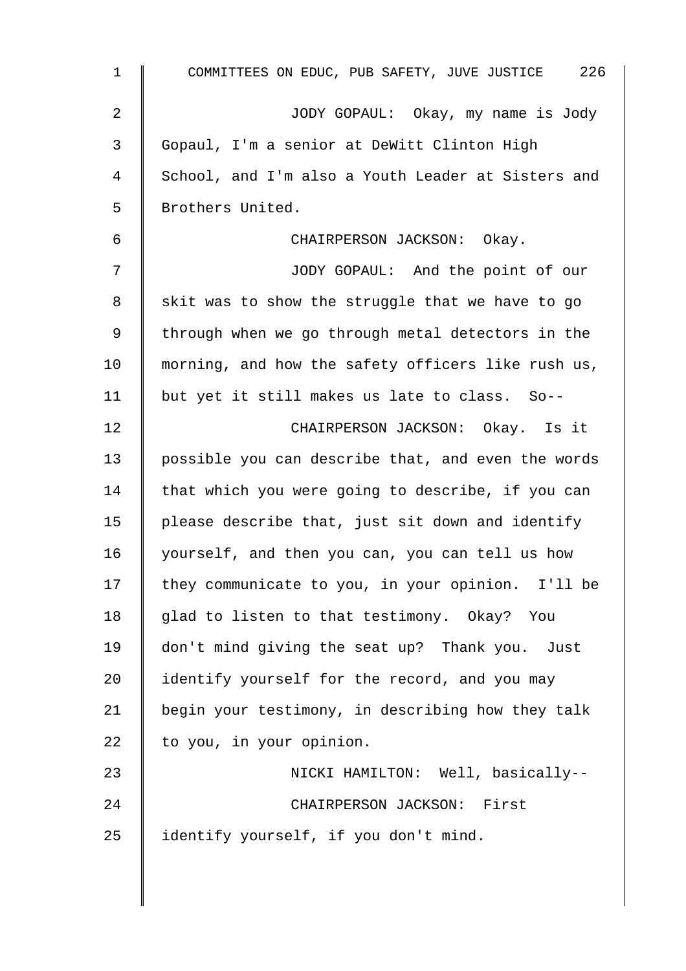| $\mathbf 1$ | COMMITTEES ON EDUC, PUB SAFETY, JUVE JUSTICE 226   |
|-------------|----------------------------------------------------|
| 2           | JODY GOPAUL: Okay, my name is Jody                 |
| 3           | Gopaul, I'm a senior at DeWitt Clinton High        |
| 4           | School, and I'm also a Youth Leader at Sisters and |
| 5           | Brothers United.                                   |
| 6           | CHAIRPERSON JACKSON: Okay.                         |
| 7           | JODY GOPAUL: And the point of our                  |
| 8           | skit was to show the struggle that we have to go   |
| $\mathsf 9$ | through when we go through metal detectors in the  |
| 10          | morning, and how the safety officers like rush us, |
| 11          | but yet it still makes us late to class. So--      |
| 12          | CHAIRPERSON JACKSON: Okay. Is it                   |
| 13          | possible you can describe that, and even the words |
| 14          | that which you were going to describe, if you can  |
| 15          | please describe that, just sit down and identify   |
| 16          | yourself, and then you can, you can tell us how    |
| 17          | they communicate to you, in your opinion. I'll be  |
| 18          | glad to listen to that testimony. Okay? You        |
| 19          | don't mind giving the seat up? Thank you. Just     |
| 20          | identify yourself for the record, and you may      |
| 21          | begin your testimony, in describing how they talk  |
| 22          | to you, in your opinion.                           |
| 23          | NICKI HAMILTON: Well, basically--                  |
| 24          | CHAIRPERSON JACKSON: First                         |
| 25          | identify yourself, if you don't mind.              |
|             |                                                    |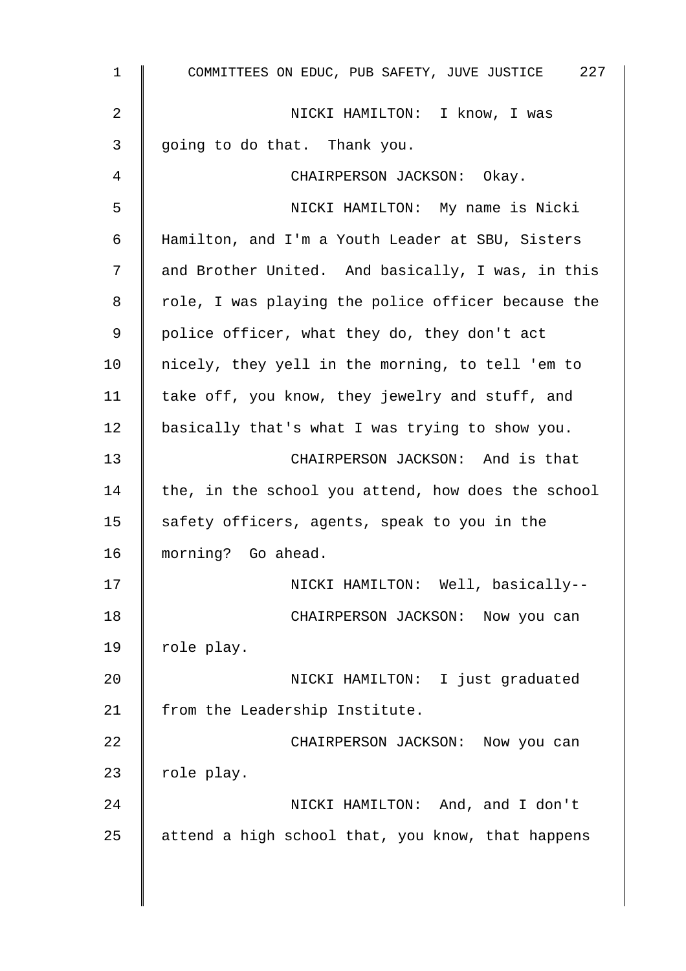| 1  | COMMITTEES ON EDUC, PUB SAFETY, JUVE JUSTICE 227   |
|----|----------------------------------------------------|
| 2  | NICKI HAMILTON: I know, I was                      |
| 3  | going to do that. Thank you.                       |
| 4  | CHAIRPERSON JACKSON: Okay.                         |
| 5  | NICKI HAMILTON: My name is Nicki                   |
| 6  | Hamilton, and I'm a Youth Leader at SBU, Sisters   |
| 7  | and Brother United. And basically, I was, in this  |
| 8  | role, I was playing the police officer because the |
| 9  | police officer, what they do, they don't act       |
| 10 | nicely, they yell in the morning, to tell 'em to   |
| 11 | take off, you know, they jewelry and stuff, and    |
| 12 | basically that's what I was trying to show you.    |
| 13 | CHAIRPERSON JACKSON: And is that                   |
| 14 | the, in the school you attend, how does the school |
| 15 | safety officers, agents, speak to you in the       |
| 16 | morning? Go ahead.                                 |
| 17 | NICKI HAMILTON: Well, basically--                  |
| 18 | CHAIRPERSON JACKSON: Now you can                   |
| 19 | role play.                                         |
| 20 | NICKI HAMILTON: I just graduated                   |
| 21 | from the Leadership Institute.                     |
| 22 | CHAIRPERSON JACKSON: Now you can                   |
| 23 | role play.                                         |
| 24 | NICKI HAMILTON: And, and I don't                   |
| 25 | attend a high school that, you know, that happens  |
|    |                                                    |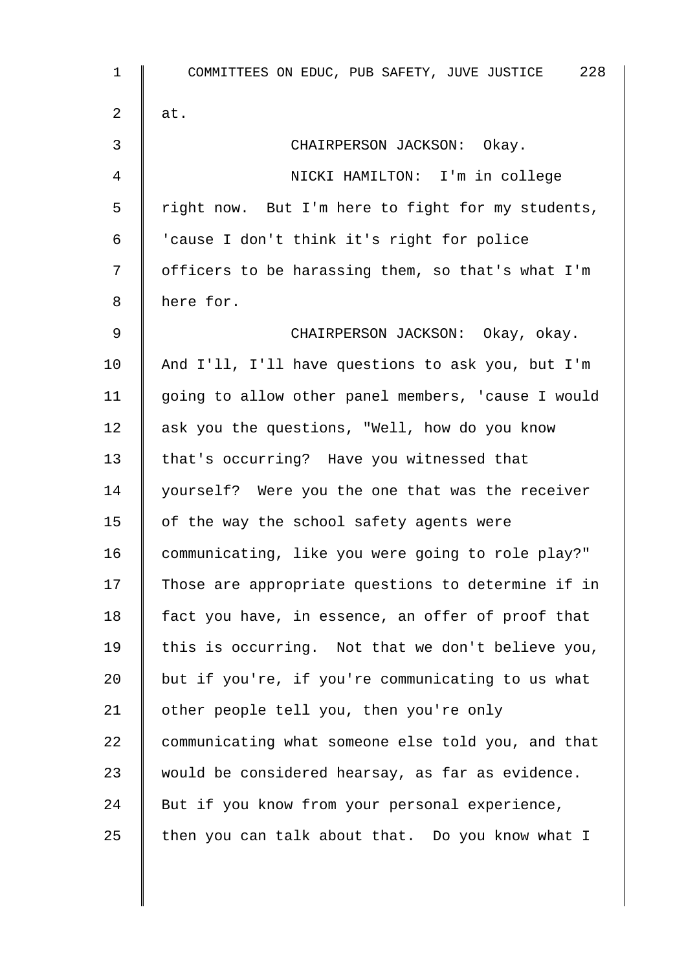1 COMMITTEES ON EDUC, PUB SAFETY, JUVE JUSTICE 228 2  $\parallel$  at. 3 CHAIRPERSON JACKSON: Okay. 4 NICKI HAMILTON: I'm in college 5 | right now. But I'm here to fight for my students, 6 | 'cause I don't think it's right for police 7 | officers to be harassing them, so that's what I'm 8 here for. 9 CHAIRPERSON JACKSON: Okay, okay. 10 And I'll, I'll have questions to ask you, but I'm 11 going to allow other panel members, 'cause I would 12 ask you the questions, "Well, how do you know 13 | that's occurring? Have you witnessed that 14 | yourself? Were you the one that was the receiver 15  $\parallel$  of the way the school safety agents were 16 communicating, like you were going to role play?" 17 Those are appropriate questions to determine if in 18  $\parallel$  fact you have, in essence, an offer of proof that 19  $\parallel$  this is occurring. Not that we don't believe you, 20  $\parallel$  but if you're, if you're communicating to us what 21 | other people tell you, then you're only 22 communicating what someone else told you, and that 23 would be considered hearsay, as far as evidence. 24  $\parallel$  But if you know from your personal experience, 25  $\parallel$  then you can talk about that. Do you know what I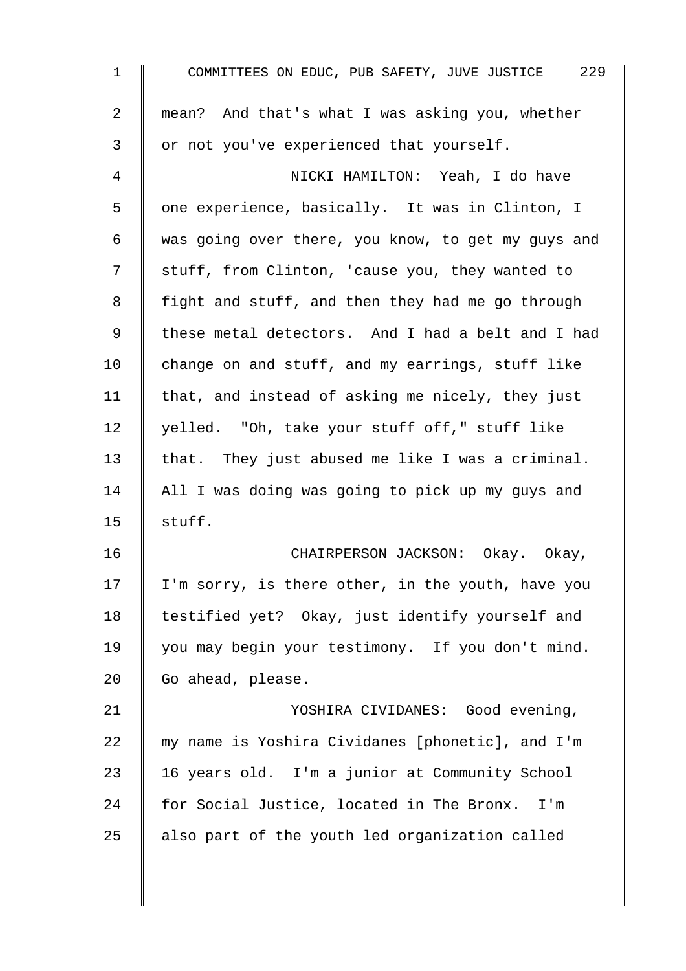| $\mathbf{1}$ | COMMITTEES ON EDUC, PUB SAFETY, JUVE JUSTICE 229   |
|--------------|----------------------------------------------------|
| 2            | mean? And that's what I was asking you, whether    |
| 3            | or not you've experienced that yourself.           |
| 4            | NICKI HAMILTON: Yeah, I do have                    |
| 5            | one experience, basically. It was in Clinton, I    |
| 6            | was going over there, you know, to get my guys and |
| 7            | stuff, from Clinton, 'cause you, they wanted to    |
| 8            | fight and stuff, and then they had me go through   |
| $\mathsf 9$  | these metal detectors. And I had a belt and I had  |
| 10           | change on and stuff, and my earrings, stuff like   |
| 11           | that, and instead of asking me nicely, they just   |
| 12           | yelled. "Oh, take your stuff off," stuff like      |
| 13           | that. They just abused me like I was a criminal.   |
| 14           | All I was doing was going to pick up my guys and   |
| 15           | stuff.                                             |
| 16           | CHAIRPERSON JACKSON:<br>Okay. Okay,                |
| 17           | I'm sorry, is there other, in the youth, have you  |
| 18           | testified yet? Okay, just identify yourself and    |
| 19           | you may begin your testimony. If you don't mind.   |
| 20           | Go ahead, please.                                  |
| 21           | YOSHIRA CIVIDANES: Good evening,                   |
| 22           | my name is Yoshira Cividanes [phonetic], and I'm   |
| 23           | 16 years old. I'm a junior at Community School     |
| 24           | for Social Justice, located in The Bronx. I'm      |
| 25           | also part of the youth led organization called     |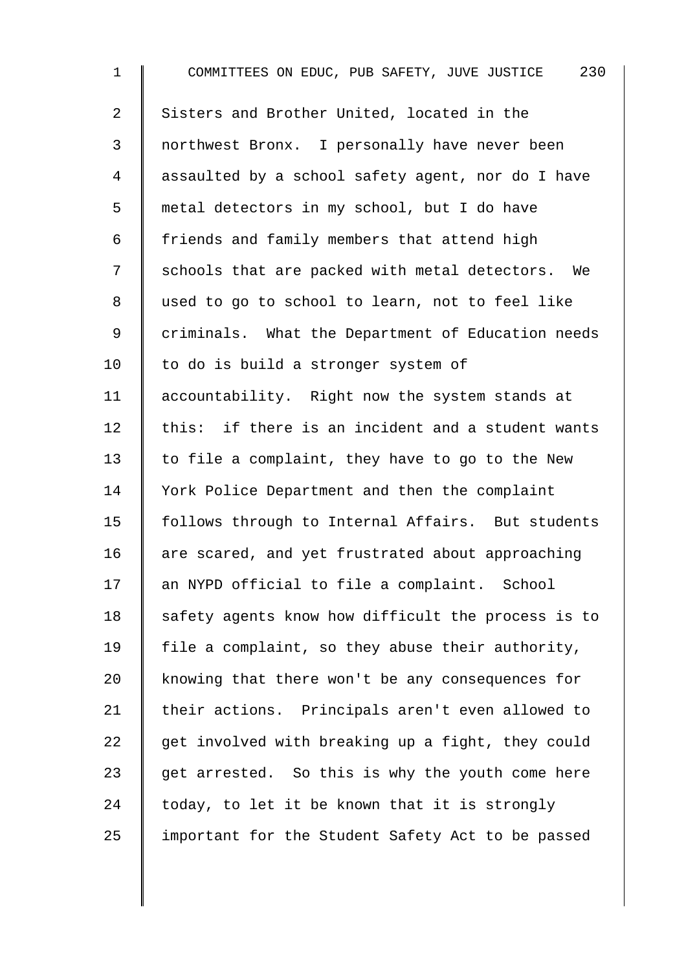1 COMMITTEES ON EDUC, PUB SAFETY, JUVE JUSTICE 230 2 Sisters and Brother United, located in the 3 northwest Bronx. I personally have never been 4 assaulted by a school safety agent, nor do I have 5 metal detectors in my school, but I do have  $6 \parallel$  friends and family members that attend high 7 | schools that are packed with metal detectors. We 8 used to go to school to learn, not to feel like 9 | criminals. What the Department of Education needs 10 | to do is build a stronger system of 11 | accountability. Right now the system stands at  $12$  this: if there is an incident and a student wants 13  $\parallel$  to file a complaint, they have to go to the New 14 Vork Police Department and then the complaint 15 | follows through to Internal Affairs. But students 16 are scared, and yet frustrated about approaching 17 an NYPD official to file a complaint. School  $18$  safety agents know how difficult the process is to 19 | file a complaint, so they abuse their authority, 20 knowing that there won't be any consequences for 21 their actions. Principals aren't even allowed to 22  $\parallel$  get involved with breaking up a fight, they could 23  $\parallel$  get arrested. So this is why the youth come here 24  $\parallel$  today, to let it be known that it is strongly  $25$  | important for the Student Safety Act to be passed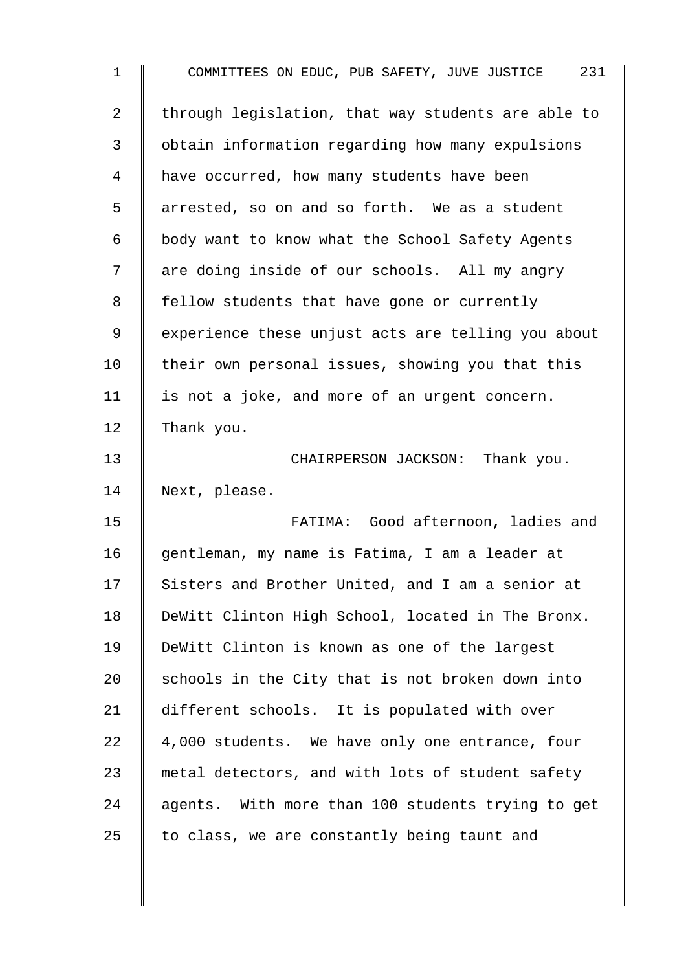| $\mathbf 1$ | 231<br>COMMITTEES ON EDUC, PUB SAFETY, JUVE JUSTICE |
|-------------|-----------------------------------------------------|
| 2           | through legislation, that way students are able to  |
| 3           | obtain information regarding how many expulsions    |
| 4           | have occurred, how many students have been          |
| 5           | arrested, so on and so forth. We as a student       |
| 6           | body want to know what the School Safety Agents     |
| 7           | are doing inside of our schools. All my angry       |
| 8           | fellow students that have gone or currently         |
| 9           | experience these unjust acts are telling you about  |
| 10          | their own personal issues, showing you that this    |
| 11          | is not a joke, and more of an urgent concern.       |
| 12          | Thank you.                                          |
| 13          | CHAIRPERSON JACKSON: Thank you.                     |
| 14          | Next, please.                                       |
| 15          | FATIMA: Good afternoon, ladies and                  |
| 16          | gentleman, my name is Fatima, I am a leader at      |
| 17          | Sisters and Brother United, and I am a senior at    |
| 18          | DeWitt Clinton High School, located in The Bronx.   |
| 19          | DeWitt Clinton is known as one of the largest       |
| 20          | schools in the City that is not broken down into    |
| 21          | different schools. It is populated with over        |
| 22          | 4,000 students. We have only one entrance, four     |
| 23          | metal detectors, and with lots of student safety    |
| 24          | agents. With more than 100 students trying to get   |
| 25          | to class, we are constantly being taunt and         |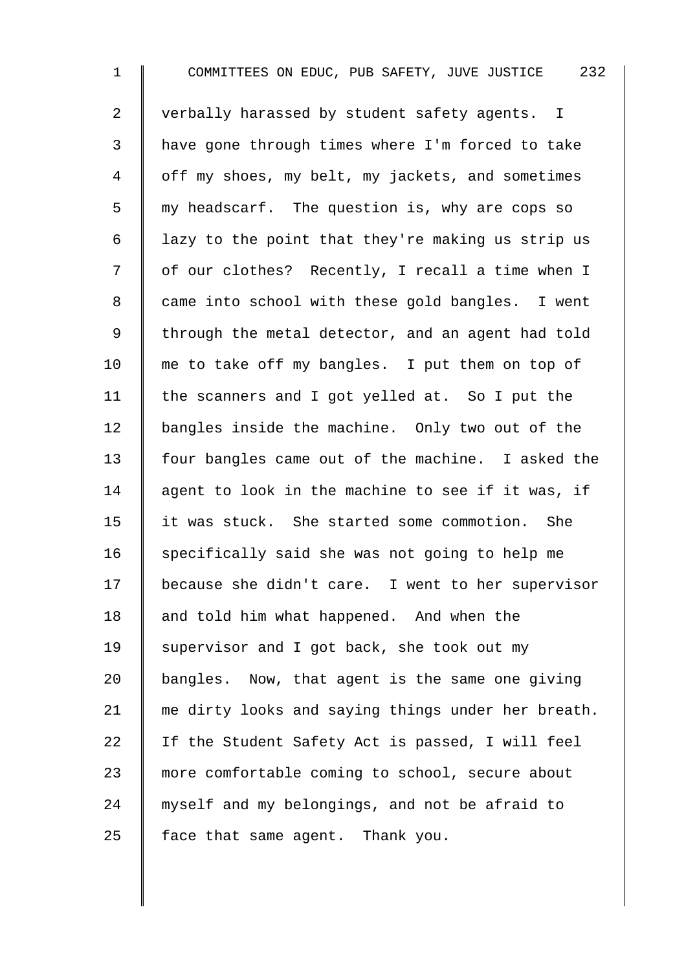1 COMMITTEES ON EDUC, PUB SAFETY, JUVE JUSTICE 232 2 verbally harassed by student safety agents. I 3 have gone through times where I'm forced to take 4 | off my shoes, my belt, my jackets, and sometimes 5 || my headscarf. The question is, why are cops so 6 | lazy to the point that they're making us strip us 7 | of our clothes? Recently, I recall a time when I 8 | came into school with these gold bangles. I went 9 | through the metal detector, and an agent had told 10 me to take off my bangles. I put them on top of 11 | the scanners and I got yelled at. So I put the 12 bangles inside the machine. Only two out of the 13 four bangles came out of the machine. I asked the 14  $\parallel$  agent to look in the machine to see if it was, if 15 it was stuck. She started some commotion. She 16  $\parallel$  specifically said she was not going to help me 17 because she didn't care. I went to her supervisor 18 and told him what happened. And when the 19  $\parallel$  supervisor and I got back, she took out my 20  $\parallel$  bangles. Now, that agent is the same one giving 21 me dirty looks and saying things under her breath. 22  $\parallel$  If the Student Safety Act is passed, I will feel 23 more comfortable coming to school, secure about 24 myself and my belongings, and not be afraid to  $25$  | face that same agent. Thank you.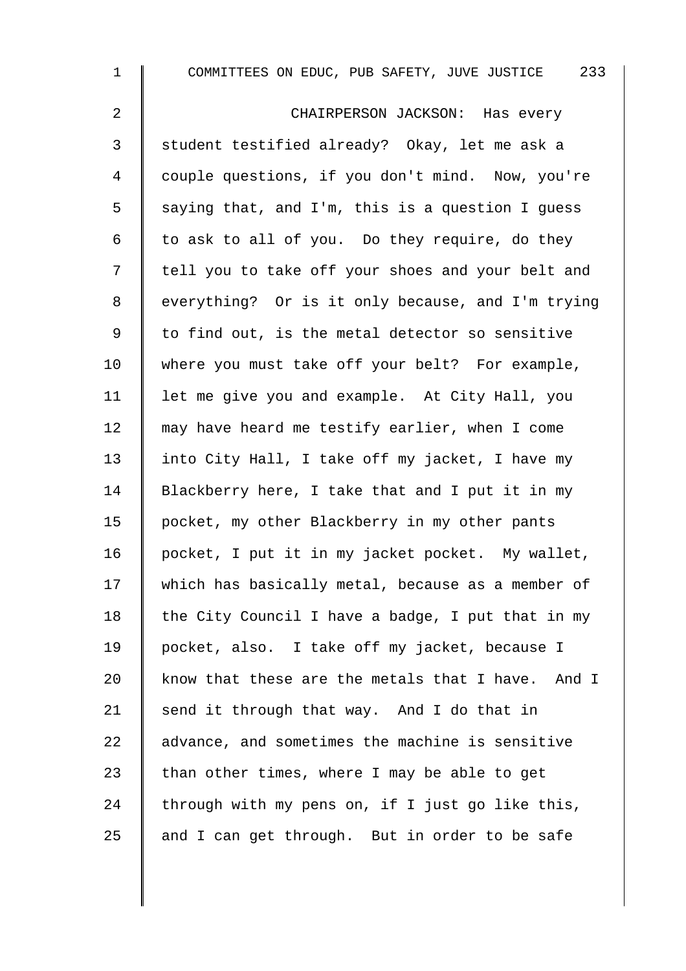1 COMMITTEES ON EDUC, PUB SAFETY, JUVE JUSTICE 233

2 CHAIRPERSON JACKSON: Has every 3 || student testified already? Okay, let me ask a 4 couple questions, if you don't mind. Now, you're 5 Saying that, and I'm, this is a question I quess 6  $\parallel$  to ask to all of you. Do they require, do they 7 | tell you to take off your shoes and your belt and 8 everything? Or is it only because, and I'm trying  $9 \parallel$  to find out, is the metal detector so sensitive 10 where you must take off your belt? For example, 11 | let me give you and example. At City Hall, you 12 | may have heard me testify earlier, when I come 13 | into City Hall, I take off my jacket, I have my 14 Blackberry here, I take that and I put it in my 15 | pocket, my other Blackberry in my other pants 16 | pocket, I put it in my jacket pocket. My wallet, 17 which has basically metal, because as a member of 18 the City Council I have a badge, I put that in my 19 pocket, also. I take off my jacket, because I 20 know that these are the metals that I have. And I 21 | send it through that way. And I do that in 22 advance, and sometimes the machine is sensitive 23 than other times, where I may be able to get 24 through with my pens on, if I just go like this, 25  $\parallel$  and I can get through. But in order to be safe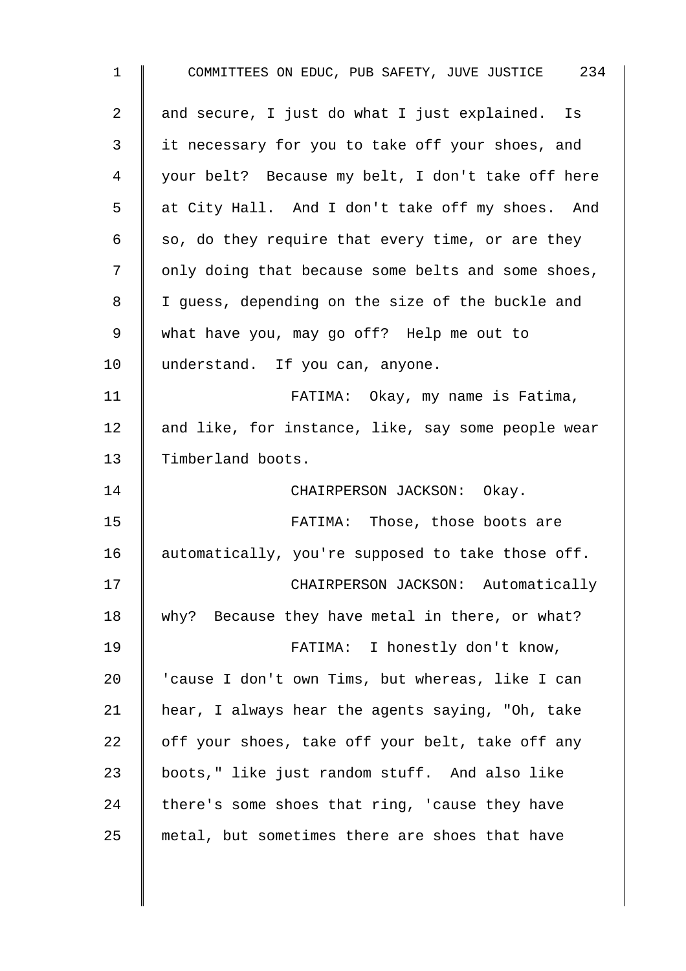1 COMMITTEES ON EDUC, PUB SAFETY, JUVE JUSTICE 234 2 and secure, I just do what I just explained. Is 3 it necessary for you to take off your shoes, and 4 your belt? Because my belt, I don't take off here 5 at City Hall. And I don't take off my shoes. And 6  $\parallel$  so, do they require that every time, or are they 7 | only doing that because some belts and some shoes, 8 | I guess, depending on the size of the buckle and 9 what have you, may go off? Help me out to 10 | understand. If you can, anyone. 11 | FATIMA: Okay, my name is Fatima, 12 and like, for instance, like, say some people wear 13 Timberland boots. 14 | CHAIRPERSON JACKSON: Okay. 15 | FATIMA: Those, those boots are 16  $\parallel$  automatically, you're supposed to take those off. 17 | CHAIRPERSON JACKSON: Automatically 18 why? Because they have metal in there, or what? 19 | FATIMA: I honestly don't know, 20 | 'cause I don't own Tims, but whereas, like I can 21 hear, I always hear the agents saying, "Oh, take 22  $\parallel$  off your shoes, take off your belt, take off any 23  $\parallel$  boots," like just random stuff. And also like 24 there's some shoes that ring, 'cause they have  $25$  metal, but sometimes there are shoes that have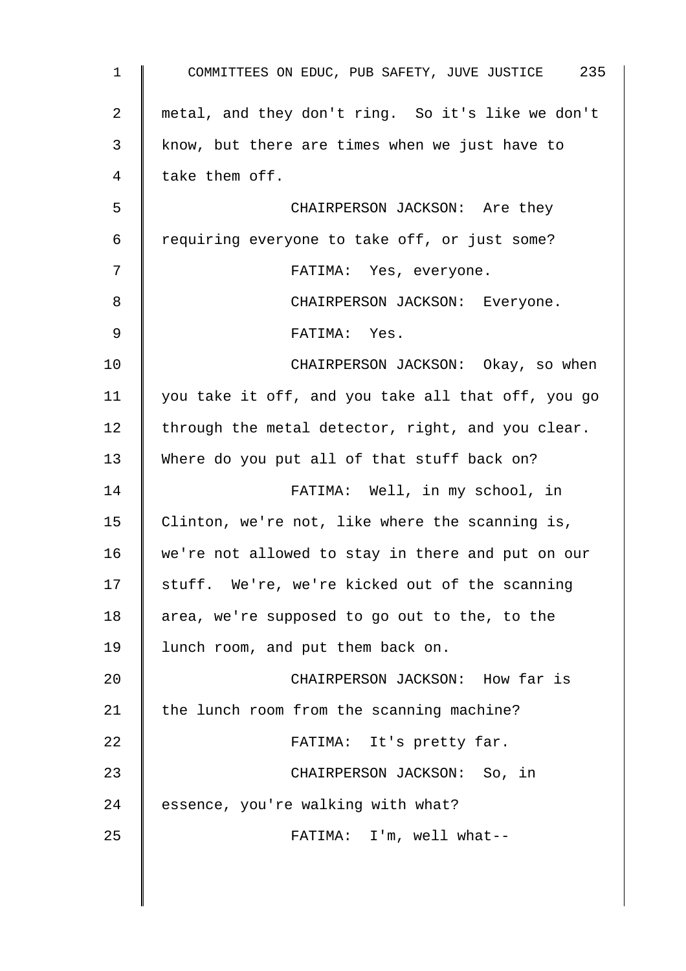| $\mathbf{1}$   | COMMITTEES ON EDUC, PUB SAFETY, JUVE JUSTICE 235   |
|----------------|----------------------------------------------------|
| $\overline{a}$ | metal, and they don't ring. So it's like we don't  |
| 3              | know, but there are times when we just have to     |
| 4              | take them off.                                     |
| 5              | CHAIRPERSON JACKSON: Are they                      |
| 6              | requiring everyone to take off, or just some?      |
| 7              | FATIMA: Yes, everyone.                             |
| 8              | CHAIRPERSON JACKSON: Everyone.                     |
| $\mathsf 9$    | FATIMA: Yes.                                       |
| 10             | CHAIRPERSON JACKSON: Okay, so when                 |
| 11             | you take it off, and you take all that off, you go |
| 12             | through the metal detector, right, and you clear.  |
| 13             | Where do you put all of that stuff back on?        |
| 14             | FATIMA: Well, in my school, in                     |
| 15             | Clinton, we're not, like where the scanning is,    |
| 16             | we're not allowed to stay in there and put on our  |
| 17             | stuff. We're, we're kicked out of the scanning     |
| 18             | area, we're supposed to go out to the, to the      |
| 19             | lunch room, and put them back on.                  |
| 20             | CHAIRPERSON JACKSON: How far is                    |
| 21             | the lunch room from the scanning machine?          |
| 22             | FATIMA: It's pretty far.                           |
| 23             | CHAIRPERSON JACKSON: So, in                        |
| 24             | essence, you're walking with what?                 |
| 25             | FATIMA: I'm, well what--                           |
|                |                                                    |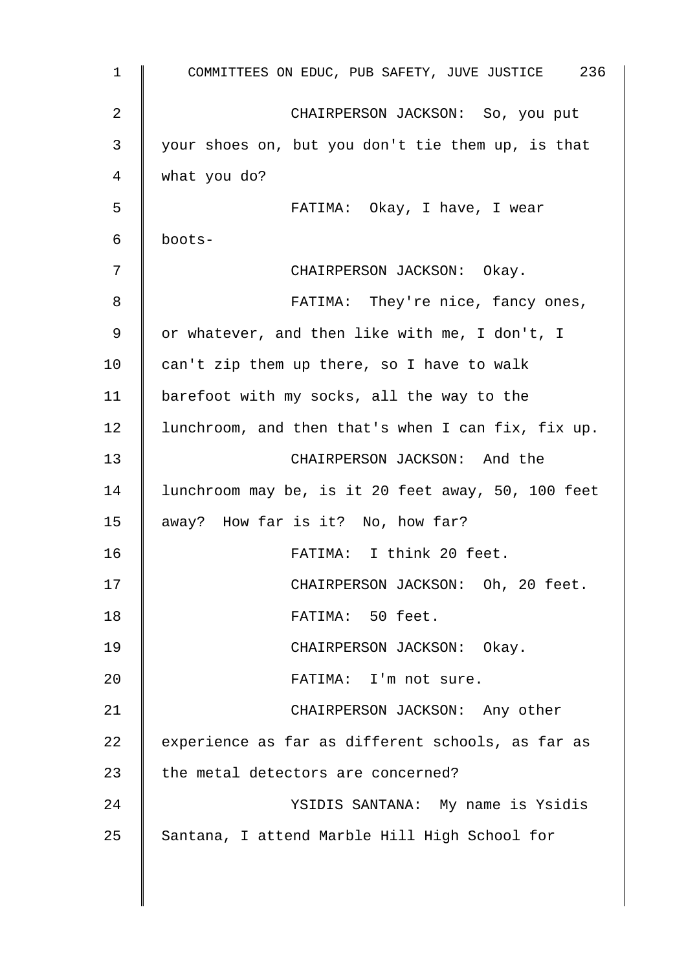| $\mathbf{1}$ | COMMITTEES ON EDUC, PUB SAFETY, JUVE JUSTICE 236   |
|--------------|----------------------------------------------------|
| 2            | CHAIRPERSON JACKSON: So, you put                   |
| 3            | your shoes on, but you don't tie them up, is that  |
| 4            | what you do?                                       |
| 5            | FATIMA: Okay, I have, I wear                       |
| 6            | boots-                                             |
| 7            | CHAIRPERSON JACKSON: Okay.                         |
| 8            | FATIMA: They're nice, fancy ones,                  |
| 9            | or whatever, and then like with me, I don't, I     |
| 10           | can't zip them up there, so I have to walk         |
| 11           | barefoot with my socks, all the way to the         |
| 12           | lunchroom, and then that's when I can fix, fix up. |
| 13           | CHAIRPERSON JACKSON: And the                       |
| 14           | lunchroom may be, is it 20 feet away, 50, 100 feet |
| 15           | away? How far is it? No, how far?                  |
| 16           | FATIMA: I think 20 feet.                           |
| 17           | CHAIRPERSON JACKSON: Oh, 20 feet.                  |
| 18           | FATIMA: 50 feet.                                   |
| 19           | CHAIRPERSON JACKSON: Okay.                         |
| 20           | FATIMA: I'm not sure.                              |
| 21           | CHAIRPERSON JACKSON: Any other                     |
| 22           | experience as far as different schools, as far as  |
| 23           | the metal detectors are concerned?                 |
| 24           | YSIDIS SANTANA: My name is Ysidis                  |
| 25           | Santana, I attend Marble Hill High School for      |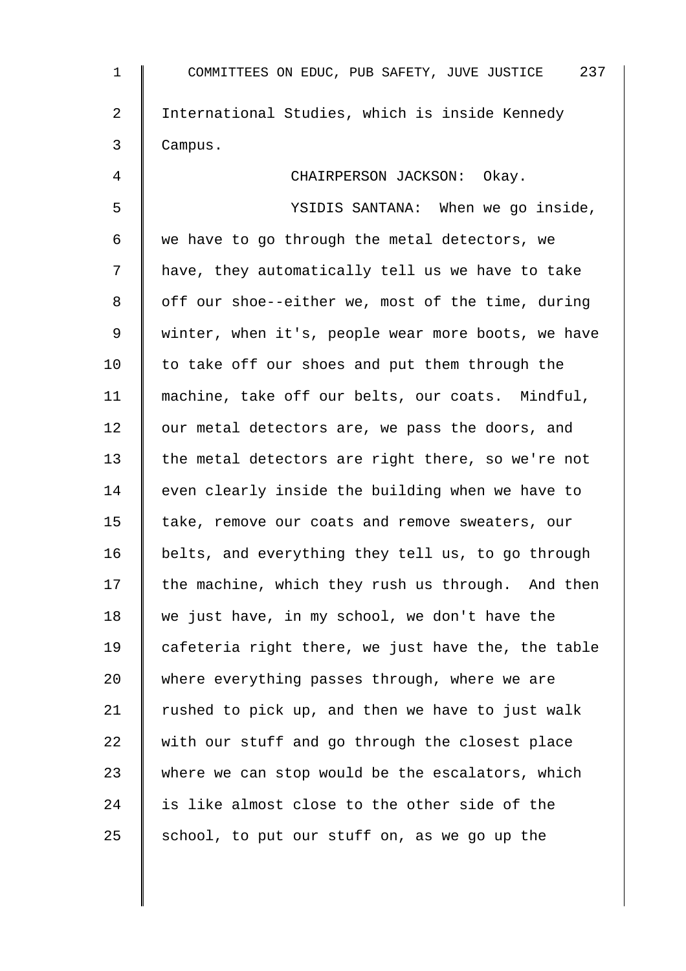| $\mathbf 1$    | COMMITTEES ON EDUC, PUB SAFETY, JUVE JUSTICE 237   |
|----------------|----------------------------------------------------|
| $\overline{2}$ | International Studies, which is inside Kennedy     |
| 3              | Campus.                                            |
| 4              | CHAIRPERSON JACKSON: Okay.                         |
| 5              | YSIDIS SANTANA: When we go inside,                 |
| 6              | we have to go through the metal detectors, we      |
| 7              | have, they automatically tell us we have to take   |
| 8              | off our shoe--either we, most of the time, during  |
| 9              | winter, when it's, people wear more boots, we have |
| 10             | to take off our shoes and put them through the     |
| 11             | machine, take off our belts, our coats. Mindful,   |
| 12             | our metal detectors are, we pass the doors, and    |
| 13             | the metal detectors are right there, so we're not  |
| 14             | even clearly inside the building when we have to   |
| 15             | take, remove our coats and remove sweaters, our    |
| 16             | belts, and everything they tell us, to go through  |
| 17             | the machine, which they rush us through. And then  |
| 18             | we just have, in my school, we don't have the      |
| 19             | cafeteria right there, we just have the, the table |
| 20             | where everything passes through, where we are      |
| 21             | rushed to pick up, and then we have to just walk   |
| 22             | with our stuff and go through the closest place    |
| 23             | where we can stop would be the escalators, which   |
| 24             | is like almost close to the other side of the      |
| 25             | school, to put our stuff on, as we go up the       |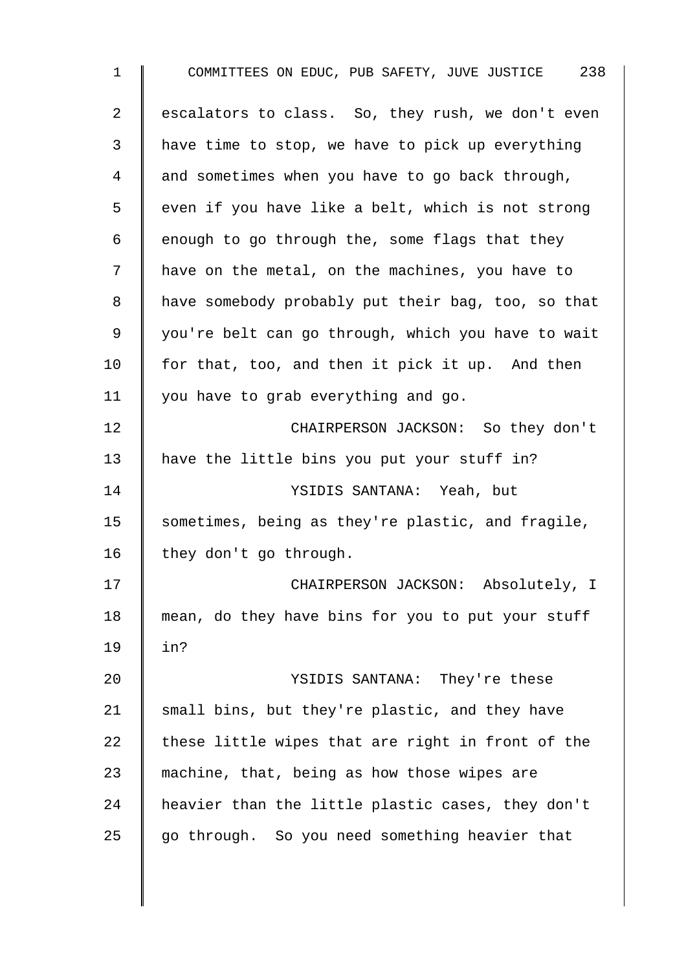1 COMMITTEES ON EDUC, PUB SAFETY, JUVE JUSTICE 238 2 | escalators to class. So, they rush, we don't even 3 | have time to stop, we have to pick up everything 4 and sometimes when you have to go back through,  $5 \parallel$  even if you have like a belt, which is not strong 6 | enough to go through the, some flags that they 7 | have on the metal, on the machines, you have to 8 | have somebody probably put their bag, too, so that 9 | you're belt can go through, which you have to wait 10  $\parallel$  for that, too, and then it pick it up. And then 11 | you have to grab everything and go. 12 **CHAIRPERSON JACKSON:** So they don't 13 | have the little bins you put your stuff in? 14 YSIDIS SANTANA: Yeah, but 15 Sometimes, being as they're plastic, and fragile, 16  $\parallel$  they don't go through. 17 | CHAIRPERSON JACKSON: Absolutely, I 18 mean, do they have bins for you to put your stuff 19 in? 20 YSIDIS SANTANA: They're these 21  $\parallel$  small bins, but they're plastic, and they have 22  $\parallel$  these little wipes that are right in front of the 23  $\parallel$  machine, that, being as how those wipes are 24 heavier than the little plastic cases, they don't  $25$  go through. So you need something heavier that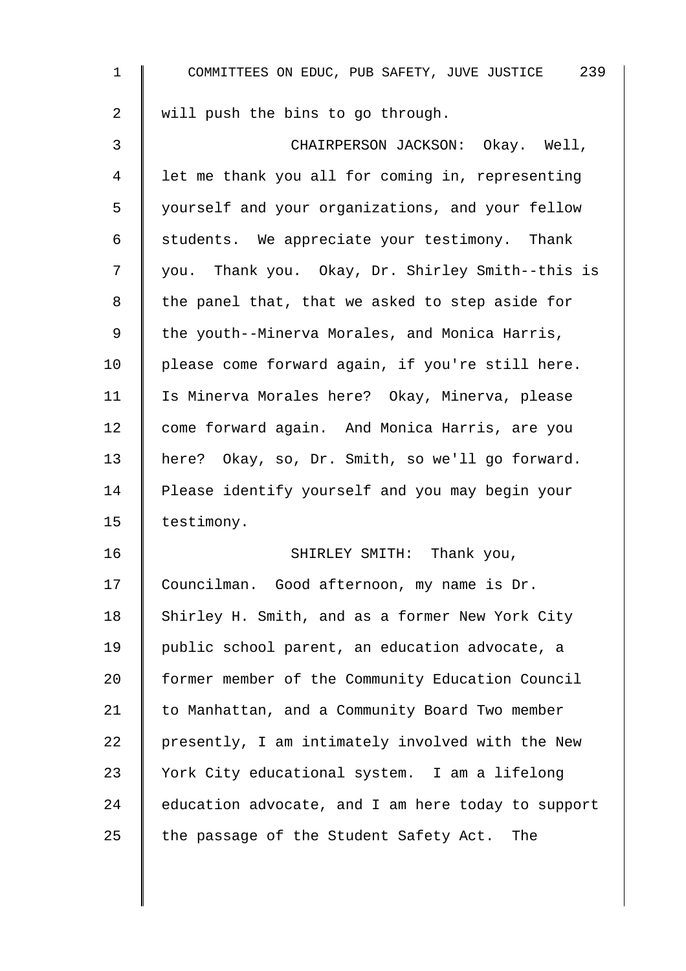| $\mathbf 1$ | COMMITTEES ON EDUC, PUB SAFETY, JUVE JUSTICE 239   |
|-------------|----------------------------------------------------|
| 2           | will push the bins to go through.                  |
| 3           | CHAIRPERSON JACKSON: Okay. Well,                   |
| 4           | let me thank you all for coming in, representing   |
| 5           | yourself and your organizations, and your fellow   |
| 6           | students. We appreciate your testimony. Thank      |
| 7           | you. Thank you. Okay, Dr. Shirley Smith--this is   |
| 8           | the panel that, that we asked to step aside for    |
| 9           | the youth--Minerva Morales, and Monica Harris,     |
| 10          | please come forward again, if you're still here.   |
| 11          | Is Minerva Morales here? Okay, Minerva, please     |
| 12          | come forward again. And Monica Harris, are you     |
| 13          | here? Okay, so, Dr. Smith, so we'll go forward.    |
| 14          | Please identify yourself and you may begin your    |
| 15          | testimony.                                         |
| 16          | SHIRLEY SMITH: Thank you,                          |
| 17          | Councilman. Good afternoon, my name is Dr.         |
| 18          | Shirley H. Smith, and as a former New York City    |
| 19          | public school parent, an education advocate, a     |
| 20          | former member of the Community Education Council   |
| 21          | to Manhattan, and a Community Board Two member     |
| 22          | presently, I am intimately involved with the New   |
| 23          | York City educational system. I am a lifelong      |
| 24          | education advocate, and I am here today to support |
| 25          | the passage of the Student Safety Act. The         |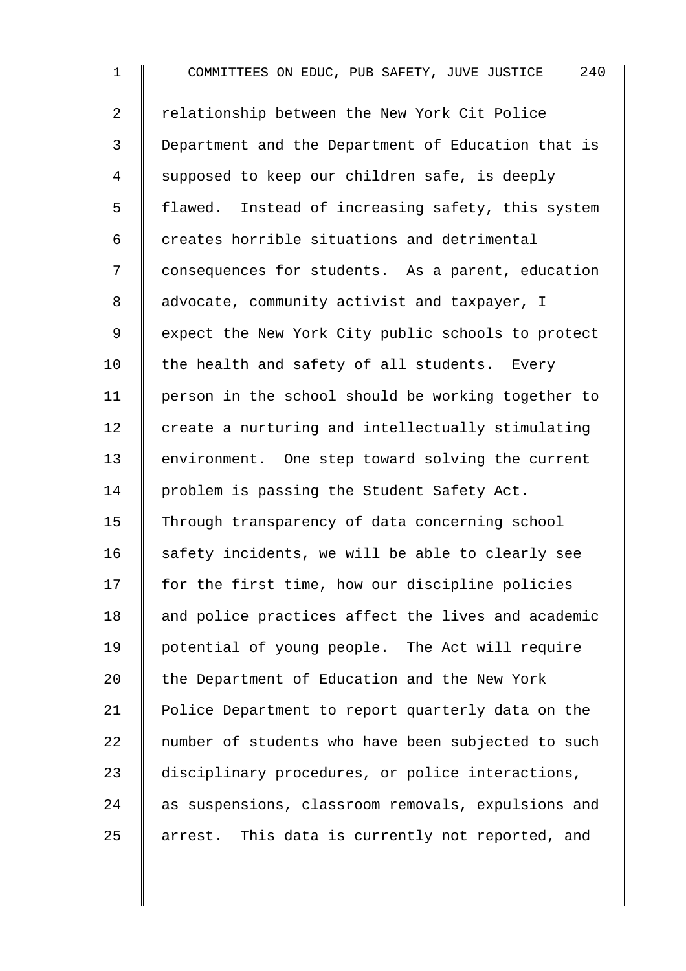1 COMMITTEES ON EDUC, PUB SAFETY, JUVE JUSTICE 240 2 Trelationship between the New York Cit Police 3 Department and the Department of Education that is 4 | supposed to keep our children safe, is deeply 5 | flawed. Instead of increasing safety, this system  $6 \parallel$  creates horrible situations and detrimental 7 | consequences for students. As a parent, education 8 | advocate, community activist and taxpayer, I 9 | expect the New York City public schools to protect 10  $\parallel$  the health and safety of all students. Every 11 person in the school should be working together to  $12$   $\parallel$  create a nurturing and intellectually stimulating 13 environment. One step toward solving the current 14 | problem is passing the Student Safety Act. 15 Through transparency of data concerning school 16  $\parallel$  safety incidents, we will be able to clearly see 17 | for the first time, how our discipline policies 18 and police practices affect the lives and academic 19 potential of young people. The Act will require 20  $\parallel$  the Department of Education and the New York 21 | Police Department to report quarterly data on the 22 mumber of students who have been subjected to such 23 disciplinary procedures, or police interactions, 24 as suspensions, classroom removals, expulsions and  $25$  arrest. This data is currently not reported, and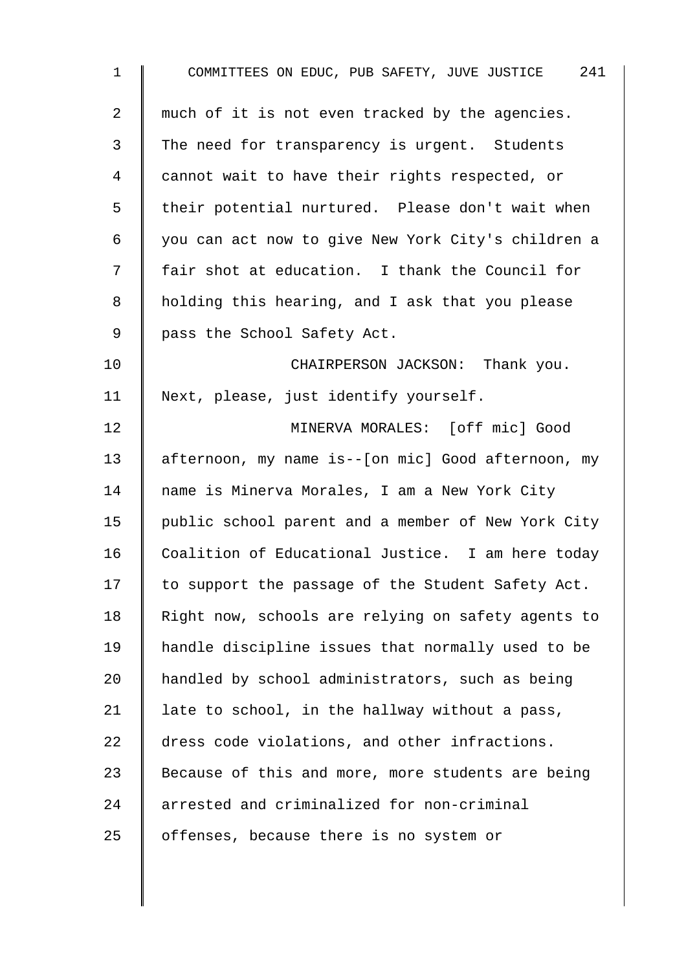| $\mathbf 1$ | COMMITTEES ON EDUC, PUB SAFETY, JUVE JUSTICE 241   |
|-------------|----------------------------------------------------|
| 2           | much of it is not even tracked by the agencies.    |
| 3           | The need for transparency is urgent. Students      |
| 4           | cannot wait to have their rights respected, or     |
| 5           | their potential nurtured. Please don't wait when   |
| 6           | you can act now to give New York City's children a |
| 7           | fair shot at education. I thank the Council for    |
| 8           | holding this hearing, and I ask that you please    |
| 9           | pass the School Safety Act.                        |
| 10          | CHAIRPERSON JACKSON: Thank you.                    |
| 11          | Next, please, just identify yourself.              |
| 12          | MINERVA MORALES: [off mic] Good                    |
| 13          | afternoon, my name is--[on mic] Good afternoon, my |
| 14          | name is Minerva Morales, I am a New York City      |
| 15          | public school parent and a member of New York City |
| 16          | Coalition of Educational Justice. I am here today  |
| 17          | to support the passage of the Student Safety Act.  |
| 18          | Right now, schools are relying on safety agents to |
| 19          | handle discipline issues that normally used to be  |
| 20          | handled by school administrators, such as being    |
| 21          | late to school, in the hallway without a pass,     |
| 22          | dress code violations, and other infractions.      |
| 23          | Because of this and more, more students are being  |
| 24          | arrested and criminalized for non-criminal         |
| 25          | offenses, because there is no system or            |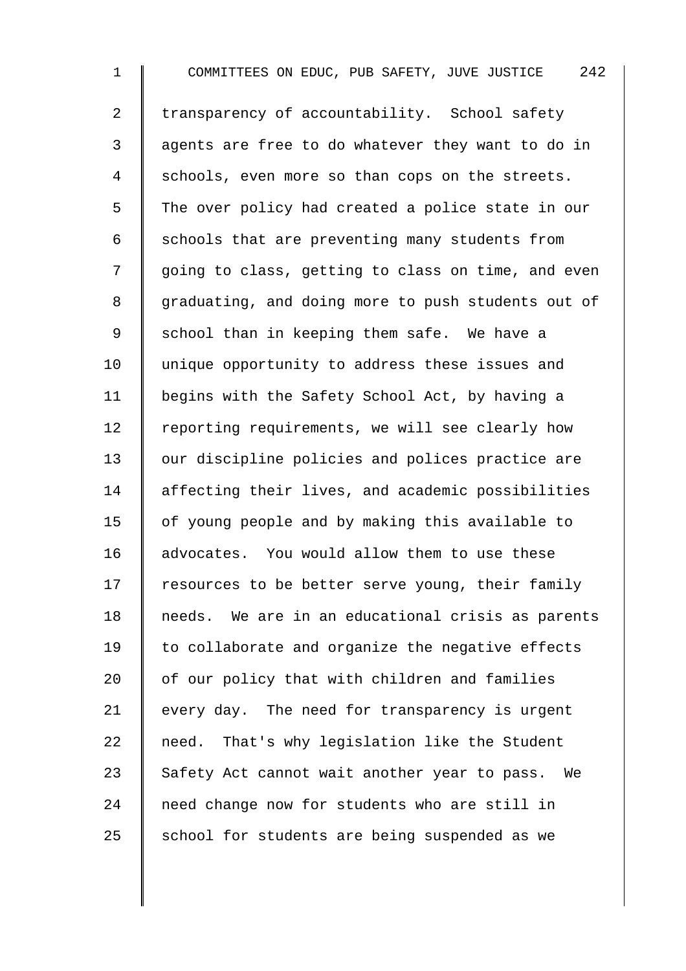1 COMMITTEES ON EDUC, PUB SAFETY, JUVE JUSTICE 242 2 T transparency of accountability. School safety 3 | agents are free to do whatever they want to do in 4 Schools, even more so than cops on the streets. 5 The over policy had created a police state in our 6  $\parallel$  schools that are preventing many students from 7 || going to class, getting to class on time, and even 8 graduating, and doing more to push students out of 9 School than in keeping them safe. We have a 10 | unique opportunity to address these issues and 11 | begins with the Safety School Act, by having a  $12$  | reporting requirements, we will see clearly how 13 | our discipline policies and polices practice are 14 affecting their lives, and academic possibilities 15 | of young people and by making this available to 16 advocates. You would allow them to use these  $17$  resources to be better serve young, their family 18 needs. We are in an educational crisis as parents 19 to collaborate and organize the negative effects  $20$  | of our policy that with children and families 21 every day. The need for transparency is urgent 22  $\parallel$  need. That's why legislation like the Student 23  $\parallel$  Safety Act cannot wait another year to pass. We 24 need change now for students who are still in 25  $\parallel$  school for students are being suspended as we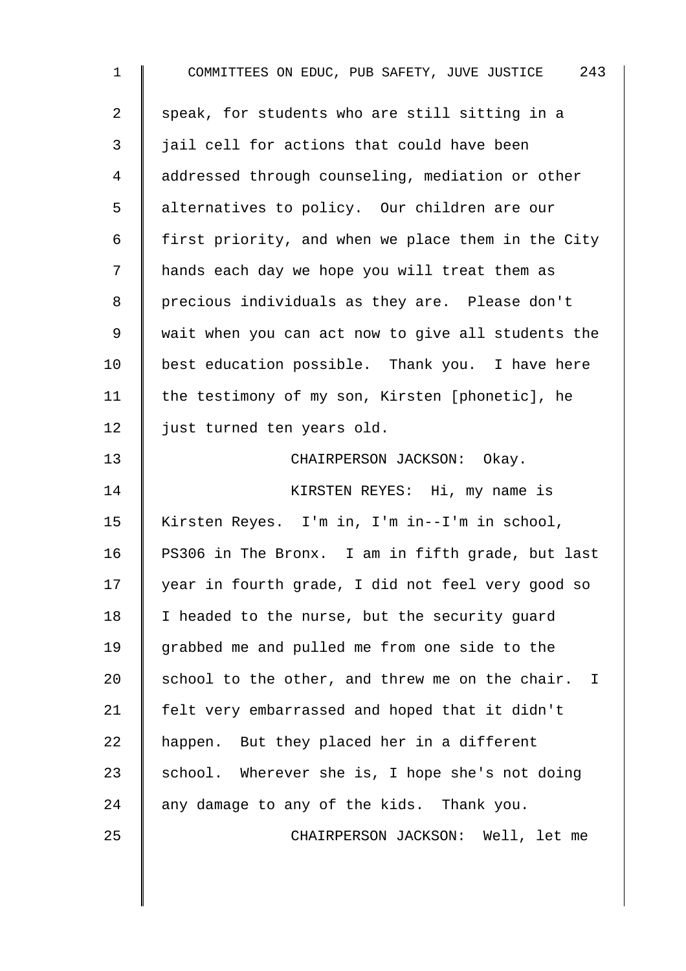| $\mathbf 1$ | COMMITTEES ON EDUC, PUB SAFETY, JUVE JUSTICE 243   |
|-------------|----------------------------------------------------|
| 2           | speak, for students who are still sitting in a     |
| 3           | jail cell for actions that could have been         |
| 4           | addressed through counseling, mediation or other   |
| 5           | alternatives to policy. Our children are our       |
| 6           | first priority, and when we place them in the City |
| 7           | hands each day we hope you will treat them as      |
| 8           | precious individuals as they are. Please don't     |
| 9           | wait when you can act now to give all students the |
| 10          | best education possible. Thank you. I have here    |
| 11          | the testimony of my son, Kirsten [phonetic], he    |
| 12          | just turned ten years old.                         |
| 13          | CHAIRPERSON JACKSON: Okay.                         |
| 14          | KIRSTEN REYES: Hi, my name is                      |
| 15          | Kirsten Reyes. I'm in, I'm in--I'm in school,      |
| 16          | PS306 in The Bronx. I am in fifth grade, but last  |
| 17          | year in fourth grade, I did not feel very good so  |
| 18          | I headed to the nurse, but the security guard      |
| 19          | grabbed me and pulled me from one side to the      |
| 20          | school to the other, and threw me on the chair. I  |
| 21          | felt very embarrassed and hoped that it didn't     |
| 22          | happen. But they placed her in a different         |
| 23          | school. Wherever she is, I hope she's not doing    |
| 24          | any damage to any of the kids. Thank you.          |
| 25          | CHAIRPERSON JACKSON: Well, let me                  |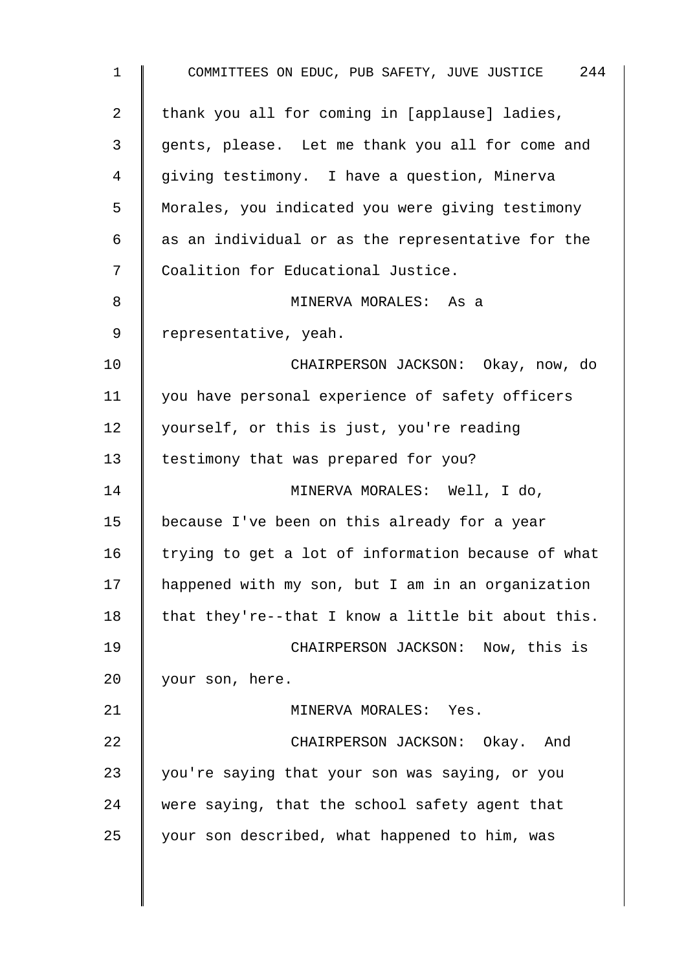| $\mathbf{1}$   | COMMITTEES ON EDUC, PUB SAFETY, JUVE JUSTICE 244   |
|----------------|----------------------------------------------------|
| $\overline{a}$ | thank you all for coming in [applause] ladies,     |
| 3              | gents, please. Let me thank you all for come and   |
| 4              | giving testimony. I have a question, Minerva       |
| 5              | Morales, you indicated you were giving testimony   |
| 6              | as an individual or as the representative for the  |
| 7              | Coalition for Educational Justice.                 |
| 8              | MINERVA MORALES: As a                              |
| 9              | representative, yeah.                              |
| 10             | CHAIRPERSON JACKSON: Okay, now, do                 |
| 11             | you have personal experience of safety officers    |
| 12             | yourself, or this is just, you're reading          |
| 13             | testimony that was prepared for you?               |
| 14             | MINERVA MORALES: Well, I do,                       |
| 15             | because I've been on this already for a year       |
| 16             | trying to get a lot of information because of what |
| 17             | happened with my son, but I am in an organization  |
| 18             | that they're--that I know a little bit about this. |
| 19             | CHAIRPERSON JACKSON: Now, this is                  |
| 20             | your son, here.                                    |
| 21             | MINERVA MORALES: Yes.                              |
| 22             | CHAIRPERSON JACKSON: Okay. And                     |
| 23             | you're saying that your son was saying, or you     |
| 24             | were saying, that the school safety agent that     |
| 25             | your son described, what happened to him, was      |
|                |                                                    |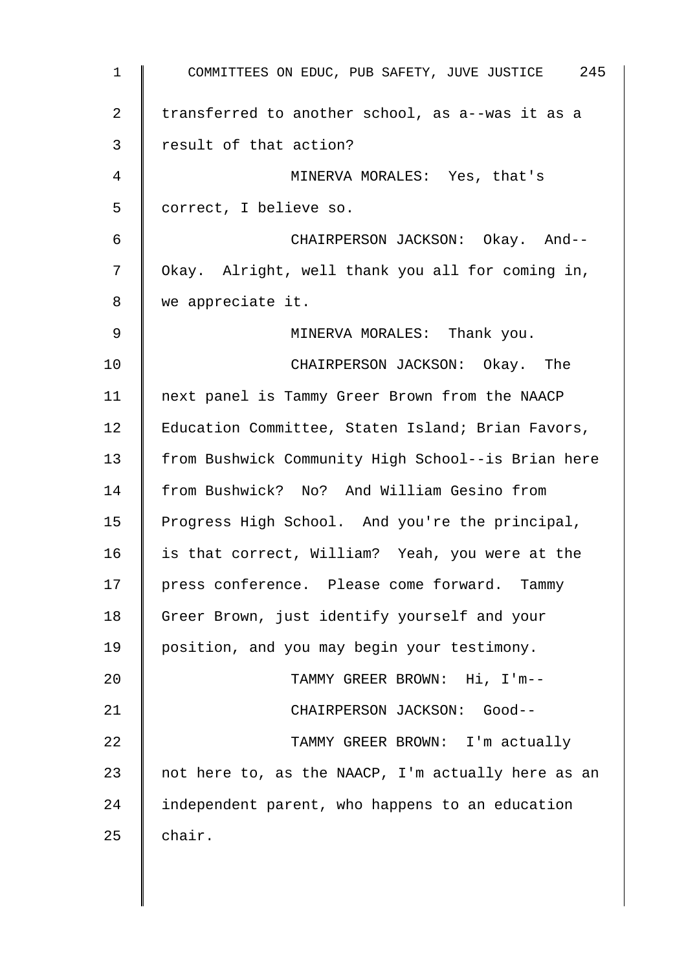| $\mathbf 1$    | COMMITTEES ON EDUC, PUB SAFETY, JUVE JUSTICE 245   |
|----------------|----------------------------------------------------|
| $\overline{2}$ | transferred to another school, as a--was it as a   |
| 3              | result of that action?                             |
| 4              | MINERVA MORALES: Yes, that's                       |
| 5              | correct, I believe so.                             |
| 6              | CHAIRPERSON JACKSON: Okay. And--                   |
| 7              | Okay. Alright, well thank you all for coming in,   |
| 8              | we appreciate it.                                  |
| 9              | MINERVA MORALES: Thank you.                        |
| 10             | CHAIRPERSON JACKSON: Okay. The                     |
| 11             | next panel is Tammy Greer Brown from the NAACP     |
| 12             | Education Committee, Staten Island; Brian Favors,  |
| 13             | from Bushwick Community High School--is Brian here |
| 14             | from Bushwick? No? And William Gesino from         |
| 15             | Progress High School. And you're the principal,    |
| 16             | is that correct, William? Yeah, you were at the    |
| 17             | press conference. Please come forward. Tammy       |
| 18             | Greer Brown, just identify yourself and your       |
| 19             | position, and you may begin your testimony.        |
| 20             | TAMMY GREER BROWN: Hi, I'm--                       |
| 21             | CHAIRPERSON JACKSON: Good--                        |
| 22             | TAMMY GREER BROWN: I'm actually                    |
| 23             | not here to, as the NAACP, I'm actually here as an |
| 24             | independent parent, who happens to an education    |
| 25             | chair.                                             |
|                |                                                    |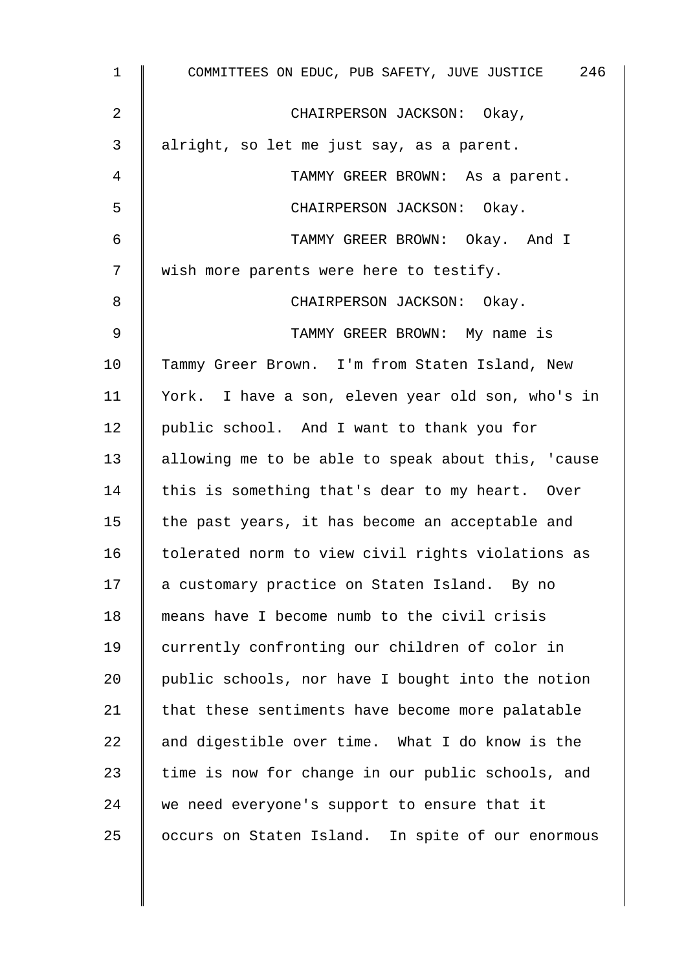| $\mathbf{1}$ | COMMITTEES ON EDUC, PUB SAFETY, JUVE JUSTICE 246   |
|--------------|----------------------------------------------------|
| 2            | CHAIRPERSON JACKSON: Okay,                         |
| 3            | alright, so let me just say, as a parent.          |
| 4            | TAMMY GREER BROWN: As a parent.                    |
| 5            | CHAIRPERSON JACKSON: Okay.                         |
| 6            | TAMMY GREER BROWN: Okay. And I                     |
| 7            | wish more parents were here to testify.            |
| 8            | CHAIRPERSON JACKSON: Okay.                         |
| $\mathsf 9$  | TAMMY GREER BROWN: My name is                      |
| 10           | Tammy Greer Brown. I'm from Staten Island, New     |
| 11           | York. I have a son, eleven year old son, who's in  |
| 12           | public school. And I want to thank you for         |
| 13           | allowing me to be able to speak about this, 'cause |
| 14           | this is something that's dear to my heart. Over    |
| 15           | the past years, it has become an acceptable and    |
| 16           | tolerated norm to view civil rights violations as  |
| 17           | a customary practice on Staten Island. By no       |
| 18           | means have I become numb to the civil crisis       |
| 19           | currently confronting our children of color in     |
| 20           | public schools, nor have I bought into the notion  |
| 21           | that these sentiments have become more palatable   |
| 22           | and digestible over time. What I do know is the    |
| 23           | time is now for change in our public schools, and  |
| 24           | we need everyone's support to ensure that it       |
| 25           | occurs on Staten Island. In spite of our enormous  |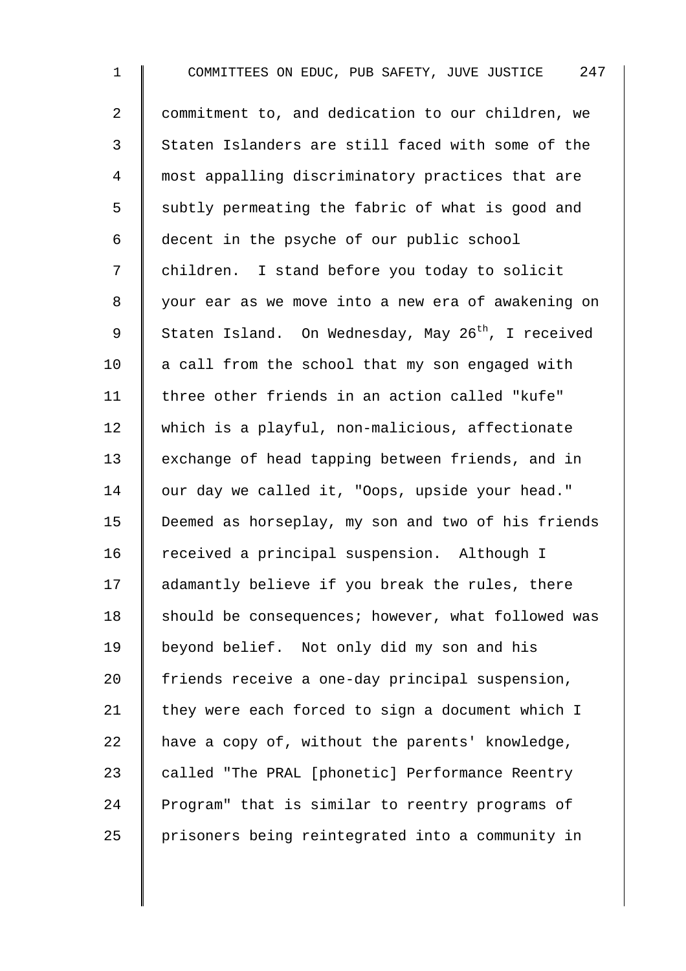1 COMMITTEES ON EDUC, PUB SAFETY, JUVE JUSTICE 247 2 | commitment to, and dedication to our children, we 3 Staten Islanders are still faced with some of the 4 most appalling discriminatory practices that are 5 Subtly permeating the fabric of what is good and 6 decent in the psyche of our public school 7 | children. I stand before you today to solicit 8 | your ear as we move into a new era of awakening on 9 Staten Island. On Wednesday, May  $26^{th}$ , I received  $10$  a call from the school that my son engaged with 11 | three other friends in an action called "kufe" 12 which is a playful, non-malicious, affectionate 13 exchange of head tapping between friends, and in 14 our day we called it, "Oops, upside your head." 15 Deemed as horseplay, my son and two of his friends 16 received a principal suspension. Although I 17 adamantly believe if you break the rules, there 18 | should be consequences; however, what followed was 19 | beyond belief. Not only did my son and his 20 friends receive a one-day principal suspension, 21  $\parallel$  they were each forced to sign a document which I 22  $\parallel$  have a copy of, without the parents' knowledge, 23 called "The PRAL [phonetic] Performance Reentry 24 Program" that is similar to reentry programs of 25 | prisoners being reintegrated into a community in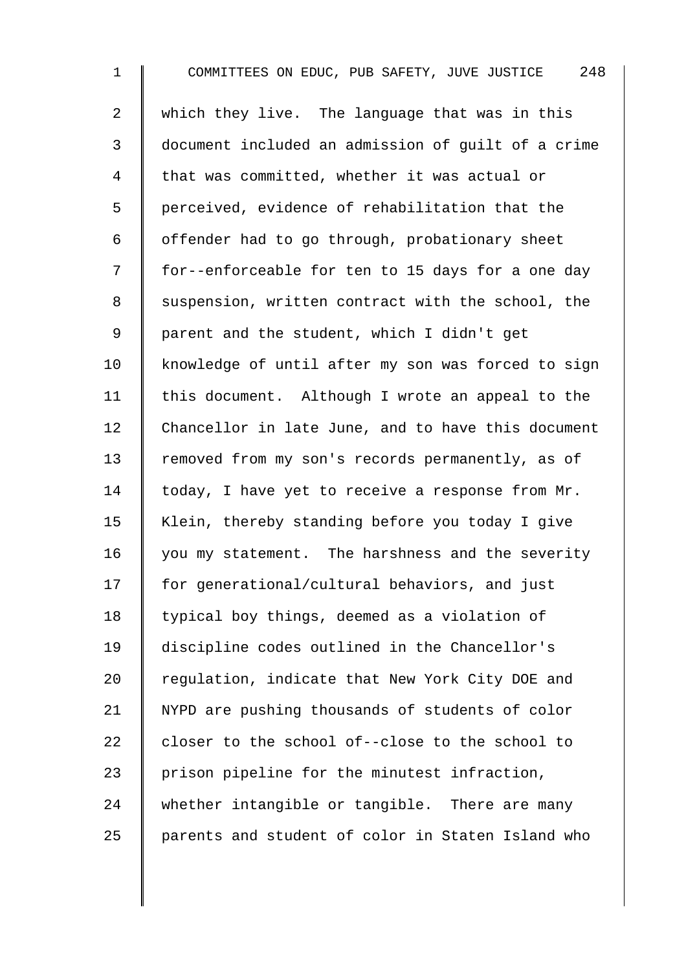1 COMMITTEES ON EDUC, PUB SAFETY, JUVE JUSTICE 248 2 which they live. The language that was in this 3 document included an admission of guilt of a crime 4 | that was committed, whether it was actual or 5 | perceived, evidence of rehabilitation that the  $6 \parallel$  offender had to go through, probationary sheet 7 | for--enforceable for ten to 15 days for a one day 8 Suspension, written contract with the school, the 9 | parent and the student, which I didn't get 10 knowledge of until after my son was forced to sign 11 | this document. Although I wrote an appeal to the 12 Chancellor in late June, and to have this document 13 Temoved from my son's records permanently, as of 14  $\parallel$  today, I have yet to receive a response from Mr. 15 | Klein, thereby standing before you today I give  $16$  you my statement. The harshness and the severity 17 | for generational/cultural behaviors, and just 18 | typical boy things, deemed as a violation of 19 discipline codes outlined in the Chancellor's 20  $\parallel$  regulation, indicate that New York City DOE and 21 | NYPD are pushing thousands of students of color  $22$  decloser to the school of--close to the school to 23  $\parallel$  prison pipeline for the minutest infraction,  $24$  whether intangible or tangible. There are many 25 | parents and student of color in Staten Island who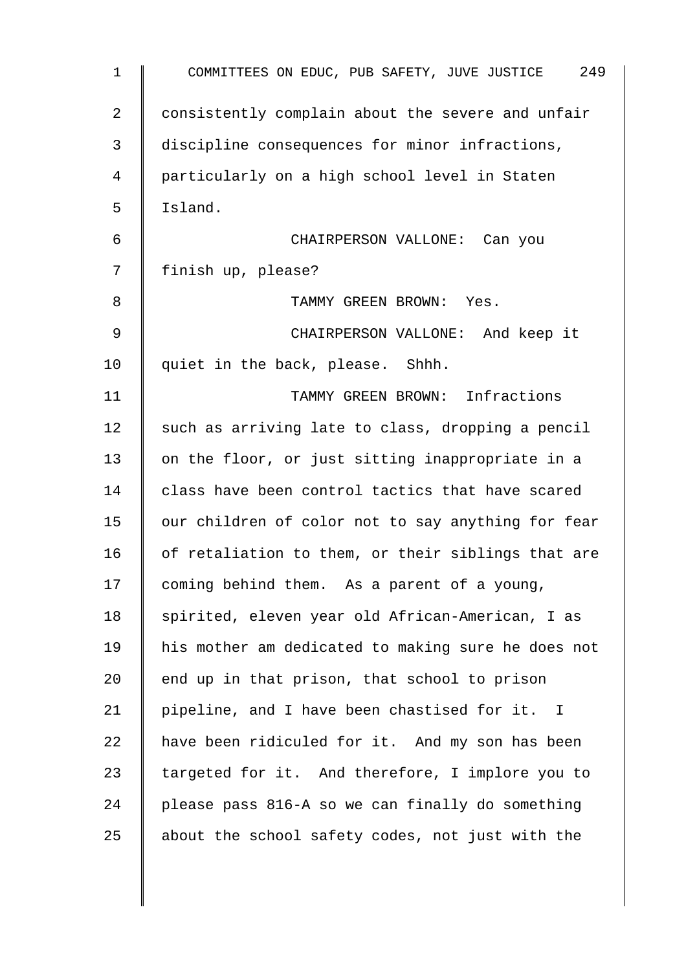| 1  | COMMITTEES ON EDUC, PUB SAFETY, JUVE JUSTICE 249   |
|----|----------------------------------------------------|
| 2  | consistently complain about the severe and unfair  |
| 3  | discipline consequences for minor infractions,     |
| 4  | particularly on a high school level in Staten      |
| 5  | Island.                                            |
| 6  | CHAIRPERSON VALLONE: Can you                       |
| 7  | finish up, please?                                 |
| 8  | TAMMY GREEN BROWN: Yes.                            |
| 9  | CHAIRPERSON VALLONE: And keep it                   |
| 10 | quiet in the back, please. Shhh.                   |
| 11 | TAMMY GREEN BROWN: Infractions                     |
| 12 | such as arriving late to class, dropping a pencil  |
| 13 | on the floor, or just sitting inappropriate in a   |
| 14 | class have been control tactics that have scared   |
| 15 | our children of color not to say anything for fear |
| 16 | of retaliation to them, or their siblings that are |
| 17 | coming behind them. As a parent of a young,        |
| 18 | spirited, eleven year old African-American, I as   |
| 19 | his mother am dedicated to making sure he does not |
| 20 | end up in that prison, that school to prison       |
| 21 | pipeline, and I have been chastised for it. I      |
| 22 | have been ridiculed for it. And my son has been    |
| 23 | targeted for it. And therefore, I implore you to   |
| 24 | please pass 816-A so we can finally do something   |
| 25 | about the school safety codes, not just with the   |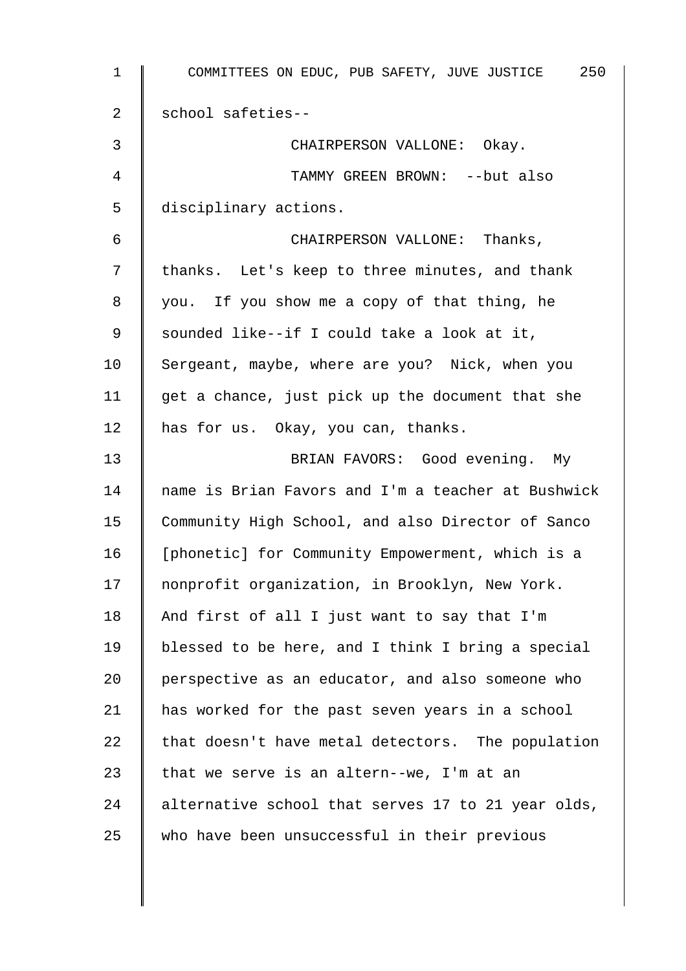| 1  | 250<br>COMMITTEES ON EDUC, PUB SAFETY, JUVE JUSTICE |
|----|-----------------------------------------------------|
| 2  | school safeties--                                   |
| 3  | CHAIRPERSON VALLONE: Okay.                          |
| 4  | TAMMY GREEN BROWN: --but also                       |
| 5  | disciplinary actions.                               |
| 6  | CHAIRPERSON VALLONE: Thanks,                        |
| 7  | thanks. Let's keep to three minutes, and thank      |
| 8  | you. If you show me a copy of that thing, he        |
| 9  | sounded like--if I could take a look at it,         |
| 10 | Sergeant, maybe, where are you? Nick, when you      |
| 11 | get a chance, just pick up the document that she    |
| 12 | has for us. Okay, you can, thanks.                  |
| 13 | BRIAN FAVORS: Good evening. My                      |
| 14 | name is Brian Favors and I'm a teacher at Bushwick  |
| 15 | Community High School, and also Director of Sanco   |
| 16 | [phonetic] for Community Empowerment, which is a    |
| 17 | nonprofit organization, in Brooklyn, New York.      |
| 18 | And first of all I just want to say that I'm        |
| 19 | blessed to be here, and I think I bring a special   |
| 20 | perspective as an educator, and also someone who    |
| 21 | has worked for the past seven years in a school     |
| 22 | that doesn't have metal detectors. The population   |
| 23 | that we serve is an altern--we, I'm at an           |
| 24 | alternative school that serves 17 to 21 year olds,  |
| 25 | who have been unsuccessful in their previous        |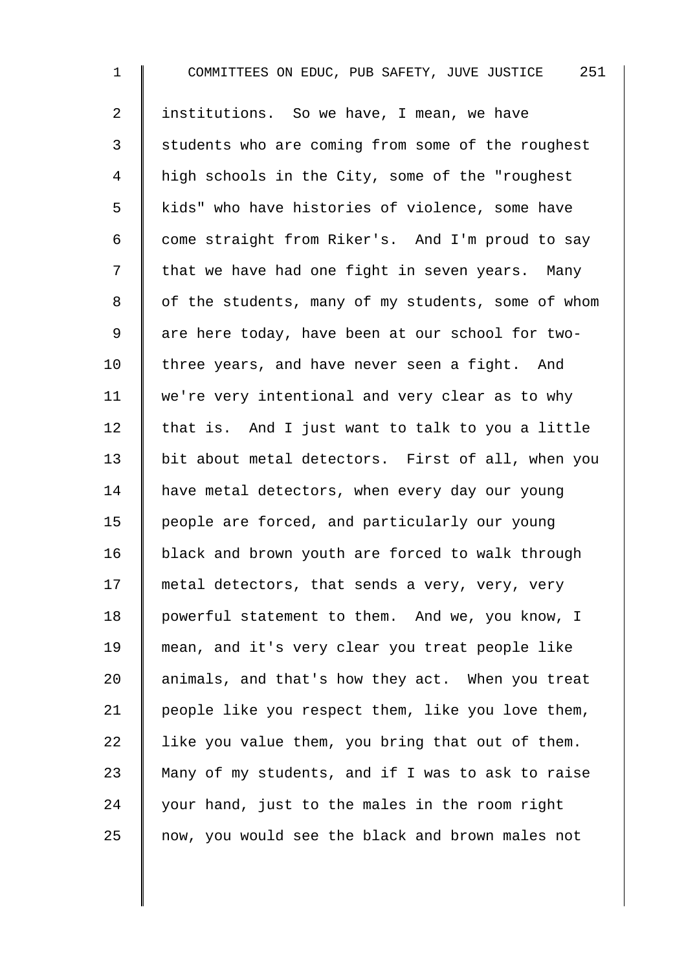1 COMMITTEES ON EDUC, PUB SAFETY, JUVE JUSTICE 251 2 I institutions. So we have, I mean, we have 3 Students who are coming from some of the roughest 4 | high schools in the City, some of the "roughest 5 | kids" who have histories of violence, some have 6 come straight from Riker's. And I'm proud to say  $7 \parallel$  that we have had one fight in seven years. Many 8 | of the students, many of my students, some of whom 9 are here today, have been at our school for two-10  $\parallel$  three years, and have never seen a fight. And 11 | we're very intentional and very clear as to why  $12$  that is. And I just want to talk to you a little 13 | bit about metal detectors. First of all, when you 14 | have metal detectors, when every day our young 15 | people are forced, and particularly our young 16 black and brown youth are forced to walk through 17 | metal detectors, that sends a very, very, very 18 | powerful statement to them. And we, you know, I 19 mean, and it's very clear you treat people like 20  $\parallel$  animals, and that's how they act. When you treat 21 | people like you respect them, like you love them, 22  $\parallel$  like you value them, you bring that out of them. 23  $\parallel$  Many of my students, and if I was to ask to raise  $24$  | your hand, just to the males in the room right 25 | now, you would see the black and brown males not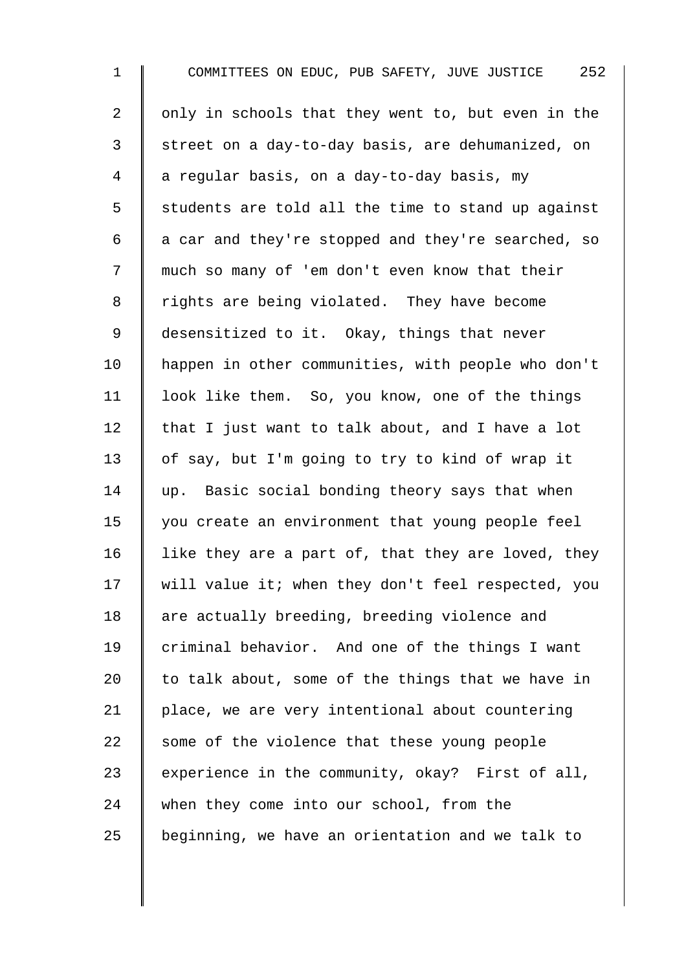1 COMMITTEES ON EDUC, PUB SAFETY, JUVE JUSTICE 252 2  $\parallel$  only in schools that they went to, but even in the 3 Street on a day-to-day basis, are dehumanized, on 4 a regular basis, on a day-to-day basis, my  $5 \parallel$  students are told all the time to stand up against 6  $\parallel$  a car and they're stopped and they're searched, so 7 || much so many of 'em don't even know that their 8 Trights are being violated. They have become 9 desensitized to it. Okay, things that never 10 | happen in other communities, with people who don't 11 | look like them. So, you know, one of the things 12  $\parallel$  that I just want to talk about, and I have a lot 13 of say, but I'm going to try to kind of wrap it 14 up. Basic social bonding theory says that when 15 | you create an environment that young people feel 16  $\parallel$  like they are a part of, that they are loved, they 17 will value it; when they don't feel respected, you 18 are actually breeding, breeding violence and 19 criminal behavior. And one of the things I want 20  $\parallel$  to talk about, some of the things that we have in 21 | place, we are very intentional about countering  $22$  some of the violence that these young people 23 experience in the community, okay? First of all, 24 when they come into our school, from the  $25$  beginning, we have an orientation and we talk to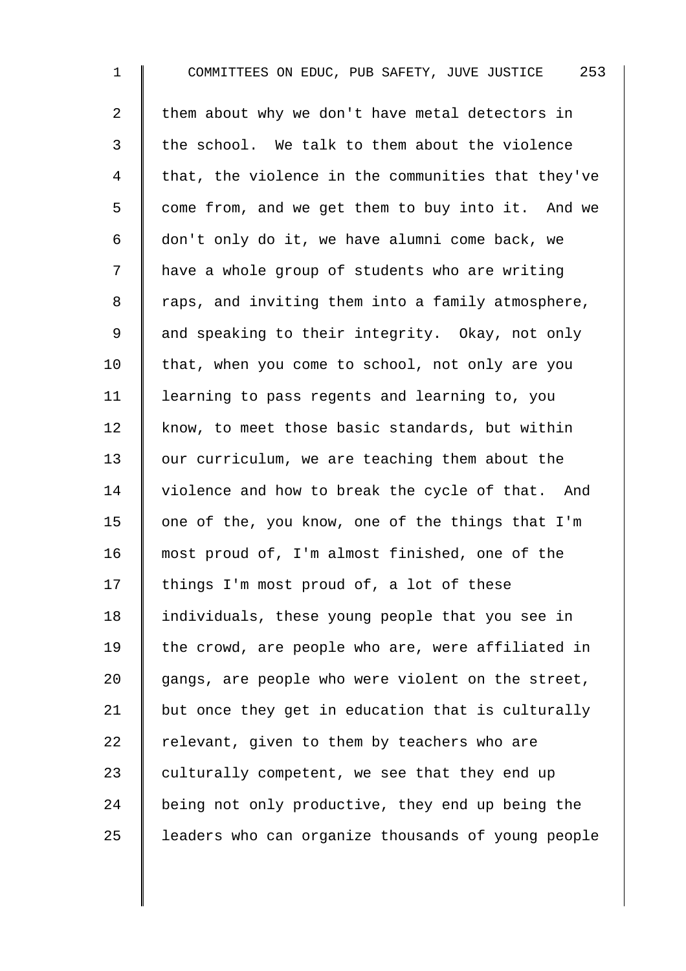1 COMMITTEES ON EDUC, PUB SAFETY, JUVE JUSTICE 253 2 them about why we don't have metal detectors in  $3 \parallel$  the school. We talk to them about the violence  $4 \parallel$  that, the violence in the communities that they've 5 | come from, and we get them to buy into it. And we 6  $\parallel$  don't only do it, we have alumni come back, we 7 | have a whole group of students who are writing 8 | raps, and inviting them into a family atmosphere, 9 and speaking to their integrity. Okay, not only  $10$  | that, when you come to school, not only are you 11 | learning to pass regents and learning to, you 12 know, to meet those basic standards, but within 13 our curriculum, we are teaching them about the 14 violence and how to break the cycle of that. And 15  $\parallel$  one of the, you know, one of the things that I'm 16 most proud of, I'm almost finished, one of the 17 | things I'm most proud of, a lot of these 18 | individuals, these young people that you see in 19  $\parallel$  the crowd, are people who are, were affiliated in  $20$  gangs, are people who were violent on the street, 21  $\parallel$  but once they get in education that is culturally 22  $\parallel$  relevant, given to them by teachers who are 23 culturally competent, we see that they end up 24 being not only productive, they end up being the 25 | leaders who can organize thousands of young people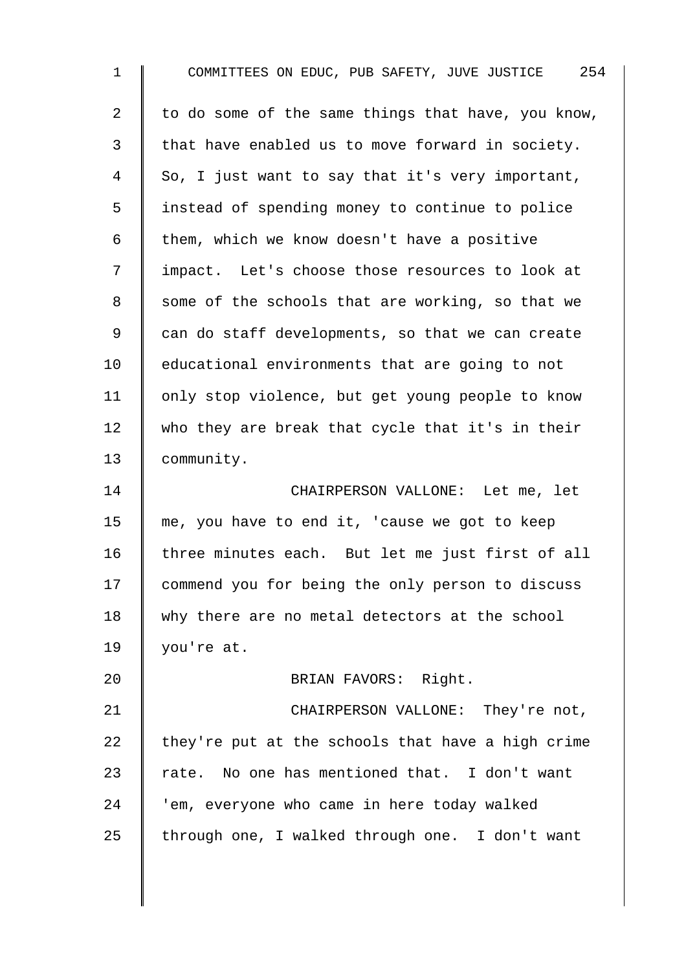| $\mathbf 1$ | COMMITTEES ON EDUC, PUB SAFETY, JUVE JUSTICE 254   |
|-------------|----------------------------------------------------|
| 2           | to do some of the same things that have, you know, |
| 3           | that have enabled us to move forward in society.   |
| 4           | So, I just want to say that it's very important,   |
| 5           | instead of spending money to continue to police    |
| 6           | them, which we know doesn't have a positive        |
| 7           | impact. Let's choose those resources to look at    |
| 8           | some of the schools that are working, so that we   |
| 9           | can do staff developments, so that we can create   |
| 10          | educational environments that are going to not     |
| 11          | only stop violence, but get young people to know   |
| 12          | who they are break that cycle that it's in their   |
| 13          | community.                                         |
| 14          | CHAIRPERSON VALLONE: Let me, let                   |
| 15          | me, you have to end it, 'cause we got to keep      |
| 16          | three minutes each. But let me just first of all   |
| 17          | commend you for being the only person to discuss   |
| 18          | why there are no metal detectors at the school     |
| 19          | you're at.                                         |
| 20          | BRIAN FAVORS: Right.                               |
| 21          | CHAIRPERSON VALLONE: They're not,                  |
| 22          | they're put at the schools that have a high crime  |
| 23          | rate. No one has mentioned that. I don't want      |
| 24          | 'em, everyone who came in here today walked        |
| 25          | through one, I walked through one. I don't want    |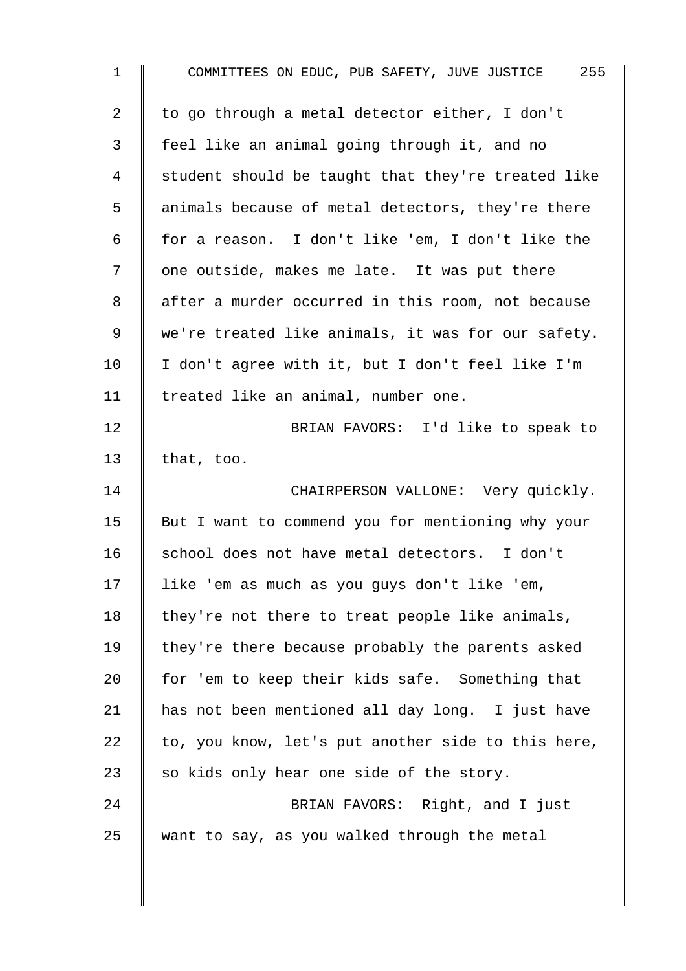| $\mathbf 1$    | COMMITTEES ON EDUC, PUB SAFETY, JUVE JUSTICE 255   |
|----------------|----------------------------------------------------|
| $\overline{2}$ | to go through a metal detector either, I don't     |
| 3              | feel like an animal going through it, and no       |
| 4              | student should be taught that they're treated like |
| 5              | animals because of metal detectors, they're there  |
| 6              | for a reason. I don't like 'em, I don't like the   |
| 7              | one outside, makes me late. It was put there       |
| 8              | after a murder occurred in this room, not because  |
| 9              | we're treated like animals, it was for our safety. |
| 10             | I don't agree with it, but I don't feel like I'm   |
| 11             | treated like an animal, number one.                |
| 12             | BRIAN FAVORS: I'd like to speak to                 |
| 13             | that, too.                                         |
| 14             | CHAIRPERSON VALLONE: Very quickly.                 |
| 15             | But I want to commend you for mentioning why your  |
| 16             | school does not have metal detectors. I don't      |
| 17             | like 'em as much as you guys don't like 'em,       |
| 18             | they're not there to treat people like animals,    |
| 19             | they're there because probably the parents asked   |
| 20             | for 'em to keep their kids safe. Something that    |
| 21             | has not been mentioned all day long. I just have   |
| 22             | to, you know, let's put another side to this here, |
| 23             | so kids only hear one side of the story.           |
| 24             | BRIAN FAVORS: Right, and I just                    |
| 25             | want to say, as you walked through the metal       |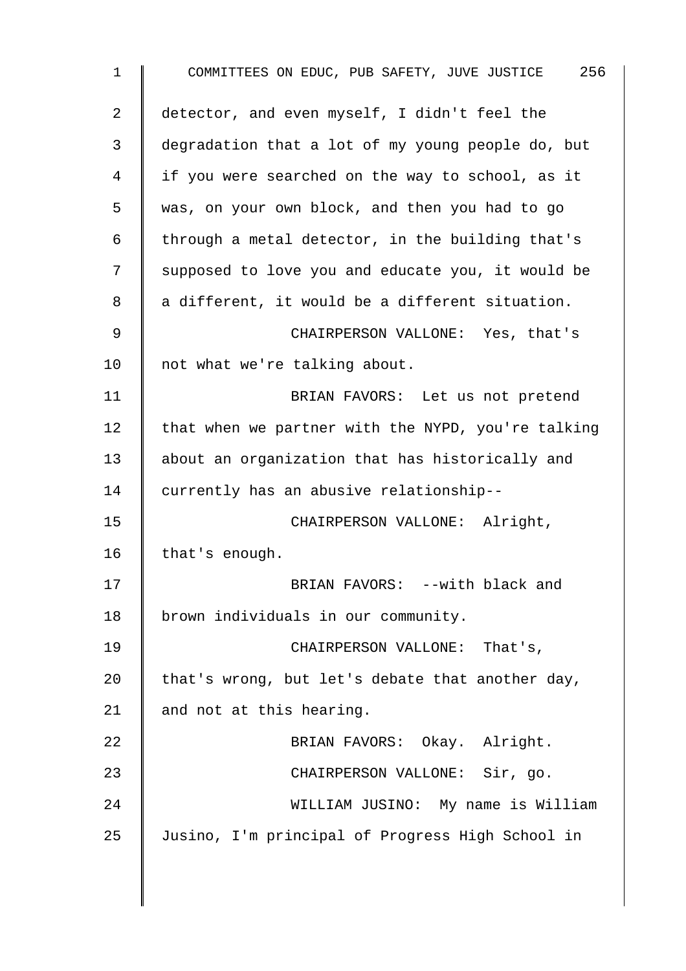1 COMMITTEES ON EDUC, PUB SAFETY, JUVE JUSTICE 256 2 detector, and even myself, I didn't feel the 3 degradation that a lot of my young people do, but 4 | if you were searched on the way to school, as it 5 was, on your own block, and then you had to go 6 | through a metal detector, in the building that's 7 | supposed to love you and educate you, it would be  $8 \parallel a$  different, it would be a different situation. 9 CHAIRPERSON VALLONE: Yes, that's 10 || not what we're talking about. 11 | RRIAN FAVORS: Let us not pretend 12  $\parallel$  that when we partner with the NYPD, you're talking 13 about an organization that has historically and 14 currently has an abusive relationship-- 15 | CHAIRPERSON VALLONE: Alright, 16 | that's enough. 17 | BRIAN FAVORS: --with black and 18 | brown individuals in our community. 19 | CHAIRPERSON VALLONE: That's, 20  $\parallel$  that's wrong, but let's debate that another day, 21  $\parallel$  and not at this hearing. 22 BRIAN FAVORS: Okay. Alright. 23 || CHAIRPERSON VALLONE: Sir, go. 24 WILLIAM JUSINO: My name is William 25 Jusino, I'm principal of Progress High School in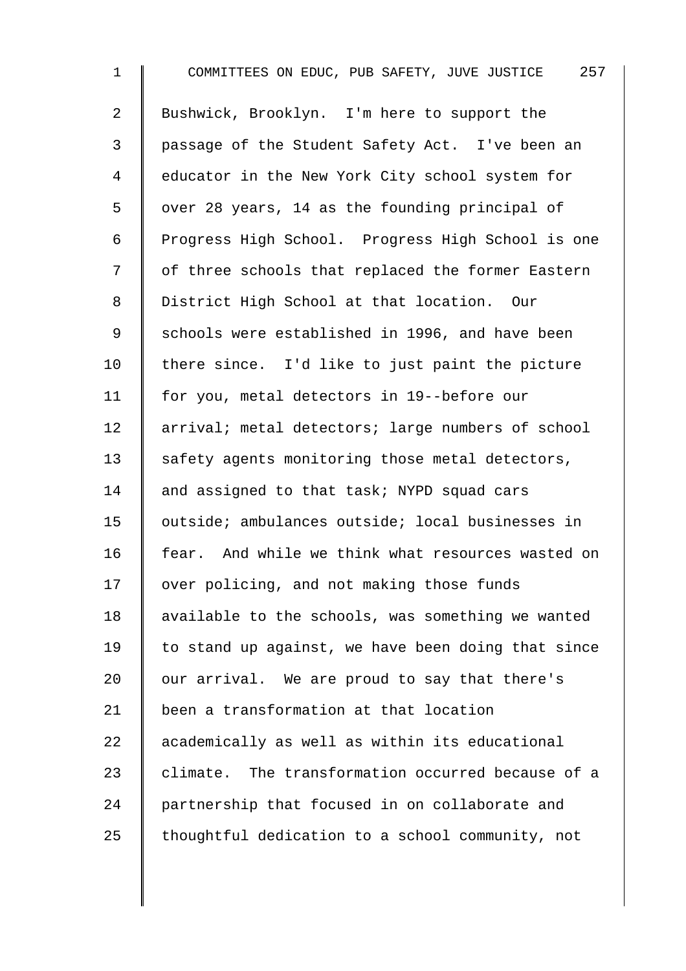1 COMMITTEES ON EDUC, PUB SAFETY, JUVE JUSTICE 257 2 Bushwick, Brooklyn. I'm here to support the 3 passage of the Student Safety Act. I've been an 4 educator in the New York City school system for 5  $\parallel$  over 28 years, 14 as the founding principal of 6 | Progress High School. Progress High School is one 7 | of three schools that replaced the former Eastern 8 District High School at that location. Our 9 | schools were established in 1996, and have been  $10$  there since. I'd like to just paint the picture 11 | for you, metal detectors in 19--before our 12 | arrival; metal detectors; large numbers of school 13 safety agents monitoring those metal detectors, 14 and assigned to that task; NYPD squad cars 15 outside; ambulances outside; local businesses in 16 fear. And while we think what resources wasted on 17 | over policing, and not making those funds 18 available to the schools, was something we wanted 19  $\parallel$  to stand up against, we have been doing that since 20  $\parallel$  our arrival. We are proud to say that there's 21 been a transformation at that location 22 academically as well as within its educational  $23$  delimate. The transformation occurred because of a 24 partnership that focused in on collaborate and 25  $\parallel$  thoughtful dedication to a school community, not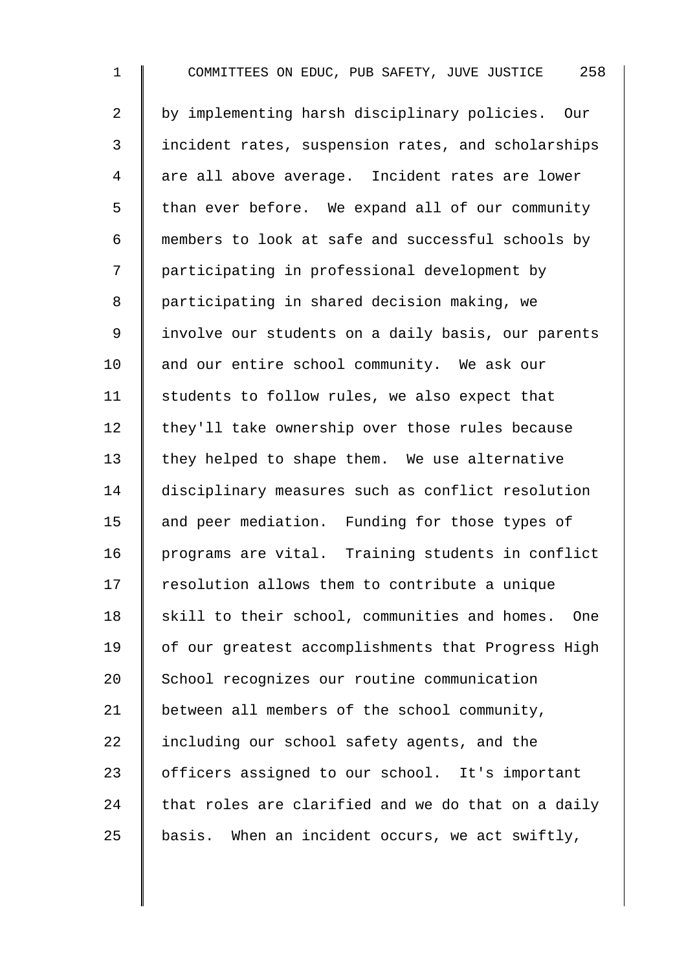1 COMMITTEES ON EDUC, PUB SAFETY, JUVE JUSTICE 258 2 | by implementing harsh disciplinary policies. Our 3 I incident rates, suspension rates, and scholarships 4 are all above average. Incident rates are lower  $5 \parallel$  than ever before. We expand all of our community 6 members to look at safe and successful schools by 7 participating in professional development by 8 | participating in shared decision making, we 9 | involve our students on a daily basis, our parents 10 and our entire school community. We ask our 11  $\parallel$  students to follow rules, we also expect that  $12$  they'll take ownership over those rules because  $13$  they helped to shape them. We use alternative 14 disciplinary measures such as conflict resolution 15 and peer mediation. Funding for those types of 16 programs are vital. Training students in conflict  $17$   $\parallel$  resolution allows them to contribute a unique  $18$  skill to their school, communities and homes. One 19 | of our greatest accomplishments that Progress High 20 School recognizes our routine communication 21 | between all members of the school community,  $22$  including our school safety agents, and the 23 | officers assigned to our school. It's important 24  $\parallel$  that roles are clarified and we do that on a daily  $25$  basis. When an incident occurs, we act swiftly,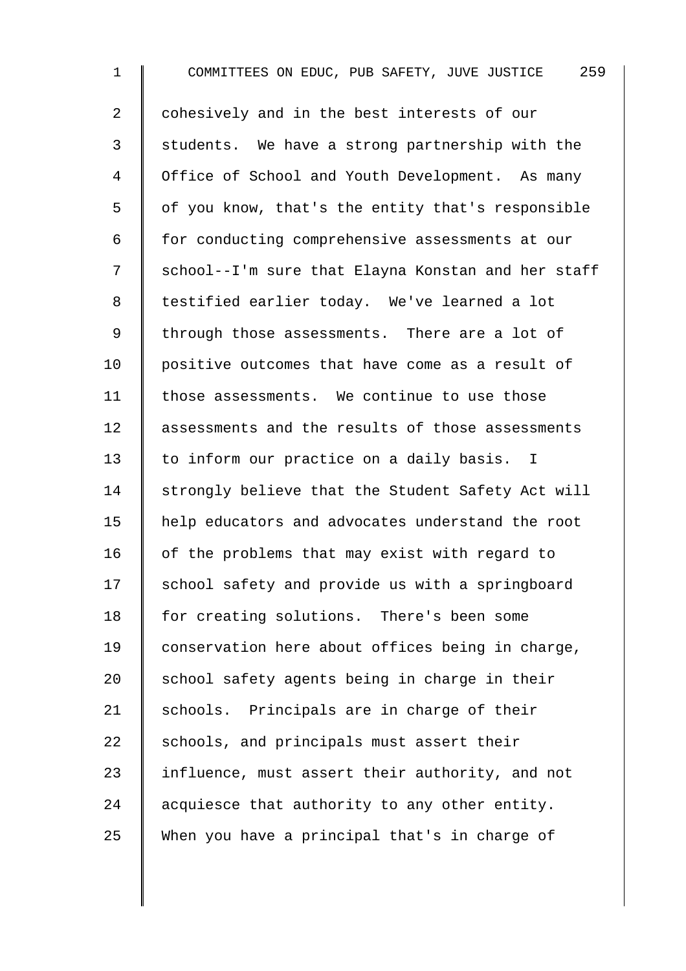1 COMMITTEES ON EDUC, PUB SAFETY, JUVE JUSTICE 259 2 | cohesively and in the best interests of our 3 Students. We have a strong partnership with the 4 | Office of School and Youth Development. As many  $5 \parallel$  of you know, that's the entity that's responsible 6 for conducting comprehensive assessments at our 7 School--I'm sure that Elayna Konstan and her staff 8 || testified earlier today. We've learned a lot 9 | through those assessments. There are a lot of 10 | positive outcomes that have come as a result of 11 | those assessments. We continue to use those 12 assessments and the results of those assessments 13 to inform our practice on a daily basis. I 14 | strongly believe that the Student Safety Act will 15 help educators and advocates understand the root 16  $\parallel$  of the problems that may exist with regard to 17 | school safety and provide us with a springboard 18 for creating solutions. There's been some 19 conservation here about offices being in charge, 20  $\parallel$  school safety agents being in charge in their 21 Schools. Principals are in charge of their  $22$  schools, and principals must assert their 23 | influence, must assert their authority, and not 24  $\parallel$  acquiesce that authority to any other entity. 25 When you have a principal that's in charge of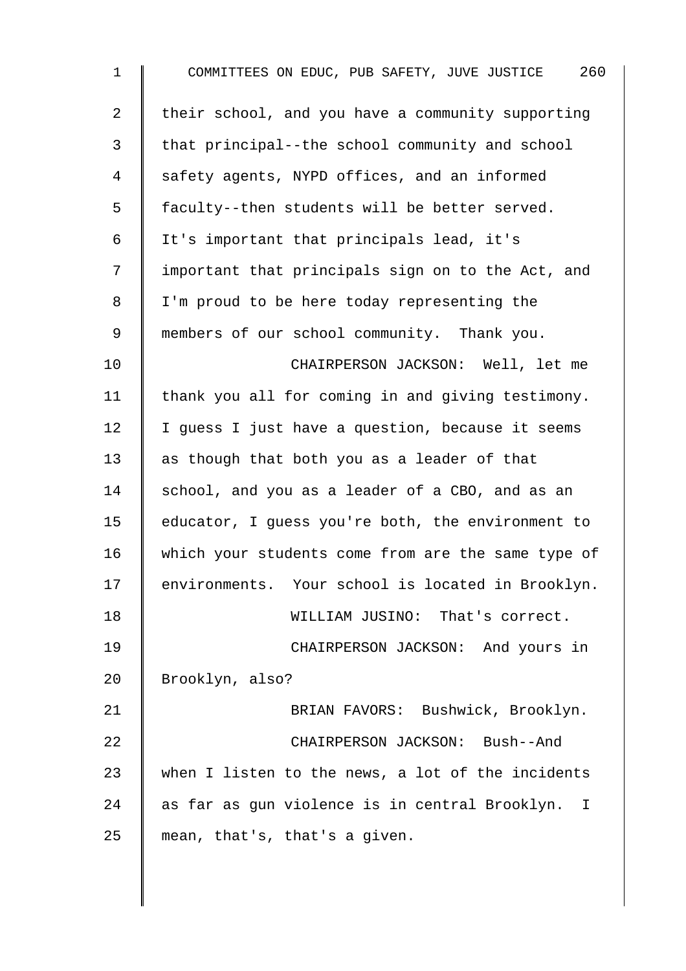| $\mathbf 1$    | 260<br>COMMITTEES ON EDUC, PUB SAFETY, JUVE JUSTICE |
|----------------|-----------------------------------------------------|
| $\overline{2}$ | their school, and you have a community supporting   |
| 3              | that principal--the school community and school     |
| 4              | safety agents, NYPD offices, and an informed        |
| 5              | faculty--then students will be better served.       |
| 6              | It's important that principals lead, it's           |
| 7              | important that principals sign on to the Act, and   |
| 8              | I'm proud to be here today representing the         |
| 9              | members of our school community. Thank you.         |
| 10             | CHAIRPERSON JACKSON: Well, let me                   |
| 11             | thank you all for coming in and giving testimony.   |
| 12             | I guess I just have a question, because it seems    |
| 13             | as though that both you as a leader of that         |
| 14             | school, and you as a leader of a CBO, and as an     |
| 15             | educator, I guess you're both, the environment to   |
| 16             | which your students come from are the same type of  |
| 17             | environments. Your school is located in Brooklyn.   |
| 18             | WILLIAM JUSINO: That's correct.                     |
| 19             | CHAIRPERSON JACKSON: And yours in                   |
| 20             | Brooklyn, also?                                     |
| 21             | BRIAN FAVORS: Bushwick, Brooklyn.                   |
| 22             | CHAIRPERSON JACKSON: Bush--And                      |
| 23             | when I listen to the news, a lot of the incidents   |
| 24             | as far as gun violence is in central Brooklyn. I    |
| 25             | mean, that's, that's a given.                       |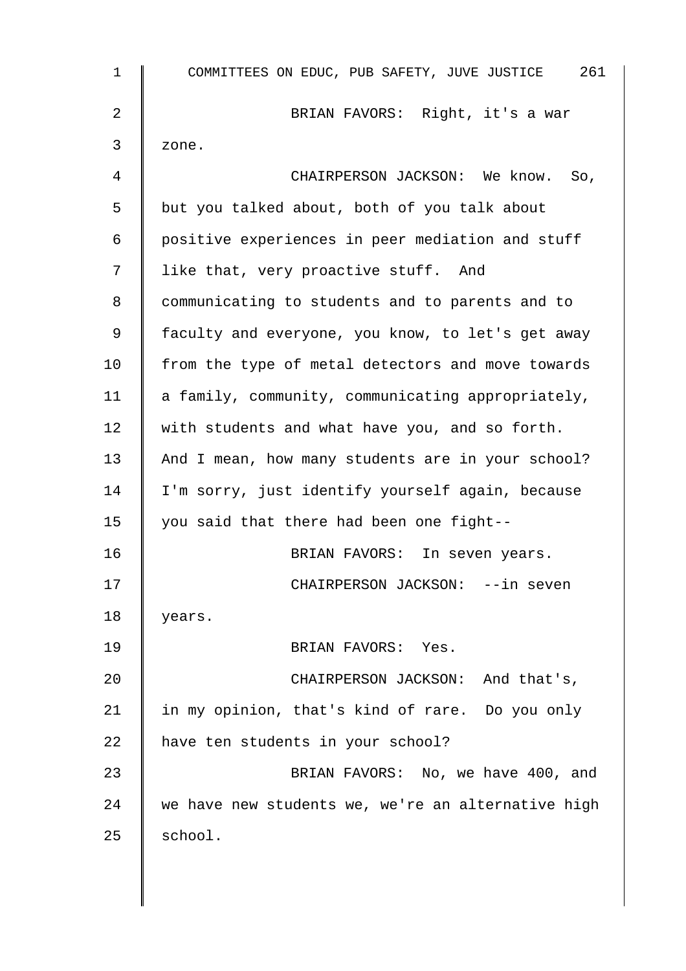| 1  | COMMITTEES ON EDUC, PUB SAFETY, JUVE JUSTICE 261   |
|----|----------------------------------------------------|
| 2  | BRIAN FAVORS: Right, it's a war                    |
| 3  | zone.                                              |
| 4  | CHAIRPERSON JACKSON: We know. So,                  |
| 5  | but you talked about, both of you talk about       |
| 6  | positive experiences in peer mediation and stuff   |
| 7  | like that, very proactive stuff. And               |
| 8  | communicating to students and to parents and to    |
| 9  | faculty and everyone, you know, to let's get away  |
| 10 | from the type of metal detectors and move towards  |
| 11 | a family, community, communicating appropriately,  |
| 12 | with students and what have you, and so forth.     |
| 13 | And I mean, how many students are in your school?  |
| 14 | I'm sorry, just identify yourself again, because   |
| 15 | you said that there had been one fight--           |
| 16 | BRIAN FAVORS: In seven years.                      |
| 17 | CHAIRPERSON JACKSON: --in seven                    |
| 18 | years.                                             |
| 19 | BRIAN FAVORS: Yes.                                 |
| 20 | CHAIRPERSON JACKSON: And that's,                   |
| 21 | in my opinion, that's kind of rare. Do you only    |
| 22 | have ten students in your school?                  |
| 23 | BRIAN FAVORS: No, we have 400, and                 |
| 24 | we have new students we, we're an alternative high |
| 25 | school.                                            |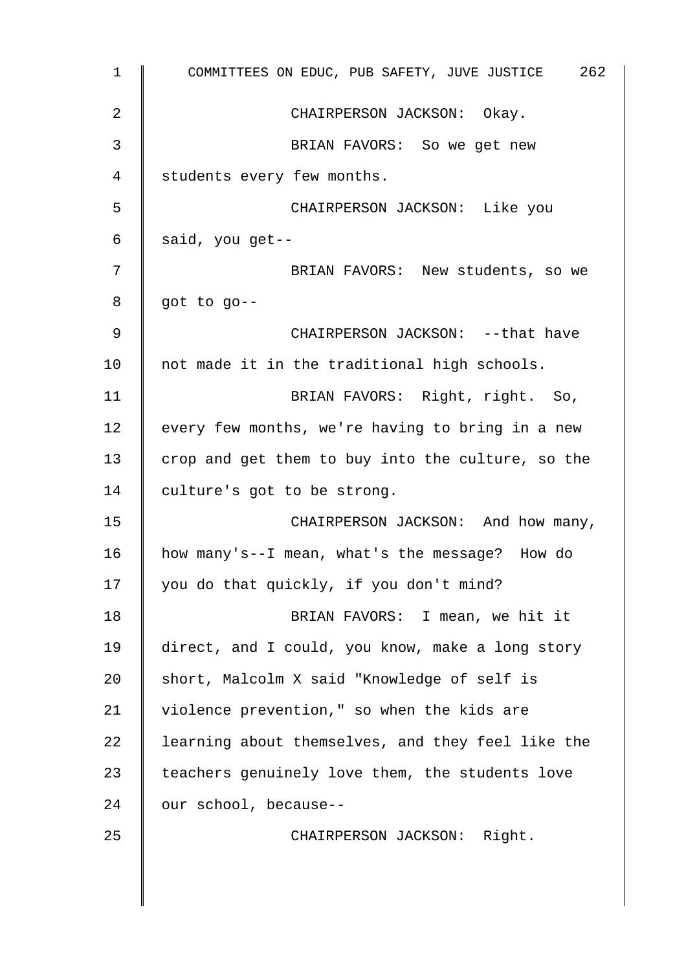| $\mathbf 1$ | COMMITTEES ON EDUC, PUB SAFETY, JUVE JUSTICE 262  |
|-------------|---------------------------------------------------|
| 2           | CHAIRPERSON JACKSON: Okay.                        |
| 3           | BRIAN FAVORS: So we get new                       |
| 4           | students every few months.                        |
| 5           | CHAIRPERSON JACKSON: Like you                     |
| 6           | said, you get--                                   |
| 7           | BRIAN FAVORS: New students, so we                 |
| 8           | got to go--                                       |
| 9           | CHAIRPERSON JACKSON: -- that have                 |
| 10          | not made it in the traditional high schools.      |
| 11          | BRIAN FAVORS: Right, right. So,                   |
| 12          | every few months, we're having to bring in a new  |
| 13          | crop and get them to buy into the culture, so the |
| 14          | culture's got to be strong.                       |
| 15          | CHAIRPERSON JACKSON: And how many,                |
| 16          | how many's--I mean, what's the message? How do    |
| 17          | you do that quickly, if you don't mind?           |
| 18          | BRIAN FAVORS: I mean, we hit it                   |
| 19          | direct, and I could, you know, make a long story  |
| 20          | short, Malcolm X said "Knowledge of self is       |
| 21          | violence prevention," so when the kids are        |
| 22          | learning about themselves, and they feel like the |
| 23          | teachers genuinely love them, the students love   |
| 24          | our school, because--                             |
| 25          | CHAIRPERSON JACKSON: Right.                       |
|             |                                                   |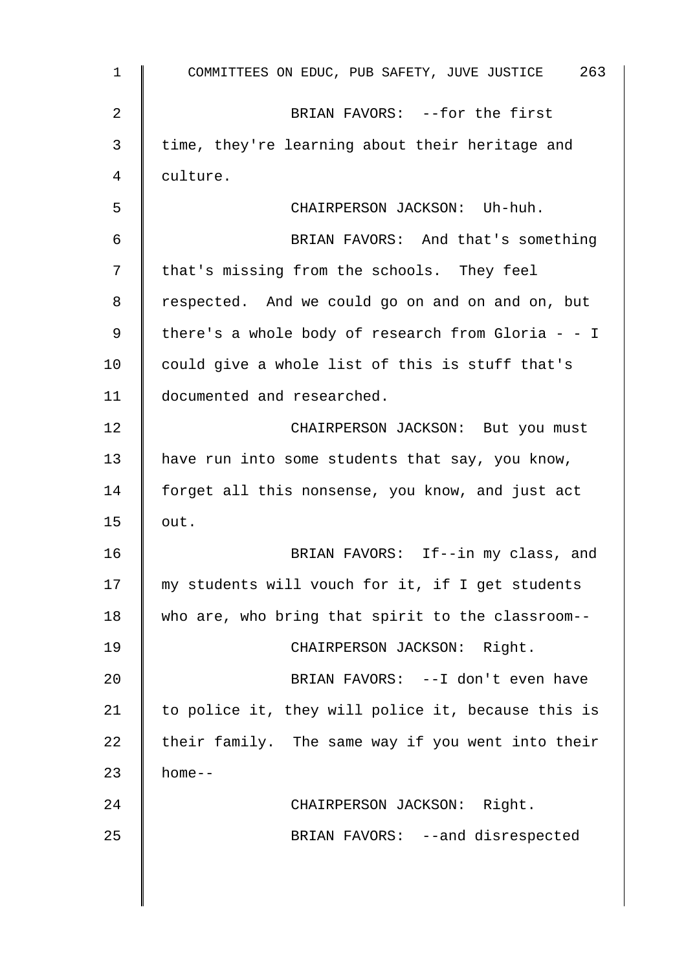| $\mathbf 1$ | COMMITTEES ON EDUC, PUB SAFETY, JUVE JUSTICE 263   |
|-------------|----------------------------------------------------|
| 2           | BRIAN FAVORS: --for the first                      |
| 3           | time, they're learning about their heritage and    |
| 4           | culture.                                           |
| 5           | CHAIRPERSON JACKSON: Uh-huh.                       |
| 6           | BRIAN FAVORS: And that's something                 |
| 7           | that's missing from the schools. They feel         |
| 8           | respected. And we could go on and on and on, but   |
| 9           | there's a whole body of research from Gloria - - I |
| 10          | could give a whole list of this is stuff that's    |
| 11          | documented and researched.                         |
| 12          | CHAIRPERSON JACKSON: But you must                  |
| 13          | have run into some students that say, you know,    |
| 14          | forget all this nonsense, you know, and just act   |
| 15          | out.                                               |
| 16          | BRIAN FAVORS: If--in my class, and                 |
| 17          | my students will vouch for it, if I get students   |
| 18          | who are, who bring that spirit to the classroom--  |
| 19          | CHAIRPERSON JACKSON: Right.                        |
| 20          | BRIAN FAVORS: -- I don't even have                 |
| 21          | to police it, they will police it, because this is |
| 22          | their family. The same way if you went into their  |
| 23          | $home--$                                           |
| 24          | CHAIRPERSON JACKSON: Right.                        |
| 25          | BRIAN FAVORS: -- and disrespected                  |
|             |                                                    |
|             |                                                    |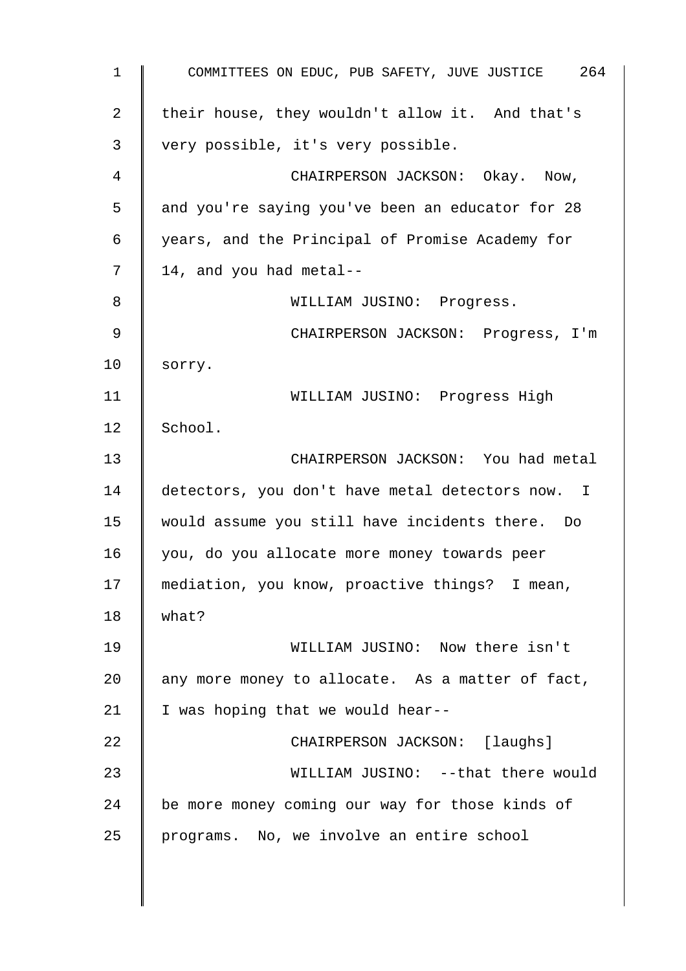1 COMMITTEES ON EDUC, PUB SAFETY, JUVE JUSTICE 264 2  $\parallel$  their house, they wouldn't allow it. And that's 3 very possible, it's very possible. 4 **Fig. 2** CHAIRPERSON JACKSON: Okay. Now, 5 and you're saying you've been an educator for 28 6 years, and the Principal of Promise Academy for  $7 \parallel 14$ , and you had metal--8 || WILLIAM JUSINO: Progress. 9 || CHAIRPERSON JACKSON: Progress, I'm 10 sorry. 11 WILLIAM JUSINO: Progress High 12  $|$  School. 13 CHAIRPERSON JACKSON: You had metal  $14$  detectors, you don't have metal detectors now. I 15 would assume you still have incidents there. Do 16 you, do you allocate more money towards peer 17 | mediation, you know, proactive things? I mean,  $18$  what? 19 WILLIAM JUSINO: Now there isn't 20  $\parallel$  any more money to allocate. As a matter of fact, 21  $\parallel$  I was hoping that we would hear--22 **CHAIRPERSON JACKSON:** [laughs] 23 || WILLIAM JUSINO: --that there would 24 be more money coming our way for those kinds of 25 programs. No, we involve an entire school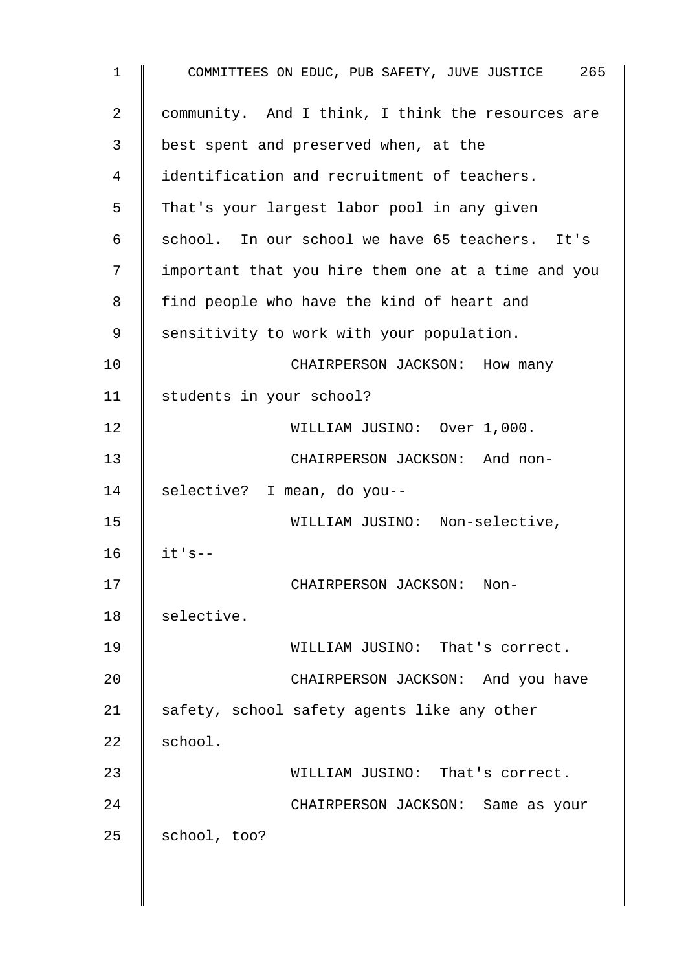| $\mathbf 1$ | COMMITTEES ON EDUC, PUB SAFETY, JUVE JUSTICE 265   |
|-------------|----------------------------------------------------|
| 2           | community. And I think, I think the resources are  |
| 3           | best spent and preserved when, at the              |
| 4           | identification and recruitment of teachers.        |
| 5           | That's your largest labor pool in any given        |
| 6           | school. In our school we have 65 teachers. It's    |
| 7           | important that you hire them one at a time and you |
| 8           | find people who have the kind of heart and         |
| 9           | sensitivity to work with your population.          |
| 10          | CHAIRPERSON JACKSON: How many                      |
| 11          | students in your school?                           |
| 12          | WILLIAM JUSINO: Over 1,000.                        |
| 13          | CHAIRPERSON JACKSON: And non-                      |
| 14          | selective? I mean, do you--                        |
| 15          | WILLIAM JUSINO: Non-selective,                     |
| 16          | $it's --$                                          |
| 17          | CHAIRPERSON JACKSON: Non-                          |
| 18          | selective.                                         |
| 19          | WILLIAM JUSINO: That's correct.                    |
| 20          | CHAIRPERSON JACKSON: And you have                  |
| 21          | safety, school safety agents like any other        |
| 22          | school.                                            |
| 23          | WILLIAM JUSINO: That's correct.                    |
| 24          | CHAIRPERSON JACKSON: Same as your                  |
| 25          | school, too?                                       |
|             |                                                    |

 $\overline{\phantom{a}}$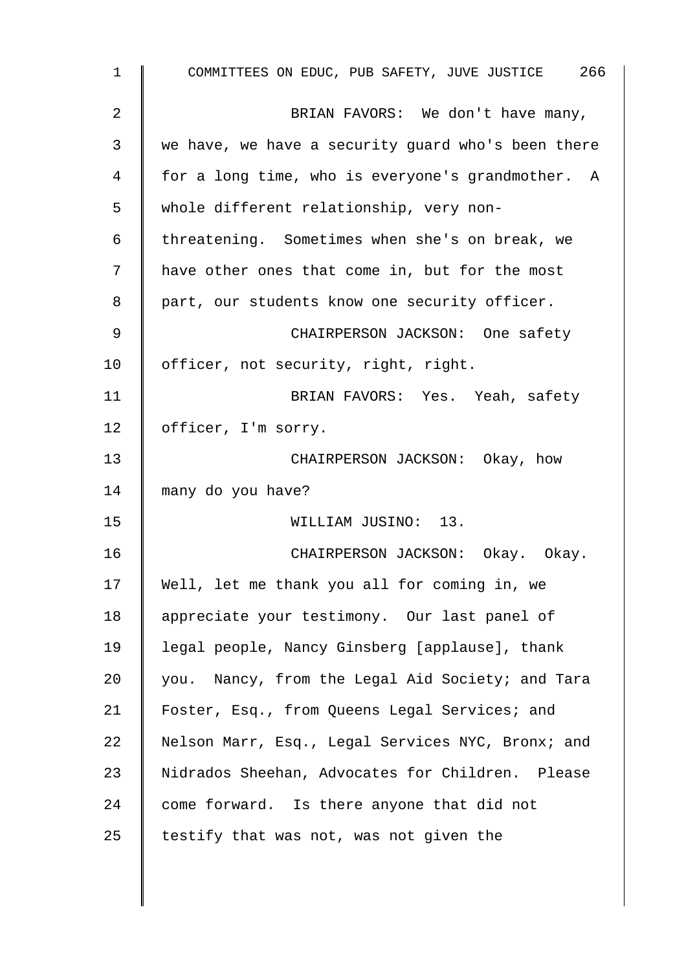| $\mathbf 1$ | COMMITTEES ON EDUC, PUB SAFETY, JUVE JUSTICE 266   |
|-------------|----------------------------------------------------|
| 2           | BRIAN FAVORS: We don't have many,                  |
| 3           | we have, we have a security guard who's been there |
| 4           | for a long time, who is everyone's grandmother. A  |
| 5           | whole different relationship, very non-            |
| 6           | threatening. Sometimes when she's on break, we     |
| 7           | have other ones that come in, but for the most     |
| 8           | part, our students know one security officer.      |
| 9           | CHAIRPERSON JACKSON: One safety                    |
| 10          | officer, not security, right, right.               |
| 11          | BRIAN FAVORS: Yes. Yeah, safety                    |
| 12          | officer, I'm sorry.                                |
| 13          | CHAIRPERSON JACKSON: Okay, how                     |
| 14          | many do you have?                                  |
| 15          | WILLIAM JUSINO: 13.                                |
| 16          | CHAIRPERSON JACKSON: Okay. Okay.                   |
| 17          | Well, let me thank you all for coming in, we       |
| 18          | appreciate your testimony. Our last panel of       |
| 19          | legal people, Nancy Ginsberg [applause], thank     |
| 20          | you. Nancy, from the Legal Aid Society; and Tara   |
| 21          | Foster, Esq., from Queens Legal Services; and      |
| 22          | Nelson Marr, Esq., Legal Services NYC, Bronx; and  |
| 23          | Nidrados Sheehan, Advocates for Children. Please   |
| 24          | come forward. Is there anyone that did not         |
| 25          | testify that was not, was not given the            |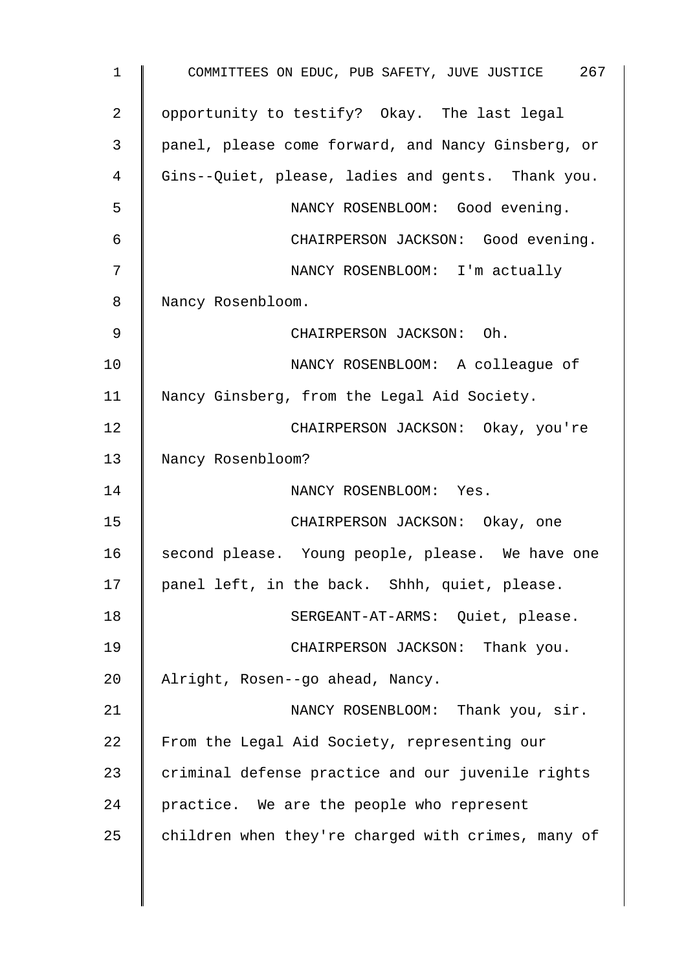1 COMMITTEES ON EDUC, PUB SAFETY, JUVE JUSTICE 267 2 | opportunity to testify? Okay. The last legal 3 panel, please come forward, and Nancy Ginsberg, or 4 Gins--Quiet, please, ladies and gents. Thank you. 5 NANCY ROSENBLOOM: Good evening. 6 CHAIRPERSON JACKSON: Good evening. 7 NANCY ROSENBLOOM: I'm actually 8 | Nancy Rosenbloom. 9 CHAIRPERSON JACKSON: Oh. 10 NANCY ROSENBLOOM: A colleague of 11 | Nancy Ginsberg, from the Legal Aid Society. 12 | CHAIRPERSON JACKSON: Okay, you're 13 Nancy Rosenbloom? 14 | NANCY ROSENBLOOM: Yes. 15 | CHAIRPERSON JACKSON: Okay, one 16 second please. Young people, please. We have one 17 | panel left, in the back. Shhh, quiet, please. 18 | SERGEANT-AT-ARMS: Quiet, please. 19 CHAIRPERSON JACKSON: Thank you. 20 Alright, Rosen--go ahead, Nancy. 21 | NANCY ROSENBLOOM: Thank you, sir. 22 From the Legal Aid Society, representing our  $23$  criminal defense practice and our juvenile rights  $24$  | practice. We are the people who represent 25 children when they're charged with crimes, many of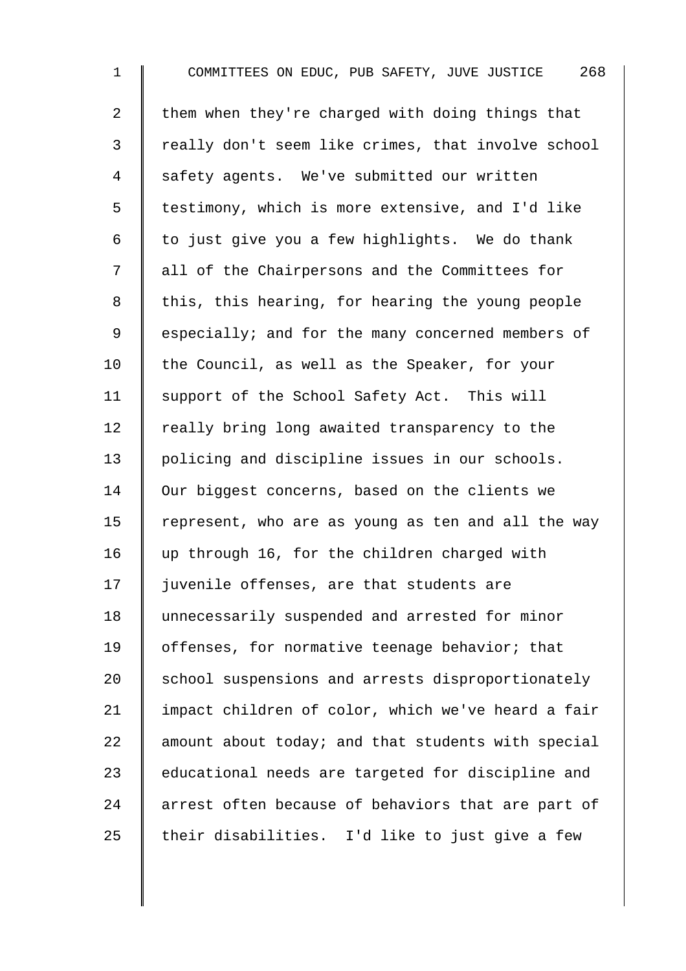1 COMMITTEES ON EDUC, PUB SAFETY, JUVE JUSTICE 268 2  $\parallel$  them when they're charged with doing things that 3 | really don't seem like crimes, that involve school 4 safety agents. We've submitted our written 5 | testimony, which is more extensive, and I'd like 6  $\parallel$  to just give you a few highlights. We do thank 7 | all of the Chairpersons and the Committees for 8 | this, this hearing, for hearing the young people 9 Some especially; and for the many concerned members of 10  $\parallel$  the Council, as well as the Speaker, for your 11 | support of the School Safety Act. This will 12  $\parallel$  really bring long awaited transparency to the 13 | policing and discipline issues in our schools. 14 Our biggest concerns, based on the clients we 15 Tepresent, who are as young as ten and all the way 16 | up through 16, for the children charged with 17 | juvenile offenses, are that students are 18 unnecessarily suspended and arrested for minor 19 | offenses, for normative teenage behavior; that 20 School suspensions and arrests disproportionately 21 | impact children of color, which we've heard a fair 22  $\parallel$  amount about today; and that students with special 23 educational needs are targeted for discipline and 24 arrest often because of behaviors that are part of  $25$  their disabilities. I'd like to just give a few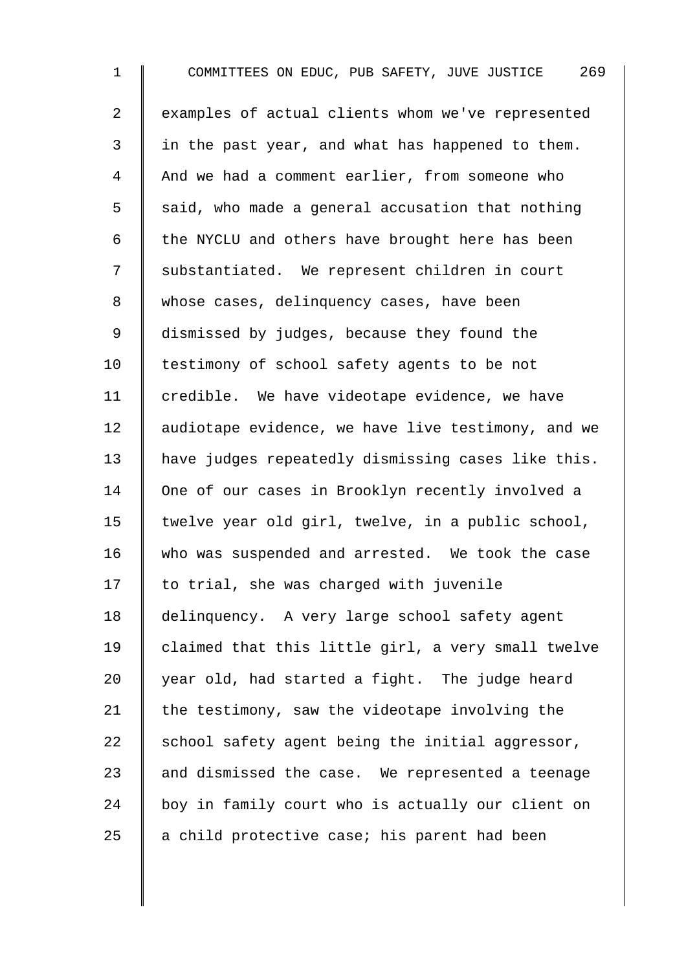1 COMMITTEES ON EDUC, PUB SAFETY, JUVE JUSTICE 269 2 examples of actual clients whom we've represented  $3 \parallel$  in the past year, and what has happened to them. 4 And we had a comment earlier, from someone who  $5 \parallel$  said, who made a general accusation that nothing 6  $\parallel$  the NYCLU and others have brought here has been 7 | substantiated. We represent children in court 8 whose cases, delinquency cases, have been 9 dismissed by judges, because they found the 10 | testimony of school safety agents to be not 11 | credible. We have videotape evidence, we have 12 | audiotape evidence, we have live testimony, and we 13 have judges repeatedly dismissing cases like this. 14 One of our cases in Brooklyn recently involved a 15  $\parallel$  twelve year old girl, twelve, in a public school, 16 who was suspended and arrested. We took the case  $17$  | to trial, she was charged with juvenile 18 | delinquency. A very large school safety agent 19  $\parallel$  claimed that this little girl, a very small twelve 20  $\parallel$  year old, had started a fight. The judge heard 21  $\parallel$  the testimony, saw the videotape involving the 22  $\parallel$  school safety agent being the initial aggressor, 23  $\parallel$  and dismissed the case. We represented a teenage 24 boy in family court who is actually our client on 25  $\parallel$  a child protective case; his parent had been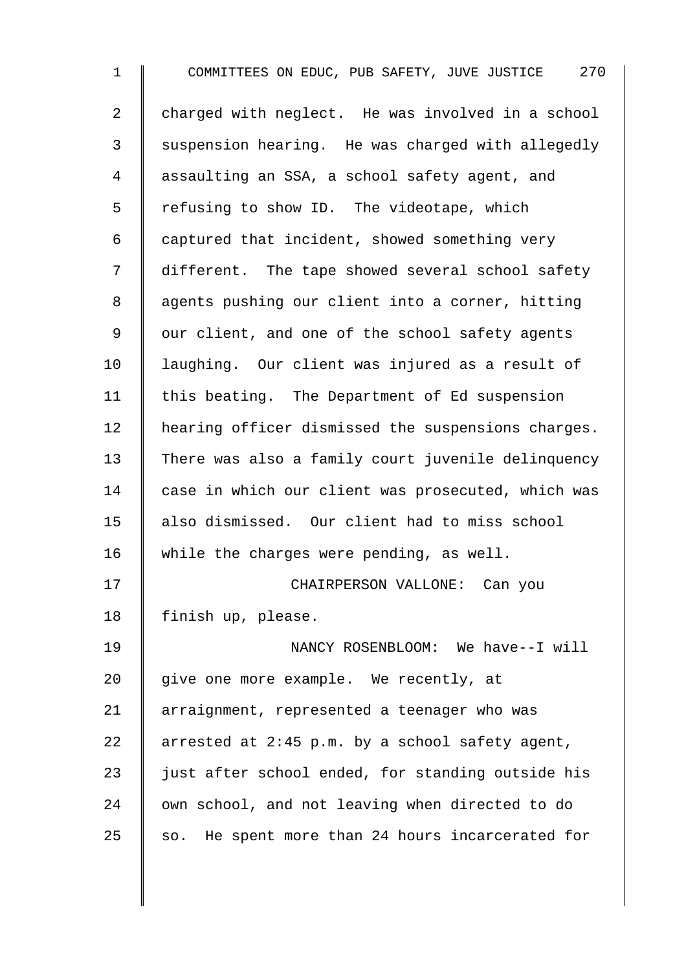1 COMMITTEES ON EDUC, PUB SAFETY, JUVE JUSTICE 270 2 charged with neglect. He was involved in a school 3 Suspension hearing. He was charged with allegedly 4 assaulting an SSA, a school safety agent, and 5 The refusing to show ID. The videotape, which 6  $\parallel$  captured that incident, showed something very 7 different. The tape showed several school safety 8 | agents pushing our client into a corner, hitting 9 | our client, and one of the school safety agents 10 | laughing. Our client was injured as a result of 11 | this beating. The Department of Ed suspension 12 | hearing officer dismissed the suspensions charges. 13 There was also a family court juvenile delinquency 14 case in which our client was prosecuted, which was 15 also dismissed. Our client had to miss school 16 while the charges were pending, as well. 17 | CHAIRPERSON VALLONE: Can you 18 | finish up, please. 19 NANCY ROSENBLOOM: We have--I will  $20$  | give one more example. We recently, at 21 | arraignment, represented a teenager who was 22 arrested at 2:45 p.m. by a school safety agent, 23  $\parallel$  just after school ended, for standing outside his  $24$   $\parallel$  own school, and not leaving when directed to do  $25$  so. He spent more than 24 hours incarcerated for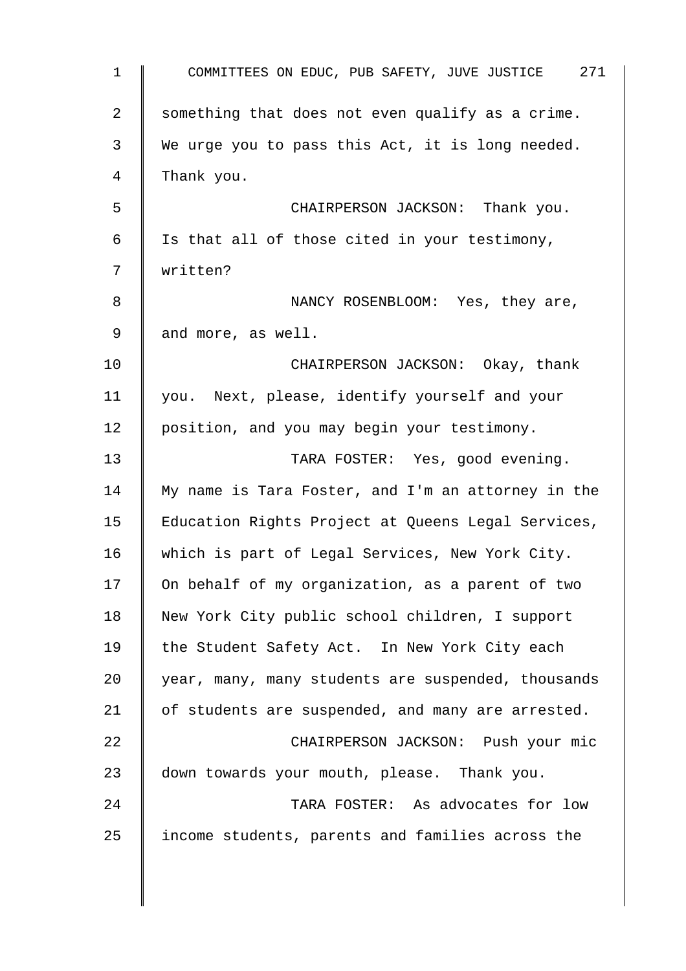| $\mathbf{1}$   | COMMITTEES ON EDUC, PUB SAFETY, JUVE JUSTICE 271   |
|----------------|----------------------------------------------------|
| $\overline{a}$ | something that does not even qualify as a crime.   |
| 3              | We urge you to pass this Act, it is long needed.   |
| 4              | Thank you.                                         |
| 5              | CHAIRPERSON JACKSON: Thank you.                    |
| 6              | Is that all of those cited in your testimony,      |
| 7              | written?                                           |
| 8              | NANCY ROSENBLOOM: Yes, they are,                   |
| 9              | and more, as well.                                 |
| 10             | CHAIRPERSON JACKSON: Okay, thank                   |
| 11             | you. Next, please, identify yourself and your      |
| 12             | position, and you may begin your testimony.        |
| 13             | TARA FOSTER: Yes, good evening.                    |
| 14             | My name is Tara Foster, and I'm an attorney in the |
| 15             | Education Rights Project at Queens Legal Services, |
| 16             | which is part of Legal Services, New York City.    |
| 17             | On behalf of my organization, as a parent of two   |
| 18             | New York City public school children, I support    |
| 19             | the Student Safety Act. In New York City each      |
| 20             | year, many, many students are suspended, thousands |
| 21             | of students are suspended, and many are arrested.  |
| 22             | CHAIRPERSON JACKSON: Push your mic                 |
| 23             | down towards your mouth, please. Thank you.        |
| 24             | TARA FOSTER: As advocates for low                  |
| 25             | income students, parents and families across the   |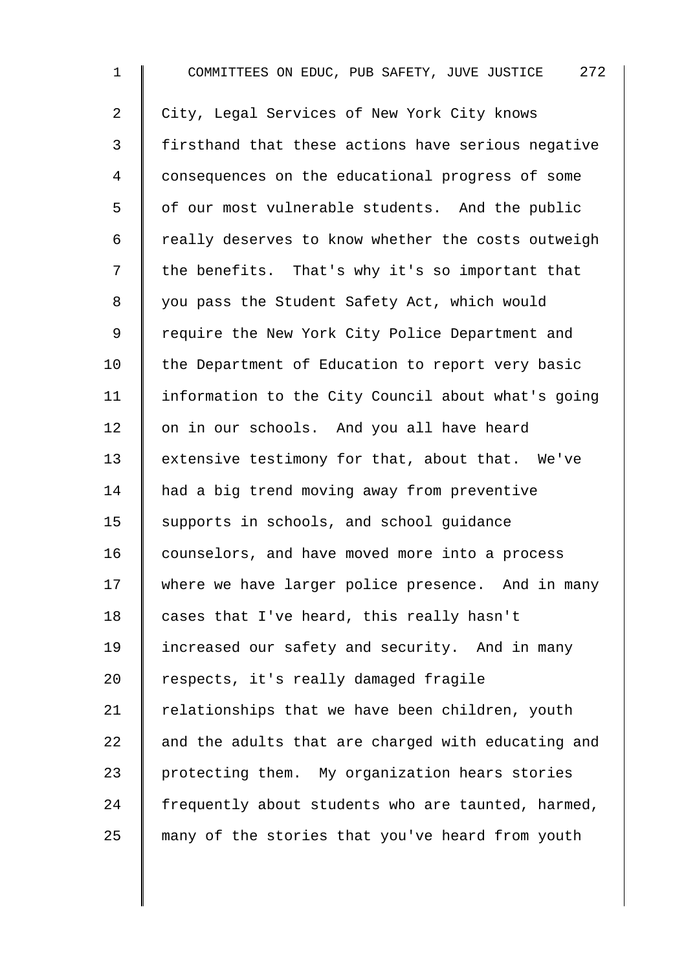1 COMMITTEES ON EDUC, PUB SAFETY, JUVE JUSTICE 272 2 City, Legal Services of New York City knows 3 | firsthand that these actions have serious negative 4 consequences on the educational progress of some 5 | of our most vulnerable students. And the public  $6$  | really deserves to know whether the costs outweigh 7 Ithe benefits. That's why it's so important that 8 you pass the Student Safety Act, which would 9 | require the New York City Police Department and 10 | the Department of Education to report very basic 11 | information to the City Council about what's going 12 | on in our schools. And you all have heard 13 extensive testimony for that, about that. We've 14 ahad a big trend moving away from preventive 15 Supports in schools, and school guidance 16 counselors, and have moved more into a process 17 | where we have larger police presence. And in many 18 cases that I've heard, this really hasn't 19 increased our safety and security. And in many 20 | respects, it's really damaged fragile 21  $\parallel$  relationships that we have been children, youth 22  $\parallel$  and the adults that are charged with educating and 23 | protecting them. My organization hears stories 24  $\parallel$  frequently about students who are taunted, harmed, 25 many of the stories that you've heard from youth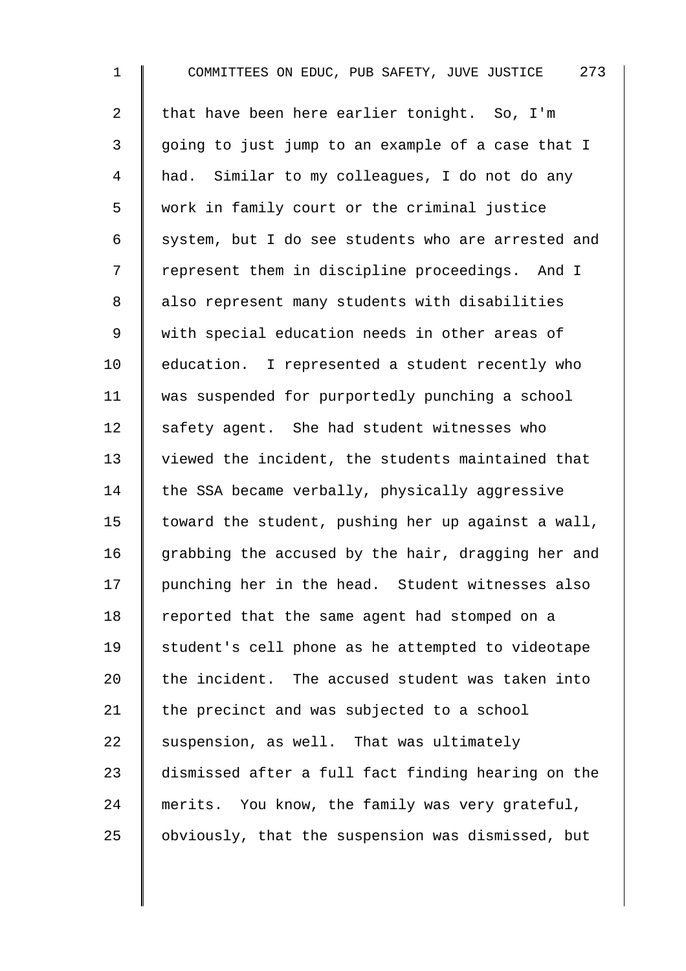| $\mathbf 1$    | 273<br>COMMITTEES ON EDUC, PUB SAFETY, JUVE JUSTICE |
|----------------|-----------------------------------------------------|
| $\overline{2}$ | that have been here earlier tonight. So, I'm        |
| 3              | going to just jump to an example of a case that I   |
| 4              | had. Similar to my colleagues, I do not do any      |
| 5              | work in family court or the criminal justice        |
| 6              | system, but I do see students who are arrested and  |
| 7              | represent them in discipline proceedings. And I     |
| 8              | also represent many students with disabilities      |
| 9              | with special education needs in other areas of      |
| 10             | education. I represented a student recently who     |
| 11             | was suspended for purportedly punching a school     |
| 12             | safety agent. She had student witnesses who         |
| 13             | viewed the incident, the students maintained that   |
| 14             | the SSA became verbally, physically aggressive      |
| 15             | toward the student, pushing her up against a wall,  |
| 16             | grabbing the accused by the hair, dragging her and  |
| 17             | punching her in the head. Student witnesses also    |
| 18             | reported that the same agent had stomped on a       |
| 19             | student's cell phone as he attempted to videotape   |
| 20             | the incident. The accused student was taken into    |
| 21             | the precinct and was subjected to a school          |
| 22             | suspension, as well. That was ultimately            |
| 23             | dismissed after a full fact finding hearing on the  |
| 24             | merits. You know, the family was very grateful,     |
| 25             | obviously, that the suspension was dismissed, but   |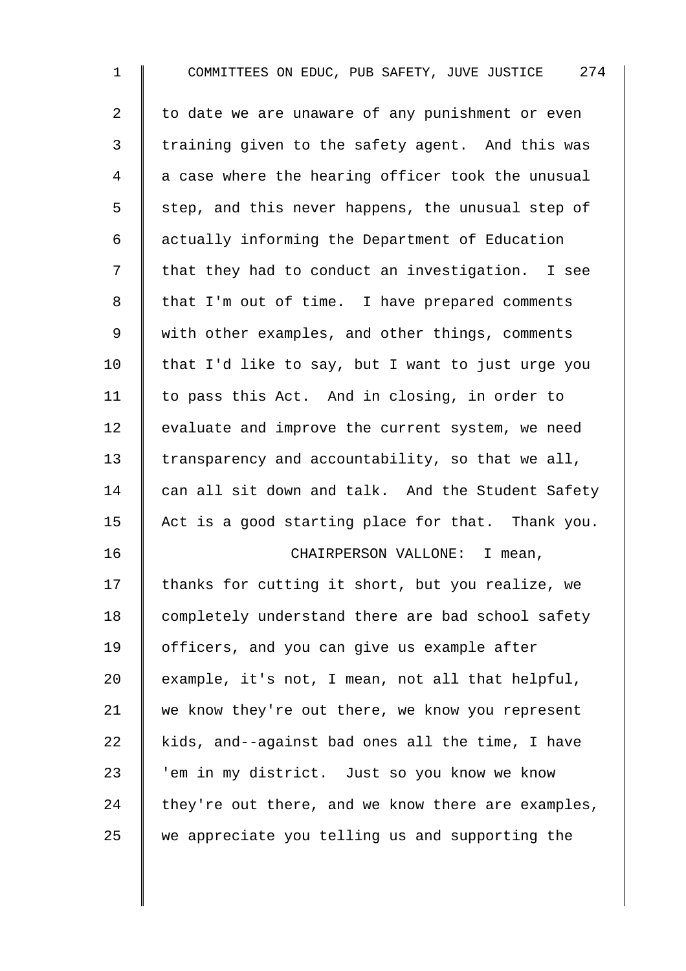| $\mathbf 1$ | COMMITTEES ON EDUC, PUB SAFETY, JUVE JUSTICE 274   |
|-------------|----------------------------------------------------|
| 2           | to date we are unaware of any punishment or even   |
| 3           | training given to the safety agent. And this was   |
| 4           | a case where the hearing officer took the unusual  |
| 5           | step, and this never happens, the unusual step of  |
| 6           | actually informing the Department of Education     |
| 7           | that they had to conduct an investigation. I see   |
| 8           | that I'm out of time. I have prepared comments     |
| 9           | with other examples, and other things, comments    |
| 10          | that I'd like to say, but I want to just urge you  |
| 11          | to pass this Act. And in closing, in order to      |
| 12          | evaluate and improve the current system, we need   |
| 13          | transparency and accountability, so that we all,   |
| 14          | can all sit down and talk. And the Student Safety  |
| 15          | Act is a good starting place for that. Thank you.  |
| 16          | CHAIRPERSON VALLONE: I mean,                       |
| 17          | thanks for cutting it short, but you realize, we   |
| 18          | completely understand there are bad school safety  |
| 19          | officers, and you can give us example after        |
| 20          | example, it's not, I mean, not all that helpful,   |
| 21          | we know they're out there, we know you represent   |
| 22          | kids, and--against bad ones all the time, I have   |
| 23          | 'em in my district. Just so you know we know       |
| 24          | they're out there, and we know there are examples, |
| 25          | we appreciate you telling us and supporting the    |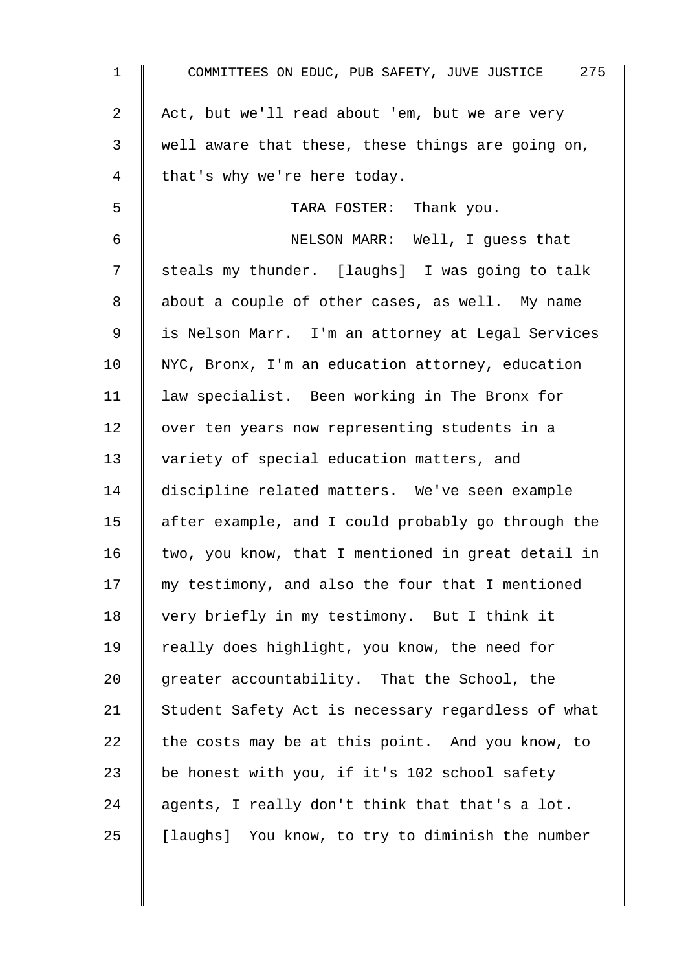| $\mathbf 1$    | COMMITTEES ON EDUC, PUB SAFETY, JUVE JUSTICE 275   |
|----------------|----------------------------------------------------|
| $\overline{a}$ | Act, but we'll read about 'em, but we are very     |
| 3              | well aware that these, these things are going on,  |
| 4              | that's why we're here today.                       |
| 5              | TARA FOSTER: Thank you.                            |
| $\epsilon$     | NELSON MARR: Well, I guess that                    |
| 7              | steals my thunder. [laughs] I was going to talk    |
| 8              | about a couple of other cases, as well. My name    |
| $\mathsf 9$    | is Nelson Marr. I'm an attorney at Legal Services  |
| 10             | NYC, Bronx, I'm an education attorney, education   |
| 11             | law specialist. Been working in The Bronx for      |
| 12             | over ten years now representing students in a      |
| 13             | variety of special education matters, and          |
| 14             | discipline related matters. We've seen example     |
| 15             | after example, and I could probably go through the |
| 16             | two, you know, that I mentioned in great detail in |
| 17             | my testimony, and also the four that I mentioned   |
| 18             | very briefly in my testimony. But I think it       |
| 19             | really does highlight, you know, the need for      |
| 20             | greater accountability. That the School, the       |
| 21             | Student Safety Act is necessary regardless of what |
| 22             | the costs may be at this point. And you know, to   |
| 23             | be honest with you, if it's 102 school safety      |
| 24             | agents, I really don't think that that's a lot.    |
| 25             | [laughs] You know, to try to diminish the number   |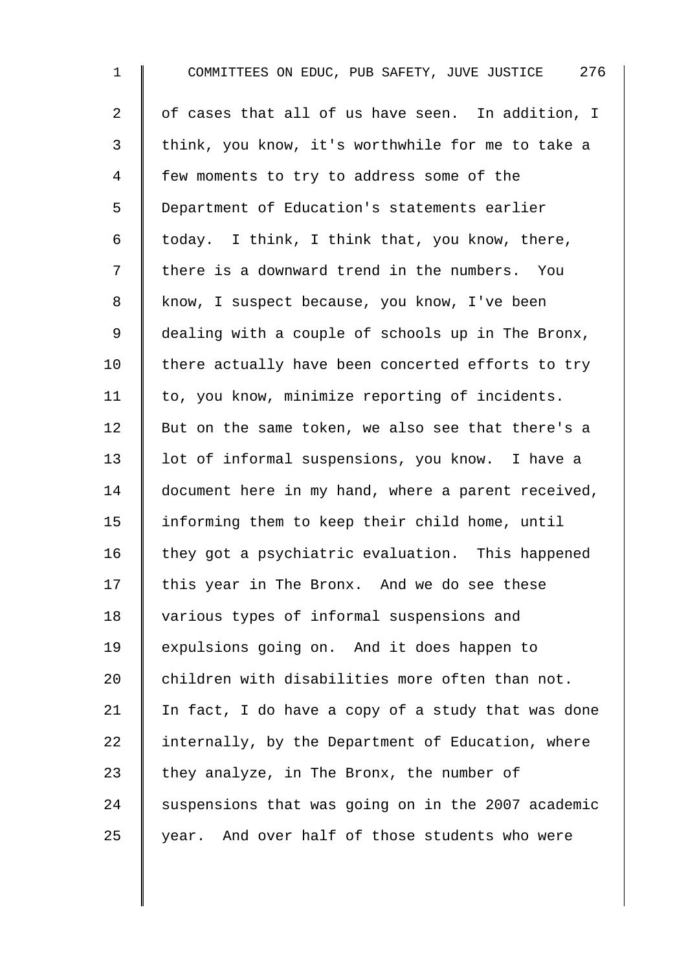1 COMMITTEES ON EDUC, PUB SAFETY, JUVE JUSTICE 276  $2 \parallel$  of cases that all of us have seen. In addition, I 3 | think, you know, it's worthwhile for me to take a 4 Few moments to try to address some of the 5 Department of Education's statements earlier 6 | today. I think, I think that, you know, there, 7 | there is a downward trend in the numbers. You 8 know, I suspect because, you know, I've been 9 dealing with a couple of schools up in The Bronx,  $10$  | there actually have been concerted efforts to try  $11$  to, you know, minimize reporting of incidents. 12  $\parallel$  But on the same token, we also see that there's a 13 | lot of informal suspensions, you know. I have a 14 document here in my hand, where a parent received, 15 informing them to keep their child home, until  $16$  they got a psychiatric evaluation. This happened  $17$  this year in The Bronx. And we do see these 18 | various types of informal suspensions and 19 expulsions going on. And it does happen to 20  $\parallel$  children with disabilities more often than not. 21 In fact, I do have a copy of a study that was done 22  $\parallel$  internally, by the Department of Education, where 23 they analyze, in The Bronx, the number of  $24$  suspensions that was going on in the 2007 academic  $25$  | year. And over half of those students who were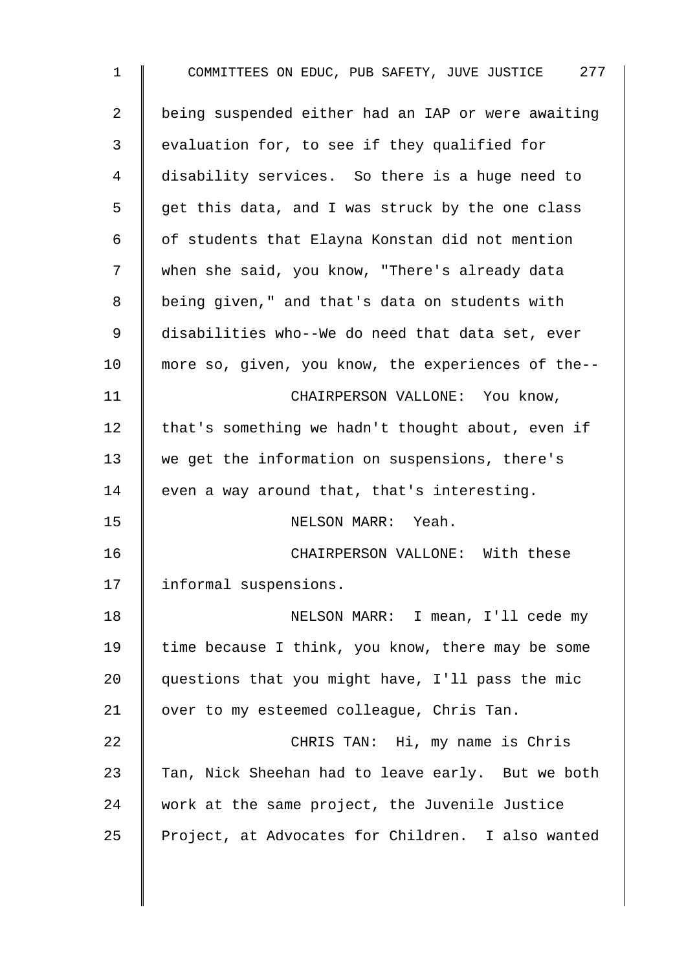| $\mathbf 1$    | COMMITTEES ON EDUC, PUB SAFETY, JUVE JUSTICE 277   |
|----------------|----------------------------------------------------|
| $\overline{a}$ | being suspended either had an IAP or were awaiting |
| 3              | evaluation for, to see if they qualified for       |
| $\overline{4}$ | disability services. So there is a huge need to    |
| 5              | get this data, and I was struck by the one class   |
| 6              | of students that Elayna Konstan did not mention    |
| 7              | when she said, you know, "There's already data     |
| 8              | being given," and that's data on students with     |
| 9              | disabilities who--We do need that data set, ever   |
| 10             | more so, given, you know, the experiences of the-- |
| 11             | CHAIRPERSON VALLONE: You know,                     |
| 12             | that's something we hadn't thought about, even if  |
| 13             | we get the information on suspensions, there's     |
| 14             | even a way around that, that's interesting.        |
| 15             | NELSON MARR: Yeah.                                 |
| 16             | CHAIRPERSON VALLONE: With these                    |
| 17             | informal suspensions.                              |
| 18             | NELSON MARR: I mean, I'll cede my                  |
| 19             | time because I think, you know, there may be some  |
| 20             | questions that you might have, I'll pass the mic   |
| 21             | over to my esteemed colleague, Chris Tan.          |
| 22             | CHRIS TAN: Hi, my name is Chris                    |
| 23             | Tan, Nick Sheehan had to leave early. But we both  |
| 24             | work at the same project, the Juvenile Justice     |
| 25             | Project, at Advocates for Children. I also wanted  |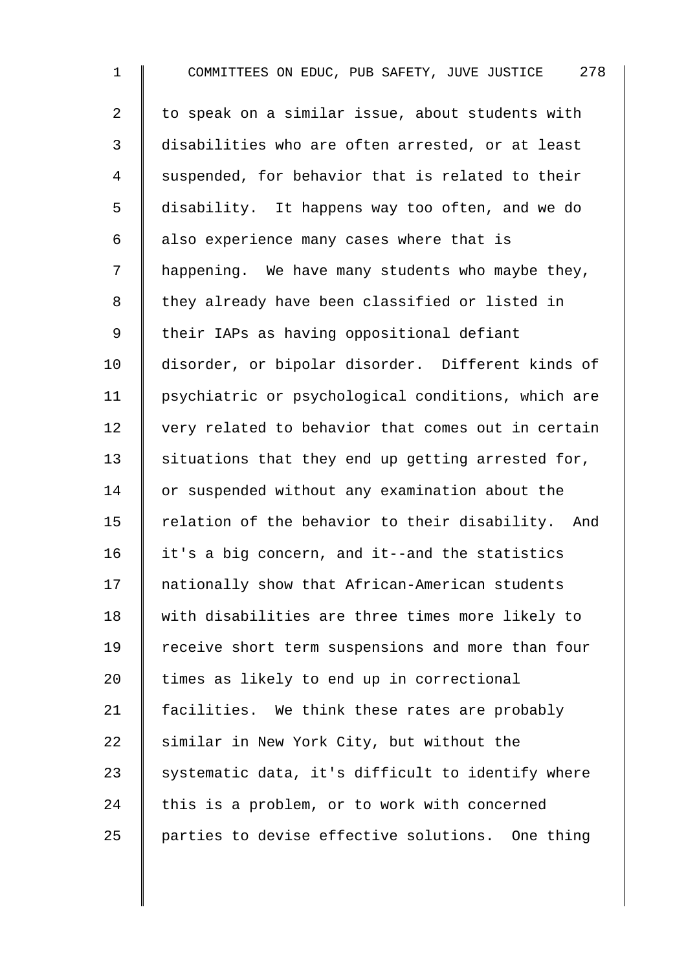1 COMMITTEES ON EDUC, PUB SAFETY, JUVE JUSTICE 278 2 to speak on a similar issue, about students with 3 disabilities who are often arrested, or at least 4 Suspended, for behavior that is related to their 5 disability. It happens way too often, and we do  $6 \parallel$  also experience many cases where that is  $7 \parallel$  happening. We have many students who maybe they, 8 | they already have been classified or listed in 9 | their IAPs as having oppositional defiant 10 disorder, or bipolar disorder. Different kinds of 11 psychiatric or psychological conditions, which are 12 very related to behavior that comes out in certain  $13$  situations that they end up getting arrested for, 14 or suspended without any examination about the 15  $\parallel$  relation of the behavior to their disability. And 16 it's a big concern, and it--and the statistics 17 Inationally show that African-American students 18 With disabilities are three times more likely to 19 Teceive short term suspensions and more than four 20  $\parallel$  times as likely to end up in correctional 21 | facilities. We think these rates are probably 22 similar in New York City, but without the 23  $\parallel$  systematic data, it's difficult to identify where 24 this is a problem, or to work with concerned 25 | parties to devise effective solutions. One thing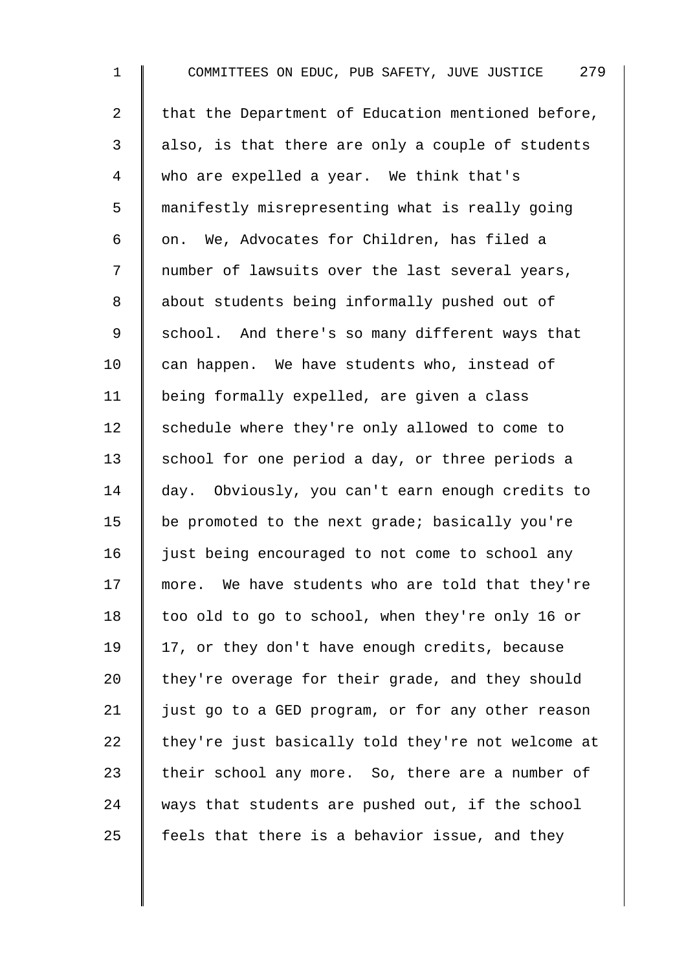1 COMMITTEES ON EDUC, PUB SAFETY, JUVE JUSTICE 279 2  $\parallel$  that the Department of Education mentioned before,  $3 \parallel$  also, is that there are only a couple of students 4 who are expelled a year. We think that's 5 manifestly misrepresenting what is really going 6  $\parallel$  on. We, Advocates for Children, has filed a 7 | number of lawsuits over the last several years, 8 about students being informally pushed out of 9 School. And there's so many different ways that  $10$  can happen. We have students who, instead of 11 | being formally expelled, are given a class 12 Schedule where they're only allowed to come to 13 | school for one period a day, or three periods a 14 day. Obviously, you can't earn enough credits to 15  $\parallel$  be promoted to the next grade; basically you're 16 | just being encouraged to not come to school any 17 more. We have students who are told that they're 18 too old to go to school, when they're only 16 or 19 | 17, or they don't have enough credits, because 20 they're overage for their grade, and they should 21 | just go to a GED program, or for any other reason 22  $\parallel$  they're just basically told they're not welcome at 23  $\parallel$  their school any more. So, there are a number of 24 ways that students are pushed out, if the school 25  $\parallel$  feels that there is a behavior issue, and they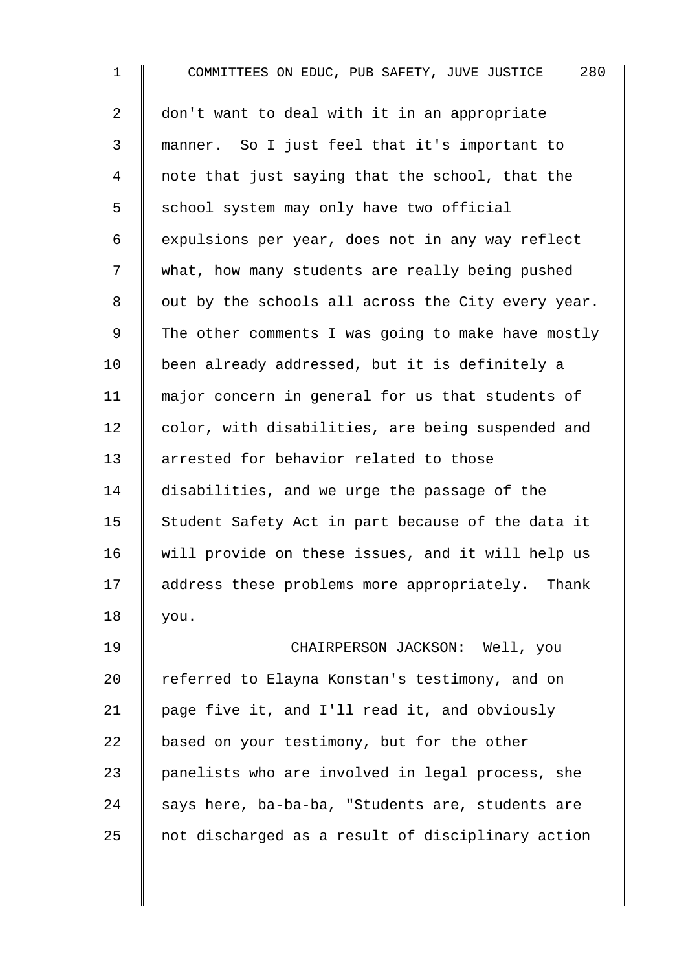1 COMMITTEES ON EDUC, PUB SAFETY, JUVE JUSTICE 280 2 don't want to deal with it in an appropriate 3 manner. So I just feel that it's important to 4 note that just saying that the school, that the 5 S chool system may only have two official 6 expulsions per year, does not in any way reflect 7 what, how many students are really being pushed  $8 \parallel$  out by the schools all across the City every year. 9 The other comments I was going to make have mostly 10 | been already addressed, but it is definitely a 11 major concern in general for us that students of 12 color, with disabilities, are being suspended and 13 || arrested for behavior related to those 14 disabilities, and we urge the passage of the 15  $\parallel$  Student Safety Act in part because of the data it 16 | will provide on these issues, and it will help us 17 | address these problems more appropriately. Thank 18 you. 19 CHAIRPERSON JACKSON: Well, you 20 Teferred to Elayna Konstan's testimony, and on 21 page five it, and I'll read it, and obviously 22  $\parallel$  based on your testimony, but for the other 23 | panelists who are involved in legal process, she 24 says here, ba-ba-ba, "Students are, students are  $25$  not discharged as a result of disciplinary action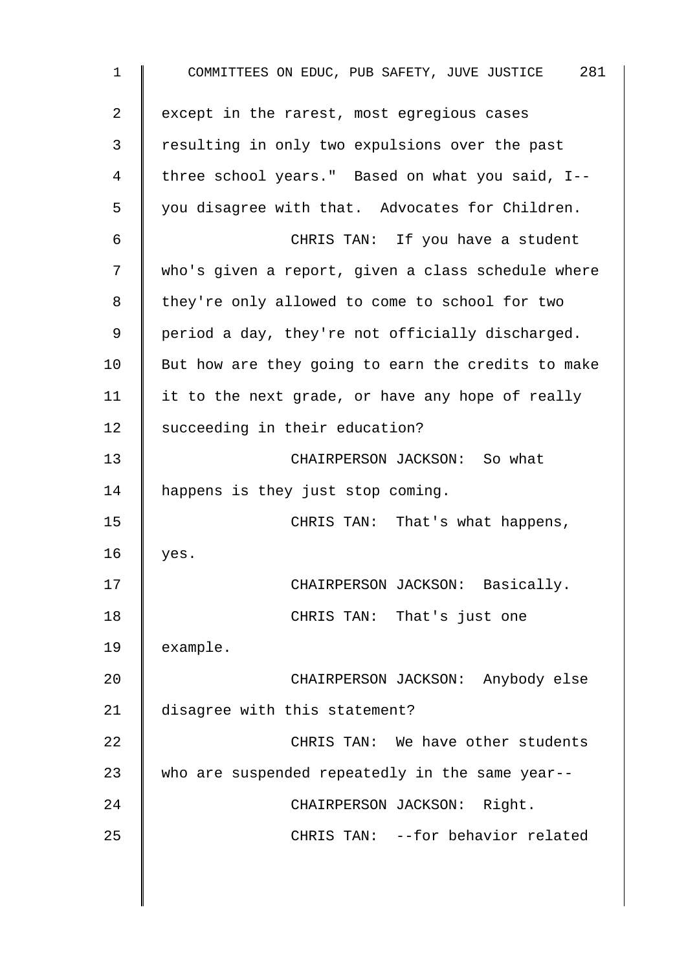| $\mathbf 1$ | COMMITTEES ON EDUC, PUB SAFETY, JUVE JUSTICE 281   |
|-------------|----------------------------------------------------|
| 2           | except in the rarest, most egregious cases         |
| 3           | resulting in only two expulsions over the past     |
| 4           | three school years." Based on what you said, I--   |
| 5           | you disagree with that. Advocates for Children.    |
| 6           | CHRIS TAN: If you have a student                   |
| 7           | who's given a report, given a class schedule where |
| 8           | they're only allowed to come to school for two     |
| $\mathsf 9$ | period a day, they're not officially discharged.   |
| 10          | But how are they going to earn the credits to make |
| 11          | it to the next grade, or have any hope of really   |
| 12          | succeeding in their education?                     |
| 13          | CHAIRPERSON JACKSON: So what                       |
| 14          | happens is they just stop coming.                  |
| 15          | CHRIS TAN: That's what happens,                    |
| 16          | yes.                                               |
| 17          | CHAIRPERSON JACKSON: Basically.                    |
| 18          | CHRIS TAN: That's just one                         |
| 19          | example.                                           |
| 20          | CHAIRPERSON JACKSON: Anybody else                  |
| 21          | disagree with this statement?                      |
| 22          | CHRIS TAN: We have other students                  |
| 23          | who are suspended repeatedly in the same year--    |
| 24          | CHAIRPERSON JACKSON: Right.                        |
| 25          | CHRIS TAN: --for behavior related                  |
|             |                                                    |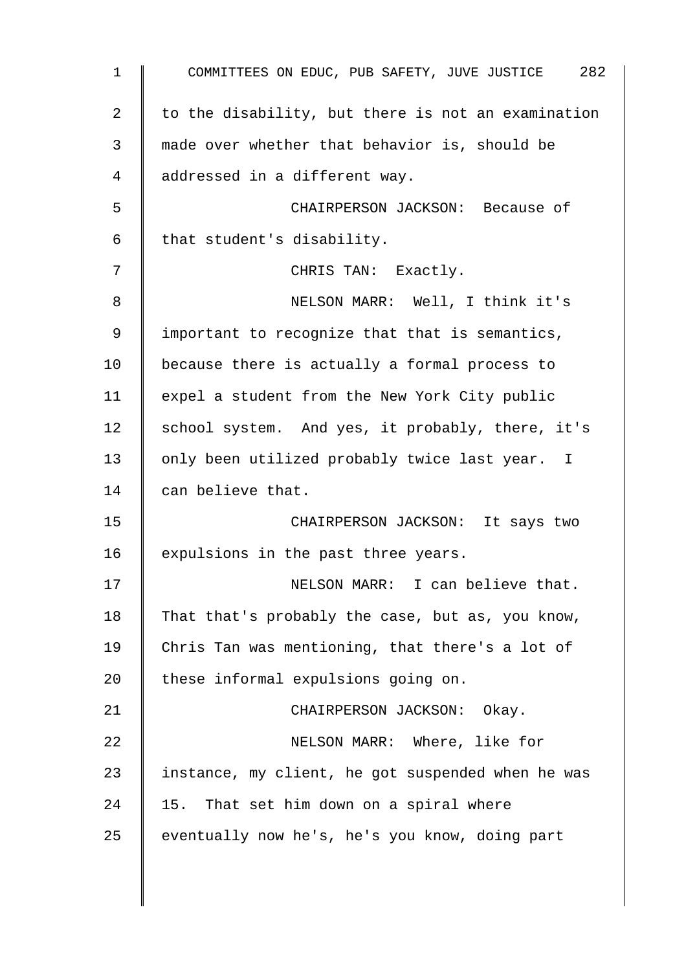1 COMMITTEES ON EDUC, PUB SAFETY, JUVE JUSTICE 282 2  $\parallel$  to the disability, but there is not an examination 3 made over whether that behavior is, should be 4 addressed in a different way. 5 CHAIRPERSON JACKSON: Because of 6 | that student's disability. 7 | CHRIS TAN: Exactly. 8 || NELSON MARR: Well, I think it's 9 | important to recognize that that is semantics,  $10$  | because there is actually a formal process to 11  $\parallel$  expel a student from the New York City public 12 | school system. And yes, it probably, there, it's 13 | only been utilized probably twice last year. I 14 can believe that. 15 | CHAIRPERSON JACKSON: It says two 16  $\parallel$  expulsions in the past three years. 17 | NELSON MARR: I can believe that. 18 That that's probably the case, but as, you know, 19 Chris Tan was mentioning, that there's a lot of 20  $\parallel$  these informal expulsions going on. 21 | CHAIRPERSON JACKSON: Okay. 22 **NELSON MARR:** Where, like for 23 | instance, my client, he got suspended when he was  $24$  | 15. That set him down on a spiral where 25 eventually now he's, he's you know, doing part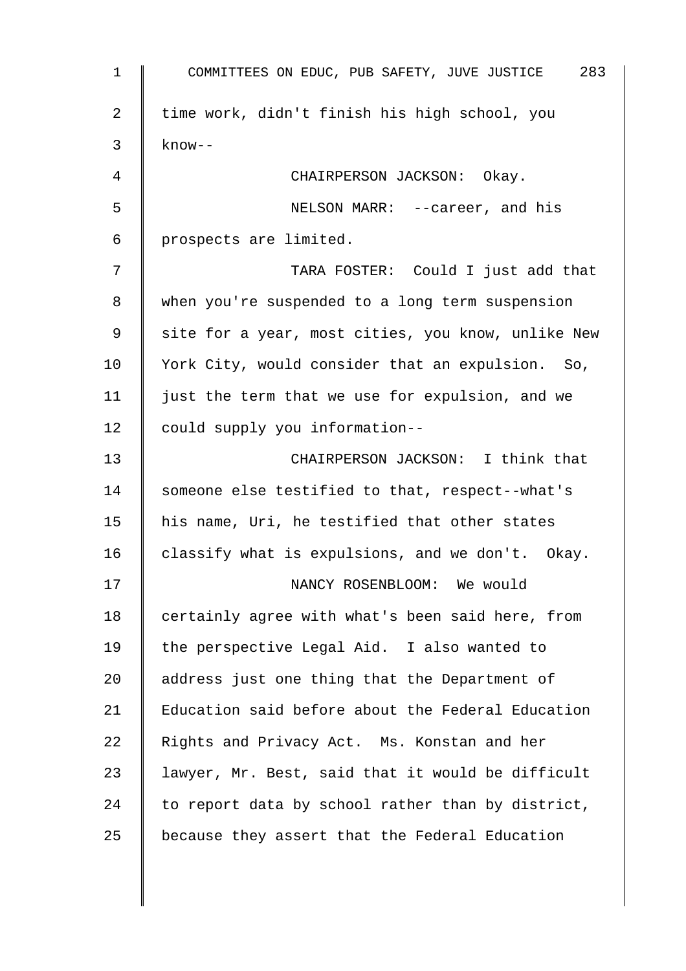1 COMMITTEES ON EDUC, PUB SAFETY, JUVE JUSTICE 283 2 | time work, didn't finish his high school, you  $3 \parallel$  know--4 | CHAIRPERSON JACKSON: Okay. 5 NELSON MARR: --career, and his  $6$  | prospects are limited. 7 TARA FOSTER: Could I just add that 8 when you're suspended to a long term suspension 9 || site for a year, most cities, you know, unlike New 10 | York City, would consider that an expulsion. So, 11 | just the term that we use for expulsion, and we 12 could supply you information--13 **CHAIRPERSON JACKSON:** I think that 14 Someone else testified to that, respect--what's 15  $\parallel$  his name, Uri, he testified that other states 16 classify what is expulsions, and we don't. Okay. 17 | NANCY ROSENBLOOM: We would 18 certainly agree with what's been said here, from 19 | the perspective Legal Aid. I also wanted to 20 address just one thing that the Department of 21 Education said before about the Federal Education 22 Rights and Privacy Act. Ms. Konstan and her 23  $\parallel$  lawyer, Mr. Best, said that it would be difficult 24 to report data by school rather than by district,  $25$   $\parallel$  because they assert that the Federal Education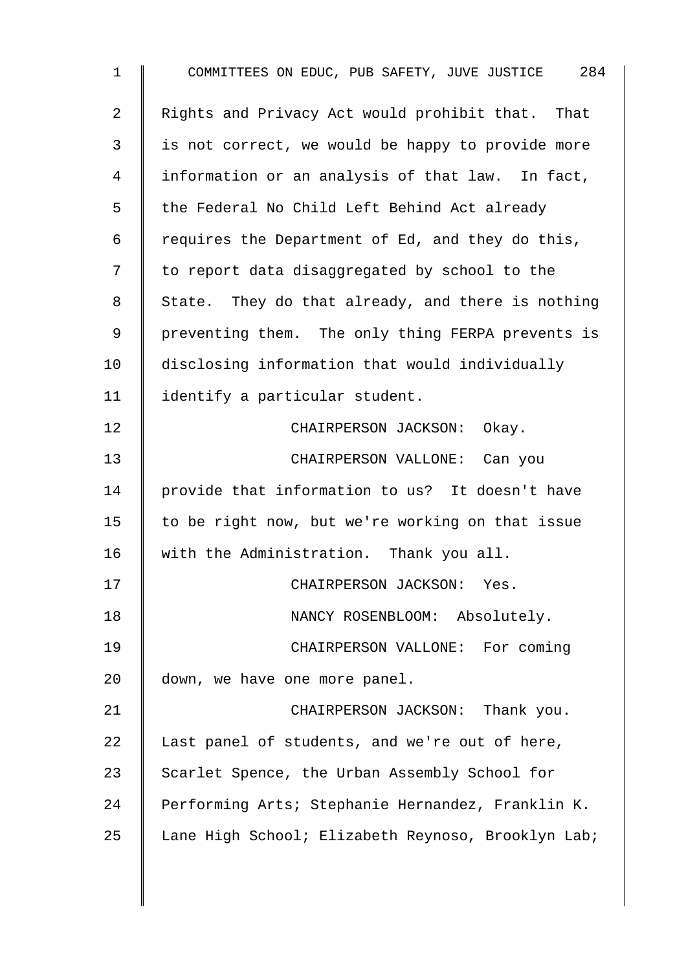| $\mathbf 1$    | COMMITTEES ON EDUC, PUB SAFETY, JUVE JUSTICE 284   |
|----------------|----------------------------------------------------|
| $\overline{2}$ | Rights and Privacy Act would prohibit that. That   |
| 3              | is not correct, we would be happy to provide more  |
| 4              | information or an analysis of that law. In fact,   |
| 5              | the Federal No Child Left Behind Act already       |
| 6              | requires the Department of Ed, and they do this,   |
| 7              | to report data disaggregated by school to the      |
| 8              | State. They do that already, and there is nothing  |
| 9              | preventing them. The only thing FERPA prevents is  |
| 10             | disclosing information that would individually     |
| 11             | identify a particular student.                     |
| 12             | CHAIRPERSON JACKSON: Okay.                         |
| 13             | CHAIRPERSON VALLONE: Can you                       |
| 14             | provide that information to us? It doesn't have    |
| 15             | to be right now, but we're working on that issue   |
| 16             | with the Administration. Thank you all.            |
| 17             | CHAIRPERSON JACKSON: Yes.                          |
| 18             | NANCY ROSENBLOOM: Absolutely.                      |
| 19             | CHAIRPERSON VALLONE: For coming                    |
| 20             | down, we have one more panel.                      |
| 21             | CHAIRPERSON JACKSON: Thank you.                    |
| 22             | Last panel of students, and we're out of here,     |
| 23             | Scarlet Spence, the Urban Assembly School for      |
| 24             | Performing Arts; Stephanie Hernandez, Franklin K.  |
| 25             | Lane High School; Elizabeth Reynoso, Brooklyn Lab; |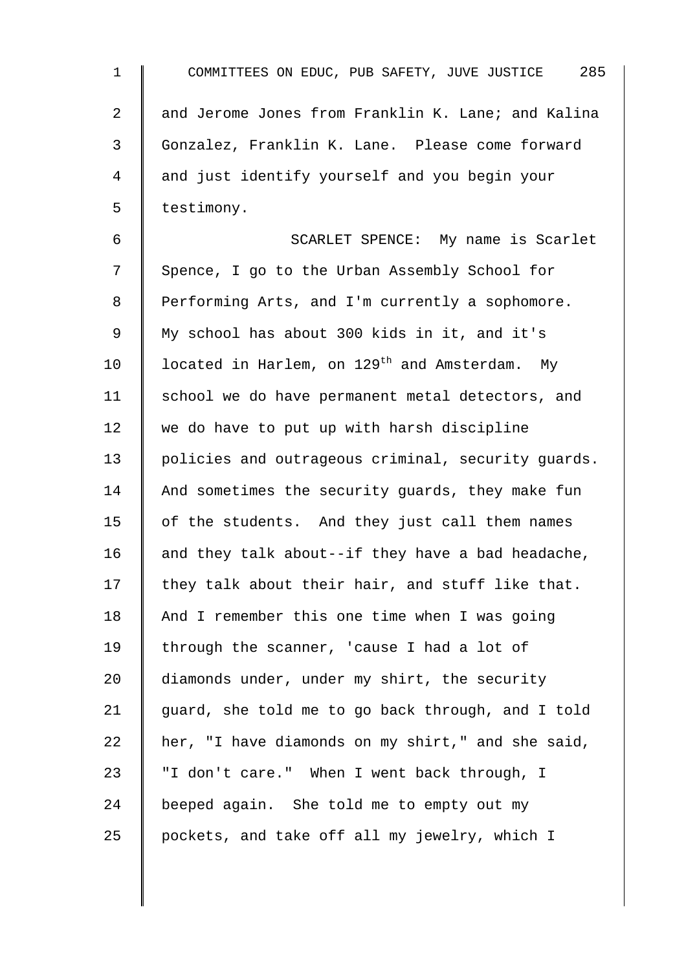| $\mathbf 1$    | 285<br>COMMITTEES ON EDUC, PUB SAFETY, JUVE JUSTICE       |
|----------------|-----------------------------------------------------------|
| $\overline{2}$ | and Jerome Jones from Franklin K. Lane; and Kalina        |
| 3              | Gonzalez, Franklin K. Lane. Please come forward           |
| 4              | and just identify yourself and you begin your             |
| 5              | testimony.                                                |
| 6              | SCARLET SPENCE: My name is Scarlet                        |
| 7              | Spence, I go to the Urban Assembly School for             |
| 8              | Performing Arts, and I'm currently a sophomore.           |
| $\mathsf 9$    | My school has about 300 kids in it, and it's              |
| 10             | located in Harlem, on 129 <sup>th</sup> and Amsterdam. My |
| 11             | school we do have permanent metal detectors, and          |
| 12             | we do have to put up with harsh discipline                |
| 13             | policies and outrageous criminal, security guards.        |
| 14             | And sometimes the security guards, they make fun          |
| 15             | of the students. And they just call them names            |
| 16             | and they talk about--if they have a bad headache,         |
| 17             | they talk about their hair, and stuff like that.          |
| 18             | And I remember this one time when I was going             |
| 19             | through the scanner, 'cause I had a lot of                |
| 20             | diamonds under, under my shirt, the security              |
| 21             | guard, she told me to go back through, and I told         |
| 22             | her, "I have diamonds on my shirt," and she said,         |
| 23             | "I don't care." When I went back through, I               |
| 24             | beeped again. She told me to empty out my                 |
| 25             | pockets, and take off all my jewelry, which I             |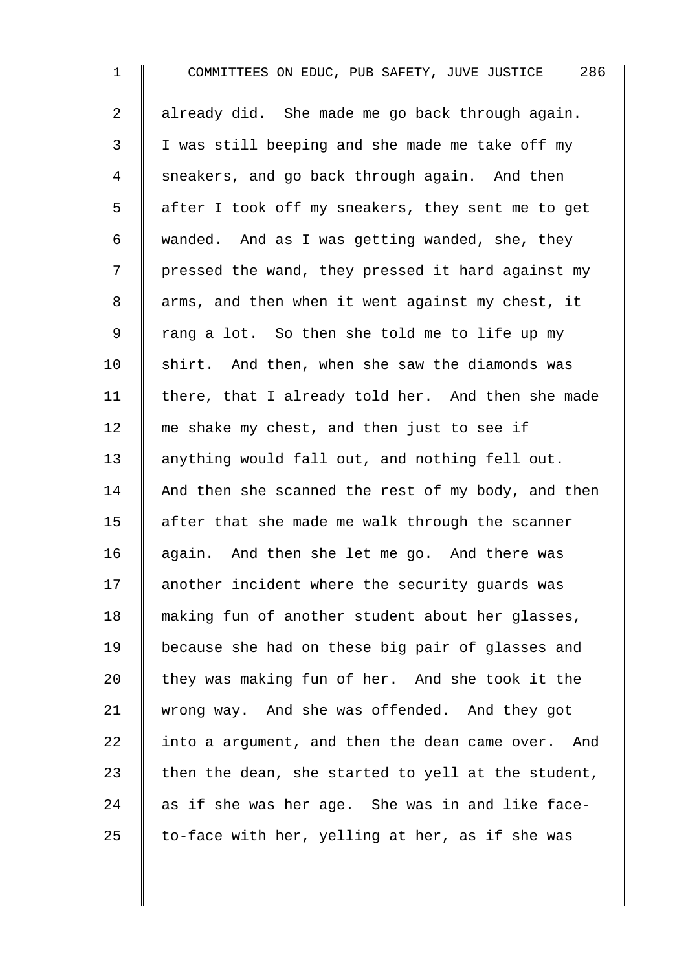| $\mathbf 1$    | COMMITTEES ON EDUC, PUB SAFETY, JUVE JUSTICE 286   |
|----------------|----------------------------------------------------|
| $\overline{a}$ | already did. She made me go back through again.    |
| 3              | I was still beeping and she made me take off my    |
| 4              | sneakers, and go back through again. And then      |
| 5              | after I took off my sneakers, they sent me to get  |
| 6              | wanded. And as I was getting wanded, she, they     |
| 7              | pressed the wand, they pressed it hard against my  |
| $\,8\,$        | arms, and then when it went against my chest, it   |
| $\mathsf 9$    | rang a lot. So then she told me to life up my      |
| 10             | shirt. And then, when she saw the diamonds was     |
| 11             | there, that I already told her. And then she made  |
| 12             | me shake my chest, and then just to see if         |
| 13             | anything would fall out, and nothing fell out.     |
| 14             | And then she scanned the rest of my body, and then |
| 15             | after that she made me walk through the scanner    |
| 16             | again. And then she let me go. And there was       |
| 17             | another incident where the security guards was     |
| 18             | making fun of another student about her glasses,   |
| 19             | because she had on these big pair of glasses and   |
| 20             | they was making fun of her. And she took it the    |
| 21             | wrong way. And she was offended. And they got      |
| 22             | into a argument, and then the dean came over. And  |
| 23             | then the dean, she started to yell at the student, |
| 24             | as if she was her age. She was in and like face-   |
| 25             | to-face with her, yelling at her, as if she was    |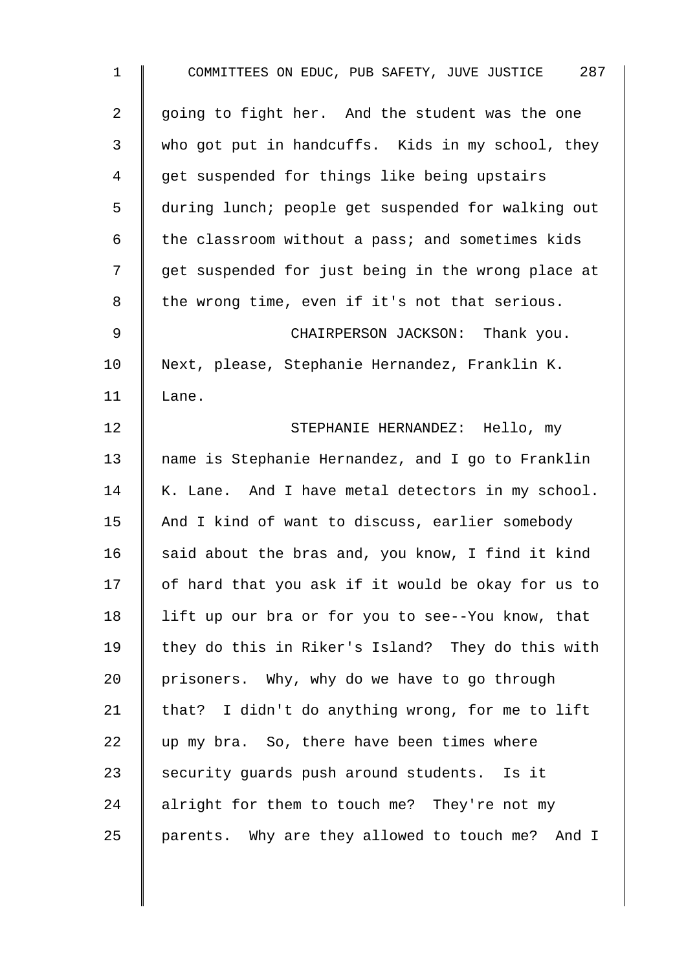| $\mathbf 1$    | COMMITTEES ON EDUC, PUB SAFETY, JUVE JUSTICE 287   |
|----------------|----------------------------------------------------|
| $\overline{a}$ | going to fight her. And the student was the one    |
| 3              | who got put in handcuffs. Kids in my school, they  |
| 4              | get suspended for things like being upstairs       |
| 5              | during lunch; people get suspended for walking out |
| 6              | the classroom without a pass; and sometimes kids   |
| 7              | get suspended for just being in the wrong place at |
| 8              | the wrong time, even if it's not that serious.     |
| $\mathsf 9$    | CHAIRPERSON JACKSON: Thank you.                    |
| 10             | Next, please, Stephanie Hernandez, Franklin K.     |
| 11             | Lane.                                              |
| 12             | STEPHANIE HERNANDEZ: Hello, my                     |
| 13             | name is Stephanie Hernandez, and I go to Franklin  |
| 14             | K. Lane. And I have metal detectors in my school.  |
| 15             | And I kind of want to discuss, earlier somebody    |
| 16             | said about the bras and, you know, I find it kind  |
| 17             | of hard that you ask if it would be okay for us to |
| 18             | lift up our bra or for you to see--You know, that  |
| 19             | they do this in Riker's Island? They do this with  |
| 20             | prisoners. Why, why do we have to go through       |
| 21             | that? I didn't do anything wrong, for me to lift   |
| 22             | up my bra. So, there have been times where         |
| 23             | security guards push around students. Is it        |
| 24             | alright for them to touch me? They're not my       |
| 25             | parents. Why are they allowed to touch me? And I   |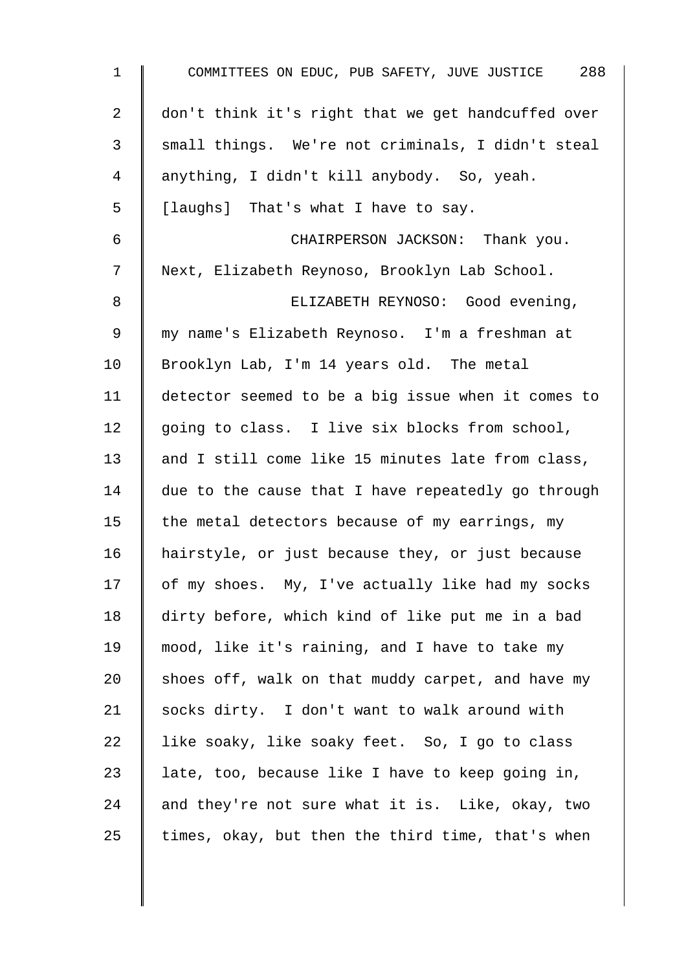| $\mathbf 1$    | COMMITTEES ON EDUC, PUB SAFETY, JUVE JUSTICE 288   |
|----------------|----------------------------------------------------|
| $\overline{a}$ | don't think it's right that we get handcuffed over |
| $\mathbf{3}$   | small things. We're not criminals, I didn't steal  |
| 4              | anything, I didn't kill anybody. So, yeah.         |
| 5              | [laughs] That's what I have to say.                |
| $\epsilon$     | CHAIRPERSON JACKSON: Thank you.                    |
| 7              | Next, Elizabeth Reynoso, Brooklyn Lab School.      |
| 8              | ELIZABETH REYNOSO: Good evening,                   |
| 9              | my name's Elizabeth Reynoso. I'm a freshman at     |
| 10             | Brooklyn Lab, I'm 14 years old. The metal          |
| 11             | detector seemed to be a big issue when it comes to |
| 12             | going to class. I live six blocks from school,     |
| 13             | and I still come like 15 minutes late from class,  |
| 14             | due to the cause that I have repeatedly go through |
| 15             | the metal detectors because of my earrings, my     |
| 16             | hairstyle, or just because they, or just because   |
| 17             | of my shoes. My, I've actually like had my socks   |
| 18             | dirty before, which kind of like put me in a bad   |
| 19             | mood, like it's raining, and I have to take my     |
| 20             | shoes off, walk on that muddy carpet, and have my  |
| 21             | socks dirty. I don't want to walk around with      |
| 22             | like soaky, like soaky feet. So, I go to class     |
| 23             | late, too, because like I have to keep going in,   |
| 24             | and they're not sure what it is. Like, okay, two   |
| 25             | times, okay, but then the third time, that's when  |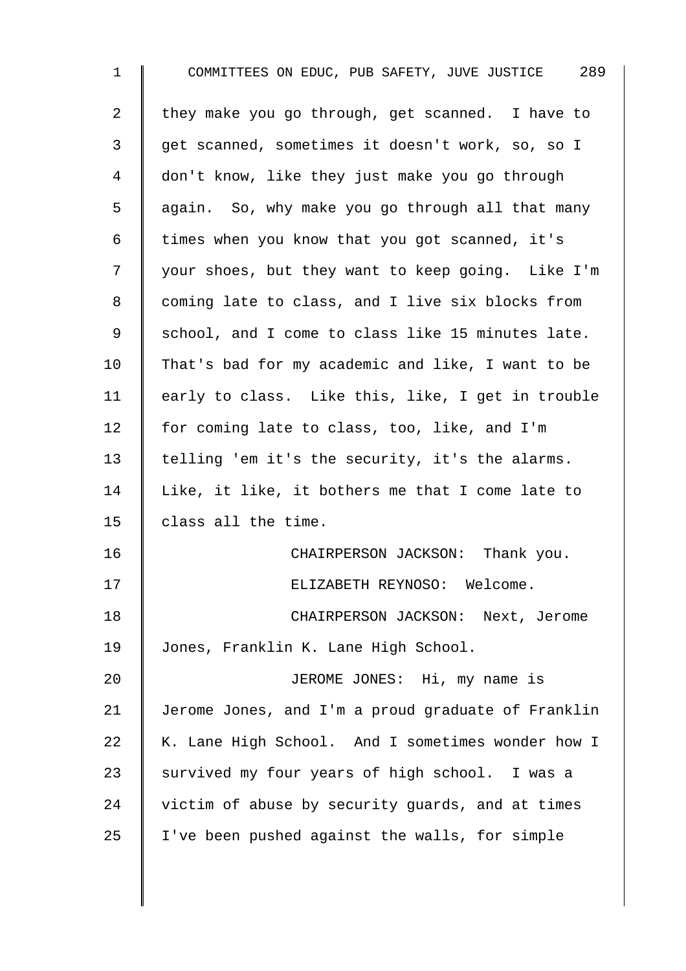| $\mathbf{1}$ | COMMITTEES ON EDUC, PUB SAFETY, JUVE JUSTICE 289   |
|--------------|----------------------------------------------------|
| 2            | they make you go through, get scanned. I have to   |
| 3            | get scanned, sometimes it doesn't work, so, so I   |
| 4            | don't know, like they just make you go through     |
| 5            | again. So, why make you go through all that many   |
| 6            | times when you know that you got scanned, it's     |
| 7            | your shoes, but they want to keep going. Like I'm  |
| 8            | coming late to class, and I live six blocks from   |
| 9            | school, and I come to class like 15 minutes late.  |
| 10           | That's bad for my academic and like, I want to be  |
| 11           | early to class. Like this, like, I get in trouble  |
| 12           | for coming late to class, too, like, and I'm       |
| 13           | telling 'em it's the security, it's the alarms.    |
| 14           | Like, it like, it bothers me that I come late to   |
| 15           | class all the time.                                |
| 16           | CHAIRPERSON JACKSON: Thank you.                    |
| 17           | ELIZABETH REYNOSO: Welcome.                        |
| 18           | CHAIRPERSON JACKSON: Next, Jerome                  |
| 19           | Jones, Franklin K. Lane High School.               |
| 20           | JEROME JONES: Hi, my name is                       |
| 21           | Jerome Jones, and I'm a proud graduate of Franklin |
| 22           | K. Lane High School. And I sometimes wonder how I  |
| 23           | survived my four years of high school. I was a     |
| 24           | victim of abuse by security guards, and at times   |
| 25           | I've been pushed against the walls, for simple     |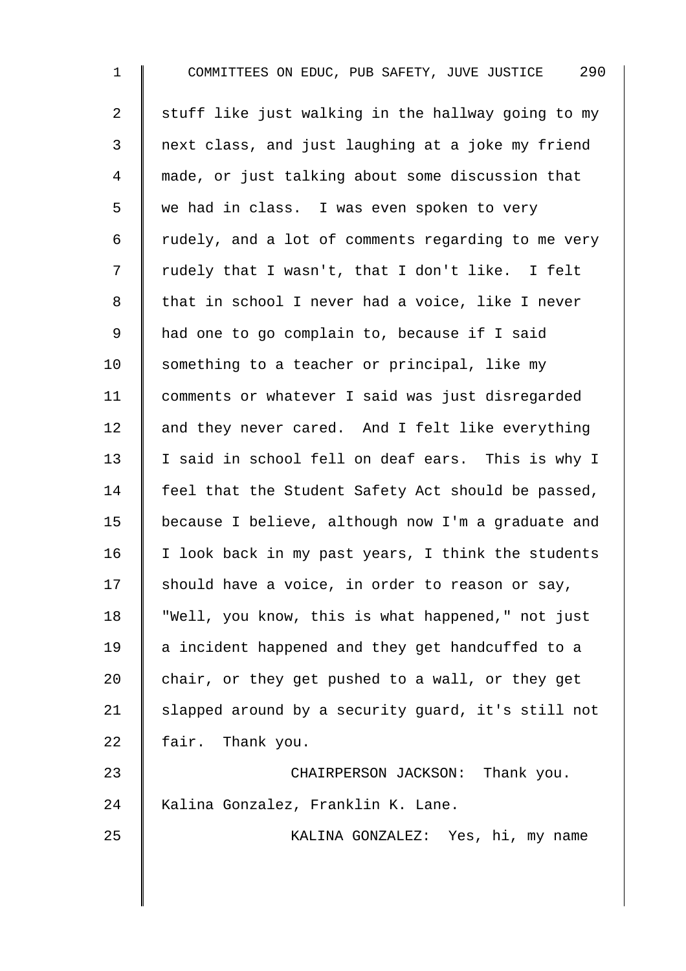1 COMMITTEES ON EDUC, PUB SAFETY, JUVE JUSTICE 290 2  $\parallel$  stuff like just walking in the hallway going to my 3 next class, and just laughing at a joke my friend 4 made, or just talking about some discussion that 5 we had in class. I was even spoken to very  $6 \parallel$  rudely, and a lot of comments regarding to me very 7 | rudely that I wasn't, that I don't like. I felt 8 that in school I never had a voice, like I never 9 | had one to go complain to, because if I said 10  $\parallel$  something to a teacher or principal, like my 11 comments or whatever I said was just disregarded 12  $\parallel$  and they never cared. And I felt like everything 13 | I said in school fell on deaf ears. This is why I 14 Feel that the Student Safety Act should be passed, 15 because I believe, although now I'm a graduate and  $16$  | I look back in my past years, I think the students 17  $\parallel$  should have a voice, in order to reason or say, 18 "Well, you know, this is what happened," not just 19 | a incident happened and they get handcuffed to a 20  $\parallel$  chair, or they get pushed to a wall, or they get 21  $\parallel$  slapped around by a security guard, it's still not 22 fair. Thank you. 23 CHAIRPERSON JACKSON: Thank you. 24 | Kalina Gonzalez, Franklin K. Lane. 25 | KALINA GONZALEZ: Yes, hi, my name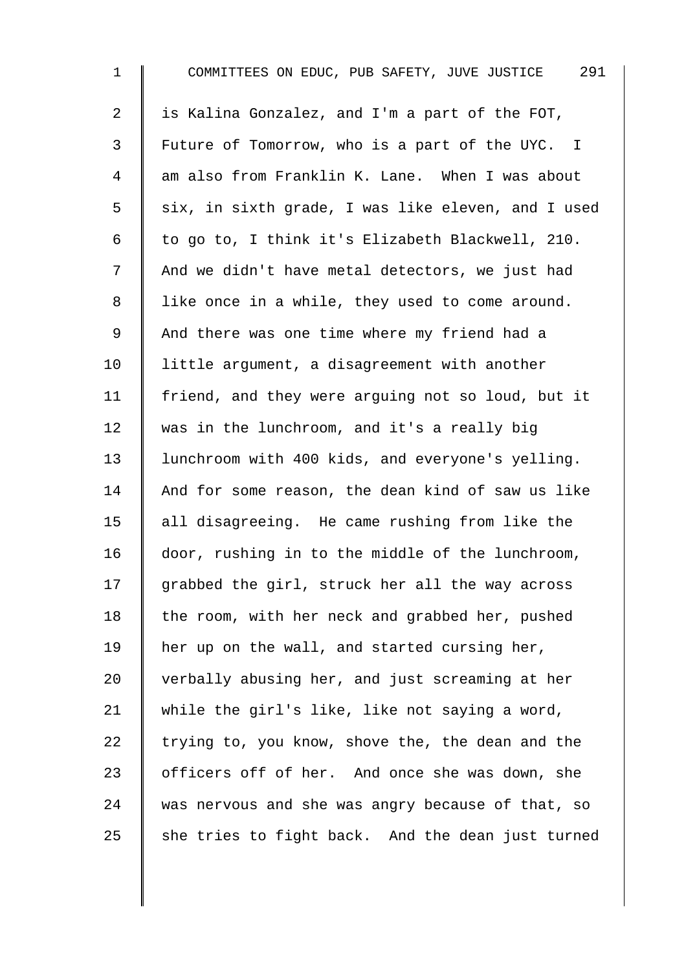| $\mathbf 1$    | COMMITTEES ON EDUC, PUB SAFETY, JUVE JUSTICE 291   |
|----------------|----------------------------------------------------|
| $\overline{2}$ | is Kalina Gonzalez, and I'm a part of the FOT,     |
| 3              | Future of Tomorrow, who is a part of the UYC. I    |
| 4              | am also from Franklin K. Lane. When I was about    |
| 5              | six, in sixth grade, I was like eleven, and I used |
| 6              | to go to, I think it's Elizabeth Blackwell, 210.   |
| 7              | And we didn't have metal detectors, we just had    |
| $8\,$          | like once in a while, they used to come around.    |
| $\mathsf 9$    | And there was one time where my friend had a       |
| 10             | little argument, a disagreement with another       |
| 11             | friend, and they were arguing not so loud, but it  |
| 12             | was in the lunchroom, and it's a really big        |
| 13             | lunchroom with 400 kids, and everyone's yelling.   |
| 14             | And for some reason, the dean kind of saw us like  |
| 15             | all disagreeing. He came rushing from like the     |
| 16             | door, rushing in to the middle of the lunchroom,   |
| 17             | grabbed the girl, struck her all the way across    |
| 18             | the room, with her neck and grabbed her, pushed    |
| 19             | her up on the wall, and started cursing her,       |
| 20             | verbally abusing her, and just screaming at her    |
| 21             | while the girl's like, like not saying a word,     |
| 22             | trying to, you know, shove the, the dean and the   |
| 23             | officers off of her. And once she was down, she    |
| 24             | was nervous and she was angry because of that, so  |
| 25             | she tries to fight back. And the dean just turned  |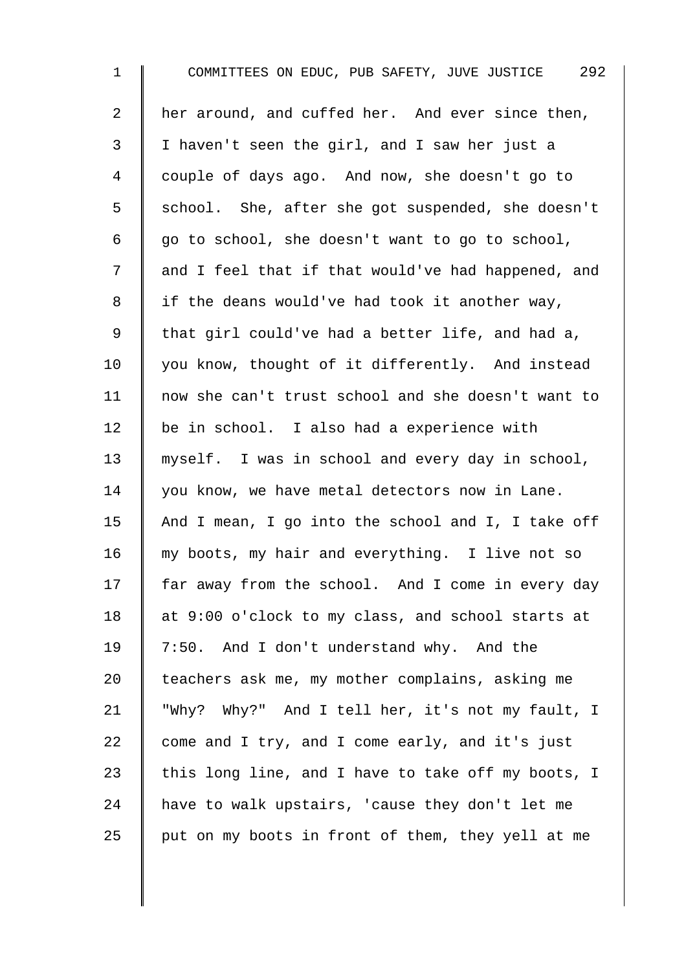| $\mathbf 1$    | COMMITTEES ON EDUC, PUB SAFETY, JUVE JUSTICE 292   |
|----------------|----------------------------------------------------|
| $\overline{2}$ | her around, and cuffed her. And ever since then,   |
| 3              | I haven't seen the girl, and I saw her just a      |
| 4              | couple of days ago. And now, she doesn't go to     |
| 5              | school. She, after she got suspended, she doesn't  |
| 6              | go to school, she doesn't want to go to school,    |
| 7              | and I feel that if that would've had happened, and |
| 8              | if the deans would've had took it another way,     |
| $\mathsf 9$    | that girl could've had a better life, and had a,   |
| 10             | you know, thought of it differently. And instead   |
| 11             | now she can't trust school and she doesn't want to |
| 12             | be in school. I also had a experience with         |
| 13             | myself. I was in school and every day in school,   |
| 14             | you know, we have metal detectors now in Lane.     |
| 15             | And I mean, I go into the school and I, I take off |
| 16             | my boots, my hair and everything. I live not so    |
| 17             | far away from the school. And I come in every day  |
| 18             | at 9:00 o'clock to my class, and school starts at  |
| 19             | 7:50. And I don't understand why. And the          |
| 20             | teachers ask me, my mother complains, asking me    |
| 21             | "Why? Why?" And I tell her, it's not my fault, I   |
| 22             | come and I try, and I come early, and it's just    |
| 23             | this long line, and I have to take off my boots, I |
| 24             | have to walk upstairs, 'cause they don't let me    |
| 25             | put on my boots in front of them, they yell at me  |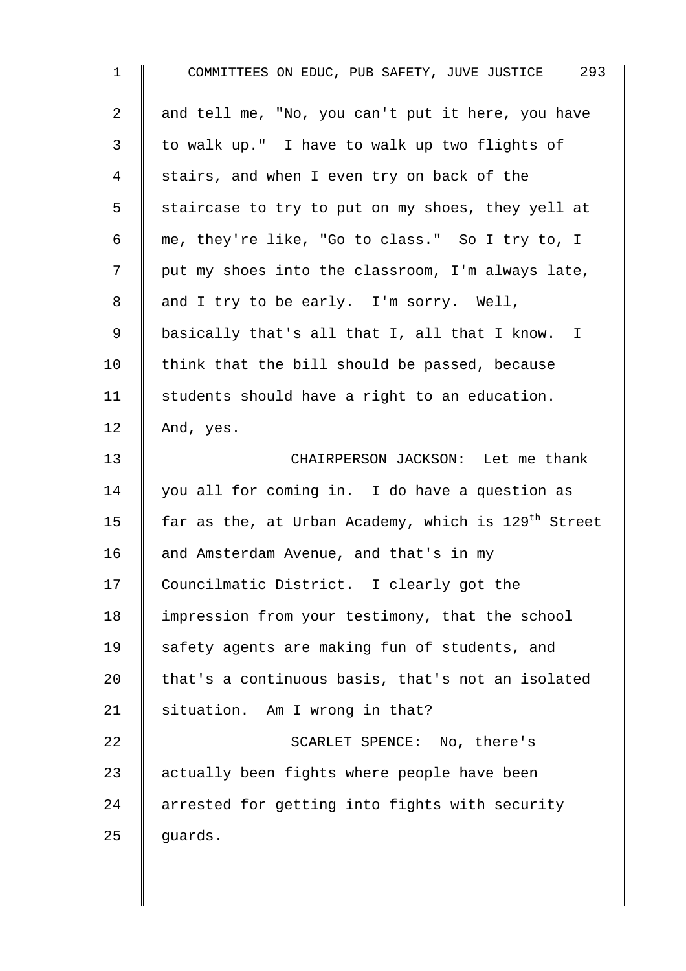| $\mathbf{1}$   | COMMITTEES ON EDUC, PUB SAFETY, JUVE JUSTICE 293                |
|----------------|-----------------------------------------------------------------|
| $\overline{a}$ | and tell me, "No, you can't put it here, you have               |
| 3              | to walk up." I have to walk up two flights of                   |
| 4              | stairs, and when I even try on back of the                      |
| 5              | staircase to try to put on my shoes, they yell at               |
| 6              | me, they're like, "Go to class." So I try to, I                 |
| 7              | put my shoes into the classroom, I'm always late,               |
| 8              | and I try to be early. I'm sorry. Well,                         |
| 9              | basically that's all that I, all that I know. I                 |
| 10             | think that the bill should be passed, because                   |
| 11             | students should have a right to an education.                   |
| 12             | And, yes.                                                       |
| 13             | CHAIRPERSON JACKSON: Let me thank                               |
| 14             | you all for coming in. I do have a question as                  |
| 15             | far as the, at Urban Academy, which is 129 <sup>th</sup> Street |
| 16             | and Amsterdam Avenue, and that's in my                          |
| 17             | Councilmatic District. I clearly got the                        |
| 18             | impression from your testimony, that the school                 |
| 19             | safety agents are making fun of students, and                   |
| 20             | that's a continuous basis, that's not an isolated               |
| 21             | situation. Am I wrong in that?                                  |
| 22             | SCARLET SPENCE: No, there's                                     |
| 23             | actually been fights where people have been                     |
| 24             | arrested for getting into fights with security                  |
| 25             | guards.                                                         |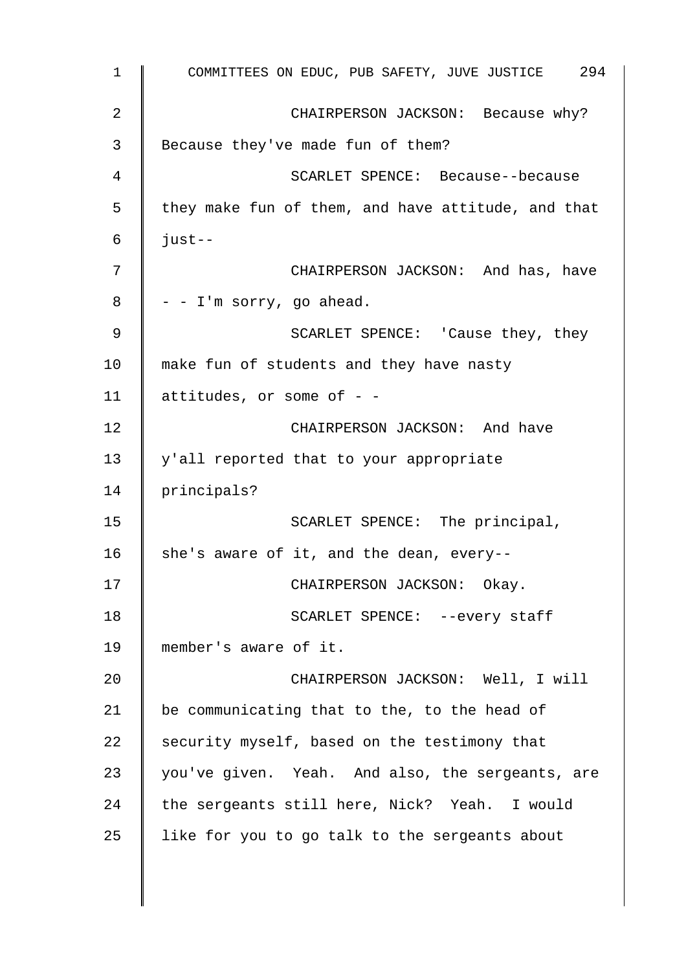1 COMMITTEES ON EDUC, PUB SAFETY, JUVE JUSTICE 294 2 CHAIRPERSON JACKSON: Because why? 3 Because they've made fun of them? 4 SCARLET SPENCE: Because--because  $5 \parallel$  they make fun of them, and have attitude, and that  $6 \parallel$  just--7 CHAIRPERSON JACKSON: And has, have  $8 \parallel -I$ 'm sorry, go ahead. 9 | SCARLET SPENCE: 'Cause they, they 10 | make fun of students and they have nasty 11  $\parallel$  attitudes, or some of - -12 CHAIRPERSON JACKSON: And have 13 y'all reported that to your appropriate 14 | principals? 15 | SCARLET SPENCE: The principal, 16 she's aware of it, and the dean, every--17 | CHAIRPERSON JACKSON: Okay. 18 | SCARLET SPENCE: --every staff 19 member's aware of it. 20 || CHAIRPERSON JACKSON: Well, I will 21 | be communicating that to the, to the head of 22 security myself, based on the testimony that 23 you've given. Yeah. And also, the sergeants, are 24 the sergeants still here, Nick? Yeah. I would 25  $\parallel$  like for you to go talk to the sergeants about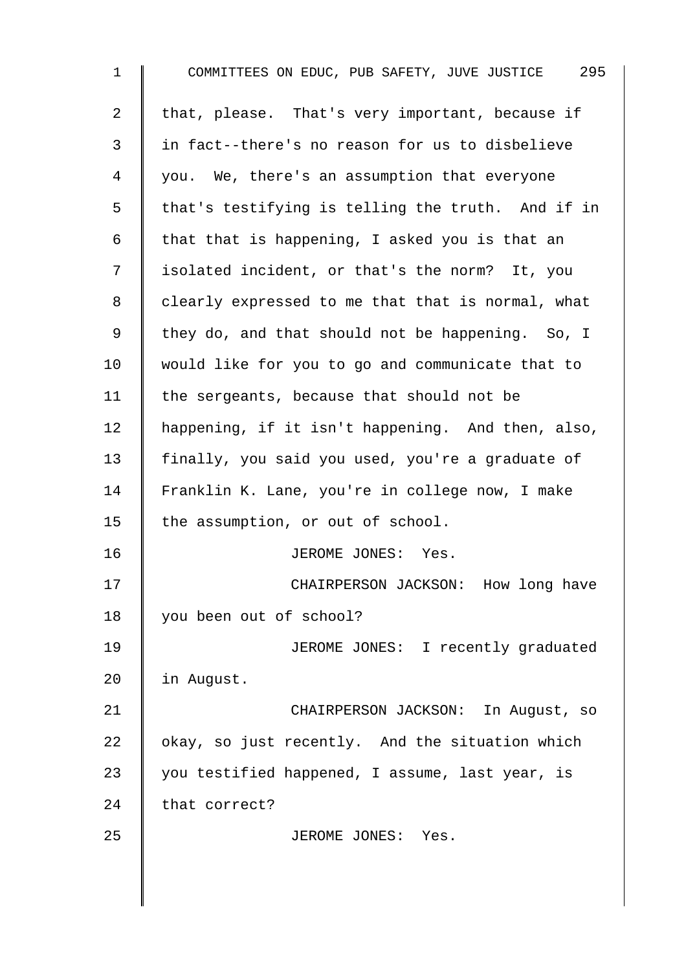| $\mathbf{1}$   | COMMITTEES ON EDUC, PUB SAFETY, JUVE JUSTICE 295  |
|----------------|---------------------------------------------------|
| $\overline{a}$ | that, please. That's very important, because if   |
| $\mathsf{3}$   | in fact--there's no reason for us to disbelieve   |
| 4              | you. We, there's an assumption that everyone      |
| 5              | that's testifying is telling the truth. And if in |
| 6              | that that is happening, I asked you is that an    |
| 7              | isolated incident, or that's the norm? It, you    |
| 8              | clearly expressed to me that that is normal, what |
| 9              | they do, and that should not be happening. So, I  |
| 10             | would like for you to go and communicate that to  |
| 11             | the sergeants, because that should not be         |
| 12             | happening, if it isn't happening. And then, also, |
| 13             | finally, you said you used, you're a graduate of  |
| 14             | Franklin K. Lane, you're in college now, I make   |
| 15             | the assumption, or out of school.                 |
| 16             | JEROME JONES:<br>Yes.                             |
| 17             | CHAIRPERSON JACKSON: How long have                |
| 18             | you been out of school?                           |
| 19             | JEROME JONES: I recently graduated                |
| 20             | in August.                                        |
| 21             | CHAIRPERSON JACKSON: In August, so                |
| 22             | okay, so just recently. And the situation which   |
| 23             | you testified happened, I assume, last year, is   |
| 24             | that correct?                                     |
| 25             | JEROME JONES: Yes.                                |
|                |                                                   |
|                |                                                   |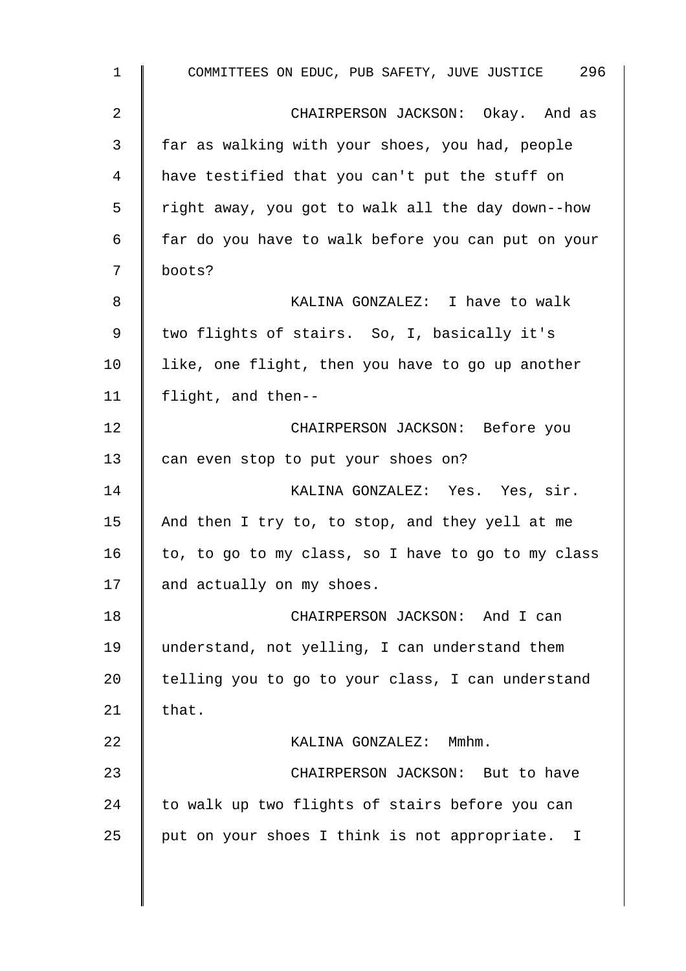1 COMMITTEES ON EDUC, PUB SAFETY, JUVE JUSTICE 296 2 CHAIRPERSON JACKSON: Okay. And as 3 far as walking with your shoes, you had, people 4 | have testified that you can't put the stuff on 5 | right away, you got to walk all the day down--how  $6 \parallel$  far do you have to walk before you can put on your 7 boots? 8 **B** KALINA GONZALEZ: I have to walk 9 | two flights of stairs. So, I, basically it's  $10$  like, one flight, then you have to go up another 11 flight, and then-- 12 **CHAIRPERSON JACKSON:** Before you 13 can even stop to put your shoes on? 14 | KALINA GONZALEZ: Yes. Yes, sir. 15  $\parallel$  And then I try to, to stop, and they yell at me 16  $\parallel$  to, to go to my class, so I have to go to my class 17 and actually on my shoes. 18 CHAIRPERSON JACKSON: And I can 19 understand, not yelling, I can understand them 20  $\parallel$  telling you to go to your class, I can understand 21  $\|$  that. 22 | KALINA GONZALEZ: Mmhm. 23 || CHAIRPERSON JACKSON: But to have  $24$  to walk up two flights of stairs before you can  $25$  | put on your shoes I think is not appropriate. I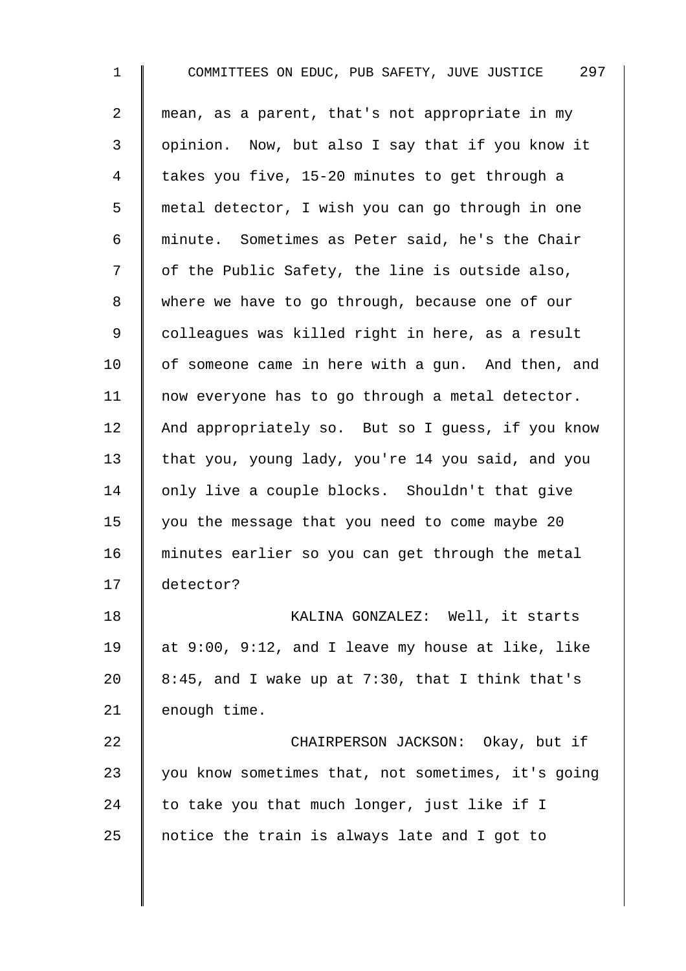1 COMMITTEES ON EDUC, PUB SAFETY, JUVE JUSTICE 297 2 mean, as a parent, that's not appropriate in my 3 | opinion. Now, but also I say that if you know it 4 | takes you five, 15-20 minutes to get through a 5 metal detector, I wish you can go through in one 6 minute. Sometimes as Peter said, he's the Chair 7 | of the Public Safety, the line is outside also, 8 where we have to go through, because one of our 9 | colleagues was killed right in here, as a result  $10$  | of someone came in here with a gun. And then, and 11 | now everyone has to go through a metal detector. 12 And appropriately so. But so I quess, if you know 13 that you, young lady, you're 14 you said, and you 14 | only live a couple blocks. Shouldn't that give 15 | you the message that you need to come maybe 20 16 minutes earlier so you can get through the metal 17 detector? 18 | KALINA GONZALEZ: Well, it starts 19  $\parallel$  at 9:00, 9:12, and I leave my house at like, like 20  $\parallel$  8:45, and I wake up at 7:30, that I think that's  $21$  enough time. 22 **CHAIRPERSON JACKSON:** Okay, but if  $23$  | you know sometimes that, not sometimes, it's going 24 to take you that much longer, just like if I 25  $\parallel$  notice the train is always late and I got to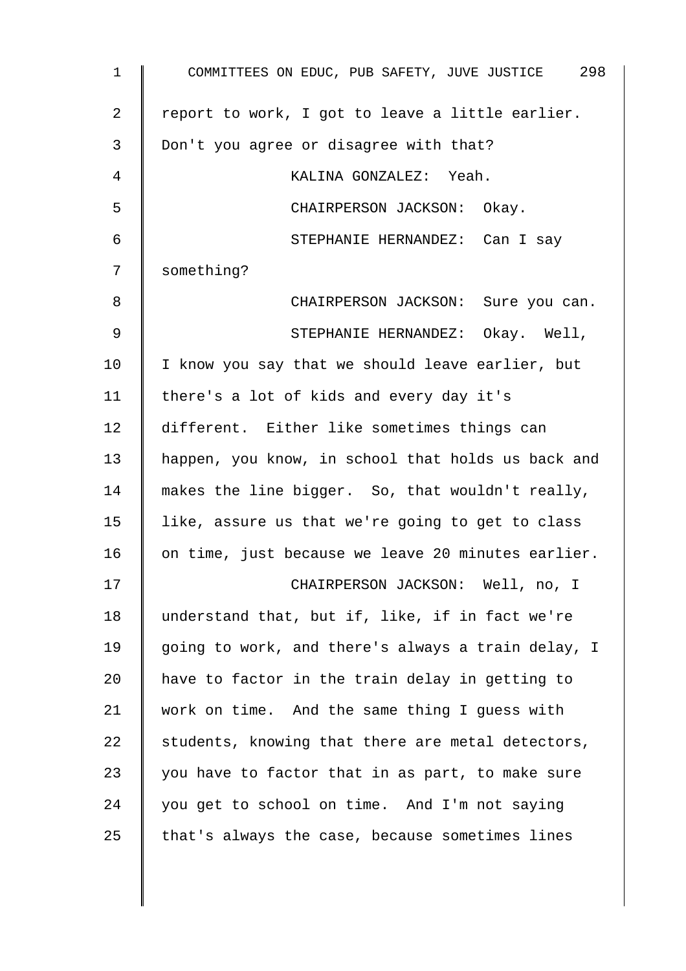| $\mathbf{1}$ | COMMITTEES ON EDUC, PUB SAFETY, JUVE JUSTICE 298   |
|--------------|----------------------------------------------------|
| 2            | report to work, I got to leave a little earlier.   |
| 3            | Don't you agree or disagree with that?             |
| 4            | KALINA GONZALEZ: Yeah.                             |
| 5            | CHAIRPERSON JACKSON: Okay.                         |
| 6            | STEPHANIE HERNANDEZ: Can I say                     |
| 7            | something?                                         |
| 8            | CHAIRPERSON JACKSON: Sure you can.                 |
| 9            | STEPHANIE HERNANDEZ: Okay. Well,                   |
| 10           | I know you say that we should leave earlier, but   |
| 11           | there's a lot of kids and every day it's           |
| 12           | different. Either like sometimes things can        |
| 13           | happen, you know, in school that holds us back and |
| 14           | makes the line bigger. So, that wouldn't really,   |
| 15           | like, assure us that we're going to get to class   |
| 16           | on time, just because we leave 20 minutes earlier. |
| 17           | CHAIRPERSON JACKSON: Well, no, I                   |
| 18           | understand that, but if, like, if in fact we're    |
| 19           | going to work, and there's always a train delay, I |
| 20           | have to factor in the train delay in getting to    |
| 21           | work on time. And the same thing I guess with      |
| 22           | students, knowing that there are metal detectors,  |
| 23           | you have to factor that in as part, to make sure   |
| 24           | you get to school on time. And I'm not saying      |
| 25           | that's always the case, because sometimes lines    |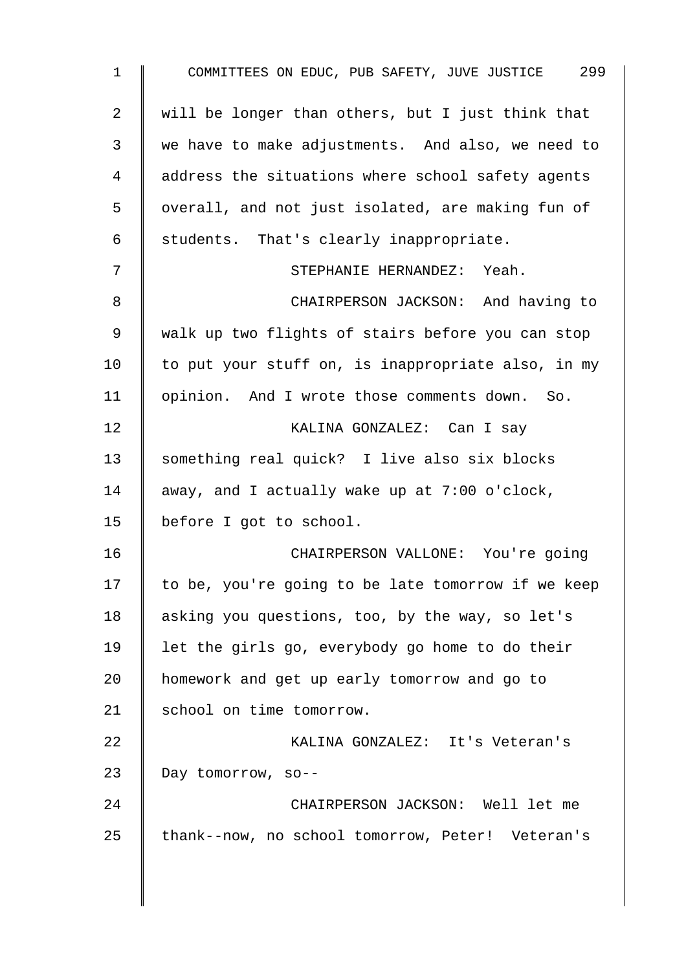| $\mathbf 1$    | COMMITTEES ON EDUC, PUB SAFETY, JUVE JUSTICE 299   |
|----------------|----------------------------------------------------|
| $\overline{a}$ | will be longer than others, but I just think that  |
| 3              | we have to make adjustments. And also, we need to  |
| 4              | address the situations where school safety agents  |
| 5              | overall, and not just isolated, are making fun of  |
| 6              | students. That's clearly inappropriate.            |
| 7              | STEPHANIE HERNANDEZ: Yeah.                         |
| 8              | CHAIRPERSON JACKSON: And having to                 |
| 9              | walk up two flights of stairs before you can stop  |
| 10             | to put your stuff on, is inappropriate also, in my |
| 11             | opinion. And I wrote those comments down. So.      |
| 12             | KALINA GONZALEZ: Can I say                         |
| 13             | something real quick? I live also six blocks       |
| 14             | away, and I actually wake up at 7:00 o'clock,      |
| 15             | before I got to school.                            |
| 16             | CHAIRPERSON VALLONE: You're going                  |
| 17             | to be, you're going to be late tomorrow if we keep |
| 18             | asking you questions, too, by the way, so let's    |
| 19             | let the girls go, everybody go home to do their    |
| 20             | homework and get up early tomorrow and go to       |
| 21             | school on time tomorrow.                           |
| 22             | KALINA GONZALEZ: It's Veteran's                    |
| 23             | Day tomorrow, so--                                 |
| 24             | CHAIRPERSON JACKSON: Well let me                   |
| 25             | thank--now, no school tomorrow, Peter! Veteran's   |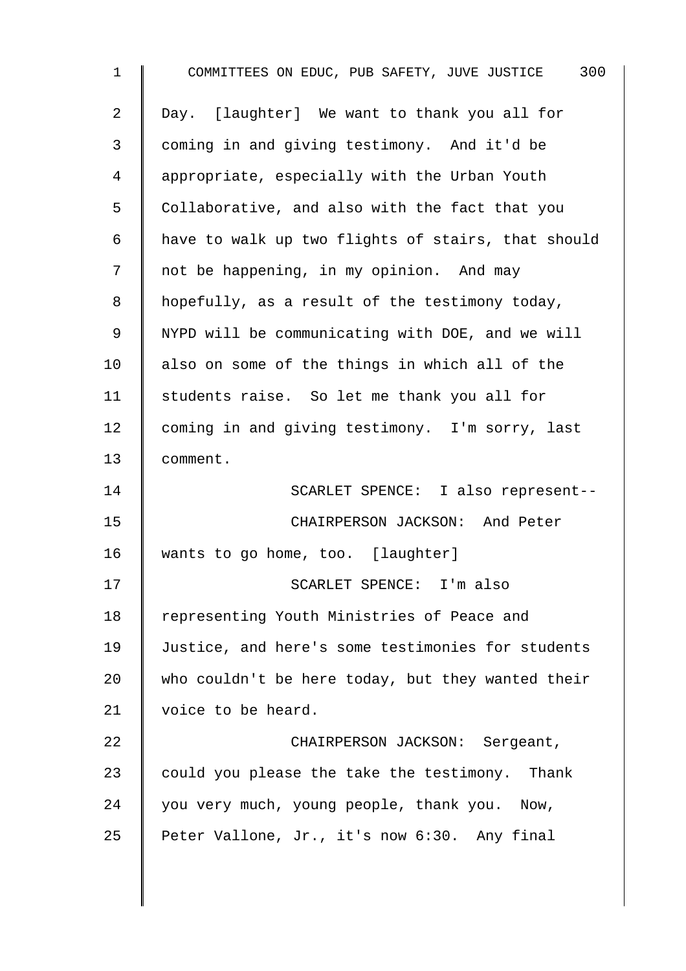| $\mathbf 1$ | COMMITTEES ON EDUC, PUB SAFETY, JUVE JUSTICE 300   |
|-------------|----------------------------------------------------|
| 2           | Day. [laughter] We want to thank you all for       |
| 3           | coming in and giving testimony. And it'd be        |
| 4           | appropriate, especially with the Urban Youth       |
| 5           | Collaborative, and also with the fact that you     |
| 6           | have to walk up two flights of stairs, that should |
| 7           | not be happening, in my opinion. And may           |
| 8           | hopefully, as a result of the testimony today,     |
| 9           | NYPD will be communicating with DOE, and we will   |
| 10          | also on some of the things in which all of the     |
| 11          | students raise. So let me thank you all for        |
| 12          | coming in and giving testimony. I'm sorry, last    |
| 13          | comment.                                           |
| 14          | SCARLET SPENCE: I also represent--                 |
| 15          | CHAIRPERSON JACKSON: And Peter                     |
| 16          | wants to go home, too. [laughter]                  |
| 17          | SCARLET SPENCE: I'm also                           |
| 18          | representing Youth Ministries of Peace and         |
| 19          | Justice, and here's some testimonies for students  |
| 20          | who couldn't be here today, but they wanted their  |
| 21          | voice to be heard.                                 |
| 22          | CHAIRPERSON JACKSON: Sergeant,                     |
| 23          | could you please the take the testimony. Thank     |
| 24          | you very much, young people, thank you. Now,       |
| 25          | Peter Vallone, Jr., it's now 6:30. Any final       |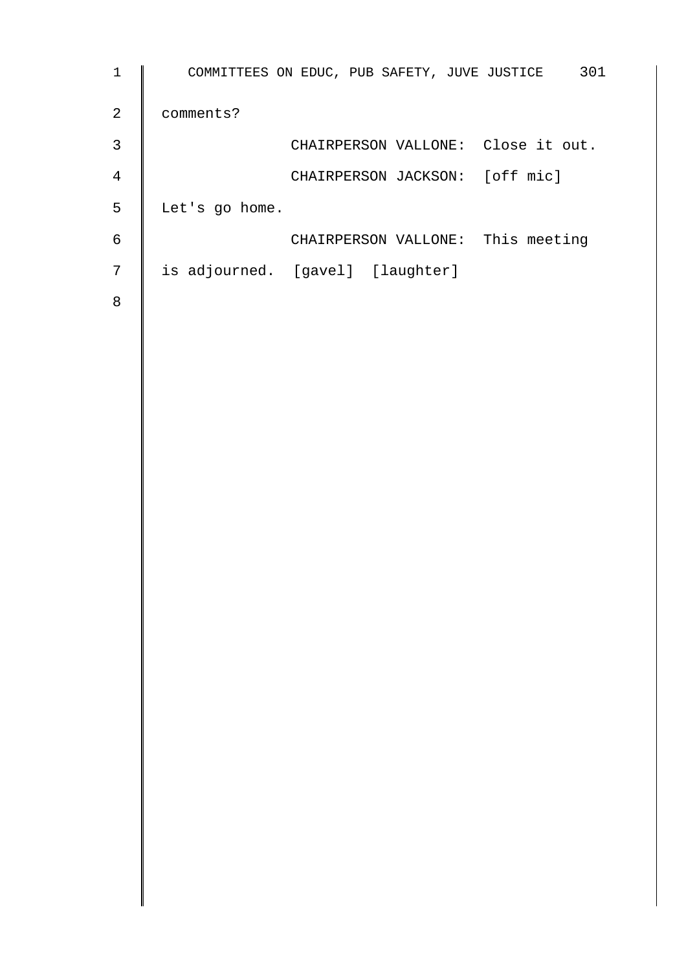| $\mathbf{1}$   | 301<br>COMMITTEES ON EDUC, PUB SAFETY, JUVE JUSTICE |
|----------------|-----------------------------------------------------|
| $\overline{2}$ | comments?                                           |
| 3              | CHAIRPERSON VALLONE: Close it out.                  |
| 4              | CHAIRPERSON JACKSON: [off mic]                      |
| 5              | Let's go home.                                      |
| 6              | CHAIRPERSON VALLONE: This meeting                   |
| 7              | is adjourned. [gavel] [laughter]                    |
| 8              |                                                     |
|                |                                                     |
|                |                                                     |